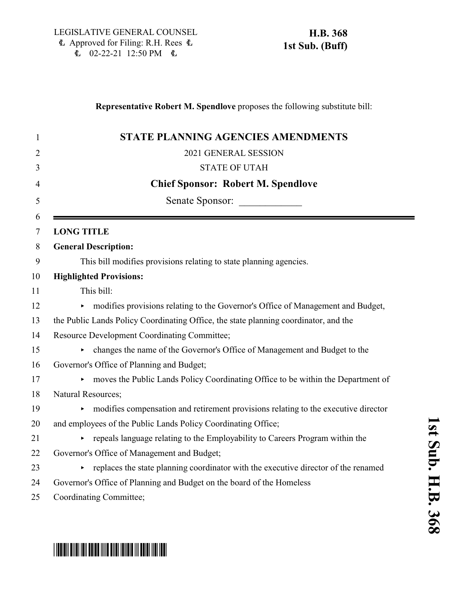### **Representative Robert M. Spendlove** proposes the following substitute bill:

|                    | <b>STATE PLANNING AGENCIES AMENDMENTS</b>                                            |
|--------------------|--------------------------------------------------------------------------------------|
|                    | 2021 GENERAL SESSION                                                                 |
|                    | <b>STATE OF UTAH</b>                                                                 |
|                    | <b>Chief Sponsor: Robert M. Spendlove</b>                                            |
|                    | Senate Sponsor:                                                                      |
| <b>LONG TITLE</b>  |                                                                                      |
|                    | <b>General Description:</b>                                                          |
|                    | This bill modifies provisions relating to state planning agencies.                   |
|                    | <b>Highlighted Provisions:</b>                                                       |
|                    | This bill:                                                                           |
|                    | • modifies provisions relating to the Governor's Office of Management and Budget,    |
|                    | the Public Lands Policy Coordinating Office, the state planning coordinator, and the |
|                    | Resource Development Coordinating Committee;                                         |
|                    | changes the name of the Governor's Office of Management and Budget to the            |
|                    | Governor's Office of Planning and Budget;                                            |
|                    | moves the Public Lands Policy Coordinating Office to be within the Department of     |
| Natural Resources; |                                                                                      |
|                    | modifies compensation and retirement provisions relating to the executive director   |
|                    | and employees of the Public Lands Policy Coordinating Office;                        |
|                    | repeals language relating to the Employability to Careers Program within the         |
|                    | Governor's Office of Management and Budget;                                          |
|                    | replaces the state planning coordinator with the executive director of the renamed   |
|                    | Governor's Office of Planning and Budget on the board of the Homeless                |
|                    | Coordinating Committee;                                                              |

**1**

# \*HB0368S01\*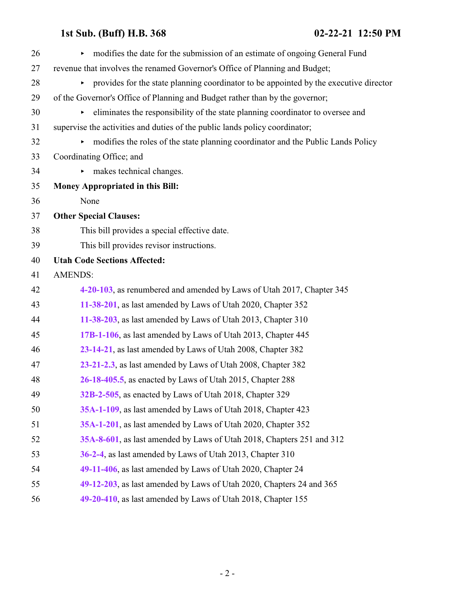| 26 | modifies the date for the submission of an estimate of ongoing General Fund             |
|----|-----------------------------------------------------------------------------------------|
| 27 | revenue that involves the renamed Governor's Office of Planning and Budget;             |
| 28 | • provides for the state planning coordinator to be appointed by the executive director |
| 29 | of the Governor's Office of Planning and Budget rather than by the governor;            |
| 30 | eliminates the responsibility of the state planning coordinator to oversee and          |
| 31 | supervise the activities and duties of the public lands policy coordinator;             |
| 32 | modifies the roles of the state planning coordinator and the Public Lands Policy<br>Þ.  |
| 33 | Coordinating Office; and                                                                |
| 34 | makes technical changes.                                                                |
| 35 | Money Appropriated in this Bill:                                                        |
| 36 | None                                                                                    |
| 37 | <b>Other Special Clauses:</b>                                                           |
| 38 | This bill provides a special effective date.                                            |
| 39 | This bill provides revisor instructions.                                                |
| 40 | <b>Utah Code Sections Affected:</b>                                                     |
| 41 | <b>AMENDS:</b>                                                                          |
| 42 | 4-20-103, as renumbered and amended by Laws of Utah 2017, Chapter 345                   |
| 43 | 11-38-201, as last amended by Laws of Utah 2020, Chapter 352                            |
| 44 | 11-38-203, as last amended by Laws of Utah 2013, Chapter 310                            |
| 45 | 17B-1-106, as last amended by Laws of Utah 2013, Chapter 445                            |
| 46 | 23-14-21, as last amended by Laws of Utah 2008, Chapter 382                             |
| 47 | 23-21-2.3, as last amended by Laws of Utah 2008, Chapter 382                            |
| 48 | 26-18-405.5, as enacted by Laws of Utah 2015, Chapter 288                               |
| 49 | 32B-2-505, as enacted by Laws of Utah 2018, Chapter 329                                 |
| 50 | 35A-1-109, as last amended by Laws of Utah 2018, Chapter 423                            |
| 51 | 35A-1-201, as last amended by Laws of Utah 2020, Chapter 352                            |
| 52 | 35A-8-601, as last amended by Laws of Utah 2018, Chapters 251 and 312                   |
| 53 | 36-2-4, as last amended by Laws of Utah 2013, Chapter 310                               |
| 54 | 49-11-406, as last amended by Laws of Utah 2020, Chapter 24                             |
| 55 | 49-12-203, as last amended by Laws of Utah 2020, Chapters 24 and 365                    |
| 56 | 49-20-410, as last amended by Laws of Utah 2018, Chapter 155                            |
|    |                                                                                         |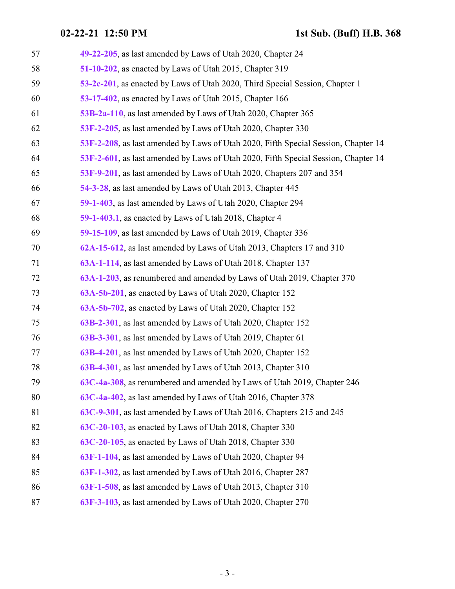| 57 | 49-22-205, as last amended by Laws of Utah 2020, Chapter 24                        |
|----|------------------------------------------------------------------------------------|
| 58 | 51-10-202, as enacted by Laws of Utah 2015, Chapter 319                            |
| 59 | 53-2c-201, as enacted by Laws of Utah 2020, Third Special Session, Chapter 1       |
| 60 | 53-17-402, as enacted by Laws of Utah 2015, Chapter 166                            |
| 61 | 53B-2a-110, as last amended by Laws of Utah 2020, Chapter 365                      |
| 62 | 53F-2-205, as last amended by Laws of Utah 2020, Chapter 330                       |
| 63 | 53F-2-208, as last amended by Laws of Utah 2020, Fifth Special Session, Chapter 14 |
| 64 | 53F-2-601, as last amended by Laws of Utah 2020, Fifth Special Session, Chapter 14 |
| 65 | 53F-9-201, as last amended by Laws of Utah 2020, Chapters 207 and 354              |
| 66 | 54-3-28, as last amended by Laws of Utah 2013, Chapter 445                         |
| 67 | 59-1-403, as last amended by Laws of Utah 2020, Chapter 294                        |
| 68 | 59-1-403.1, as enacted by Laws of Utah 2018, Chapter 4                             |
| 69 | 59-15-109, as last amended by Laws of Utah 2019, Chapter 336                       |
| 70 | 62A-15-612, as last amended by Laws of Utah 2013, Chapters 17 and 310              |
| 71 | 63A-1-114, as last amended by Laws of Utah 2018, Chapter 137                       |
| 72 | 63A-1-203, as renumbered and amended by Laws of Utah 2019, Chapter 370             |
| 73 | 63A-5b-201, as enacted by Laws of Utah 2020, Chapter 152                           |
| 74 | 63A-5b-702, as enacted by Laws of Utah 2020, Chapter 152                           |
| 75 | 63B-2-301, as last amended by Laws of Utah 2020, Chapter 152                       |
| 76 | 63B-3-301, as last amended by Laws of Utah 2019, Chapter 61                        |
| 77 | 63B-4-201, as last amended by Laws of Utah 2020, Chapter 152                       |
| 78 | 63B-4-301, as last amended by Laws of Utah 2013, Chapter 310                       |
| 79 | 63C-4a-308, as renumbered and amended by Laws of Utah 2019, Chapter 246            |
| 80 | 63C-4a-402, as last amended by Laws of Utah 2016, Chapter 378                      |
| 81 | 63C-9-301, as last amended by Laws of Utah 2016, Chapters 215 and 245              |
| 82 | 63C-20-103, as enacted by Laws of Utah 2018, Chapter 330                           |
| 83 | 63C-20-105, as enacted by Laws of Utah 2018, Chapter 330                           |
| 84 | 63F-1-104, as last amended by Laws of Utah 2020, Chapter 94                        |
| 85 | 63F-1-302, as last amended by Laws of Utah 2016, Chapter 287                       |
| 86 | 63F-1-508, as last amended by Laws of Utah 2013, Chapter 310                       |
| 87 | 63F-3-103, as last amended by Laws of Utah 2020, Chapter 270                       |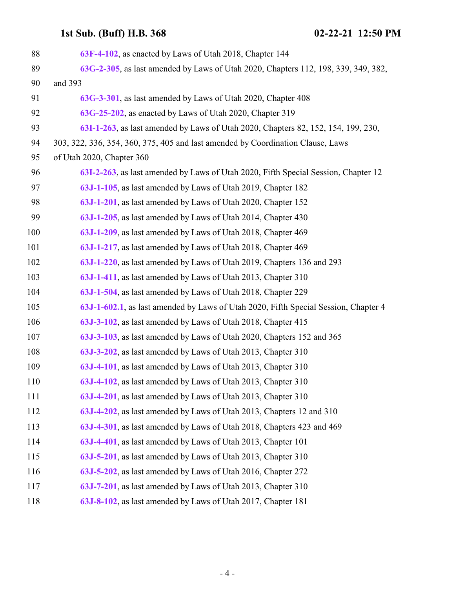| 88  | 63F-4-102, as enacted by Laws of Utah 2018, Chapter 144                             |
|-----|-------------------------------------------------------------------------------------|
| 89  | 63G-2-305, as last amended by Laws of Utah 2020, Chapters 112, 198, 339, 349, 382,  |
| 90  | and 393                                                                             |
| 91  | 63G-3-301, as last amended by Laws of Utah 2020, Chapter 408                        |
| 92  | 63G-25-202, as enacted by Laws of Utah 2020, Chapter 319                            |
| 93  | 63I-1-263, as last amended by Laws of Utah 2020, Chapters 82, 152, 154, 199, 230,   |
| 94  | 303, 322, 336, 354, 360, 375, 405 and last amended by Coordination Clause, Laws     |
| 95  | of Utah 2020, Chapter 360                                                           |
| 96  | 63I-2-263, as last amended by Laws of Utah 2020, Fifth Special Session, Chapter 12  |
| 97  | 63J-1-105, as last amended by Laws of Utah 2019, Chapter 182                        |
| 98  | 63J-1-201, as last amended by Laws of Utah 2020, Chapter 152                        |
| 99  | 63J-1-205, as last amended by Laws of Utah 2014, Chapter 430                        |
| 100 | 63J-1-209, as last amended by Laws of Utah 2018, Chapter 469                        |
| 101 | 63J-1-217, as last amended by Laws of Utah 2018, Chapter 469                        |
| 102 | 63J-1-220, as last amended by Laws of Utah 2019, Chapters 136 and 293               |
| 103 | 63J-1-411, as last amended by Laws of Utah 2013, Chapter 310                        |
| 104 | 63J-1-504, as last amended by Laws of Utah 2018, Chapter 229                        |
| 105 | 63J-1-602.1, as last amended by Laws of Utah 2020, Fifth Special Session, Chapter 4 |
| 106 | 63J-3-102, as last amended by Laws of Utah 2018, Chapter 415                        |
| 107 | 63J-3-103, as last amended by Laws of Utah 2020, Chapters 152 and 365               |
| 108 | 63J-3-202, as last amended by Laws of Utah 2013, Chapter 310                        |
| 109 | 63J-4-101, as last amended by Laws of Utah 2013, Chapter 310                        |
| 110 | 63J-4-102, as last amended by Laws of Utah 2013, Chapter 310                        |
| 111 | 63J-4-201, as last amended by Laws of Utah 2013, Chapter 310                        |
| 112 | 63J-4-202, as last amended by Laws of Utah 2013, Chapters 12 and 310                |
| 113 | 63J-4-301, as last amended by Laws of Utah 2018, Chapters 423 and 469               |
| 114 | 63J-4-401, as last amended by Laws of Utah 2013, Chapter 101                        |
| 115 | 63J-5-201, as last amended by Laws of Utah 2013, Chapter 310                        |
| 116 | 63J-5-202, as last amended by Laws of Utah 2016, Chapter 272                        |
| 117 | 63J-7-201, as last amended by Laws of Utah 2013, Chapter 310                        |
| 118 | 63J-8-102, as last amended by Laws of Utah 2017, Chapter 181                        |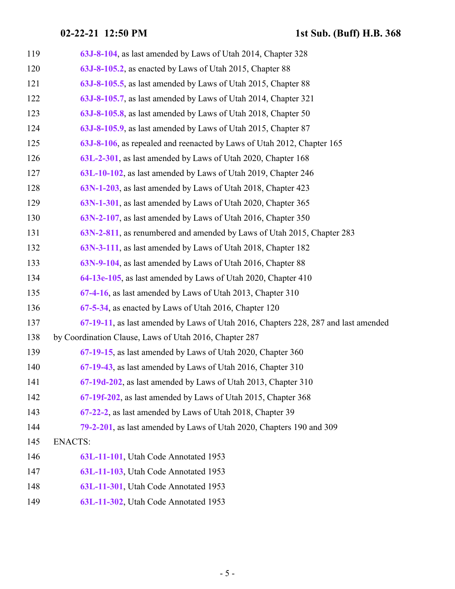| 119 | 63J-8-104, as last amended by Laws of Utah 2014, Chapter 328                       |
|-----|------------------------------------------------------------------------------------|
| 120 | 63J-8-105.2, as enacted by Laws of Utah 2015, Chapter 88                           |
| 121 | 63J-8-105.5, as last amended by Laws of Utah 2015, Chapter 88                      |
| 122 | 63J-8-105.7, as last amended by Laws of Utah 2014, Chapter 321                     |
| 123 | 63J-8-105.8, as last amended by Laws of Utah 2018, Chapter 50                      |
| 124 | 63J-8-105.9, as last amended by Laws of Utah 2015, Chapter 87                      |
| 125 | 63J-8-106, as repealed and reenacted by Laws of Utah 2012, Chapter 165             |
| 126 | 63L-2-301, as last amended by Laws of Utah 2020, Chapter 168                       |
| 127 | 63L-10-102, as last amended by Laws of Utah 2019, Chapter 246                      |
| 128 | 63N-1-203, as last amended by Laws of Utah 2018, Chapter 423                       |
| 129 | 63N-1-301, as last amended by Laws of Utah 2020, Chapter 365                       |
| 130 | 63N-2-107, as last amended by Laws of Utah 2016, Chapter 350                       |
| 131 | 63N-2-811, as renumbered and amended by Laws of Utah 2015, Chapter 283             |
| 132 | 63N-3-111, as last amended by Laws of Utah 2018, Chapter 182                       |
| 133 | 63N-9-104, as last amended by Laws of Utah 2016, Chapter 88                        |
| 134 | 64-13e-105, as last amended by Laws of Utah 2020, Chapter 410                      |
| 135 | 67-4-16, as last amended by Laws of Utah 2013, Chapter 310                         |
| 136 | 67-5-34, as enacted by Laws of Utah 2016, Chapter 120                              |
| 137 | 67-19-11, as last amended by Laws of Utah 2016, Chapters 228, 287 and last amended |
| 138 | by Coordination Clause, Laws of Utah 2016, Chapter 287                             |
| 139 | 67-19-15, as last amended by Laws of Utah 2020, Chapter 360                        |
| 140 | 67-19-43, as last amended by Laws of Utah 2016, Chapter 310                        |
| 141 | 67-19d-202, as last amended by Laws of Utah 2013, Chapter 310                      |
| 142 | 67-19f-202, as last amended by Laws of Utah 2015, Chapter 368                      |
| 143 | 67-22-2, as last amended by Laws of Utah 2018, Chapter 39                          |
| 144 | 79-2-201, as last amended by Laws of Utah 2020, Chapters 190 and 309               |
| 145 | <b>ENACTS:</b>                                                                     |
| 146 | 63L-11-101, Utah Code Annotated 1953                                               |
| 147 | 63L-11-103, Utah Code Annotated 1953                                               |
| 148 | 63L-11-301, Utah Code Annotated 1953                                               |
| 149 | 63L-11-302, Utah Code Annotated 1953                                               |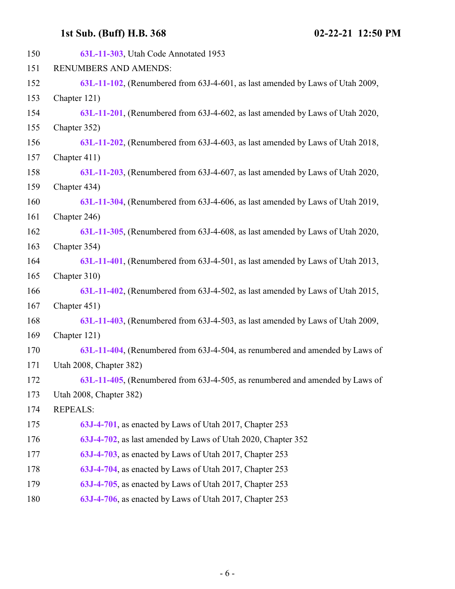| 63L-11-303, Utah Code Annotated 1953                                          |
|-------------------------------------------------------------------------------|
| <b>RENUMBERS AND AMENDS:</b>                                                  |
| 63L-11-102, (Renumbered from 63J-4-601, as last amended by Laws of Utah 2009, |
| Chapter 121)                                                                  |
| 63L-11-201, (Renumbered from 63J-4-602, as last amended by Laws of Utah 2020, |
| Chapter 352)                                                                  |
| 63L-11-202, (Renumbered from 63J-4-603, as last amended by Laws of Utah 2018, |
| Chapter 411)                                                                  |
| 63L-11-203, (Renumbered from 63J-4-607, as last amended by Laws of Utah 2020, |
| Chapter 434)                                                                  |
| 63L-11-304, (Renumbered from 63J-4-606, as last amended by Laws of Utah 2019, |
| Chapter 246)                                                                  |
| 63L-11-305, (Renumbered from 63J-4-608, as last amended by Laws of Utah 2020, |
| Chapter 354)                                                                  |
| 63L-11-401, (Renumbered from 63J-4-501, as last amended by Laws of Utah 2013, |
| Chapter 310)                                                                  |
| 63L-11-402, (Renumbered from 63J-4-502, as last amended by Laws of Utah 2015, |
| Chapter 451)                                                                  |
| 63L-11-403, (Renumbered from 63J-4-503, as last amended by Laws of Utah 2009, |
| Chapter 121)                                                                  |
| 63L-11-404, (Renumbered from 63J-4-504, as renumbered and amended by Laws of  |
| Utah 2008, Chapter 382)                                                       |
| 63L-11-405, (Renumbered from 63J-4-505, as renumbered and amended by Laws of  |
| Utah 2008, Chapter 382)                                                       |
| <b>REPEALS:</b>                                                               |
| 63J-4-701, as enacted by Laws of Utah 2017, Chapter 253                       |
| 63J-4-702, as last amended by Laws of Utah 2020, Chapter 352                  |
| 63J-4-703, as enacted by Laws of Utah 2017, Chapter 253                       |
| 63J-4-704, as enacted by Laws of Utah 2017, Chapter 253                       |
| 63J-4-705, as enacted by Laws of Utah 2017, Chapter 253                       |
| 63J-4-706, as enacted by Laws of Utah 2017, Chapter 253                       |
|                                                                               |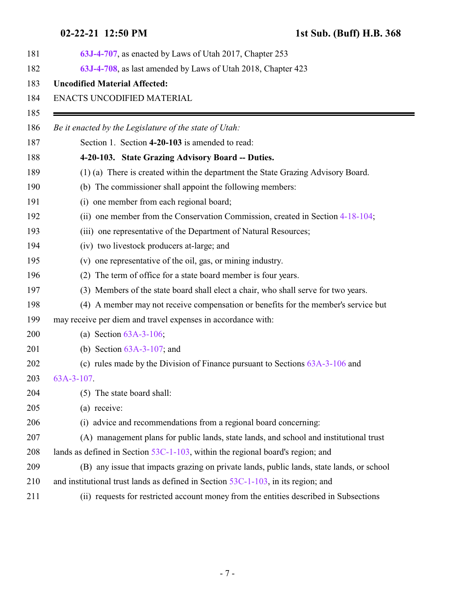<span id="page-6-0"></span>

| 181 | 63J-4-707, as enacted by Laws of Utah 2017, Chapter 253                                   |
|-----|-------------------------------------------------------------------------------------------|
| 182 | 63J-4-708, as last amended by Laws of Utah 2018, Chapter 423                              |
| 183 | <b>Uncodified Material Affected:</b>                                                      |
| 184 | ENACTS UNCODIFIED MATERIAL                                                                |
| 185 |                                                                                           |
| 186 | Be it enacted by the Legislature of the state of Utah:                                    |
| 187 | Section 1. Section 4-20-103 is amended to read:                                           |
| 188 | 4-20-103. State Grazing Advisory Board -- Duties.                                         |
| 189 | (1) (a) There is created within the department the State Grazing Advisory Board.          |
| 190 | (b) The commissioner shall appoint the following members:                                 |
| 191 | (i) one member from each regional board;                                                  |
| 192 | (ii) one member from the Conservation Commission, created in Section 4-18-104;            |
| 193 | (iii) one representative of the Department of Natural Resources;                          |
| 194 | (iv) two livestock producers at-large; and                                                |
| 195 | (v) one representative of the oil, gas, or mining industry.                               |
| 196 | The term of office for a state board member is four years.<br>(2)                         |
| 197 | (3) Members of the state board shall elect a chair, who shall serve for two years.        |
| 198 | (4) A member may not receive compensation or benefits for the member's service but        |
| 199 | may receive per diem and travel expenses in accordance with:                              |
| 200 | (a) Section $63A-3-106$ ;                                                                 |
| 201 | (b) Section $63A-3-107$ ; and                                                             |
| 202 | (c) rules made by the Division of Finance pursuant to Sections $63A-3-106$ and            |
| 203 | $63A-3-107$ .                                                                             |
| 204 | (5) The state board shall:                                                                |
| 205 | (a) receive:                                                                              |
| 206 | advice and recommendations from a regional board concerning:<br>(i)                       |
| 207 | (A) management plans for public lands, state lands, and school and institutional trust    |
| 208 | lands as defined in Section $53C-1-103$ , within the regional board's region; and         |
| 209 | (B) any issue that impacts grazing on private lands, public lands, state lands, or school |
| 210 | and institutional trust lands as defined in Section $53C-1-103$ , in its region; and      |
| 211 | (ii) requests for restricted account money from the entities described in Subsections     |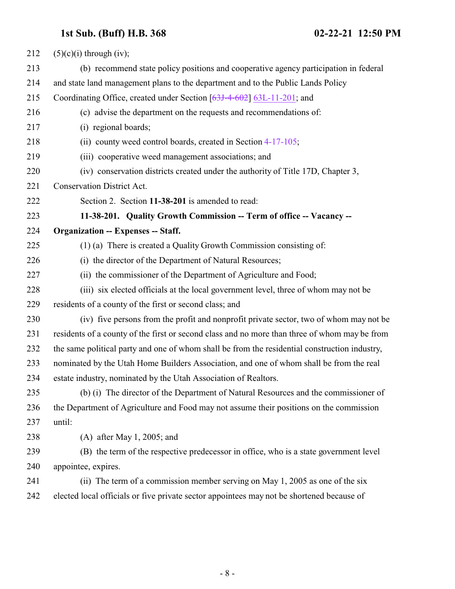<span id="page-7-0"></span>

| 212 | $(5)(c)(i)$ through (iv);                                                                     |
|-----|-----------------------------------------------------------------------------------------------|
| 213 | (b) recommend state policy positions and cooperative agency participation in federal          |
| 214 | and state land management plans to the department and to the Public Lands Policy              |
| 215 | Coordinating Office, created under Section [63J-4-602] 63L-11-201; and                        |
| 216 | (c) advise the department on the requests and recommendations of:                             |
| 217 | (i) regional boards;                                                                          |
| 218 | (ii) county weed control boards, created in Section 4-17-105;                                 |
| 219 | (iii) cooperative weed management associations; and                                           |
| 220 | (iv) conservation districts created under the authority of Title 17D, Chapter 3,              |
| 221 | Conservation District Act.                                                                    |
| 222 | Section 2. Section 11-38-201 is amended to read:                                              |
| 223 | 11-38-201. Quality Growth Commission -- Term of office -- Vacancy --                          |
| 224 | <b>Organization -- Expenses -- Staff.</b>                                                     |
| 225 | (1) (a) There is created a Quality Growth Commission consisting of:                           |
| 226 | (i) the director of the Department of Natural Resources;                                      |
| 227 | (ii) the commissioner of the Department of Agriculture and Food;                              |
| 228 | (iii) six elected officials at the local government level, three of whom may not be           |
| 229 | residents of a county of the first or second class; and                                       |
| 230 | (iv) five persons from the profit and nonprofit private sector, two of whom may not be        |
| 231 | residents of a county of the first or second class and no more than three of whom may be from |
| 232 | the same political party and one of whom shall be from the residential construction industry, |
| 233 | nominated by the Utah Home Builders Association, and one of whom shall be from the real       |
| 234 | estate industry, nominated by the Utah Association of Realtors.                               |
| 235 | (b) (i) The director of the Department of Natural Resources and the commissioner of           |
| 236 | the Department of Agriculture and Food may not assume their positions on the commission       |
| 237 | until:                                                                                        |
| 238 | $(A)$ after May 1, 2005; and                                                                  |
| 239 | (B) the term of the respective predecessor in office, who is a state government level         |
| 240 | appointee, expires.                                                                           |
| 241 | (ii) The term of a commission member serving on May 1, 2005 as one of the six                 |
| 242 | elected local officials or five private sector appointees may not be shortened because of     |
|     |                                                                                               |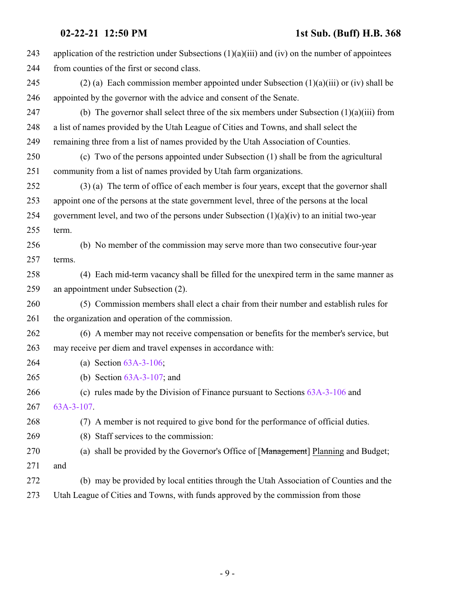| 243 | application of the restriction under Subsections $(1)(a)(iii)$ and $(iv)$ on the number of appointees |
|-----|-------------------------------------------------------------------------------------------------------|
| 244 | from counties of the first or second class.                                                           |
| 245 | (2) (a) Each commission member appointed under Subsection $(1)(a)(iii)$ or (iv) shall be              |
| 246 | appointed by the governor with the advice and consent of the Senate.                                  |
| 247 | (b) The governor shall select three of the six members under Subsection $(1)(a)(iii)$ from            |
| 248 | a list of names provided by the Utah League of Cities and Towns, and shall select the                 |
| 249 | remaining three from a list of names provided by the Utah Association of Counties.                    |
| 250 | (c) Two of the persons appointed under Subsection (1) shall be from the agricultural                  |
| 251 | community from a list of names provided by Utah farm organizations.                                   |
| 252 | (3) (a) The term of office of each member is four years, except that the governor shall               |
| 253 | appoint one of the persons at the state government level, three of the persons at the local           |
| 254 | government level, and two of the persons under Subsection $(1)(a)(iv)$ to an initial two-year         |
| 255 | term.                                                                                                 |
| 256 | (b) No member of the commission may serve more than two consecutive four-year                         |
| 257 | terms.                                                                                                |
| 258 | (4) Each mid-term vacancy shall be filled for the unexpired term in the same manner as                |
| 259 | an appointment under Subsection (2).                                                                  |
| 260 | (5) Commission members shall elect a chair from their number and establish rules for                  |
| 261 | the organization and operation of the commission.                                                     |
| 262 | (6) A member may not receive compensation or benefits for the member's service, but                   |
| 263 | may receive per diem and travel expenses in accordance with:                                          |
| 264 | (a) Section $63A-3-106$ ;                                                                             |
| 265 | (b) Section $63A-3-107$ ; and                                                                         |
| 266 | (c) rules made by the Division of Finance pursuant to Sections $63A-3-106$ and                        |
| 267 | 63A-3-107.                                                                                            |
| 268 | (7) A member is not required to give bond for the performance of official duties.                     |
| 269 | (8) Staff services to the commission:                                                                 |
| 270 | (a) shall be provided by the Governor's Office of [Management] Planning and Budget;                   |
| 271 | and                                                                                                   |
| 272 | (b) may be provided by local entities through the Utah Association of Counties and the                |
| 273 | Utah League of Cities and Towns, with funds approved by the commission from those                     |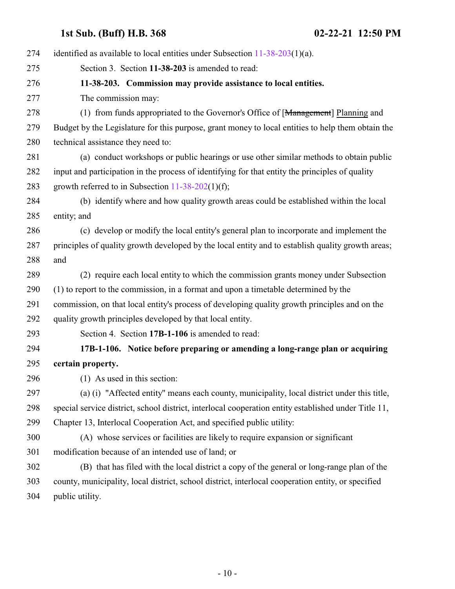<span id="page-9-1"></span><span id="page-9-0"></span>

| 274 | identified as available to local entities under Subsection $11-38-203(1)(a)$ .                       |
|-----|------------------------------------------------------------------------------------------------------|
| 275 | Section 3. Section 11-38-203 is amended to read:                                                     |
| 276 | 11-38-203. Commission may provide assistance to local entities.                                      |
| 277 | The commission may:                                                                                  |
| 278 | (1) from funds appropriated to the Governor's Office of [Management] Planning and                    |
| 279 | Budget by the Legislature for this purpose, grant money to local entities to help them obtain the    |
| 280 | technical assistance they need to:                                                                   |
| 281 | (a) conduct workshops or public hearings or use other similar methods to obtain public               |
| 282 | input and participation in the process of identifying for that entity the principles of quality      |
| 283 | growth referred to in Subsection $11-38-202(1)(f)$ ;                                                 |
| 284 | (b) identify where and how quality growth areas could be established within the local                |
| 285 | entity; and                                                                                          |
| 286 | (c) develop or modify the local entity's general plan to incorporate and implement the               |
| 287 | principles of quality growth developed by the local entity and to establish quality growth areas;    |
| 288 | and                                                                                                  |
| 289 | (2) require each local entity to which the commission grants money under Subsection                  |
| 290 | (1) to report to the commission, in a format and upon a timetable determined by the                  |
| 291 | commission, on that local entity's process of developing quality growth principles and on the        |
| 292 | quality growth principles developed by that local entity.                                            |
| 293 | Section 4. Section 17B-1-106 is amended to read:                                                     |
| 294 | 17B-1-106. Notice before preparing or amending a long-range plan or acquiring                        |
| 295 | certain property.                                                                                    |
| 296 | (1) As used in this section:                                                                         |
| 297 | (a) (i) "Affected entity" means each county, municipality, local district under this title,          |
| 298 | special service district, school district, interlocal cooperation entity established under Title 11, |
| 299 | Chapter 13, Interlocal Cooperation Act, and specified public utility:                                |
| 300 | (A) whose services or facilities are likely to require expansion or significant                      |
| 301 | modification because of an intended use of land; or                                                  |
| 302 | (B) that has filed with the local district a copy of the general or long-range plan of the           |
| 303 | county, municipality, local district, school district, interlocal cooperation entity, or specified   |
| 304 | public utility.                                                                                      |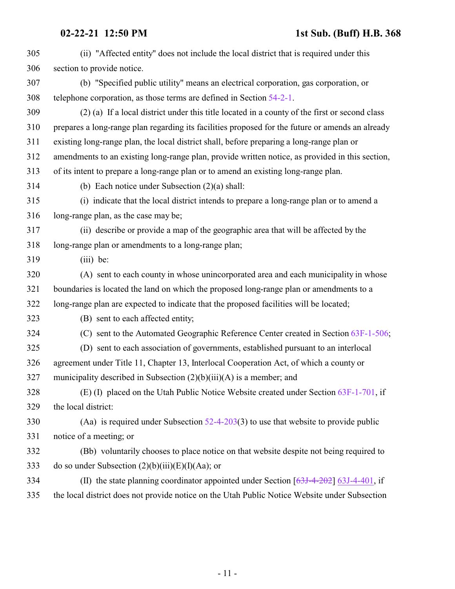| 305 | (ii) "Affected entity" does not include the local district that is required under this           |
|-----|--------------------------------------------------------------------------------------------------|
| 306 | section to provide notice.                                                                       |
| 307 | (b) "Specified public utility" means an electrical corporation, gas corporation, or              |
| 308 | telephone corporation, as those terms are defined in Section 54-2-1.                             |
| 309 | (2) (a) If a local district under this title located in a county of the first or second class    |
| 310 | prepares a long-range plan regarding its facilities proposed for the future or amends an already |
| 311 | existing long-range plan, the local district shall, before preparing a long-range plan or        |
| 312 | amendments to an existing long-range plan, provide written notice, as provided in this section,  |
| 313 | of its intent to prepare a long-range plan or to amend an existing long-range plan.              |
| 314 | (b) Each notice under Subsection $(2)(a)$ shall:                                                 |
| 315 | (i) indicate that the local district intends to prepare a long-range plan or to amend a          |
| 316 | long-range plan, as the case may be;                                                             |
| 317 | (ii) describe or provide a map of the geographic area that will be affected by the               |
| 318 | long-range plan or amendments to a long-range plan;                                              |
| 319 | $(iii)$ be:                                                                                      |
| 320 | (A) sent to each county in whose unincorporated area and each municipality in whose              |
| 321 | boundaries is located the land on which the proposed long-range plan or amendments to a          |
| 322 | long-range plan are expected to indicate that the proposed facilities will be located;           |
| 323 | (B) sent to each affected entity;                                                                |
| 324 | (C) sent to the Automated Geographic Reference Center created in Section 63F-1-506;              |
| 325 | (D) sent to each association of governments, established pursuant to an interlocal               |
| 326 | agreement under Title 11, Chapter 13, Interlocal Cooperation Act, of which a county or           |
| 327 | municipality described in Subsection $(2)(b)(iii)(A)$ is a member; and                           |
| 328 | (E) (I) placed on the Utah Public Notice Website created under Section $63F-1-701$ , if          |
| 329 | the local district:                                                                              |
| 330 | (Aa) is required under Subsection $52-4-203(3)$ to use that website to provide public            |
| 331 | notice of a meeting; or                                                                          |
| 332 | (Bb) voluntarily chooses to place notice on that website despite not being required to           |
| 333 | do so under Subsection $(2)(b)(iii)(E)(I)(Aa)$ ; or                                              |
| 334 | (II) the state planning coordinator appointed under Section $[63J-4-202]$ 63J-4-401, if          |
| 335 | the local district does not provide notice on the Utah Public Notice Website under Subsection    |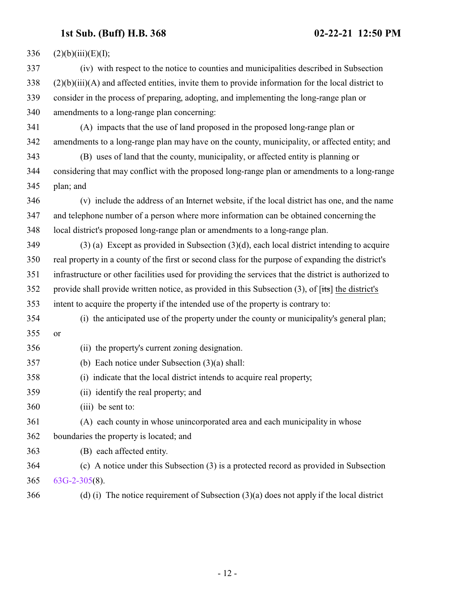| 336 | (2)(b)(iii)(E)(I);                                                                                                   |
|-----|----------------------------------------------------------------------------------------------------------------------|
| 337 | (iv) with respect to the notice to counties and municipalities described in Subsection                               |
| 338 | $(2)(b)(iii)(A)$ and affected entities, invite them to provide information for the local district to                 |
| 339 | consider in the process of preparing, adopting, and implementing the long-range plan or                              |
| 340 | amendments to a long-range plan concerning:                                                                          |
| 341 | (A) impacts that the use of land proposed in the proposed long-range plan or                                         |
| 342 | amendments to a long-range plan may have on the county, municipality, or affected entity; and                        |
| 343 | (B) uses of land that the county, municipality, or affected entity is planning or                                    |
| 344 | considering that may conflict with the proposed long-range plan or amendments to a long-range                        |
| 345 | plan; and                                                                                                            |
| 346 | (v) include the address of an Internet website, if the local district has one, and the name                          |
| 347 | and telephone number of a person where more information can be obtained concerning the                               |
| 348 | local district's proposed long-range plan or amendments to a long-range plan.                                        |
| 349 | $(3)$ (a) Except as provided in Subsection $(3)(d)$ , each local district intending to acquire                       |
| 350 | real property in a county of the first or second class for the purpose of expanding the district's                   |
| 351 | infrastructure or other facilities used for providing the services that the district is authorized to                |
| 352 | provide shall provide written notice, as provided in this Subsection $(3)$ , of $[t\ddot{\text{ts}}]$ the district's |
| 353 | intent to acquire the property if the intended use of the property is contrary to:                                   |
| 354 | (i) the anticipated use of the property under the county or municipality's general plan;                             |
| 355 | or                                                                                                                   |
| 356 | (ii) the property's current zoning designation.                                                                      |
| 357 | (b) Each notice under Subsection $(3)(a)$ shall:                                                                     |
| 358 | (i) indicate that the local district intends to acquire real property;                                               |
| 359 | (ii) identify the real property; and                                                                                 |
| 360 | (iii) be sent to:                                                                                                    |
| 361 | (A) each county in whose unincorporated area and each municipality in whose                                          |
| 362 | boundaries the property is located; and                                                                              |
| 363 | (B) each affected entity.                                                                                            |
| 364 | (c) A notice under this Subsection (3) is a protected record as provided in Subsection                               |
| 365 | $63G-2-305(8)$ .                                                                                                     |
| 366 | (d) (i) The notice requirement of Subsection $(3)(a)$ does not apply if the local district                           |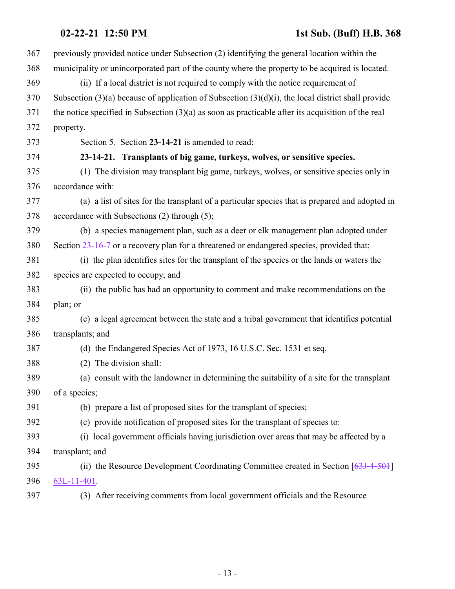<span id="page-12-0"></span>

| 367 | previously provided notice under Subsection (2) identifying the general location within the             |
|-----|---------------------------------------------------------------------------------------------------------|
| 368 | municipality or unincorporated part of the county where the property to be acquired is located.         |
| 369 | (ii) If a local district is not required to comply with the notice requirement of                       |
| 370 | Subsection $(3)(a)$ because of application of Subsection $(3)(d)(i)$ , the local district shall provide |
| 371 | the notice specified in Subsection $(3)(a)$ as soon as practicable after its acquisition of the real    |
| 372 | property.                                                                                               |
| 373 | Section 5. Section 23-14-21 is amended to read:                                                         |
| 374 | 23-14-21. Transplants of big game, turkeys, wolves, or sensitive species.                               |
| 375 | (1) The division may transplant big game, turkeys, wolves, or sensitive species only in                 |
| 376 | accordance with:                                                                                        |
| 377 | (a) a list of sites for the transplant of a particular species that is prepared and adopted in          |
| 378 | accordance with Subsections (2) through (5);                                                            |
| 379 | (b) a species management plan, such as a deer or elk management plan adopted under                      |
| 380 | Section 23-16-7 or a recovery plan for a threatened or endangered species, provided that:               |
| 381 | (i) the plan identifies sites for the transplant of the species or the lands or waters the              |
| 382 | species are expected to occupy; and                                                                     |
| 383 | (ii) the public has had an opportunity to comment and make recommendations on the                       |
| 384 | plan; or                                                                                                |
| 385 | (c) a legal agreement between the state and a tribal government that identifies potential               |
| 386 | transplants; and                                                                                        |
| 387 | (d) the Endangered Species Act of 1973, 16 U.S.C. Sec. 1531 et seq.                                     |
| 388 | (2) The division shall:                                                                                 |
| 389 | (a) consult with the landowner in determining the suitability of a site for the transplant              |
| 390 | of a species;                                                                                           |
| 391 | (b) prepare a list of proposed sites for the transplant of species;                                     |
| 392 | (c) provide notification of proposed sites for the transplant of species to:                            |
| 393 | (i) local government officials having jurisdiction over areas that may be affected by a                 |
| 394 | transplant; and                                                                                         |
| 395 | (ii) the Resource Development Coordinating Committee created in Section $[63J-4-50+]$                   |
| 396 | 63L-11-401.                                                                                             |
| 397 | (3) After receiving comments from local government officials and the Resource                           |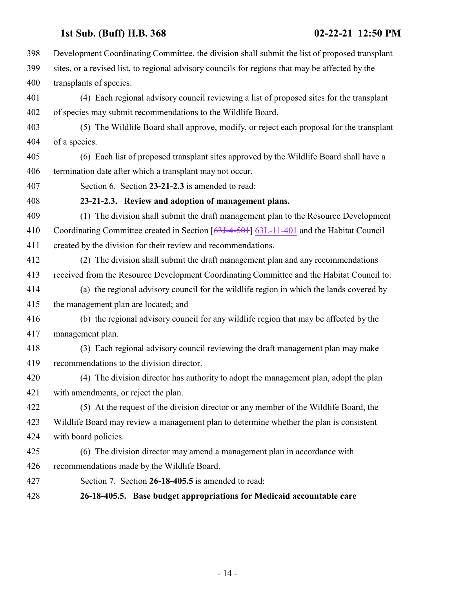<span id="page-13-0"></span>

| 398 | Development Coordinating Committee, the division shall submit the list of proposed transplant   |
|-----|-------------------------------------------------------------------------------------------------|
| 399 | sites, or a revised list, to regional advisory councils for regions that may be affected by the |
| 400 | transplants of species.                                                                         |
| 401 | (4) Each regional advisory council reviewing a list of proposed sites for the transplant        |
| 402 | of species may submit recommendations to the Wildlife Board.                                    |
| 403 | (5) The Wildlife Board shall approve, modify, or reject each proposal for the transplant        |
| 404 | of a species.                                                                                   |
| 405 | (6) Each list of proposed transplant sites approved by the Wildlife Board shall have a          |
| 406 | termination date after which a transplant may not occur.                                        |
| 407 | Section 6. Section 23-21-2.3 is amended to read:                                                |
| 408 | 23-21-2.3. Review and adoption of management plans.                                             |
| 409 | (1) The division shall submit the draft management plan to the Resource Development             |
| 410 | Coordinating Committee created in Section [63J-4-501] 63L-11-401 and the Habitat Council        |
| 411 | created by the division for their review and recommendations.                                   |
| 412 | (2) The division shall submit the draft management plan and any recommendations                 |
| 413 | received from the Resource Development Coordinating Committee and the Habitat Council to:       |
| 414 | (a) the regional advisory council for the wildlife region in which the lands covered by         |
| 415 | the management plan are located; and                                                            |
| 416 | (b) the regional advisory council for any wildlife region that may be affected by the           |
| 417 | management plan.                                                                                |
| 418 | (3) Each regional advisory council reviewing the draft management plan may make                 |
| 419 | recommendations to the division director.                                                       |
| 420 | (4) The division director has authority to adopt the management plan, adopt the plan            |
| 421 | with amendments, or reject the plan.                                                            |
| 422 | (5) At the request of the division director or any member of the Wildlife Board, the            |
| 423 | Wildlife Board may review a management plan to determine whether the plan is consistent         |
| 424 | with board policies.                                                                            |
| 425 | (6) The division director may amend a management plan in accordance with                        |
| 426 | recommendations made by the Wildlife Board.                                                     |
| 427 | Section 7. Section 26-18-405.5 is amended to read:                                              |
| 428 | 26-18-405.5. Base budget appropriations for Medicaid accountable care                           |

<span id="page-13-1"></span>- 14 -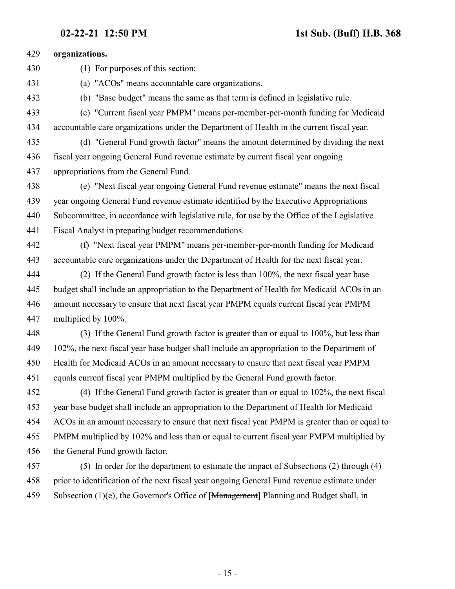| 429   | organizations.                                                                                                                                                                                                                                                                 |
|-------|--------------------------------------------------------------------------------------------------------------------------------------------------------------------------------------------------------------------------------------------------------------------------------|
| 430   | (1) For purposes of this section:                                                                                                                                                                                                                                              |
| 431   | (a) "ACOs" means accountable care organizations.                                                                                                                                                                                                                               |
| 432   | (b) "Base budget" means the same as that term is defined in legislative rule.                                                                                                                                                                                                  |
| 433   | (c) "Current fiscal year PMPM" means per-member-per-month funding for Medicaid                                                                                                                                                                                                 |
| 434   | accountable care organizations under the Department of Health in the current fiscal year.                                                                                                                                                                                      |
| 435   | (d) "General Fund growth factor" means the amount determined by dividing the next                                                                                                                                                                                              |
| 436   | fiscal year ongoing General Fund revenue estimate by current fiscal year ongoing                                                                                                                                                                                               |
| 437   | appropriations from the General Fund.                                                                                                                                                                                                                                          |
| 438   | (e) "Next fiscal year ongoing General Fund revenue estimate" means the next fiscal                                                                                                                                                                                             |
| 439   | year ongoing General Fund revenue estimate identified by the Executive Appropriations                                                                                                                                                                                          |
| 440   | Subcommittee, in accordance with legislative rule, for use by the Office of the Legislative                                                                                                                                                                                    |
| 441   | Fiscal Analyst in preparing budget recommendations.                                                                                                                                                                                                                            |
| 442   | (f) "Next fiscal year PMPM" means per-member-per-month funding for Medicaid                                                                                                                                                                                                    |
| 443   | accountable care organizations under the Department of Health for the next fiscal year.                                                                                                                                                                                        |
| 444   | (2) If the General Fund growth factor is less than 100%, the next fiscal year base                                                                                                                                                                                             |
| 445   | budget shall include an appropriation to the Department of Health for Medicaid ACOs in an                                                                                                                                                                                      |
| 446   | amount necessary to ensure that next fiscal year PMPM equals current fiscal year PMPM                                                                                                                                                                                          |
| 447   | multiplied by 100%.                                                                                                                                                                                                                                                            |
| 448   | (3) If the General Fund growth factor is greater than or equal to 100%, but less than                                                                                                                                                                                          |
| 449   | 102%, the next fiscal year base budget shall include an appropriation to the Department of                                                                                                                                                                                     |
| 450   | Health for Medicaid ACOs in an amount necessary to ensure that next fiscal year PMPM                                                                                                                                                                                           |
| 451   | equals current fiscal year PMPM multiplied by the General Fund growth factor.                                                                                                                                                                                                  |
| 452   | (4) If the General Fund growth factor is greater than or equal to 102%, the next fiscal                                                                                                                                                                                        |
| 453   | year base budget shall include an appropriation to the Department of Health for Medicaid                                                                                                                                                                                       |
| 454   | ACOs in an amount necessary to ensure that next fiscal year PMPM is greater than or equal to                                                                                                                                                                                   |
| 455   | PMPM multiplied by 102% and less than or equal to current fiscal year PMPM multiplied by                                                                                                                                                                                       |
| 456   | the General Fund growth factor.                                                                                                                                                                                                                                                |
| 457   | (5) In order for the department to estimate the impact of Subsections (2) through (4)                                                                                                                                                                                          |
| 1 F O | $\mathcal{L} \mathcal{L}$ , and $\mathcal{L} \mathcal{L}$ and $\mathcal{L} \mathcal{L}$ , and $\mathcal{L} \mathcal{L}$ , and $\mathcal{L} \mathcal{L}$<br>$\mathcal{L}_{\text{max}}$ $\mathcal{L}_{\text{max}}$ and $\mathcal{L}_{\text{max}}$ and $\mathcal{L}_{\text{max}}$ |

 prior to identification of the next fiscal year ongoing General Fund revenue estimate under 459 Subsection (1)(e), the Governor's Office of [Management] Planning and Budget shall, in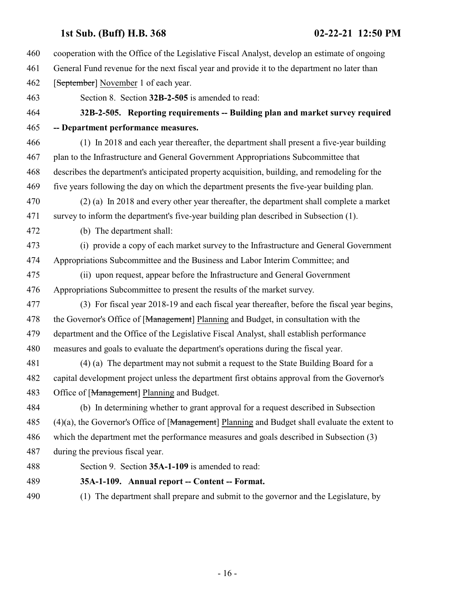- cooperation with the Office of the Legislative Fiscal Analyst, develop an estimate of ongoing
- General Fund revenue for the next fiscal year and provide it to the department no later than
- 462 [September] November 1 of each year.
- <span id="page-15-0"></span>Section 8. Section **32B-2-505** is amended to read:

### **32B-2-505. Reporting requirements -- Building plan and market survey required -- Department performance measures.**

- (1) In 2018 and each year thereafter, the department shall present a five-year building plan to the Infrastructure and General Government Appropriations Subcommittee that describes the department's anticipated property acquisition, building, and remodeling for the five years following the day on which the department presents the five-year building plan.
- (2) (a) In 2018 and every other year thereafter, the department shall complete a market survey to inform the department's five-year building plan described in Subsection (1).
- (b) The department shall:
- (i) provide a copy of each market survey to the Infrastructure and General Government Appropriations Subcommittee and the Business and Labor Interim Committee; and
- (ii) upon request, appear before the Infrastructure and General Government Appropriations Subcommittee to present the results of the market survey.
- (3) For fiscal year 2018-19 and each fiscal year thereafter, before the fiscal year begins, 478 the Governor's Office of [Management] Planning and Budget, in consultation with the department and the Office of the Legislative Fiscal Analyst, shall establish performance measures and goals to evaluate the department's operations during the fiscal year.
- (4) (a) The department may not submit a request to the State Building Board for a capital development project unless the department first obtains approval from the Governor's 483 Office of [Management] Planning and Budget.
- (b) In determining whether to grant approval for a request described in Subsection 485 (4)(a), the Governor's Office of [Management] Planning and Budget shall evaluate the extent to which the department met the performance measures and goals described in Subsection (3) during the previous fiscal year.
- <span id="page-15-1"></span>Section 9. Section **35A-1-109** is amended to read:
- **35A-1-109. Annual report -- Content -- Format.**
- (1) The department shall prepare and submit to the governor and the Legislature, by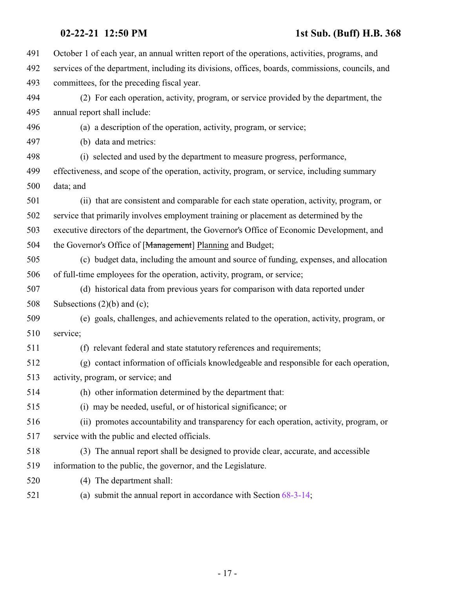| 491 | October 1 of each year, an annual written report of the operations, activities, programs, and    |
|-----|--------------------------------------------------------------------------------------------------|
| 492 | services of the department, including its divisions, offices, boards, commissions, councils, and |
| 493 | committees, for the preceding fiscal year.                                                       |
| 494 | (2) For each operation, activity, program, or service provided by the department, the            |
| 495 | annual report shall include:                                                                     |
| 496 | (a) a description of the operation, activity, program, or service;                               |
| 497 | (b) data and metrics:                                                                            |
| 498 | (i) selected and used by the department to measure progress, performance,                        |
| 499 | effectiveness, and scope of the operation, activity, program, or service, including summary      |
| 500 | data; and                                                                                        |
| 501 | (ii) that are consistent and comparable for each state operation, activity, program, or          |
| 502 | service that primarily involves employment training or placement as determined by the            |
| 503 | executive directors of the department, the Governor's Office of Economic Development, and        |
| 504 | the Governor's Office of [Management] Planning and Budget;                                       |
| 505 | (c) budget data, including the amount and source of funding, expenses, and allocation            |
| 506 | of full-time employees for the operation, activity, program, or service;                         |
| 507 | (d) historical data from previous years for comparison with data reported under                  |
| 508 | Subsections $(2)(b)$ and $(c)$ ;                                                                 |
| 509 | (e) goals, challenges, and achievements related to the operation, activity, program, or          |
| 510 | service;                                                                                         |
| 511 | (f) relevant federal and state statutory references and requirements;                            |
| 512 | (g) contact information of officials knowledgeable and responsible for each operation,           |
| 513 | activity, program, or service; and                                                               |
| 514 | (h) other information determined by the department that:                                         |
| 515 | (i) may be needed, useful, or of historical significance; or                                     |
| 516 | (ii) promotes accountability and transparency for each operation, activity, program, or          |
| 517 | service with the public and elected officials.                                                   |
| 518 | (3) The annual report shall be designed to provide clear, accurate, and accessible               |
| 519 | information to the public, the governor, and the Legislature.                                    |
| 520 | (4) The department shall:                                                                        |
| 521 | (a) submit the annual report in accordance with Section $68-3-14$ ;                              |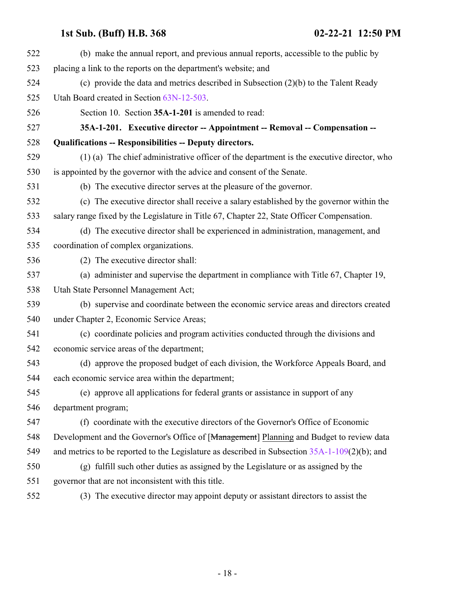<span id="page-17-0"></span>

| 522 | (b) make the annual report, and previous annual reports, accessible to the public by             |
|-----|--------------------------------------------------------------------------------------------------|
| 523 | placing a link to the reports on the department's website; and                                   |
| 524 | (c) provide the data and metrics described in Subsection $(2)(b)$ to the Talent Ready            |
| 525 | Utah Board created in Section 63N-12-503.                                                        |
| 526 | Section 10. Section 35A-1-201 is amended to read:                                                |
| 527 | 35A-1-201. Executive director -- Appointment -- Removal -- Compensation --                       |
| 528 | <b>Qualifications -- Responsibilities -- Deputy directors.</b>                                   |
| 529 | (1) (a) The chief administrative officer of the department is the executive director, who        |
| 530 | is appointed by the governor with the advice and consent of the Senate.                          |
| 531 | (b) The executive director serves at the pleasure of the governor.                               |
| 532 | (c) The executive director shall receive a salary established by the governor within the         |
| 533 | salary range fixed by the Legislature in Title 67, Chapter 22, State Officer Compensation.       |
| 534 | (d) The executive director shall be experienced in administration, management, and               |
| 535 | coordination of complex organizations.                                                           |
| 536 | (2) The executive director shall:                                                                |
| 537 | (a) administer and supervise the department in compliance with Title 67, Chapter 19,             |
| 538 | Utah State Personnel Management Act;                                                             |
| 539 | (b) supervise and coordinate between the economic service areas and directors created            |
| 540 | under Chapter 2, Economic Service Areas;                                                         |
| 541 | (c) coordinate policies and program activities conducted through the divisions and               |
| 542 | economic service areas of the department;                                                        |
| 543 | (d) approve the proposed budget of each division, the Workforce Appeals Board, and               |
| 544 | each economic service area within the department;                                                |
| 545 | (e) approve all applications for federal grants or assistance in support of any                  |
| 546 | department program;                                                                              |
| 547 | (f) coordinate with the executive directors of the Governor's Office of Economic                 |
| 548 | Development and the Governor's Office of [Management] Planning and Budget to review data         |
| 549 | and metrics to be reported to the Legislature as described in Subsection $35A-1-109(2)(b)$ ; and |
| 550 | (g) fulfill such other duties as assigned by the Legislature or as assigned by the               |
| 551 | governor that are not inconsistent with this title.                                              |
| 552 | (3) The executive director may appoint deputy or assistant directors to assist the               |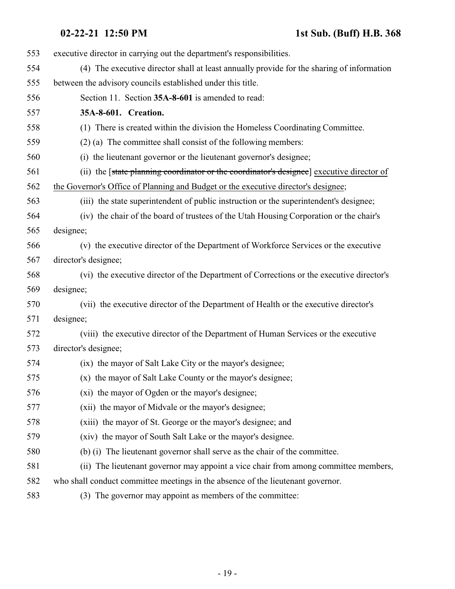<span id="page-18-0"></span>

| 553 | executive director in carrying out the department's responsibilities.                     |
|-----|-------------------------------------------------------------------------------------------|
| 554 | (4) The executive director shall at least annually provide for the sharing of information |
| 555 | between the advisory councils established under this title.                               |
| 556 | Section 11. Section 35A-8-601 is amended to read:                                         |
| 557 | 35A-8-601. Creation.                                                                      |
| 558 | (1) There is created within the division the Homeless Coordinating Committee.             |
| 559 | $(2)$ (a) The committee shall consist of the following members:                           |
| 560 | (i) the lieutenant governor or the lieutenant governor's designee;                        |
| 561 | (ii) the [state planning coordinator or the coordinator's designee] executive director of |
| 562 | the Governor's Office of Planning and Budget or the executive director's designee;        |
| 563 | (iii) the state superintendent of public instruction or the superintendent's designee;    |
| 564 | (iv) the chair of the board of trustees of the Utah Housing Corporation or the chair's    |
| 565 | designee;                                                                                 |
| 566 | (v) the executive director of the Department of Workforce Services or the executive       |
| 567 | director's designee;                                                                      |
| 568 | (vi) the executive director of the Department of Corrections or the executive director's  |
| 569 | designee;                                                                                 |
| 570 | (vii) the executive director of the Department of Health or the executive director's      |
| 571 | designee;                                                                                 |
| 572 | (viii) the executive director of the Department of Human Services or the executive        |
| 573 | director's designee;                                                                      |
| 574 | (ix) the mayor of Salt Lake City or the mayor's designee;                                 |
| 575 | (x) the mayor of Salt Lake County or the mayor's designee;                                |
| 576 | (xi) the mayor of Ogden or the mayor's designee;                                          |
| 577 | (xii) the mayor of Midvale or the mayor's designee;                                       |
| 578 | (xiii) the mayor of St. George or the mayor's designee; and                               |
| 579 | (xiv) the mayor of South Salt Lake or the mayor's designee.                               |
| 580 | (b) (i) The lieutenant governor shall serve as the chair of the committee.                |
| 581 | (ii) The lieutenant governor may appoint a vice chair from among committee members,       |
| 582 | who shall conduct committee meetings in the absence of the lieutenant governor.           |
| 583 | (3) The governor may appoint as members of the committee:                                 |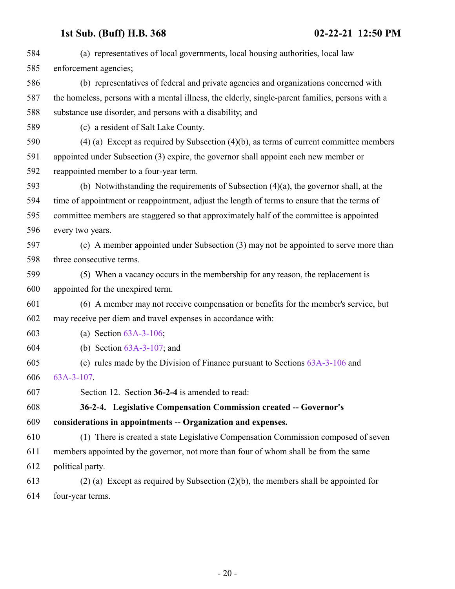<span id="page-19-0"></span>

| 584 | (a) representatives of local governments, local housing authorities, local law                   |
|-----|--------------------------------------------------------------------------------------------------|
| 585 | enforcement agencies;                                                                            |
| 586 | (b) representatives of federal and private agencies and organizations concerned with             |
| 587 | the homeless, persons with a mental illness, the elderly, single-parent families, persons with a |
| 588 | substance use disorder, and persons with a disability; and                                       |
| 589 | (c) a resident of Salt Lake County.                                                              |
| 590 | (4) (a) Except as required by Subsection (4)(b), as terms of current committee members           |
| 591 | appointed under Subsection (3) expire, the governor shall appoint each new member or             |
| 592 | reappointed member to a four-year term.                                                          |
| 593 | (b) Notwithstanding the requirements of Subsection $(4)(a)$ , the governor shall, at the         |
| 594 | time of appointment or reappointment, adjust the length of terms to ensure that the terms of     |
| 595 | committee members are staggered so that approximately half of the committee is appointed         |
| 596 | every two years.                                                                                 |
| 597 | (c) A member appointed under Subsection (3) may not be appointed to serve more than              |
| 598 | three consecutive terms.                                                                         |
| 599 | (5) When a vacancy occurs in the membership for any reason, the replacement is                   |
| 600 | appointed for the unexpired term.                                                                |
| 601 | (6) A member may not receive compensation or benefits for the member's service, but              |
| 602 | may receive per diem and travel expenses in accordance with:                                     |
| 603 | (a) Section $63A-3-106$ ;                                                                        |
| 604 | (b) Section $63A-3-107$ ; and                                                                    |
| 605 | (c) rules made by the Division of Finance pursuant to Sections $63A-3-106$ and                   |
| 606 | $63A-3-107$ .                                                                                    |
| 607 | Section 12. Section 36-2-4 is amended to read:                                                   |
| 608 | 36-2-4. Legislative Compensation Commission created -- Governor's                                |
| 609 | considerations in appointments -- Organization and expenses.                                     |
| 610 | (1) There is created a state Legislative Compensation Commission composed of seven               |
| 611 | members appointed by the governor, not more than four of whom shall be from the same             |
| 612 | political party.                                                                                 |
| 613 | $(2)$ (a) Except as required by Subsection $(2)(b)$ , the members shall be appointed for         |
| 614 | four-year terms.                                                                                 |
|     |                                                                                                  |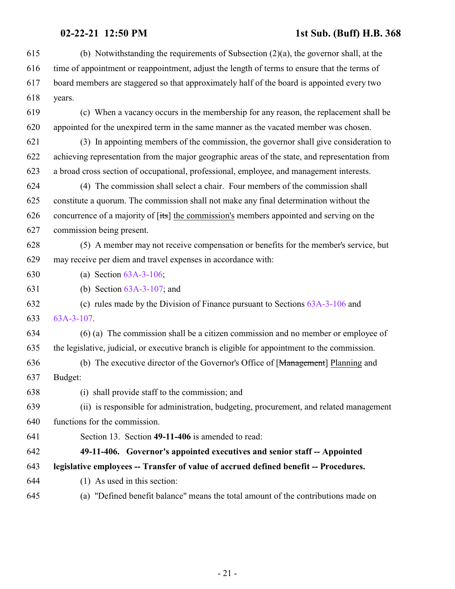<span id="page-20-0"></span>

| 615 | (b) Notwithstanding the requirements of Subsection $(2)(a)$ , the governor shall, at the       |
|-----|------------------------------------------------------------------------------------------------|
| 616 | time of appointment or reappointment, adjust the length of terms to ensure that the terms of   |
| 617 | board members are staggered so that approximately half of the board is appointed every two     |
| 618 | years.                                                                                         |
| 619 | (c) When a vacancy occurs in the membership for any reason, the replacement shall be           |
| 620 | appointed for the unexpired term in the same manner as the vacated member was chosen.          |
| 621 | (3) In appointing members of the commission, the governor shall give consideration to          |
| 622 | achieving representation from the major geographic areas of the state, and representation from |
| 623 | a broad cross section of occupational, professional, employee, and management interests.       |
| 624 | (4) The commission shall select a chair. Four members of the commission shall                  |
| 625 | constitute a quorum. The commission shall not make any final determination without the         |
| 626 | concurrence of a majority of [its] the commission's members appointed and serving on the       |
| 627 | commission being present.                                                                      |
| 628 | (5) A member may not receive compensation or benefits for the member's service, but            |
| 629 | may receive per diem and travel expenses in accordance with:                                   |
| 630 | (a) Section $63A-3-106$ ;                                                                      |
| 631 | (b) Section $63A-3-107$ ; and                                                                  |
| 632 | (c) rules made by the Division of Finance pursuant to Sections $63A-3-106$ and                 |
| 633 | $63A-3-107$ .                                                                                  |
| 634 | (6) (a) The commission shall be a citizen commission and no member or employee of              |
| 635 | the legislative, judicial, or executive branch is eligible for appointment to the commission.  |
| 636 | (b) The executive director of the Governor's Office of [Management] Planning and               |
| 637 | Budget:                                                                                        |
| 638 | (i) shall provide staff to the commission; and                                                 |
| 639 | (ii) is responsible for administration, budgeting, procurement, and related management         |
| 640 | functions for the commission.                                                                  |
| 641 | Section 13. Section 49-11-406 is amended to read:                                              |
| 642 | 49-11-406. Governor's appointed executives and senior staff -- Appointed                       |
| 643 | legislative employees -- Transfer of value of accrued defined benefit -- Procedures.           |
| 644 | (1) As used in this section:                                                                   |
| 645 | (a) "Defined benefit balance" means the total amount of the contributions made on              |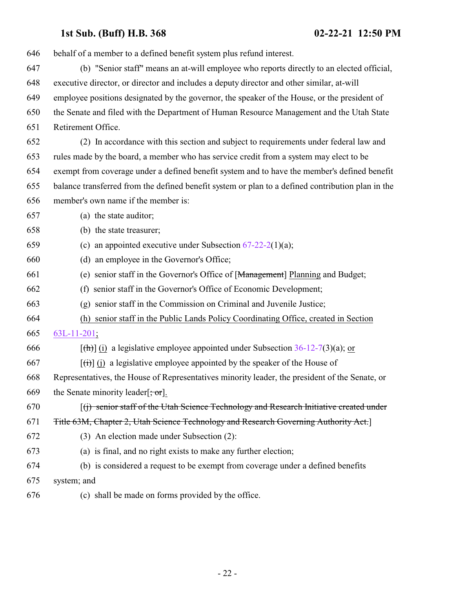| 646 | behalf of a member to a defined benefit system plus refund interest.                                           |
|-----|----------------------------------------------------------------------------------------------------------------|
| 647 | (b) "Senior staff" means an at-will employee who reports directly to an elected official,                      |
| 648 | executive director, or director and includes a deputy director and other similar, at-will                      |
| 649 | employee positions designated by the governor, the speaker of the House, or the president of                   |
| 650 | the Senate and filed with the Department of Human Resource Management and the Utah State                       |
| 651 | Retirement Office.                                                                                             |
| 652 | (2) In accordance with this section and subject to requirements under federal law and                          |
| 653 | rules made by the board, a member who has service credit from a system may elect to be                         |
| 654 | exempt from coverage under a defined benefit system and to have the member's defined benefit                   |
| 655 | balance transferred from the defined benefit system or plan to a defined contribution plan in the              |
| 656 | member's own name if the member is:                                                                            |
| 657 | (a) the state auditor;                                                                                         |
| 658 | (b) the state treasurer;                                                                                       |
| 659 | (c) an appointed executive under Subsection $67-22-2(1)(a)$ ;                                                  |
| 660 | (d) an employee in the Governor's Office;                                                                      |
| 661 | (e) senior staff in the Governor's Office of [Management] Planning and Budget;                                 |
| 662 | (f) senior staff in the Governor's Office of Economic Development;                                             |
| 663 | (g) senior staff in the Commission on Criminal and Juvenile Justice;                                           |
| 664 | (h) senior staff in the Public Lands Policy Coordinating Office, created in Section                            |
| 665 | $63L-11-201;$                                                                                                  |
| 666 | $[\text{th}]$ (i) a legislative employee appointed under Subsection 36-12-7(3)(a); or                          |
| 667 | $\left[\frac{f(t)}{f(t)}\right]$ (i) a legislative employee appointed by the speaker of the House of           |
| 668 | Representatives, the House of Representatives minority leader, the president of the Senate, or                 |
| 669 | the Senate minority leader $\left[\frac{1}{2}, \frac{1}{2}, \frac{1}{2}\right]$ .                              |
| 670 | $\left[\right(\mathfrak{f})$ senior staff of the Utah Science Technology and Research Initiative created under |
| 671 | Title 63M, Chapter 2, Utah Science Technology and Research Governing Authority Act.]                           |
| 672 | (3) An election made under Subsection (2):                                                                     |
| 673 | (a) is final, and no right exists to make any further election;                                                |
| 674 | (b) is considered a request to be exempt from coverage under a defined benefits                                |
| 675 | system; and                                                                                                    |
| 676 | (c) shall be made on forms provided by the office.                                                             |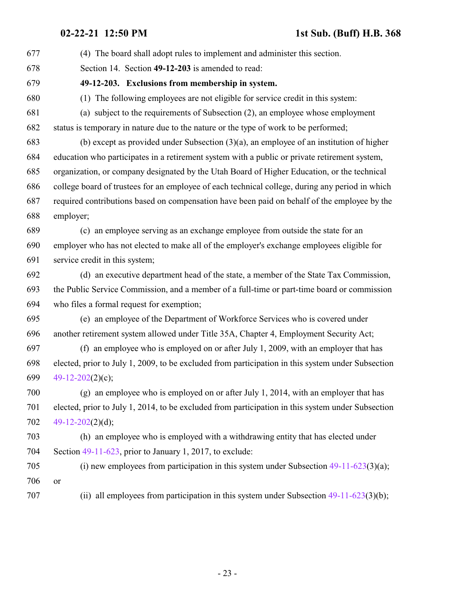<span id="page-22-0"></span>

| 677 | (4) The board shall adopt rules to implement and administer this section.                         |
|-----|---------------------------------------------------------------------------------------------------|
| 678 | Section 14. Section 49-12-203 is amended to read:                                                 |
| 679 | 49-12-203. Exclusions from membership in system.                                                  |
| 680 | (1) The following employees are not eligible for service credit in this system:                   |
| 681 | (a) subject to the requirements of Subsection (2), an employee whose employment                   |
| 682 | status is temporary in nature due to the nature or the type of work to be performed;              |
| 683 | (b) except as provided under Subsection $(3)(a)$ , an employee of an institution of higher        |
| 684 | education who participates in a retirement system with a public or private retirement system,     |
| 685 | organization, or company designated by the Utah Board of Higher Education, or the technical       |
| 686 | college board of trustees for an employee of each technical college, during any period in which   |
| 687 | required contributions based on compensation have been paid on behalf of the employee by the      |
| 688 | employer;                                                                                         |
| 689 | (c) an employee serving as an exchange employee from outside the state for an                     |
| 690 | employer who has not elected to make all of the employer's exchange employees eligible for        |
| 691 | service credit in this system;                                                                    |
| 692 | (d) an executive department head of the state, a member of the State Tax Commission,              |
| 693 | the Public Service Commission, and a member of a full-time or part-time board or commission       |
| 694 | who files a formal request for exemption;                                                         |
| 695 | (e) an employee of the Department of Workforce Services who is covered under                      |
| 696 | another retirement system allowed under Title 35A, Chapter 4, Employment Security Act;            |
| 697 | (f) an employee who is employed on or after July 1, 2009, with an employer that has               |
| 698 | elected, prior to July 1, 2009, to be excluded from participation in this system under Subsection |
| 699 | $49-12-202(2)(c)$ ;                                                                               |
| 700 | (g) an employee who is employed on or after July 1, 2014, with an employer that has               |
| 701 | elected, prior to July 1, 2014, to be excluded from participation in this system under Subsection |
| 702 | 49-12-202 $(2)(d)$ ;                                                                              |
| 703 | (h) an employee who is employed with a withdrawing entity that has elected under                  |
| 704 | Section $49-11-623$ , prior to January 1, 2017, to exclude:                                       |
| 705 | (i) new employees from participation in this system under Subsection $49-11-623(3)(a)$ ;          |
| 706 | <b>or</b>                                                                                         |
| 707 | (ii) all employees from participation in this system under Subsection $49-11-623(3)(b)$ ;         |
|     |                                                                                                   |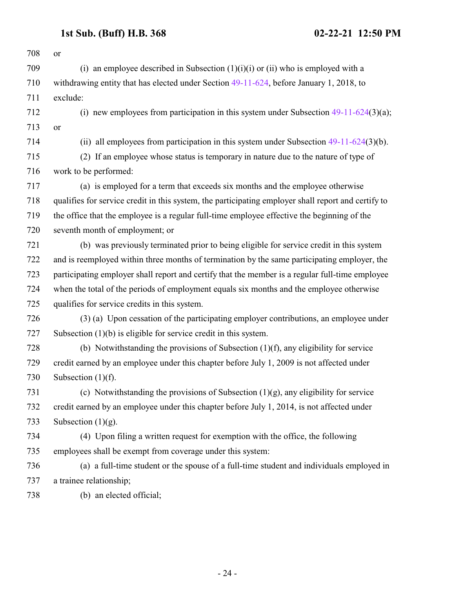| 708 | <sub>or</sub>                                                                                       |
|-----|-----------------------------------------------------------------------------------------------------|
| 709 | (i) an employee described in Subsection $(1)(i)(i)$ or $(ii)$ who is employed with a                |
| 710 | withdrawing entity that has elected under Section 49-11-624, before January 1, 2018, to             |
| 711 | exclude:                                                                                            |
| 712 | (i) new employees from participation in this system under Subsection $49-11-624(3)(a)$ ;            |
| 713 | or                                                                                                  |
| 714 | (ii) all employees from participation in this system under Subsection $49-11-624(3)(b)$ .           |
| 715 | (2) If an employee whose status is temporary in nature due to the nature of type of                 |
| 716 | work to be performed:                                                                               |
| 717 | (a) is employed for a term that exceeds six months and the employee otherwise                       |
| 718 | qualifies for service credit in this system, the participating employer shall report and certify to |
| 719 | the office that the employee is a regular full-time employee effective the beginning of the         |
| 720 | seventh month of employment; or                                                                     |
| 721 | (b) was previously terminated prior to being eligible for service credit in this system             |
| 722 | and is reemployed within three months of termination by the same participating employer, the        |
| 723 | participating employer shall report and certify that the member is a regular full-time employee     |
| 724 | when the total of the periods of employment equals six months and the employee otherwise            |
| 725 | qualifies for service credits in this system.                                                       |
| 726 | (3) (a) Upon cessation of the participating employer contributions, an employee under               |
| 727 | Subsection $(1)(b)$ is eligible for service credit in this system.                                  |
| 728 | (b) Notwithstanding the provisions of Subsection $(1)(f)$ , any eligibility for service             |
| 729 | credit earned by an employee under this chapter before July 1, 2009 is not affected under           |
| 730 | Subsection $(1)(f)$ .                                                                               |
| 731 | (c) Notwithstanding the provisions of Subsection $(1)(g)$ , any eligibility for service             |
| 732 | credit earned by an employee under this chapter before July 1, 2014, is not affected under          |
| 733 | Subsection $(1)(g)$ .                                                                               |
| 734 | (4) Upon filing a written request for exemption with the office, the following                      |
| 735 | employees shall be exempt from coverage under this system:                                          |
| 736 | (a) a full-time student or the spouse of a full-time student and individuals employed in            |
| 737 | a trainee relationship;                                                                             |
| 738 | (b) an elected official;                                                                            |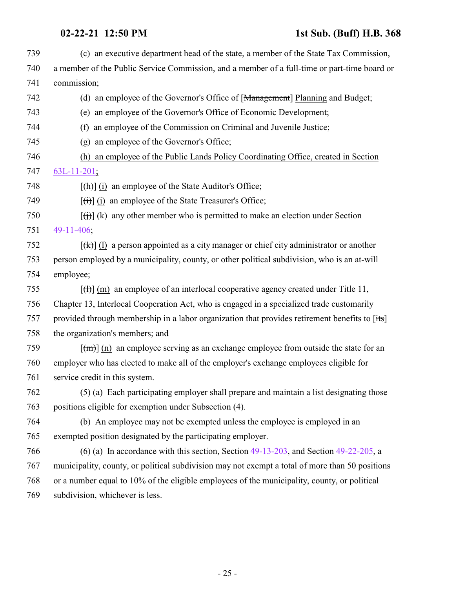(c) an executive department head of the state, a member of the State Tax Commission, a member of the Public Service Commission, and a member of a full-time or part-time board or commission; (d) an employee of the Governor's Office of [Management] Planning and Budget; (e) an employee of the Governor's Office of Economic Development; (f) an employee of the Commission on Criminal and Juvenile Justice; (g) an employee of the Governor's Office; (h) an employee of the Public Lands Policy Coordinating Office, created in Section [63L-11-201](#page-221-1);  $\left[\frac{(\mathbf{h})}{(\mathbf{h})}\right]$  (i) an employee of the State Auditor's Office;  $[(\overrightarrow{t})]$  (j) an employee of the State Treasurer's Office;  $[(\dagger)\]$  (k) any other member who is permitted to make an election under Section [49-11-406](#page-20-0);  $[(k)]$  (l) a person appointed as a city manager or chief city administrator or another person employed by a municipality, county, or other political subdivision, who is an at-will employee;  $\left[\left(\frac{H}{H}\right)\right]$  (m) an employee of an interlocal cooperative agency created under Title 11, Chapter 13, Interlocal Cooperation Act, who is engaged in a specialized trade customarily 757 provided through membership in a labor organization that provides retirement benefits to [its] the organization's members; and  $\lceil (m) \rceil$  (n) an employee serving as an exchange employee from outside the state for an employer who has elected to make all of the employer's exchange employees eligible for service credit in this system. (5) (a) Each participating employer shall prepare and maintain a list designating those positions eligible for exemption under Subsection (4). (b) An employee may not be exempted unless the employee is employed in an exempted position designated by the participating employer. (6) (a) In accordance with this section, Section [49-13-203](http://le.utah.gov/UtahCode/SectionLookup.jsp?section=49-13-203&session=2021GS), and Section [49-22-205](#page-27-0), a municipality, county, or political subdivision may not exempt a total of more than 50 positions or a number equal to 10% of the eligible employees of the municipality, county, or political subdivision, whichever is less.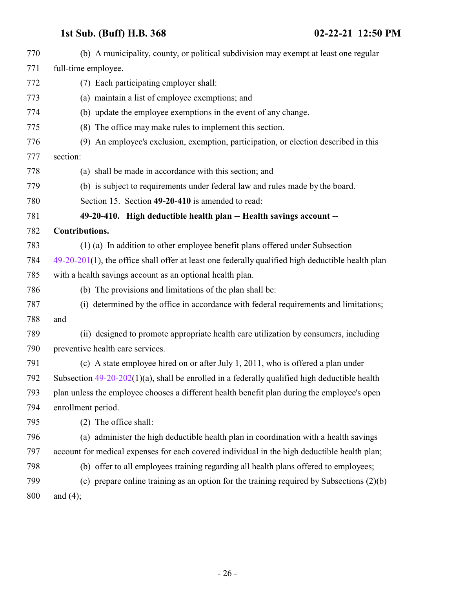<span id="page-25-0"></span>

| 770 | (b) A municipality, county, or political subdivision may exempt at least one regular                 |
|-----|------------------------------------------------------------------------------------------------------|
| 771 | full-time employee.                                                                                  |
| 772 | (7) Each participating employer shall:                                                               |
| 773 | (a) maintain a list of employee exemptions; and                                                      |
| 774 | (b) update the employee exemptions in the event of any change.                                       |
| 775 | (8) The office may make rules to implement this section.                                             |
| 776 | (9) An employee's exclusion, exemption, participation, or election described in this                 |
| 777 | section:                                                                                             |
| 778 | (a) shall be made in accordance with this section; and                                               |
| 779 | (b) is subject to requirements under federal law and rules made by the board.                        |
| 780 | Section 15. Section 49-20-410 is amended to read:                                                    |
| 781 | 49-20-410. High deductible health plan -- Health savings account --                                  |
| 782 | Contributions.                                                                                       |
| 783 | (1) (a) In addition to other employee benefit plans offered under Subsection                         |
| 784 | $49-20-201(1)$ , the office shall offer at least one federally qualified high deductible health plan |
| 785 | with a health savings account as an optional health plan.                                            |
| 786 | (b) The provisions and limitations of the plan shall be:                                             |
| 787 | (i) determined by the office in accordance with federal requirements and limitations;                |
| 788 | and                                                                                                  |
| 789 | (ii) designed to promote appropriate health care utilization by consumers, including                 |
| 790 | preventive health care services.                                                                     |
| 791 | (c) A state employee hired on or after July 1, 2011, who is offered a plan under                     |
| 792 | Subsection $49-20-202(1)(a)$ , shall be enrolled in a federally qualified high deductible health     |
| 793 | plan unless the employee chooses a different health benefit plan during the employee's open          |
| 794 | enrollment period.                                                                                   |
| 795 | (2) The office shall:                                                                                |
| 796 | (a) administer the high deductible health plan in coordination with a health savings                 |
| 797 | account for medical expenses for each covered individual in the high deductible health plan;         |
| 798 | (b) offer to all employees training regarding all health plans offered to employees;                 |
| 799 | (c) prepare online training as an option for the training required by Subsections $(2)(b)$           |
| 800 | and $(4)$ ;                                                                                          |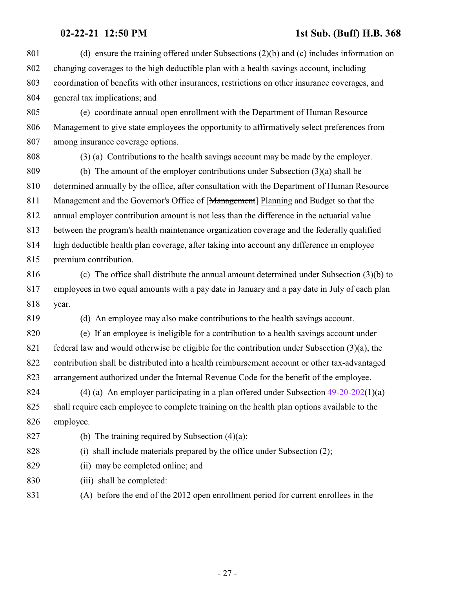(d) ensure the training offered under Subsections (2)(b) and (c) includes information on changing coverages to the high deductible plan with a health savings account, including coordination of benefits with other insurances, restrictions on other insurance coverages, and general tax implications; and (e) coordinate annual open enrollment with the Department of Human Resource Management to give state employees the opportunity to affirmatively select preferences from among insurance coverage options.

(3) (a) Contributions to the health savings account may be made by the employer.

 (b) The amount of the employer contributions under Subsection (3)(a) shall be determined annually by the office, after consultation with the Department of Human Resource 811 Management and the Governor's Office of [Management] Planning and Budget so that the annual employer contribution amount is not less than the difference in the actuarial value between the program's health maintenance organization coverage and the federally qualified high deductible health plan coverage, after taking into account any difference in employee premium contribution.

 (c) The office shall distribute the annual amount determined under Subsection (3)(b) to employees in two equal amounts with a pay date in January and a pay date in July of each plan year.

(d) An employee may also make contributions to the health savings account.

 (e) If an employee is ineligible for a contribution to a health savings account under federal law and would otherwise be eligible for the contribution under Subsection (3)(a), the contribution shall be distributed into a health reimbursement account or other tax-advantaged arrangement authorized under the Internal Revenue Code for the benefit of the employee.

 (4) (a) An employer participating in a plan offered under Subsection [49-20-202](http://le.utah.gov/UtahCode/SectionLookup.jsp?section=49-20-202&session=2021GS)(1)(a) shall require each employee to complete training on the health plan options available to the employee.

827 (b) The training required by Subsection  $(4)(a)$ :

(i) shall include materials prepared by the office under Subsection (2);

- (ii) may be completed online; and
- (iii) shall be completed:
- (A) before the end of the 2012 open enrollment period for current enrollees in the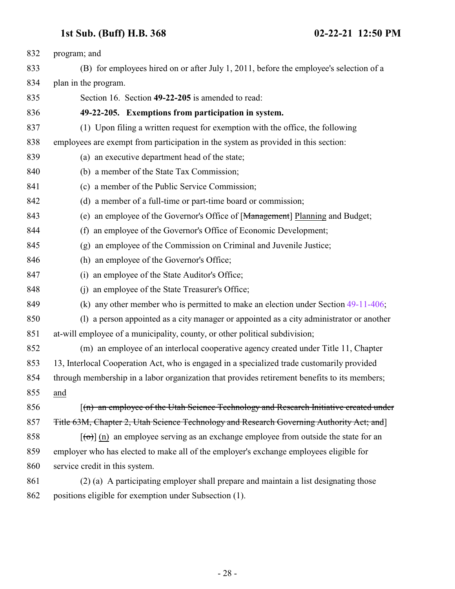<span id="page-27-0"></span>

| 832 | program; and                                                                                  |
|-----|-----------------------------------------------------------------------------------------------|
| 833 | (B) for employees hired on or after July 1, 2011, before the employee's selection of a        |
| 834 | plan in the program.                                                                          |
| 835 | Section 16. Section 49-22-205 is amended to read:                                             |
| 836 | 49-22-205. Exemptions from participation in system.                                           |
| 837 | (1) Upon filing a written request for exemption with the office, the following                |
| 838 | employees are exempt from participation in the system as provided in this section:            |
| 839 | (a) an executive department head of the state;                                                |
| 840 | (b) a member of the State Tax Commission;                                                     |
| 841 | (c) a member of the Public Service Commission;                                                |
| 842 | (d) a member of a full-time or part-time board or commission;                                 |
| 843 | (e) an employee of the Governor's Office of [Management] Planning and Budget;                 |
| 844 | an employee of the Governor's Office of Economic Development;<br>(f)                          |
| 845 | (g) an employee of the Commission on Criminal and Juvenile Justice;                           |
| 846 | (h) an employee of the Governor's Office;                                                     |
| 847 | an employee of the State Auditor's Office;<br>(i)                                             |
| 848 | an employee of the State Treasurer's Office;<br>(i)                                           |
| 849 | (k) any other member who is permitted to make an election under Section $49-11-406$ ;         |
| 850 | a person appointed as a city manager or appointed as a city administrator or another<br>(1)   |
| 851 | at-will employee of a municipality, county, or other political subdivision;                   |
| 852 | (m) an employee of an interlocal cooperative agency created under Title 11, Chapter           |
| 853 | 13, Interlocal Cooperation Act, who is engaged in a specialized trade customarily provided    |
| 854 | through membership in a labor organization that provides retirement benefits to its members;  |
| 855 | and                                                                                           |
| 856 | $\lceil$ (n) an employee of the Utah Science Technology and Research Initiative created under |
| 857 | Title 63M, Chapter 2, Utah Science Technology and Research Governing Authority Act; and       |
| 858 | $\lceil$ (o) an employee serving as an exchange employee from outside the state for an        |
| 859 | employer who has elected to make all of the employer's exchange employees eligible for        |
| 860 | service credit in this system.                                                                |
| 861 | (2) (a) A participating employer shall prepare and maintain a list designating those          |
| 862 | positions eligible for exemption under Subsection (1).                                        |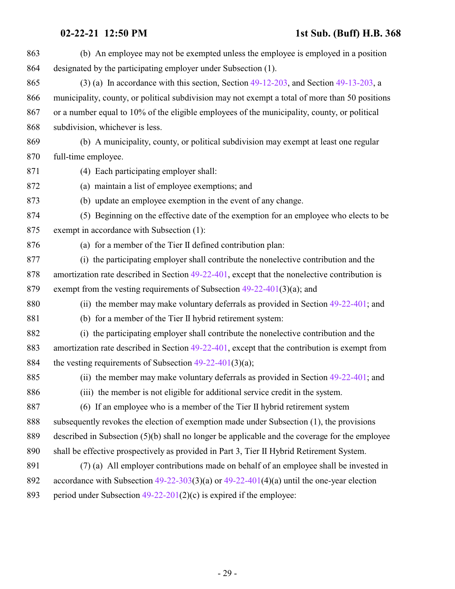| 863 | (b) An employee may not be exempted unless the employee is employed in a position                |
|-----|--------------------------------------------------------------------------------------------------|
| 864 | designated by the participating employer under Subsection (1).                                   |
| 865 | $(3)$ (a) In accordance with this section, Section 49-12-203, and Section 49-13-203, a           |
| 866 | municipality, county, or political subdivision may not exempt a total of more than 50 positions  |
| 867 | or a number equal to 10% of the eligible employees of the municipality, county, or political     |
| 868 | subdivision, whichever is less.                                                                  |
| 869 | (b) A municipality, county, or political subdivision may exempt at least one regular             |
| 870 | full-time employee.                                                                              |
| 871 | (4) Each participating employer shall:                                                           |
| 872 | (a) maintain a list of employee exemptions; and                                                  |
| 873 | (b) update an employee exemption in the event of any change.                                     |
| 874 | (5) Beginning on the effective date of the exemption for an employee who elects to be            |
| 875 | exempt in accordance with Subsection (1):                                                        |
| 876 | (a) for a member of the Tier II defined contribution plan:                                       |
| 877 | (i) the participating employer shall contribute the nonelective contribution and the             |
| 878 | amortization rate described in Section $49-22-401$ , except that the nonelective contribution is |
| 879 | exempt from the vesting requirements of Subsection $49-22-401(3)(a)$ ; and                       |
| 880 | (ii) the member may make voluntary deferrals as provided in Section $49-22-401$ ; and            |
| 881 | (b) for a member of the Tier II hybrid retirement system:                                        |
| 882 | (i) the participating employer shall contribute the nonelective contribution and the             |
| 883 | amortization rate described in Section $49-22-401$ , except that the contribution is exempt from |
| 884 | the vesting requirements of Subsection $49-22-401(3)(a)$ ;                                       |
| 885 | (ii) the member may make voluntary deferrals as provided in Section 49-22-401; and               |
| 886 | (iii) the member is not eligible for additional service credit in the system.                    |
| 887 | (6) If an employee who is a member of the Tier II hybrid retirement system                       |
| 888 | subsequently revokes the election of exemption made under Subsection (1), the provisions         |
| 889 | described in Subsection $(5)(b)$ shall no longer be applicable and the coverage for the employee |
| 890 | shall be effective prospectively as provided in Part 3, Tier II Hybrid Retirement System.        |
| 891 | (7) (a) All employer contributions made on behalf of an employee shall be invested in            |
| 892 | accordance with Subsection $49-22-303(3)(a)$ or $49-22-401(4)(a)$ until the one-year election    |
| 893 | period under Subsection $49-22-201(2)(c)$ is expired if the employee:                            |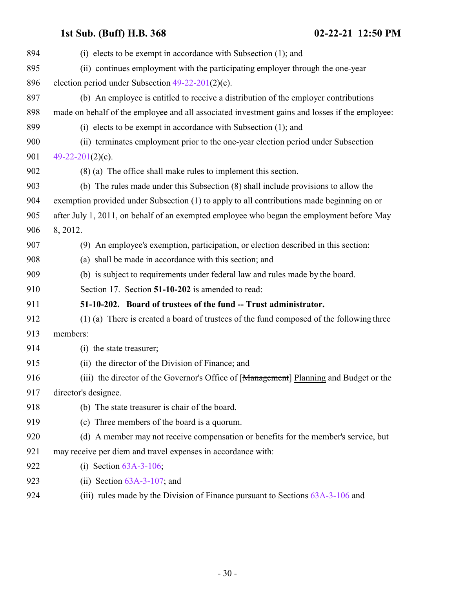<span id="page-29-0"></span>

| 894 | (i) elects to be exempt in accordance with Subsection $(1)$ ; and                              |
|-----|------------------------------------------------------------------------------------------------|
| 895 | (ii) continues employment with the participating employer through the one-year                 |
| 896 | election period under Subsection $49-22-201(2)(c)$ .                                           |
| 897 | (b) An employee is entitled to receive a distribution of the employer contributions            |
| 898 | made on behalf of the employee and all associated investment gains and losses if the employee: |
| 899 | (i) elects to be exempt in accordance with Subsection $(1)$ ; and                              |
| 900 | (ii) terminates employment prior to the one-year election period under Subsection              |
| 901 | 49-22-201(2)(c).                                                                               |
| 902 | $(8)$ (a) The office shall make rules to implement this section.                               |
| 903 | (b) The rules made under this Subsection (8) shall include provisions to allow the             |
| 904 | exemption provided under Subsection (1) to apply to all contributions made beginning on or     |
| 905 | after July 1, 2011, on behalf of an exempted employee who began the employment before May      |
| 906 | 8, 2012.                                                                                       |
| 907 | (9) An employee's exemption, participation, or election described in this section:             |
| 908 | (a) shall be made in accordance with this section; and                                         |
| 909 | (b) is subject to requirements under federal law and rules made by the board.                  |
| 910 | Section 17. Section 51-10-202 is amended to read:                                              |
| 911 | 51-10-202. Board of trustees of the fund -- Trust administrator.                               |
| 912 | (1) (a) There is created a board of trustees of the fund composed of the following three       |
| 913 | members:                                                                                       |
| 914 | (i) the state treasurer;                                                                       |
| 915 | (ii) the director of the Division of Finance; and                                              |
| 916 | (iii) the director of the Governor's Office of [Management] Planning and Budget or the         |
| 917 | director's designee.                                                                           |
| 918 | (b) The state treasurer is chair of the board.                                                 |
| 919 | (c) Three members of the board is a quorum.                                                    |
| 920 | (d) A member may not receive compensation or benefits for the member's service, but            |
| 921 | may receive per diem and travel expenses in accordance with:                                   |
| 922 | (i) Section $63A-3-106$ ;                                                                      |
| 923 | (ii) Section $63A-3-107$ ; and                                                                 |
| 924 | (iii) rules made by the Division of Finance pursuant to Sections $63A-3-106$ and               |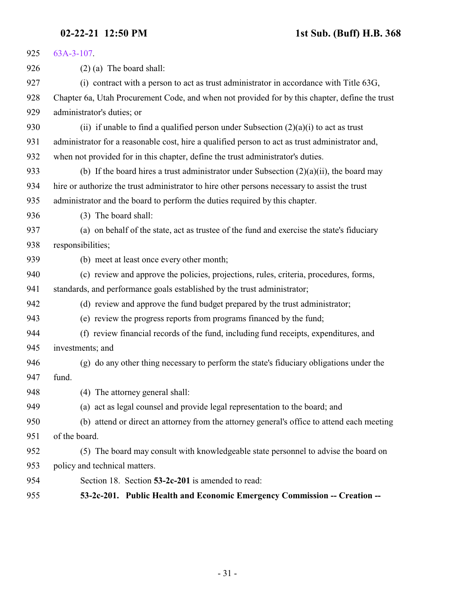<span id="page-30-0"></span>

| 925 | $63A-3-107$ .                                                                                   |
|-----|-------------------------------------------------------------------------------------------------|
| 926 | $(2)$ (a) The board shall:                                                                      |
| 927 | (i) contract with a person to act as trust administrator in accordance with Title 63G,          |
| 928 | Chapter 6a, Utah Procurement Code, and when not provided for by this chapter, define the trust  |
| 929 | administrator's duties; or                                                                      |
| 930 | (ii) if unable to find a qualified person under Subsection $(2)(a)(i)$ to act as trust          |
| 931 | administrator for a reasonable cost, hire a qualified person to act as trust administrator and, |
| 932 | when not provided for in this chapter, define the trust administrator's duties.                 |
| 933 | (b) If the board hires a trust administrator under Subsection $(2)(a)(ii)$ , the board may      |
| 934 | hire or authorize the trust administrator to hire other persons necessary to assist the trust   |
| 935 | administrator and the board to perform the duties required by this chapter.                     |
| 936 | (3) The board shall:                                                                            |
| 937 | (a) on behalf of the state, act as trustee of the fund and exercise the state's fiduciary       |
| 938 | responsibilities;                                                                               |
| 939 | (b) meet at least once every other month;                                                       |
| 940 | (c) review and approve the policies, projections, rules, criteria, procedures, forms,           |
| 941 | standards, and performance goals established by the trust administrator;                        |
| 942 | (d) review and approve the fund budget prepared by the trust administrator;                     |
| 943 | (e) review the progress reports from programs financed by the fund;                             |
| 944 | (f) review financial records of the fund, including fund receipts, expenditures, and            |
| 945 | investments; and                                                                                |
| 946 | (g) do any other thing necessary to perform the state's fiduciary obligations under the         |
| 947 | fund.                                                                                           |
| 948 | (4) The attorney general shall:                                                                 |
| 949 | (a) act as legal counsel and provide legal representation to the board; and                     |
| 950 | (b) attend or direct an attorney from the attorney general's office to attend each meeting      |
| 951 | of the board.                                                                                   |
| 952 | (5) The board may consult with knowledgeable state personnel to advise the board on             |
| 953 | policy and technical matters.                                                                   |
| 954 | Section 18. Section 53-2c-201 is amended to read:                                               |
| 955 | 53-2c-201. Public Health and Economic Emergency Commission -- Creation --                       |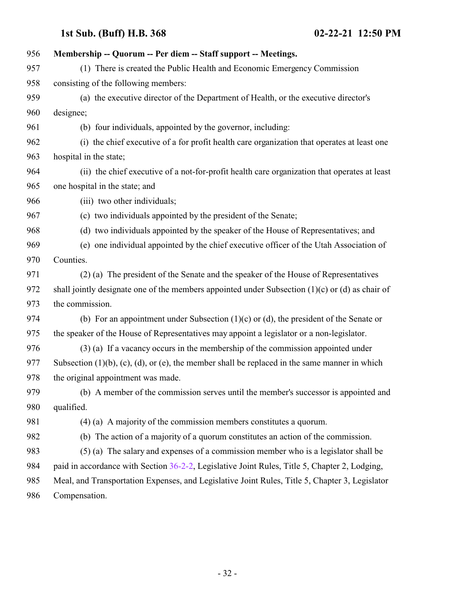| 956 | Membership -- Quorum -- Per diem -- Staff support -- Meetings.                                            |
|-----|-----------------------------------------------------------------------------------------------------------|
| 957 | (1) There is created the Public Health and Economic Emergency Commission                                  |
| 958 | consisting of the following members:                                                                      |
| 959 | (a) the executive director of the Department of Health, or the executive director's                       |
| 960 | designee;                                                                                                 |
| 961 | (b) four individuals, appointed by the governor, including:                                               |
| 962 | (i) the chief executive of a for profit health care organization that operates at least one               |
| 963 | hospital in the state;                                                                                    |
| 964 | (ii) the chief executive of a not-for-profit health care organization that operates at least              |
| 965 | one hospital in the state; and                                                                            |
| 966 | (iii) two other individuals;                                                                              |
| 967 | (c) two individuals appointed by the president of the Senate;                                             |
| 968 | (d) two individuals appointed by the speaker of the House of Representatives; and                         |
| 969 | (e) one individual appointed by the chief executive officer of the Utah Association of                    |
| 970 | Counties.                                                                                                 |
| 971 | (2) (a) The president of the Senate and the speaker of the House of Representatives                       |
| 972 | shall jointly designate one of the members appointed under Subsection $(1)(c)$ or $(d)$ as chair of       |
| 973 | the commission.                                                                                           |
| 974 | (b) For an appointment under Subsection $(1)(c)$ or $(d)$ , the president of the Senate or                |
| 975 | the speaker of the House of Representatives may appoint a legislator or a non-legislator.                 |
| 976 | $(3)$ (a) If a vacancy occurs in the membership of the commission appointed under                         |
| 977 | Subsection $(1)(b)$ , $(c)$ , $(d)$ , or $(e)$ , the member shall be replaced in the same manner in which |
| 978 | the original appointment was made.                                                                        |
| 979 | (b) A member of the commission serves until the member's successor is appointed and                       |
| 980 | qualified.                                                                                                |
| 981 | $(4)$ (a) A majority of the commission members constitutes a quorum.                                      |
| 982 | The action of a majority of a quorum constitutes an action of the commission.<br>(b)                      |
| 983 | (5) (a) The salary and expenses of a commission member who is a legislator shall be                       |
| 984 | paid in accordance with Section 36-2-2, Legislative Joint Rules, Title 5, Chapter 2, Lodging,             |
| 985 | Meal, and Transportation Expenses, and Legislative Joint Rules, Title 5, Chapter 3, Legislator            |
| 986 | Compensation.                                                                                             |

- 32 -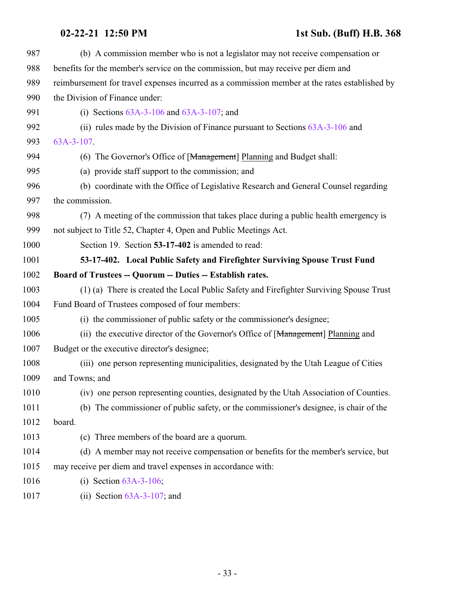<span id="page-32-0"></span>

| 987  | (b) A commission member who is not a legislator may not receive compensation or               |
|------|-----------------------------------------------------------------------------------------------|
| 988  | benefits for the member's service on the commission, but may receive per diem and             |
| 989  | reimbursement for travel expenses incurred as a commission member at the rates established by |
| 990  | the Division of Finance under:                                                                |
| 991  | (i) Sections $63A-3-106$ and $63A-3-107$ ; and                                                |
| 992  | (ii) rules made by the Division of Finance pursuant to Sections $63A-3-106$ and               |
| 993  | $63A-3-107$ .                                                                                 |
| 994  | (6) The Governor's Office of [Management] Planning and Budget shall:                          |
| 995  | (a) provide staff support to the commission; and                                              |
| 996  | (b) coordinate with the Office of Legislative Research and General Counsel regarding          |
| 997  | the commission.                                                                               |
| 998  | (7) A meeting of the commission that takes place during a public health emergency is          |
| 999  | not subject to Title 52, Chapter 4, Open and Public Meetings Act.                             |
| 1000 | Section 19. Section 53-17-402 is amended to read:                                             |
| 1001 | 53-17-402. Local Public Safety and Firefighter Surviving Spouse Trust Fund                    |
| 1002 | Board of Trustees -- Quorum -- Duties -- Establish rates.                                     |
| 1003 | (1) (a) There is created the Local Public Safety and Firefighter Surviving Spouse Trust       |
| 1004 | Fund Board of Trustees composed of four members:                                              |
| 1005 | (i) the commissioner of public safety or the commissioner's designee;                         |
| 1006 | (ii) the executive director of the Governor's Office of [Management] Planning and             |
| 1007 | Budget or the executive director's designee;                                                  |
| 1008 | (iii) one person representing municipalities, designated by the Utah League of Cities         |
| 1009 | and Towns; and                                                                                |
| 1010 | (iv) one person representing counties, designated by the Utah Association of Counties.        |
| 1011 | (b) The commissioner of public safety, or the commissioner's designee, is chair of the        |
| 1012 | board.                                                                                        |
| 1013 | (c) Three members of the board are a quorum.                                                  |
| 1014 | (d) A member may not receive compensation or benefits for the member's service, but           |
| 1015 | may receive per diem and travel expenses in accordance with:                                  |
| 1016 | (i) Section $63A-3-106$ ;                                                                     |
| 1017 | (ii) Section $63A-3-107$ ; and                                                                |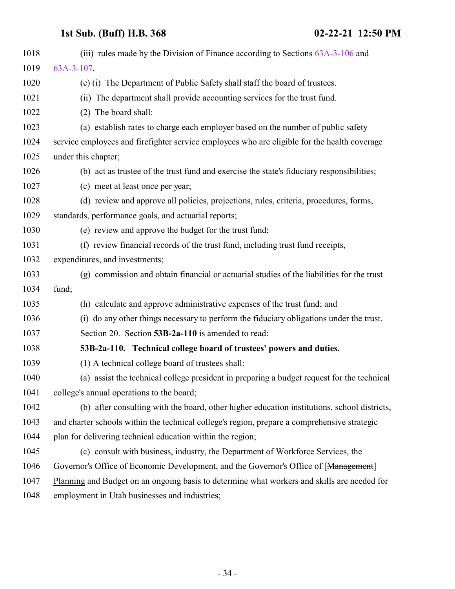<span id="page-33-0"></span>

| 1018 | (iii) rules made by the Division of Finance according to Sections $63A-3-106$ and            |
|------|----------------------------------------------------------------------------------------------|
| 1019 | $63A-3-107$                                                                                  |
| 1020 | (e) (i) The Department of Public Safety shall staff the board of trustees.                   |
| 1021 | (ii) The department shall provide accounting services for the trust fund.                    |
| 1022 | (2) The board shall:                                                                         |
| 1023 | (a) establish rates to charge each employer based on the number of public safety             |
| 1024 | service employees and firefighter service employees who are eligible for the health coverage |
| 1025 | under this chapter;                                                                          |
| 1026 | (b) act as trustee of the trust fund and exercise the state's fiduciary responsibilities;    |
| 1027 | (c) meet at least once per year;                                                             |
| 1028 | (d) review and approve all policies, projections, rules, criteria, procedures, forms,        |
| 1029 | standards, performance goals, and actuarial reports;                                         |
| 1030 | (e) review and approve the budget for the trust fund;                                        |
| 1031 | (f) review financial records of the trust fund, including trust fund receipts,               |
| 1032 | expenditures, and investments;                                                               |
| 1033 | (g) commission and obtain financial or actuarial studies of the liabilities for the trust    |
| 1034 | fund;                                                                                        |
| 1035 | (h) calculate and approve administrative expenses of the trust fund; and                     |
| 1036 | (i) do any other things necessary to perform the fiduciary obligations under the trust.      |
| 1037 | Section 20. Section 53B-2a-110 is amended to read:                                           |
| 1038 | 53B-2a-110. Technical college board of trustees' powers and duties.                          |
| 1039 | (1) A technical college board of trustees shall:                                             |
| 1040 | (a) assist the technical college president in preparing a budget request for the technical   |
| 1041 | college's annual operations to the board;                                                    |
| 1042 | (b) after consulting with the board, other higher education institutions, school districts,  |
| 1043 | and charter schools within the technical college's region, prepare a comprehensive strategic |
| 1044 | plan for delivering technical education within the region;                                   |
| 1045 | (c) consult with business, industry, the Department of Workforce Services, the               |
| 1046 | Governor's Office of Economic Development, and the Governor's Office of [Management]         |
| 1047 | Planning and Budget on an ongoing basis to determine what workers and skills are needed for  |
| 1048 | employment in Utah businesses and industries;                                                |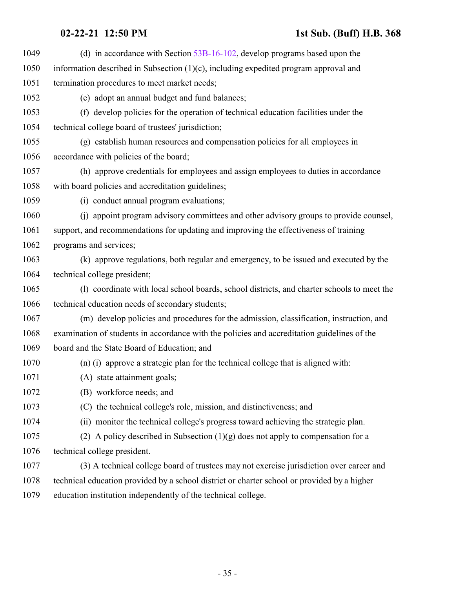(d) in accordance with Section [53B-16-102](http://le.utah.gov/UtahCode/SectionLookup.jsp?section=53b-16-102&session=2021GS), develop programs based upon the information described in Subsection (1)(c), including expedited program approval and termination procedures to meet market needs; (e) adopt an annual budget and fund balances; (f) develop policies for the operation of technical education facilities under the technical college board of trustees' jurisdiction; (g) establish human resources and compensation policies for all employees in accordance with policies of the board; (h) approve credentials for employees and assign employees to duties in accordance with board policies and accreditation guidelines; (i) conduct annual program evaluations; (j) appoint program advisory committees and other advisory groups to provide counsel, support, and recommendations for updating and improving the effectiveness of training programs and services; (k) approve regulations, both regular and emergency, to be issued and executed by the technical college president; (l) coordinate with local school boards, school districts, and charter schools to meet the technical education needs of secondary students; (m) develop policies and procedures for the admission, classification, instruction, and examination of students in accordance with the policies and accreditation guidelines of the board and the State Board of Education; and (n) (i) approve a strategic plan for the technical college that is aligned with: (A) state attainment goals; (B) workforce needs; and (C) the technical college's role, mission, and distinctiveness; and (ii) monitor the technical college's progress toward achieving the strategic plan. 1075 (2) A policy described in Subsection  $(1)(g)$  does not apply to compensation for a technical college president. (3) A technical college board of trustees may not exercise jurisdiction over career and technical education provided by a school district or charter school or provided by a higher education institution independently of the technical college.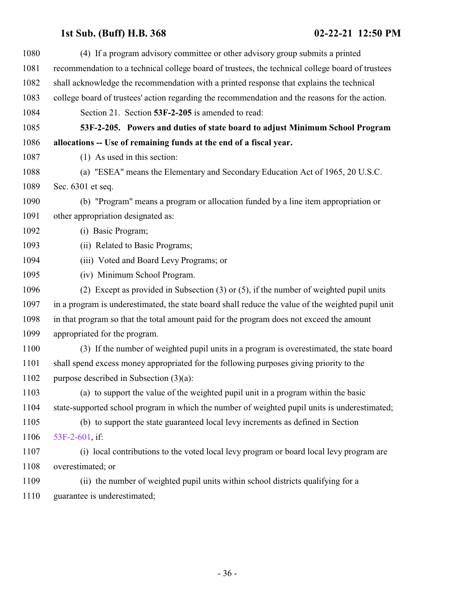<span id="page-35-0"></span>

| 1080 | (4) If a program advisory committee or other advisory group submits a printed                     |
|------|---------------------------------------------------------------------------------------------------|
| 1081 | recommendation to a technical college board of trustees, the technical college board of trustees  |
| 1082 | shall acknowledge the recommendation with a printed response that explains the technical          |
| 1083 | college board of trustees' action regarding the recommendation and the reasons for the action.    |
| 1084 | Section 21. Section 53F-2-205 is amended to read:                                                 |
| 1085 | 53F-2-205. Powers and duties of state board to adjust Minimum School Program                      |
| 1086 | allocations -- Use of remaining funds at the end of a fiscal year.                                |
| 1087 | (1) As used in this section:                                                                      |
| 1088 | (a) "ESEA" means the Elementary and Secondary Education Act of 1965, 20 U.S.C.                    |
| 1089 | Sec. 6301 et seq.                                                                                 |
| 1090 | (b) "Program" means a program or allocation funded by a line item appropriation or                |
| 1091 | other appropriation designated as:                                                                |
| 1092 | (i) Basic Program;                                                                                |
| 1093 | (ii) Related to Basic Programs;                                                                   |
| 1094 | (iii) Voted and Board Levy Programs; or                                                           |
| 1095 | (iv) Minimum School Program.                                                                      |
| 1096 | (2) Except as provided in Subsection $(3)$ or $(5)$ , if the number of weighted pupil units       |
| 1097 | in a program is underestimated, the state board shall reduce the value of the weighted pupil unit |
| 1098 | in that program so that the total amount paid for the program does not exceed the amount          |
| 1099 | appropriated for the program.                                                                     |
| 1100 | (3) If the number of weighted pupil units in a program is overestimated, the state board          |
| 1101 | shall spend excess money appropriated for the following purposes giving priority to the           |
| 1102 | purpose described in Subsection $(3)(a)$ :                                                        |
| 1103 | (a) to support the value of the weighted pupil unit in a program within the basic                 |
| 1104 | state-supported school program in which the number of weighted pupil units is underestimated;     |
| 1105 | (b) to support the state guaranteed local levy increments as defined in Section                   |
| 1106 | 53F-2-601, if:                                                                                    |
| 1107 | (i) local contributions to the voted local levy program or board local levy program are           |
| 1108 | overestimated; or                                                                                 |
| 1109 | (ii) the number of weighted pupil units within school districts qualifying for a                  |
| 1110 | guarantee is underestimated;                                                                      |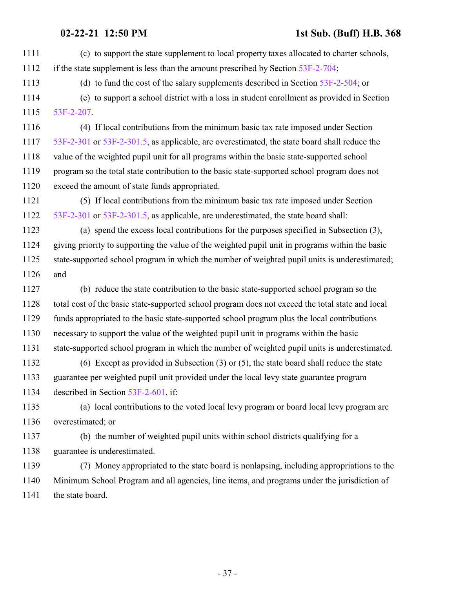- (c) to support the state supplement to local property taxes allocated to charter schools, if the state supplement is less than the amount prescribed by Section [53F-2-704](http://le.utah.gov/UtahCode/SectionLookup.jsp?section=53f-2-704&session=2021GS); (d) to fund the cost of the salary supplements described in Section [53F-2-504](http://le.utah.gov/UtahCode/SectionLookup.jsp?section=53f-2-504&session=2021GS); or (e) to support a school district with a loss in student enrollment as provided in Section [53F-2-207](http://le.utah.gov/UtahCode/SectionLookup.jsp?section=53f-2-207&session=2021GS). (4) If local contributions from the minimum basic tax rate imposed under Section [53F-2-301](http://le.utah.gov/UtahCode/SectionLookup.jsp?section=53f-2-301&session=2021GS) or [53F-2-301.5](http://le.utah.gov/UtahCode/SectionLookup.jsp?section=53f-2-301.5&session=2021GS), as applicable, are overestimated, the state board shall reduce the value of the weighted pupil unit for all programs within the basic state-supported school 1119 program so the total state contribution to the basic state-supported school program does not exceed the amount of state funds appropriated. (5) If local contributions from the minimum basic tax rate imposed under Section [53F-2-301](http://le.utah.gov/UtahCode/SectionLookup.jsp?section=53f-2-301&session=2021GS) or [53F-2-301.5](http://le.utah.gov/UtahCode/SectionLookup.jsp?section=53f-2-301.5&session=2021GS), as applicable, are underestimated, the state board shall: (a) spend the excess local contributions for the purposes specified in Subsection (3), giving priority to supporting the value of the weighted pupil unit in programs within the basic state-supported school program in which the number of weighted pupil units is underestimated; and (b) reduce the state contribution to the basic state-supported school program so the total cost of the basic state-supported school program does not exceed the total state and local funds appropriated to the basic state-supported school program plus the local contributions necessary to support the value of the weighted pupil unit in programs within the basic state-supported school program in which the number of weighted pupil units is underestimated. (6) Except as provided in Subsection (3) or (5), the state board shall reduce the state guarantee per weighted pupil unit provided under the local levy state guarantee program described in Section [53F-2-601](#page-38-0), if: (a) local contributions to the voted local levy program or board local levy program are overestimated; or (b) the number of weighted pupil units within school districts qualifying for a guarantee is underestimated. (7) Money appropriated to the state board is nonlapsing, including appropriations to the Minimum School Program and all agencies, line items, and programs under the jurisdiction of
- 1141 the state board.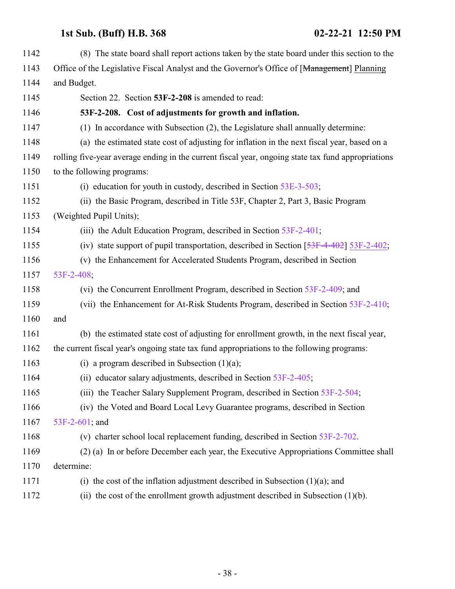| 1142 | (8) The state board shall report actions taken by the state board under this section to the        |
|------|----------------------------------------------------------------------------------------------------|
| 1143 | Office of the Legislative Fiscal Analyst and the Governor's Office of [Management] Planning        |
| 1144 | and Budget.                                                                                        |
| 1145 | Section 22. Section 53F-2-208 is amended to read:                                                  |
| 1146 | 53F-2-208. Cost of adjustments for growth and inflation.                                           |
| 1147 | (1) In accordance with Subsection (2), the Legislature shall annually determine:                   |
| 1148 | (a) the estimated state cost of adjusting for inflation in the next fiscal year, based on a        |
| 1149 | rolling five-year average ending in the current fiscal year, ongoing state tax fund appropriations |
| 1150 | to the following programs:                                                                         |
| 1151 | (i) education for youth in custody, described in Section $53E-3-503$ ;                             |
| 1152 | (ii) the Basic Program, described in Title 53F, Chapter 2, Part 3, Basic Program                   |
| 1153 | (Weighted Pupil Units);                                                                            |
| 1154 | (iii) the Adult Education Program, described in Section 53F-2-401;                                 |
| 1155 | (iv) state support of pupil transportation, described in Section $[53F-4-402]$ 53F-2-402;          |
| 1156 | (v) the Enhancement for Accelerated Students Program, described in Section                         |
| 1157 | 53F-2-408;                                                                                         |
| 1158 | (vi) the Concurrent Enrollment Program, described in Section 53F-2-409; and                        |
| 1159 | (vii) the Enhancement for At-Risk Students Program, described in Section 53F-2-410;                |
| 1160 | and                                                                                                |
| 1161 | (b) the estimated state cost of adjusting for enrollment growth, in the next fiscal year,          |
| 1162 | the current fiscal year's ongoing state tax fund appropriations to the following programs:         |
| 1163 | (i) a program described in Subsection $(1)(a)$ ;                                                   |
| 1164 | (ii) educator salary adjustments, described in Section 53F-2-405;                                  |
| 1165 | (iii) the Teacher Salary Supplement Program, described in Section 53F-2-504;                       |
| 1166 | (iv) the Voted and Board Local Levy Guarantee programs, described in Section                       |
| 1167 | 53F-2-601; and                                                                                     |
| 1168 | (v) charter school local replacement funding, described in Section 53F-2-702.                      |
| 1169 | (2) (a) In or before December each year, the Executive Appropriations Committee shall              |
| 1170 | determine:                                                                                         |
| 1171 | (i) the cost of the inflation adjustment described in Subsection $(1)(a)$ ; and                    |
| 1172 | (ii) the cost of the enrollment growth adjustment described in Subsection $(1)(b)$ .               |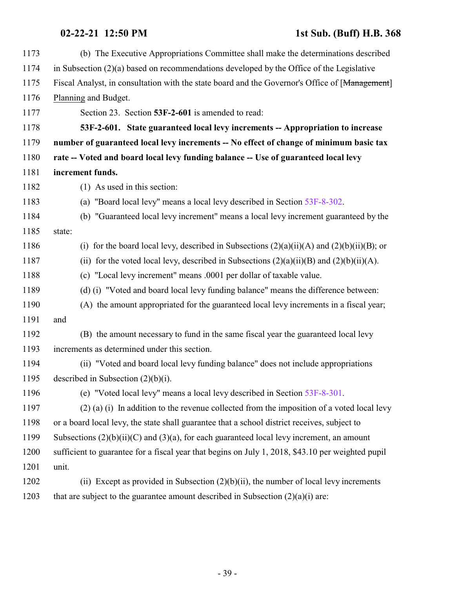<span id="page-38-0"></span>

| 1173 | (b) The Executive Appropriations Committee shall make the determinations described                 |
|------|----------------------------------------------------------------------------------------------------|
| 1174 | in Subsection $(2)(a)$ based on recommendations developed by the Office of the Legislative         |
| 1175 | Fiscal Analyst, in consultation with the state board and the Governor's Office of [Management]     |
| 1176 | Planning and Budget.                                                                               |
| 1177 | Section 23. Section 53F-2-601 is amended to read:                                                  |
| 1178 | 53F-2-601. State guaranteed local levy increments -- Appropriation to increase                     |
| 1179 | number of guaranteed local levy increments -- No effect of change of minimum basic tax             |
| 1180 | rate -- Voted and board local levy funding balance -- Use of guaranteed local levy                 |
| 1181 | increment funds.                                                                                   |
| 1182 | (1) As used in this section:                                                                       |
| 1183 | (a) "Board local levy" means a local levy described in Section 53F-8-302.                          |
| 1184 | (b) "Guaranteed local levy increment" means a local levy increment guaranteed by the               |
| 1185 | state:                                                                                             |
| 1186 | for the board local levy, described in Subsections $(2)(a)(ii)(A)$ and $(2)(b)(ii)(B)$ ; or<br>(i) |
| 1187 | (ii) for the voted local levy, described in Subsections $(2)(a)(ii)(B)$ and $(2)(b)(ii)(A)$ .      |
| 1188 | (c) "Local levy increment" means .0001 per dollar of taxable value.                                |
| 1189 | (d) (i) "Voted and board local levy funding balance" means the difference between:                 |
| 1190 | (A) the amount appropriated for the guaranteed local levy increments in a fiscal year;             |
| 1191 | and                                                                                                |
| 1192 | (B) the amount necessary to fund in the same fiscal year the guaranteed local levy                 |
| 1193 | increments as determined under this section.                                                       |
| 1194 | (ii) "Voted and board local levy funding balance" does not include appropriations                  |
| 1195 | described in Subsection $(2)(b)(i)$ .                                                              |
| 1196 | (e) "Voted local levy" means a local levy described in Section 53F-8-301.                          |
| 1197 | $(2)$ (a) (i) In addition to the revenue collected from the imposition of a voted local levy       |
| 1198 | or a board local levy, the state shall guarantee that a school district receives, subject to       |
| 1199 | Subsections $(2)(b)(ii)(C)$ and $(3)(a)$ , for each guaranteed local levy increment, an amount     |
| 1200 | sufficient to guarantee for a fiscal year that begins on July 1, 2018, \$43.10 per weighted pupil  |
| 1201 | unit.                                                                                              |
| 1202 | (ii) Except as provided in Subsection $(2)(b)(ii)$ , the number of local levy increments           |
| 1203 | that are subject to the guarantee amount described in Subsection $(2)(a)(i)$ are:                  |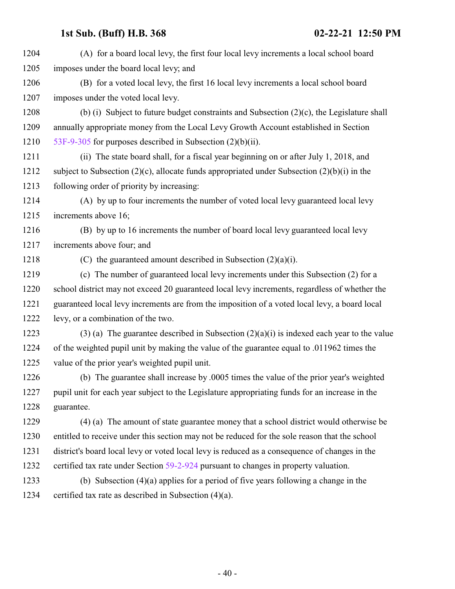| 1204 | (A) for a board local levy, the first four local levy increments a local school board          |
|------|------------------------------------------------------------------------------------------------|
| 1205 | imposes under the board local levy; and                                                        |
| 1206 | (B) for a voted local levy, the first 16 local levy increments a local school board            |
| 1207 | imposes under the voted local levy.                                                            |
| 1208 | (b) (i) Subject to future budget constraints and Subsection $(2)(c)$ , the Legislature shall   |
| 1209 | annually appropriate money from the Local Levy Growth Account established in Section           |
| 1210 | 53F-9-305 for purposes described in Subsection $(2)(b)(ii)$ .                                  |
| 1211 | (ii) The state board shall, for a fiscal year beginning on or after July 1, 2018, and          |
| 1212 | subject to Subsection (2)(c), allocate funds appropriated under Subsection (2)(b)(i) in the    |
| 1213 | following order of priority by increasing:                                                     |
| 1214 | (A) by up to four increments the number of voted local levy guaranteed local levy              |
| 1215 | increments above 16;                                                                           |
| 1216 | (B) by up to 16 increments the number of board local levy guaranteed local levy                |
| 1217 | increments above four; and                                                                     |
| 1218 | (C) the guaranteed amount described in Subsection $(2)(a)(i)$ .                                |
| 1219 | (c) The number of guaranteed local levy increments under this Subsection (2) for a             |
| 1220 | school district may not exceed 20 guaranteed local levy increments, regardless of whether the  |
| 1221 | guaranteed local levy increments are from the imposition of a voted local levy, a board local  |
| 1222 | levy, or a combination of the two.                                                             |
| 1223 | $(3)$ (a) The guarantee described in Subsection $(2)(a)(i)$ is indexed each year to the value  |
| 1224 | of the weighted pupil unit by making the value of the guarantee equal to .011962 times the     |
| 1225 | value of the prior year's weighted pupil unit.                                                 |
| 1226 | (b) The guarantee shall increase by .0005 times the value of the prior year's weighted         |
| 1227 | pupil unit for each year subject to the Legislature appropriating funds for an increase in the |
| 1228 | guarantee.                                                                                     |
| 1229 | (4) (a) The amount of state guarantee money that a school district would otherwise be          |
| 1230 | entitled to receive under this section may not be reduced for the sole reason that the school  |
| 1231 | district's board local levy or voted local levy is reduced as a consequence of changes in the  |
| 1232 | certified tax rate under Section 59-2-924 pursuant to changes in property valuation.           |
| 1233 | (b) Subsection $(4)(a)$ applies for a period of five years following a change in the           |
| 1234 | certified tax rate as described in Subsection $(4)(a)$ .                                       |
|      |                                                                                                |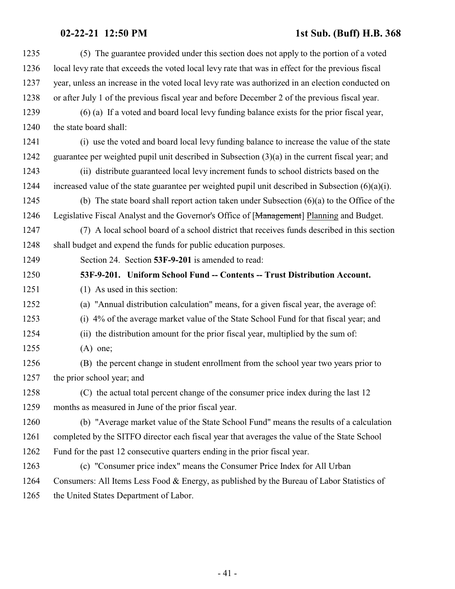| 1235 | (5) The guarantee provided under this section does not apply to the portion of a voted               |
|------|------------------------------------------------------------------------------------------------------|
| 1236 | local levy rate that exceeds the voted local levy rate that was in effect for the previous fiscal    |
| 1237 | year, unless an increase in the voted local levy rate was authorized in an election conducted on     |
| 1238 | or after July 1 of the previous fiscal year and before December 2 of the previous fiscal year.       |
| 1239 | (6) (a) If a voted and board local levy funding balance exists for the prior fiscal year,            |
| 1240 | the state board shall:                                                                               |
| 1241 | (i) use the voted and board local levy funding balance to increase the value of the state            |
| 1242 | guarantee per weighted pupil unit described in Subsection $(3)(a)$ in the current fiscal year; and   |
| 1243 | (ii) distribute guaranteed local levy increment funds to school districts based on the               |
| 1244 | increased value of the state guarantee per weighted pupil unit described in Subsection $(6)(a)(i)$ . |
| 1245 | (b) The state board shall report action taken under Subsection $(6)(a)$ to the Office of the         |
| 1246 | Legislative Fiscal Analyst and the Governor's Office of [Management] Planning and Budget.            |
| 1247 | (7) A local school board of a school district that receives funds described in this section          |
| 1248 | shall budget and expend the funds for public education purposes.                                     |
| 1249 | Section 24. Section 53F-9-201 is amended to read:                                                    |
| 1250 | 53F-9-201. Uniform School Fund -- Contents -- Trust Distribution Account.                            |
| 1251 | (1) As used in this section:                                                                         |
| 1252 | (a) "Annual distribution calculation" means, for a given fiscal year, the average of:                |
| 1253 | 4% of the average market value of the State School Fund for that fiscal year; and<br>(i)             |
| 1254 | (ii) the distribution amount for the prior fiscal year, multiplied by the sum of:                    |
| 1255 | $(A)$ one;                                                                                           |
| 1256 | (B) the percent change in student enrollment from the school year two years prior to                 |
| 1257 | the prior school year; and                                                                           |
| 1258 | (C) the actual total percent change of the consumer price index during the last 12                   |
| 1259 | months as measured in June of the prior fiscal year.                                                 |
| 1260 | (b) "Average market value of the State School Fund" means the results of a calculation               |
| 1261 | completed by the SITFO director each fiscal year that averages the value of the State School         |
| 1262 | Fund for the past 12 consecutive quarters ending in the prior fiscal year.                           |
| 1263 | (c) "Consumer price index" means the Consumer Price Index for All Urban                              |
| 1264 | Consumers: All Items Less Food & Energy, as published by the Bureau of Labor Statistics of           |
| 1265 | the United States Department of Labor.                                                               |
|      |                                                                                                      |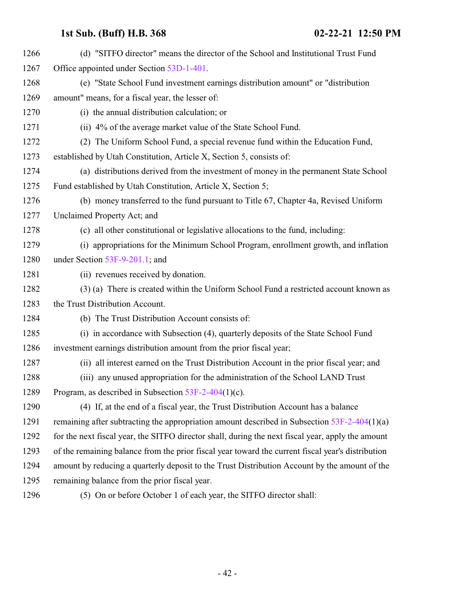| 1266 | (d) "SITFO director" means the director of the School and Institutional Trust Fund                |
|------|---------------------------------------------------------------------------------------------------|
| 1267 | Office appointed under Section 53D-1-401.                                                         |
| 1268 | (e) "State School Fund investment earnings distribution amount" or "distribution"                 |
| 1269 | amount" means, for a fiscal year, the lesser of:                                                  |
| 1270 | (i) the annual distribution calculation; or                                                       |
| 1271 | (ii) 4% of the average market value of the State School Fund.                                     |
| 1272 | (2) The Uniform School Fund, a special revenue fund within the Education Fund,                    |
| 1273 | established by Utah Constitution, Article X, Section 5, consists of:                              |
| 1274 | (a) distributions derived from the investment of money in the permanent State School              |
| 1275 | Fund established by Utah Constitution, Article X, Section 5;                                      |
| 1276 | (b) money transferred to the fund pursuant to Title 67, Chapter 4a, Revised Uniform               |
| 1277 | Unclaimed Property Act; and                                                                       |
| 1278 | (c) all other constitutional or legislative allocations to the fund, including:                   |
| 1279 | (i) appropriations for the Minimum School Program, enrollment growth, and inflation               |
| 1280 | under Section $53F-9-201.1$ ; and                                                                 |
| 1281 | (ii) revenues received by donation.                                                               |
| 1282 | (3) (a) There is created within the Uniform School Fund a restricted account known as             |
| 1283 | the Trust Distribution Account.                                                                   |
| 1284 | (b) The Trust Distribution Account consists of:                                                   |
| 1285 | (i) in accordance with Subsection (4), quarterly deposits of the State School Fund                |
| 1286 | investment earnings distribution amount from the prior fiscal year;                               |
| 1287 | (ii) all interest earned on the Trust Distribution Account in the prior fiscal year; and          |
| 1288 | (iii) any unused appropriation for the administration of the School LAND Trust                    |
| 1289 | Program, as described in Subsection 53F-2-404(1)(c).                                              |
| 1290 | (4) If, at the end of a fiscal year, the Trust Distribution Account has a balance                 |
| 1291 | remaining after subtracting the appropriation amount described in Subsection $53F-2-404(1)(a)$    |
| 1292 | for the next fiscal year, the SITFO director shall, during the next fiscal year, apply the amount |
| 1293 | of the remaining balance from the prior fiscal year toward the current fiscal year's distribution |
| 1294 | amount by reducing a quarterly deposit to the Trust Distribution Account by the amount of the     |
| 1295 | remaining balance from the prior fiscal year.                                                     |
|      |                                                                                                   |

(5) On or before October 1 of each year, the SITFO director shall: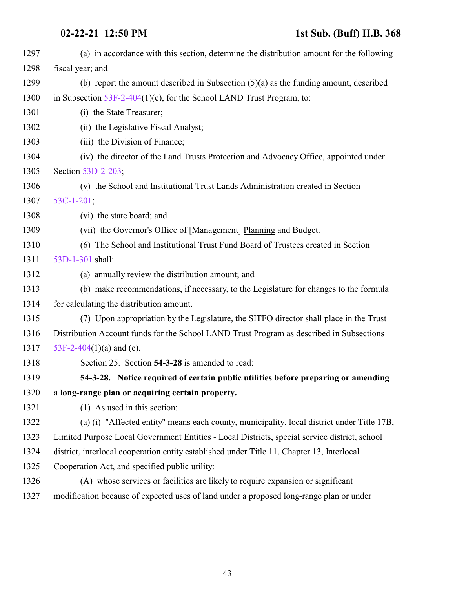| 1297 | (a) in accordance with this section, determine the distribution amount for the following      |
|------|-----------------------------------------------------------------------------------------------|
| 1298 | fiscal year; and                                                                              |
| 1299 | (b) report the amount described in Subsection $(5)(a)$ as the funding amount, described       |
| 1300 | in Subsection $53F-2-404(1)(c)$ , for the School LAND Trust Program, to:                      |
| 1301 | (i) the State Treasurer;                                                                      |
| 1302 | (ii) the Legislative Fiscal Analyst;                                                          |
| 1303 | (iii) the Division of Finance;                                                                |
| 1304 | (iv) the director of the Land Trusts Protection and Advocacy Office, appointed under          |
| 1305 | Section 53D-2-203;                                                                            |
| 1306 | (v) the School and Institutional Trust Lands Administration created in Section                |
| 1307 | $53C-1-201$ ;                                                                                 |
| 1308 | (vi) the state board; and                                                                     |
| 1309 | (vii) the Governor's Office of [Management] Planning and Budget.                              |
| 1310 | (6) The School and Institutional Trust Fund Board of Trustees created in Section              |
| 1311 | 53D-1-301 shall:                                                                              |
| 1312 | (a) annually review the distribution amount; and                                              |
| 1313 | (b) make recommendations, if necessary, to the Legislature for changes to the formula         |
| 1314 | for calculating the distribution amount.                                                      |
| 1315 | (7) Upon appropriation by the Legislature, the SITFO director shall place in the Trust        |
| 1316 | Distribution Account funds for the School LAND Trust Program as described in Subsections      |
| 1317 | 53F-2-404(1)(a) and (c).                                                                      |
| 1318 | Section 25. Section 54-3-28 is amended to read:                                               |
| 1319 | 54-3-28. Notice required of certain public utilities before preparing or amending             |
| 1320 | a long-range plan or acquiring certain property.                                              |
| 1321 | $(1)$ As used in this section:                                                                |
| 1322 | (a) (i) "Affected entity" means each county, municipality, local district under Title 17B,    |
| 1323 | Limited Purpose Local Government Entities - Local Districts, special service district, school |
| 1324 | district, interlocal cooperation entity established under Title 11, Chapter 13, Interlocal    |
| 1325 | Cooperation Act, and specified public utility:                                                |
| 1326 | (A) whose services or facilities are likely to require expansion or significant               |
| 1327 | modification because of expected uses of land under a proposed long-range plan or under       |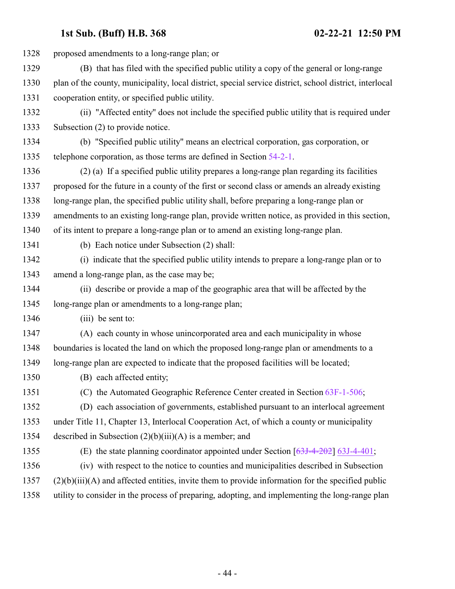| 1328 | proposed amendments to a long-range plan; or                                                            |
|------|---------------------------------------------------------------------------------------------------------|
| 1329 | (B) that has filed with the specified public utility a copy of the general or long-range                |
| 1330 | plan of the county, municipality, local district, special service district, school district, interlocal |
| 1331 | cooperation entity, or specified public utility.                                                        |
| 1332 | (ii) "Affected entity" does not include the specified public utility that is required under             |
| 1333 | Subsection (2) to provide notice.                                                                       |
| 1334 | (b) "Specified public utility" means an electrical corporation, gas corporation, or                     |
| 1335 | telephone corporation, as those terms are defined in Section 54-2-1.                                    |
| 1336 | (2) (a) If a specified public utility prepares a long-range plan regarding its facilities               |
| 1337 | proposed for the future in a county of the first or second class or amends an already existing          |
| 1338 | long-range plan, the specified public utility shall, before preparing a long-range plan or              |
| 1339 | amendments to an existing long-range plan, provide written notice, as provided in this section,         |
| 1340 | of its intent to prepare a long-range plan or to amend an existing long-range plan.                     |
| 1341 | (b) Each notice under Subsection (2) shall:                                                             |
| 1342 | (i) indicate that the specified public utility intends to prepare a long-range plan or to               |
| 1343 | amend a long-range plan, as the case may be;                                                            |
| 1344 | (ii) describe or provide a map of the geographic area that will be affected by the                      |
| 1345 | long-range plan or amendments to a long-range plan;                                                     |
| 1346 | $(iii)$ be sent to:                                                                                     |
| 1347 | (A) each county in whose unincorporated area and each municipality in whose                             |
| 1348 | boundaries is located the land on which the proposed long-range plan or amendments to a                 |
| 1349 | long-range plan are expected to indicate that the proposed facilities will be located;                  |
| 1350 | (B) each affected entity;                                                                               |
| 1351 | (C) the Automated Geographic Reference Center created in Section 63F-1-506;                             |
| 1352 | (D) each association of governments, established pursuant to an interlocal agreement                    |
| 1353 | under Title 11, Chapter 13, Interlocal Cooperation Act, of which a county or municipality               |
| 1354 | described in Subsection $(2)(b)(iii)(A)$ is a member; and                                               |
| 1355 | (E) the state planning coordinator appointed under Section $[63J-4-202]$ 63J-4-401;                     |
| 1356 | (iv) with respect to the notice to counties and municipalities described in Subsection                  |
| 1357 | $(2)(b)(iii)(A)$ and affected entities, invite them to provide information for the specified public     |
| 1358 | utility to consider in the process of preparing, adopting, and implementing the long-range plan         |
|      |                                                                                                         |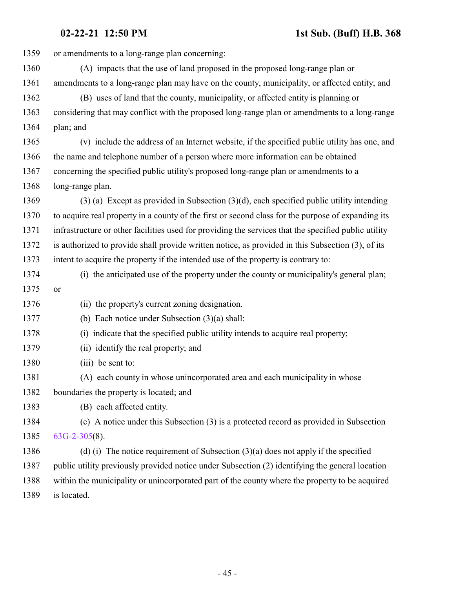| 1359 | or amendments to a long-range plan concerning:                                                       |
|------|------------------------------------------------------------------------------------------------------|
| 1360 | (A) impacts that the use of land proposed in the proposed long-range plan or                         |
| 1361 | amendments to a long-range plan may have on the county, municipality, or affected entity; and        |
| 1362 | (B) uses of land that the county, municipality, or affected entity is planning or                    |
| 1363 | considering that may conflict with the proposed long-range plan or amendments to a long-range        |
| 1364 | plan; and                                                                                            |
| 1365 | (v) include the address of an Internet website, if the specified public utility has one, and         |
| 1366 | the name and telephone number of a person where more information can be obtained                     |
| 1367 | concerning the specified public utility's proposed long-range plan or amendments to a                |
| 1368 | long-range plan.                                                                                     |
| 1369 | $(3)$ (a) Except as provided in Subsection $(3)(d)$ , each specified public utility intending        |
| 1370 | to acquire real property in a county of the first or second class for the purpose of expanding its   |
| 1371 | infrastructure or other facilities used for providing the services that the specified public utility |
| 1372 | is authorized to provide shall provide written notice, as provided in this Subsection (3), of its    |
| 1373 | intent to acquire the property if the intended use of the property is contrary to:                   |
| 1374 | (i) the anticipated use of the property under the county or municipality's general plan;             |
| 1375 | or                                                                                                   |
| 1376 | (ii) the property's current zoning designation.                                                      |
| 1377 | (b) Each notice under Subsection $(3)(a)$ shall:                                                     |
| 1378 | (i) indicate that the specified public utility intends to acquire real property;                     |
| 1379 | (ii) identify the real property; and                                                                 |
| 1380 | (iii) be sent to:                                                                                    |
| 1381 | (A) each county in whose unincorporated area and each municipality in whose                          |
| 1382 | boundaries the property is located; and                                                              |
| 1383 | (B) each affected entity.                                                                            |
| 1384 | (c) A notice under this Subsection (3) is a protected record as provided in Subsection               |
| 1385 | $63G-2-305(8)$ .                                                                                     |
| 1386 | (d) (i) The notice requirement of Subsection $(3)(a)$ does not apply if the specified                |
| 1387 | public utility previously provided notice under Subsection (2) identifying the general location      |
| 1388 | within the municipality or unincorporated part of the county where the property to be acquired       |
| 1389 | is located.                                                                                          |
|      |                                                                                                      |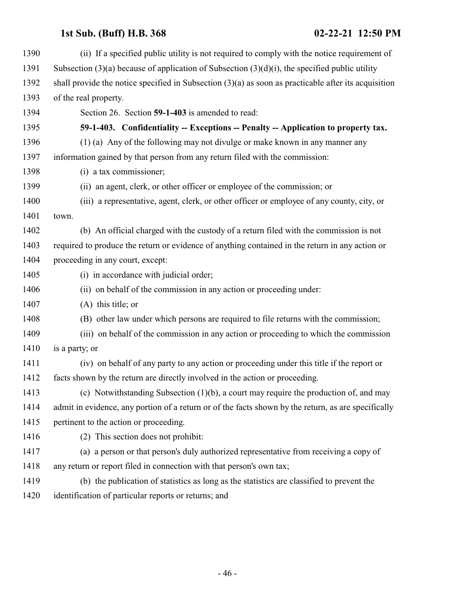<span id="page-45-0"></span>

| 1390 | (ii) If a specified public utility is not required to comply with the notice requirement of            |
|------|--------------------------------------------------------------------------------------------------------|
| 1391 | Subsection $(3)(a)$ because of application of Subsection $(3)(d)(i)$ , the specified public utility    |
| 1392 | shall provide the notice specified in Subsection $(3)(a)$ as soon as practicable after its acquisition |
| 1393 | of the real property.                                                                                  |
| 1394 | Section 26. Section 59-1-403 is amended to read:                                                       |
| 1395 | 59-1-403. Confidentiality -- Exceptions -- Penalty -- Application to property tax.                     |
| 1396 | (1) (a) Any of the following may not divulge or make known in any manner any                           |
| 1397 | information gained by that person from any return filed with the commission:                           |
| 1398 | (i) a tax commissioner;                                                                                |
| 1399 | (ii) an agent, clerk, or other officer or employee of the commission; or                               |
| 1400 | (iii) a representative, agent, clerk, or other officer or employee of any county, city, or             |
| 1401 | town.                                                                                                  |
| 1402 | (b) An official charged with the custody of a return filed with the commission is not                  |
| 1403 | required to produce the return or evidence of anything contained in the return in any action or        |
| 1404 | proceeding in any court, except:                                                                       |
| 1405 | (i) in accordance with judicial order;                                                                 |
| 1406 | (ii) on behalf of the commission in any action or proceeding under:                                    |
| 1407 | $(A)$ this title; or                                                                                   |
| 1408 | (B) other law under which persons are required to file returns with the commission;                    |
| 1409 | (iii) on behalf of the commission in any action or proceeding to which the commission                  |
| 1410 | is a party; or                                                                                         |
| 1411 | (iv) on behalf of any party to any action or proceeding under this title if the report or              |
| 1412 | facts shown by the return are directly involved in the action or proceeding.                           |
| 1413 | (c) Notwithstanding Subsection $(1)(b)$ , a court may require the production of, and may               |
| 1414 | admit in evidence, any portion of a return or of the facts shown by the return, as are specifically    |
| 1415 | pertinent to the action or proceeding.                                                                 |
| 1416 | (2) This section does not prohibit:                                                                    |
| 1417 | (a) a person or that person's duly authorized representative from receiving a copy of                  |
| 1418 | any return or report filed in connection with that person's own tax;                                   |
| 1419 | (b) the publication of statistics as long as the statistics are classified to prevent the              |
| 1420 | identification of particular reports or returns; and                                                   |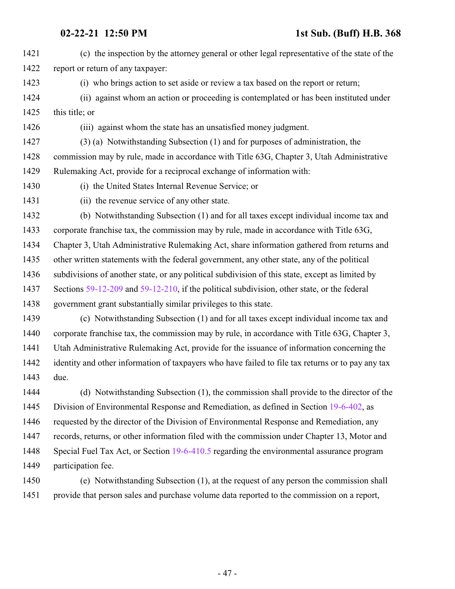(c) the inspection by the attorney general or other legal representative of the state of the report or return of any taxpayer: (i) who brings action to set aside or review a tax based on the report or return; (ii) against whom an action or proceeding is contemplated or has been instituted under 1425 this title; or (iii) against whom the state has an unsatisfied money judgment. (3) (a) Notwithstanding Subsection (1) and for purposes of administration, the commission may by rule, made in accordance with Title 63G, Chapter 3, Utah Administrative Rulemaking Act, provide for a reciprocal exchange of information with: (i) the United States Internal Revenue Service; or (ii) the revenue service of any other state. (b) Notwithstanding Subsection (1) and for all taxes except individual income tax and corporate franchise tax, the commission may by rule, made in accordance with Title 63G, Chapter 3, Utah Administrative Rulemaking Act, share information gathered from returns and other written statements with the federal government, any other state, any of the political 1436 subdivisions of another state, or any political subdivision of this state, except as limited by Sections [59-12-209](http://le.utah.gov/UtahCode/SectionLookup.jsp?section=59-12-209&session=2021GS) and [59-12-210](http://le.utah.gov/UtahCode/SectionLookup.jsp?section=59-12-210&session=2021GS), if the political subdivision, other state, or the federal government grant substantially similar privileges to this state. (c) Notwithstanding Subsection (1) and for all taxes except individual income tax and corporate franchise tax, the commission may by rule, in accordance with Title 63G, Chapter 3,

 Utah Administrative Rulemaking Act, provide for the issuance of information concerning the identity and other information of taxpayers who have failed to file tax returns or to pay any tax due.

 (d) Notwithstanding Subsection (1), the commission shall provide to the director of the Division of Environmental Response and Remediation, as defined in Section [19-6-402](http://le.utah.gov/UtahCode/SectionLookup.jsp?section=19-6-402&session=2021GS), as requested by the director of the Division of Environmental Response and Remediation, any records, returns, or other information filed with the commission under Chapter 13, Motor and Special Fuel Tax Act, or Section [19-6-410.5](http://le.utah.gov/UtahCode/SectionLookup.jsp?section=19-6-410.5&session=2021GS) regarding the environmental assurance program participation fee.

 (e) Notwithstanding Subsection (1), at the request of any person the commission shall provide that person sales and purchase volume data reported to the commission on a report,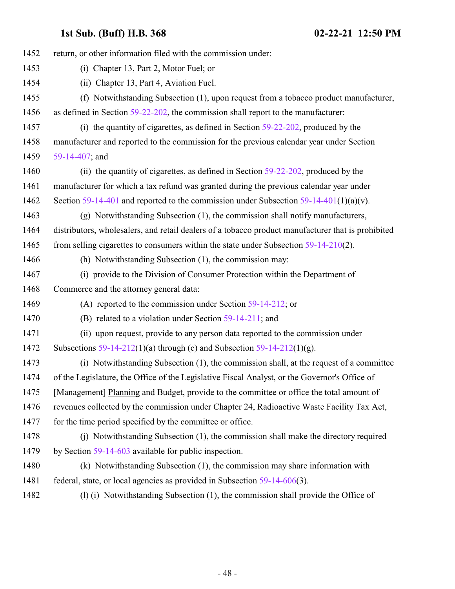| 1452 | return, or other information filed with the commission under:                                      |
|------|----------------------------------------------------------------------------------------------------|
| 1453 | (i) Chapter 13, Part 2, Motor Fuel; or                                                             |
| 1454 | (ii) Chapter 13, Part 4, Aviation Fuel.                                                            |
| 1455 | (f) Notwithstanding Subsection (1), upon request from a tobacco product manufacturer,              |
| 1456 | as defined in Section 59-22-202, the commission shall report to the manufacturer:                  |
| 1457 | (i) the quantity of cigarettes, as defined in Section $59-22-202$ , produced by the                |
| 1458 | manufacturer and reported to the commission for the previous calendar year under Section           |
| 1459 | 59-14-407; and                                                                                     |
| 1460 | (ii) the quantity of cigarettes, as defined in Section 59-22-202, produced by the                  |
| 1461 | manufacturer for which a tax refund was granted during the previous calendar year under            |
| 1462 | Section 59-14-401 and reported to the commission under Subsection 59-14-401(1)(a)(v).              |
| 1463 | (g) Notwithstanding Subsection (1), the commission shall notify manufacturers,                     |
| 1464 | distributors, wholesalers, and retail dealers of a tobacco product manufacturer that is prohibited |
| 1465 | from selling cigarettes to consumers within the state under Subsection 59-14-210(2).               |
| 1466 | (h) Notwithstanding Subsection (1), the commission may:                                            |
| 1467 | (i) provide to the Division of Consumer Protection within the Department of                        |
| 1468 | Commerce and the attorney general data:                                                            |
| 1469 | (A) reported to the commission under Section $59-14-212$ ; or                                      |
| 1470 | (B) related to a violation under Section 59-14-211; and                                            |
| 1471 | (ii) upon request, provide to any person data reported to the commission under                     |
| 1472 | Subsections 59-14-212(1)(a) through (c) and Subsection 59-14-212(1)(g).                            |
| 1473 | (i) Notwithstanding Subsection (1), the commission shall, at the request of a committee            |
| 1474 | of the Legislature, the Office of the Legislative Fiscal Analyst, or the Governor's Office of      |
| 1475 | [Management] Planning and Budget, provide to the committee or office the total amount of           |
| 1476 | revenues collected by the commission under Chapter 24, Radioactive Waste Facility Tax Act,         |
| 1477 | for the time period specified by the committee or office.                                          |
| 1478 | (i) Notwithstanding Subsection (1), the commission shall make the directory required               |
| 1479 | by Section $59-14-603$ available for public inspection.                                            |
| 1480 | (k) Notwithstanding Subsection (1), the commission may share information with                      |
| 1481 | federal, state, or local agencies as provided in Subsection $59-14-606(3)$ .                       |
| 1482 | (1) (i) Notwithstanding Subsection (1), the commission shall provide the Office of                 |
|      |                                                                                                    |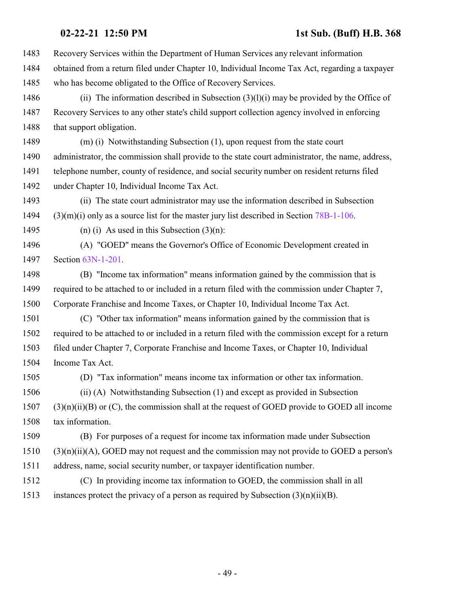- Recovery Services within the Department of Human Services any relevant information
- obtained from a return filed under Chapter 10, Individual Income Tax Act, regarding a taxpayer who has become obligated to the Office of Recovery Services.
- (ii) The information described in Subsection (3)(l)(i) may be provided by the Office of Recovery Services to any other state's child support collection agency involved in enforcing 1488 that support obligation.
- (m) (i) Notwithstanding Subsection (1), upon request from the state court 1490 administrator, the commission shall provide to the state court administrator, the name, address, telephone number, county of residence, and social security number on resident returns filed under Chapter 10, Individual Income Tax Act.
- (ii) The state court administrator may use the information described in Subsection 1494  $(3)(m)(i)$  only as a source list for the master jury list described in Section [78B-1-106](http://le.utah.gov/UtahCode/SectionLookup.jsp?section=78b-1-106&session=2021GS).
- 1495 (n) (i) As used in this Subsection  $(3)(n)$ :
- (A) "GOED" means the Governor's Office of Economic Development created in Section [63N-1-201](http://le.utah.gov/UtahCode/SectionLookup.jsp?section=63n-1-201&session=2021GS).
- (B) "Income tax information" means information gained by the commission that is required to be attached to or included in a return filed with the commission under Chapter 7, Corporate Franchise and Income Taxes, or Chapter 10, Individual Income Tax Act.
- (C) "Other tax information" means information gained by the commission that is required to be attached to or included in a return filed with the commission except for a return filed under Chapter 7, Corporate Franchise and Income Taxes, or Chapter 10, Individual Income Tax Act.
- (D) "Tax information" means income tax information or other tax information.
- (ii) (A) Notwithstanding Subsection (1) and except as provided in Subsection (3)(n)(ii)(B) or (C), the commission shall at the request of GOED provide to GOED all income tax information.
- (B) For purposes of a request for income tax information made under Subsection  $(3)(n)(ii)(A)$ , GOED may not request and the commission may not provide to GOED a person's address, name, social security number, or taxpayer identification number.
- (C) In providing income tax information to GOED, the commission shall in all 1513 instances protect the privacy of a person as required by Subsection  $(3)(n)(ii)(B)$ .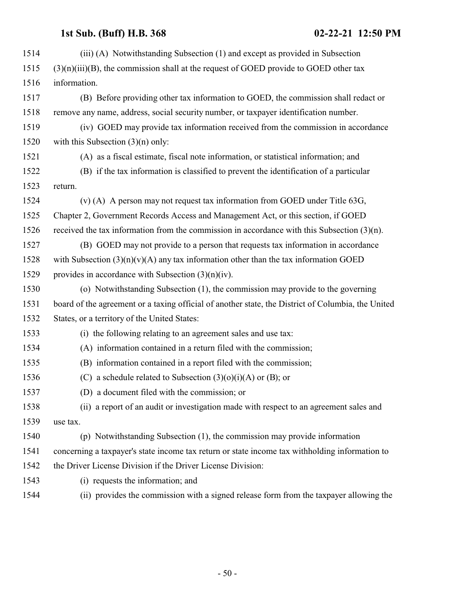| 1514 | (iii) (A) Notwithstanding Subsection (1) and except as provided in Subsection                      |
|------|----------------------------------------------------------------------------------------------------|
| 1515 | $(3)(n)(iii)(B)$ , the commission shall at the request of GOED provide to GOED other tax           |
| 1516 | information.                                                                                       |
| 1517 | (B) Before providing other tax information to GOED, the commission shall redact or                 |
| 1518 | remove any name, address, social security number, or taxpayer identification number.               |
| 1519 | (iv) GOED may provide tax information received from the commission in accordance                   |
| 1520 | with this Subsection $(3)(n)$ only:                                                                |
| 1521 | (A) as a fiscal estimate, fiscal note information, or statistical information; and                 |
| 1522 | (B) if the tax information is classified to prevent the identification of a particular             |
| 1523 | return.                                                                                            |
| 1524 | (v) (A) A person may not request tax information from GOED under Title $63G$ ,                     |
| 1525 | Chapter 2, Government Records Access and Management Act, or this section, if GOED                  |
| 1526 | received the tax information from the commission in accordance with this Subsection $(3)(n)$ .     |
| 1527 | (B) GOED may not provide to a person that requests tax information in accordance                   |
| 1528 | with Subsection $(3)(n)(v)(A)$ any tax information other than the tax information GOED             |
| 1529 | provides in accordance with Subsection $(3)(n)(iv)$ .                                              |
| 1530 | (o) Notwithstanding Subsection (1), the commission may provide to the governing                    |
| 1531 | board of the agreement or a taxing official of another state, the District of Columbia, the United |
| 1532 | States, or a territory of the United States:                                                       |
| 1533 | (i) the following relating to an agreement sales and use tax:                                      |
| 1534 | (A) information contained in a return filed with the commission;                                   |
| 1535 | (B) information contained in a report filed with the commission;                                   |
| 1536 | (C) a schedule related to Subsection $(3)(0)(i)(A)$ or (B); or                                     |
| 1537 | (D) a document filed with the commission; or                                                       |
| 1538 | (ii) a report of an audit or investigation made with respect to an agreement sales and             |
| 1539 | use tax.                                                                                           |
| 1540 | (p) Notwithstanding Subsection (1), the commission may provide information                         |
| 1541 | concerning a taxpayer's state income tax return or state income tax withholding information to     |
| 1542 | the Driver License Division if the Driver License Division:                                        |
| 1543 | (i) requests the information; and                                                                  |
| 1544 | (ii) provides the commission with a signed release form from the taxpayer allowing the             |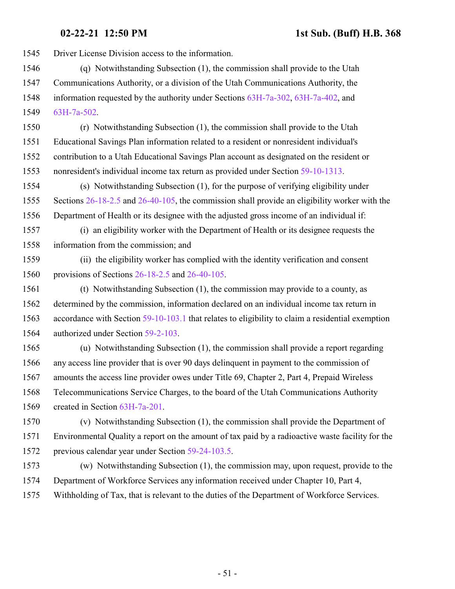Driver License Division access to the information.

- (q) Notwithstanding Subsection (1), the commission shall provide to the Utah Communications Authority, or a division of the Utah Communications Authority, the information requested by the authority under Sections [63H-7a-302](http://le.utah.gov/UtahCode/SectionLookup.jsp?section=63h-7a-302&session=2021GS), [63H-7a-402](http://le.utah.gov/UtahCode/SectionLookup.jsp?section=63h-7a-402&session=2021GS), and [63H-7a-502](http://le.utah.gov/UtahCode/SectionLookup.jsp?section=63h-7a-502&session=2021GS).
- (r) Notwithstanding Subsection (1), the commission shall provide to the Utah Educational Savings Plan information related to a resident or nonresident individual's contribution to a Utah Educational Savings Plan account as designated on the resident or nonresident's individual income tax return as provided under Section [59-10-1313](http://le.utah.gov/UtahCode/SectionLookup.jsp?section=59-10-1313&session=2021GS).
- (s) Notwithstanding Subsection (1), for the purpose of verifying eligibility under 1555 Sections [26-18-2.5](http://le.utah.gov/UtahCode/SectionLookup.jsp?section=26-18-2.5&session=2021GS) and [26-40-105](http://le.utah.gov/UtahCode/SectionLookup.jsp?section=26-40-105&session=2021GS), the commission shall provide an eligibility worker with the Department of Health or its designee with the adjusted gross income of an individual if:
- (i) an eligibility worker with the Department of Health or its designee requests the information from the commission; and
- (ii) the eligibility worker has complied with the identity verification and consent provisions of Sections [26-18-2.5](http://le.utah.gov/UtahCode/SectionLookup.jsp?section=26-18-2.5&session=2021GS) and [26-40-105](http://le.utah.gov/UtahCode/SectionLookup.jsp?section=26-40-105&session=2021GS).
- (t) Notwithstanding Subsection (1), the commission may provide to a county, as determined by the commission, information declared on an individual income tax return in accordance with Section [59-10-103.1](http://le.utah.gov/UtahCode/SectionLookup.jsp?section=59-10-103.1&session=2021GS) that relates to eligibility to claim a residential exemption authorized under Section [59-2-103](http://le.utah.gov/UtahCode/SectionLookup.jsp?section=59-2-103&session=2021GS).
- (u) Notwithstanding Subsection (1), the commission shall provide a report regarding any access line provider that is over 90 days delinquent in payment to the commission of amounts the access line provider owes under Title 69, Chapter 2, Part 4, Prepaid Wireless Telecommunications Service Charges, to the board of the Utah Communications Authority created in Section [63H-7a-201](http://le.utah.gov/UtahCode/SectionLookup.jsp?section=63h-7a-201&session=2021GS).
- (v) Notwithstanding Subsection (1), the commission shall provide the Department of Environmental Quality a report on the amount of tax paid by a radioactive waste facility for the previous calendar year under Section [59-24-103.5](http://le.utah.gov/UtahCode/SectionLookup.jsp?section=59-24-103.5&session=2021GS).
- (w) Notwithstanding Subsection (1), the commission may, upon request, provide to the Department of Workforce Services any information received under Chapter 10, Part 4, Withholding of Tax, that is relevant to the duties of the Department of Workforce Services.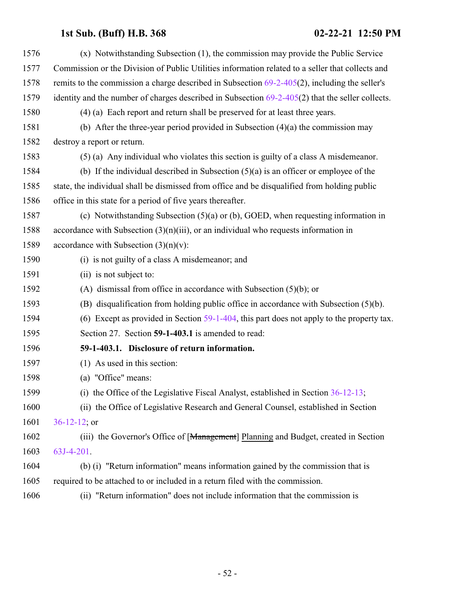| 1576 | (x) Notwithstanding Subsection (1), the commission may provide the Public Service                  |
|------|----------------------------------------------------------------------------------------------------|
| 1577 | Commission or the Division of Public Utilities information related to a seller that collects and   |
| 1578 | remits to the commission a charge described in Subsection $69-2-405(2)$ , including the seller's   |
| 1579 | identity and the number of charges described in Subsection $69-2-405(2)$ that the seller collects. |
| 1580 | (4) (a) Each report and return shall be preserved for at least three years.                        |
| 1581 | (b) After the three-year period provided in Subsection $(4)(a)$ the commission may                 |
| 1582 | destroy a report or return.                                                                        |
| 1583 | (5) (a) Any individual who violates this section is guilty of a class A misdemeanor.               |
| 1584 | (b) If the individual described in Subsection $(5)(a)$ is an officer or employee of the            |
| 1585 | state, the individual shall be dismissed from office and be disqualified from holding public       |
| 1586 | office in this state for a period of five years thereafter.                                        |
| 1587 | (c) Notwithstanding Subsection $(5)(a)$ or (b), GOED, when requesting information in               |
| 1588 | accordance with Subsection $(3)(n)(iii)$ , or an individual who requests information in            |
| 1589 | accordance with Subsection $(3)(n)(v)$ :                                                           |
| 1590 | (i) is not guilty of a class A misdemeanor; and                                                    |
| 1591 | (ii) is not subject to:                                                                            |
| 1592 | (A) dismissal from office in accordance with Subsection $(5)(b)$ ; or                              |
| 1593 | (B) disqualification from holding public office in accordance with Subsection $(5)(b)$ .           |
| 1594 | (6) Except as provided in Section $59-1-404$ , this part does not apply to the property tax.       |
| 1595 | Section 27. Section 59-1-403.1 is amended to read:                                                 |
| 1596 | 59-1-403.1. Disclosure of return information.                                                      |
| 1597 | (1) As used in this section:                                                                       |
| 1598 | (a) "Office" means:                                                                                |
| 1599 | (i) the Office of the Legislative Fiscal Analyst, established in Section $36-12-13$ ;              |
| 1600 | (ii) the Office of Legislative Research and General Counsel, established in Section                |
| 1601 | $36-12-12$ ; or                                                                                    |
| 1602 | (iii) the Governor's Office of [Management] Planning and Budget, created in Section                |
| 1603 | 63J-4-201.                                                                                         |
| 1604 | (b) (i) "Return information" means information gained by the commission that is                    |
| 1605 | required to be attached to or included in a return filed with the commission.                      |
| 1606 | "Return information" does not include information that the commission is<br>(ii)                   |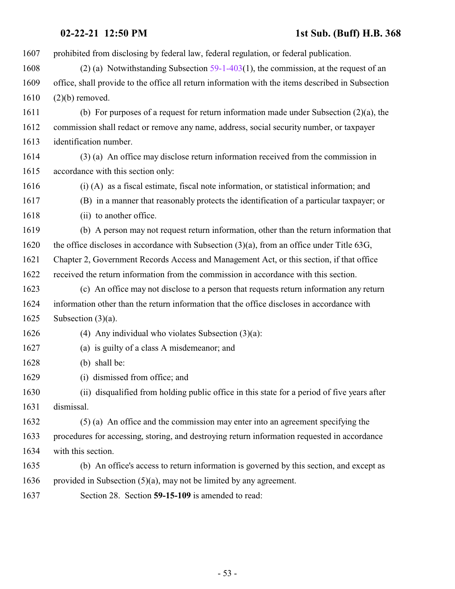prohibited from disclosing by federal law, federal regulation, or federal publication.

- (2) (a) Notwithstanding Subsection [59-1-403](#page-45-0)(1), the commission, at the request of an office, shall provide to the office all return information with the items described in Subsection (2)(b) removed.
- (b) For purposes of a request for return information made under Subsection (2)(a), the commission shall redact or remove any name, address, social security number, or taxpayer identification number.
- (3) (a) An office may disclose return information received from the commission in accordance with this section only:
- (i) (A) as a fiscal estimate, fiscal note information, or statistical information; and
- (B) in a manner that reasonably protects the identification of a particular taxpayer; or
- 1618 (ii) to another office.
- (b) A person may not request return information, other than the return information that the office discloses in accordance with Subsection (3)(a), from an office under Title 63G,
- Chapter 2, Government Records Access and Management Act, or this section, if that office
- received the return information from the commission in accordance with this section.
- (c) An office may not disclose to a person that requests return information any return information other than the return information that the office discloses in accordance with 1625 Subsection  $(3)(a)$ .
- (4) Any individual who violates Subsection (3)(a):
- (a) is guilty of a class A misdemeanor; and
- (b) shall be:
- (i) dismissed from office; and
- (ii) disqualified from holding public office in this state for a period of five years after dismissal.
- (5) (a) An office and the commission may enter into an agreement specifying the procedures for accessing, storing, and destroying return information requested in accordance with this section.
- (b) An office's access to return information is governed by this section, and except as provided in Subsection (5)(a), may not be limited by any agreement.
- Section 28. Section **59-15-109** is amended to read: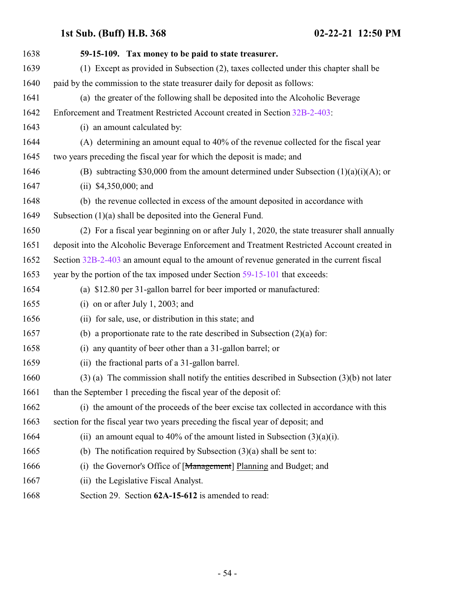| 1638 | 59-15-109. Tax money to be paid to state treasurer.                                           |
|------|-----------------------------------------------------------------------------------------------|
| 1639 | (1) Except as provided in Subsection (2), taxes collected under this chapter shall be         |
| 1640 | paid by the commission to the state treasurer daily for deposit as follows:                   |
| 1641 | (a) the greater of the following shall be deposited into the Alcoholic Beverage               |
| 1642 | Enforcement and Treatment Restricted Account created in Section 32B-2-403:                    |
| 1643 | (i) an amount calculated by:                                                                  |
| 1644 | (A) determining an amount equal to 40% of the revenue collected for the fiscal year           |
| 1645 | two years preceding the fiscal year for which the deposit is made; and                        |
| 1646 | (B) subtracting \$30,000 from the amount determined under Subsection $(1)(a)(i)(A)$ ; or      |
| 1647 | (ii) $$4,350,000$ ; and                                                                       |
| 1648 | (b) the revenue collected in excess of the amount deposited in accordance with                |
| 1649 | Subsection (1)(a) shall be deposited into the General Fund.                                   |
| 1650 | (2) For a fiscal year beginning on or after July 1, 2020, the state treasurer shall annually  |
| 1651 | deposit into the Alcoholic Beverage Enforcement and Treatment Restricted Account created in   |
| 1652 | Section 32B-2-403 an amount equal to the amount of revenue generated in the current fiscal    |
| 1653 | year by the portion of the tax imposed under Section 59-15-101 that exceeds:                  |
| 1654 | (a) \$12.80 per 31-gallon barrel for beer imported or manufactured:                           |
| 1655 | (i) on or after July 1, 2003; and                                                             |
| 1656 | (ii) for sale, use, or distribution in this state; and                                        |
| 1657 | (b) a proportionate rate to the rate described in Subsection $(2)(a)$ for:                    |
| 1658 | any quantity of beer other than a 31-gallon barrel; or<br>(i)                                 |
| 1659 | (ii) the fractional parts of a 31-gallon barrel.                                              |
| 1660 | $(3)$ (a) The commission shall notify the entities described in Subsection $(3)(b)$ not later |
| 1661 | than the September 1 preceding the fiscal year of the deposit of:                             |
| 1662 | (i) the amount of the proceeds of the beer excise tax collected in accordance with this       |
| 1663 | section for the fiscal year two years preceding the fiscal year of deposit; and               |
| 1664 | (ii) an amount equal to 40% of the amount listed in Subsection $(3)(a)(i)$ .                  |
| 1665 | (b) The notification required by Subsection $(3)(a)$ shall be sent to:                        |
| 1666 | the Governor's Office of [Management] Planning and Budget; and<br>(i)                         |
| 1667 | (ii) the Legislative Fiscal Analyst.                                                          |
| 1668 | Section 29. Section 62A-15-612 is amended to read:                                            |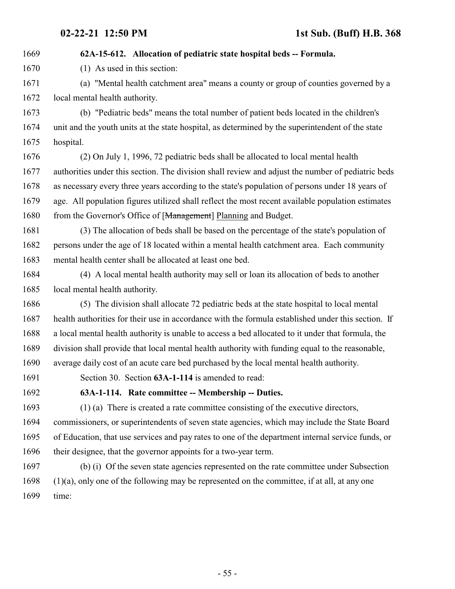### **62A-15-612. Allocation of pediatric state hospital beds -- Formula.**

(1) As used in this section:

 (a) "Mental health catchment area" means a county or group of counties governed by a local mental health authority.

 (b) "Pediatric beds" means the total number of patient beds located in the children's unit and the youth units at the state hospital, as determined by the superintendent of the state hospital.

 (2) On July 1, 1996, 72 pediatric beds shall be allocated to local mental health authorities under this section. The division shall review and adjust the number of pediatric beds as necessary every three years according to the state's population of persons under 18 years of age. All population figures utilized shall reflect the most recent available population estimates 1680 from the Governor's Office of [Management] Planning and Budget.

 (3) The allocation of beds shall be based on the percentage of the state's population of persons under the age of 18 located within a mental health catchment area. Each community mental health center shall be allocated at least one bed.

 (4) A local mental health authority may sell or loan its allocation of beds to another local mental health authority.

 (5) The division shall allocate 72 pediatric beds at the state hospital to local mental health authorities for their use in accordance with the formula established under this section. If a local mental health authority is unable to access a bed allocated to it under that formula, the division shall provide that local mental health authority with funding equal to the reasonable, average daily cost of an acute care bed purchased by the local mental health authority.

Section 30. Section **63A-1-114** is amended to read:

**63A-1-114. Rate committee -- Membership -- Duties.**

 (1) (a) There is created a rate committee consisting of the executive directors, commissioners, or superintendents of seven state agencies, which may include the State Board of Education, that use services and pay rates to one of the department internal service funds, or their designee, that the governor appoints for a two-year term.

 (b) (i) Of the seven state agencies represented on the rate committee under Subsection (1)(a), only one of the following may be represented on the committee, if at all, at any one time: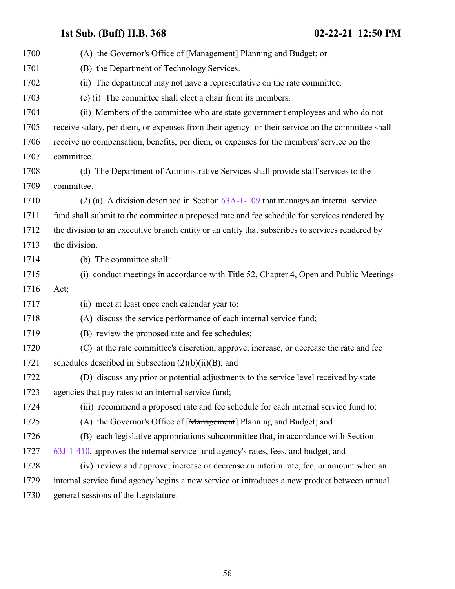| 1700 | (A) the Governor's Office of [Management] Planning and Budget; or                                |
|------|--------------------------------------------------------------------------------------------------|
| 1701 | (B) the Department of Technology Services.                                                       |
| 1702 | (ii) The department may not have a representative on the rate committee.                         |
| 1703 | (c) (i) The committee shall elect a chair from its members.                                      |
| 1704 | (ii) Members of the committee who are state government employees and who do not                  |
| 1705 | receive salary, per diem, or expenses from their agency for their service on the committee shall |
| 1706 | receive no compensation, benefits, per diem, or expenses for the members' service on the         |
| 1707 | committee.                                                                                       |
| 1708 | (d) The Department of Administrative Services shall provide staff services to the                |
| 1709 | committee.                                                                                       |
| 1710 | (2) (a) A division described in Section $63A-1-109$ that manages an internal service             |
| 1711 | fund shall submit to the committee a proposed rate and fee schedule for services rendered by     |
| 1712 | the division to an executive branch entity or an entity that subscribes to services rendered by  |
| 1713 | the division.                                                                                    |
| 1714 | (b) The committee shall:                                                                         |
| 1715 | (i) conduct meetings in accordance with Title 52, Chapter 4, Open and Public Meetings            |
| 1716 | Act;                                                                                             |
| 1717 | (ii) meet at least once each calendar year to:                                                   |
| 1718 | (A) discuss the service performance of each internal service fund;                               |
| 1719 | (B) review the proposed rate and fee schedules;                                                  |
| 1720 | (C) at the rate committee's discretion, approve, increase, or decrease the rate and fee          |
| 1721 | schedules described in Subsection $(2)(b)(ii)(B)$ ; and                                          |
| 1722 | (D) discuss any prior or potential adjustments to the service level received by state            |
| 1723 | agencies that pay rates to an internal service fund;                                             |
| 1724 | (iii) recommend a proposed rate and fee schedule for each internal service fund to:              |
| 1725 | (A) the Governor's Office of [Management] Planning and Budget; and                               |
| 1726 | (B) each legislative appropriations subcommittee that, in accordance with Section                |
| 1727 | 63J-1-410, approves the internal service fund agency's rates, fees, and budget; and              |
| 1728 | (iv) review and approve, increase or decrease an interim rate, fee, or amount when an            |
| 1729 | internal service fund agency begins a new service or introduces a new product between annual     |
| 1730 | general sessions of the Legislature.                                                             |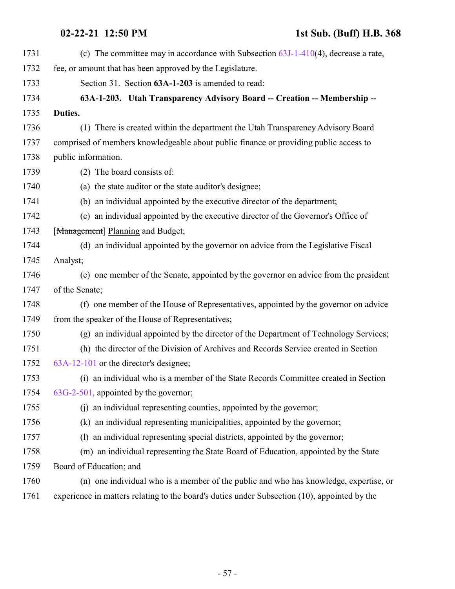| 1731 | (c) The committee may in accordance with Subsection $63J-1-410(4)$ , decrease a rate,        |
|------|----------------------------------------------------------------------------------------------|
| 1732 | fee, or amount that has been approved by the Legislature.                                    |
| 1733 | Section 31. Section 63A-1-203 is amended to read:                                            |
| 1734 | 63A-1-203. Utah Transparency Advisory Board -- Creation -- Membership --                     |
| 1735 | Duties.                                                                                      |
| 1736 | (1) There is created within the department the Utah Transparency Advisory Board              |
| 1737 | comprised of members knowledgeable about public finance or providing public access to        |
| 1738 | public information.                                                                          |
| 1739 | (2) The board consists of:                                                                   |
| 1740 | (a) the state auditor or the state auditor's designee;                                       |
| 1741 | (b) an individual appointed by the executive director of the department;                     |
| 1742 | (c) an individual appointed by the executive director of the Governor's Office of            |
| 1743 | [Management] Planning and Budget;                                                            |
| 1744 | (d) an individual appointed by the governor on advice from the Legislative Fiscal            |
| 1745 | Analyst;                                                                                     |
| 1746 | (e) one member of the Senate, appointed by the governor on advice from the president         |
| 1747 | of the Senate;                                                                               |
| 1748 | (f) one member of the House of Representatives, appointed by the governor on advice          |
| 1749 | from the speaker of the House of Representatives;                                            |
| 1750 | (g) an individual appointed by the director of the Department of Technology Services;        |
| 1751 | (h) the director of the Division of Archives and Records Service created in Section          |
| 1752 | 63A-12-101 or the director's designee;                                                       |
| 1753 | (i) an individual who is a member of the State Records Committee created in Section          |
| 1754 | 63G-2-501, appointed by the governor;                                                        |
| 1755 | (i) an individual representing counties, appointed by the governor;                          |
| 1756 | (k) an individual representing municipalities, appointed by the governor;                    |
| 1757 | (1) an individual representing special districts, appointed by the governor;                 |
| 1758 | (m) an individual representing the State Board of Education, appointed by the State          |
| 1759 | Board of Education; and                                                                      |
| 1760 | (n) one individual who is a member of the public and who has knowledge, expertise, or        |
| 1761 | experience in matters relating to the board's duties under Subsection (10), appointed by the |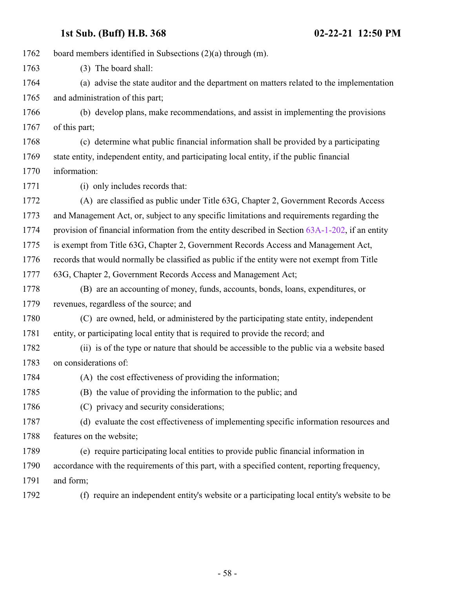board members identified in Subsections (2)(a) through (m). (3) The board shall: (a) advise the state auditor and the department on matters related to the implementation and administration of this part; (b) develop plans, make recommendations, and assist in implementing the provisions 1767 of this part; (c) determine what public financial information shall be provided by a participating state entity, independent entity, and participating local entity, if the public financial information: (i) only includes records that: (A) are classified as public under Title 63G, Chapter 2, Government Records Access and Management Act, or, subject to any specific limitations and requirements regarding the 1774 provision of financial information from the entity described in Section [63A-1-202](http://le.utah.gov/UtahCode/SectionLookup.jsp?section=63a-1-202&session=2021GS), if an entity is exempt from Title 63G, Chapter 2, Government Records Access and Management Act, records that would normally be classified as public if the entity were not exempt from Title 63G, Chapter 2, Government Records Access and Management Act; (B) are an accounting of money, funds, accounts, bonds, loans, expenditures, or revenues, regardless of the source; and (C) are owned, held, or administered by the participating state entity, independent entity, or participating local entity that is required to provide the record; and (ii) is of the type or nature that should be accessible to the public via a website based on considerations of: (A) the cost effectiveness of providing the information; (B) the value of providing the information to the public; and (C) privacy and security considerations; (d) evaluate the cost effectiveness of implementing specific information resources and features on the website; (e) require participating local entities to provide public financial information in accordance with the requirements of this part, with a specified content, reporting frequency, and form; (f) require an independent entity's website or a participating local entity's website to be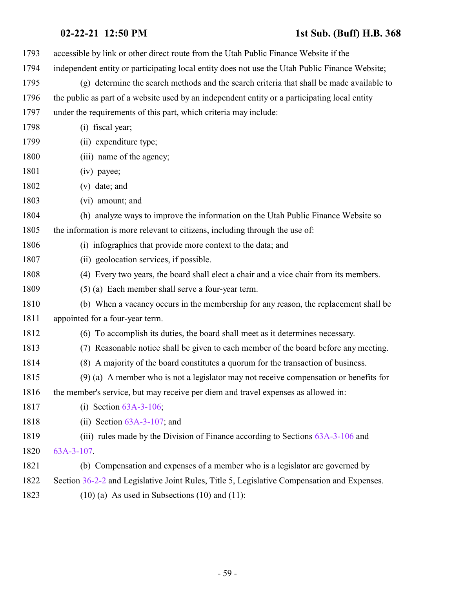| 1793 | accessible by link or other direct route from the Utah Public Finance Website if the           |
|------|------------------------------------------------------------------------------------------------|
| 1794 | independent entity or participating local entity does not use the Utah Public Finance Website; |
| 1795 | (g) determine the search methods and the search criteria that shall be made available to       |
| 1796 | the public as part of a website used by an independent entity or a participating local entity  |
| 1797 | under the requirements of this part, which criteria may include:                               |
| 1798 | (i) fiscal year;                                                                               |
| 1799 | (ii) expenditure type;                                                                         |
| 1800 | (iii) name of the agency;                                                                      |
| 1801 | (iv) payee;                                                                                    |
| 1802 | $(v)$ date; and                                                                                |
| 1803 | (vi) amount; and                                                                               |
| 1804 | (h) analyze ways to improve the information on the Utah Public Finance Website so              |
| 1805 | the information is more relevant to citizens, including through the use of:                    |
| 1806 | (i) infographics that provide more context to the data; and                                    |
| 1807 | (ii) geolocation services, if possible.                                                        |
| 1808 | (4) Every two years, the board shall elect a chair and a vice chair from its members.          |
| 1809 | (5) (a) Each member shall serve a four-year term.                                              |
| 1810 | (b) When a vacancy occurs in the membership for any reason, the replacement shall be           |
| 1811 | appointed for a four-year term.                                                                |
| 1812 | (6) To accomplish its duties, the board shall meet as it determines necessary.                 |
| 1813 | (7) Reasonable notice shall be given to each member of the board before any meeting.           |
| 1814 | (8) A majority of the board constitutes a quorum for the transaction of business.              |
| 1815 | $(9)$ (a) A member who is not a legislator may not receive compensation or benefits for        |
| 1816 | the member's service, but may receive per diem and travel expenses as allowed in:              |
| 1817 | (i) Section $63A-3-106$ ;                                                                      |
| 1818 | (ii) Section $63A-3-107$ ; and                                                                 |
| 1819 | (iii) rules made by the Division of Finance according to Sections $63A-3-106$ and              |
| 1820 | 63A-3-107.                                                                                     |
| 1821 | (b) Compensation and expenses of a member who is a legislator are governed by                  |
| 1822 | Section 36-2-2 and Legislative Joint Rules, Title 5, Legislative Compensation and Expenses.    |
| 1823 | $(10)$ (a) As used in Subsections $(10)$ and $(11)$ :                                          |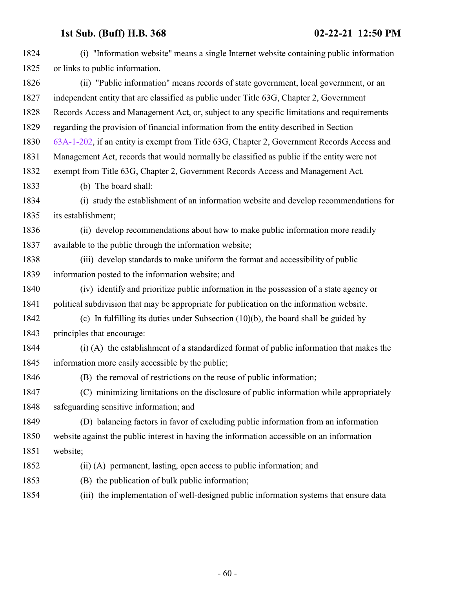| 1824 | (i) "Information website" means a single Internet website containing public information     |
|------|---------------------------------------------------------------------------------------------|
| 1825 | or links to public information.                                                             |
| 1826 | (ii) "Public information" means records of state government, local government, or an        |
| 1827 | independent entity that are classified as public under Title 63G, Chapter 2, Government     |
| 1828 | Records Access and Management Act, or, subject to any specific limitations and requirements |
| 1829 | regarding the provision of financial information from the entity described in Section       |
| 1830 | 63A-1-202, if an entity is exempt from Title 63G, Chapter 2, Government Records Access and  |
| 1831 | Management Act, records that would normally be classified as public if the entity were not  |
| 1832 | exempt from Title 63G, Chapter 2, Government Records Access and Management Act.             |
| 1833 | (b) The board shall:                                                                        |
| 1834 | (i) study the establishment of an information website and develop recommendations for       |
| 1835 | its establishment;                                                                          |
| 1836 | (ii) develop recommendations about how to make public information more readily              |
| 1837 | available to the public through the information website;                                    |
| 1838 | (iii) develop standards to make uniform the format and accessibility of public              |
| 1839 | information posted to the information website; and                                          |
| 1840 | (iv) identify and prioritize public information in the possession of a state agency or      |
| 1841 | political subdivision that may be appropriate for publication on the information website.   |
| 1842 | (c) In fulfilling its duties under Subsection $(10)(b)$ , the board shall be guided by      |
| 1843 | principles that encourage:                                                                  |
| 1844 | (i) (A) the establishment of a standardized format of public information that makes the     |
| 1845 | information more easily accessible by the public;                                           |
| 1846 | (B) the removal of restrictions on the reuse of public information;                         |
| 1847 | (C) minimizing limitations on the disclosure of public information while appropriately      |
| 1848 | safeguarding sensitive information; and                                                     |
| 1849 | (D) balancing factors in favor of excluding public information from an information          |
| 1850 | website against the public interest in having the information accessible on an information  |
| 1851 | website;                                                                                    |
| 1852 | (ii) (A) permanent, lasting, open access to public information; and                         |
| 1853 | (B) the publication of bulk public information;                                             |
| 1854 | (iii) the implementation of well-designed public information systems that ensure data       |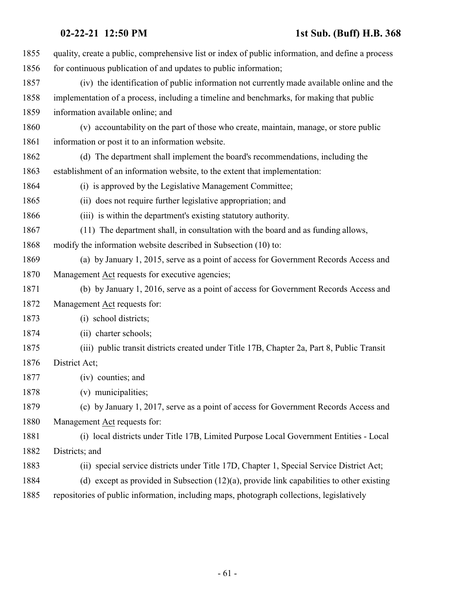| 1855 | quality, create a public, comprehensive list or index of public information, and define a process |
|------|---------------------------------------------------------------------------------------------------|
| 1856 | for continuous publication of and updates to public information;                                  |
| 1857 | (iv) the identification of public information not currently made available online and the         |
| 1858 | implementation of a process, including a timeline and benchmarks, for making that public          |
| 1859 | information available online; and                                                                 |
| 1860 | (v) accountability on the part of those who create, maintain, manage, or store public             |
| 1861 | information or post it to an information website.                                                 |
| 1862 | (d) The department shall implement the board's recommendations, including the                     |
| 1863 | establishment of an information website, to the extent that implementation:                       |
| 1864 | (i) is approved by the Legislative Management Committee;                                          |
| 1865 | (ii) does not require further legislative appropriation; and                                      |
| 1866 | (iii) is within the department's existing statutory authority.                                    |
| 1867 | (11) The department shall, in consultation with the board and as funding allows,                  |
| 1868 | modify the information website described in Subsection (10) to:                                   |
| 1869 | (a) by January 1, 2015, serve as a point of access for Government Records Access and              |
| 1870 | Management Act requests for executive agencies;                                                   |
| 1871 | (b) by January 1, 2016, serve as a point of access for Government Records Access and              |
| 1872 | Management Act requests for:                                                                      |
| 1873 | (i) school districts;                                                                             |
| 1874 | (ii) charter schools;                                                                             |
| 1875 | (iii) public transit districts created under Title 17B, Chapter 2a, Part 8, Public Transit        |
| 1876 | District Act;                                                                                     |
| 1877 | (iv) counties; and                                                                                |
| 1878 | (v) municipalities;                                                                               |
| 1879 | (c) by January 1, 2017, serve as a point of access for Government Records Access and              |
| 1880 | Management Act requests for:                                                                      |
| 1881 | (i) local districts under Title 17B, Limited Purpose Local Government Entities - Local            |
| 1882 | Districts; and                                                                                    |
| 1883 | (ii) special service districts under Title 17D, Chapter 1, Special Service District Act;          |
| 1884 | (d) except as provided in Subsection $(12)(a)$ , provide link capabilities to other existing      |
| 1885 | repositories of public information, including maps, photograph collections, legislatively         |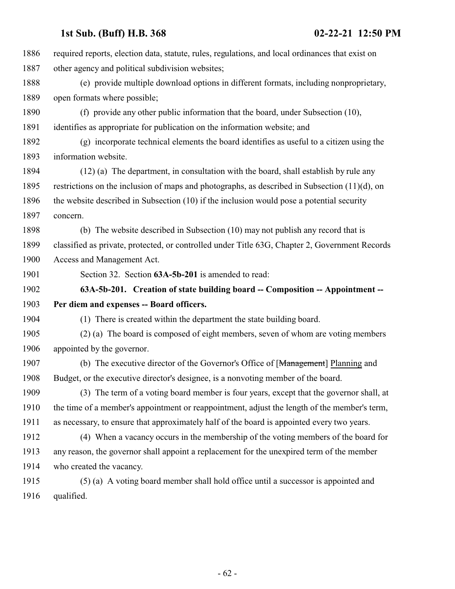| 1886 | required reports, election data, statute, rules, regulations, and local ordinances that exist on |
|------|--------------------------------------------------------------------------------------------------|
| 1887 | other agency and political subdivision websites;                                                 |
| 1888 | (e) provide multiple download options in different formats, including nonproprietary,            |
| 1889 | open formats where possible;                                                                     |
| 1890 | (f) provide any other public information that the board, under Subsection (10),                  |
| 1891 | identifies as appropriate for publication on the information website; and                        |
| 1892 | (g) incorporate technical elements the board identifies as useful to a citizen using the         |
| 1893 | information website.                                                                             |
| 1894 | (12) (a) The department, in consultation with the board, shall establish by rule any             |
| 1895 | restrictions on the inclusion of maps and photographs, as described in Subsection $(11)(d)$ , on |
| 1896 | the website described in Subsection (10) if the inclusion would pose a potential security        |
| 1897 | concern.                                                                                         |
| 1898 | (b) The website described in Subsection (10) may not publish any record that is                  |
| 1899 | classified as private, protected, or controlled under Title 63G, Chapter 2, Government Records   |
| 1900 | Access and Management Act.                                                                       |
| 1901 | Section 32. Section 63A-5b-201 is amended to read:                                               |
| 1902 | 63A-5b-201. Creation of state building board -- Composition -- Appointment --                    |
| 1903 | Per diem and expenses -- Board officers.                                                         |
| 1904 | (1) There is created within the department the state building board.                             |
| 1905 | (2) (a) The board is composed of eight members, seven of whom are voting members                 |
| 1906 | appointed by the governor.                                                                       |
| 1907 | (b) The executive director of the Governor's Office of [Management] Planning and                 |
| 1908 | Budget, or the executive director's designee, is a nonvoting member of the board.                |
| 1909 | (3) The term of a voting board member is four years, except that the governor shall, at          |
| 1910 | the time of a member's appointment or reappointment, adjust the length of the member's term,     |
| 1911 | as necessary, to ensure that approximately half of the board is appointed every two years.       |
| 1912 | (4) When a vacancy occurs in the membership of the voting members of the board for               |
| 1913 | any reason, the governor shall appoint a replacement for the unexpired term of the member        |
| 1914 | who created the vacancy.                                                                         |
| 1915 | (5) (a) A voting board member shall hold office until a successor is appointed and               |
| 1916 | qualified.                                                                                       |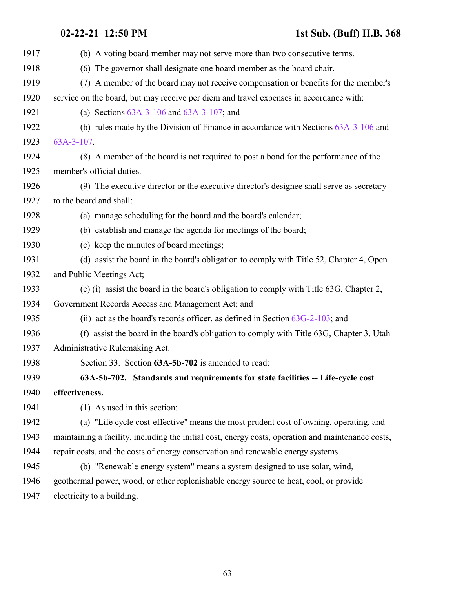| 1917 | (b) A voting board member may not serve more than two consecutive terms.                           |
|------|----------------------------------------------------------------------------------------------------|
| 1918 | (6) The governor shall designate one board member as the board chair.                              |
| 1919 | (7) A member of the board may not receive compensation or benefits for the member's                |
| 1920 | service on the board, but may receive per diem and travel expenses in accordance with:             |
| 1921 | (a) Sections $63A-3-106$ and $63A-3-107$ ; and                                                     |
| 1922 | (b) rules made by the Division of Finance in accordance with Sections $63A-3-106$ and              |
| 1923 | 63A-3-107.                                                                                         |
| 1924 | (8) A member of the board is not required to post a bond for the performance of the                |
| 1925 | member's official duties.                                                                          |
| 1926 | (9) The executive director or the executive director's designee shall serve as secretary           |
| 1927 | to the board and shall:                                                                            |
| 1928 | (a) manage scheduling for the board and the board's calendar;                                      |
| 1929 | (b) establish and manage the agenda for meetings of the board;                                     |
| 1930 | (c) keep the minutes of board meetings;                                                            |
| 1931 | (d) assist the board in the board's obligation to comply with Title 52, Chapter 4, Open            |
| 1932 | and Public Meetings Act;                                                                           |
| 1933 | (e) (i) assist the board in the board's obligation to comply with Title 63G, Chapter 2,            |
| 1934 | Government Records Access and Management Act; and                                                  |
| 1935 | (ii) act as the board's records officer, as defined in Section $63G-2-103$ ; and                   |
| 1936 | (f) assist the board in the board's obligation to comply with Title 63G, Chapter 3, Utah           |
| 1937 | Administrative Rulemaking Act.                                                                     |
| 1938 | Section 33. Section 63A-5b-702 is amended to read:                                                 |
| 1939 | 63A-5b-702. Standards and requirements for state facilities -- Life-cycle cost                     |
| 1940 | effectiveness.                                                                                     |
| 1941 | (1) As used in this section:                                                                       |
| 1942 | (a) "Life cycle cost-effective" means the most prudent cost of owning, operating, and              |
| 1943 | maintaining a facility, including the initial cost, energy costs, operation and maintenance costs, |
| 1944 | repair costs, and the costs of energy conservation and renewable energy systems.                   |
| 1945 | (b) "Renewable energy system" means a system designed to use solar, wind,                          |
| 1946 | geothermal power, wood, or other replenishable energy source to heat, cool, or provide             |
| 1947 | electricity to a building.                                                                         |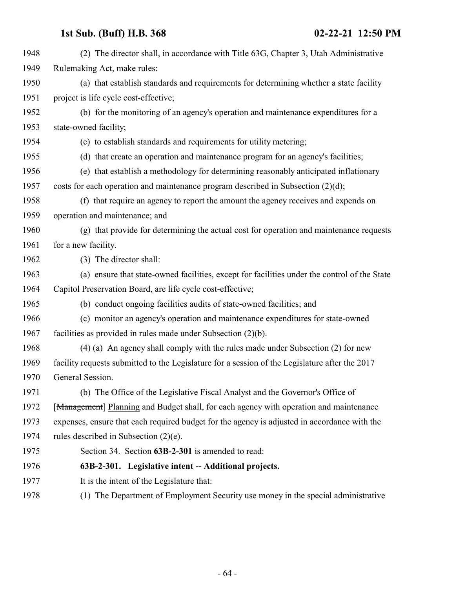| 1948 | (2) The director shall, in accordance with Title 63G, Chapter 3, Utah Administrative           |
|------|------------------------------------------------------------------------------------------------|
| 1949 | Rulemaking Act, make rules:                                                                    |
| 1950 | (a) that establish standards and requirements for determining whether a state facility         |
| 1951 | project is life cycle cost-effective;                                                          |
| 1952 | (b) for the monitoring of an agency's operation and maintenance expenditures for a             |
| 1953 | state-owned facility;                                                                          |
| 1954 | (c) to establish standards and requirements for utility metering;                              |
| 1955 | (d) that create an operation and maintenance program for an agency's facilities;               |
| 1956 | (e) that establish a methodology for determining reasonably anticipated inflationary           |
| 1957 | costs for each operation and maintenance program described in Subsection $(2)(d)$ ;            |
| 1958 | (f) that require an agency to report the amount the agency receives and expends on             |
| 1959 | operation and maintenance; and                                                                 |
| 1960 | (g) that provide for determining the actual cost for operation and maintenance requests        |
| 1961 | for a new facility.                                                                            |
| 1962 | (3) The director shall:                                                                        |
| 1963 | (a) ensure that state-owned facilities, except for facilities under the control of the State   |
| 1964 | Capitol Preservation Board, are life cycle cost-effective;                                     |
| 1965 | (b) conduct ongoing facilities audits of state-owned facilities; and                           |
| 1966 | (c) monitor an agency's operation and maintenance expenditures for state-owned                 |
| 1967 | facilities as provided in rules made under Subsection $(2)(b)$ .                               |
| 1968 | (4) (a) An agency shall comply with the rules made under Subsection (2) for new                |
| 1969 | facility requests submitted to the Legislature for a session of the Legislature after the 2017 |
| 1970 | General Session.                                                                               |
| 1971 | (b) The Office of the Legislative Fiscal Analyst and the Governor's Office of                  |
| 1972 | [Management] Planning and Budget shall, for each agency with operation and maintenance         |
| 1973 | expenses, ensure that each required budget for the agency is adjusted in accordance with the   |
| 1974 | rules described in Subsection $(2)(e)$ .                                                       |
| 1975 | Section 34. Section 63B-2-301 is amended to read:                                              |
| 1976 | 63B-2-301. Legislative intent -- Additional projects.                                          |
| 1977 | It is the intent of the Legislature that:                                                      |
| 1978 | (1) The Department of Employment Security use money in the special administrative              |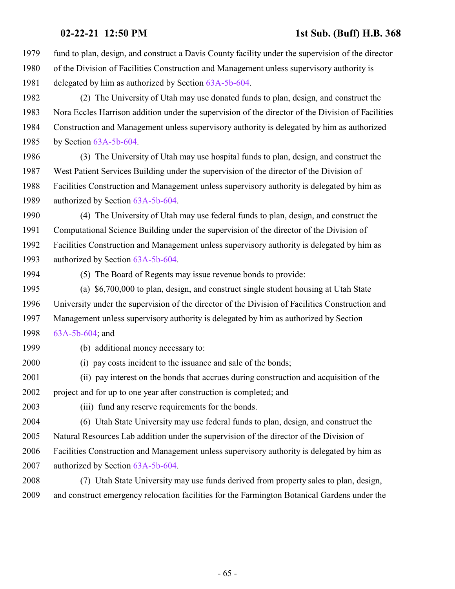- fund to plan, design, and construct a Davis County facility under the supervision of the director of the Division of Facilities Construction and Management unless supervisory authority is delegated by him as authorized by Section [63A-5b-604](http://le.utah.gov/UtahCode/SectionLookup.jsp?section=63a-5b-604&session=2021GS).
- (2) The University of Utah may use donated funds to plan, design, and construct the Nora Eccles Harrison addition under the supervision of the director of the Division of Facilities Construction and Management unless supervisory authority is delegated by him as authorized by Section [63A-5b-604](http://le.utah.gov/UtahCode/SectionLookup.jsp?section=63a-5b-604&session=2021GS).
- (3) The University of Utah may use hospital funds to plan, design, and construct the West Patient Services Building under the supervision of the director of the Division of Facilities Construction and Management unless supervisory authority is delegated by him as authorized by Section [63A-5b-604](http://le.utah.gov/UtahCode/SectionLookup.jsp?section=63a-5b-604&session=2021GS).
- (4) The University of Utah may use federal funds to plan, design, and construct the Computational Science Building under the supervision of the director of the Division of Facilities Construction and Management unless supervisory authority is delegated by him as authorized by Section [63A-5b-604](http://le.utah.gov/UtahCode/SectionLookup.jsp?section=63a-5b-604&session=2021GS).
- 

(5) The Board of Regents may issue revenue bonds to provide:

- (a) \$6,700,000 to plan, design, and construct single student housing at Utah State University under the supervision of the director of the Division of Facilities Construction and Management unless supervisory authority is delegated by him as authorized by Section [63A-5b-604](http://le.utah.gov/UtahCode/SectionLookup.jsp?section=63a-5b-604&session=2021GS); and
- 

(b) additional money necessary to:

- (i) pay costs incident to the issuance and sale of the bonds;
- (ii) pay interest on the bonds that accrues during construction and acquisition of the project and for up to one year after construction is completed; and
- 
- (iii) fund any reserve requirements for the bonds.
- (6) Utah State University may use federal funds to plan, design, and construct the Natural Resources Lab addition under the supervision of the director of the Division of Facilities Construction and Management unless supervisory authority is delegated by him as authorized by Section [63A-5b-604](http://le.utah.gov/UtahCode/SectionLookup.jsp?section=63a-5b-604&session=2021GS).
- (7) Utah State University may use funds derived from property sales to plan, design, and construct emergency relocation facilities for the Farmington Botanical Gardens under the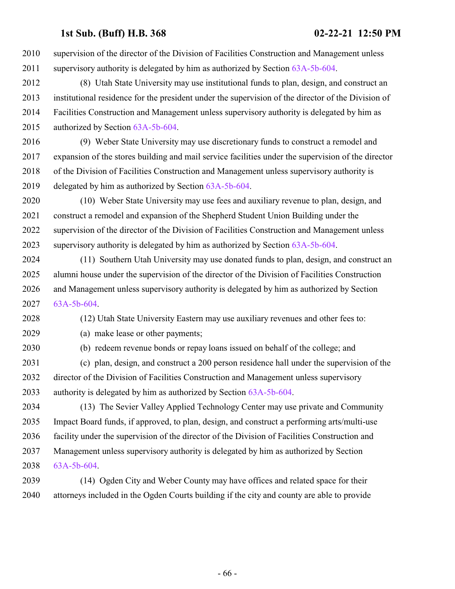supervision of the director of the Division of Facilities Construction and Management unless supervisory authority is delegated by him as authorized by Section [63A-5b-604](http://le.utah.gov/UtahCode/SectionLookup.jsp?section=63a-5b-604&session=2021GS).

 (8) Utah State University may use institutional funds to plan, design, and construct an institutional residence for the president under the supervision of the director of the Division of Facilities Construction and Management unless supervisory authority is delegated by him as authorized by Section [63A-5b-604](http://le.utah.gov/UtahCode/SectionLookup.jsp?section=63a-5b-604&session=2021GS).

 (9) Weber State University may use discretionary funds to construct a remodel and expansion of the stores building and mail service facilities under the supervision of the director of the Division of Facilities Construction and Management unless supervisory authority is delegated by him as authorized by Section [63A-5b-604](http://le.utah.gov/UtahCode/SectionLookup.jsp?section=63a-5b-604&session=2021GS).

 (10) Weber State University may use fees and auxiliary revenue to plan, design, and construct a remodel and expansion of the Shepherd Student Union Building under the supervision of the director of the Division of Facilities Construction and Management unless supervisory authority is delegated by him as authorized by Section [63A-5b-604](http://le.utah.gov/UtahCode/SectionLookup.jsp?section=63a-5b-604&session=2021GS).

 (11) Southern Utah University may use donated funds to plan, design, and construct an alumni house under the supervision of the director of the Division of Facilities Construction and Management unless supervisory authority is delegated by him as authorized by Section [63A-5b-604](http://le.utah.gov/UtahCode/SectionLookup.jsp?section=63a-5b-604&session=2021GS).

(12) Utah State University Eastern may use auxiliary revenues and other fees to:

(a) make lease or other payments;

(b) redeem revenue bonds or repay loans issued on behalf of the college; and

 (c) plan, design, and construct a 200 person residence hall under the supervision of the director of the Division of Facilities Construction and Management unless supervisory authority is delegated by him as authorized by Section [63A-5b-604](http://le.utah.gov/UtahCode/SectionLookup.jsp?section=63a-5b-604&session=2021GS).

 (13) The Sevier Valley Applied Technology Center may use private and Community Impact Board funds, if approved, to plan, design, and construct a performing arts/multi-use facility under the supervision of the director of the Division of Facilities Construction and Management unless supervisory authority is delegated by him as authorized by Section [63A-5b-604](http://le.utah.gov/UtahCode/SectionLookup.jsp?section=63a-5b-604&session=2021GS).

 (14) Ogden City and Weber County may have offices and related space for their attorneys included in the Ogden Courts building if the city and county are able to provide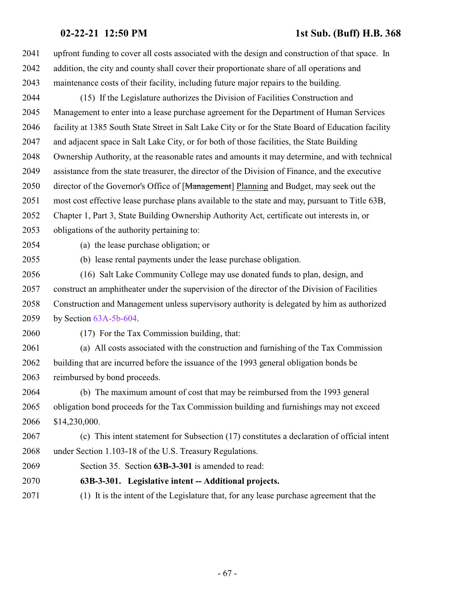upfront funding to cover all costs associated with the design and construction of that space. In addition, the city and county shall cover their proportionate share of all operations and maintenance costs of their facility, including future major repairs to the building. (15) If the Legislature authorizes the Division of Facilities Construction and Management to enter into a lease purchase agreement for the Department of Human Services facility at 1385 South State Street in Salt Lake City or for the State Board of Education facility and adjacent space in Salt Lake City, or for both of those facilities, the State Building Ownership Authority, at the reasonable rates and amounts it may determine, and with technical assistance from the state treasurer, the director of the Division of Finance, and the executive 2050 director of the Governor's Office of [Management] Planning and Budget, may seek out the most cost effective lease purchase plans available to the state and may, pursuant to Title 63B, Chapter 1, Part 3, State Building Ownership Authority Act, certificate out interests in, or obligations of the authority pertaining to: (a) the lease purchase obligation; or (b) lease rental payments under the lease purchase obligation. (16) Salt Lake Community College may use donated funds to plan, design, and construct an amphitheater under the supervision of the director of the Division of Facilities Construction and Management unless supervisory authority is delegated by him as authorized by Section [63A-5b-604](http://le.utah.gov/UtahCode/SectionLookup.jsp?section=63a-5b-604&session=2021GS). (17) For the Tax Commission building, that: (a) All costs associated with the construction and furnishing of the Tax Commission building that are incurred before the issuance of the 1993 general obligation bonds be reimbursed by bond proceeds. (b) The maximum amount of cost that may be reimbursed from the 1993 general obligation bond proceeds for the Tax Commission building and furnishings may not exceed \$14,230,000. (c) This intent statement for Subsection (17) constitutes a declaration of official intent under Section 1.103-18 of the U.S. Treasury Regulations. Section 35. Section **63B-3-301** is amended to read: **63B-3-301. Legislative intent -- Additional projects.** (1) It is the intent of the Legislature that, for any lease purchase agreement that the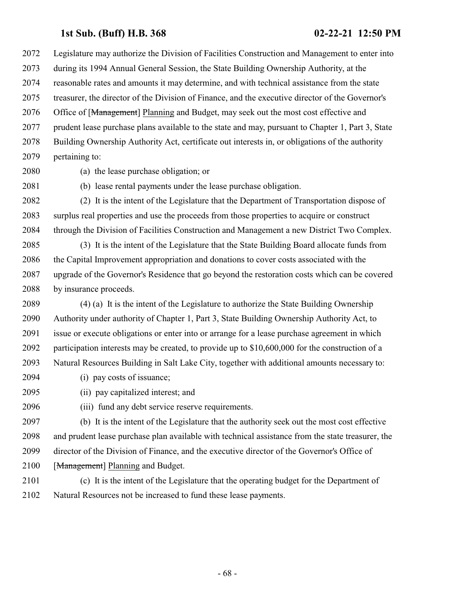Legislature may authorize the Division of Facilities Construction and Management to enter into during its 1994 Annual General Session, the State Building Ownership Authority, at the reasonable rates and amounts it may determine, and with technical assistance from the state treasurer, the director of the Division of Finance, and the executive director of the Governor's 2076 Office of [Management] Planning and Budget, may seek out the most cost effective and prudent lease purchase plans available to the state and may, pursuant to Chapter 1, Part 3, State Building Ownership Authority Act, certificate out interests in, or obligations of the authority pertaining to:

(a) the lease purchase obligation; or

(b) lease rental payments under the lease purchase obligation.

 (2) It is the intent of the Legislature that the Department of Transportation dispose of surplus real properties and use the proceeds from those properties to acquire or construct through the Division of Facilities Construction and Management a new District Two Complex.

 (3) It is the intent of the Legislature that the State Building Board allocate funds from the Capital Improvement appropriation and donations to cover costs associated with the upgrade of the Governor's Residence that go beyond the restoration costs which can be covered by insurance proceeds.

 (4) (a) It is the intent of the Legislature to authorize the State Building Ownership Authority under authority of Chapter 1, Part 3, State Building Ownership Authority Act, to issue or execute obligations or enter into or arrange for a lease purchase agreement in which participation interests may be created, to provide up to \$10,600,000 for the construction of a Natural Resources Building in Salt Lake City, together with additional amounts necessary to:

- (i) pay costs of issuance;
- (ii) pay capitalized interest; and
- (iii) fund any debt service reserve requirements.

 (b) It is the intent of the Legislature that the authority seek out the most cost effective and prudent lease purchase plan available with technical assistance from the state treasurer, the director of the Division of Finance, and the executive director of the Governor's Office of 2100 [Management] Planning and Budget.

 (c) It is the intent of the Legislature that the operating budget for the Department of Natural Resources not be increased to fund these lease payments.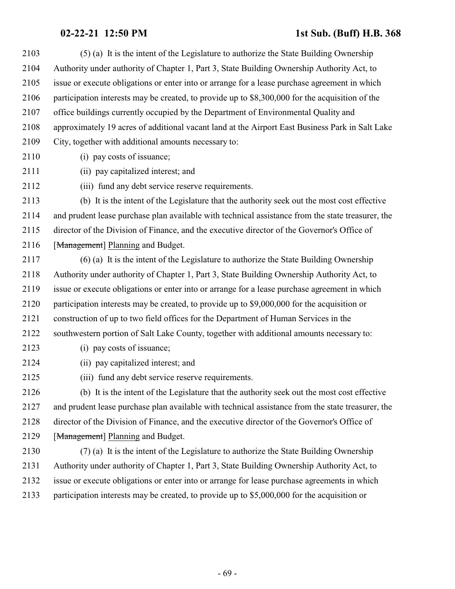(5) (a) It is the intent of the Legislature to authorize the State Building Ownership Authority under authority of Chapter 1, Part 3, State Building Ownership Authority Act, to issue or execute obligations or enter into or arrange for a lease purchase agreement in which participation interests may be created, to provide up to \$8,300,000 for the acquisition of the office buildings currently occupied by the Department of Environmental Quality and approximately 19 acres of additional vacant land at the Airport East Business Park in Salt Lake City, together with additional amounts necessary to:

- (i) pay costs of issuance;
- (ii) pay capitalized interest; and

(iii) fund any debt service reserve requirements.

 (b) It is the intent of the Legislature that the authority seek out the most cost effective and prudent lease purchase plan available with technical assistance from the state treasurer, the director of the Division of Finance, and the executive director of the Governor's Office of 2116 [Management] Planning and Budget.

 (6) (a) It is the intent of the Legislature to authorize the State Building Ownership Authority under authority of Chapter 1, Part 3, State Building Ownership Authority Act, to issue or execute obligations or enter into or arrange for a lease purchase agreement in which participation interests may be created, to provide up to \$9,000,000 for the acquisition or construction of up to two field offices for the Department of Human Services in the southwestern portion of Salt Lake County, together with additional amounts necessary to:

- (i) pay costs of issuance;
- (ii) pay capitalized interest; and
- (iii) fund any debt service reserve requirements.

 (b) It is the intent of the Legislature that the authority seek out the most cost effective and prudent lease purchase plan available with technical assistance from the state treasurer, the director of the Division of Finance, and the executive director of the Governor's Office of 2129 [Management] Planning and Budget.

 (7) (a) It is the intent of the Legislature to authorize the State Building Ownership Authority under authority of Chapter 1, Part 3, State Building Ownership Authority Act, to issue or execute obligations or enter into or arrange for lease purchase agreements in which participation interests may be created, to provide up to \$5,000,000 for the acquisition or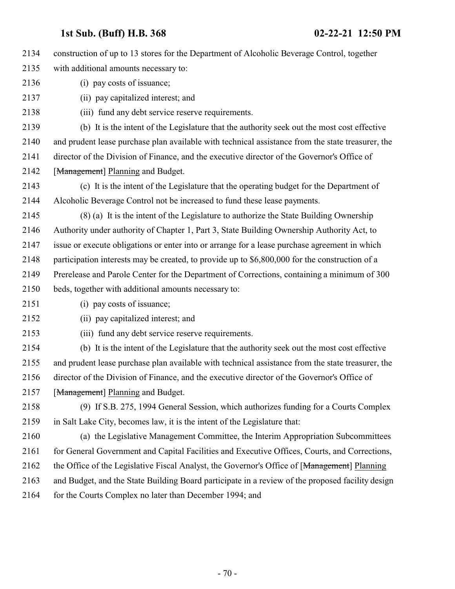construction of up to 13 stores for the Department of Alcoholic Beverage Control, together with additional amounts necessary to: (i) pay costs of issuance; (ii) pay capitalized interest; and (iii) fund any debt service reserve requirements. (b) It is the intent of the Legislature that the authority seek out the most cost effective

 and prudent lease purchase plan available with technical assistance from the state treasurer, the director of the Division of Finance, and the executive director of the Governor's Office of 2142 [Management] Planning and Budget.

 (c) It is the intent of the Legislature that the operating budget for the Department of Alcoholic Beverage Control not be increased to fund these lease payments.

 (8) (a) It is the intent of the Legislature to authorize the State Building Ownership Authority under authority of Chapter 1, Part 3, State Building Ownership Authority Act, to issue or execute obligations or enter into or arrange for a lease purchase agreement in which participation interests may be created, to provide up to \$6,800,000 for the construction of a Prerelease and Parole Center for the Department of Corrections, containing a minimum of 300

beds, together with additional amounts necessary to:

(i) pay costs of issuance;

- (ii) pay capitalized interest; and
- (iii) fund any debt service reserve requirements.
- (b) It is the intent of the Legislature that the authority seek out the most cost effective and prudent lease purchase plan available with technical assistance from the state treasurer, the director of the Division of Finance, and the executive director of the Governor's Office of 2157 [Management] Planning and Budget.
- (9) If S.B. 275, 1994 General Session, which authorizes funding for a Courts Complex in Salt Lake City, becomes law, it is the intent of the Legislature that:

 (a) the Legislative Management Committee, the Interim Appropriation Subcommittees 2161 for General Government and Capital Facilities and Executive Offices, Courts, and Corrections, 2162 the Office of the Legislative Fiscal Analyst, the Governor's Office of [Management] Planning and Budget, and the State Building Board participate in a review of the proposed facility design 2164 for the Courts Complex no later than December 1994; and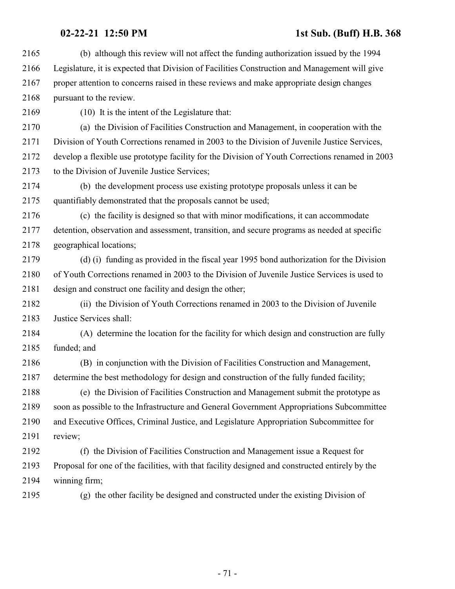| 2165 | (b) although this review will not affect the funding authorization issued by the 1994           |
|------|-------------------------------------------------------------------------------------------------|
| 2166 | Legislature, it is expected that Division of Facilities Construction and Management will give   |
| 2167 | proper attention to concerns raised in these reviews and make appropriate design changes        |
| 2168 | pursuant to the review.                                                                         |
| 2169 | (10) It is the intent of the Legislature that:                                                  |
| 2170 | (a) the Division of Facilities Construction and Management, in cooperation with the             |
| 2171 | Division of Youth Corrections renamed in 2003 to the Division of Juvenile Justice Services,     |
| 2172 | develop a flexible use prototype facility for the Division of Youth Corrections renamed in 2003 |
| 2173 | to the Division of Juvenile Justice Services;                                                   |
| 2174 | (b) the development process use existing prototype proposals unless it can be                   |
| 2175 | quantifiably demonstrated that the proposals cannot be used;                                    |
| 2176 | (c) the facility is designed so that with minor modifications, it can accommodate               |
| 2177 | detention, observation and assessment, transition, and secure programs as needed at specific    |
| 2178 | geographical locations;                                                                         |
| 2179 | (d) (i) funding as provided in the fiscal year 1995 bond authorization for the Division         |
| 2180 | of Youth Corrections renamed in 2003 to the Division of Juvenile Justice Services is used to    |
| 2181 | design and construct one facility and design the other;                                         |
| 2182 | (ii) the Division of Youth Corrections renamed in 2003 to the Division of Juvenile              |
| 2183 | Justice Services shall:                                                                         |
| 2184 | (A) determine the location for the facility for which design and construction are fully         |
| 2185 | funded; and                                                                                     |
| 2186 | (B) in conjunction with the Division of Facilities Construction and Management,                 |
| 2187 | determine the best methodology for design and construction of the fully funded facility;        |
| 2188 | (e) the Division of Facilities Construction and Management submit the prototype as              |
| 2189 | soon as possible to the Infrastructure and General Government Appropriations Subcommittee       |
| 2190 | and Executive Offices, Criminal Justice, and Legislature Appropriation Subcommittee for         |
| 2191 | review;                                                                                         |
| 2192 | (f) the Division of Facilities Construction and Management issue a Request for                  |
| 2193 | Proposal for one of the facilities, with that facility designed and constructed entirely by the |
| 2194 | winning firm;                                                                                   |
| 2195 | (g) the other facility be designed and constructed under the existing Division of               |
|      |                                                                                                 |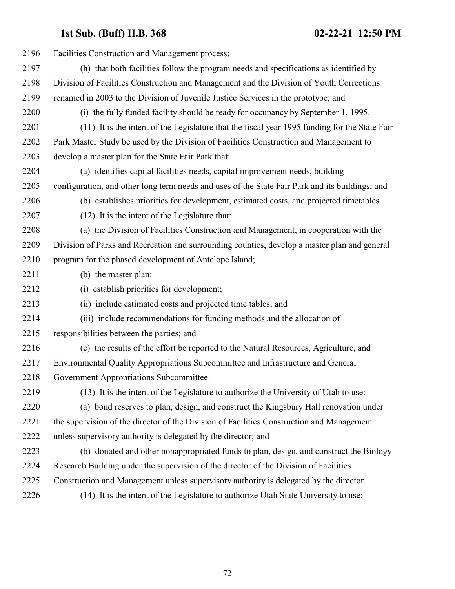| 2196 | Facilities Construction and Management process;                                                 |
|------|-------------------------------------------------------------------------------------------------|
| 2197 | (h) that both facilities follow the program needs and specifications as identified by           |
| 2198 | Division of Facilities Construction and Management and the Division of Youth Corrections        |
| 2199 | renamed in 2003 to the Division of Juvenile Justice Services in the prototype; and              |
| 2200 | (i) the fully funded facility should be ready for occupancy by September 1, 1995.               |
| 2201 | (11) It is the intent of the Legislature that the fiscal year 1995 funding for the State Fair   |
| 2202 | Park Master Study be used by the Division of Facilities Construction and Management to          |
| 2203 | develop a master plan for the State Fair Park that:                                             |
| 2204 | (a) identifies capital facilities needs, capital improvement needs, building                    |
| 2205 | configuration, and other long term needs and uses of the State Fair Park and its buildings; and |
| 2206 | (b) establishes priorities for development, estimated costs, and projected timetables.          |
| 2207 | (12) It is the intent of the Legislature that:                                                  |
| 2208 | (a) the Division of Facilities Construction and Management, in cooperation with the             |
| 2209 | Division of Parks and Recreation and surrounding counties, develop a master plan and general    |
| 2210 | program for the phased development of Antelope Island;                                          |
| 2211 | (b) the master plan:                                                                            |
| 2212 | (i) establish priorities for development;                                                       |
| 2213 | (ii) include estimated costs and projected time tables; and                                     |
| 2214 | (iii) include recommendations for funding methods and the allocation of                         |
| 2215 | responsibilities between the parties; and                                                       |
| 2216 | (c) the results of the effort be reported to the Natural Resources, Agriculture, and            |
| 2217 | Environmental Quality Appropriations Subcommittee and Infrastructure and General                |
| 2218 | Government Appropriations Subcommittee.                                                         |
| 2219 | (13) It is the intent of the Legislature to authorize the University of Utah to use:            |
| 2220 | (a) bond reserves to plan, design, and construct the Kingsbury Hall renovation under            |
| 2221 | the supervision of the director of the Division of Facilities Construction and Management       |
| 2222 | unless supervisory authority is delegated by the director; and                                  |
| 2223 | (b) donated and other nonappropriated funds to plan, design, and construct the Biology          |
| 2224 | Research Building under the supervision of the director of the Division of Facilities           |
| 2225 | Construction and Management unless supervisory authority is delegated by the director.          |
| 2226 | (14) It is the intent of the Legislature to authorize Utah State University to use:             |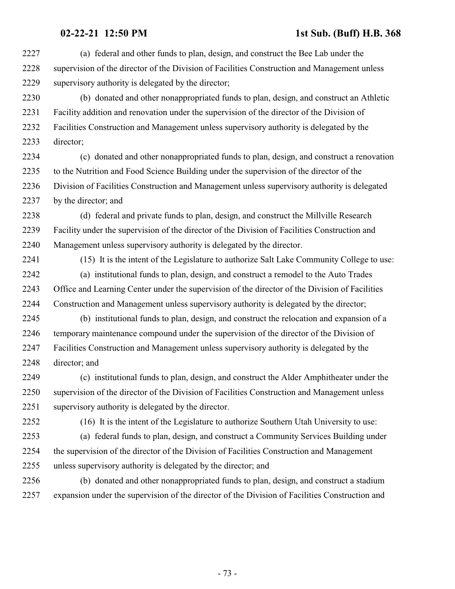(a) federal and other funds to plan, design, and construct the Bee Lab under the supervision of the director of the Division of Facilities Construction and Management unless supervisory authority is delegated by the director;

 (b) donated and other nonappropriated funds to plan, design, and construct an Athletic Facility addition and renovation under the supervision of the director of the Division of Facilities Construction and Management unless supervisory authority is delegated by the director;

 (c) donated and other nonappropriated funds to plan, design, and construct a renovation to the Nutrition and Food Science Building under the supervision of the director of the Division of Facilities Construction and Management unless supervisory authority is delegated by the director; and

 (d) federal and private funds to plan, design, and construct the Millville Research Facility under the supervision of the director of the Division of Facilities Construction and Management unless supervisory authority is delegated by the director.

 (15) It is the intent of the Legislature to authorize Salt Lake Community College to use: (a) institutional funds to plan, design, and construct a remodel to the Auto Trades

 Office and Learning Center under the supervision of the director of the Division of Facilities Construction and Management unless supervisory authority is delegated by the director;

 (b) institutional funds to plan, design, and construct the relocation and expansion of a temporary maintenance compound under the supervision of the director of the Division of Facilities Construction and Management unless supervisory authority is delegated by the director; and

 (c) institutional funds to plan, design, and construct the Alder Amphitheater under the supervision of the director of the Division of Facilities Construction and Management unless supervisory authority is delegated by the director.

(16) It is the intent of the Legislature to authorize Southern Utah University to use:

 (a) federal funds to plan, design, and construct a Community Services Building under the supervision of the director of the Division of Facilities Construction and Management unless supervisory authority is delegated by the director; and

 (b) donated and other nonappropriated funds to plan, design, and construct a stadium expansion under the supervision of the director of the Division of Facilities Construction and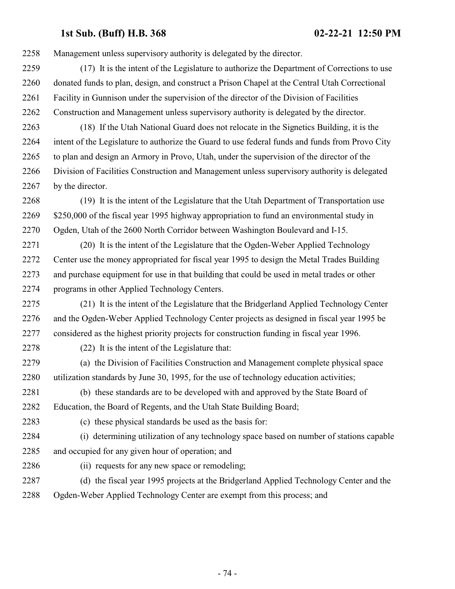Management unless supervisory authority is delegated by the director.

- (17) It is the intent of the Legislature to authorize the Department of Corrections to use donated funds to plan, design, and construct a Prison Chapel at the Central Utah Correctional Facility in Gunnison under the supervision of the director of the Division of Facilities Construction and Management unless supervisory authority is delegated by the director.
- (18) If the Utah National Guard does not relocate in the Signetics Building, it is the intent of the Legislature to authorize the Guard to use federal funds and funds from Provo City to plan and design an Armory in Provo, Utah, under the supervision of the director of the Division of Facilities Construction and Management unless supervisory authority is delegated 2267 by the director.
- (19) It is the intent of the Legislature that the Utah Department of Transportation use 2269 \$250,000 of the fiscal year 1995 highway appropriation to fund an environmental study in Ogden, Utah of the 2600 North Corridor between Washington Boulevard and I-15.
- (20) It is the intent of the Legislature that the Ogden-Weber Applied Technology Center use the money appropriated for fiscal year 1995 to design the Metal Trades Building and purchase equipment for use in that building that could be used in metal trades or other programs in other Applied Technology Centers.
- (21) It is the intent of the Legislature that the Bridgerland Applied Technology Center and the Ogden-Weber Applied Technology Center projects as designed in fiscal year 1995 be considered as the highest priority projects for construction funding in fiscal year 1996.
- 
- (22) It is the intent of the Legislature that:
- (a) the Division of Facilities Construction and Management complete physical space utilization standards by June 30, 1995, for the use of technology education activities;
- (b) these standards are to be developed with and approved by the State Board of Education, the Board of Regents, and the Utah State Building Board;
- 
- (c) these physical standards be used as the basis for:
- (i) determining utilization of any technology space based on number of stations capable and occupied for any given hour of operation; and
- 
- (ii) requests for any new space or remodeling;
- (d) the fiscal year 1995 projects at the Bridgerland Applied Technology Center and the Ogden-Weber Applied Technology Center are exempt from this process; and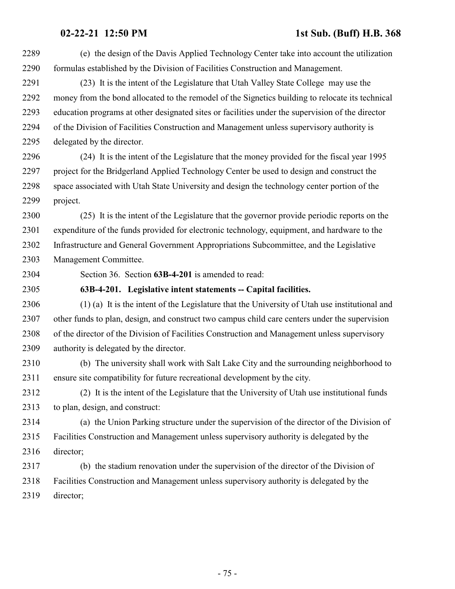(e) the design of the Davis Applied Technology Center take into account the utilization formulas established by the Division of Facilities Construction and Management.

 (23) It is the intent of the Legislature that Utah Valley State College may use the money from the bond allocated to the remodel of the Signetics building to relocate its technical education programs at other designated sites or facilities under the supervision of the director of the Division of Facilities Construction and Management unless supervisory authority is delegated by the director.

 (24) It is the intent of the Legislature that the money provided for the fiscal year 1995 project for the Bridgerland Applied Technology Center be used to design and construct the space associated with Utah State University and design the technology center portion of the project.

 (25) It is the intent of the Legislature that the governor provide periodic reports on the expenditure of the funds provided for electronic technology, equipment, and hardware to the Infrastructure and General Government Appropriations Subcommittee, and the Legislative Management Committee.

Section 36. Section **63B-4-201** is amended to read:

### **63B-4-201. Legislative intent statements -- Capital facilities.**

 (1) (a) It is the intent of the Legislature that the University of Utah use institutional and other funds to plan, design, and construct two campus child care centers under the supervision of the director of the Division of Facilities Construction and Management unless supervisory authority is delegated by the director.

 (b) The university shall work with Salt Lake City and the surrounding neighborhood to ensure site compatibility for future recreational development by the city.

 (2) It is the intent of the Legislature that the University of Utah use institutional funds to plan, design, and construct:

 (a) the Union Parking structure under the supervision of the director of the Division of Facilities Construction and Management unless supervisory authority is delegated by the director;

 (b) the stadium renovation under the supervision of the director of the Division of Facilities Construction and Management unless supervisory authority is delegated by the director;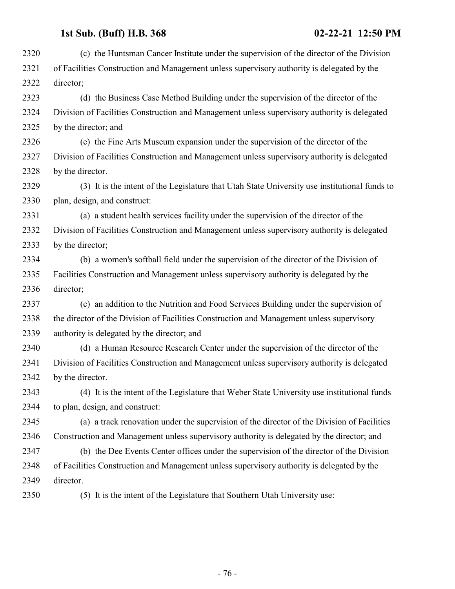| 2320 | (c) the Huntsman Cancer Institute under the supervision of the director of the Division       |
|------|-----------------------------------------------------------------------------------------------|
| 2321 | of Facilities Construction and Management unless supervisory authority is delegated by the    |
| 2322 | director;                                                                                     |
| 2323 | (d) the Business Case Method Building under the supervision of the director of the            |
| 2324 | Division of Facilities Construction and Management unless supervisory authority is delegated  |
| 2325 | by the director; and                                                                          |
| 2326 | (e) the Fine Arts Museum expansion under the supervision of the director of the               |
| 2327 | Division of Facilities Construction and Management unless supervisory authority is delegated  |
| 2328 | by the director.                                                                              |
| 2329 | (3) It is the intent of the Legislature that Utah State University use institutional funds to |
| 2330 | plan, design, and construct:                                                                  |
| 2331 | (a) a student health services facility under the supervision of the director of the           |
| 2332 | Division of Facilities Construction and Management unless supervisory authority is delegated  |
| 2333 | by the director;                                                                              |
| 2334 | (b) a women's softball field under the supervision of the director of the Division of         |
| 2335 | Facilities Construction and Management unless supervisory authority is delegated by the       |
| 2336 | director;                                                                                     |
| 2337 | (c) an addition to the Nutrition and Food Services Building under the supervision of          |
| 2338 | the director of the Division of Facilities Construction and Management unless supervisory     |
| 2339 | authority is delegated by the director; and                                                   |
| 2340 | (d) a Human Resource Research Center under the supervision of the director of the             |
| 2341 | Division of Facilities Construction and Management unless supervisory authority is delegated  |
| 2342 | by the director.                                                                              |
| 2343 | (4) It is the intent of the Legislature that Weber State University use institutional funds   |
| 2344 | to plan, design, and construct:                                                               |
| 2345 | (a) a track renovation under the supervision of the director of the Division of Facilities    |
| 2346 | Construction and Management unless supervisory authority is delegated by the director; and    |
| 2347 | (b) the Dee Events Center offices under the supervision of the director of the Division       |
| 2348 | of Facilities Construction and Management unless supervisory authority is delegated by the    |
| 2349 | director.                                                                                     |
| 2350 | (5) It is the intent of the Legislature that Southern Utah University use:                    |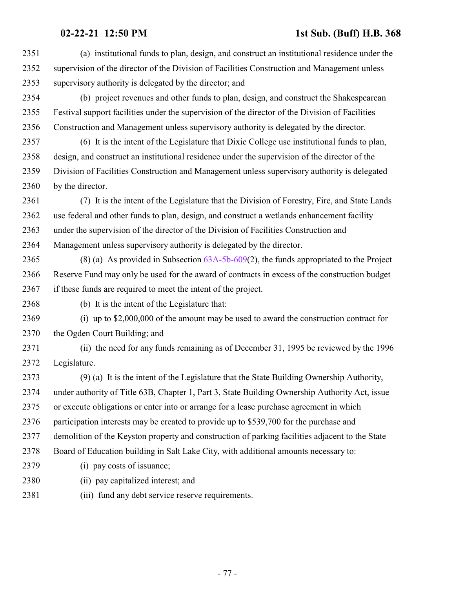(a) institutional funds to plan, design, and construct an institutional residence under the supervision of the director of the Division of Facilities Construction and Management unless supervisory authority is delegated by the director; and

 (b) project revenues and other funds to plan, design, and construct the Shakespearean Festival support facilities under the supervision of the director of the Division of Facilities Construction and Management unless supervisory authority is delegated by the director.

 (6) It is the intent of the Legislature that Dixie College use institutional funds to plan, design, and construct an institutional residence under the supervision of the director of the Division of Facilities Construction and Management unless supervisory authority is delegated by the director.

 (7) It is the intent of the Legislature that the Division of Forestry, Fire, and State Lands use federal and other funds to plan, design, and construct a wetlands enhancement facility under the supervision of the director of the Division of Facilities Construction and Management unless supervisory authority is delegated by the director.

 (8) (a) As provided in Subsection [63A-5b-609](http://le.utah.gov/UtahCode/SectionLookup.jsp?section=63a-5b-609&session=2021GS)(2), the funds appropriated to the Project Reserve Fund may only be used for the award of contracts in excess of the construction budget if these funds are required to meet the intent of the project.

(b) It is the intent of the Legislature that:

 (i) up to \$2,000,000 of the amount may be used to award the construction contract for the Ogden Court Building; and

 (ii) the need for any funds remaining as of December 31, 1995 be reviewed by the 1996 Legislature.

 (9) (a) It is the intent of the Legislature that the State Building Ownership Authority, under authority of Title 63B, Chapter 1, Part 3, State Building Ownership Authority Act, issue or execute obligations or enter into or arrange for a lease purchase agreement in which participation interests may be created to provide up to \$539,700 for the purchase and demolition of the Keyston property and construction of parking facilities adjacent to the State Board of Education building in Salt Lake City, with additional amounts necessary to: (i) pay costs of issuance; (ii) pay capitalized interest; and

(iii) fund any debt service reserve requirements.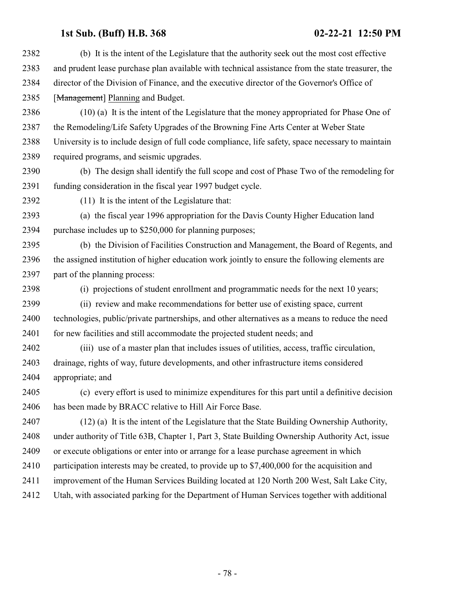(b) It is the intent of the Legislature that the authority seek out the most cost effective and prudent lease purchase plan available with technical assistance from the state treasurer, the director of the Division of Finance, and the executive director of the Governor's Office of 2385 [Management] Planning and Budget. (10) (a) It is the intent of the Legislature that the money appropriated for Phase One of the Remodeling/Life Safety Upgrades of the Browning Fine Arts Center at Weber State University is to include design of full code compliance, life safety, space necessary to maintain required programs, and seismic upgrades. (b) The design shall identify the full scope and cost of Phase Two of the remodeling for funding consideration in the fiscal year 1997 budget cycle. (11) It is the intent of the Legislature that: (a) the fiscal year 1996 appropriation for the Davis County Higher Education land purchase includes up to \$250,000 for planning purposes; (b) the Division of Facilities Construction and Management, the Board of Regents, and the assigned institution of higher education work jointly to ensure the following elements are part of the planning process: (i) projections of student enrollment and programmatic needs for the next 10 years; (ii) review and make recommendations for better use of existing space, current technologies, public/private partnerships, and other alternatives as a means to reduce the need 2401 for new facilities and still accommodate the projected student needs; and (iii) use of a master plan that includes issues of utilities, access, traffic circulation, drainage, rights of way, future developments, and other infrastructure items considered appropriate; and (c) every effort is used to minimize expenditures for this part until a definitive decision has been made by BRACC relative to Hill Air Force Base. (12) (a) It is the intent of the Legislature that the State Building Ownership Authority, under authority of Title 63B, Chapter 1, Part 3, State Building Ownership Authority Act, issue or execute obligations or enter into or arrange for a lease purchase agreement in which participation interests may be created, to provide up to \$7,400,000 for the acquisition and 2411 improvement of the Human Services Building located at 120 North 200 West, Salt Lake City, Utah, with associated parking for the Department of Human Services together with additional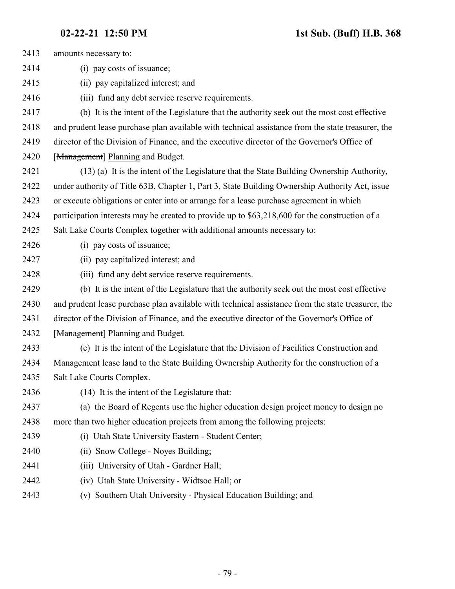| 2413 | amounts necessary to:                                                                             |
|------|---------------------------------------------------------------------------------------------------|
| 2414 | (i) pay costs of issuance;                                                                        |
| 2415 | (ii) pay capitalized interest; and                                                                |
| 2416 | (iii) fund any debt service reserve requirements.                                                 |
| 2417 | (b) It is the intent of the Legislature that the authority seek out the most cost effective       |
| 2418 | and prudent lease purchase plan available with technical assistance from the state treasurer, the |
| 2419 | director of the Division of Finance, and the executive director of the Governor's Office of       |
| 2420 | [Management] Planning and Budget.                                                                 |
| 2421 | (13) (a) It is the intent of the Legislature that the State Building Ownership Authority,         |
| 2422 | under authority of Title 63B, Chapter 1, Part 3, State Building Ownership Authority Act, issue    |
| 2423 | or execute obligations or enter into or arrange for a lease purchase agreement in which           |
| 2424 | participation interests may be created to provide up to \$63,218,600 for the construction of a    |
| 2425 | Salt Lake Courts Complex together with additional amounts necessary to:                           |
| 2426 | (i) pay costs of issuance;                                                                        |
| 2427 | (ii) pay capitalized interest; and                                                                |
| 2428 | (iii) fund any debt service reserve requirements.                                                 |
| 2429 | (b) It is the intent of the Legislature that the authority seek out the most cost effective       |
| 2430 | and prudent lease purchase plan available with technical assistance from the state treasurer, the |
| 2431 | director of the Division of Finance, and the executive director of the Governor's Office of       |
| 2432 | [Management] Planning and Budget.                                                                 |
| 2433 | (c) It is the intent of the Legislature that the Division of Facilities Construction and          |
| 2434 | Management lease land to the State Building Ownership Authority for the construction of a         |
| 2435 | Salt Lake Courts Complex.                                                                         |
| 2436 | (14) It is the intent of the Legislature that:                                                    |
| 2437 | (a) the Board of Regents use the higher education design project money to design no               |
| 2438 | more than two higher education projects from among the following projects:                        |
| 2439 | (i) Utah State University Eastern - Student Center;                                               |
| 2440 | (ii) Snow College - Noyes Building;                                                               |
| 2441 | (iii) University of Utah - Gardner Hall;                                                          |
| 2442 | (iv) Utah State University - Widtsoe Hall; or                                                     |
| 2443 | (v) Southern Utah University - Physical Education Building; and                                   |
|      |                                                                                                   |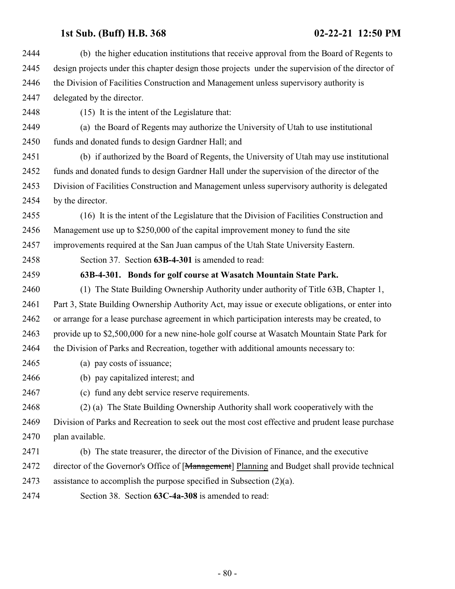| 2444 | (b) the higher education institutions that receive approval from the Board of Regents to          |
|------|---------------------------------------------------------------------------------------------------|
| 2445 | design projects under this chapter design those projects under the supervision of the director of |
| 2446 | the Division of Facilities Construction and Management unless supervisory authority is            |
| 2447 | delegated by the director.                                                                        |
| 2448 | (15) It is the intent of the Legislature that:                                                    |
| 2449 | (a) the Board of Regents may authorize the University of Utah to use institutional                |
| 2450 | funds and donated funds to design Gardner Hall; and                                               |
| 2451 | (b) if authorized by the Board of Regents, the University of Utah may use institutional           |
| 2452 | funds and donated funds to design Gardner Hall under the supervision of the director of the       |
| 2453 | Division of Facilities Construction and Management unless supervisory authority is delegated      |
| 2454 | by the director.                                                                                  |
| 2455 | (16) It is the intent of the Legislature that the Division of Facilities Construction and         |
| 2456 | Management use up to \$250,000 of the capital improvement money to fund the site                  |
| 2457 | improvements required at the San Juan campus of the Utah State University Eastern.                |
| 2458 | Section 37. Section 63B-4-301 is amended to read:                                                 |
| 2459 | 63B-4-301. Bonds for golf course at Wasatch Mountain State Park.                                  |
| 2460 | (1) The State Building Ownership Authority under authority of Title 63B, Chapter 1,               |
| 2461 | Part 3, State Building Ownership Authority Act, may issue or execute obligations, or enter into   |
| 2462 | or arrange for a lease purchase agreement in which participation interests may be created, to     |
| 2463 | provide up to \$2,500,000 for a new nine-hole golf course at Wasatch Mountain State Park for      |
| 2464 | the Division of Parks and Recreation, together with additional amounts necessary to:              |
| 2465 | (a) pay costs of issuance;                                                                        |
| 2466 | (b) pay capitalized interest; and                                                                 |
| 2467 | (c) fund any debt service reserve requirements.                                                   |
| 2468 | (2) (a) The State Building Ownership Authority shall work cooperatively with the                  |
| 2469 | Division of Parks and Recreation to seek out the most cost effective and prudent lease purchase   |
| 2470 | plan available.                                                                                   |
| 2471 | (b) The state treasurer, the director of the Division of Finance, and the executive               |
| 2472 | director of the Governor's Office of [Management] Planning and Budget shall provide technical     |
| 2473 | assistance to accomplish the purpose specified in Subsection $(2)(a)$ .                           |
| 2474 | Section 38. Section 63C-4a-308 is amended to read:                                                |
|      |                                                                                                   |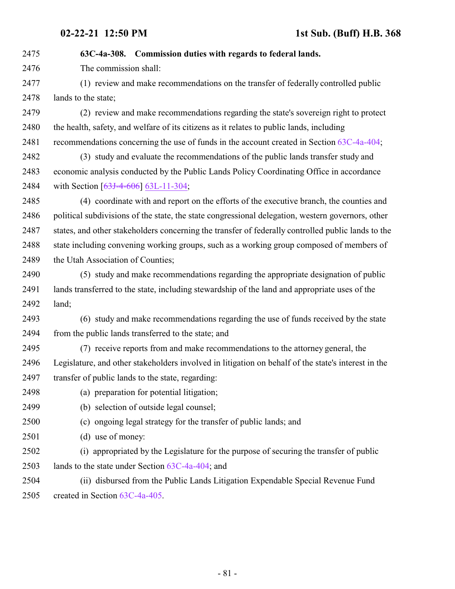**63C-4a-308. Commission duties with regards to federal lands.** The commission shall: (1) review and make recommendations on the transfer of federally controlled public lands to the state; (2) review and make recommendations regarding the state's sovereign right to protect the health, safety, and welfare of its citizens as it relates to public lands, including recommendations concerning the use of funds in the account created in Section [63C-4a-404](http://le.utah.gov/UtahCode/SectionLookup.jsp?section=63c-4a-404&session=2021GS); (3) study and evaluate the recommendations of the public lands transfer study and economic analysis conducted by the Public Lands Policy Coordinating Office in accordance 2484 with Section [\[63J-4-606](http://le.utah.gov/UtahCode/SectionLookup.jsp?section=63j-4-606&session=2021GS)] [63L-11-304](#page-241-0); (4) coordinate with and report on the efforts of the executive branch, the counties and political subdivisions of the state, the state congressional delegation, western governors, other states, and other stakeholders concerning the transfer of federally controlled public lands to the 2488 state including convening working groups, such as a working group composed of members of 2489 the Utah Association of Counties; (5) study and make recommendations regarding the appropriate designation of public lands transferred to the state, including stewardship of the land and appropriate uses of the land; (6) study and make recommendations regarding the use of funds received by the state from the public lands transferred to the state; and (7) receive reports from and make recommendations to the attorney general, the Legislature, and other stakeholders involved in litigation on behalf of the state's interest in the transfer of public lands to the state, regarding: (a) preparation for potential litigation; (b) selection of outside legal counsel; (c) ongoing legal strategy for the transfer of public lands; and (d) use of money: (i) appropriated by the Legislature for the purpose of securing the transfer of public lands to the state under Section [63C-4a-404](http://le.utah.gov/UtahCode/SectionLookup.jsp?section=63c-4a-404&session=2021GS); and (ii) disbursed from the Public Lands Litigation Expendable Special Revenue Fund created in Section [63C-4a-405](http://le.utah.gov/UtahCode/SectionLookup.jsp?section=63c-4a-405&session=2021GS).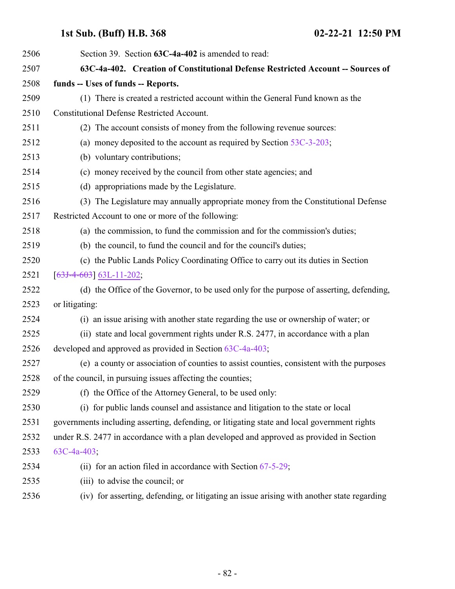| 2506 | Section 39. Section 63C-4a-402 is amended to read:                                          |
|------|---------------------------------------------------------------------------------------------|
| 2507 | 63C-4a-402. Creation of Constitutional Defense Restricted Account -- Sources of             |
| 2508 | funds -- Uses of funds -- Reports.                                                          |
| 2509 | (1) There is created a restricted account within the General Fund known as the              |
| 2510 | <b>Constitutional Defense Restricted Account.</b>                                           |
| 2511 | (2) The account consists of money from the following revenue sources:                       |
| 2512 | (a) money deposited to the account as required by Section $53C-3-203$ ;                     |
| 2513 | (b) voluntary contributions;                                                                |
| 2514 | (c) money received by the council from other state agencies; and                            |
| 2515 | (d) appropriations made by the Legislature.                                                 |
| 2516 | (3) The Legislature may annually appropriate money from the Constitutional Defense          |
| 2517 | Restricted Account to one or more of the following:                                         |
| 2518 | (a) the commission, to fund the commission and for the commission's duties;                 |
| 2519 | (b) the council, to fund the council and for the council's duties;                          |
| 2520 | (c) the Public Lands Policy Coordinating Office to carry out its duties in Section          |
| 2521 | $[63J-4-603]$ 63L-11-202;                                                                   |
| 2522 | (d) the Office of the Governor, to be used only for the purpose of asserting, defending,    |
| 2523 | or litigating:                                                                              |
| 2524 | (i) an issue arising with another state regarding the use or ownership of water; or         |
| 2525 | (ii) state and local government rights under R.S. 2477, in accordance with a plan           |
| 2526 | developed and approved as provided in Section 63C-4a-403;                                   |
| 2527 | (e) a county or association of counties to assist counties, consistent with the purposes    |
| 2528 | of the council, in pursuing issues affecting the counties;                                  |
| 2529 | (f) the Office of the Attorney General, to be used only:                                    |
| 2530 | (i) for public lands counsel and assistance and litigation to the state or local            |
| 2531 | governments including asserting, defending, or litigating state and local government rights |
| 2532 | under R.S. 2477 in accordance with a plan developed and approved as provided in Section     |
| 2533 | $63C-4a-403$ ;                                                                              |
| 2534 | (ii) for an action filed in accordance with Section $67-5-29$ ;                             |
| 2535 | (iii) to advise the council; or                                                             |
| 2536 | (iv) for asserting, defending, or litigating an issue arising with another state regarding  |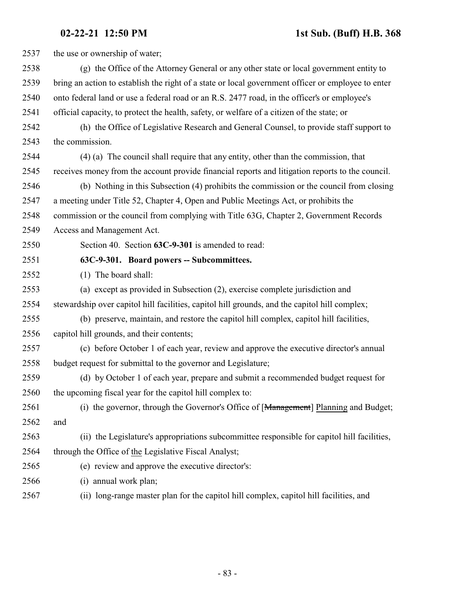| 2537 | the use or ownership of water;                                                                     |
|------|----------------------------------------------------------------------------------------------------|
| 2538 | (g) the Office of the Attorney General or any other state or local government entity to            |
| 2539 | bring an action to establish the right of a state or local government officer or employee to enter |
| 2540 | onto federal land or use a federal road or an R.S. 2477 road, in the officer's or employee's       |
| 2541 | official capacity, to protect the health, safety, or welfare of a citizen of the state; or         |
| 2542 | (h) the Office of Legislative Research and General Counsel, to provide staff support to            |
| 2543 | the commission.                                                                                    |
| 2544 | (4) (a) The council shall require that any entity, other than the commission, that                 |
| 2545 | receives money from the account provide financial reports and litigation reports to the council.   |
| 2546 | (b) Nothing in this Subsection (4) prohibits the commission or the council from closing            |
| 2547 | a meeting under Title 52, Chapter 4, Open and Public Meetings Act, or prohibits the                |
| 2548 | commission or the council from complying with Title 63G, Chapter 2, Government Records             |
| 2549 | Access and Management Act.                                                                         |
| 2550 | Section 40. Section 63C-9-301 is amended to read:                                                  |
| 2551 | 63C-9-301. Board powers -- Subcommittees.                                                          |
| 2552 | (1) The board shall:                                                                               |
| 2553 | (a) except as provided in Subsection (2), exercise complete jurisdiction and                       |
| 2554 | stewardship over capitol hill facilities, capitol hill grounds, and the capitol hill complex;      |
| 2555 | (b) preserve, maintain, and restore the capitol hill complex, capitol hill facilities,             |
| 2556 | capitol hill grounds, and their contents;                                                          |
| 2557 | (c) before October 1 of each year, review and approve the executive director's annual              |
| 2558 | budget request for submittal to the governor and Legislature;                                      |
| 2559 | (d) by October 1 of each year, prepare and submit a recommended budget request for                 |
| 2560 | the upcoming fiscal year for the capitol hill complex to:                                          |
| 2561 | (i) the governor, through the Governor's Office of [Management] Planning and Budget;               |
| 2562 | and                                                                                                |
| 2563 | (ii) the Legislature's appropriations subcommittee responsible for capitol hill facilities,        |
| 2564 | through the Office of the Legislative Fiscal Analyst;                                              |
| 2565 | (e) review and approve the executive director's:                                                   |
| 2566 | annual work plan;<br>(i)                                                                           |
| 2567 | (ii) long-range master plan for the capitol hill complex, capitol hill facilities, and             |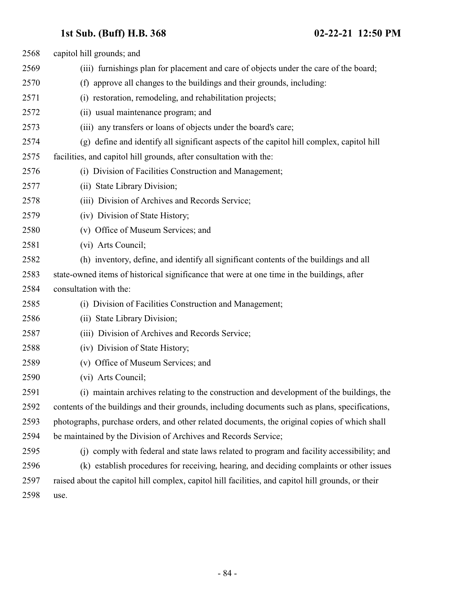| 2568 | capitol hill grounds; and                                                                          |
|------|----------------------------------------------------------------------------------------------------|
| 2569 | (iii) furnishings plan for placement and care of objects under the care of the board;              |
| 2570 | (f) approve all changes to the buildings and their grounds, including:                             |
| 2571 | (i) restoration, remodeling, and rehabilitation projects;                                          |
| 2572 | (ii) usual maintenance program; and                                                                |
| 2573 | (iii) any transfers or loans of objects under the board's care;                                    |
| 2574 | (g) define and identify all significant aspects of the capitol hill complex, capitol hill          |
| 2575 | facilities, and capitol hill grounds, after consultation with the:                                 |
| 2576 | (i) Division of Facilities Construction and Management;                                            |
| 2577 | (ii) State Library Division;                                                                       |
| 2578 | (iii) Division of Archives and Records Service;                                                    |
| 2579 | (iv) Division of State History;                                                                    |
| 2580 | (v) Office of Museum Services; and                                                                 |
| 2581 | (vi) Arts Council;                                                                                 |
| 2582 | (h) inventory, define, and identify all significant contents of the buildings and all              |
| 2583 | state-owned items of historical significance that were at one time in the buildings, after         |
| 2584 | consultation with the:                                                                             |
| 2585 | (i) Division of Facilities Construction and Management;                                            |
| 2586 | (ii) State Library Division;                                                                       |
| 2587 | (iii) Division of Archives and Records Service;                                                    |
| 2588 | (iv) Division of State History;                                                                    |
| 2589 | (v) Office of Museum Services; and                                                                 |
| 2590 | (vi) Arts Council;                                                                                 |
| 2591 | (i) maintain archives relating to the construction and development of the buildings, the           |
| 2592 | contents of the buildings and their grounds, including documents such as plans, specifications,    |
| 2593 | photographs, purchase orders, and other related documents, the original copies of which shall      |
| 2594 | be maintained by the Division of Archives and Records Service;                                     |
| 2595 | (i) comply with federal and state laws related to program and facility accessibility; and          |
| 2596 | (k) establish procedures for receiving, hearing, and deciding complaints or other issues           |
| 2597 | raised about the capitol hill complex, capitol hill facilities, and capitol hill grounds, or their |
| 2598 | use.                                                                                               |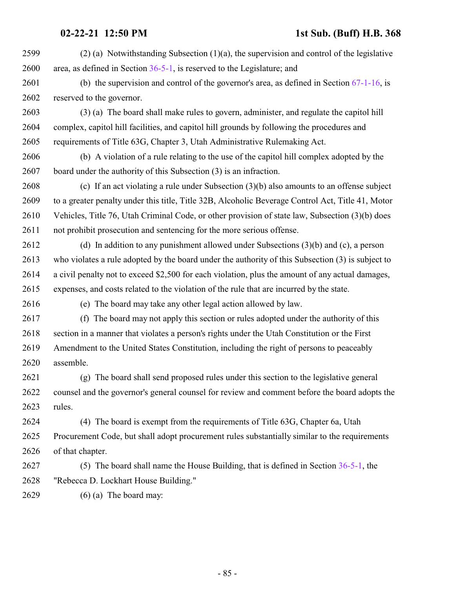| 2599 | $(2)$ (a) Notwithstanding Subsection (1)(a), the supervision and control of the legislative       |
|------|---------------------------------------------------------------------------------------------------|
| 2600 | area, as defined in Section $36-5-1$ , is reserved to the Legislature; and                        |
| 2601 | (b) the supervision and control of the governor's area, as defined in Section $67-1-16$ , is      |
| 2602 | reserved to the governor.                                                                         |
| 2603 | (3) (a) The board shall make rules to govern, administer, and regulate the capitol hill           |
| 2604 | complex, capitol hill facilities, and capitol hill grounds by following the procedures and        |
| 2605 | requirements of Title 63G, Chapter 3, Utah Administrative Rulemaking Act.                         |
| 2606 | (b) A violation of a rule relating to the use of the capitol hill complex adopted by the          |
| 2607 | board under the authority of this Subsection (3) is an infraction.                                |
| 2608 | (c) If an act violating a rule under Subsection $(3)(b)$ also amounts to an offense subject       |
| 2609 | to a greater penalty under this title, Title 32B, Alcoholic Beverage Control Act, Title 41, Motor |
| 2610 | Vehicles, Title 76, Utah Criminal Code, or other provision of state law, Subsection (3)(b) does   |
| 2611 | not prohibit prosecution and sentencing for the more serious offense.                             |
| 2612 | (d) In addition to any punishment allowed under Subsections $(3)(b)$ and $(c)$ , a person         |
| 2613 | who violates a rule adopted by the board under the authority of this Subsection (3) is subject to |
| 2614 | a civil penalty not to exceed \$2,500 for each violation, plus the amount of any actual damages,  |
| 2615 | expenses, and costs related to the violation of the rule that are incurred by the state.          |
| 2616 | (e) The board may take any other legal action allowed by law.                                     |
| 2617 | (f) The board may not apply this section or rules adopted under the authority of this             |
| 2618 | section in a manner that violates a person's rights under the Utah Constitution or the First      |
| 2619 | Amendment to the United States Constitution, including the right of persons to peaceably          |
| 2620 | assemble.                                                                                         |
| 2621 | (g) The board shall send proposed rules under this section to the legislative general             |
| 2622 | counsel and the governor's general counsel for review and comment before the board adopts the     |
| 2623 | rules.                                                                                            |
| 2624 | (4) The board is exempt from the requirements of Title 63G, Chapter 6a, Utah                      |
| 2625 | Procurement Code, but shall adopt procurement rules substantially similar to the requirements     |
| 2626 | of that chapter.                                                                                  |
| 2627 | (5) The board shall name the House Building, that is defined in Section $36-5-1$ , the            |
| 2628 | "Rebecca D. Lockhart House Building."                                                             |
| 2629 | $(6)$ (a) The board may:                                                                          |
|      |                                                                                                   |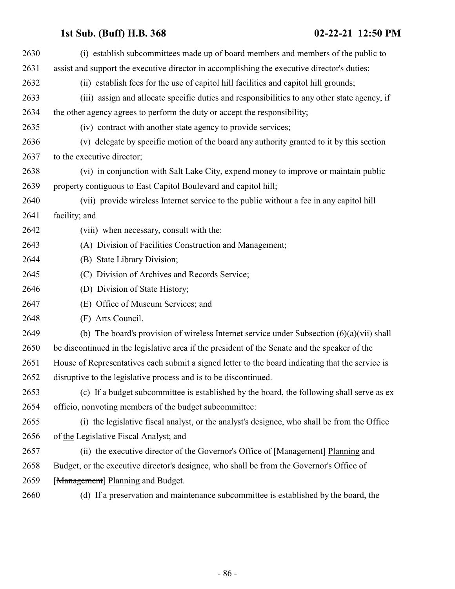| 2630 | (i) establish subcommittees made up of board members and members of the public to                |
|------|--------------------------------------------------------------------------------------------------|
| 2631 | assist and support the executive director in accomplishing the executive director's duties;      |
| 2632 | (ii) establish fees for the use of capitol hill facilities and capitol hill grounds;             |
| 2633 | (iii) assign and allocate specific duties and responsibilities to any other state agency, if     |
| 2634 | the other agency agrees to perform the duty or accept the responsibility;                        |
| 2635 | (iv) contract with another state agency to provide services;                                     |
| 2636 | (v) delegate by specific motion of the board any authority granted to it by this section         |
| 2637 | to the executive director;                                                                       |
| 2638 | (vi) in conjunction with Salt Lake City, expend money to improve or maintain public              |
| 2639 | property contiguous to East Capitol Boulevard and capitol hill;                                  |
| 2640 | (vii) provide wireless Internet service to the public without a fee in any capitol hill          |
| 2641 | facility; and                                                                                    |
| 2642 | (viii) when necessary, consult with the:                                                         |
| 2643 | (A) Division of Facilities Construction and Management;                                          |
| 2644 | (B) State Library Division;                                                                      |
| 2645 | (C) Division of Archives and Records Service;                                                    |
| 2646 | (D) Division of State History;                                                                   |
| 2647 | (E) Office of Museum Services; and                                                               |
| 2648 | (F) Arts Council.                                                                                |
| 2649 | (b) The board's provision of wireless Internet service under Subsection $(6)(a)(vii)$ shall      |
| 2650 | be discontinued in the legislative area if the president of the Senate and the speaker of the    |
| 2651 | House of Representatives each submit a signed letter to the board indicating that the service is |
| 2652 | disruptive to the legislative process and is to be discontinued.                                 |
| 2653 | (c) If a budget subcommittee is established by the board, the following shall serve as ex        |
| 2654 | officio, nonvoting members of the budget subcommittee:                                           |
| 2655 | (i) the legislative fiscal analyst, or the analyst's designee, who shall be from the Office      |
| 2656 | of the Legislative Fiscal Analyst; and                                                           |
| 2657 | (ii) the executive director of the Governor's Office of [Management] Planning and                |
| 2658 | Budget, or the executive director's designee, who shall be from the Governor's Office of         |
| 2659 | [Management] Planning and Budget.                                                                |
| 2660 | (d) If a preservation and maintenance subcommittee is established by the board, the              |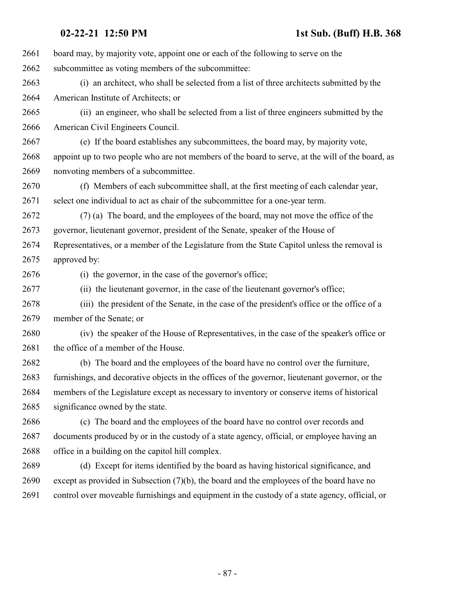| 2661 | board may, by majority vote, appoint one or each of the following to serve on the                |
|------|--------------------------------------------------------------------------------------------------|
| 2662 | subcommittee as voting members of the subcommittee:                                              |
| 2663 | (i) an architect, who shall be selected from a list of three architects submitted by the         |
| 2664 | American Institute of Architects; or                                                             |
| 2665 | (ii) an engineer, who shall be selected from a list of three engineers submitted by the          |
| 2666 | American Civil Engineers Council.                                                                |
| 2667 | (e) If the board establishes any subcommittees, the board may, by majority vote,                 |
| 2668 | appoint up to two people who are not members of the board to serve, at the will of the board, as |
| 2669 | nonvoting members of a subcommittee.                                                             |
| 2670 | (f) Members of each subcommittee shall, at the first meeting of each calendar year,              |
| 2671 | select one individual to act as chair of the subcommittee for a one-year term.                   |
| 2672 | (7) (a) The board, and the employees of the board, may not move the office of the                |
| 2673 | governor, lieutenant governor, president of the Senate, speaker of the House of                  |
| 2674 | Representatives, or a member of the Legislature from the State Capitol unless the removal is     |
| 2675 | approved by:                                                                                     |
| 2676 | (i) the governor, in the case of the governor's office;                                          |
| 2677 | (ii) the lieutenant governor, in the case of the lieutenant governor's office;                   |
| 2678 | (iii) the president of the Senate, in the case of the president's office or the office of a      |
| 2679 | member of the Senate; or                                                                         |
| 2680 | (iv) the speaker of the House of Representatives, in the case of the speaker's office or         |
| 2681 | the office of a member of the House.                                                             |
| 2682 | (b) The board and the employees of the board have no control over the furniture,                 |
| 2683 | furnishings, and decorative objects in the offices of the governor, lieutenant governor, or the  |
| 2684 | members of the Legislature except as necessary to inventory or conserve items of historical      |
| 2685 | significance owned by the state.                                                                 |
| 2686 | (c) The board and the employees of the board have no control over records and                    |
| 2687 | documents produced by or in the custody of a state agency, official, or employee having an       |
| 2688 | office in a building on the capitol hill complex.                                                |
| 2689 | (d) Except for items identified by the board as having historical significance, and              |
| 2690 | except as provided in Subsection $(7)(b)$ , the board and the employees of the board have no     |
| 2691 | control over moveable furnishings and equipment in the custody of a state agency, official, or   |
|      |                                                                                                  |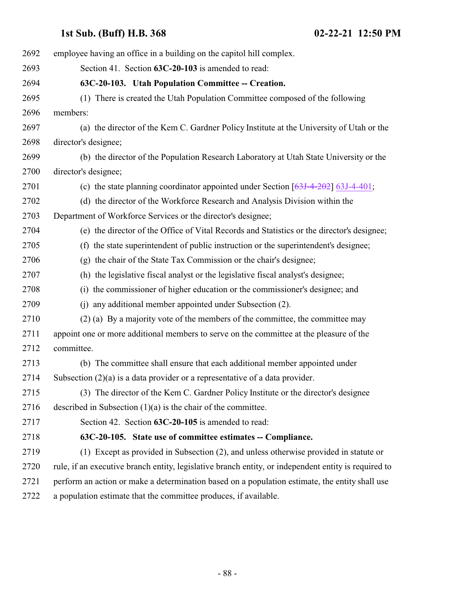| employee having an office in a building on the capitol hill complex.                                 |
|------------------------------------------------------------------------------------------------------|
|                                                                                                      |
|                                                                                                      |
| (1) There is created the Utah Population Committee composed of the following                         |
|                                                                                                      |
| (a) the director of the Kem C. Gardner Policy Institute at the University of Utah or the             |
|                                                                                                      |
| (b) the director of the Population Research Laboratory at Utah State University or the               |
|                                                                                                      |
| (c) the state planning coordinator appointed under Section $[63J-4-202]$ 63J-4-401;                  |
| (d) the director of the Workforce Research and Analysis Division within the                          |
|                                                                                                      |
| (e) the director of the Office of Vital Records and Statistics or the director's designee;           |
| (f) the state superintendent of public instruction or the superintendent's designee;                 |
| (g) the chair of the State Tax Commission or the chair's designee;                                   |
| (h) the legislative fiscal analyst or the legislative fiscal analyst's designee;                     |
| (i) the commissioner of higher education or the commissioner's designee; and                         |
| (j) any additional member appointed under Subsection (2).                                            |
| (2) (a) By a majority vote of the members of the committee, the committee may                        |
| appoint one or more additional members to serve on the committee at the pleasure of the              |
|                                                                                                      |
| (b) The committee shall ensure that each additional member appointed under                           |
| Subsection $(2)(a)$ is a data provider or a representative of a data provider.                       |
| (3) The director of the Kem C. Gardner Policy Institute or the director's designee                   |
|                                                                                                      |
|                                                                                                      |
| 63C-20-105. State use of committee estimates -- Compliance.                                          |
| (1) Except as provided in Subsection (2), and unless otherwise provided in statute or                |
| rule, if an executive branch entity, legislative branch entity, or independent entity is required to |
| perform an action or make a determination based on a population estimate, the entity shall use       |
|                                                                                                      |
|                                                                                                      |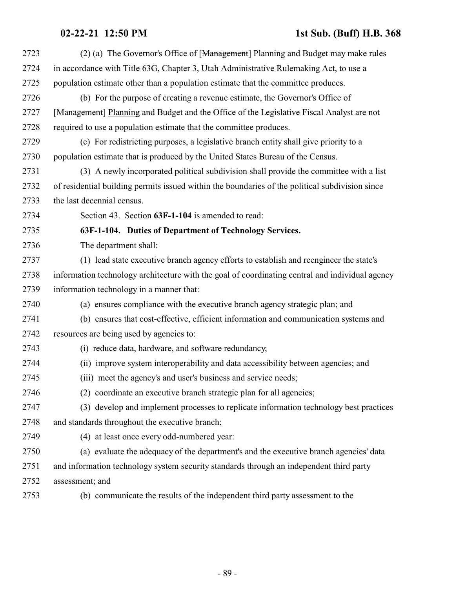| 2723 | (2) (a) The Governor's Office of [Management] Planning and Budget may make rules                |
|------|-------------------------------------------------------------------------------------------------|
| 2724 | in accordance with Title 63G, Chapter 3, Utah Administrative Rulemaking Act, to use a           |
| 2725 | population estimate other than a population estimate that the committee produces.               |
| 2726 | (b) For the purpose of creating a revenue estimate, the Governor's Office of                    |
| 2727 | [Management] Planning and Budget and the Office of the Legislative Fiscal Analyst are not       |
| 2728 | required to use a population estimate that the committee produces.                              |
| 2729 | (c) For redistricting purposes, a legislative branch entity shall give priority to a            |
| 2730 | population estimate that is produced by the United States Bureau of the Census.                 |
| 2731 | (3) A newly incorporated political subdivision shall provide the committee with a list          |
| 2732 | of residential building permits issued within the boundaries of the political subdivision since |
| 2733 | the last decennial census.                                                                      |
| 2734 | Section 43. Section 63F-1-104 is amended to read:                                               |
| 2735 | 63F-1-104. Duties of Department of Technology Services.                                         |
| 2736 | The department shall:                                                                           |
| 2737 | (1) lead state executive branch agency efforts to establish and reengineer the state's          |
| 2738 | information technology architecture with the goal of coordinating central and individual agency |
| 2739 | information technology in a manner that:                                                        |
| 2740 | (a) ensures compliance with the executive branch agency strategic plan; and                     |
| 2741 | (b) ensures that cost-effective, efficient information and communication systems and            |
| 2742 | resources are being used by agencies to:                                                        |
| 2743 | (i) reduce data, hardware, and software redundancy;                                             |
| 2744 | (ii) improve system interoperability and data accessibility between agencies; and               |
| 2745 | (iii) meet the agency's and user's business and service needs;                                  |
| 2746 | (2) coordinate an executive branch strategic plan for all agencies;                             |
| 2747 | (3) develop and implement processes to replicate information technology best practices          |
| 2748 | and standards throughout the executive branch;                                                  |
| 2749 | (4) at least once every odd-numbered year:                                                      |
| 2750 | (a) evaluate the adequacy of the department's and the executive branch agencies' data           |
| 2751 | and information technology system security standards through an independent third party         |
| 2752 | assessment; and                                                                                 |
| 2753 | (b) communicate the results of the independent third party assessment to the                    |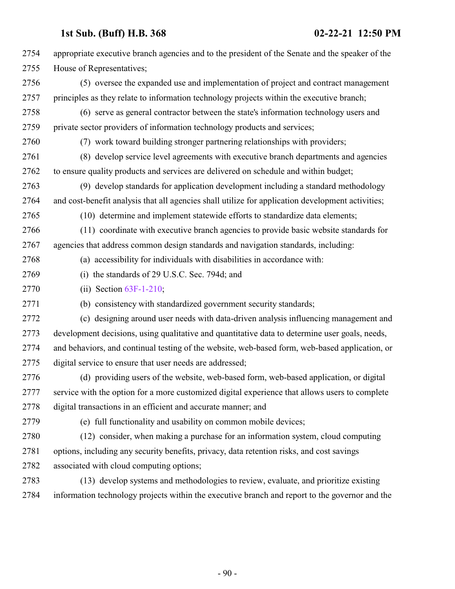| 2754 | appropriate executive branch agencies and to the president of the Senate and the speaker of the   |
|------|---------------------------------------------------------------------------------------------------|
| 2755 | House of Representatives;                                                                         |
| 2756 | (5) oversee the expanded use and implementation of project and contract management                |
| 2757 | principles as they relate to information technology projects within the executive branch;         |
| 2758 | (6) serve as general contractor between the state's information technology users and              |
| 2759 | private sector providers of information technology products and services;                         |
| 2760 | (7) work toward building stronger partnering relationships with providers;                        |
| 2761 | (8) develop service level agreements with executive branch departments and agencies               |
| 2762 | to ensure quality products and services are delivered on schedule and within budget;              |
| 2763 | (9) develop standards for application development including a standard methodology                |
| 2764 | and cost-benefit analysis that all agencies shall utilize for application development activities; |
| 2765 | (10) determine and implement statewide efforts to standardize data elements;                      |
| 2766 | (11) coordinate with executive branch agencies to provide basic website standards for             |
| 2767 | agencies that address common design standards and navigation standards, including:                |
| 2768 | (a) accessibility for individuals with disabilities in accordance with:                           |
| 2769 | (i) the standards of 29 U.S.C. Sec. 794d; and                                                     |
| 2770 | (ii) Section $63F-1-210$ ;                                                                        |
| 2771 | (b) consistency with standardized government security standards;                                  |
| 2772 | (c) designing around user needs with data-driven analysis influencing management and              |
| 2773 | development decisions, using qualitative and quantitative data to determine user goals, needs,    |
| 2774 | and behaviors, and continual testing of the website, web-based form, web-based application, or    |
| 2775 | digital service to ensure that user needs are addressed;                                          |
| 2776 | (d) providing users of the website, web-based form, web-based application, or digital             |
| 2777 | service with the option for a more customized digital experience that allows users to complete    |
| 2778 | digital transactions in an efficient and accurate manner; and                                     |
| 2779 | (e) full functionality and usability on common mobile devices;                                    |
| 2780 | (12) consider, when making a purchase for an information system, cloud computing                  |
| 2781 | options, including any security benefits, privacy, data retention risks, and cost savings         |
| 2782 | associated with cloud computing options;                                                          |
| 2783 | (13) develop systems and methodologies to review, evaluate, and prioritize existing               |
| 2784 | information technology projects within the executive branch and report to the governor and the    |

- 90 -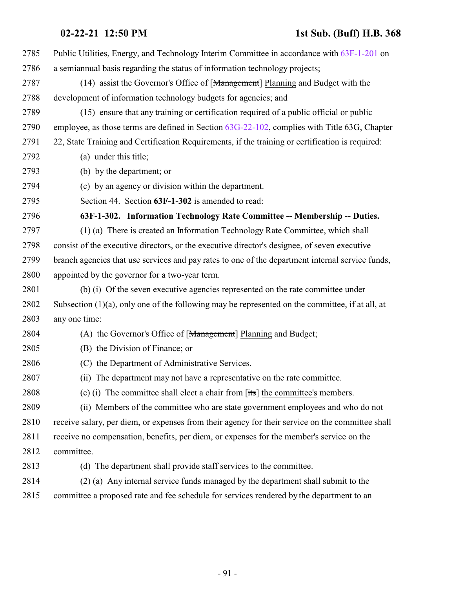| 2785 | Public Utilities, Energy, and Technology Interim Committee in accordance with 63F-1-201 on         |
|------|----------------------------------------------------------------------------------------------------|
| 2786 | a semiannual basis regarding the status of information technology projects;                        |
| 2787 | (14) assist the Governor's Office of [Management] Planning and Budget with the                     |
| 2788 | development of information technology budgets for agencies; and                                    |
| 2789 | (15) ensure that any training or certification required of a public official or public             |
| 2790 | employee, as those terms are defined in Section 63G-22-102, complies with Title 63G, Chapter       |
| 2791 | 22, State Training and Certification Requirements, if the training or certification is required:   |
| 2792 | (a) under this title;                                                                              |
| 2793 | (b) by the department; or                                                                          |
| 2794 | (c) by an agency or division within the department.                                                |
| 2795 | Section 44. Section 63F-1-302 is amended to read:                                                  |
| 2796 | 63F-1-302. Information Technology Rate Committee -- Membership -- Duties.                          |
| 2797 | (1) (a) There is created an Information Technology Rate Committee, which shall                     |
| 2798 | consist of the executive directors, or the executive director's designee, of seven executive       |
| 2799 | branch agencies that use services and pay rates to one of the department internal service funds,   |
| 2800 | appointed by the governor for a two-year term.                                                     |
| 2801 | (b) (i) Of the seven executive agencies represented on the rate committee under                    |
| 2802 | Subsection $(1)(a)$ , only one of the following may be represented on the committee, if at all, at |
| 2803 | any one time:                                                                                      |
| 2804 | (A) the Governor's Office of [Management] Planning and Budget;                                     |
| 2805 | (B) the Division of Finance; or                                                                    |
| 2806 | (C) the Department of Administrative Services.                                                     |
| 2807 | (ii) The department may not have a representative on the rate committee.                           |
| 2808 | (c) (i) The committee shall elect a chair from $[its]$ the committee's members.                    |
| 2809 | (ii) Members of the committee who are state government employees and who do not                    |
| 2810 | receive salary, per diem, or expenses from their agency for their service on the committee shall   |
| 2811 | receive no compensation, benefits, per diem, or expenses for the member's service on the           |
| 2812 | committee.                                                                                         |
| 2813 | (d) The department shall provide staff services to the committee.                                  |
| 2814 | (2) (a) Any internal service funds managed by the department shall submit to the                   |
| 2815 | committee a proposed rate and fee schedule for services rendered by the department to an           |
|      |                                                                                                    |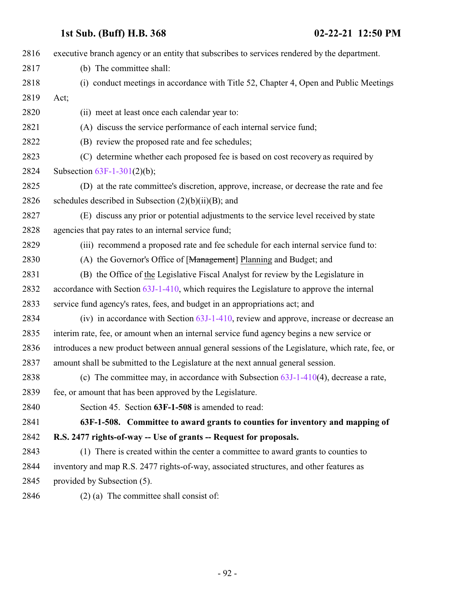| 2816 | executive branch agency or an entity that subscribes to services rendered by the department.     |
|------|--------------------------------------------------------------------------------------------------|
| 2817 | (b) The committee shall:                                                                         |
| 2818 | (i) conduct meetings in accordance with Title 52, Chapter 4, Open and Public Meetings            |
| 2819 | Act;                                                                                             |
| 2820 | (ii) meet at least once each calendar year to:                                                   |
| 2821 | (A) discuss the service performance of each internal service fund;                               |
| 2822 | (B) review the proposed rate and fee schedules;                                                  |
| 2823 | (C) determine whether each proposed fee is based on cost recovery as required by                 |
| 2824 | Subsection $63F-1-301(2)(b)$ ;                                                                   |
| 2825 | (D) at the rate committee's discretion, approve, increase, or decrease the rate and fee          |
| 2826 | schedules described in Subsection $(2)(b)(ii)(B)$ ; and                                          |
| 2827 | (E) discuss any prior or potential adjustments to the service level received by state            |
| 2828 | agencies that pay rates to an internal service fund;                                             |
| 2829 | (iii) recommend a proposed rate and fee schedule for each internal service fund to:              |
| 2830 | (A) the Governor's Office of [Management] Planning and Budget; and                               |
| 2831 | (B) the Office of the Legislative Fiscal Analyst for review by the Legislature in                |
| 2832 | accordance with Section 63J-1-410, which requires the Legislature to approve the internal        |
| 2833 | service fund agency's rates, fees, and budget in an appropriations act; and                      |
| 2834 | (iv) in accordance with Section $63J-1-410$ , review and approve, increase or decrease an        |
| 2835 | interim rate, fee, or amount when an internal service fund agency begins a new service or        |
| 2836 | introduces a new product between annual general sessions of the Legislature, which rate, fee, or |
| 2837 | amount shall be submitted to the Legislature at the next annual general session.                 |
| 2838 | (c) The committee may, in accordance with Subsection $63J-1-410(4)$ , decrease a rate,           |
| 2839 | fee, or amount that has been approved by the Legislature.                                        |
| 2840 | Section 45. Section 63F-1-508 is amended to read:                                                |
| 2841 | 63F-1-508. Committee to award grants to counties for inventory and mapping of                    |
| 2842 | R.S. 2477 rights-of-way -- Use of grants -- Request for proposals.                               |
| 2843 | (1) There is created within the center a committee to award grants to counties to                |
| 2844 | inventory and map R.S. 2477 rights-of-way, associated structures, and other features as          |
| 2845 | provided by Subsection (5).                                                                      |
| 2846 | $(2)$ (a) The committee shall consist of:                                                        |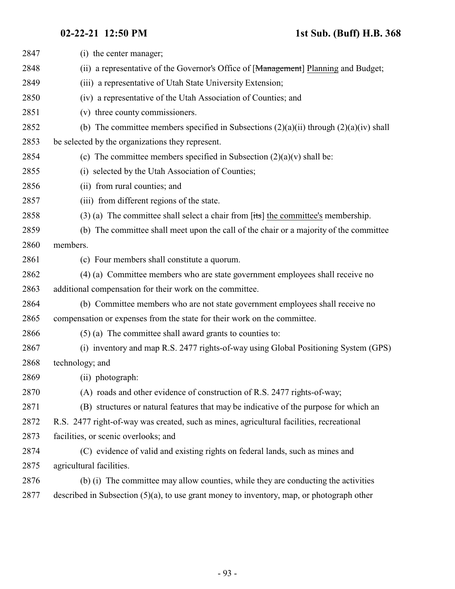| 2847 | (i) the center manager;                                                                          |
|------|--------------------------------------------------------------------------------------------------|
| 2848 | (ii) a representative of the Governor's Office of [ <del>Management</del> ] Planning and Budget; |
| 2849 | (iii) a representative of Utah State University Extension;                                       |
| 2850 | (iv) a representative of the Utah Association of Counties; and                                   |
| 2851 | (v) three county commissioners.                                                                  |
| 2852 | (b) The committee members specified in Subsections $(2)(a)(ii)$ through $(2)(a)(iv)$ shall       |
| 2853 | be selected by the organizations they represent.                                                 |
| 2854 | (c) The committee members specified in Subsection $(2)(a)(v)$ shall be:                          |
| 2855 | (i) selected by the Utah Association of Counties;                                                |
| 2856 | (ii) from rural counties; and                                                                    |
| 2857 | (iii) from different regions of the state.                                                       |
| 2858 | $(3)$ (a) The committee shall select a chair from [its] the committee's membership.              |
| 2859 | (b) The committee shall meet upon the call of the chair or a majority of the committee           |
| 2860 | members.                                                                                         |
| 2861 | (c) Four members shall constitute a quorum.                                                      |
| 2862 | (4) (a) Committee members who are state government employees shall receive no                    |
| 2863 | additional compensation for their work on the committee.                                         |
| 2864 | (b) Committee members who are not state government employees shall receive no                    |
| 2865 | compensation or expenses from the state for their work on the committee.                         |
| 2866 | $(5)$ (a) The committee shall award grants to counties to:                                       |
| 2867 | (i) inventory and map R.S. 2477 rights-of-way using Global Positioning System (GPS)              |
| 2868 | technology; and                                                                                  |
| 2869 | (ii) photograph:                                                                                 |
| 2870 | (A) roads and other evidence of construction of R.S. 2477 rights-of-way;                         |
| 2871 | (B) structures or natural features that may be indicative of the purpose for which an            |
| 2872 | R.S. 2477 right-of-way was created, such as mines, agricultural facilities, recreational         |
| 2873 | facilities, or scenic overlooks; and                                                             |
| 2874 | (C) evidence of valid and existing rights on federal lands, such as mines and                    |
| 2875 | agricultural facilities.                                                                         |
| 2876 | (b) (i) The committee may allow counties, while they are conducting the activities               |
| 2877 | described in Subsection $(5)(a)$ , to use grant money to inventory, map, or photograph other     |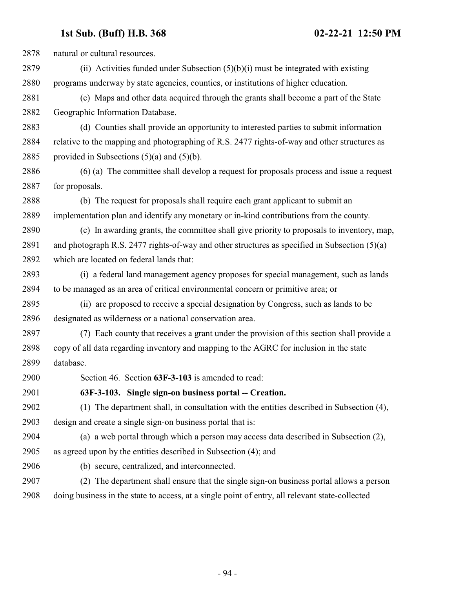natural or cultural resources. (ii) Activities funded under Subsection (5)(b)(i) must be integrated with existing programs underway by state agencies, counties, or institutions of higher education. (c) Maps and other data acquired through the grants shall become a part of the State Geographic Information Database. (d) Counties shall provide an opportunity to interested parties to submit information relative to the mapping and photographing of R.S. 2477 rights-of-way and other structures as 2885 provided in Subsections  $(5)(a)$  and  $(5)(b)$ . (6) (a) The committee shall develop a request for proposals process and issue a request for proposals. (b) The request for proposals shall require each grant applicant to submit an implementation plan and identify any monetary or in-kind contributions from the county. (c) In awarding grants, the committee shall give priority to proposals to inventory, map, and photograph R.S. 2477 rights-of-way and other structures as specified in Subsection (5)(a) which are located on federal lands that: (i) a federal land management agency proposes for special management, such as lands to be managed as an area of critical environmental concern or primitive area; or (ii) are proposed to receive a special designation by Congress, such as lands to be designated as wilderness or a national conservation area. (7) Each county that receives a grant under the provision of this section shall provide a copy of all data regarding inventory and mapping to the AGRC for inclusion in the state database. Section 46. Section **63F-3-103** is amended to read: **63F-3-103. Single sign-on business portal -- Creation.** (1) The department shall, in consultation with the entities described in Subsection (4), design and create a single sign-on business portal that is: (a) a web portal through which a person may access data described in Subsection (2), as agreed upon by the entities described in Subsection (4); and (b) secure, centralized, and interconnected. (2) The department shall ensure that the single sign-on business portal allows a person doing business in the state to access, at a single point of entry, all relevant state-collected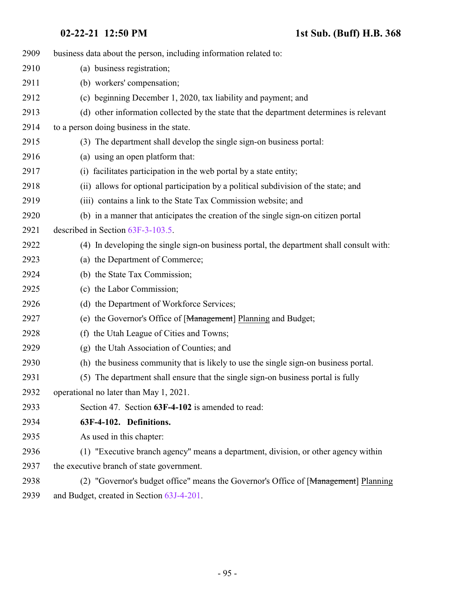| 2909 | business data about the person, including information related to:                        |
|------|------------------------------------------------------------------------------------------|
| 2910 | (a) business registration;                                                               |
| 2911 | (b) workers' compensation;                                                               |
| 2912 | (c) beginning December 1, 2020, tax liability and payment; and                           |
| 2913 | (d) other information collected by the state that the department determines is relevant  |
| 2914 | to a person doing business in the state.                                                 |
| 2915 | (3) The department shall develop the single sign-on business portal:                     |
| 2916 | (a) using an open platform that:                                                         |
| 2917 | facilitates participation in the web portal by a state entity;<br>(i)                    |
| 2918 | (ii) allows for optional participation by a political subdivision of the state; and      |
| 2919 | (iii) contains a link to the State Tax Commission website; and                           |
| 2920 | (b) in a manner that anticipates the creation of the single sign-on citizen portal       |
| 2921 | described in Section 63F-3-103.5.                                                        |
| 2922 | (4) In developing the single sign-on business portal, the department shall consult with: |
| 2923 | (a) the Department of Commerce;                                                          |
| 2924 | (b) the State Tax Commission;                                                            |
| 2925 | (c) the Labor Commission;                                                                |
| 2926 | (d) the Department of Workforce Services;                                                |
| 2927 | (e) the Governor's Office of [Management] Planning and Budget;                           |
| 2928 | (f) the Utah League of Cities and Towns;                                                 |
| 2929 | (g) the Utah Association of Counties; and                                                |
| 2930 | (h) the business community that is likely to use the single sign-on business portal.     |
| 2931 | (5) The department shall ensure that the single sign-on business portal is fully         |
| 2932 | operational no later than May 1, 2021.                                                   |
| 2933 | Section 47. Section 63F-4-102 is amended to read:                                        |
| 2934 | 63F-4-102. Definitions.                                                                  |
| 2935 | As used in this chapter:                                                                 |
| 2936 | (1) "Executive branch agency" means a department, division, or other agency within       |
| 2937 | the executive branch of state government.                                                |
| 2938 | (2) "Governor's budget office" means the Governor's Office of [Management] Planning      |
| 2939 | and Budget, created in Section 63J-4-201.                                                |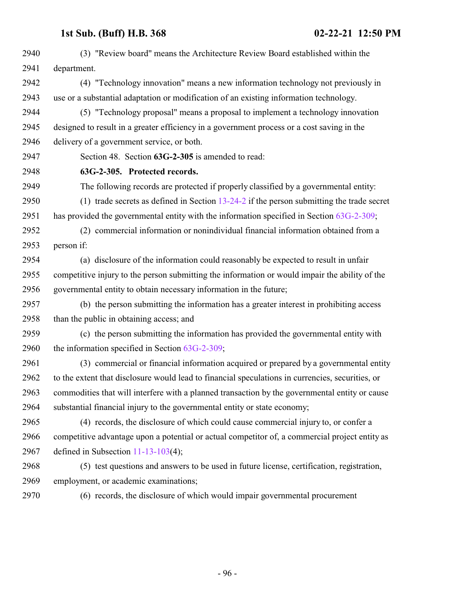| 2940 | (3) "Review board" means the Architecture Review Board established within the                    |
|------|--------------------------------------------------------------------------------------------------|
| 2941 | department.                                                                                      |
| 2942 | (4) "Technology innovation" means a new information technology not previously in                 |
| 2943 | use or a substantial adaptation or modification of an existing information technology.           |
| 2944 | (5) "Technology proposal" means a proposal to implement a technology innovation                  |
| 2945 | designed to result in a greater efficiency in a government process or a cost saving in the       |
| 2946 | delivery of a government service, or both.                                                       |
| 2947 | Section 48. Section 63G-2-305 is amended to read:                                                |
| 2948 | 63G-2-305. Protected records.                                                                    |
| 2949 | The following records are protected if properly classified by a governmental entity:             |
| 2950 | (1) trade secrets as defined in Section $13-24-2$ if the person submitting the trade secret      |
| 2951 | has provided the governmental entity with the information specified in Section 63G-2-309;        |
| 2952 | (2) commercial information or nonindividual financial information obtained from a                |
| 2953 | person if:                                                                                       |
| 2954 | (a) disclosure of the information could reasonably be expected to result in unfair               |
| 2955 | competitive injury to the person submitting the information or would impair the ability of the   |
| 2956 | governmental entity to obtain necessary information in the future;                               |
| 2957 | (b) the person submitting the information has a greater interest in prohibiting access           |
| 2958 | than the public in obtaining access; and                                                         |
| 2959 | (c) the person submitting the information has provided the governmental entity with              |
| 2960 | the information specified in Section $63G-2-309$ ;                                               |
| 2961 | (3) commercial or financial information acquired or prepared by a governmental entity            |
| 2962 | to the extent that disclosure would lead to financial speculations in currencies, securities, or |
| 2963 | commodities that will interfere with a planned transaction by the governmental entity or cause   |
| 2964 | substantial financial injury to the governmental entity or state economy;                        |
| 2965 | (4) records, the disclosure of which could cause commercial injury to, or confer a               |
| 2966 | competitive advantage upon a potential or actual competitor of, a commercial project entity as   |
| 2967 | defined in Subsection $11-13-103(4)$ ;                                                           |
| 2968 | (5) test questions and answers to be used in future license, certification, registration,        |
| 2969 | employment, or academic examinations;                                                            |
| 2970 | (6) records, the disclosure of which would impair governmental procurement                       |

- 96 -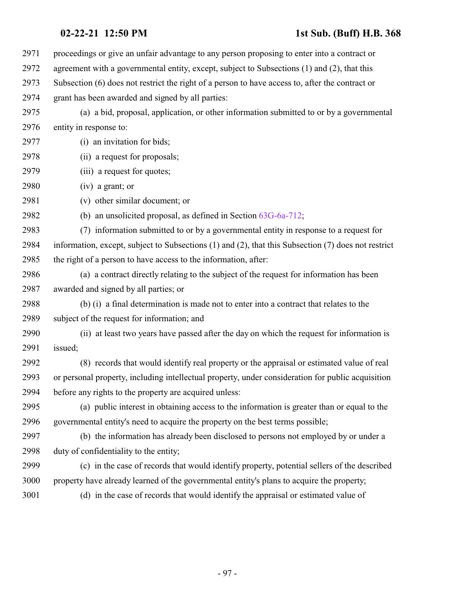| 2971 | proceedings or give an unfair advantage to any person proposing to enter into a contract or         |
|------|-----------------------------------------------------------------------------------------------------|
| 2972 | agreement with a governmental entity, except, subject to Subsections (1) and (2), that this         |
| 2973 | Subsection (6) does not restrict the right of a person to have access to, after the contract or     |
| 2974 | grant has been awarded and signed by all parties:                                                   |
| 2975 | (a) a bid, proposal, application, or other information submitted to or by a governmental            |
| 2976 | entity in response to:                                                                              |
| 2977 | (i) an invitation for bids;                                                                         |
| 2978 | (ii) a request for proposals;                                                                       |
| 2979 | (iii) a request for quotes;                                                                         |
| 2980 | $(iv)$ a grant; or                                                                                  |
| 2981 | (v) other similar document; or                                                                      |
| 2982 | (b) an unsolicited proposal, as defined in Section $63G-6a-712$ ;                                   |
| 2983 | (7) information submitted to or by a governmental entity in response to a request for               |
| 2984 | information, except, subject to Subsections (1) and (2), that this Subsection (7) does not restrict |
| 2985 | the right of a person to have access to the information, after:                                     |
| 2986 | (a) a contract directly relating to the subject of the request for information has been             |
| 2987 | awarded and signed by all parties; or                                                               |
| 2988 | (b) (i) a final determination is made not to enter into a contract that relates to the              |
| 2989 | subject of the request for information; and                                                         |
| 2990 | (ii) at least two years have passed after the day on which the request for information is           |
| 2991 | issued;                                                                                             |
| 2992 | (8) records that would identify real property or the appraisal or estimated value of real           |
| 2993 | or personal property, including intellectual property, under consideration for public acquisition   |
| 2994 | before any rights to the property are acquired unless:                                              |
| 2995 | (a) public interest in obtaining access to the information is greater than or equal to the          |
| 2996 | governmental entity's need to acquire the property on the best terms possible;                      |
| 2997 | (b) the information has already been disclosed to persons not employed by or under a                |
| 2998 | duty of confidentiality to the entity;                                                              |
| 2999 | (c) in the case of records that would identify property, potential sellers of the described         |
| 3000 | property have already learned of the governmental entity's plans to acquire the property;           |
| 3001 | (d) in the case of records that would identify the appraisal or estimated value of                  |
|      |                                                                                                     |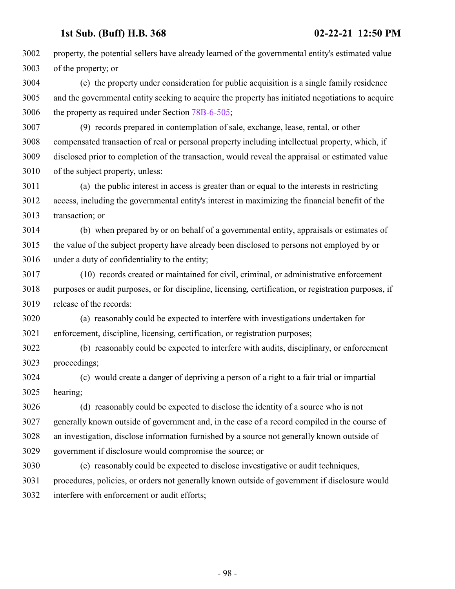property, the potential sellers have already learned of the governmental entity's estimated value of the property; or

 (e) the property under consideration for public acquisition is a single family residence and the governmental entity seeking to acquire the property has initiated negotiations to acquire the property as required under Section [78B-6-505](http://le.utah.gov/UtahCode/SectionLookup.jsp?section=78b-6-505&session=2021GS);

 (9) records prepared in contemplation of sale, exchange, lease, rental, or other compensated transaction of real or personal property including intellectual property, which, if disclosed prior to completion of the transaction, would reveal the appraisal or estimated value of the subject property, unless:

 (a) the public interest in access is greater than or equal to the interests in restricting access, including the governmental entity's interest in maximizing the financial benefit of the transaction; or

 (b) when prepared by or on behalf of a governmental entity, appraisals or estimates of the value of the subject property have already been disclosed to persons not employed by or under a duty of confidentiality to the entity;

 (10) records created or maintained for civil, criminal, or administrative enforcement purposes or audit purposes, or for discipline, licensing, certification, or registration purposes, if release of the records:

 (a) reasonably could be expected to interfere with investigations undertaken for enforcement, discipline, licensing, certification, or registration purposes;

 (b) reasonably could be expected to interfere with audits, disciplinary, or enforcement proceedings;

 (c) would create a danger of depriving a person of a right to a fair trial or impartial hearing;

 (d) reasonably could be expected to disclose the identity of a source who is not generally known outside of government and, in the case of a record compiled in the course of an investigation, disclose information furnished by a source not generally known outside of government if disclosure would compromise the source; or

 (e) reasonably could be expected to disclose investigative or audit techniques, procedures, policies, or orders not generally known outside of government if disclosure would interfere with enforcement or audit efforts;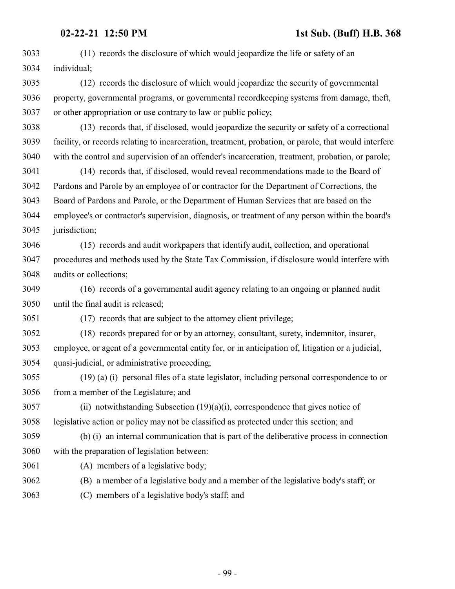**02-22-21 12:50 PM 1st Sub. (Buff) H.B. 368** (11) records the disclosure of which would jeopardize the life or safety of an individual; (12) records the disclosure of which would jeopardize the security of governmental property, governmental programs, or governmental recordkeeping systems from damage, theft, or other appropriation or use contrary to law or public policy; (13) records that, if disclosed, would jeopardize the security or safety of a correctional facility, or records relating to incarceration, treatment, probation, or parole, that would interfere with the control and supervision of an offender's incarceration, treatment, probation, or parole; (14) records that, if disclosed, would reveal recommendations made to the Board of Pardons and Parole by an employee of or contractor for the Department of Corrections, the Board of Pardons and Parole, or the Department of Human Services that are based on the employee's or contractor's supervision, diagnosis, or treatment of any person within the board's jurisdiction; (15) records and audit workpapers that identify audit, collection, and operational procedures and methods used by the State Tax Commission, if disclosure would interfere with audits or collections; (16) records of a governmental audit agency relating to an ongoing or planned audit until the final audit is released; (17) records that are subject to the attorney client privilege; (18) records prepared for or by an attorney, consultant, surety, indemnitor, insurer, employee, or agent of a governmental entity for, or in anticipation of, litigation or a judicial, quasi-judicial, or administrative proceeding; (19) (a) (i) personal files of a state legislator, including personal correspondence to or from a member of the Legislature; and (ii) notwithstanding Subsection (19)(a)(i), correspondence that gives notice of legislative action or policy may not be classified as protected under this section; and (b) (i) an internal communication that is part of the deliberative process in connection with the preparation of legislation between: (A) members of a legislative body; (B) a member of a legislative body and a member of the legislative body's staff; or

(C) members of a legislative body's staff; and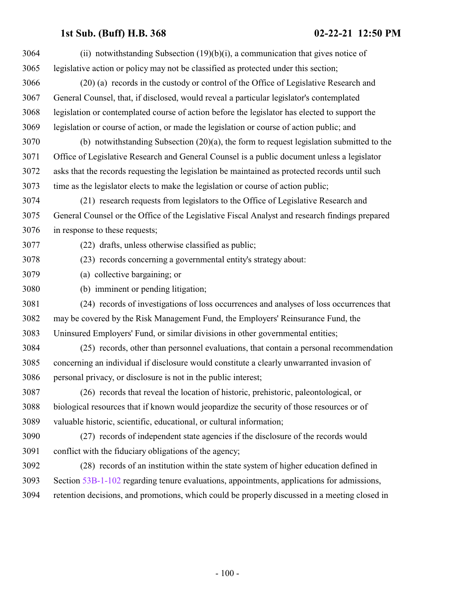| 3064 | (ii) notwithstanding Subsection $(19)(b)(i)$ , a communication that gives notice of            |
|------|------------------------------------------------------------------------------------------------|
| 3065 | legislative action or policy may not be classified as protected under this section;            |
| 3066 | (20) (a) records in the custody or control of the Office of Legislative Research and           |
| 3067 | General Counsel, that, if disclosed, would reveal a particular legislator's contemplated       |
| 3068 | legislation or contemplated course of action before the legislator has elected to support the  |
| 3069 | legislation or course of action, or made the legislation or course of action public; and       |
| 3070 | (b) notwithstanding Subsection $(20)(a)$ , the form to request legislation submitted to the    |
| 3071 | Office of Legislative Research and General Counsel is a public document unless a legislator    |
| 3072 | asks that the records requesting the legislation be maintained as protected records until such |
| 3073 | time as the legislator elects to make the legislation or course of action public;              |
| 3074 | (21) research requests from legislators to the Office of Legislative Research and              |
| 3075 | General Counsel or the Office of the Legislative Fiscal Analyst and research findings prepared |
| 3076 | in response to these requests;                                                                 |
| 3077 | (22) drafts, unless otherwise classified as public;                                            |
| 3078 | (23) records concerning a governmental entity's strategy about:                                |
| 3079 | (a) collective bargaining; or                                                                  |
| 3080 | (b) imminent or pending litigation;                                                            |
| 3081 | (24) records of investigations of loss occurrences and analyses of loss occurrences that       |
| 3082 | may be covered by the Risk Management Fund, the Employers' Reinsurance Fund, the               |
| 3083 | Uninsured Employers' Fund, or similar divisions in other governmental entities;                |
| 3084 | (25) records, other than personnel evaluations, that contain a personal recommendation         |
| 3085 | concerning an individual if disclosure would constitute a clearly unwarranted invasion of      |
| 3086 | personal privacy, or disclosure is not in the public interest;                                 |
| 3087 | (26) records that reveal the location of historic, prehistoric, paleontological, or            |
| 3088 | biological resources that if known would jeopardize the security of those resources or of      |
| 3089 | valuable historic, scientific, educational, or cultural information;                           |
| 3090 | (27) records of independent state agencies if the disclosure of the records would              |
| 3091 | conflict with the fiduciary obligations of the agency;                                         |
| 3092 | (28) records of an institution within the state system of higher education defined in          |
| 3093 | Section 53B-1-102 regarding tenure evaluations, appointments, applications for admissions,     |
| 3094 | retention decisions, and promotions, which could be properly discussed in a meeting closed in  |
|      |                                                                                                |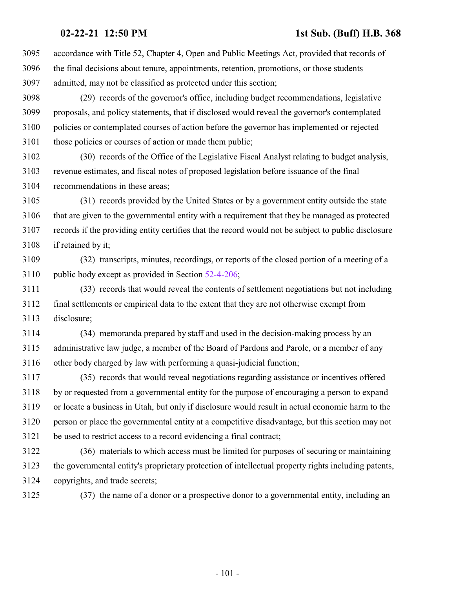accordance with Title 52, Chapter 4, Open and Public Meetings Act, provided that records of the final decisions about tenure, appointments, retention, promotions, or those students admitted, may not be classified as protected under this section;

 (29) records of the governor's office, including budget recommendations, legislative proposals, and policy statements, that if disclosed would reveal the governor's contemplated policies or contemplated courses of action before the governor has implemented or rejected 3101 those policies or courses of action or made them public;

 (30) records of the Office of the Legislative Fiscal Analyst relating to budget analysis, revenue estimates, and fiscal notes of proposed legislation before issuance of the final recommendations in these areas;

 (31) records provided by the United States or by a government entity outside the state that are given to the governmental entity with a requirement that they be managed as protected records if the providing entity certifies that the record would not be subject to public disclosure if retained by it;

 (32) transcripts, minutes, recordings, or reports of the closed portion of a meeting of a 3110 public body except as provided in Section  $52-4-206$ ;

 (33) records that would reveal the contents of settlement negotiations but not including final settlements or empirical data to the extent that they are not otherwise exempt from disclosure;

 (34) memoranda prepared by staff and used in the decision-making process by an administrative law judge, a member of the Board of Pardons and Parole, or a member of any other body charged by law with performing a quasi-judicial function;

 (35) records that would reveal negotiations regarding assistance or incentives offered by or requested from a governmental entity for the purpose of encouraging a person to expand or locate a business in Utah, but only if disclosure would result in actual economic harm to the person or place the governmental entity at a competitive disadvantage, but this section may not be used to restrict access to a record evidencing a final contract;

 (36) materials to which access must be limited for purposes of securing or maintaining the governmental entity's proprietary protection of intellectual property rights including patents, copyrights, and trade secrets;

(37) the name of a donor or a prospective donor to a governmental entity, including an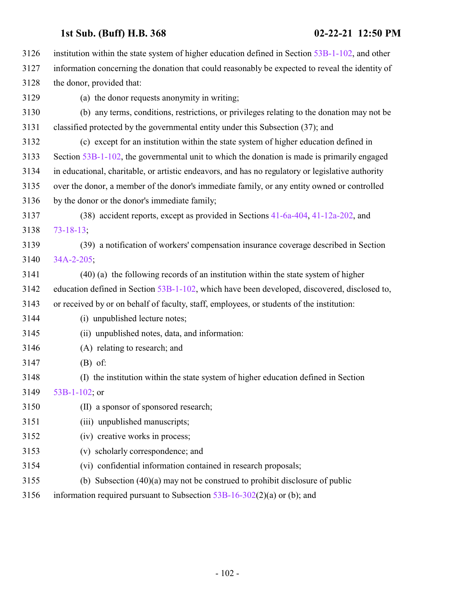| 3126 | institution within the state system of higher education defined in Section $53B-1-102$ , and other |
|------|----------------------------------------------------------------------------------------------------|
| 3127 | information concerning the donation that could reasonably be expected to reveal the identity of    |
| 3128 | the donor, provided that:                                                                          |
| 3129 | (a) the donor requests anonymity in writing;                                                       |
| 3130 | (b) any terms, conditions, restrictions, or privileges relating to the donation may not be         |
| 3131 | classified protected by the governmental entity under this Subsection (37); and                    |
| 3132 | (c) except for an institution within the state system of higher education defined in               |
| 3133 | Section 53B-1-102, the governmental unit to which the donation is made is primarily engaged        |
| 3134 | in educational, charitable, or artistic endeavors, and has no regulatory or legislative authority  |
| 3135 | over the donor, a member of the donor's immediate family, or any entity owned or controlled        |
| 3136 | by the donor or the donor's immediate family;                                                      |
| 3137 | (38) accident reports, except as provided in Sections 41-6a-404, 41-12a-202, and                   |
| 3138 | $73 - 18 - 13$                                                                                     |
| 3139 | (39) a notification of workers' compensation insurance coverage described in Section               |
| 3140 | 34A-2-205;                                                                                         |
| 3141 | (40) (a) the following records of an institution within the state system of higher                 |
| 3142 | education defined in Section 53B-1-102, which have been developed, discovered, disclosed to,       |
| 3143 | or received by or on behalf of faculty, staff, employees, or students of the institution:          |
| 3144 | (i) unpublished lecture notes;                                                                     |
| 3145 | (ii) unpublished notes, data, and information:                                                     |
| 3146 | (A) relating to research; and                                                                      |
| 3147 | $(B)$ of:                                                                                          |
| 3148 | (I) the institution within the state system of higher education defined in Section                 |
| 3149 | 53B-1-102; or                                                                                      |
| 3150 | (II) a sponsor of sponsored research;                                                              |
| 3151 | (iii) unpublished manuscripts;                                                                     |
| 3152 | (iv) creative works in process;                                                                    |
| 3153 | (v) scholarly correspondence; and                                                                  |
| 3154 | (vi) confidential information contained in research proposals;                                     |
| 3155 | (b) Subsection $(40)(a)$ may not be construed to prohibit disclosure of public                     |
| 3156 | information required pursuant to Subsection $53B-16-302(2)(a)$ or (b); and                         |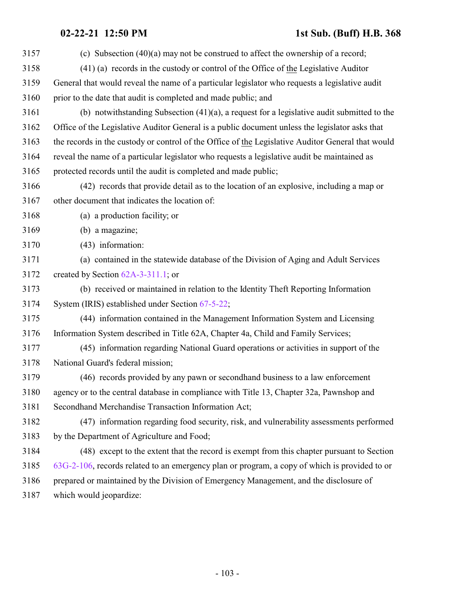| 3157 | (c) Subsection $(40)(a)$ may not be construed to affect the ownership of a record;                |
|------|---------------------------------------------------------------------------------------------------|
| 3158 | (41) (a) records in the custody or control of the Office of the Legislative Auditor               |
| 3159 | General that would reveal the name of a particular legislator who requests a legislative audit    |
| 3160 | prior to the date that audit is completed and made public; and                                    |
| 3161 | (b) notwithstanding Subsection $(41)(a)$ , a request for a legislative audit submitted to the     |
| 3162 | Office of the Legislative Auditor General is a public document unless the legislator asks that    |
| 3163 | the records in the custody or control of the Office of the Legislative Auditor General that would |
| 3164 | reveal the name of a particular legislator who requests a legislative audit be maintained as      |
| 3165 | protected records until the audit is completed and made public;                                   |
| 3166 | (42) records that provide detail as to the location of an explosive, including a map or           |
| 3167 | other document that indicates the location of:                                                    |
| 3168 | (a) a production facility; or                                                                     |
| 3169 | (b) a magazine;                                                                                   |
| 3170 | (43) information:                                                                                 |
| 3171 | (a) contained in the statewide database of the Division of Aging and Adult Services               |
| 3172 | created by Section $62A-3-311.1$ ; or                                                             |
| 3173 | (b) received or maintained in relation to the Identity Theft Reporting Information                |
| 3174 | System (IRIS) established under Section 67-5-22;                                                  |
| 3175 | (44) information contained in the Management Information System and Licensing                     |
| 3176 | Information System described in Title 62A, Chapter 4a, Child and Family Services;                 |
| 3177 | (45) information regarding National Guard operations or activities in support of the              |
| 3178 | National Guard's federal mission;                                                                 |
| 3179 | (46) records provided by any pawn or second hand business to a law enforcement                    |
| 3180 | agency or to the central database in compliance with Title 13, Chapter 32a, Pawnshop and          |
| 3181 | Secondhand Merchandise Transaction Information Act;                                               |
| 3182 | (47) information regarding food security, risk, and vulnerability assessments performed           |
| 3183 | by the Department of Agriculture and Food;                                                        |
| 3184 | (48) except to the extent that the record is exempt from this chapter pursuant to Section         |
| 3185 | 63G-2-106, records related to an emergency plan or program, a copy of which is provided to or     |
| 3186 | prepared or maintained by the Division of Emergency Management, and the disclosure of             |
| 3187 | which would jeopardize:                                                                           |
|      |                                                                                                   |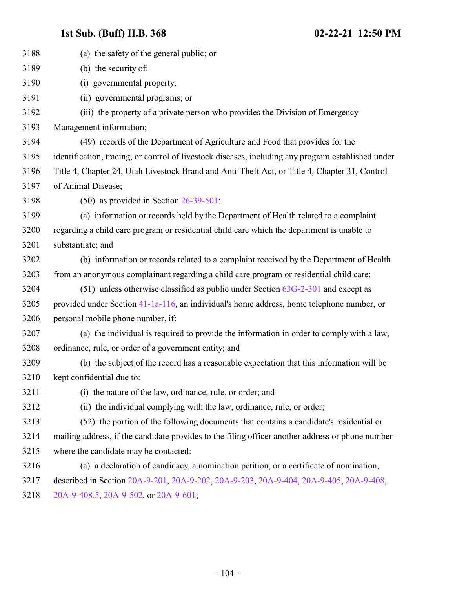| 3188 | (a) the safety of the general public; or                                                           |
|------|----------------------------------------------------------------------------------------------------|
| 3189 | (b) the security of:                                                                               |
| 3190 | (i) governmental property;                                                                         |
| 3191 | (ii) governmental programs; or                                                                     |
| 3192 | (iii) the property of a private person who provides the Division of Emergency                      |
| 3193 | Management information;                                                                            |
| 3194 | (49) records of the Department of Agriculture and Food that provides for the                       |
| 3195 | identification, tracing, or control of livestock diseases, including any program established under |
| 3196 | Title 4, Chapter 24, Utah Livestock Brand and Anti-Theft Act, or Title 4, Chapter 31, Control      |
| 3197 | of Animal Disease;                                                                                 |
| 3198 | $(50)$ as provided in Section $26-39-501$ :                                                        |
| 3199 | (a) information or records held by the Department of Health related to a complaint                 |
| 3200 | regarding a child care program or residential child care which the department is unable to         |
| 3201 | substantiate; and                                                                                  |
| 3202 | (b) information or records related to a complaint received by the Department of Health             |
| 3203 | from an anonymous complainant regarding a child care program or residential child care;            |
| 3204 | $(51)$ unless otherwise classified as public under Section $63G-2-301$ and except as               |
| 3205 | provided under Section 41-1a-116, an individual's home address, home telephone number, or          |
| 3206 | personal mobile phone number, if:                                                                  |
| 3207 | (a) the individual is required to provide the information in order to comply with a law,           |
| 3208 | ordinance, rule, or order of a government entity; and                                              |
| 3209 | (b) the subject of the record has a reasonable expectation that this information will be           |
| 3210 | kept confidential due to:                                                                          |
| 3211 | (i) the nature of the law, ordinance, rule, or order; and                                          |
| 3212 | (ii) the individual complying with the law, ordinance, rule, or order;                             |
| 3213 | (52) the portion of the following documents that contains a candidate's residential or             |
| 3214 | mailing address, if the candidate provides to the filing officer another address or phone number   |
| 3215 | where the candidate may be contacted:                                                              |
| 3216 | (a) a declaration of candidacy, a nomination petition, or a certificate of nomination,             |
| 3217 | described in Section 20A-9-201, 20A-9-202, 20A-9-203, 20A-9-404, 20A-9-405, 20A-9-408,             |
| 3218 | 20A-9-408.5, 20A-9-502, or 20A-9-601;                                                              |
|      |                                                                                                    |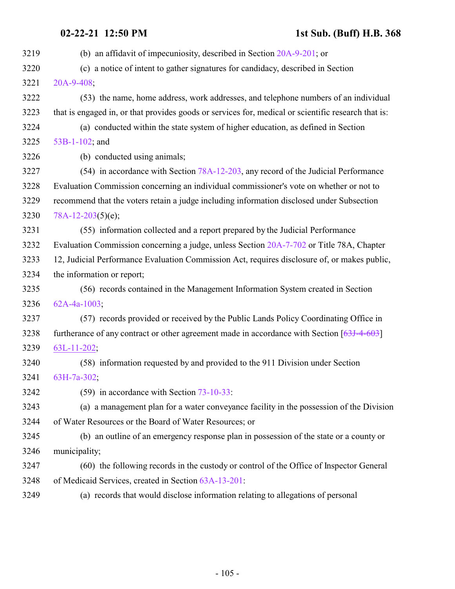| 3219 | (b) an affidavit of impecuniosity, described in Section $20A-9-201$ ; or                            |
|------|-----------------------------------------------------------------------------------------------------|
| 3220 | (c) a notice of intent to gather signatures for candidacy, described in Section                     |
| 3221 | 20A-9-408;                                                                                          |
| 3222 | (53) the name, home address, work addresses, and telephone numbers of an individual                 |
| 3223 | that is engaged in, or that provides goods or services for, medical or scientific research that is: |
| 3224 | (a) conducted within the state system of higher education, as defined in Section                    |
| 3225 | 53B-1-102; and                                                                                      |
| 3226 | (b) conducted using animals;                                                                        |
| 3227 | (54) in accordance with Section 78A-12-203, any record of the Judicial Performance                  |
| 3228 | Evaluation Commission concerning an individual commissioner's vote on whether or not to             |
| 3229 | recommend that the voters retain a judge including information disclosed under Subsection           |
| 3230 | 78A-12-203(5)(e);                                                                                   |
| 3231 | (55) information collected and a report prepared by the Judicial Performance                        |
| 3232 | Evaluation Commission concerning a judge, unless Section 20A-7-702 or Title 78A, Chapter            |
| 3233 | 12, Judicial Performance Evaluation Commission Act, requires disclosure of, or makes public,        |
| 3234 | the information or report;                                                                          |
| 3235 | (56) records contained in the Management Information System created in Section                      |
| 3236 | $62A-4a-1003$ ;                                                                                     |
| 3237 | (57) records provided or received by the Public Lands Policy Coordinating Office in                 |
| 3238 | furtherance of any contract or other agreement made in accordance with Section $[63J-4-603]$        |
| 3239 | $63L-11-202$ ;                                                                                      |
| 3240 | (58) information requested by and provided to the 911 Division under Section                        |
| 3241 | 63H-7a-302;                                                                                         |
| 3242 | $(59)$ in accordance with Section $73-10-33$ :                                                      |
| 3243 | (a) a management plan for a water conveyance facility in the possession of the Division             |
| 3244 | of Water Resources or the Board of Water Resources; or                                              |
| 3245 | (b) an outline of an emergency response plan in possession of the state or a county or              |
| 3246 | municipality;                                                                                       |
| 3247 | (60) the following records in the custody or control of the Office of Inspector General             |
| 3248 | of Medicaid Services, created in Section 63A-13-201:                                                |
| 3249 | (a) records that would disclose information relating to allegations of personal                     |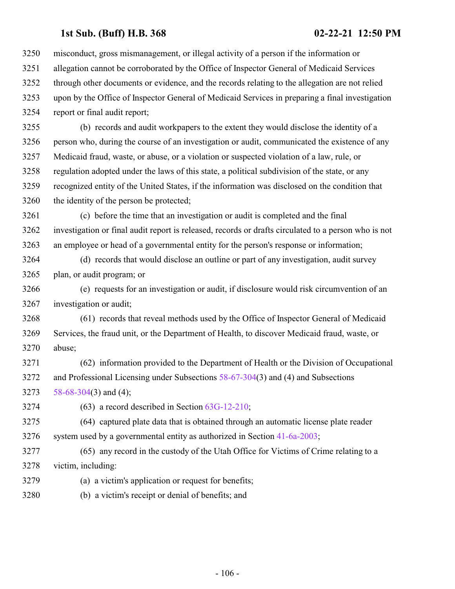misconduct, gross mismanagement, or illegal activity of a person if the information or allegation cannot be corroborated by the Office of Inspector General of Medicaid Services through other documents or evidence, and the records relating to the allegation are not relied upon by the Office of Inspector General of Medicaid Services in preparing a final investigation report or final audit report;

 (b) records and audit workpapers to the extent they would disclose the identity of a person who, during the course of an investigation or audit, communicated the existence of any Medicaid fraud, waste, or abuse, or a violation or suspected violation of a law, rule, or regulation adopted under the laws of this state, a political subdivision of the state, or any recognized entity of the United States, if the information was disclosed on the condition that the identity of the person be protected;

 (c) before the time that an investigation or audit is completed and the final investigation or final audit report is released, records or drafts circulated to a person who is not an employee or head of a governmental entity for the person's response or information;

 (d) records that would disclose an outline or part of any investigation, audit survey plan, or audit program; or

 (e) requests for an investigation or audit, if disclosure would risk circumvention of an investigation or audit;

 (61) records that reveal methods used by the Office of Inspector General of Medicaid Services, the fraud unit, or the Department of Health, to discover Medicaid fraud, waste, or abuse;

 (62) information provided to the Department of Health or the Division of Occupational and Professional Licensing under Subsections [58-67-304](http://le.utah.gov/UtahCode/SectionLookup.jsp?section=58-67-304&session=2021GS)(3) and (4) and Subsections [58-68-304](http://le.utah.gov/UtahCode/SectionLookup.jsp?section=58-68-304&session=2021GS)(3) and (4);

(63) a record described in Section [63G-12-210](http://le.utah.gov/UtahCode/SectionLookup.jsp?section=63g-12-210&session=2021GS);

 (64) captured plate data that is obtained through an automatic license plate reader 3276 system used by a governmental entity as authorized in Section  $41-6a-2003$ ;

 (65) any record in the custody of the Utah Office for Victims of Crime relating to a victim, including:

- (a) a victim's application or request for benefits;
- (b) a victim's receipt or denial of benefits; and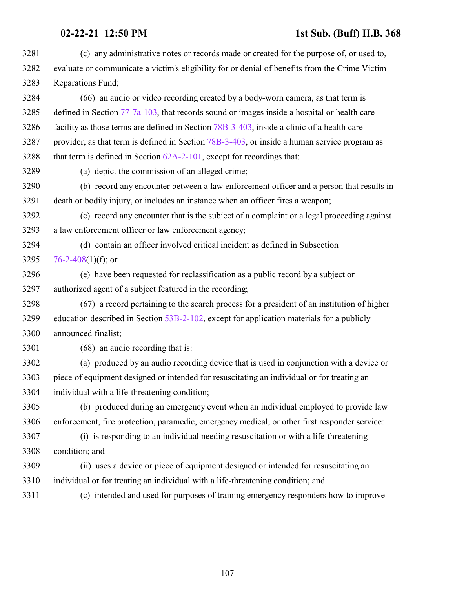| 3281 | (c) any administrative notes or records made or created for the purpose of, or used to,        |
|------|------------------------------------------------------------------------------------------------|
| 3282 | evaluate or communicate a victim's eligibility for or denial of benefits from the Crime Victim |
| 3283 | Reparations Fund;                                                                              |
| 3284 | (66) an audio or video recording created by a body-worn camera, as that term is                |
| 3285 | defined in Section 77-7a-103, that records sound or images inside a hospital or health care    |
| 3286 | facility as those terms are defined in Section 78B-3-403, inside a clinic of a health care     |
| 3287 | provider, as that term is defined in Section 78B-3-403, or inside a human service program as   |
| 3288 | that term is defined in Section $62A-2-101$ , except for recordings that:                      |
| 3289 | (a) depict the commission of an alleged crime;                                                 |
| 3290 | (b) record any encounter between a law enforcement officer and a person that results in        |
| 3291 | death or bodily injury, or includes an instance when an officer fires a weapon;                |
| 3292 | (c) record any encounter that is the subject of a complaint or a legal proceeding against      |
| 3293 | a law enforcement officer or law enforcement agency;                                           |
| 3294 | (d) contain an officer involved critical incident as defined in Subsection                     |
| 3295 | 76-2-408(1)(f); or                                                                             |
| 3296 | (e) have been requested for reclassification as a public record by a subject or                |
| 3297 | authorized agent of a subject featured in the recording;                                       |
| 3298 | (67) a record pertaining to the search process for a president of an institution of higher     |
| 3299 | education described in Section 53B-2-102, except for application materials for a publicly      |
| 3300 | announced finalist;                                                                            |
| 3301 | (68) an audio recording that is:                                                               |
| 3302 | (a) produced by an audio recording device that is used in conjunction with a device or         |
| 3303 | piece of equipment designed or intended for resuscitating an individual or for treating an     |
| 3304 | individual with a life-threatening condition;                                                  |
| 3305 | (b) produced during an emergency event when an individual employed to provide law              |
| 3306 | enforcement, fire protection, paramedic, emergency medical, or other first responder service:  |
| 3307 | (i) is responding to an individual needing resuscitation or with a life-threatening            |
| 3308 | condition; and                                                                                 |
| 3309 | (ii) uses a device or piece of equipment designed or intended for resuscitating an             |
| 3310 | individual or for treating an individual with a life-threatening condition; and                |
| 3311 | (c) intended and used for purposes of training emergency responders how to improve             |
|      |                                                                                                |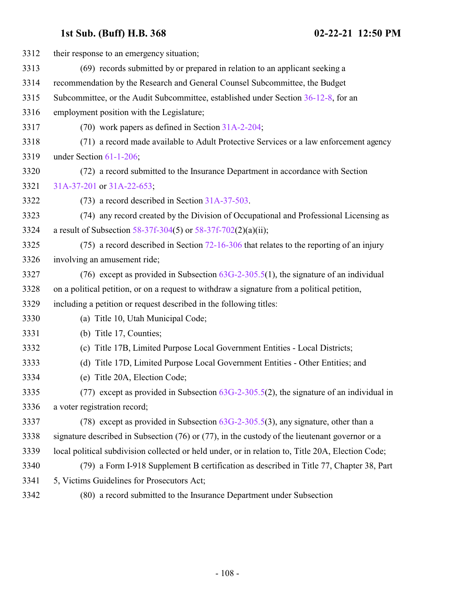| 3312 | their response to an emergency situation;                                                           |
|------|-----------------------------------------------------------------------------------------------------|
| 3313 | (69) records submitted by or prepared in relation to an applicant seeking a                         |
| 3314 | recommendation by the Research and General Counsel Subcommittee, the Budget                         |
| 3315 | Subcommittee, or the Audit Subcommittee, established under Section 36-12-8, for an                  |
| 3316 | employment position with the Legislature;                                                           |
| 3317 | $(70)$ work papers as defined in Section $31A-2-204$ ;                                              |
| 3318 | (71) a record made available to Adult Protective Services or a law enforcement agency               |
| 3319 | under Section 61-1-206;                                                                             |
| 3320 | (72) a record submitted to the Insurance Department in accordance with Section                      |
| 3321 | 31A-37-201 or 31A-22-653;                                                                           |
| 3322 | $(73)$ a record described in Section 31A-37-503.                                                    |
| 3323 | (74) any record created by the Division of Occupational and Professional Licensing as               |
| 3324 | a result of Subsection 58-37f-304(5) or 58-37f-702(2)(a)(ii);                                       |
| 3325 | $(75)$ a record described in Section 72-16-306 that relates to the reporting of an injury           |
| 3326 | involving an amusement ride;                                                                        |
| 3327 | (76) except as provided in Subsection $63G-2-305.5(1)$ , the signature of an individual             |
| 3328 | on a political petition, or on a request to withdraw a signature from a political petition,         |
| 3329 | including a petition or request described in the following titles:                                  |
| 3330 | (a) Title 10, Utah Municipal Code;                                                                  |
| 3331 | (b) Title 17, Counties;                                                                             |
| 3332 | (c) Title 17B, Limited Purpose Local Government Entities - Local Districts;                         |
| 3333 | (d) Title 17D, Limited Purpose Local Government Entities - Other Entities; and                      |
| 3334 | (e) Title 20A, Election Code;                                                                       |
| 3335 | (77) except as provided in Subsection $63G-2-305.5(2)$ , the signature of an individual in          |
| 3336 | a voter registration record;                                                                        |
| 3337 | (78) except as provided in Subsection $63G-2-305.5(3)$ , any signature, other than a                |
| 3338 | signature described in Subsection $(76)$ or $(77)$ , in the custody of the lieutenant governor or a |
| 3339 | local political subdivision collected or held under, or in relation to, Title 20A, Election Code;   |
| 3340 | (79) a Form I-918 Supplement B certification as described in Title 77, Chapter 38, Part             |
| 3341 | 5, Victims Guidelines for Prosecutors Act;                                                          |
| 3342 | (80) a record submitted to the Insurance Department under Subsection                                |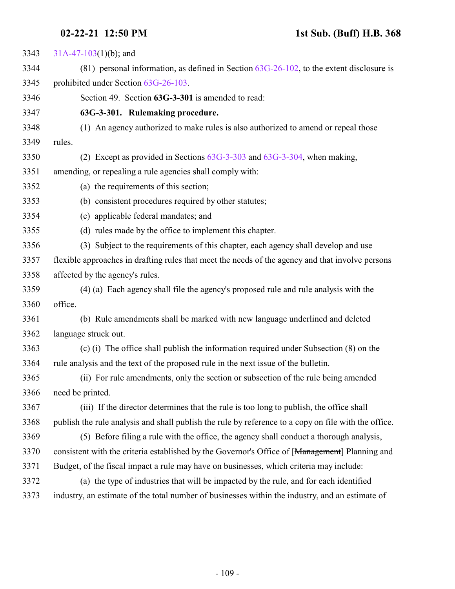### **02-22-21 12:50 PM 1st Sub. (Buff) H.B. 368**

 [31A-47-103](http://le.utah.gov/UtahCode/SectionLookup.jsp?section=31a-47-103&session=2021GS)(1)(b); and (81) personal information, as defined in Section [63G-26-102](http://le.utah.gov/UtahCode/SectionLookup.jsp?section=63g-26-102&session=2021GS), to the extent disclosure is prohibited under Section [63G-26-103](http://le.utah.gov/UtahCode/SectionLookup.jsp?section=63g-26-103&session=2021GS). Section 49. Section **63G-3-301** is amended to read: **63G-3-301. Rulemaking procedure.** (1) An agency authorized to make rules is also authorized to amend or repeal those rules. (2) Except as provided in Sections [63G-3-303](http://le.utah.gov/UtahCode/SectionLookup.jsp?section=63g-3-303&session=2021GS) and [63G-3-304](http://le.utah.gov/UtahCode/SectionLookup.jsp?section=63g-3-304&session=2021GS), when making, amending, or repealing a rule agencies shall comply with: (a) the requirements of this section; (b) consistent procedures required by other statutes; (c) applicable federal mandates; and (d) rules made by the office to implement this chapter. (3) Subject to the requirements of this chapter, each agency shall develop and use flexible approaches in drafting rules that meet the needs of the agency and that involve persons affected by the agency's rules. (4) (a) Each agency shall file the agency's proposed rule and rule analysis with the office. (b) Rule amendments shall be marked with new language underlined and deleted language struck out. (c) (i) The office shall publish the information required under Subsection (8) on the rule analysis and the text of the proposed rule in the next issue of the bulletin. (ii) For rule amendments, only the section or subsection of the rule being amended need be printed. (iii) If the director determines that the rule is too long to publish, the office shall publish the rule analysis and shall publish the rule by reference to a copy on file with the office. (5) Before filing a rule with the office, the agency shall conduct a thorough analysis, 3370 consistent with the criteria established by the Governor's Office of [Management] Planning and Budget, of the fiscal impact a rule may have on businesses, which criteria may include: (a) the type of industries that will be impacted by the rule, and for each identified industry, an estimate of the total number of businesses within the industry, and an estimate of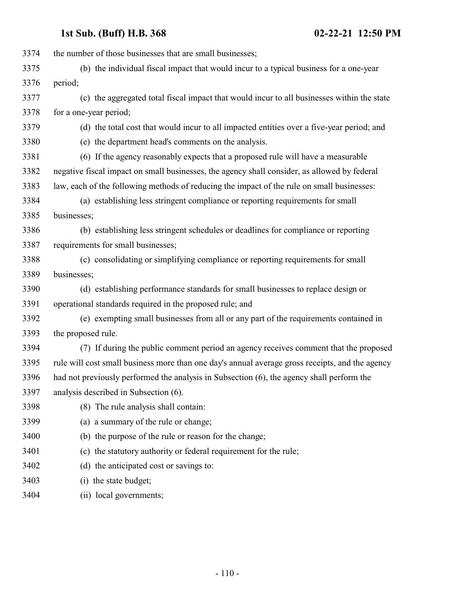| 3374 | the number of those businesses that are small businesses;                                       |
|------|-------------------------------------------------------------------------------------------------|
| 3375 | (b) the individual fiscal impact that would incur to a typical business for a one-year          |
| 3376 | period;                                                                                         |
| 3377 | (c) the aggregated total fiscal impact that would incur to all businesses within the state      |
| 3378 | for a one-year period;                                                                          |
| 3379 | (d) the total cost that would incur to all impacted entities over a five-year period; and       |
| 3380 | (e) the department head's comments on the analysis.                                             |
| 3381 | (6) If the agency reasonably expects that a proposed rule will have a measurable                |
| 3382 | negative fiscal impact on small businesses, the agency shall consider, as allowed by federal    |
| 3383 | law, each of the following methods of reducing the impact of the rule on small businesses:      |
| 3384 | (a) establishing less stringent compliance or reporting requirements for small                  |
| 3385 | businesses;                                                                                     |
| 3386 | (b) establishing less stringent schedules or deadlines for compliance or reporting              |
| 3387 | requirements for small businesses;                                                              |
| 3388 | (c) consolidating or simplifying compliance or reporting requirements for small                 |
| 3389 | businesses;                                                                                     |
| 3390 | (d) establishing performance standards for small businesses to replace design or                |
| 3391 | operational standards required in the proposed rule; and                                        |
| 3392 | (e) exempting small businesses from all or any part of the requirements contained in            |
| 3393 | the proposed rule.                                                                              |
| 3394 | (7) If during the public comment period an agency receives comment that the proposed            |
| 3395 | rule will cost small business more than one day's annual average gross receipts, and the agency |
| 3396 | had not previously performed the analysis in Subsection (6), the agency shall perform the       |
| 3397 | analysis described in Subsection (6).                                                           |
| 3398 | (8) The rule analysis shall contain:                                                            |
| 3399 | (a) a summary of the rule or change;                                                            |
| 3400 | (b) the purpose of the rule or reason for the change;                                           |
| 3401 | (c) the statutory authority or federal requirement for the rule;                                |
| 3402 | (d) the anticipated cost or savings to:                                                         |
| 3403 | (i) the state budget;                                                                           |
| 3404 | (ii) local governments;                                                                         |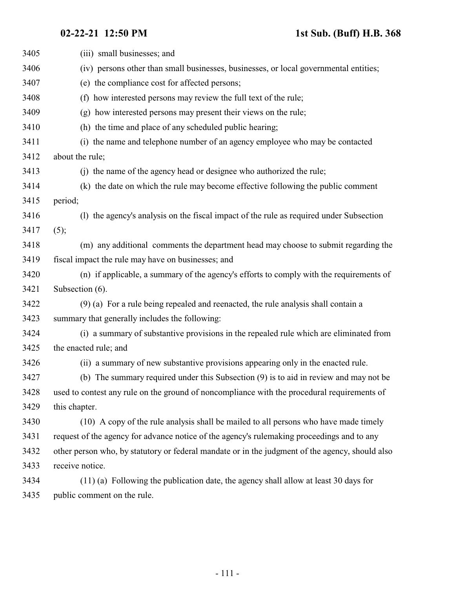| 3405 | (iii) small businesses; and                                                                     |
|------|-------------------------------------------------------------------------------------------------|
| 3406 | (iv) persons other than small businesses, businesses, or local governmental entities;           |
| 3407 | (e) the compliance cost for affected persons;                                                   |
| 3408 | (f) how interested persons may review the full text of the rule;                                |
| 3409 | (g) how interested persons may present their views on the rule;                                 |
| 3410 | (h) the time and place of any scheduled public hearing;                                         |
| 3411 | (i) the name and telephone number of an agency employee who may be contacted                    |
| 3412 | about the rule;                                                                                 |
| 3413 | (j) the name of the agency head or designee who authorized the rule;                            |
| 3414 | (k) the date on which the rule may become effective following the public comment                |
| 3415 | period;                                                                                         |
| 3416 | (1) the agency's analysis on the fiscal impact of the rule as required under Subsection         |
| 3417 | (5);                                                                                            |
| 3418 | (m) any additional comments the department head may choose to submit regarding the              |
| 3419 | fiscal impact the rule may have on businesses; and                                              |
| 3420 | (n) if applicable, a summary of the agency's efforts to comply with the requirements of         |
| 3421 | Subsection (6).                                                                                 |
| 3422 | (9) (a) For a rule being repealed and reenacted, the rule analysis shall contain a              |
| 3423 | summary that generally includes the following:                                                  |
| 3424 | (i) a summary of substantive provisions in the repealed rule which are eliminated from          |
| 3425 | the enacted rule; and                                                                           |
| 3426 | (ii) a summary of new substantive provisions appearing only in the enacted rule.                |
| 3427 | (b) The summary required under this Subsection (9) is to aid in review and may not be           |
| 3428 | used to contest any rule on the ground of noncompliance with the procedural requirements of     |
| 3429 | this chapter.                                                                                   |
| 3430 | (10) A copy of the rule analysis shall be mailed to all persons who have made timely            |
| 3431 | request of the agency for advance notice of the agency's rulemaking proceedings and to any      |
| 3432 | other person who, by statutory or federal mandate or in the judgment of the agency, should also |
| 3433 | receive notice.                                                                                 |
| 3434 | $(11)$ (a) Following the publication date, the agency shall allow at least 30 days for          |
| 3435 | public comment on the rule.                                                                     |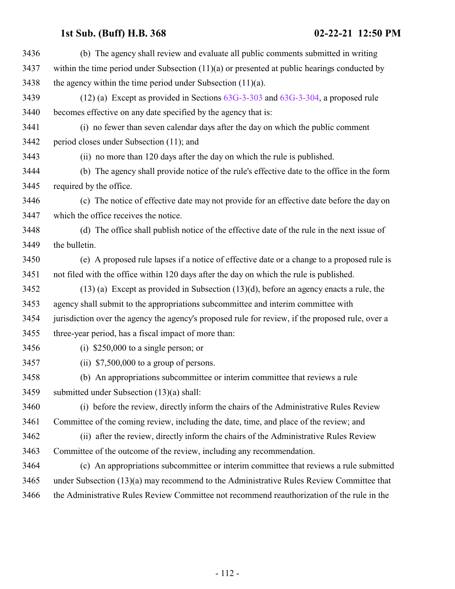| 3436 | (b) The agency shall review and evaluate all public comments submitted in writing                |
|------|--------------------------------------------------------------------------------------------------|
| 3437 | within the time period under Subsection $(11)(a)$ or presented at public hearings conducted by   |
| 3438 | the agency within the time period under Subsection $(11)(a)$ .                                   |
| 3439 | $(12)$ (a) Except as provided in Sections $63G-3-303$ and $63G-3-304$ , a proposed rule          |
| 3440 | becomes effective on any date specified by the agency that is:                                   |
| 3441 | (i) no fewer than seven calendar days after the day on which the public comment                  |
| 3442 | period closes under Subsection (11); and                                                         |
| 3443 | (ii) no more than 120 days after the day on which the rule is published.                         |
| 3444 | (b) The agency shall provide notice of the rule's effective date to the office in the form       |
| 3445 | required by the office.                                                                          |
| 3446 | (c) The notice of effective date may not provide for an effective date before the day on         |
| 3447 | which the office receives the notice.                                                            |
| 3448 | (d) The office shall publish notice of the effective date of the rule in the next issue of       |
| 3449 | the bulletin.                                                                                    |
| 3450 | (e) A proposed rule lapses if a notice of effective date or a change to a proposed rule is       |
| 3451 | not filed with the office within 120 days after the day on which the rule is published.          |
| 3452 | $(13)$ (a) Except as provided in Subsection $(13)(d)$ , before an agency enacts a rule, the      |
| 3453 | agency shall submit to the appropriations subcommittee and interim committee with                |
| 3454 | jurisdiction over the agency the agency's proposed rule for review, if the proposed rule, over a |
| 3455 | three-year period, has a fiscal impact of more than:                                             |
| 3456 | (i) $$250,000$ to a single person; or                                                            |
| 3457 | (ii) $$7,500,000$ to a group of persons.                                                         |
| 3458 | (b) An appropriations subcommittee or interim committee that reviews a rule                      |
| 3459 | submitted under Subsection (13)(a) shall:                                                        |
| 3460 | (i) before the review, directly inform the chairs of the Administrative Rules Review             |
| 3461 | Committee of the coming review, including the date, time, and place of the review; and           |
| 3462 | (ii) after the review, directly inform the chairs of the Administrative Rules Review             |
| 3463 | Committee of the outcome of the review, including any recommendation.                            |
| 3464 | (c) An appropriations subcommittee or interim committee that reviews a rule submitted            |
| 3465 | under Subsection (13)(a) may recommend to the Administrative Rules Review Committee that         |
| 3466 | the Administrative Rules Review Committee not recommend reauthorization of the rule in the       |
|      |                                                                                                  |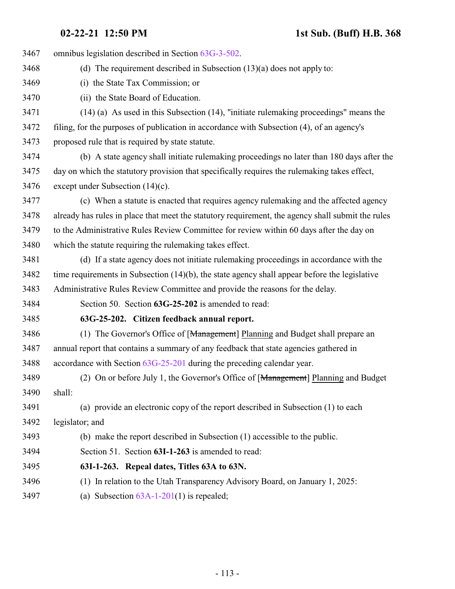| 3467 | omnibus legislation described in Section 63G-3-502.                                               |
|------|---------------------------------------------------------------------------------------------------|
| 3468 | (d) The requirement described in Subsection $(13)(a)$ does not apply to:                          |
| 3469 | (i) the State Tax Commission; or                                                                  |
| 3470 | (ii) the State Board of Education.                                                                |
| 3471 | $(14)$ (a) As used in this Subsection (14), "initiate rule making proceedings" means the          |
| 3472 | filing, for the purposes of publication in accordance with Subsection (4), of an agency's         |
| 3473 | proposed rule that is required by state statute.                                                  |
| 3474 | (b) A state agency shall initiate rulemaking proceedings no later than 180 days after the         |
| 3475 | day on which the statutory provision that specifically requires the rulemaking takes effect,      |
| 3476 | except under Subsection $(14)(c)$ .                                                               |
| 3477 | (c) When a statute is enacted that requires agency rulemaking and the affected agency             |
| 3478 | already has rules in place that meet the statutory requirement, the agency shall submit the rules |
| 3479 | to the Administrative Rules Review Committee for review within 60 days after the day on           |
| 3480 | which the statute requiring the rulemaking takes effect.                                          |
| 3481 | (d) If a state agency does not initiate rulemaking proceedings in accordance with the             |
| 3482 | time requirements in Subsection (14)(b), the state agency shall appear before the legislative     |
| 3483 | Administrative Rules Review Committee and provide the reasons for the delay.                      |
| 3484 | Section 50. Section 63G-25-202 is amended to read:                                                |
| 3485 | 63G-25-202. Citizen feedback annual report.                                                       |
| 3486 | (1) The Governor's Office of [Management] Planning and Budget shall prepare an                    |
| 3487 | annual report that contains a summary of any feedback that state agencies gathered in             |
| 3488 | accordance with Section $63G-25-201$ during the preceding calendar year.                          |
| 3489 | (2) On or before July 1, the Governor's Office of [Management] Planning and Budget                |
| 3490 | shall:                                                                                            |
| 3491 | (a) provide an electronic copy of the report described in Subsection (1) to each                  |
| 3492 | legislator; and                                                                                   |
| 3493 | (b) make the report described in Subsection (1) accessible to the public.                         |
| 3494 | Section 51. Section 63I-1-263 is amended to read:                                                 |
| 3495 | 63I-1-263. Repeal dates, Titles 63A to 63N.                                                       |
| 3496 | (1) In relation to the Utah Transparency Advisory Board, on January 1, 2025:                      |
| 3497 | (a) Subsection $63A-1-201(1)$ is repealed;                                                        |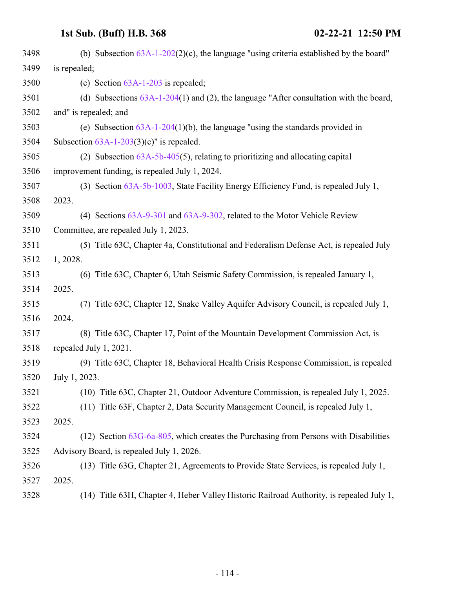| 3498 | (b) Subsection $63A-1-202(2)(c)$ , the language "using criteria established by the board" |
|------|-------------------------------------------------------------------------------------------|
| 3499 | is repealed;                                                                              |
| 3500 | (c) Section $63A-1-203$ is repealed;                                                      |
| 3501 | (d) Subsections $63A-1-204(1)$ and (2), the language "After consultation with the board,  |
| 3502 | and" is repealed; and                                                                     |
| 3503 | (e) Subsection $63A-1-204(1)(b)$ , the language "using the standards provided in          |
| 3504 | Subsection $63A-1-203(3)(c)$ " is repealed.                                               |
| 3505 | (2) Subsection $63A-5b-405(5)$ , relating to prioritizing and allocating capital          |
| 3506 | improvement funding, is repealed July 1, 2024.                                            |
| 3507 | (3) Section 63A-5b-1003, State Facility Energy Efficiency Fund, is repealed July 1,       |
| 3508 | 2023.                                                                                     |
| 3509 | (4) Sections 63A-9-301 and 63A-9-302, related to the Motor Vehicle Review                 |
| 3510 | Committee, are repealed July 1, 2023.                                                     |
| 3511 | (5) Title 63C, Chapter 4a, Constitutional and Federalism Defense Act, is repealed July    |
| 3512 | 1, 2028.                                                                                  |
| 3513 | (6) Title 63C, Chapter 6, Utah Seismic Safety Commission, is repealed January 1,          |
| 3514 | 2025.                                                                                     |
| 3515 | Title 63C, Chapter 12, Snake Valley Aquifer Advisory Council, is repealed July 1,<br>(7)  |
| 3516 | 2024.                                                                                     |
| 3517 | (8) Title 63C, Chapter 17, Point of the Mountain Development Commission Act, is           |
| 3518 | repealed July 1, 2021.                                                                    |
| 3519 | (9) Title 63C, Chapter 18, Behavioral Health Crisis Response Commission, is repealed      |
| 3520 | July 1, 2023.                                                                             |
| 3521 | (10) Title 63C, Chapter 21, Outdoor Adventure Commission, is repealed July 1, 2025.       |
| 3522 | (11) Title 63F, Chapter 2, Data Security Management Council, is repealed July 1,          |
| 3523 | 2025.                                                                                     |
| 3524 | $(12)$ Section $63G-6a-805$ , which creates the Purchasing from Persons with Disabilities |
| 3525 | Advisory Board, is repealed July 1, 2026.                                                 |
| 3526 | (13) Title 63G, Chapter 21, Agreements to Provide State Services, is repealed July 1,     |
| 3527 | 2025.                                                                                     |
| 3528 | (14) Title 63H, Chapter 4, Heber Valley Historic Railroad Authority, is repealed July 1,  |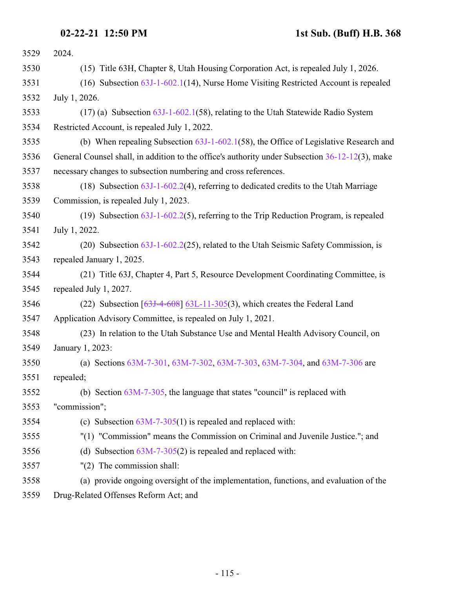## **02-22-21 12:50 PM 1st Sub. (Buff) H.B. 368**

| 3529 | 2024.                                                                                           |
|------|-------------------------------------------------------------------------------------------------|
| 3530 | (15) Title 63H, Chapter 8, Utah Housing Corporation Act, is repealed July 1, 2026.              |
| 3531 | $(16)$ Subsection $63J-1-602.1(14)$ , Nurse Home Visiting Restricted Account is repealed        |
| 3532 | July 1, 2026.                                                                                   |
| 3533 | $(17)$ (a) Subsection $63J-1-602.1(58)$ , relating to the Utah Statewide Radio System           |
| 3534 | Restricted Account, is repealed July 1, 2022.                                                   |
| 3535 | (b) When repealing Subsection $63J-1-602.1(58)$ , the Office of Legislative Research and        |
| 3536 | General Counsel shall, in addition to the office's authority under Subsection 36-12-12(3), make |
| 3537 | necessary changes to subsection numbering and cross references.                                 |
| 3538 | (18) Subsection $63J-1-602.2(4)$ , referring to dedicated credits to the Utah Marriage          |
| 3539 | Commission, is repealed July 1, 2023.                                                           |
| 3540 | (19) Subsection $63J-1-602.2(5)$ , referring to the Trip Reduction Program, is repealed         |
| 3541 | July 1, 2022.                                                                                   |
| 3542 | (20) Subsection $63J-1-602.2(25)$ , related to the Utah Seismic Safety Commission, is           |
| 3543 | repealed January 1, 2025.                                                                       |
| 3544 | (21) Title 63J, Chapter 4, Part 5, Resource Development Coordinating Committee, is              |
| 3545 | repealed July 1, 2027.                                                                          |
| 3546 | (22) Subsection $[63J-4-608]$ 63L-11-305(3), which creates the Federal Land                     |
| 3547 | Application Advisory Committee, is repealed on July 1, 2021.                                    |
| 3548 | (23) In relation to the Utah Substance Use and Mental Health Advisory Council, on               |
| 3549 | January 1, 2023:                                                                                |
| 3550 | (a) Sections 63M-7-301, 63M-7-302, 63M-7-303, 63M-7-304, and 63M-7-306 are                      |
| 3551 | repealed;                                                                                       |
| 3552 | (b) Section $63M-7-305$ , the language that states "council" is replaced with                   |
| 3553 | "commission";                                                                                   |
| 3554 | (c) Subsection $63M-7-305(1)$ is repealed and replaced with:                                    |
| 3555 | "(1) "Commission" means the Commission on Criminal and Juvenile Justice."; and                  |
| 3556 | (d) Subsection $63M-7-305(2)$ is repealed and replaced with:                                    |
| 3557 | $"(2)$ The commission shall:                                                                    |
| 3558 | (a) provide ongoing oversight of the implementation, functions, and evaluation of the           |
|      |                                                                                                 |

Drug-Related Offenses Reform Act; and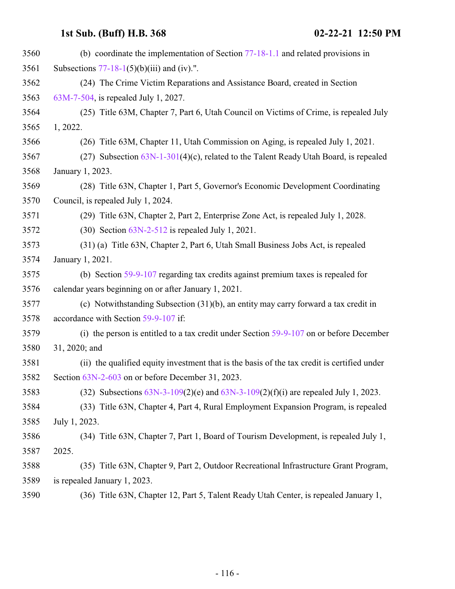| 3560 | (b) coordinate the implementation of Section $77-18-1.1$ and related provisions in          |
|------|---------------------------------------------------------------------------------------------|
| 3561 | Subsections $77-18-1(5)(b)(iii)$ and (iv).".                                                |
| 3562 | (24) The Crime Victim Reparations and Assistance Board, created in Section                  |
| 3563 | 63M-7-504, is repealed July 1, 2027.                                                        |
| 3564 | (25) Title 63M, Chapter 7, Part 6, Utah Council on Victims of Crime, is repealed July       |
| 3565 | 1, 2022.                                                                                    |
| 3566 | (26) Title 63M, Chapter 11, Utah Commission on Aging, is repealed July 1, 2021.             |
| 3567 | (27) Subsection $63N-1-301(4)(c)$ , related to the Talent Ready Utah Board, is repealed     |
| 3568 | January 1, 2023.                                                                            |
| 3569 | (28) Title 63N, Chapter 1, Part 5, Governor's Economic Development Coordinating             |
| 3570 | Council, is repealed July 1, 2024.                                                          |
| 3571 | (29) Title 63N, Chapter 2, Part 2, Enterprise Zone Act, is repealed July 1, 2028.           |
| 3572 | $(30)$ Section $63N-2-512$ is repealed July 1, 2021.                                        |
| 3573 | (31) (a) Title 63N, Chapter 2, Part 6, Utah Small Business Jobs Act, is repealed            |
| 3574 | January 1, 2021.                                                                            |
| 3575 | (b) Section 59-9-107 regarding tax credits against premium taxes is repealed for            |
| 3576 | calendar years beginning on or after January 1, 2021.                                       |
| 3577 | (c) Notwithstanding Subsection $(31)(b)$ , an entity may carry forward a tax credit in      |
| 3578 | accordance with Section 59-9-107 if:                                                        |
| 3579 | (i) the person is entitled to a tax credit under Section $59-9-107$ on or before December   |
| 3580 | 31, 2020; and                                                                               |
| 3581 | (ii) the qualified equity investment that is the basis of the tax credit is certified under |
| 3582 | Section 63N-2-603 on or before December 31, 2023.                                           |
| 3583 | (32) Subsections $63N-3-109(2)$ (e) and $63N-3-109(2)$ (f)(i) are repealed July 1, 2023.    |
| 3584 | (33) Title 63N, Chapter 4, Part 4, Rural Employment Expansion Program, is repealed          |
| 3585 | July 1, 2023.                                                                               |
| 3586 | (34) Title 63N, Chapter 7, Part 1, Board of Tourism Development, is repealed July 1,        |
| 3587 | 2025.                                                                                       |
| 3588 | (35) Title 63N, Chapter 9, Part 2, Outdoor Recreational Infrastructure Grant Program,       |
| 3589 | is repealed January 1, 2023.                                                                |
| 3590 | (36) Title 63N, Chapter 12, Part 5, Talent Ready Utah Center, is repealed January 1,        |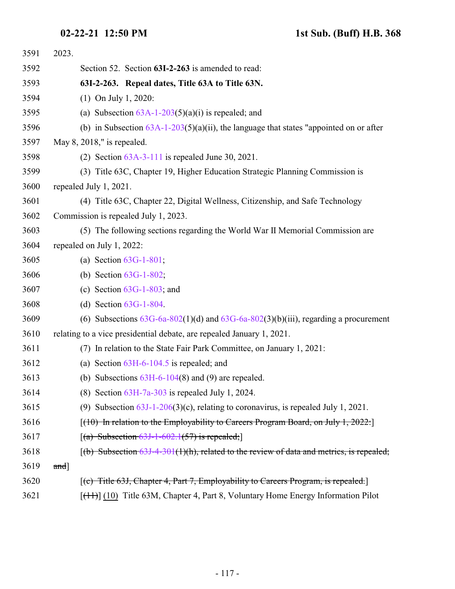| 3591 | 2023.                                                                                     |
|------|-------------------------------------------------------------------------------------------|
| 3592 | Section 52. Section 63I-2-263 is amended to read:                                         |
| 3593 | 63I-2-263. Repeal dates, Title 63A to Title 63N.                                          |
| 3594 | $(1)$ On July 1, 2020:                                                                    |
| 3595 | (a) Subsection $63A-1-203(5)(a)(i)$ is repealed; and                                      |
| 3596 | (b) in Subsection $63A-1-203(5)(a)(ii)$ , the language that states "appointed on or after |
| 3597 | May 8, 2018," is repealed.                                                                |
| 3598 | (2) Section $63A-3-111$ is repealed June 30, 2021.                                        |
| 3599 | (3) Title 63C, Chapter 19, Higher Education Strategic Planning Commission is              |
| 3600 | repealed July 1, 2021.                                                                    |
| 3601 | (4) Title 63C, Chapter 22, Digital Wellness, Citizenship, and Safe Technology             |
| 3602 | Commission is repealed July 1, 2023.                                                      |
| 3603 | (5) The following sections regarding the World War II Memorial Commission are             |
| 3604 | repealed on July 1, 2022:                                                                 |
| 3605 | (a) Section $63G-1-801$ ;                                                                 |
| 3606 | (b) Section $63G-1-802$ ;                                                                 |
| 3607 | (c) Section $63G-1-803$ ; and                                                             |
| 3608 | (d) Section $63G-1-804$ .                                                                 |
| 3609 | (6) Subsections $63G$ -6a-802(1)(d) and $63G$ -6a-802(3)(b)(iii), regarding a procurement |
| 3610 | relating to a vice presidential debate, are repealed January 1, 2021.                     |
| 3611 | (7) In relation to the State Fair Park Committee, on January 1, 2021:                     |
| 3612 | (a) Section $63H-6-104.5$ is repealed; and                                                |
| 3613 | (b) Subsections $63H-6-104(8)$ and (9) are repealed.                                      |
| 3614 | (8) Section $63H-7a-303$ is repealed July 1, 2024.                                        |
| 3615 | (9) Subsection $63J-1-206(3)(c)$ , relating to coronavirus, is repealed July 1, 2021.     |
| 3616 | $(10)$ In relation to the Employability to Careers Program Board, on July 1, 2022:        |
| 3617 | $[(a)$ Subsection 63J-1-602.1(57) is repealed;                                            |
| 3618 | $(6)$ Subsection 63J-4-301(1)(h), related to the review of data and metrics, is repealed; |
| 3619 | $and$ ]                                                                                   |
| 3620 | $[$ (c) Title 63J, Chapter 4, Part 7, Employability to Careers Program, is repealed.      |
| 3621 | [(11)] (10) Title 63M, Chapter 4, Part 8, Voluntary Home Energy Information Pilot         |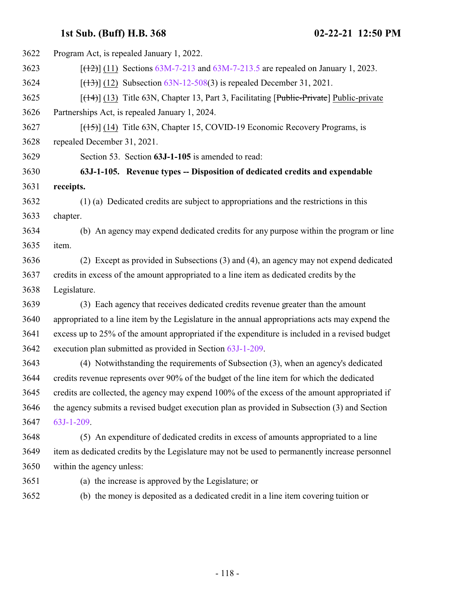| 3622 | Program Act, is repealed January 1, 2022.                                                       |
|------|-------------------------------------------------------------------------------------------------|
| 3623 | $[ (12) ] (11)$ Sections 63M-7-213 and 63M-7-213.5 are repealed on January 1, 2023.             |
| 3624 | $[ (13) ]$ (12) Subsection 63N-12-508(3) is repealed December 31, 2021.                         |
| 3625 | $[({14})]$ (13) Title 63N, Chapter 13, Part 3, Facilitating [Public-Private] Public-private     |
| 3626 | Partnerships Act, is repealed January 1, 2024.                                                  |
| 3627 | $[({15})]$ (14) Title 63N, Chapter 15, COVID-19 Economic Recovery Programs, is                  |
| 3628 | repealed December 31, 2021.                                                                     |
| 3629 | Section 53. Section 63J-1-105 is amended to read:                                               |
| 3630 | 63J-1-105. Revenue types -- Disposition of dedicated credits and expendable                     |
| 3631 | receipts.                                                                                       |
| 3632 | (1) (a) Dedicated credits are subject to appropriations and the restrictions in this            |
| 3633 | chapter.                                                                                        |
| 3634 | (b) An agency may expend dedicated credits for any purpose within the program or line           |
| 3635 | item.                                                                                           |
| 3636 | (2) Except as provided in Subsections (3) and (4), an agency may not expend dedicated           |
| 3637 | credits in excess of the amount appropriated to a line item as dedicated credits by the         |
| 3638 | Legislature.                                                                                    |
| 3639 | (3) Each agency that receives dedicated credits revenue greater than the amount                 |
| 3640 | appropriated to a line item by the Legislature in the annual appropriations acts may expend the |
| 3641 | excess up to 25% of the amount appropriated if the expenditure is included in a revised budget  |
| 3642 | execution plan submitted as provided in Section 63J-1-209.                                      |
| 3643 | (4) Notwithstanding the requirements of Subsection (3), when an agency's dedicated              |
| 3644 | credits revenue represents over 90% of the budget of the line item for which the dedicated      |
| 3645 | credits are collected, the agency may expend 100% of the excess of the amount appropriated if   |
| 3646 | the agency submits a revised budget execution plan as provided in Subsection (3) and Section    |
| 3647 | 63J-1-209.                                                                                      |
| 3648 | (5) An expenditure of dedicated credits in excess of amounts appropriated to a line             |
| 3649 | item as dedicated credits by the Legislature may not be used to permanently increase personnel  |
| 3650 | within the agency unless:                                                                       |
| 3651 | (a) the increase is approved by the Legislature; or                                             |
| 3652 | (b) the money is deposited as a dedicated credit in a line item covering tuition or             |
|      |                                                                                                 |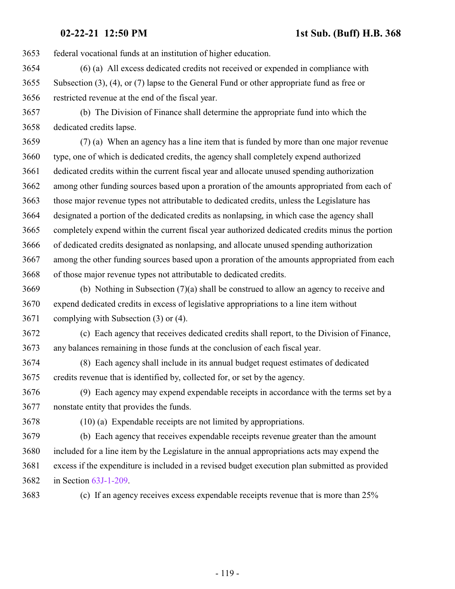federal vocational funds at an institution of higher education.

 (6) (a) All excess dedicated credits not received or expended in compliance with Subsection (3), (4), or (7) lapse to the General Fund or other appropriate fund as free or restricted revenue at the end of the fiscal year.

 (b) The Division of Finance shall determine the appropriate fund into which the dedicated credits lapse.

 (7) (a) When an agency has a line item that is funded by more than one major revenue type, one of which is dedicated credits, the agency shall completely expend authorized dedicated credits within the current fiscal year and allocate unused spending authorization among other funding sources based upon a proration of the amounts appropriated from each of those major revenue types not attributable to dedicated credits, unless the Legislature has designated a portion of the dedicated credits as nonlapsing, in which case the agency shall completely expend within the current fiscal year authorized dedicated credits minus the portion of dedicated credits designated as nonlapsing, and allocate unused spending authorization among the other funding sources based upon a proration of the amounts appropriated from each of those major revenue types not attributable to dedicated credits.

 (b) Nothing in Subsection (7)(a) shall be construed to allow an agency to receive and expend dedicated credits in excess of legislative appropriations to a line item without complying with Subsection (3) or (4).

 (c) Each agency that receives dedicated credits shall report, to the Division of Finance, any balances remaining in those funds at the conclusion of each fiscal year.

 (8) Each agency shall include in its annual budget request estimates of dedicated credits revenue that is identified by, collected for, or set by the agency.

 (9) Each agency may expend expendable receipts in accordance with the terms set by a nonstate entity that provides the funds.

(10) (a) Expendable receipts are not limited by appropriations.

 (b) Each agency that receives expendable receipts revenue greater than the amount included for a line item by the Legislature in the annual appropriations acts may expend the excess if the expenditure is included in a revised budget execution plan submitted as provided in Section [63J-1-209](#page-123-0).

(c) If an agency receives excess expendable receipts revenue that is more than 25%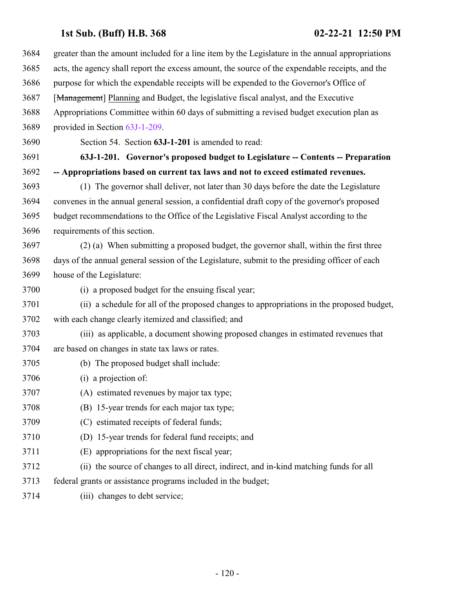<span id="page-119-0"></span> greater than the amount included for a line item by the Legislature in the annual appropriations acts, the agency shall report the excess amount, the source of the expendable receipts, and the purpose for which the expendable receipts will be expended to the Governor's Office of [Management] Planning and Budget, the legislative fiscal analyst, and the Executive Appropriations Committee within 60 days of submitting a revised budget execution plan as provided in Section [63J-1-209](#page-123-0). Section 54. Section **63J-1-201** is amended to read: **63J-1-201. Governor's proposed budget to Legislature -- Contents -- Preparation -- Appropriations based on current tax laws and not to exceed estimated revenues.** (1) The governor shall deliver, not later than 30 days before the date the Legislature convenes in the annual general session, a confidential draft copy of the governor's proposed budget recommendations to the Office of the Legislative Fiscal Analyst according to the requirements of this section. (2) (a) When submitting a proposed budget, the governor shall, within the first three days of the annual general session of the Legislature, submit to the presiding officer of each house of the Legislature: (i) a proposed budget for the ensuing fiscal year; (ii) a schedule for all of the proposed changes to appropriations in the proposed budget, with each change clearly itemized and classified; and (iii) as applicable, a document showing proposed changes in estimated revenues that are based on changes in state tax laws or rates. (b) The proposed budget shall include: (i) a projection of: (A) estimated revenues by major tax type; (B) 15-year trends for each major tax type; (C) estimated receipts of federal funds; (D) 15-year trends for federal fund receipts; and (E) appropriations for the next fiscal year; (ii) the source of changes to all direct, indirect, and in-kind matching funds for all federal grants or assistance programs included in the budget; (iii) changes to debt service;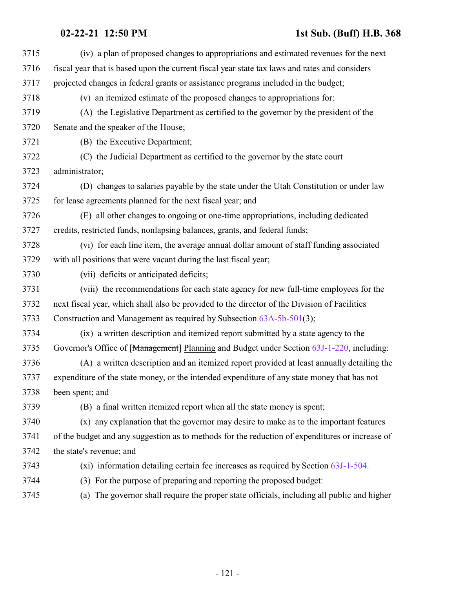# **02-22-21 12:50 PM 1st Sub. (Buff) H.B. 368**

| 3715 | (iv) a plan of proposed changes to appropriations and estimated revenues for the next           |
|------|-------------------------------------------------------------------------------------------------|
| 3716 | fiscal year that is based upon the current fiscal year state tax laws and rates and considers   |
| 3717 | projected changes in federal grants or assistance programs included in the budget;              |
| 3718 | (v) an itemized estimate of the proposed changes to appropriations for:                         |
| 3719 | (A) the Legislative Department as certified to the governor by the president of the             |
| 3720 | Senate and the speaker of the House;                                                            |
| 3721 | (B) the Executive Department;                                                                   |
| 3722 | (C) the Judicial Department as certified to the governor by the state court                     |
| 3723 | administrator;                                                                                  |
| 3724 | (D) changes to salaries payable by the state under the Utah Constitution or under law           |
| 3725 | for lease agreements planned for the next fiscal year; and                                      |
| 3726 | (E) all other changes to ongoing or one-time appropriations, including dedicated                |
| 3727 | credits, restricted funds, nonlapsing balances, grants, and federal funds;                      |
| 3728 | (vi) for each line item, the average annual dollar amount of staff funding associated           |
| 3729 | with all positions that were vacant during the last fiscal year;                                |
| 3730 | (vii) deficits or anticipated deficits;                                                         |
| 3731 | (viii) the recommendations for each state agency for new full-time employees for the            |
| 3732 | next fiscal year, which shall also be provided to the director of the Division of Facilities    |
| 3733 | Construction and Management as required by Subsection 63A-5b-501(3);                            |
| 3734 | (ix) a written description and itemized report submitted by a state agency to the               |
| 3735 | Governor's Office of [Management] Planning and Budget under Section 63J-1-220, including:       |
| 3736 | (A) a written description and an itemized report provided at least annually detailing the       |
| 3737 | expenditure of the state money, or the intended expenditure of any state money that has not     |
| 3738 | been spent; and                                                                                 |
| 3739 | (B) a final written itemized report when all the state money is spent;                          |
| 3740 | (x) any explanation that the governor may desire to make as to the important features           |
| 3741 | of the budget and any suggestion as to methods for the reduction of expenditures or increase of |
| 3742 | the state's revenue; and                                                                        |
| 3743 | $(xi)$ information detailing certain fee increases as required by Section $63J-1-504$ .         |
| 3744 | (3) For the purpose of preparing and reporting the proposed budget:                             |
| 3745 | (a) The governor shall require the proper state officials, including all public and higher      |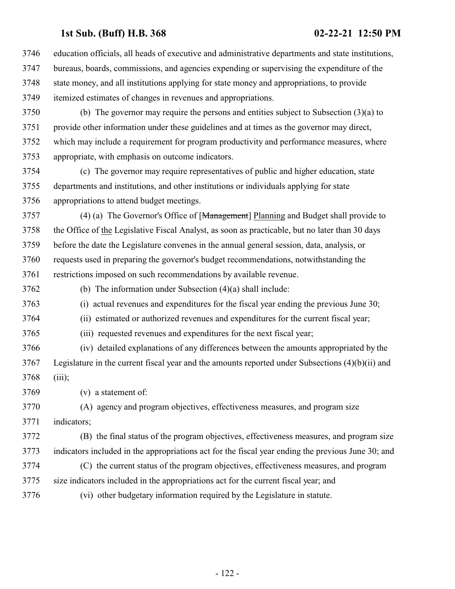education officials, all heads of executive and administrative departments and state institutions, bureaus, boards, commissions, and agencies expending or supervising the expenditure of the state money, and all institutions applying for state money and appropriations, to provide itemized estimates of changes in revenues and appropriations.

 (b) The governor may require the persons and entities subject to Subsection (3)(a) to provide other information under these guidelines and at times as the governor may direct, which may include a requirement for program productivity and performance measures, where appropriate, with emphasis on outcome indicators.

 (c) The governor may require representatives of public and higher education, state departments and institutions, and other institutions or individuals applying for state appropriations to attend budget meetings.

 (4) (a) The Governor's Office of [Management] Planning and Budget shall provide to the Office of the Legislative Fiscal Analyst, as soon as practicable, but no later than 30 days before the date the Legislature convenes in the annual general session, data, analysis, or requests used in preparing the governor's budget recommendations, notwithstanding the restrictions imposed on such recommendations by available revenue.

(b) The information under Subsection (4)(a) shall include:

(i) actual revenues and expenditures for the fiscal year ending the previous June 30;

(ii) estimated or authorized revenues and expenditures for the current fiscal year;

(iii) requested revenues and expenditures for the next fiscal year;

 (iv) detailed explanations of any differences between the amounts appropriated by the Legislature in the current fiscal year and the amounts reported under Subsections (4)(b)(ii) and (iii);

(v) a statement of:

(A) agency and program objectives, effectiveness measures, and program size

indicators;

 (B) the final status of the program objectives, effectiveness measures, and program size indicators included in the appropriations act for the fiscal year ending the previous June 30; and

 (C) the current status of the program objectives, effectiveness measures, and program size indicators included in the appropriations act for the current fiscal year; and

(vi) other budgetary information required by the Legislature in statute.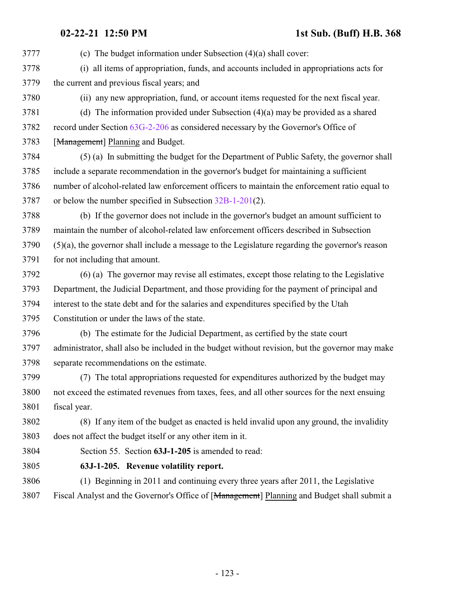(c) The budget information under Subsection (4)(a) shall cover:

- (i) all items of appropriation, funds, and accounts included in appropriations acts for the current and previous fiscal years; and
- 

(ii) any new appropriation, fund, or account items requested for the next fiscal year.

 (d) The information provided under Subsection (4)(a) may be provided as a shared record under Section [63G-2-206](http://le.utah.gov/UtahCode/SectionLookup.jsp?section=63g-2-206&session=2021GS) as considered necessary by the Governor's Office of

3783 [Management] Planning and Budget.

 (5) (a) In submitting the budget for the Department of Public Safety, the governor shall include a separate recommendation in the governor's budget for maintaining a sufficient number of alcohol-related law enforcement officers to maintain the enforcement ratio equal to or below the number specified in Subsection [32B-1-201](http://le.utah.gov/UtahCode/SectionLookup.jsp?section=32b-1-201&session=2021GS)(2).

 (b) If the governor does not include in the governor's budget an amount sufficient to maintain the number of alcohol-related law enforcement officers described in Subsection (5)(a), the governor shall include a message to the Legislature regarding the governor's reason for not including that amount.

 (6) (a) The governor may revise all estimates, except those relating to the Legislative Department, the Judicial Department, and those providing for the payment of principal and interest to the state debt and for the salaries and expenditures specified by the Utah Constitution or under the laws of the state.

 (b) The estimate for the Judicial Department, as certified by the state court administrator, shall also be included in the budget without revision, but the governor may make separate recommendations on the estimate.

 (7) The total appropriations requested for expenditures authorized by the budget may not exceed the estimated revenues from taxes, fees, and all other sources for the next ensuing fiscal year.

 (8) If any item of the budget as enacted is held invalid upon any ground, the invalidity does not affect the budget itself or any other item in it.

Section 55. Section **63J-1-205** is amended to read:

- **63J-1-205. Revenue volatility report.**
- (1) Beginning in 2011 and continuing every three years after 2011, the Legislative 3807 Fiscal Analyst and the Governor's Office of [Management] Planning and Budget shall submit a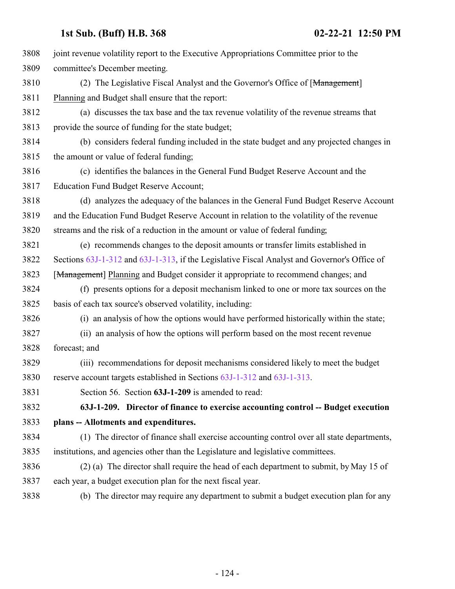<span id="page-123-0"></span>

| 3808 | joint revenue volatility report to the Executive Appropriations Committee prior to the       |
|------|----------------------------------------------------------------------------------------------|
| 3809 | committee's December meeting.                                                                |
| 3810 | (2) The Legislative Fiscal Analyst and the Governor's Office of [Management]                 |
| 3811 | Planning and Budget shall ensure that the report:                                            |
| 3812 | (a) discusses the tax base and the tax revenue volatility of the revenue streams that        |
| 3813 | provide the source of funding for the state budget;                                          |
| 3814 | (b) considers federal funding included in the state budget and any projected changes in      |
| 3815 | the amount or value of federal funding;                                                      |
| 3816 | (c) identifies the balances in the General Fund Budget Reserve Account and the               |
| 3817 | <b>Education Fund Budget Reserve Account;</b>                                                |
| 3818 | (d) analyzes the adequacy of the balances in the General Fund Budget Reserve Account         |
| 3819 | and the Education Fund Budget Reserve Account in relation to the volatility of the revenue   |
| 3820 | streams and the risk of a reduction in the amount or value of federal funding;               |
| 3821 | (e) recommends changes to the deposit amounts or transfer limits established in              |
| 3822 | Sections 63J-1-312 and 63J-1-313, if the Legislative Fiscal Analyst and Governor's Office of |
| 3823 | [Management] Planning and Budget consider it appropriate to recommend changes; and           |
| 3824 | (f) presents options for a deposit mechanism linked to one or more tax sources on the        |
| 3825 | basis of each tax source's observed volatility, including:                                   |
| 3826 | (i) an analysis of how the options would have performed historically within the state;       |
| 3827 | (ii) an analysis of how the options will perform based on the most recent revenue            |
| 3828 | forecast; and                                                                                |
| 3829 | (iii) recommendations for deposit mechanisms considered likely to meet the budget            |
| 3830 | reserve account targets established in Sections 63J-1-312 and 63J-1-313.                     |
| 3831 | Section 56. Section 63J-1-209 is amended to read:                                            |
| 3832 | 63J-1-209. Director of finance to exercise accounting control -- Budget execution            |
| 3833 | plans -- Allotments and expenditures.                                                        |
| 3834 | (1) The director of finance shall exercise accounting control over all state departments,    |
| 3835 | institutions, and agencies other than the Legislature and legislative committees.            |
| 3836 | (2) (a) The director shall require the head of each department to submit, by May 15 of       |
| 3837 | each year, a budget execution plan for the next fiscal year.                                 |
| 3838 | (b) The director may require any department to submit a budget execution plan for any        |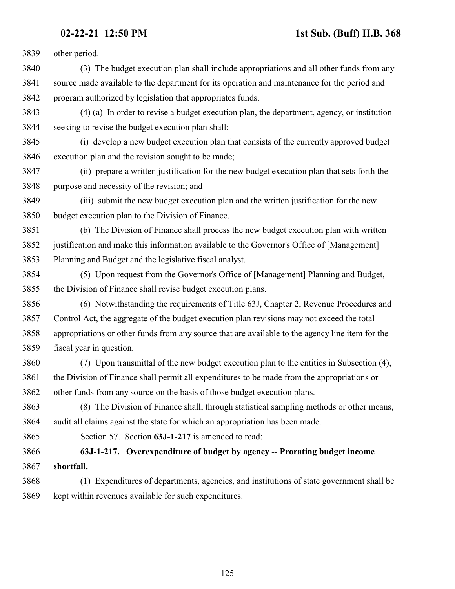other period.

- (3) The budget execution plan shall include appropriations and all other funds from any source made available to the department for its operation and maintenance for the period and program authorized by legislation that appropriates funds.
- (4) (a) In order to revise a budget execution plan, the department, agency, or institution seeking to revise the budget execution plan shall:
- (i) develop a new budget execution plan that consists of the currently approved budget execution plan and the revision sought to be made;
- (ii) prepare a written justification for the new budget execution plan that sets forth the purpose and necessity of the revision; and
- (iii) submit the new budget execution plan and the written justification for the new budget execution plan to the Division of Finance.
- (b) The Division of Finance shall process the new budget execution plan with written 3852 justification and make this information available to the Governor's Office of [Management] Planning and Budget and the legislative fiscal analyst.
- (5) Upon request from the Governor's Office of [Management] Planning and Budget, the Division of Finance shall revise budget execution plans.
- (6) Notwithstanding the requirements of Title 63J, Chapter 2, Revenue Procedures and Control Act, the aggregate of the budget execution plan revisions may not exceed the total appropriations or other funds from any source that are available to the agency line item for the fiscal year in question.
- (7) Upon transmittal of the new budget execution plan to the entities in Subsection (4), the Division of Finance shall permit all expenditures to be made from the appropriations or other funds from any source on the basis of those budget execution plans.
- (8) The Division of Finance shall, through statistical sampling methods or other means, audit all claims against the state for which an appropriation has been made.
- Section 57. Section **63J-1-217** is amended to read:

### **63J-1-217. Overexpenditure of budget by agency -- Prorating budget income shortfall.**

 (1) Expenditures of departments, agencies, and institutions of state government shall be kept within revenues available for such expenditures.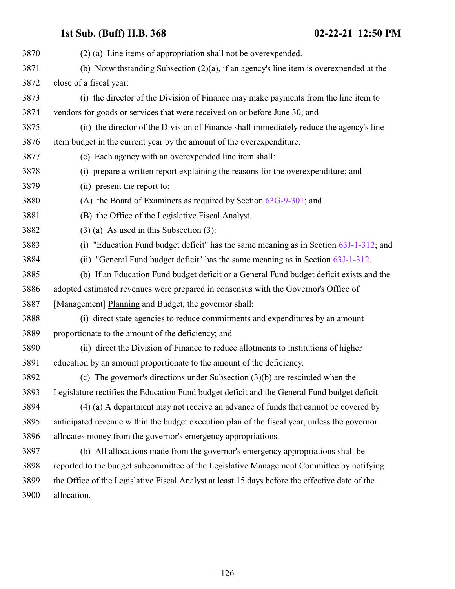### item budget in the current year by the amount of the overexpenditure.

- (c) Each agency with an overexpended line item shall:
- (i) prepare a written report explaining the reasons for the overexpenditure; and

(b) Notwithstanding Subsection (2)(a), if an agency's line item is overexpended at the

(i) the director of the Division of Finance may make payments from the line item to

(ii) the director of the Division of Finance shall immediately reduce the agency's line

- (ii) present the report to:
- (A) the Board of Examiners as required by Section [63G-9-301](http://le.utah.gov/UtahCode/SectionLookup.jsp?section=63g-9-301&session=2021GS); and

vendors for goods or services that were received on or before June 30; and

- (B) the Office of the Legislative Fiscal Analyst.
- (3) (a) As used in this Subsection (3):
- (i) "Education Fund budget deficit" has the same meaning as in Section [63J-1-312](http://le.utah.gov/UtahCode/SectionLookup.jsp?section=63j-1-312&session=2021GS); and
- (ii) "General Fund budget deficit" has the same meaning as in Section [63J-1-312](http://le.utah.gov/UtahCode/SectionLookup.jsp?section=63j-1-312&session=2021GS).
- (b) If an Education Fund budget deficit or a General Fund budget deficit exists and the adopted estimated revenues were prepared in consensus with the Governor's Office of [Management] Planning and Budget, the governor shall:
- (i) direct state agencies to reduce commitments and expenditures by an amount proportionate to the amount of the deficiency; and
- (ii) direct the Division of Finance to reduce allotments to institutions of higher education by an amount proportionate to the amount of the deficiency.
- (c) The governor's directions under Subsection (3)(b) are rescinded when the Legislature rectifies the Education Fund budget deficit and the General Fund budget deficit.
- (4) (a) A department may not receive an advance of funds that cannot be covered by anticipated revenue within the budget execution plan of the fiscal year, unless the governor allocates money from the governor's emergency appropriations.
- (b) All allocations made from the governor's emergency appropriations shall be reported to the budget subcommittee of the Legislative Management Committee by notifying the Office of the Legislative Fiscal Analyst at least 15 days before the effective date of the allocation.

close of a fiscal year:

(2) (a) Line items of appropriation shall not be overexpended.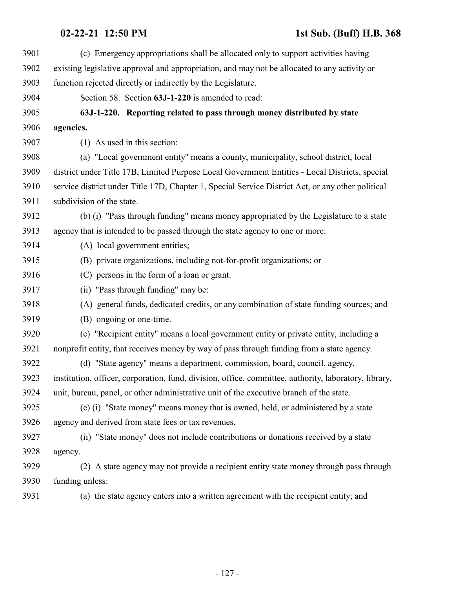<span id="page-126-0"></span>

| 3901 | (c) Emergency appropriations shall be allocated only to support activities having                     |
|------|-------------------------------------------------------------------------------------------------------|
| 3902 | existing legislative approval and appropriation, and may not be allocated to any activity or          |
| 3903 | function rejected directly or indirectly by the Legislature.                                          |
| 3904 | Section 58. Section 63J-1-220 is amended to read:                                                     |
| 3905 | 63J-1-220. Reporting related to pass through money distributed by state                               |
| 3906 | agencies.                                                                                             |
| 3907 | (1) As used in this section:                                                                          |
| 3908 | (a) "Local government entity" means a county, municipality, school district, local                    |
| 3909 | district under Title 17B, Limited Purpose Local Government Entities - Local Districts, special        |
| 3910 | service district under Title 17D, Chapter 1, Special Service District Act, or any other political     |
| 3911 | subdivision of the state.                                                                             |
| 3912 | (b) (i) "Pass through funding" means money appropriated by the Legislature to a state                 |
| 3913 | agency that is intended to be passed through the state agency to one or more:                         |
| 3914 | (A) local government entities;                                                                        |
| 3915 | (B) private organizations, including not-for-profit organizations; or                                 |
| 3916 | (C) persons in the form of a loan or grant.                                                           |
| 3917 | (ii) "Pass through funding" may be:                                                                   |
| 3918 | (A) general funds, dedicated credits, or any combination of state funding sources; and                |
| 3919 | (B) ongoing or one-time.                                                                              |
| 3920 | (c) "Recipient entity" means a local government entity or private entity, including a                 |
| 3921 | nonprofit entity, that receives money by way of pass through funding from a state agency.             |
| 3922 | (d) "State agency" means a department, commission, board, council, agency,                            |
| 3923 | institution, officer, corporation, fund, division, office, committee, authority, laboratory, library, |
| 3924 | unit, bureau, panel, or other administrative unit of the executive branch of the state.               |
| 3925 | (e) (i) "State money" means money that is owned, held, or administered by a state                     |
| 3926 | agency and derived from state fees or tax revenues.                                                   |
| 3927 | (ii) "State money" does not include contributions or donations received by a state                    |
| 3928 | agency.                                                                                               |
| 3929 | (2) A state agency may not provide a recipient entity state money through pass through                |
| 3930 | funding unless:                                                                                       |
| 3931 | (a) the state agency enters into a written agreement with the recipient entity; and                   |
|      |                                                                                                       |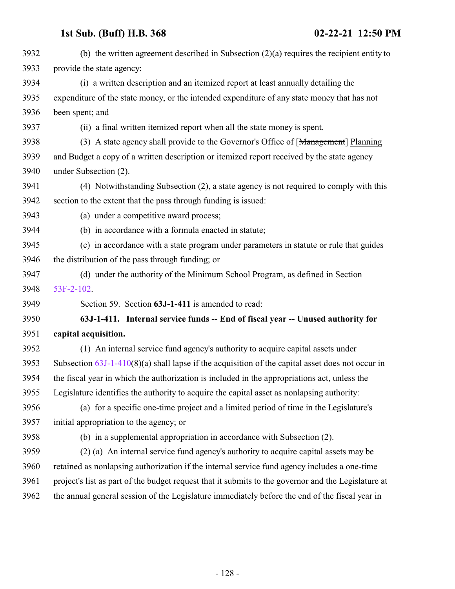| 3932 | (b) the written agreement described in Subsection $(2)(a)$ requires the recipient entity to         |
|------|-----------------------------------------------------------------------------------------------------|
| 3933 | provide the state agency:                                                                           |
| 3934 | (i) a written description and an itemized report at least annually detailing the                    |
| 3935 | expenditure of the state money, or the intended expenditure of any state money that has not         |
| 3936 | been spent; and                                                                                     |
| 3937 | (ii) a final written itemized report when all the state money is spent.                             |
| 3938 | (3) A state agency shall provide to the Governor's Office of [Management] Planning                  |
| 3939 | and Budget a copy of a written description or itemized report received by the state agency          |
| 3940 | under Subsection (2).                                                                               |
| 3941 | (4) Notwithstanding Subsection (2), a state agency is not required to comply with this              |
| 3942 | section to the extent that the pass through funding is issued:                                      |
| 3943 | (a) under a competitive award process;                                                              |
| 3944 | (b) in accordance with a formula enacted in statute;                                                |
| 3945 | (c) in accordance with a state program under parameters in statute or rule that guides              |
| 3946 | the distribution of the pass through funding; or                                                    |
| 3947 | (d) under the authority of the Minimum School Program, as defined in Section                        |
| 3948 | 53F-2-102.                                                                                          |
| 3949 | Section 59. Section 63J-1-411 is amended to read:                                                   |
| 3950 | 63J-1-411. Internal service funds -- End of fiscal year -- Unused authority for                     |
| 3951 | capital acquisition.                                                                                |
| 3952 | (1) An internal service fund agency's authority to acquire capital assets under                     |
| 3953 | Subsection $63J-1-410(8)(a)$ shall lapse if the acquisition of the capital asset does not occur in  |
| 3954 | the fiscal year in which the authorization is included in the appropriations act, unless the        |
| 3955 | Legislature identifies the authority to acquire the capital asset as nonlapsing authority:          |
| 3956 | (a) for a specific one-time project and a limited period of time in the Legislature's               |
| 3957 | initial appropriation to the agency; or                                                             |
| 3958 | (b) in a supplemental appropriation in accordance with Subsection (2).                              |
| 3959 | (2) (a) An internal service fund agency's authority to acquire capital assets may be                |
| 3960 | retained as nonlapsing authorization if the internal service fund agency includes a one-time        |
| 3961 | project's list as part of the budget request that it submits to the governor and the Legislature at |
| 3962 | the annual general session of the Legislature immediately before the end of the fiscal year in      |
|      |                                                                                                     |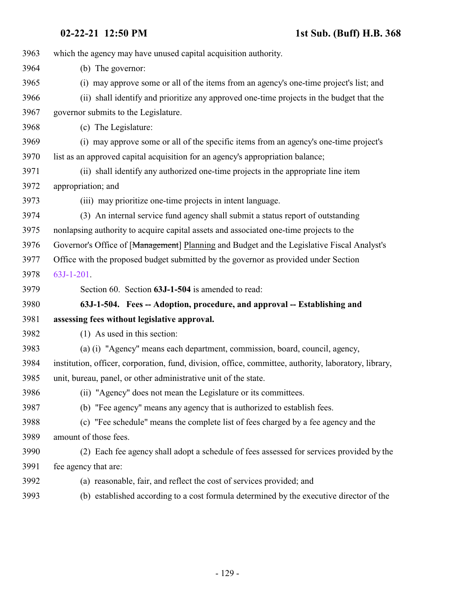<span id="page-128-0"></span>

| 3963 | which the agency may have unused capital acquisition authority.                                       |
|------|-------------------------------------------------------------------------------------------------------|
| 3964 | (b) The governor:                                                                                     |
| 3965 | (i) may approve some or all of the items from an agency's one-time project's list; and                |
| 3966 | (ii) shall identify and prioritize any approved one-time projects in the budget that the              |
| 3967 | governor submits to the Legislature.                                                                  |
| 3968 | (c) The Legislature:                                                                                  |
| 3969 | (i) may approve some or all of the specific items from an agency's one-time project's                 |
| 3970 | list as an approved capital acquisition for an agency's appropriation balance;                        |
| 3971 | (ii) shall identify any authorized one-time projects in the appropriate line item                     |
| 3972 | appropriation; and                                                                                    |
| 3973 | (iii) may prioritize one-time projects in intent language.                                            |
| 3974 | (3) An internal service fund agency shall submit a status report of outstanding                       |
| 3975 | nonlapsing authority to acquire capital assets and associated one-time projects to the                |
| 3976 | Governor's Office of [Management] Planning and Budget and the Legislative Fiscal Analyst's            |
| 3977 | Office with the proposed budget submitted by the governor as provided under Section                   |
| 3978 | 63J-1-201.                                                                                            |
| 3979 | Section 60. Section 63J-1-504 is amended to read:                                                     |
| 3980 | 63J-1-504. Fees -- Adoption, procedure, and approval -- Establishing and                              |
| 3981 | assessing fees without legislative approval.                                                          |
| 3982 | (1) As used in this section:                                                                          |
| 3983 | (a) (i) "Agency" means each department, commission, board, council, agency,                           |
| 3984 | institution, officer, corporation, fund, division, office, committee, authority, laboratory, library, |
| 3985 | unit, bureau, panel, or other administrative unit of the state.                                       |
| 3986 | (ii) "Agency" does not mean the Legislature or its committees.                                        |
| 3987 | (b) "Fee agency" means any agency that is authorized to establish fees.                               |
| 3988 | (c) "Fee schedule" means the complete list of fees charged by a fee agency and the                    |
| 3989 | amount of those fees.                                                                                 |
| 3990 | (2) Each fee agency shall adopt a schedule of fees assessed for services provided by the              |
| 3991 | fee agency that are:                                                                                  |
| 3992 | (a) reasonable, fair, and reflect the cost of services provided; and                                  |
| 3993 | (b) established according to a cost formula determined by the executive director of the               |
|      |                                                                                                       |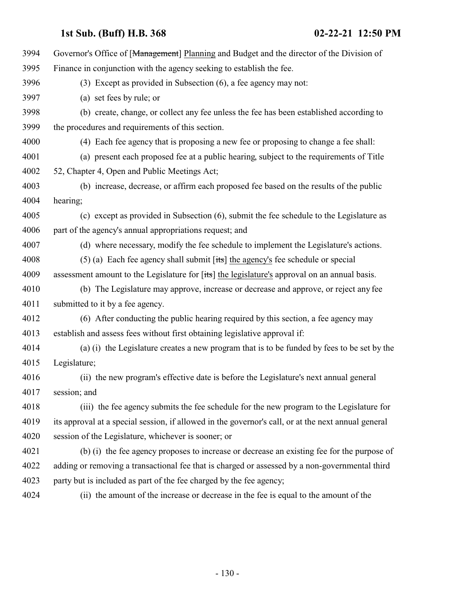| 3994 | Governor's Office of [Management] Planning and Budget and the director of the Division of                      |
|------|----------------------------------------------------------------------------------------------------------------|
| 3995 | Finance in conjunction with the agency seeking to establish the fee.                                           |
| 3996 | (3) Except as provided in Subsection (6), a fee agency may not:                                                |
| 3997 | (a) set fees by rule; or                                                                                       |
| 3998 | (b) create, change, or collect any fee unless the fee has been established according to                        |
| 3999 | the procedures and requirements of this section.                                                               |
| 4000 | (4) Each fee agency that is proposing a new fee or proposing to change a fee shall:                            |
| 4001 | (a) present each proposed fee at a public hearing, subject to the requirements of Title                        |
| 4002 | 52, Chapter 4, Open and Public Meetings Act;                                                                   |
| 4003 | (b) increase, decrease, or affirm each proposed fee based on the results of the public                         |
| 4004 | hearing;                                                                                                       |
| 4005 | (c) except as provided in Subsection (6), submit the fee schedule to the Legislature as                        |
| 4006 | part of the agency's annual appropriations request; and                                                        |
| 4007 | (d) where necessary, modify the fee schedule to implement the Legislature's actions.                           |
| 4008 | $(5)$ (a) Each fee agency shall submit [its] the agency's fee schedule or special                              |
| 4009 | assessment amount to the Legislature for $[t\ddot{\mathbf{s}}]$ the legislature's approval on an annual basis. |
| 4010 | (b) The Legislature may approve, increase or decrease and approve, or reject any fee                           |
| 4011 | submitted to it by a fee agency.                                                                               |
| 4012 | (6) After conducting the public hearing required by this section, a fee agency may                             |
| 4013 | establish and assess fees without first obtaining legislative approval if:                                     |
| 4014 | (a) (i) the Legislature creates a new program that is to be funded by fees to be set by the                    |
| 4015 | Legislature;                                                                                                   |
| 4016 | (ii) the new program's effective date is before the Legislature's next annual general                          |
| 4017 | session; and                                                                                                   |
| 4018 | (iii) the fee agency submits the fee schedule for the new program to the Legislature for                       |
| 4019 | its approval at a special session, if allowed in the governor's call, or at the next annual general            |
| 4020 | session of the Legislature, whichever is sooner; or                                                            |
| 4021 | (b) (i) the fee agency proposes to increase or decrease an existing fee for the purpose of                     |
| 4022 | adding or removing a transactional fee that is charged or assessed by a non-governmental third                 |
| 4023 | party but is included as part of the fee charged by the fee agency;                                            |
| 4024 | (ii) the amount of the increase or decrease in the fee is equal to the amount of the                           |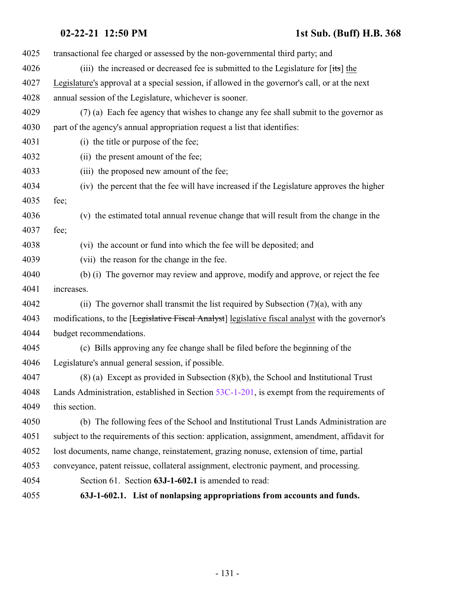<span id="page-130-0"></span>

| 4025 | transactional fee charged or assessed by the non-governmental third party; and                    |
|------|---------------------------------------------------------------------------------------------------|
| 4026 | (iii) the increased or decreased fee is submitted to the Legislature for [its] the                |
| 4027 | Legislature's approval at a special session, if allowed in the governor's call, or at the next    |
| 4028 | annual session of the Legislature, whichever is sooner.                                           |
| 4029 | (7) (a) Each fee agency that wishes to change any fee shall submit to the governor as             |
| 4030 | part of the agency's annual appropriation request a list that identifies:                         |
| 4031 | (i) the title or purpose of the fee;                                                              |
| 4032 | (ii) the present amount of the fee;                                                               |
| 4033 | (iii) the proposed new amount of the fee;                                                         |
| 4034 | (iv) the percent that the fee will have increased if the Legislature approves the higher          |
| 4035 | fee;                                                                                              |
| 4036 | (v) the estimated total annual revenue change that will result from the change in the             |
| 4037 | fee;                                                                                              |
| 4038 | (vi) the account or fund into which the fee will be deposited; and                                |
| 4039 | (vii) the reason for the change in the fee.                                                       |
| 4040 | (b) (i) The governor may review and approve, modify and approve, or reject the fee                |
| 4041 | increases.                                                                                        |
| 4042 | (ii) The governor shall transmit the list required by Subsection $(7)(a)$ , with any              |
| 4043 | modifications, to the [Legislative Fiscal Analyst] legislative fiscal analyst with the governor's |
| 4044 | budget recommendations.                                                                           |
| 4045 | (c) Bills approving any fee change shall be filed before the beginning of the                     |
| 4046 | Legislature's annual general session, if possible.                                                |
| 4047 | $(8)$ (a) Except as provided in Subsection $(8)(b)$ , the School and Institutional Trust          |
| 4048 | Lands Administration, established in Section $53C-1-201$ , is exempt from the requirements of     |
| 4049 | this section.                                                                                     |
| 4050 | (b) The following fees of the School and Institutional Trust Lands Administration are             |
| 4051 | subject to the requirements of this section: application, assignment, amendment, affidavit for    |
| 4052 | lost documents, name change, reinstatement, grazing nonuse, extension of time, partial            |
| 4053 | conveyance, patent reissue, collateral assignment, electronic payment, and processing.            |
| 4054 | Section 61. Section 63J-1-602.1 is amended to read:                                               |
| 4055 | 63J-1-602.1. List of nonlapsing appropriations from accounts and funds.                           |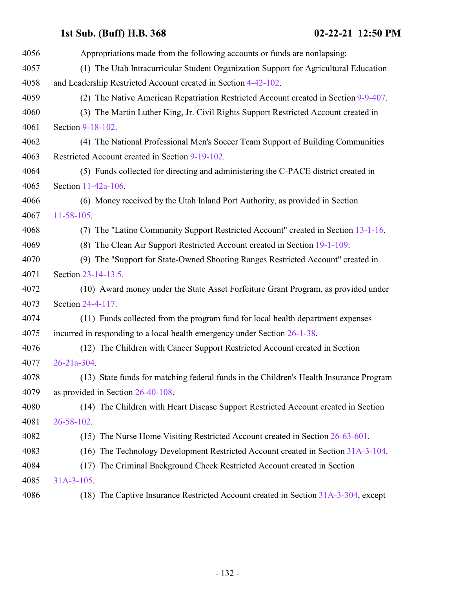| 4056 | Appropriations made from the following accounts or funds are nonlapsing:               |
|------|----------------------------------------------------------------------------------------|
| 4057 | (1) The Utah Intracurricular Student Organization Support for Agricultural Education   |
| 4058 | and Leadership Restricted Account created in Section 4-42-102.                         |
| 4059 | (2) The Native American Repatriation Restricted Account created in Section 9-9-407.    |
| 4060 | (3) The Martin Luther King, Jr. Civil Rights Support Restricted Account created in     |
| 4061 | Section 9-18-102.                                                                      |
| 4062 | (4) The National Professional Men's Soccer Team Support of Building Communities        |
| 4063 | Restricted Account created in Section 9-19-102.                                        |
| 4064 | (5) Funds collected for directing and administering the C-PACE district created in     |
| 4065 | Section 11-42a-106.                                                                    |
| 4066 | (6) Money received by the Utah Inland Port Authority, as provided in Section           |
| 4067 | $11 - 58 - 105$                                                                        |
| 4068 | (7) The "Latino Community Support Restricted Account" created in Section 13-1-16.      |
| 4069 | (8) The Clean Air Support Restricted Account created in Section 19-1-109.              |
| 4070 | (9) The "Support for State-Owned Shooting Ranges Restricted Account" created in        |
| 4071 | Section 23-14-13.5.                                                                    |
| 4072 | (10) Award money under the State Asset Forfeiture Grant Program, as provided under     |
| 4073 | Section 24-4-117.                                                                      |
| 4074 | (11) Funds collected from the program fund for local health department expenses        |
| 4075 | incurred in responding to a local health emergency under Section 26-1-38.              |
| 4076 | (12) The Children with Cancer Support Restricted Account created in Section            |
| 4077 | $26 - 21a - 304$ .                                                                     |
| 4078 | (13) State funds for matching federal funds in the Children's Health Insurance Program |
| 4079 | as provided in Section 26-40-108.                                                      |
| 4080 | (14) The Children with Heart Disease Support Restricted Account created in Section     |
| 4081 | $26 - 58 - 102$                                                                        |
| 4082 | (15) The Nurse Home Visiting Restricted Account created in Section 26-63-601.          |
| 4083 | (16) The Technology Development Restricted Account created in Section 31A-3-104.       |
| 4084 | (17) The Criminal Background Check Restricted Account created in Section               |
| 4085 | $31A-3-105$ .                                                                          |
| 4086 | (18) The Captive Insurance Restricted Account created in Section 31A-3-304, except     |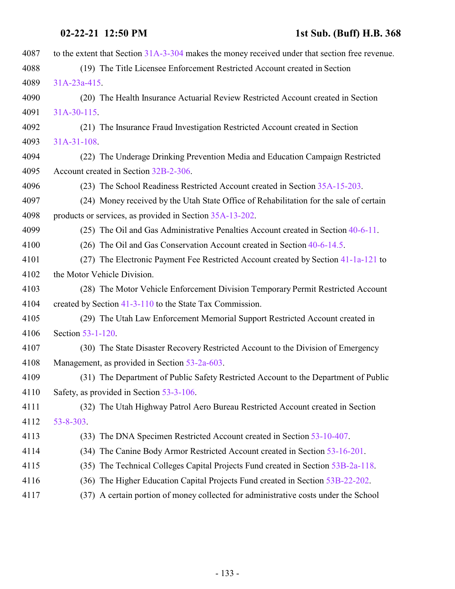| 4087 | to the extent that Section 31A-3-304 makes the money received under that section free revenue. |
|------|------------------------------------------------------------------------------------------------|
| 4088 | (19) The Title Licensee Enforcement Restricted Account created in Section                      |
| 4089 | $31A-23a-415$ .                                                                                |
| 4090 | (20) The Health Insurance Actuarial Review Restricted Account created in Section               |
| 4091 | $31A-30-115$ .                                                                                 |
| 4092 | (21) The Insurance Fraud Investigation Restricted Account created in Section                   |
| 4093 | $31A-31-108$                                                                                   |
| 4094 | (22) The Underage Drinking Prevention Media and Education Campaign Restricted                  |
| 4095 | Account created in Section 32B-2-306.                                                          |
| 4096 | (23) The School Readiness Restricted Account created in Section 35A-15-203.                    |
| 4097 | (24) Money received by the Utah State Office of Rehabilitation for the sale of certain         |
| 4098 | products or services, as provided in Section 35A-13-202.                                       |
| 4099 | (25) The Oil and Gas Administrative Penalties Account created in Section 40-6-11.              |
| 4100 | $(26)$ The Oil and Gas Conservation Account created in Section 40-6-14.5.                      |
| 4101 | (27) The Electronic Payment Fee Restricted Account created by Section 41-1a-121 to             |
| 4102 | the Motor Vehicle Division.                                                                    |
| 4103 | (28) The Motor Vehicle Enforcement Division Temporary Permit Restricted Account                |
| 4104 | created by Section 41-3-110 to the State Tax Commission.                                       |
| 4105 | (29) The Utah Law Enforcement Memorial Support Restricted Account created in                   |
| 4106 | Section 53-1-120.                                                                              |
| 4107 | (30) The State Disaster Recovery Restricted Account to the Division of Emergency               |
| 4108 | Management, as provided in Section 53-2a-603.                                                  |
| 4109 | (31) The Department of Public Safety Restricted Account to the Department of Public            |
| 4110 | Safety, as provided in Section 53-3-106.                                                       |
| 4111 | (32) The Utah Highway Patrol Aero Bureau Restricted Account created in Section                 |
| 4112 | $53 - 8 - 303$                                                                                 |
| 4113 | (33) The DNA Specimen Restricted Account created in Section 53-10-407.                         |
| 4114 | (34) The Canine Body Armor Restricted Account created in Section 53-16-201.                    |
| 4115 | (35) The Technical Colleges Capital Projects Fund created in Section 53B-2a-118.               |
| 4116 | (36) The Higher Education Capital Projects Fund created in Section 53B-22-202.                 |
| 4117 | (37) A certain portion of money collected for administrative costs under the School            |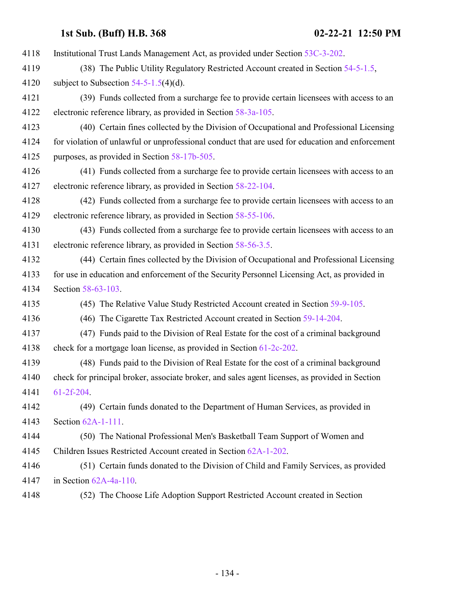| 4118 | Institutional Trust Lands Management Act, as provided under Section 53C-3-202.                  |
|------|-------------------------------------------------------------------------------------------------|
| 4119 | (38) The Public Utility Regulatory Restricted Account created in Section 54-5-1.5,              |
| 4120 | subject to Subsection $54-5-1.5(4)(d)$ .                                                        |
| 4121 | (39) Funds collected from a surcharge fee to provide certain licensees with access to an        |
| 4122 | electronic reference library, as provided in Section 58-3a-105.                                 |
| 4123 | (40) Certain fines collected by the Division of Occupational and Professional Licensing         |
| 4124 | for violation of unlawful or unprofessional conduct that are used for education and enforcement |
| 4125 | purposes, as provided in Section 58-17b-505.                                                    |
| 4126 | (41) Funds collected from a surcharge fee to provide certain licensees with access to an        |
| 4127 | electronic reference library, as provided in Section 58-22-104.                                 |
| 4128 | (42) Funds collected from a surcharge fee to provide certain licensees with access to an        |
| 4129 | electronic reference library, as provided in Section 58-55-106.                                 |
| 4130 | (43) Funds collected from a surcharge fee to provide certain licensees with access to an        |
| 4131 | electronic reference library, as provided in Section 58-56-3.5.                                 |
| 4132 | (44) Certain fines collected by the Division of Occupational and Professional Licensing         |
| 4133 | for use in education and enforcement of the Security Personnel Licensing Act, as provided in    |
| 4134 | Section 58-63-103.                                                                              |
| 4135 | (45) The Relative Value Study Restricted Account created in Section 59-9-105.                   |
| 4136 | (46) The Cigarette Tax Restricted Account created in Section 59-14-204.                         |
| 4137 | (47) Funds paid to the Division of Real Estate for the cost of a criminal background            |
| 4138 | check for a mortgage loan license, as provided in Section 61-2c-202.                            |
| 4139 | (48) Funds paid to the Division of Real Estate for the cost of a criminal background            |
| 4140 | check for principal broker, associate broker, and sales agent licenses, as provided in Section  |
| 4141 | $61-2f-204$ .                                                                                   |
| 4142 | (49) Certain funds donated to the Department of Human Services, as provided in                  |
| 4143 | Section 62A-1-111.                                                                              |
| 4144 | (50) The National Professional Men's Basketball Team Support of Women and                       |
| 4145 | Children Issues Restricted Account created in Section 62A-1-202.                                |
| 4146 | (51) Certain funds donated to the Division of Child and Family Services, as provided            |
| 4147 | in Section $62A-4a-110$ .                                                                       |
| 4148 | (52) The Choose Life Adoption Support Restricted Account created in Section                     |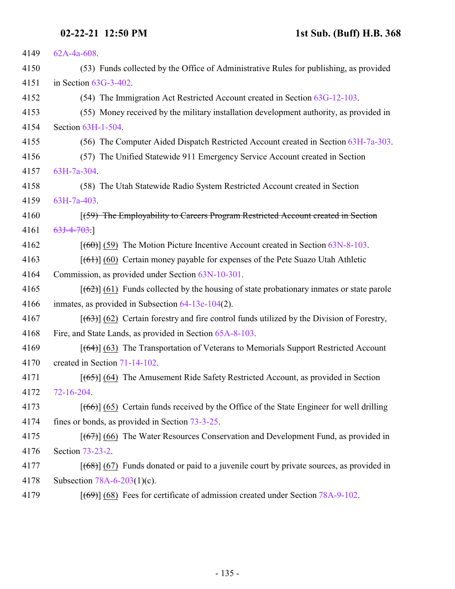| 4149 | $62A-4a-608$ .                                                                                |
|------|-----------------------------------------------------------------------------------------------|
| 4150 | (53) Funds collected by the Office of Administrative Rules for publishing, as provided        |
| 4151 | in Section $63G-3-402$ .                                                                      |
| 4152 | (54) The Immigration Act Restricted Account created in Section 63G-12-103.                    |
| 4153 | (55) Money received by the military installation development authority, as provided in        |
| 4154 | Section 63H-1-504.                                                                            |
| 4155 | (56) The Computer Aided Dispatch Restricted Account created in Section 63H-7a-303.            |
| 4156 | (57) The Unified Statewide 911 Emergency Service Account created in Section                   |
| 4157 | 63H-7a-304.                                                                                   |
| 4158 | (58) The Utah Statewide Radio System Restricted Account created in Section                    |
| 4159 | 63H-7a-403.                                                                                   |
| 4160 | (59) The Employability to Careers Program Restricted Account created in Section               |
| 4161 | $63J-4-703.$                                                                                  |
| 4162 | $[ (60) ]$ (59) The Motion Picture Incentive Account created in Section 63N-8-103.            |
| 4163 | $[ (61) ] (60)$ Certain money payable for expenses of the Pete Suazo Utah Athletic            |
| 4164 | Commission, as provided under Section 63N-10-301.                                             |
| 4165 | $[62]$ (61) Funds collected by the housing of state probationary inmates or state parole      |
| 4166 | inmates, as provided in Subsection $64-13e-104(2)$ .                                          |
| 4167 | $[ (63) ]$ (62) Certain forestry and fire control funds utilized by the Division of Forestry, |
| 4168 | Fire, and State Lands, as provided in Section 65A-8-103.                                      |
| 4169 | $[$ (64)] (63) The Transportation of Veterans to Memorials Support Restricted Account         |
| 4170 | created in Section 71-14-102.                                                                 |
| 4171 | $[ (65) ]$ (64) The Amusement Ride Safety Restricted Account, as provided in Section          |
| 4172 | 72-16-204.                                                                                    |
| 4173 | $[ (66) ] (65)$ Certain funds received by the Office of the State Engineer for well drilling  |
| 4174 | fines or bonds, as provided in Section 73-3-25.                                               |
| 4175 | $[ (67) ]$ (66) The Water Resources Conservation and Development Fund, as provided in         |
| 4176 | Section 73-23-2.                                                                              |
| 4177 | $[ (68) ]$ (67) Funds donated or paid to a juvenile court by private sources, as provided in  |
| 4178 | Subsection $78A-6-203(1)(c)$ .                                                                |
| 4179 | $[ (69) ] (68)$ Fees for certificate of admission created under Section 78A-9-102.            |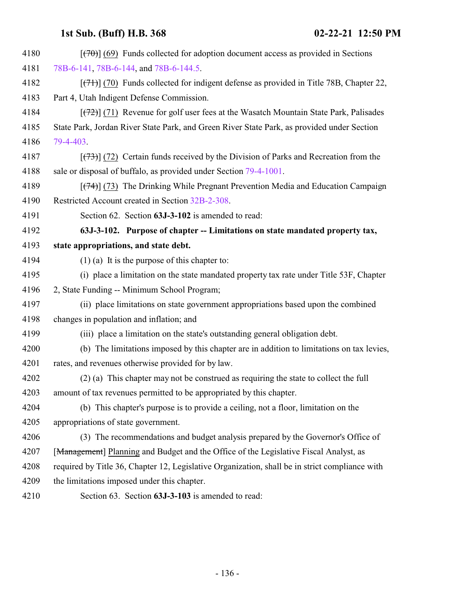| 4180 | $[$ (470)] (69) Funds collected for adoption document access as provided in Sections           |
|------|------------------------------------------------------------------------------------------------|
| 4181 | 78B-6-141, 78B-6-144, and 78B-6-144.5.                                                         |
| 4182 | $[ (71) ]$ (70) Funds collected for indigent defense as provided in Title 78B, Chapter 22,     |
| 4183 | Part 4, Utah Indigent Defense Commission.                                                      |
| 4184 | $[ (72) ]$ (71) Revenue for golf user fees at the Wasatch Mountain State Park, Palisades       |
| 4185 | State Park, Jordan River State Park, and Green River State Park, as provided under Section     |
| 4186 | 79-4-403.                                                                                      |
| 4187 | $[$ (73) (72) Certain funds received by the Division of Parks and Recreation from the          |
| 4188 | sale or disposal of buffalo, as provided under Section 79-4-1001.                              |
| 4189 | $[$ (74) (73) The Drinking While Pregnant Prevention Media and Education Campaign              |
| 4190 | Restricted Account created in Section 32B-2-308.                                               |
| 4191 | Section 62. Section 63J-3-102 is amended to read:                                              |
| 4192 | 63J-3-102. Purpose of chapter -- Limitations on state mandated property tax,                   |
| 4193 | state appropriations, and state debt.                                                          |
| 4194 | $(1)$ (a) It is the purpose of this chapter to:                                                |
| 4195 | (i) place a limitation on the state mandated property tax rate under Title 53F, Chapter        |
| 4196 | 2, State Funding -- Minimum School Program;                                                    |
| 4197 | (ii) place limitations on state government appropriations based upon the combined              |
| 4198 | changes in population and inflation; and                                                       |
| 4199 | (iii) place a limitation on the state's outstanding general obligation debt.                   |
| 4200 | (b) The limitations imposed by this chapter are in addition to limitations on tax levies,      |
| 4201 | rates, and revenues otherwise provided for by law.                                             |
| 4202 | $(2)$ (a) This chapter may not be construed as requiring the state to collect the full         |
| 4203 | amount of tax revenues permitted to be appropriated by this chapter.                           |
| 4204 | (b) This chapter's purpose is to provide a ceiling, not a floor, limitation on the             |
| 4205 | appropriations of state government.                                                            |
| 4206 | (3) The recommendations and budget analysis prepared by the Governor's Office of               |
| 4207 | [Management] Planning and Budget and the Office of the Legislative Fiscal Analyst, as          |
| 4208 | required by Title 36, Chapter 12, Legislative Organization, shall be in strict compliance with |
| 4209 | the limitations imposed under this chapter.                                                    |
| 4210 | Section 63. Section 63J-3-103 is amended to read:                                              |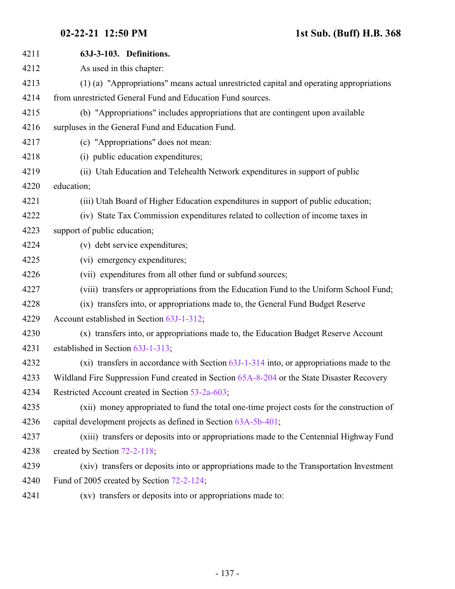| 4211 | 63J-3-103. Definitions.                                                                    |
|------|--------------------------------------------------------------------------------------------|
| 4212 | As used in this chapter:                                                                   |
| 4213 | (1) (a) "Appropriations" means actual unrestricted capital and operating appropriations    |
| 4214 | from unrestricted General Fund and Education Fund sources.                                 |
| 4215 | (b) "Appropriations" includes appropriations that are contingent upon available            |
| 4216 | surpluses in the General Fund and Education Fund.                                          |
| 4217 | (c) "Appropriations" does not mean:                                                        |
| 4218 | (i) public education expenditures;                                                         |
| 4219 | (ii) Utah Education and Telehealth Network expenditures in support of public               |
| 4220 | education;                                                                                 |
| 4221 | (iii) Utah Board of Higher Education expenditures in support of public education;          |
| 4222 | (iv) State Tax Commission expenditures related to collection of income taxes in            |
| 4223 | support of public education;                                                               |
| 4224 | (v) debt service expenditures;                                                             |
| 4225 | (vi) emergency expenditures;                                                               |
| 4226 | (vii) expenditures from all other fund or subfund sources;                                 |
| 4227 | (viii) transfers or appropriations from the Education Fund to the Uniform School Fund;     |
| 4228 | (ix) transfers into, or appropriations made to, the General Fund Budget Reserve            |
| 4229 | Account established in Section 63J-1-312;                                                  |
| 4230 | (x) transfers into, or appropriations made to, the Education Budget Reserve Account        |
| 4231 | established in Section 63J-1-313;                                                          |
| 4232 | (xi) transfers in accordance with Section $63J-1-314$ into, or appropriations made to the  |
| 4233 | Wildland Fire Suppression Fund created in Section 65A-8-204 or the State Disaster Recovery |
| 4234 | Restricted Account created in Section 53-2a-603;                                           |
| 4235 | (xii) money appropriated to fund the total one-time project costs for the construction of  |
| 4236 | capital development projects as defined in Section 63A-5b-401;                             |
| 4237 | (xiii) transfers or deposits into or appropriations made to the Centennial Highway Fund    |
| 4238 | created by Section 72-2-118;                                                               |
| 4239 | (xiv) transfers or deposits into or appropriations made to the Transportation Investment   |
| 4240 | Fund of 2005 created by Section 72-2-124;                                                  |
| 4241 | (xv) transfers or deposits into or appropriations made to:                                 |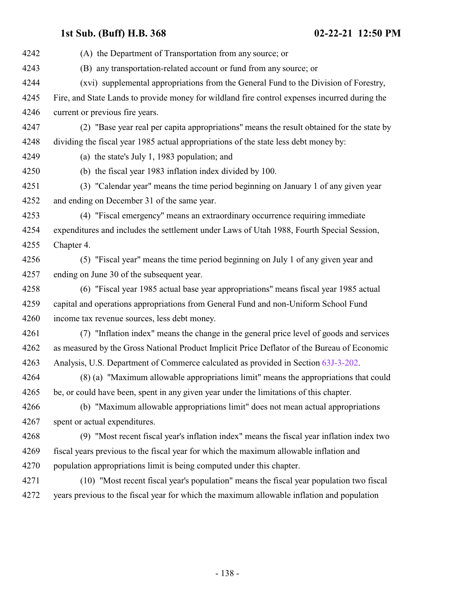(A) the Department of Transportation from any source; or (B) any transportation-related account or fund from any source; or (xvi) supplemental appropriations from the General Fund to the Division of Forestry, Fire, and State Lands to provide money for wildland fire control expenses incurred during the current or previous fire years. (2) "Base year real per capita appropriations" means the result obtained for the state by dividing the fiscal year 1985 actual appropriations of the state less debt money by: (a) the state's July 1, 1983 population; and (b) the fiscal year 1983 inflation index divided by 100. (3) "Calendar year" means the time period beginning on January 1 of any given year and ending on December 31 of the same year. (4) "Fiscal emergency" means an extraordinary occurrence requiring immediate expenditures and includes the settlement under Laws of Utah 1988, Fourth Special Session, Chapter 4. (5) "Fiscal year" means the time period beginning on July 1 of any given year and ending on June 30 of the subsequent year. (6) "Fiscal year 1985 actual base year appropriations" means fiscal year 1985 actual capital and operations appropriations from General Fund and non-Uniform School Fund income tax revenue sources, less debt money. (7) "Inflation index" means the change in the general price level of goods and services as measured by the Gross National Product Implicit Price Deflator of the Bureau of Economic Analysis, U.S. Department of Commerce calculated as provided in Section [63J-3-202](#page-138-0). (8) (a) "Maximum allowable appropriations limit" means the appropriations that could be, or could have been, spent in any given year under the limitations of this chapter. (b) "Maximum allowable appropriations limit" does not mean actual appropriations spent or actual expenditures. (9) "Most recent fiscal year's inflation index" means the fiscal year inflation index two fiscal years previous to the fiscal year for which the maximum allowable inflation and population appropriations limit is being computed under this chapter. (10) "Most recent fiscal year's population" means the fiscal year population two fiscal years previous to the fiscal year for which the maximum allowable inflation and population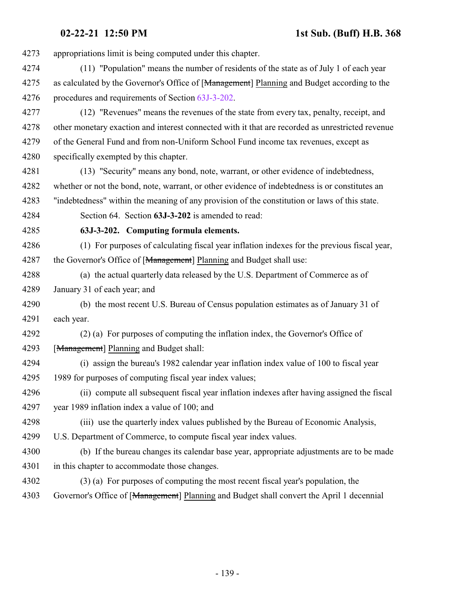**02-22-21 12:50 PM 1st Sub. (Buff) H.B. 368**

appropriations limit is being computed under this chapter.

- (11) "Population" means the number of residents of the state as of July 1 of each year 4275 as calculated by the Governor's Office of [Management] Planning and Budget according to the procedures and requirements of Section [63J-3-202](#page-138-0).
- (12) "Revenues" means the revenues of the state from every tax, penalty, receipt, and other monetary exaction and interest connected with it that are recorded as unrestricted revenue of the General Fund and from non-Uniform School Fund income tax revenues, except as specifically exempted by this chapter.
- (13) "Security" means any bond, note, warrant, or other evidence of indebtedness, whether or not the bond, note, warrant, or other evidence of indebtedness is or constitutes an "indebtedness" within the meaning of any provision of the constitution or laws of this state.
- <span id="page-138-0"></span>Section 64. Section **63J-3-202** is amended to read:

**63J-3-202. Computing formula elements.**

- (1) For purposes of calculating fiscal year inflation indexes for the previous fiscal year, 4287 the Governor's Office of [Management] Planning and Budget shall use:
- (a) the actual quarterly data released by the U.S. Department of Commerce as of January 31 of each year; and
- (b) the most recent U.S. Bureau of Census population estimates as of January 31 of each year.
- (2) (a) For purposes of computing the inflation index, the Governor's Office of [Management] Planning and Budget shall:
- (i) assign the bureau's 1982 calendar year inflation index value of 100 to fiscal year 1989 for purposes of computing fiscal year index values;
- (ii) compute all subsequent fiscal year inflation indexes after having assigned the fiscal year 1989 inflation index a value of 100; and
- (iii) use the quarterly index values published by the Bureau of Economic Analysis,
- U.S. Department of Commerce, to compute fiscal year index values.
- (b) If the bureau changes its calendar base year, appropriate adjustments are to be made in this chapter to accommodate those changes.
- (3) (a) For purposes of computing the most recent fiscal year's population, the Governor's Office of [Management] Planning and Budget shall convert the April 1 decennial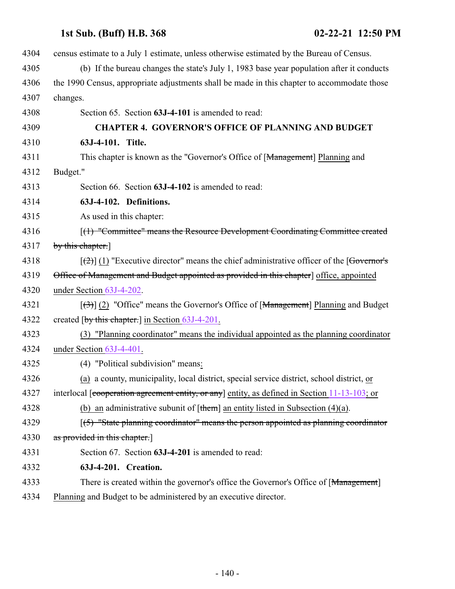<span id="page-139-0"></span> census estimate to a July 1 estimate, unless otherwise estimated by the Bureau of Census. (b) If the bureau changes the state's July 1, 1983 base year population after it conducts the 1990 Census, appropriate adjustments shall be made in this chapter to accommodate those 4307 changes. Section 65. Section **63J-4-101** is amended to read: **CHAPTER 4. GOVERNOR'S OFFICE OF PLANNING AND BUDGET 63J-4-101. Title.** 4311 This chapter is known as the "Governor's Office of [Management] Planning and 4312 Budget." Section 66. Section **63J-4-102** is amended to read: **63J-4-102. Definitions.** As used in this chapter: 4316 [(1) "Committee" means the Resource Development Coordinating Committee created 4317 by this chapter.  $\left[\frac{1}{2}\right]$  (1) "Executive director" means the chief administrative officer of the [Governor's 4319 Office of Management and Budget appointed as provided in this chapter] office, appointed under Section [63J-4-202](#page-140-1).  $\left[\left(\frac{3}{2}\right)\right]$  (2) "Office" means the Governor's Office of [<del>Management</del>] Planning and Budget 4322 created [by this chapter.] in Section [63J-4-201](#page-139-0). (3) "Planning coordinator" means the individual appointed as the planning coordinator under Section [63J-4-401](#page-141-0). (4) "Political subdivision" means: (a) a county, municipality, local district, special service district, school district, or 4327 interlocal [cooperation agreement entity, or any] entity, as defined in Section [11-13-103](http://le.utah.gov/UtahCode/SectionLookup.jsp?section=11-13-103&session=2021GS); or 4328 (b) an administrative subunit of  $[\t{them}]$  an entity listed in Subsection (4)(a). 4329 [(5) "State planning coordinator" means the person appointed as planning coordinator 4330 as provided in this chapter. Section 67. Section **63J-4-201** is amended to read: **63J-4-201. Creation.** 4333 There is created within the governor's office the Governor's Office of [Management] Planning and Budget to be administered by an executive director.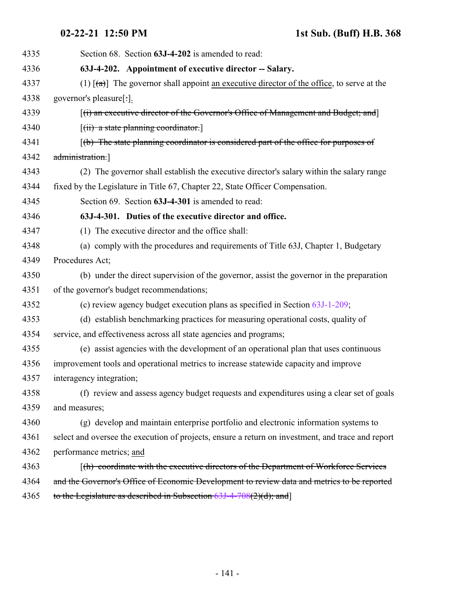# <span id="page-140-1"></span><span id="page-140-0"></span>**02-22-21 12:50 PM 1st Sub. (Buff) H.B. 368**

| 4335 | Section 68. Section 63J-4-202 is amended to read:                                                          |
|------|------------------------------------------------------------------------------------------------------------|
| 4336 | 63J-4-202. Appointment of executive director -- Salary.                                                    |
| 4337 | (1) $\lceil (a) \rceil$ The governor shall appoint an executive director of the office, to serve at the    |
| 4338 | governor's pleasure[:].                                                                                    |
| 4339 | $[(i)$ an executive director of the Governor's Office of Management and Budget; and                        |
| 4340 | $[(ii)$ a state planning coordinator.                                                                      |
| 4341 | $\left[\right(\mathbf{b})$ The state planning coordinator is considered part of the office for purposes of |
| 4342 | administration.]                                                                                           |
| 4343 | (2) The governor shall establish the executive director's salary within the salary range                   |
| 4344 | fixed by the Legislature in Title 67, Chapter 22, State Officer Compensation.                              |
| 4345 | Section 69. Section 63J-4-301 is amended to read:                                                          |
| 4346 | 63J-4-301. Duties of the executive director and office.                                                    |
| 4347 | (1) The executive director and the office shall:                                                           |
| 4348 | (a) comply with the procedures and requirements of Title 63J, Chapter 1, Budgetary                         |
| 4349 | Procedures Act;                                                                                            |
| 4350 | (b) under the direct supervision of the governor, assist the governor in the preparation                   |
| 4351 | of the governor's budget recommendations;                                                                  |
| 4352 | (c) review agency budget execution plans as specified in Section $63J-1-209$ ;                             |
| 4353 | (d) establish benchmarking practices for measuring operational costs, quality of                           |
| 4354 | service, and effectiveness across all state agencies and programs;                                         |
| 4355 | (e) assist agencies with the development of an operational plan that uses continuous                       |
| 4356 | improvement tools and operational metrics to increase statewide capacity and improve                       |
| 4357 | interagency integration;                                                                                   |
| 4358 | (f) review and assess agency budget requests and expenditures using a clear set of goals                   |
| 4359 | and measures;                                                                                              |
| 4360 | (g) develop and maintain enterprise portfolio and electronic information systems to                        |
| 4361 | select and oversee the execution of projects, ensure a return on investment, and trace and report          |
| 4362 | performance metrics; and                                                                                   |
| 4363 | [(h) coordinate with the executive directors of the Department of Workforce Services                       |
| 4364 | and the Governor's Office of Economic Development to review data and metrics to be reported                |
| 4365 | to the Legislature as described in Subsection $63J-4-708(2)(d)$ ; and                                      |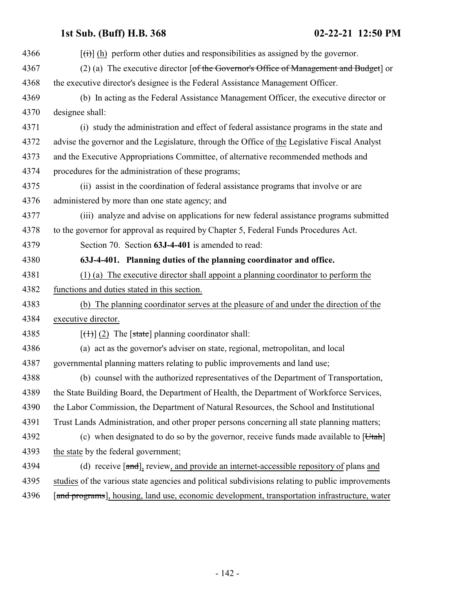<span id="page-141-0"></span>

| 4366 | $[\overrightarrow{(t)}]$ (h) perform other duties and responsibilities as assigned by the governor. |
|------|-----------------------------------------------------------------------------------------------------|
| 4367 | (2) (a) The executive director [of the Governor's Office of Management and Budget] or               |
| 4368 | the executive director's designee is the Federal Assistance Management Officer.                     |
| 4369 | (b) In acting as the Federal Assistance Management Officer, the executive director or               |
| 4370 | designee shall:                                                                                     |
| 4371 | (i) study the administration and effect of federal assistance programs in the state and             |
| 4372 | advise the governor and the Legislature, through the Office of the Legislative Fiscal Analyst       |
| 4373 | and the Executive Appropriations Committee, of alternative recommended methods and                  |
| 4374 | procedures for the administration of these programs;                                                |
| 4375 | (ii) assist in the coordination of federal assistance programs that involve or are                  |
| 4376 | administered by more than one state agency; and                                                     |
| 4377 | (iii) analyze and advise on applications for new federal assistance programs submitted              |
| 4378 | to the governor for approval as required by Chapter 5, Federal Funds Procedures Act.                |
| 4379 | Section 70. Section 63J-4-401 is amended to read:                                                   |
| 4380 | 63J-4-401. Planning duties of the planning coordinator and office.                                  |
| 4381 | (1) (a) The executive director shall appoint a planning coordinator to perform the                  |
| 4382 | functions and duties stated in this section.                                                        |
| 4383 | (b) The planning coordinator serves at the pleasure of and under the direction of the               |
| 4384 | executive director.                                                                                 |
| 4385 | $[\text{(+)}]$ (2) The [state] planning coordinator shall:                                          |
| 4386 | (a) act as the governor's adviser on state, regional, metropolitan, and local                       |
| 4387 | governmental planning matters relating to public improvements and land use;                         |
| 4388 | (b) counsel with the authorized representatives of the Department of Transportation,                |
| 4389 | the State Building Board, the Department of Health, the Department of Workforce Services,           |
| 4390 | the Labor Commission, the Department of Natural Resources, the School and Institutional             |
| 4391 | Trust Lands Administration, and other proper persons concerning all state planning matters;         |
| 4392 | (c) when designated to do so by the governor, receive funds made available to $[Utah]$              |
| 4393 | the state by the federal government;                                                                |
| 4394 | (d) receive $[\text{and}]$ , review, and provide an internet-accessible repository of plans and     |
| 4395 | studies of the various state agencies and political subdivisions relating to public improvements    |
| 4396 | [and programs], housing, land use, economic development, transportation infrastructure, water       |
|      |                                                                                                     |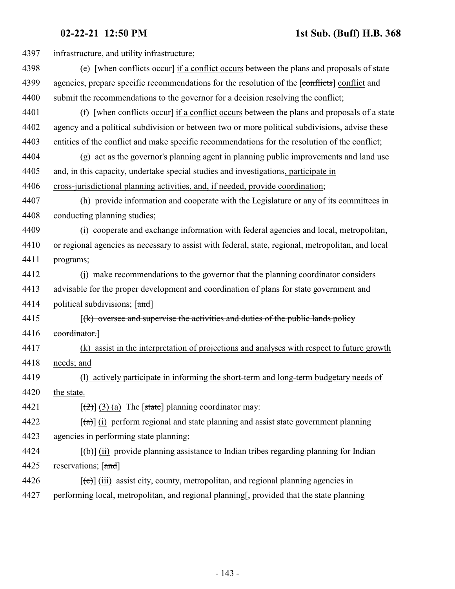| 4397 | infrastructure, and utility infrastructure;                                                             |
|------|---------------------------------------------------------------------------------------------------------|
| 4398 | (e) [when conflicts occur] if a conflict occurs between the plans and proposals of state                |
| 4399 | agencies, prepare specific recommendations for the resolution of the [conflicts] conflict and           |
| 4400 | submit the recommendations to the governor for a decision resolving the conflict;                       |
| 4401 | (f) [when conflicts occur] if a conflict occurs between the plans and proposals of a state              |
| 4402 | agency and a political subdivision or between two or more political subdivisions, advise these          |
| 4403 | entities of the conflict and make specific recommendations for the resolution of the conflict;          |
| 4404 | (g) act as the governor's planning agent in planning public improvements and land use                   |
| 4405 | and, in this capacity, undertake special studies and investigations, participate in                     |
| 4406 | cross-jurisdictional planning activities, and, if needed, provide coordination;                         |
| 4407 | (h) provide information and cooperate with the Legislature or any of its committees in                  |
| 4408 | conducting planning studies;                                                                            |
| 4409 | (i) cooperate and exchange information with federal agencies and local, metropolitan,                   |
| 4410 | or regional agencies as necessary to assist with federal, state, regional, metropolitan, and local      |
| 4411 | programs;                                                                                               |
| 4412 | (j) make recommendations to the governor that the planning coordinator considers                        |
| 4413 | advisable for the proper development and coordination of plans for state government and                 |
| 4414 | political subdivisions; [and]                                                                           |
| 4415 | $f(k)$ oversee and supervise the activities and duties of the public lands policy                       |
| 4416 | coordinator.                                                                                            |
| 4417 | assist in the interpretation of projections and analyses with respect to future growth<br>(k)           |
| 4418 | needs; and                                                                                              |
| 4419 | (1) actively participate in informing the short-term and long-term budgetary needs of                   |
| 4420 | the state.                                                                                              |
| 4421 | $[\frac{1}{2}]$ (3) (a) The [state] planning coordinator may:                                           |
| 4422 | $\left[\frac{1}{2}\right]$ (i) perform regional and state planning and assist state government planning |
| 4423 | agencies in performing state planning;                                                                  |
| 4424 | $[\theta]$ (ii) provide planning assistance to Indian tribes regarding planning for Indian              |
| 4425 | reservations; [and]                                                                                     |
| 4426 | $[\text{e}(\text{e})]$ (iii) assist city, county, metropolitan, and regional planning agencies in       |
| 4427 | performing local, metropolitan, and regional planning. provided that the state planning                 |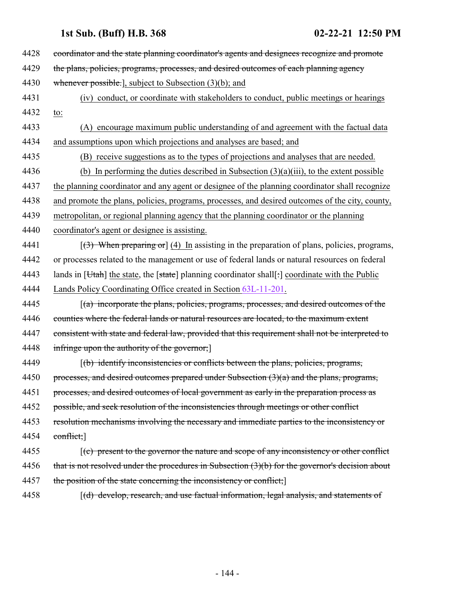4428 coordinator and the state planning coordinator's agents and designees recognize and promote 4429 the plans, policies, programs, processes, and desired outcomes of each planning agency 4430 whenever possible.], subject to Subsection (3)(b); and 4431 (iv) conduct, or coordinate with stakeholders to conduct, public meetings or hearings 4432 to: 4433 (A) encourage maximum public understanding of and agreement with the factual data 4434 and assumptions upon which projections and analyses are based; and 4435 (B) receive suggestions as to the types of projections and analyses that are needed. 4436 (b) In performing the duties described in Subsection  $(3)(a)(iii)$ , to the extent possible 4437 the planning coordinator and any agent or designee of the planning coordinator shall recognize 4438 and promote the plans, policies, programs, processes, and desired outcomes of the city, county, 4439 metropolitan, or regional planning agency that the planning coordinator or the planning 4440 coordinator's agent or designee is assisting. 4441  $\lceil(3)$  When preparing or  $\rceil$  (4) In assisting in the preparation of plans, policies, programs, 4442 or processes related to the management or use of federal lands or natural resources on federal 4443 lands in  $[Utah]$  the state, the [state] planning coordinator shall[: ] coordinate with the Public 4444 Lands Policy Coordinating Office created in Section [63L-11-201](#page-221-0). 4445 *(a) incorporate the plans, policies, programs, processes, and desired outcomes of the* 4446 counties where the federal lands or natural resources are located, to the maximum extent 4447 consistent with state and federal law, provided that this requirement shall not be interpreted to 4448 infringe upon the authority of the governor; 4449 [(b) identify inconsistencies or conflicts between the plans, policies, programs, 4450 processes, and desired outcomes prepared under Subsection  $(3)(a)$  and the plans, programs, 4451 processes, and desired outcomes of local government as early in the preparation process as 4452 possible, and seek resolution of the inconsistencies through meetings or other conflict 4453 resolution mechanisms involving the necessary and immediate parties to the inconsistency or 4454 conflict;] 4455 *(c)* present to the governor the nature and scope of any inconsistency or other conflict 4456 that is not resolved under the procedures in Subsection (3)(b) for the governor's decision about 4457 the position of the state concerning the inconsistency or conflict; 4458 [(d) develop, research, and use factual information, legal analysis, and statements of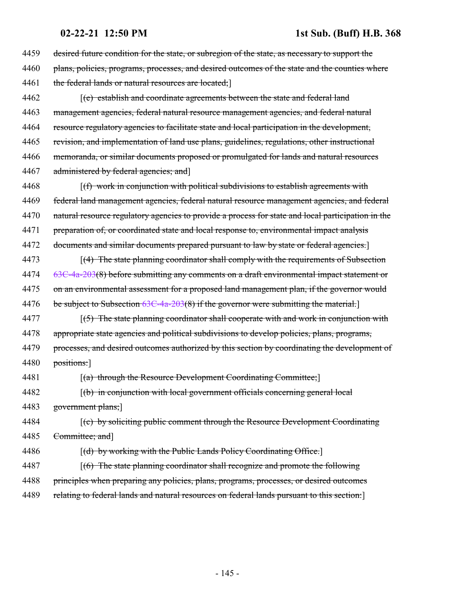4459 desired future condition for the state, or subregion of the state, as necessary to support the 4460 plans, policies, programs, processes, and desired outcomes of the state and the counties where 4461 the federal lands or natural resources are located; 4462 *(e) establish and coordinate agreements between the state and federal land* 4463 management agencies, federal natural resource management agencies, and federal natural 4464 resource regulatory agencies to facilitate state and local participation in the development, 4465 revision, and implementation of land use plans, guidelines, regulations, other instructional 4466 memoranda, or similar documents proposed or promulgated for lands and natural resources 4467 administered by federal agencies; and 4468 [(f) work in conjunction with political subdivisions to establish agreements with 4469 federal land management agencies, federal natural resource management agencies, and federal 4470 natural resource regulatory agencies to provide a process for state and local participation in the 4471 preparation of, or coordinated state and local response to, environmental impact analysis 4472 documents and similar documents prepared pursuant to law by state or federal agencies. 4473 [(4) The state planning coordinator shall comply with the requirements of Subsection 4474 [63C-4a-203](http://le.utah.gov/UtahCode/SectionLookup.jsp?section=63c-4a-203&session=2021GS)(8) before submitting any comments on a draft environmental impact statement or 4475 on an environmental assessment for a proposed land management plan, if the governor would 4476 be subject to Subsection [63C-4a-203](http://le.utah.gov/UtahCode/SectionLookup.jsp?section=63c-4a-203&session=2021GS)(8) if the governor were submitting the material.  $4477$  [(5) The state planning coordinator shall cooperate with and work in conjunction with 4478 appropriate state agencies and political subdivisions to develop policies, plans, programs, 4479 processes, and desired outcomes authorized by this section by coordinating the development of 4480 positions: 4481 [(a) through the Resource Development Coordinating Committee; 4482 [(b) in conjunction with local government officials concerning general local 4483 government plans;] 4484 [(c) by soliciting public comment through the Resource Development Coordinating 4485 Committee; and 4486 [(d) by working with the Public Lands Policy Coordinating Office.] 4487 [(6) The state planning coordinator shall recognize and promote the following 4488 principles when preparing any policies, plans, programs, processes, or desired outcomes 4489 relating to federal lands and natural resources on federal lands pursuant to this section:]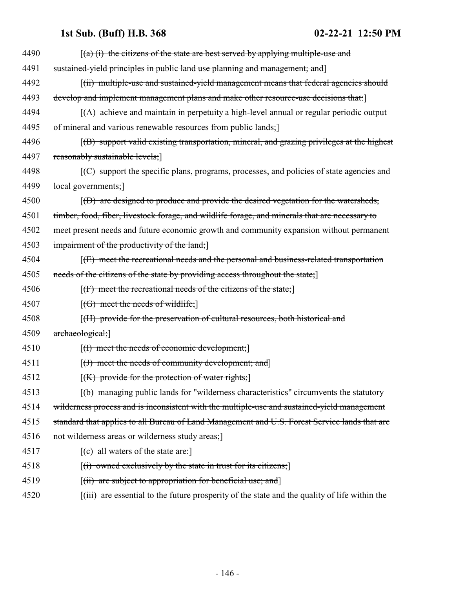| 4490 | $(a)$ (i) the citizens of the state are best served by applying multiple-use and                                     |
|------|----------------------------------------------------------------------------------------------------------------------|
| 4491 | sustained-yield principles in public land use planning and management; and                                           |
| 4492 | [(ii) multiple-use and sustained-yield management means that federal agencies should                                 |
| 4493 | develop and implement management plans and make other resource-use decisions that:                                   |
| 4494 | $(A)$ achieve and maintain in perpetuity a high-level annual or regular periodic output                              |
| 4495 | of mineral and various renewable resources from public lands;                                                        |
| 4496 | $(6)$ support valid existing transportation, mineral, and grazing privileges at the highest                          |
| 4497 | reasonably sustainable levels;                                                                                       |
| 4498 | $\left[\left(\frac{C}{C}\right)$ support the specific plans, programs, processes, and policies of state agencies and |
| 4499 | local governments;                                                                                                   |
| 4500 | $(6)$ are designed to produce and provide the desired vegetation for the watersheds,                                 |
| 4501 | timber, food, fiber, livestock forage, and wildlife forage, and minerals that are necessary to                       |
| 4502 | meet present needs and future economic growth and community expansion without permanent                              |
| 4503 | impairment of the productivity of the land;                                                                          |
| 4504 | $f(E)$ meet the recreational needs and the personal and business-related transportation                              |
| 4505 | needs of the citizens of the state by providing access throughout the state;                                         |
| 4506 | $[f]$ meet the recreational needs of the citizens of the state;                                                      |
| 4507 | $[(G)$ meet the needs of wildlife;                                                                                   |
| 4508 | [(H) provide for the preservation of cultural resources, both historical and                                         |
| 4509 | archaeological;                                                                                                      |
| 4510 | $[(1)$ meet the needs of economic development;                                                                       |
| 4511 | $[(1)$ meet the needs of community development; and                                                                  |
| 4512 | $[(K)$ provide for the protection of water rights;                                                                   |
| 4513 | $(t)$ managing public lands for "wilderness characteristics" circumvents the statutory                               |
| 4514 | wilderness process and is inconsistent with the multiple-use and sustained-yield management                          |
| 4515 | standard that applies to all Bureau of Land Management and U.S. Forest Service lands that are                        |
| 4516 | not wilderness areas or wilderness study areas;                                                                      |
| 4517 | $[$ (c) all waters of the state are:                                                                                 |
| 4518 | $(i)$ owned exclusively by the state in trust for its citizens;                                                      |
| 4519 | $[(ii)$ are subject to appropriation for beneficial use; and                                                         |
| 4520 | [(iii) are essential to the future prosperity of the state and the quality of life within the                        |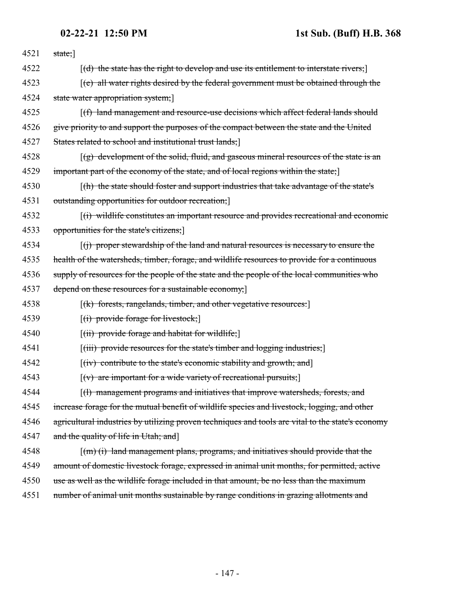| 4521 | state;]                                                                                                |
|------|--------------------------------------------------------------------------------------------------------|
| 4522 | $[(d)$ the state has the right to develop and use its entitlement to interstate rivers;                |
| 4523 | $\mathcal{F}(e)$ all water rights desired by the federal government must be obtained through the       |
| 4524 | state water appropriation system;                                                                      |
| 4525 | [(f) land management and resource-use decisions which affect federal lands should                      |
| 4526 | give priority to and support the purposes of the compact between the state and the United              |
| 4527 | States related to school and institutional trust lands;                                                |
| 4528 | $(q)$ development of the solid, fluid, and gaseous mineral resources of the state is an                |
| 4529 | important part of the economy of the state, and of local regions within the state;                     |
| 4530 | [(h) the state should foster and support industries that take advantage of the state's                 |
| 4531 | outstanding opportunities for outdoor recreation;                                                      |
| 4532 | $f(t)$ wildlife constitutes an important resource and provides recreational and economic               |
| 4533 | opportunities for the state's citizens;                                                                |
| 4534 | $\left[\right(\right)$ proper stewardship of the land and natural resources is necessary to ensure the |
| 4535 | health of the watersheds, timber, forage, and wildlife resources to provide for a continuous           |
| 4536 | supply of resources for the people of the state and the people of the local communities who            |
| 4537 | depend on these resources for a sustainable economy;                                                   |
| 4538 | $[(k)$ forests, rangelands, timber, and other vegetative resources:                                    |
| 4539 | $[(i)$ provide forage for livestock;                                                                   |
| 4540 | $[(ii)$ provide forage and habitat for wildlife;                                                       |
| 4541 | $[(iii)$ provide resources for the state's timber and logging industries;                              |
| 4542 | $[(iv)$ contribute to the state's economic stability and growth; and                                   |
| 4543 | $[(v)$ are important for a wide variety of recreational pursuits;                                      |
| 4544 | $\left  \frac{1}{1} \right $ management programs and initiatives that improve watersheds, forests, and |
| 4545 | increase forage for the mutual benefit of wildlife species and livestock, logging, and other           |
| 4546 | agricultural industries by utilizing proven techniques and tools are vital to the state's economy      |
| 4547 | and the quality of life in Utah; and                                                                   |
| 4548 | $\lceil (m) (i) \rceil$ land management plans, programs, and initiatives should provide that the       |
| 4549 | amount of domestic livestock forage, expressed in animal unit months, for permitted, active            |
| 4550 | use as well as the wildlife forage included in that amount, be no less than the maximum                |
| 4551 | number of animal unit months sustainable by range conditions in grazing allotments and                 |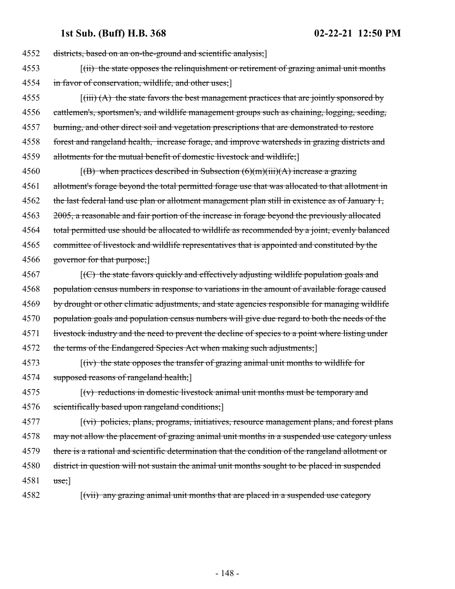districts, based on an on-the-ground and scientific analysis;] 4553 [(ii) the state opposes the relinquishment or retirement of grazing animal unit months in favor of conservation, wildlife, and other uses;]  $\left[\left(\text{iii}\right) (A)\right]$  the state favors the best management practices that are jointly sponsored by 4556 cattlemen's, sportsmen's, and wildlife management groups such as chaining, logging, seeding, burning, and other direct soil and vegetation prescriptions that are demonstrated to restore forest and rangeland health, increase forage, and improve watersheds in grazing districts and allotments for the mutual benefit of domestic livestock and wildlife;] 4560 [(B) when practices described in Subsection  $(6)(m)(iii)(A)$  increase a grazing allotment's forage beyond the total permitted forage use that was allocated to that allotment in the last federal land use plan or allotment management plan still in existence as of January 1, 2005, a reasonable and fair portion of the increase in forage beyond the previously allocated 4564 total permitted use should be allocated to wildlife as recommended by a joint, evenly balanced committee of livestock and wildlife representatives that is appointed and constituted by the 4566 governor for that purpose; [(C) the state favors quickly and effectively adjusting wildlife population goals and population census numbers in response to variations in the amount of available forage caused by drought or other climatic adjustments, and state agencies responsible for managing wildlife population goals and population census numbers will give due regard to both the needs of the 4571 livestock industry and the need to prevent the decline of species to a point where listing under 4572 the terms of the Endangered Species Act when making such adjustments; 4573 [(iv) the state opposes the transfer of grazing animal unit months to wildlife for supposed reasons of rangeland health;] [(v) reductions in domestic livestock animal unit months must be temporary and scientifically based upon rangeland conditions;] [(vi) policies, plans, programs, initiatives, resource management plans, and forest plans may not allow the placement of grazing animal unit months in a suspended use category unless there is a rational and scientific determination that the condition of the rangeland allotment or district in question will not sustain the animal unit months sought to be placed in suspended 4581 use;] 4582 [(vii) any grazing animal unit months that are placed in a suspended use category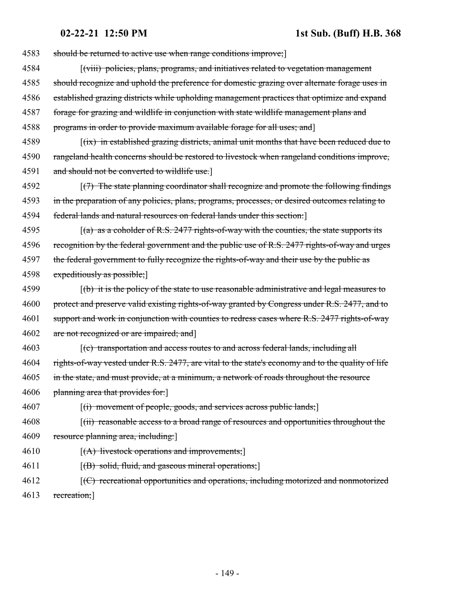4583 should be returned to active use when range conditions improve;

- 4584 [(viii) policies, plans, programs, and initiatives related to vegetation management 4585 should recognize and uphold the preference for domestic grazing over alternate forage uses in 4586 established grazing districts while upholding management practices that optimize and expand 4587 forage for grazing and wildlife in conjunction with state wildlife management plans and
- 4588 programs in order to provide maximum available forage for all uses; and]
- $(4589)$  [(ix) in established grazing districts, animal unit months that have been reduced due to 4590 rangeland health concerns should be restored to livestock when rangeland conditions improve, 4591 and should not be converted to wildlife use.]
- 4592 [(7) The state planning coordinator shall recognize and promote the following findings 4593 in the preparation of any policies, plans, programs, processes, or desired outcomes relating to 4594 federal lands and natural resources on federal lands under this section:]
- 4595  $(a)$  as a coholder of R.S. 2477 rights-of-way with the counties, the state supports its 4596 recognition by the federal government and the public use of R.S. 2477 rights-of-way and urges 4597 the federal government to fully recognize the rights-of-way and their use by the public as 4598 expeditiously as possible;]
- 4599 [(b) it is the policy of the state to use reasonable administrative and legal measures to 4600 protect and preserve valid existing rights-of-way granted by Congress under R.S. 2477, and to 4601 support and work in conjunction with counties to redress cases where R.S. 2477 rights-of-way 4602 are not recognized or are impaired; and
- 4603 [(c) transportation and access routes to and across federal lands, including all 4604 rights-of-way vested under R.S. 2477, are vital to the state's economy and to the quality of life 4605 in the state, and must provide, at a minimum, a network of roads throughout the resource 4606 planning area that provides for:
- 4607 [(i) movement of people, goods, and services across public lands;
- 4608 [(ii) reasonable access to a broad range of resources and opportunities throughout the 4609 resource planning area, including:
- $4610$  [(A) livestock operations and improvements;]
- 4611 [(B) solid, fluid, and gaseous mineral operations;
- 4612 *(C) recreational opportunities and operations, including motorized and nonmotorized* 4613 recreation;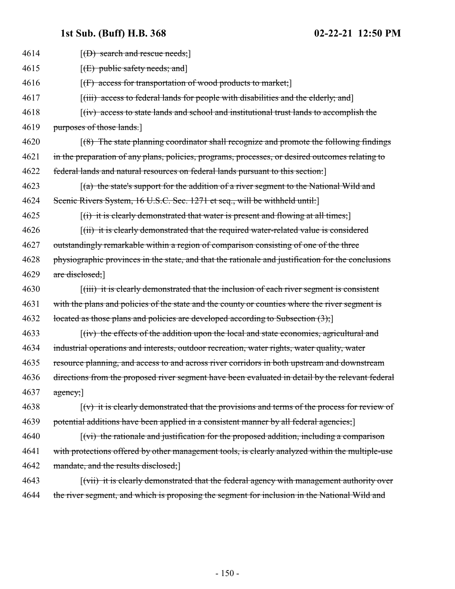| 4614 | $[$ (D) search and rescue needs; $]$                                                                              |
|------|-------------------------------------------------------------------------------------------------------------------|
| 4615 | [(E) public safety needs; and]                                                                                    |
| 4616 | $[f]$ access for transportation of wood products to market;                                                       |
| 4617 | [(iii) access to federal lands for people with disabilities and the elderly, and                                  |
| 4618 | $f(iv)$ access to state lands and school and institutional trust lands to accomplish the                          |
| 4619 | purposes of those lands.                                                                                          |
| 4620 | $(8)$ The state planning coordinator shall recognize and promote the following findings                           |
| 4621 | in the preparation of any plans, policies, programs, processes, or desired outcomes relating to                   |
| 4622 | federal lands and natural resources on federal lands pursuant to this section:                                    |
| 4623 | $(a)$ the state's support for the addition of a river segment to the National Wild and                            |
| 4624 | Scenic Rivers System, 16 U.S.C. Sec. 1271 et seq., will be withheld until:                                        |
| 4625 | $\left[\right(\mathbf{i})$ it is clearly demonstrated that water is present and flowing at all times;             |
| 4626 | $(iii)$ it is clearly demonstrated that the required water-related value is considered                            |
| 4627 | outstandingly remarkable within a region of comparison consisting of one of the three                             |
| 4628 | physiographic provinces in the state, and that the rationale and justification for the conclusions                |
| 4629 | are disclosed;                                                                                                    |
| 4630 | $\left[\left(iii\right)\right]$ it is clearly demonstrated that the inclusion of each river segment is consistent |
| 4631 | with the plans and policies of the state and the county or counties where the river segment is                    |
| 4632 | located as those plans and policies are developed according to Subsection $(3)$ ;                                 |
| 4633 | $\left[\frac{div}{dv}\right]$ the effects of the addition upon the local and state economies, agricultural and    |
| 4634 | industrial operations and interests, outdoor recreation, water rights, water quality, water                       |
| 4635 | resource planning, and access to and across river corridors in both upstream and downstream                       |
| 4636 | directions from the proposed river segment have been evaluated in detail by the relevant federal                  |
| 4637 | $\frac{1}{\text{agency}}$                                                                                         |
| 4638 | $\lceil (v) \rceil$ it is clearly demonstrated that the provisions and terms of the process for review of         |
| 4639 | potential additions have been applied in a consistent manner by all federal agencies;                             |
| 4640 | $\lceil$ (vi) the rationale and justification for the proposed addition, including a comparison                   |
| 4641 | with protections offered by other management tools, is clearly analyzed within the multiple-use                   |
| 4642 | mandate, and the results disclosed;                                                                               |
| 4643 | [(vii) it is clearly demonstrated that the federal agency with management authority over                          |
| 4644 | the river segment, and which is proposing the segment for inclusion in the National Wild and                      |
|      |                                                                                                                   |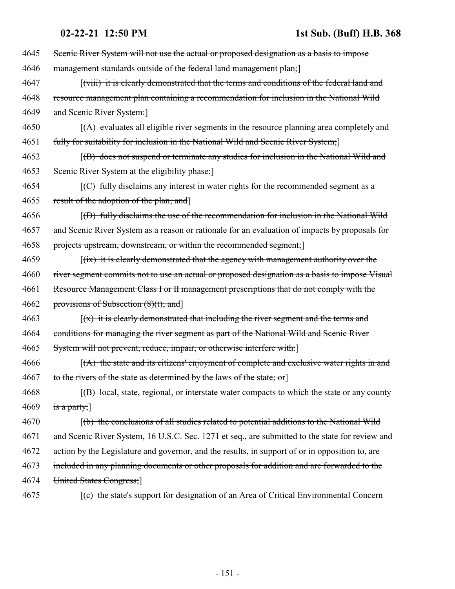| 4645 | Scenic River System will not use the actual or proposed designation as a basis to impose                    |
|------|-------------------------------------------------------------------------------------------------------------|
| 4646 | management standards outside of the federal land management plan;                                           |
| 4647 | [(viii) it is clearly demonstrated that the terms and conditions of the federal land and                    |
| 4648 | resource management plan containing a recommendation for inclusion in the National Wild                     |
| 4649 | and Scenic River System:                                                                                    |
| 4650 | $(A)$ evaluates all eligible river segments in the resource planning area completely and                    |
| 4651 | fully for suitability for inclusion in the National Wild and Scenic River System;                           |
| 4652 | (B) does not suspend or terminate any studies for inclusion in the National Wild and                        |
| 4653 | Scenic River System at the eligibility phase;                                                               |
| 4654 | $\left[\left(\text{C}\right)$ fully disclaims any interest in water rights for the recommended segment as a |
| 4655 | result of the adoption of the plan; and                                                                     |
| 4656 | $(6)$ fully disclaims the use of the recommendation for inclusion in the National Wild                      |
| 4657 | and Scenic River System as a reason or rationale for an evaluation of impacts by proposals for              |
| 4658 | projects upstream, downstream, or within the recommended segment;]                                          |
| 4659 | $f(x)$ it is clearly demonstrated that the agency with management authority over the                        |
| 4660 | river segment commits not to use an actual or proposed designation as a basis to impose Visual              |
| 4661 | Resource Management Class I or II management prescriptions that do not comply with the                      |
| 4662 | provisions of Subsection $(8)(t)$ ; and                                                                     |
| 4663 | $(x)$ it is clearly demonstrated that including the river segment and the terms and                         |
| 4664 | conditions for managing the river segment as part of the National Wild and Scenic River                     |
| 4665 | System will not prevent, reduce, impair, or otherwise interfere with:                                       |
| 4666 | $(A)$ the state and its citizens' enjoyment of complete and exclusive water rights in and                   |
| 4667 | to the rivers of the state as determined by the laws of the state; or                                       |
| 4668 | $[$ (B) local, state, regional, or interstate water compacts to which the state or any county               |
| 4669 | is a party;]                                                                                                |
| 4670 | (b) the conclusions of all studies related to potential additions to the National Wild                      |
| 4671 | and Scenic River System, 16 U.S.C. Sec. 1271 et seq., are submitted to the state for review and             |
| 4672 | action by the Legislature and governor, and the results, in support of or in opposition to, are             |
| 4673 | included in any planning documents or other proposals for addition and are forwarded to the                 |
| 4674 | United States Congress;                                                                                     |
| 4675 | [(c) the state's support for designation of an Area of Critical Environmental Concern                       |
|      |                                                                                                             |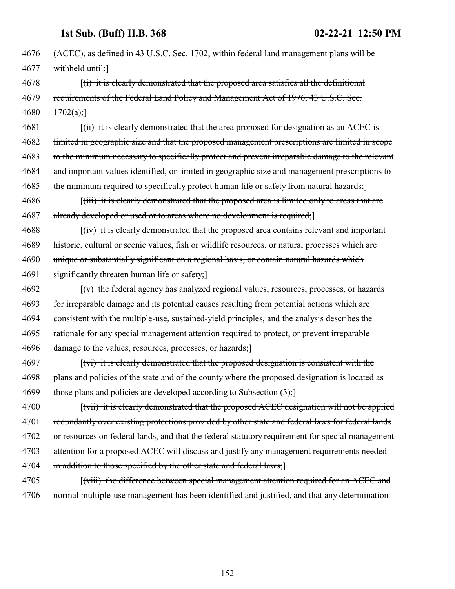4676 (ACEC), as defined in 43 U.S.C. Sec. 1702, within federal land management plans will be 4677 withheld until:]

4678 [(i) it is clearly demonstrated that the proposed area satisfies all the definitional 4679 requirements of the Federal Land Policy and Management Act of 1976, 43 U.S.C. Sec.  $4680 \quad \frac{1702(a)}{1}$ 

4681 [(ii) it is clearly demonstrated that the area proposed for designation as an ACEC is 4682 limited in geographic size and that the proposed management prescriptions are limited in scope 4683 to the minimum necessary to specifically protect and prevent irreparable damage to the relevant 4684 and important values identified, or limited in geographic size and management prescriptions to 4685 the minimum required to specifically protect human life or safety from natural hazards;

4686 [(iii) it is clearly demonstrated that the proposed area is limited only to areas that are 4687 already developed or used or to areas where no development is required;

4688 [(iv) it is clearly demonstrated that the proposed area contains relevant and important historic, cultural or scenic values, fish or wildlife resources, or natural processes which are unique or substantially significant on a regional basis, or contain natural hazards which significantly threaten human life or safety;]

 [(v) the federal agency has analyzed regional values, resources, processes, or hazards for irreparable damage and its potential causes resulting from potential actions which are consistent with the multiple-use, sustained-yield principles, and the analysis describes the rationale for any special management attention required to protect, or prevent irreparable 4696 damage to the values, resources, processes, or hazards;

4697 [(vi) it is clearly demonstrated that the proposed designation is consistent with the 4698 plans and policies of the state and of the county where the proposed designation is located as 4699 those plans and policies are developed according to Subsection  $(3)$ ;

4700 [(vii) it is clearly demonstrated that the proposed ACEC designation will not be applied 4701 redundantly over existing protections provided by other state and federal laws for federal lands 4702 or resources on federal lands, and that the federal statutory requirement for special management 4703 attention for a proposed ACEC will discuss and justify any management requirements needed 4704 in addition to those specified by the other state and federal laws;

4705 [(viii) the difference between special management attention required for an ACEC and 4706 normal multiple-use management has been identified and justified, and that any determination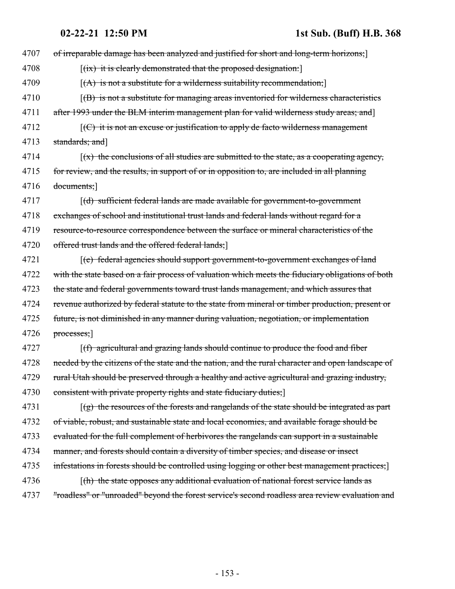| 4707 | of irreparable damage has been analyzed and justified for short and long-term horizons;                       |
|------|---------------------------------------------------------------------------------------------------------------|
| 4708 | $[(ix)$ it is clearly demonstrated that the proposed designation.                                             |
| 4709 | $[(A)$ is not a substitute for a wilderness suitability recommendation;                                       |
| 4710 | $\vert$ (B) is not a substitute for managing areas inventoried for wilderness characteristics                 |
| 4711 | after 1993 under the BLM interim management plan for valid wilderness study areas; and                        |
| 4712 | $\left[\left(\frac{C}{C}\right)$ it is not an excuse or justification to apply de facto wilderness management |
| 4713 | standards; and]                                                                                               |
| 4714 | $(x)$ the conclusions of all studies are submitted to the state, as a cooperating agency,                     |
| 4715 | for review, and the results, in support of or in opposition to, are included in all planning                  |
| 4716 | documents;                                                                                                    |
| 4717 | [(d) sufficient federal lands are made available for government-to-government                                 |
| 4718 | exchanges of school and institutional trust lands and federal lands without regard for a                      |
| 4719 | resource-to-resource correspondence between the surface or mineral characteristics of the                     |
| 4720 | offered trust lands and the offered federal lands;                                                            |
| 4721 | $\left[\text{(e)}\right]$ federal agencies should support government-to-government exchanges of land          |
| 4722 | with the state based on a fair process of valuation which meets the fiduciary obligations of both             |
| 4723 | the state and federal governments toward trust lands management, and which assures that                       |
| 4724 | revenue authorized by federal statute to the state from mineral or timber production, present or              |
| 4725 | future, is not diminished in any manner during valuation, negotiation, or implementation                      |
| 4726 | $processes$ ;                                                                                                 |
| 4727 | $(f)$ agricultural and grazing lands should continue to produce the food and fiber                            |
| 4728 | needed by the citizens of the state and the nation, and the rural character and open landscape of             |
| 4729 | rural Utah should be preserved through a healthy and active agricultural and grazing industry,                |
| 4730 | consistent with private property rights and state fiduciary duties;                                           |
| 4731 | $\lceil (g) \rceil$ the resources of the forests and rangelands of the state should be integrated as part     |
| 4732 | of viable, robust, and sustainable state and local economies, and available forage should be                  |
| 4733 | evaluated for the full complement of herbivores the rangelands can support in a sustainable                   |
| 4734 | manner, and forests should contain a diversity of timber species, and disease or insect                       |
| 4735 | infestations in forests should be controlled using logging or other best management practices;                |
| 4736 | $\lceil$ (h) the state opposes any additional evaluation of national forest service lands as                  |
| 4737 | "roadless" or "unroaded" beyond the forest service's second roadless area review evaluation and               |
|      |                                                                                                               |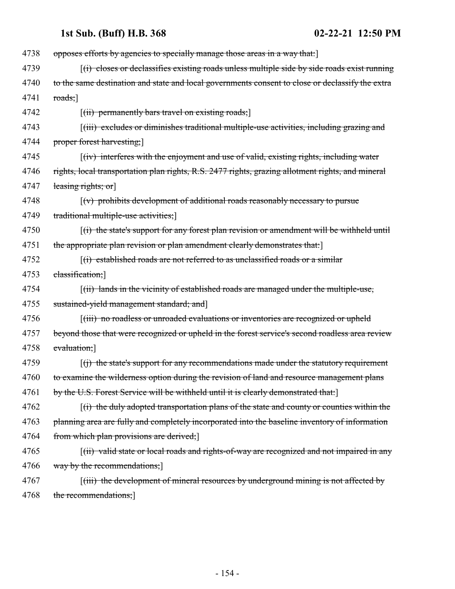| 4738 | opposes efforts by agencies to specially manage those areas in a way that.                                      |
|------|-----------------------------------------------------------------------------------------------------------------|
| 4739 | $f(t)$ closes or declassifies existing roads unless multiple side by side roads exist running                   |
| 4740 | to the same destination and state and local governments consent to close or declassify the extra                |
| 4741 | $\text{roads}$ ;                                                                                                |
| 4742 | $\left[\left(\text{iii}\right)$ permanently bars travel on existing roads;                                      |
| 4743 | [(iii) excludes or diminishes traditional multiple-use activities, including grazing and                        |
| 4744 | proper forest harvesting;                                                                                       |
| 4745 | $f(iv)$ interferes with the enjoyment and use of valid, existing rights, including water                        |
| 4746 | rights, local transportation plan rights, R.S. 2477 rights, grazing allotment rights, and mineral               |
| 4747 | leasing rights; or                                                                                              |
| 4748 | $\lceil (v) \rceil$ prohibits development of additional roads reasonably necessary to pursue                    |
| 4749 | traditional multiple-use activities;                                                                            |
| 4750 | $\overline{f(t)}$ the state's support for any forest plan revision or amendment will be withheld until          |
| 4751 | the appropriate plan revision or plan amendment clearly demonstrates that:]                                     |
| 4752 | $f(i)$ established roads are not referred to as unclassified roads or a similar                                 |
| 4753 | classification;]                                                                                                |
| 4754 | [(ii) lands in the vicinity of established roads are managed under the multiple-use,                            |
| 4755 | sustained-yield management standard; and                                                                        |
| 4756 | [(iii) no roadless or unroaded evaluations or inventories are recognized or upheld                              |
| 4757 | beyond those that were recognized or upheld in the forest service's second roadless area review                 |
| 4758 | evaluation;]                                                                                                    |
| 4759 | $\lceil$ (i) the state's support for any recommendations made under the statutory requirement                   |
| 4760 | to examine the wilderness option during the revision of land and resource management plans                      |
| 4761 | by the U.S. Forest Service will be withheld until it is clearly demonstrated that:                              |
| 4762 | $\left[\right(\mathbf{r})$ the duly adopted transportation plans of the state and county or counties within the |
| 4763 | planning area are fully and completely incorporated into the baseline inventory of information                  |
| 4764 | from which plan provisions are derived;                                                                         |
| 4765 | [(ii) valid state or local roads and rights-of-way are recognized and not impaired in any                       |
| 4766 | way by the recommendations;                                                                                     |
| 4767 | [(iii) the development of mineral resources by underground mining is not affected by                            |
| 4768 | the recommendations;                                                                                            |
|      |                                                                                                                 |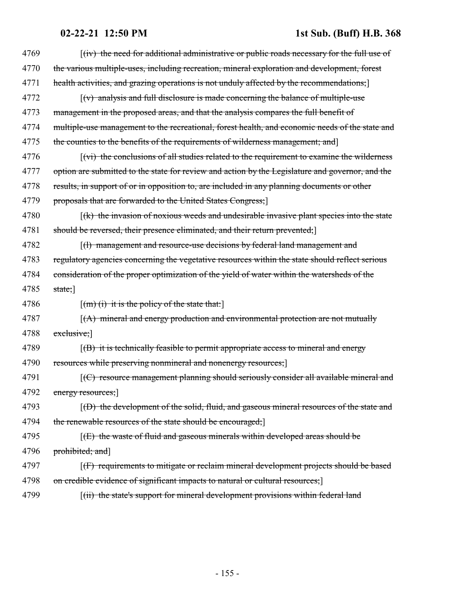| 4769 | $f(iv)$ the need for additional administrative or public roads necessary for the full use of     |
|------|--------------------------------------------------------------------------------------------------|
| 4770 | the various multiple-uses, including recreation, mineral exploration and development, forest     |
| 4771 | health activities, and grazing operations is not unduly affected by the recommendations;         |
| 4772 | $\lceil (v) \rceil$ analysis and full disclosure is made concerning the balance of multiple-use  |
| 4773 | management in the proposed areas, and that the analysis compares the full benefit of             |
| 4774 | multiple-use management to the recreational, forest health, and economic needs of the state and  |
| 4775 | the counties to the benefits of the requirements of wilderness management; and                   |
| 4776 | [(vi) the conclusions of all studies related to the requirement to examine the wilderness        |
| 4777 | option are submitted to the state for review and action by the Legislature and governor, and the |
| 4778 | results, in support of or in opposition to, are included in any planning documents or other      |
| 4779 | proposals that are forwarded to the United States Congress;                                      |
| 4780 | $f(k)$ the invasion of noxious weeds and undesirable invasive plant species into the state       |
| 4781 | should be reversed, their presence eliminated, and their return prevented;                       |
| 4782 | [(1) management and resource-use decisions by federal land management and                        |
| 4783 | regulatory agencies concerning the vegetative resources within the state should reflect serious  |
| 4784 | consideration of the proper optimization of the yield of water within the watersheds of the      |
| 4785 | $state;$ ]                                                                                       |
| 4786 | $\lceil (m)$ (i) it is the policy of the state that:                                             |
| 4787 | $(A)$ mineral and energy production and environmental protection are not mutually                |
| 4788 | $exclusive;$ ]                                                                                   |
| 4789 | $f(B)$ it is technically feasible to permit appropriate access to mineral and energy             |
| 4790 | resources while preserving nonmineral and nonenergy resources;]                                  |
| 4791 | [(C) resource management planning should seriously consider all available mineral and            |
| 4792 | energy resources;]                                                                               |
| 4793 | $(6)$ the development of the solid, fluid, and gaseous mineral resources of the state and        |
| 4794 | the renewable resources of the state should be encouraged;                                       |
| 4795 | $f(E)$ the waste of fluid and gaseous minerals within developed areas should be                  |
| 4796 | prohibited; and]                                                                                 |
| 4797 | ((F) requirements to mitigate or reclaim mineral development projects should be based            |
| 4798 | on credible evidence of significant impacts to natural or cultural resources;                    |
| 4799 | [(ii) the state's support for mineral development provisions within federal land                 |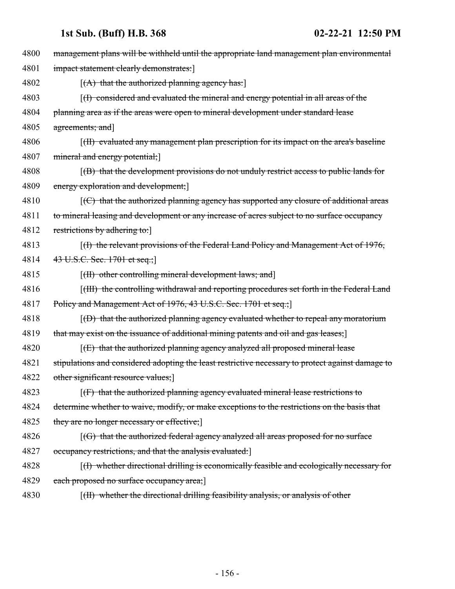| 4800 | management plans will be withheld until the appropriate land management plan environmental                  |
|------|-------------------------------------------------------------------------------------------------------------|
| 4801 | impact statement clearly demonstrates:                                                                      |
| 4802 | $[(A)$ that the authorized planning agency has:                                                             |
| 4803 | $(f)$ considered and evaluated the mineral and energy potential in all areas of the                         |
| 4804 | planning area as if the areas were open to mineral development under standard lease                         |
| 4805 | agreements; and                                                                                             |
| 4806 | [(H) evaluated any management plan prescription for its impact on the area's baseline                       |
| 4807 | mineral and energy potential;                                                                               |
| 4808 | $(f)$ that the development provisions do not unduly restrict access to public lands for                     |
| 4809 | energy exploration and development;                                                                         |
| 4810 | [(C) that the authorized planning agency has supported any closure of additional areas                      |
| 4811 | to mineral leasing and development or any increase of acres subject to no surface occupancy                 |
| 4812 | restrictions by adhering to:                                                                                |
| 4813 | $(f)$ the relevant provisions of the Federal Land Policy and Management Act of 1976,                        |
| 4814 | 43 U.S.C. Sec. 1701 et seq.;                                                                                |
| 4815 | [(II) other controlling mineral development laws; and]                                                      |
| 4816 | [(III) the controlling withdrawal and reporting procedures set forth in the Federal Land                    |
| 4817 | Policy and Management Act of 1976, 43 U.S.C. Sec. 1701 et seq.;                                             |
| 4818 | $[$ (D) that the authorized planning agency evaluated whether to repeal any moratorium                      |
| 4819 | that may exist on the issuance of additional mining patents and oil and gas leases;]                        |
| 4820 | $[1]$ that the authorized planning agency analyzed all proposed mineral lease                               |
| 4821 | stipulations and considered adopting the least restrictive necessary to protect against damage to           |
| 4822 | other significant resource values;]                                                                         |
| 4823 | $[f]$ that the authorized planning agency evaluated mineral lease restrictions to                           |
| 4824 | determine whether to waive, modify, or make exceptions to the restrictions on the basis that                |
| 4825 | they are no longer necessary or effective;                                                                  |
| 4826 | $\left[\left(\text{G}\right)$ that the authorized federal agency analyzed all areas proposed for no surface |
| 4827 | occupancy restrictions, and that the analysis evaluated:                                                    |
| 4828 | $(1)$ whether directional drilling is economically feasible and ecologically necessary for                  |
| 4829 | each proposed no surface occupancy area;                                                                    |
| 4830 | [(II) whether the directional drilling feasibility analysis, or analysis of other                           |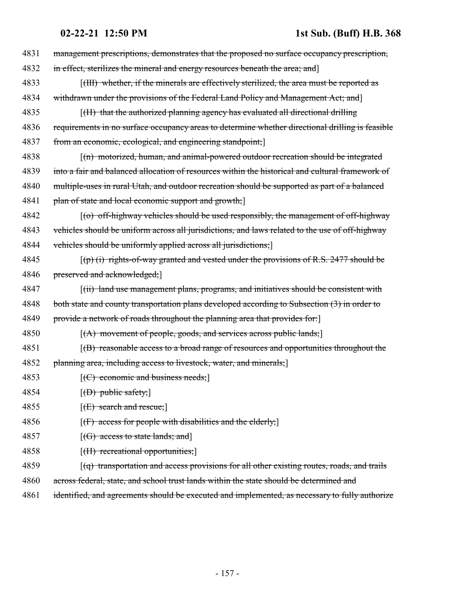| 4831 | management prescriptions, demonstrates that the proposed no surface occupancy prescription,      |
|------|--------------------------------------------------------------------------------------------------|
| 4832 | in effect, sterilizes the mineral and energy resources beneath the area; and]                    |
| 4833 | [(III) whether, if the minerals are effectively sterilized, the area must be reported as         |
| 4834 | withdrawn under the provisions of the Federal Land Policy and Management Act; and                |
| 4835 | [(H) that the authorized planning agency has evaluated all directional drilling                  |
| 4836 | requirements in no surface occupancy areas to determine whether directional drilling is feasible |
| 4837 | from an economic, ecological, and engineering standpoint;                                        |
| 4838 | [(n) motorized, human, and animal-powered outdoor recreation should be integrated                |
| 4839 | into a fair and balanced allocation of resources within the historical and cultural framework of |
| 4840 | multiple-uses in rural Utah, and outdoor recreation should be supported as part of a balanced    |
| 4841 | plan of state and local economic support and growth;]                                            |
| 4842 | $(6)$ off-highway vehicles should be used responsibly, the management of off-highway             |
| 4843 | vehicles should be uniform across all jurisdictions, and laws related to the use of off-highway  |
| 4844 | vehicles should be uniformly applied across all jurisdictions;                                   |
| 4845 | $(\phi)$ (i) rights-of-way granted and vested under the provisions of R.S. 2477 should be        |
| 4846 | preserved and acknowledged;                                                                      |
| 4847 | [(ii) land use management plans, programs, and initiatives should be consistent with             |
| 4848 | both state and county transportation plans developed according to Subsection (3) in order to     |
| 4849 | provide a network of roads throughout the planning area that provides for:                       |
| 4850 | $[(A)$ movement of people, goods, and services across public lands;                              |
| 4851 | $f(B)$ reasonable access to a broad range of resources and opportunities throughout the          |
| 4852 | planning area, including access to livestock, water, and minerals; [                             |
| 4853 | $[ (C)$ economic and business needs;                                                             |
| 4854 | $[$ (D) public safety; $]$                                                                       |
| 4855 | $[ (E)$ search and rescue;                                                                       |
| 4856 | $[f]$ access for people with disabilities and the elderly;                                       |
| 4857 | $[(G)$ access to state lands; and                                                                |
| 4858 | $[f]$ recreational opportunities;                                                                |
| 4859 | $(q)$ transportation and access provisions for all other existing routes, roads, and trails      |
| 4860 | across federal, state, and school trust lands within the state should be determined and          |
| 4861 | identified, and agreements should be executed and implemented, as necessary to fully authorize   |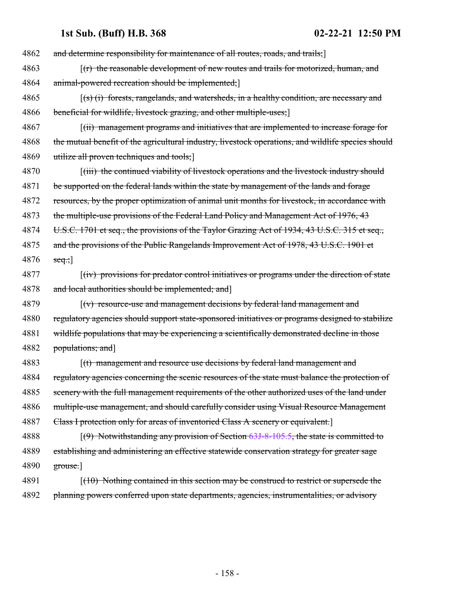4862 and determine responsibility for maintenance of all routes, roads, and trails;] 4863 [(r) the reasonable development of new routes and trails for motorized, human, and 4864 animal-powered recreation should be implemented; 4865 [(s) (i) forests, rangelands, and watersheds, in a healthy condition, are necessary and 4866 beneficial for wildlife, livestock grazing, and other multiple-uses; 4867 [(ii) management programs and initiatives that are implemented to increase forage for 4868 the mutual benefit of the agricultural industry, livestock operations, and wildlife species should 4869 utilize all proven techniques and tools; 4870 [(iii) the continued viability of livestock operations and the livestock industry should 4871 be supported on the federal lands within the state by management of the lands and forage 4872 resources, by the proper optimization of animal unit months for livestock, in accordance with 4873 the multiple-use provisions of the Federal Land Policy and Management Act of 1976, 43 4874 U.S.C. 1701 et seq., the provisions of the Taylor Grazing Act of 1934, 43 U.S.C. 315 et seq., 4875 and the provisions of the Public Rangelands Improvement Act of 1978, 43 U.S.C. 1901 et 4876  $seq$ ; 4877 [(iv) provisions for predator control initiatives or programs under the direction of state 4878 and local authorities should be implemented; and 4879 [(v) resource-use and management decisions by federal land management and 4880 regulatory agencies should support state-sponsored initiatives or programs designed to stabilize 4881 wildlife populations that may be experiencing a scientifically demonstrated decline in those 4882 populations; and] 4883 [(t) management and resource use decisions by federal land management and 4884 regulatory agencies concerning the scenic resources of the state must balance the protection of 4885 scenery with the full management requirements of the other authorized uses of the land under 4886 multiple-use management, and should carefully consider using Visual Resource Management 4887 Class I protection only for areas of inventoried Class A scenery or equivalent. 4888 [(9) Notwithstanding any provision of Section [63J-8-105.5](#page-184-0), the state is committed to 4889 establishing and administering an effective statewide conservation strategy for greater sage 4890 grouse.] 4891 [(10) Nothing contained in this section may be construed to restrict or supersede the 4892 planning powers conferred upon state departments, agencies, instrumentalities, or advisory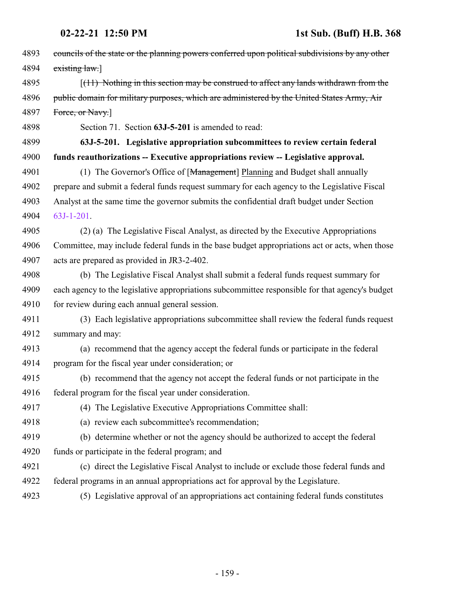| 4893 | councils of the state or the planning powers conferred upon political subdivisions by any other |
|------|-------------------------------------------------------------------------------------------------|
| 4894 | extting law.]                                                                                   |
| 4895 | $(11)$ Nothing in this section may be construed to affect any lands withdrawn from the          |
| 4896 | public domain for military purposes, which are administered by the United States Army, Air      |
| 4897 | Force, or Navy.]                                                                                |
| 4898 | Section 71. Section 63J-5-201 is amended to read:                                               |
| 4899 | 63J-5-201. Legislative appropriation subcommittees to review certain federal                    |
| 4900 | funds reauthorizations -- Executive appropriations review -- Legislative approval.              |
| 4901 | (1) The Governor's Office of [Management] Planning and Budget shall annually                    |
| 4902 | prepare and submit a federal funds request summary for each agency to the Legislative Fiscal    |
| 4903 | Analyst at the same time the governor submits the confidential draft budget under Section       |
| 4904 | 63J-1-201.                                                                                      |
| 4905 | (2) (a) The Legislative Fiscal Analyst, as directed by the Executive Appropriations             |
| 4906 | Committee, may include federal funds in the base budget appropriations act or acts, when those  |
| 4907 | acts are prepared as provided in JR3-2-402.                                                     |
| 4908 | (b) The Legislative Fiscal Analyst shall submit a federal funds request summary for             |
| 4909 | each agency to the legislative appropriations subcommittee responsible for that agency's budget |
| 4910 | for review during each annual general session.                                                  |
| 4911 | (3) Each legislative appropriations subcommittee shall review the federal funds request         |
| 4912 | summary and may:                                                                                |
| 4913 | (a) recommend that the agency accept the federal funds or participate in the federal            |
| 4914 | program for the fiscal year under consideration; or                                             |
| 4915 | (b) recommend that the agency not accept the federal funds or not participate in the            |
| 4916 | federal program for the fiscal year under consideration.                                        |
| 4917 | (4) The Legislative Executive Appropriations Committee shall:                                   |
| 4918 | (a) review each subcommittee's recommendation;                                                  |
| 4919 | (b) determine whether or not the agency should be authorized to accept the federal              |
| 4920 | funds or participate in the federal program; and                                                |
| 4921 | (c) direct the Legislative Fiscal Analyst to include or exclude those federal funds and         |
| 4922 | federal programs in an annual appropriations act for approval by the Legislature.               |
| 4923 | (5) Legislative approval of an appropriations act containing federal funds constitutes          |
|      |                                                                                                 |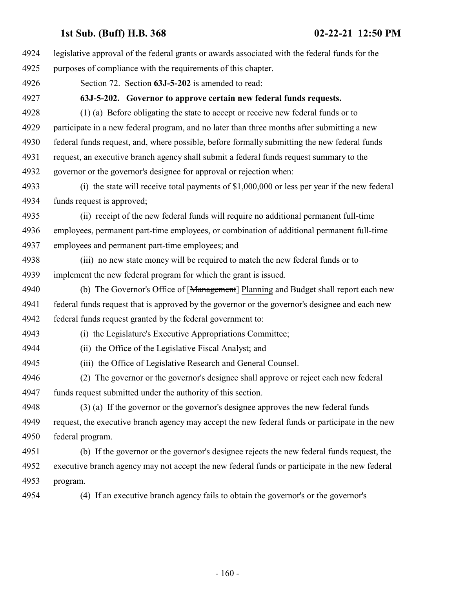| 4924 | legislative approval of the federal grants or awards associated with the federal funds for the  |
|------|-------------------------------------------------------------------------------------------------|
| 4925 | purposes of compliance with the requirements of this chapter.                                   |
| 4926 | Section 72. Section 63J-5-202 is amended to read:                                               |
| 4927 | 63J-5-202. Governor to approve certain new federal funds requests.                              |
| 4928 | (1) (a) Before obligating the state to accept or receive new federal funds or to                |
| 4929 | participate in a new federal program, and no later than three months after submitting a new     |
| 4930 | federal funds request, and, where possible, before formally submitting the new federal funds    |
| 4931 | request, an executive branch agency shall submit a federal funds request summary to the         |
| 4932 | governor or the governor's designee for approval or rejection when:                             |
| 4933 | (i) the state will receive total payments of $$1,000,000$ or less per year if the new federal   |
| 4934 | funds request is approved;                                                                      |
| 4935 | (ii) receipt of the new federal funds will require no additional permanent full-time            |
| 4936 | employees, permanent part-time employees, or combination of additional permanent full-time      |
| 4937 | employees and permanent part-time employees; and                                                |
| 4938 | (iii) no new state money will be required to match the new federal funds or to                  |
| 4939 | implement the new federal program for which the grant is issued.                                |
| 4940 | (b) The Governor's Office of [Management] Planning and Budget shall report each new             |
| 4941 | federal funds request that is approved by the governor or the governor's designee and each new  |
| 4942 | federal funds request granted by the federal government to:                                     |
| 4943 | (i) the Legislature's Executive Appropriations Committee;                                       |
| 4944 | (ii) the Office of the Legislative Fiscal Analyst; and                                          |
| 4945 | (iii) the Office of Legislative Research and General Counsel.                                   |
| 4946 | (2) The governor or the governor's designee shall approve or reject each new federal            |
| 4947 | funds request submitted under the authority of this section.                                    |
| 4948 | (3) (a) If the governor or the governor's designee approves the new federal funds               |
| 4949 | request, the executive branch agency may accept the new federal funds or participate in the new |
| 4950 | federal program.                                                                                |
| 4951 | (b) If the governor or the governor's designee rejects the new federal funds request, the       |
| 4952 | executive branch agency may not accept the new federal funds or participate in the new federal  |
| 4953 | program.                                                                                        |
| 4954 | (4) If an executive branch agency fails to obtain the governor's or the governor's              |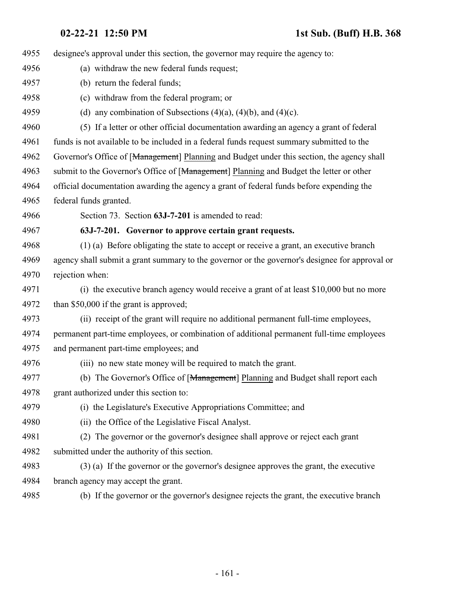designee's approval under this section, the governor may require the agency to: (a) withdraw the new federal funds request; (b) return the federal funds; (c) withdraw from the federal program; or 4959 (d) any combination of Subsections  $(4)(a)$ ,  $(4)(b)$ , and  $(4)(c)$ . (5) If a letter or other official documentation awarding an agency a grant of federal funds is not available to be included in a federal funds request summary submitted to the 4962 Governor's Office of [Management] Planning and Budget under this section, the agency shall 4963 submit to the Governor's Office of [Management] Planning and Budget the letter or other official documentation awarding the agency a grant of federal funds before expending the federal funds granted. Section 73. Section **63J-7-201** is amended to read: **63J-7-201. Governor to approve certain grant requests.** (1) (a) Before obligating the state to accept or receive a grant, an executive branch agency shall submit a grant summary to the governor or the governor's designee for approval or rejection when: (i) the executive branch agency would receive a grant of at least \$10,000 but no more than \$50,000 if the grant is approved; (ii) receipt of the grant will require no additional permanent full-time employees, permanent part-time employees, or combination of additional permanent full-time employees and permanent part-time employees; and (iii) no new state money will be required to match the grant. 4977 (b) The Governor's Office of [Management] Planning and Budget shall report each grant authorized under this section to: (i) the Legislature's Executive Appropriations Committee; and (ii) the Office of the Legislative Fiscal Analyst. (2) The governor or the governor's designee shall approve or reject each grant submitted under the authority of this section. (3) (a) If the governor or the governor's designee approves the grant, the executive branch agency may accept the grant. (b) If the governor or the governor's designee rejects the grant, the executive branch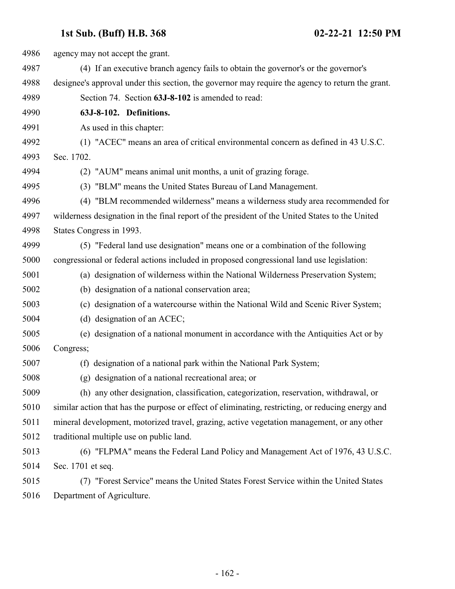| 4986 | agency may not accept the grant.                                                                  |
|------|---------------------------------------------------------------------------------------------------|
| 4987 | (4) If an executive branch agency fails to obtain the governor's or the governor's                |
| 4988 | designee's approval under this section, the governor may require the agency to return the grant.  |
| 4989 | Section 74. Section 63J-8-102 is amended to read:                                                 |
| 4990 | 63J-8-102. Definitions.                                                                           |
| 4991 | As used in this chapter:                                                                          |
| 4992 | (1) "ACEC" means an area of critical environmental concern as defined in 43 U.S.C.                |
| 4993 | Sec. 1702.                                                                                        |
| 4994 | (2) "AUM" means animal unit months, a unit of grazing forage.                                     |
| 4995 | (3) "BLM" means the United States Bureau of Land Management.                                      |
| 4996 | (4) "BLM recommended wilderness" means a wilderness study area recommended for                    |
| 4997 | wilderness designation in the final report of the president of the United States to the United    |
| 4998 | States Congress in 1993.                                                                          |
| 4999 | (5) "Federal land use designation" means one or a combination of the following                    |
| 5000 | congressional or federal actions included in proposed congressional land use legislation:         |
| 5001 | (a) designation of wilderness within the National Wilderness Preservation System;                 |
| 5002 | (b) designation of a national conservation area;                                                  |
| 5003 | (c) designation of a watercourse within the National Wild and Scenic River System;                |
| 5004 | (d) designation of an ACEC;                                                                       |
| 5005 | designation of a national monument in accordance with the Antiquities Act or by<br>(e)            |
| 5006 | Congress;                                                                                         |
| 5007 | (f) designation of a national park within the National Park System;                               |
| 5008 | (g) designation of a national recreational area; or                                               |
| 5009 | (h) any other designation, classification, categorization, reservation, withdrawal, or            |
| 5010 | similar action that has the purpose or effect of eliminating, restricting, or reducing energy and |
| 5011 | mineral development, motorized travel, grazing, active vegetation management, or any other        |
| 5012 | traditional multiple use on public land.                                                          |
| 5013 | (6) "FLPMA" means the Federal Land Policy and Management Act of 1976, 43 U.S.C.                   |
| 5014 | Sec. 1701 et seq.                                                                                 |
| 5015 | (7) "Forest Service" means the United States Forest Service within the United States              |
| 5016 | Department of Agriculture.                                                                        |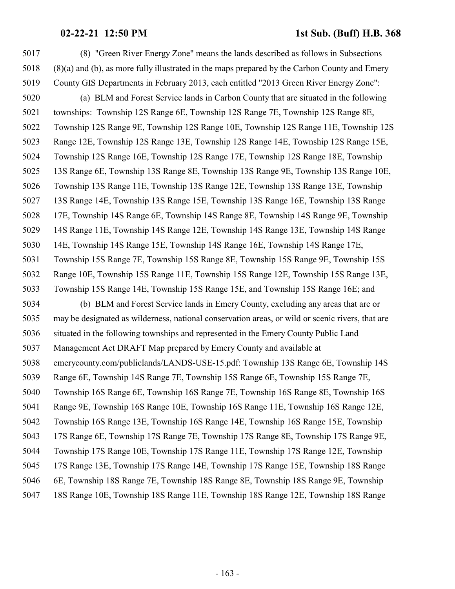(8) "Green River Energy Zone" means the lands described as follows in Subsections (8)(a) and (b), as more fully illustrated in the maps prepared by the Carbon County and Emery County GIS Departments in February 2013, each entitled "2013 Green River Energy Zone": (a) BLM and Forest Service lands in Carbon County that are situated in the following townships: Township 12S Range 6E, Township 12S Range 7E, Township 12S Range 8E, Township 12S Range 9E, Township 12S Range 10E, Township 12S Range 11E, Township 12S Range 12E, Township 12S Range 13E, Township 12S Range 14E, Township 12S Range 15E, Township 12S Range 16E, Township 12S Range 17E, Township 12S Range 18E, Township 13S Range 6E, Township 13S Range 8E, Township 13S Range 9E, Township 13S Range 10E, Township 13S Range 11E, Township 13S Range 12E, Township 13S Range 13E, Township 13S Range 14E, Township 13S Range 15E, Township 13S Range 16E, Township 13S Range 17E, Township 14S Range 6E, Township 14S Range 8E, Township 14S Range 9E, Township 14S Range 11E, Township 14S Range 12E, Township 14S Range 13E, Township 14S Range 14E, Township 14S Range 15E, Township 14S Range 16E, Township 14S Range 17E, Township 15S Range 7E, Township 15S Range 8E, Township 15S Range 9E, Township 15S Range 10E, Township 15S Range 11E, Township 15S Range 12E, Township 15S Range 13E, Township 15S Range 14E, Township 15S Range 15E, and Township 15S Range 16E; and (b) BLM and Forest Service lands in Emery County, excluding any areas that are or may be designated as wilderness, national conservation areas, or wild or scenic rivers, that are situated in the following townships and represented in the Emery County Public Land Management Act DRAFT Map prepared by Emery County and available at emerycounty.com/publiclands/LANDS-USE-15.pdf: Township 13S Range 6E, Township 14S Range 6E, Township 14S Range 7E, Township 15S Range 6E, Township 15S Range 7E, Township 16S Range 6E, Township 16S Range 7E, Township 16S Range 8E, Township 16S Range 9E, Township 16S Range 10E, Township 16S Range 11E, Township 16S Range 12E, Township 16S Range 13E, Township 16S Range 14E, Township 16S Range 15E, Township 17S Range 6E, Township 17S Range 7E, Township 17S Range 8E, Township 17S Range 9E, Township 17S Range 10E, Township 17S Range 11E, Township 17S Range 12E, Township 17S Range 13E, Township 17S Range 14E, Township 17S Range 15E, Township 18S Range 6E, Township 18S Range 7E, Township 18S Range 8E, Township 18S Range 9E, Township 18S Range 10E, Township 18S Range 11E, Township 18S Range 12E, Township 18S Range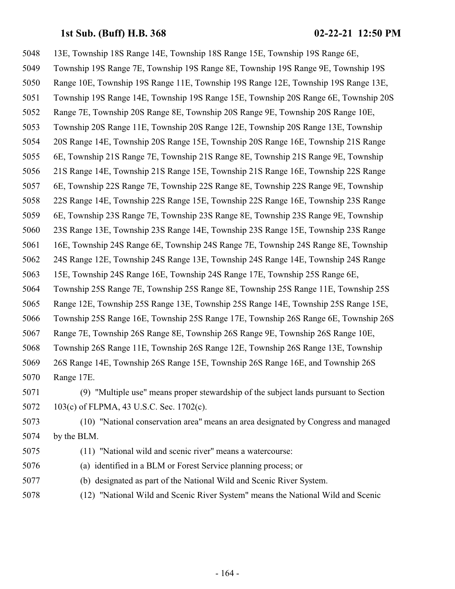- 13E, Township 18S Range 14E, Township 18S Range 15E, Township 19S Range 6E, Township 19S Range 7E, Township 19S Range 8E, Township 19S Range 9E, Township 19S Range 10E, Township 19S Range 11E, Township 19S Range 12E, Township 19S Range 13E, Township 19S Range 14E, Township 19S Range 15E, Township 20S Range 6E, Township 20S Range 7E, Township 20S Range 8E, Township 20S Range 9E, Township 20S Range 10E, Township 20S Range 11E, Township 20S Range 12E, Township 20S Range 13E, Township 20S Range 14E, Township 20S Range 15E, Township 20S Range 16E, Township 21S Range 6E, Township 21S Range 7E, Township 21S Range 8E, Township 21S Range 9E, Township 21S Range 14E, Township 21S Range 15E, Township 21S Range 16E, Township 22S Range 6E, Township 22S Range 7E, Township 22S Range 8E, Township 22S Range 9E, Township 22S Range 14E, Township 22S Range 15E, Township 22S Range 16E, Township 23S Range 6E, Township 23S Range 7E, Township 23S Range 8E, Township 23S Range 9E, Township 23S Range 13E, Township 23S Range 14E, Township 23S Range 15E, Township 23S Range 16E, Township 24S Range 6E, Township 24S Range 7E, Township 24S Range 8E, Township 24S Range 12E, Township 24S Range 13E, Township 24S Range 14E, Township 24S Range 15E, Township 24S Range 16E, Township 24S Range 17E, Township 25S Range 6E, Township 25S Range 7E, Township 25S Range 8E, Township 25S Range 11E, Township 25S Range 12E, Township 25S Range 13E, Township 25S Range 14E, Township 25S Range 15E, Township 25S Range 16E, Township 25S Range 17E, Township 26S Range 6E, Township 26S Range 7E, Township 26S Range 8E, Township 26S Range 9E, Township 26S Range 10E, Township 26S Range 11E, Township 26S Range 12E, Township 26S Range 13E, Township 26S Range 14E, Township 26S Range 15E, Township 26S Range 16E, and Township 26S Range 17E. (9) "Multiple use" means proper stewardship of the subject lands pursuant to Section 103(c) of FLPMA, 43 U.S.C. Sec. 1702(c). (10) "National conservation area" means an area designated by Congress and managed
- by the BLM.
- (11) "National wild and scenic river" means a watercourse:
- (a) identified in a BLM or Forest Service planning process; or
- (b) designated as part of the National Wild and Scenic River System.
- (12) "National Wild and Scenic River System" means the National Wild and Scenic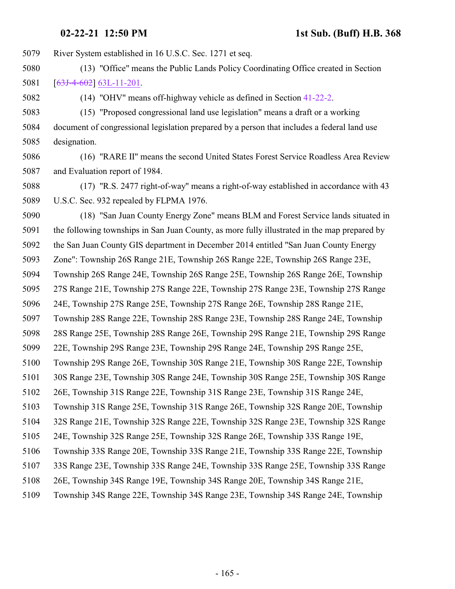River System established in 16 U.S.C. Sec. 1271 et seq.

- (13) "Office" means the Public Lands Policy Coordinating Office created in Section [[63J-4-602](http://le.utah.gov/UtahCode/SectionLookup.jsp?section=63j-4-602&session=2021GS)] [63L-11-201](#page-221-0).
- (14) "OHV" means off-highway vehicle as defined in Section [41-22-2](http://le.utah.gov/UtahCode/SectionLookup.jsp?section=41-22-2&session=2021GS).

 (15) "Proposed congressional land use legislation" means a draft or a working document of congressional legislation prepared by a person that includes a federal land use designation.

- (16) "RARE II" means the second United States Forest Service Roadless Area Review and Evaluation report of 1984.
- (17) "R.S. 2477 right-of-way" means a right-of-way established in accordance with 43 U.S.C. Sec. 932 repealed by FLPMA 1976.

 (18) "San Juan County Energy Zone" means BLM and Forest Service lands situated in the following townships in San Juan County, as more fully illustrated in the map prepared by the San Juan County GIS department in December 2014 entitled "San Juan County Energy Zone": Township 26S Range 21E, Township 26S Range 22E, Township 26S Range 23E, Township 26S Range 24E, Township 26S Range 25E, Township 26S Range 26E, Township 27S Range 21E, Township 27S Range 22E, Township 27S Range 23E, Township 27S Range 24E, Township 27S Range 25E, Township 27S Range 26E, Township 28S Range 21E, Township 28S Range 22E, Township 28S Range 23E, Township 28S Range 24E, Township 28S Range 25E, Township 28S Range 26E, Township 29S Range 21E, Township 29S Range 22E, Township 29S Range 23E, Township 29S Range 24E, Township 29S Range 25E, Township 29S Range 26E, Township 30S Range 21E, Township 30S Range 22E, Township 30S Range 23E, Township 30S Range 24E, Township 30S Range 25E, Township 30S Range 26E, Township 31S Range 22E, Township 31S Range 23E, Township 31S Range 24E, Township 31S Range 25E, Township 31S Range 26E, Township 32S Range 20E, Township 32S Range 21E, Township 32S Range 22E, Township 32S Range 23E, Township 32S Range 24E, Township 32S Range 25E, Township 32S Range 26E, Township 33S Range 19E, Township 33S Range 20E, Township 33S Range 21E, Township 33S Range 22E, Township 33S Range 23E, Township 33S Range 24E, Township 33S Range 25E, Township 33S Range 26E, Township 34S Range 19E, Township 34S Range 20E, Township 34S Range 21E, Township 34S Range 22E, Township 34S Range 23E, Township 34S Range 24E, Township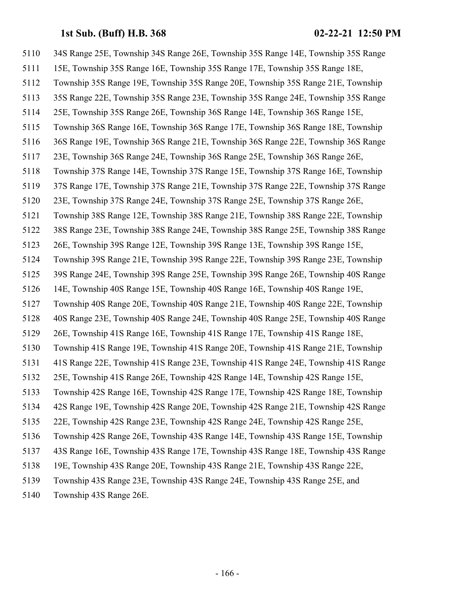34S Range 25E, Township 34S Range 26E, Township 35S Range 14E, Township 35S Range 15E, Township 35S Range 16E, Township 35S Range 17E, Township 35S Range 18E, Township 35S Range 19E, Township 35S Range 20E, Township 35S Range 21E, Township 35S Range 22E, Township 35S Range 23E, Township 35S Range 24E, Township 35S Range 25E, Township 35S Range 26E, Township 36S Range 14E, Township 36S Range 15E, Township 36S Range 16E, Township 36S Range 17E, Township 36S Range 18E, Township 36S Range 19E, Township 36S Range 21E, Township 36S Range 22E, Township 36S Range 23E, Township 36S Range 24E, Township 36S Range 25E, Township 36S Range 26E, Township 37S Range 14E, Township 37S Range 15E, Township 37S Range 16E, Township 37S Range 17E, Township 37S Range 21E, Township 37S Range 22E, Township 37S Range 23E, Township 37S Range 24E, Township 37S Range 25E, Township 37S Range 26E, Township 38S Range 12E, Township 38S Range 21E, Township 38S Range 22E, Township 38S Range 23E, Township 38S Range 24E, Township 38S Range 25E, Township 38S Range 26E, Township 39S Range 12E, Township 39S Range 13E, Township 39S Range 15E, Township 39S Range 21E, Township 39S Range 22E, Township 39S Range 23E, Township 39S Range 24E, Township 39S Range 25E, Township 39S Range 26E, Township 40S Range 14E, Township 40S Range 15E, Township 40S Range 16E, Township 40S Range 19E, Township 40S Range 20E, Township 40S Range 21E, Township 40S Range 22E, Township 40S Range 23E, Township 40S Range 24E, Township 40S Range 25E, Township 40S Range 26E, Township 41S Range 16E, Township 41S Range 17E, Township 41S Range 18E, Township 41S Range 19E, Township 41S Range 20E, Township 41S Range 21E, Township 41S Range 22E, Township 41S Range 23E, Township 41S Range 24E, Township 41S Range 25E, Township 41S Range 26E, Township 42S Range 14E, Township 42S Range 15E, Township 42S Range 16E, Township 42S Range 17E, Township 42S Range 18E, Township 42S Range 19E, Township 42S Range 20E, Township 42S Range 21E, Township 42S Range 22E, Township 42S Range 23E, Township 42S Range 24E, Township 42S Range 25E, Township 42S Range 26E, Township 43S Range 14E, Township 43S Range 15E, Township 43S Range 16E, Township 43S Range 17E, Township 43S Range 18E, Township 43S Range 19E, Township 43S Range 20E, Township 43S Range 21E, Township 43S Range 22E, Township 43S Range 23E, Township 43S Range 24E, Township 43S Range 25E, and Township 43S Range 26E.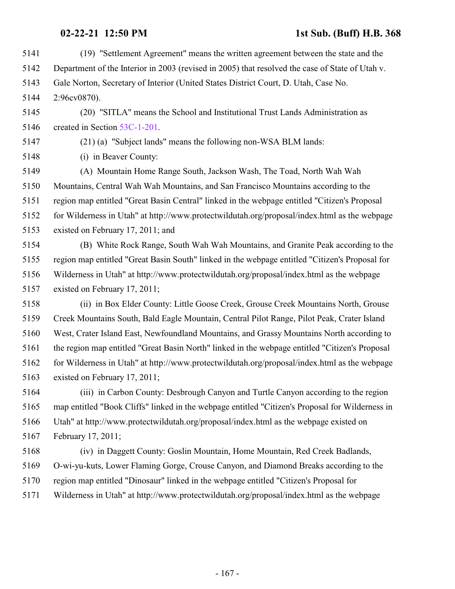| 5141 | (19) "Settlement Agreement" means the written agreement between the state and the               |
|------|-------------------------------------------------------------------------------------------------|
| 5142 | Department of the Interior in 2003 (revised in 2005) that resolved the case of State of Utah v. |
| 5143 | Gale Norton, Secretary of Interior (United States District Court, D. Utah, Case No.             |
| 5144 | 2:96cv0870).                                                                                    |
| 5145 | (20) "SITLA" means the School and Institutional Trust Lands Administration as                   |
| 5146 | created in Section 53C-1-201.                                                                   |
| 5147 | (21) (a) "Subject lands" means the following non-WSA BLM lands:                                 |
| 5148 | (i) in Beaver County:                                                                           |
| 5149 | (A) Mountain Home Range South, Jackson Wash, The Toad, North Wah Wah                            |
| 5150 | Mountains, Central Wah Wah Mountains, and San Francisco Mountains according to the              |
| 5151 | region map entitled "Great Basin Central" linked in the webpage entitled "Citizen's Proposal    |
| 5152 | for Wilderness in Utah" at http://www.protectwildutah.org/proposal/index.html as the webpage    |
| 5153 | existed on February 17, 2011; and                                                               |
| 5154 | (B) White Rock Range, South Wah Wah Mountains, and Granite Peak according to the                |
| 5155 | region map entitled "Great Basin South" linked in the webpage entitled "Citizen's Proposal for  |
| 5156 | Wilderness in Utah" at http://www.protectwildutah.org/proposal/index.html as the webpage        |
| 5157 | existed on February 17, 2011;                                                                   |
| 5158 | (ii) in Box Elder County: Little Goose Creek, Grouse Creek Mountains North, Grouse              |
| 5159 | Creek Mountains South, Bald Eagle Mountain, Central Pilot Range, Pilot Peak, Crater Island      |
| 5160 | West, Crater Island East, Newfoundland Mountains, and Grassy Mountains North according to       |
| 5161 | the region map entitled "Great Basin North" linked in the webpage entitled "Citizen's Proposal  |
| 5162 | for Wilderness in Utah" at http://www.protectwildutah.org/proposal/index.html as the webpage    |
| 5163 | existed on February 17, 2011;                                                                   |
| 5164 | (iii) in Carbon County: Desbrough Canyon and Turtle Canyon according to the region              |
| 5165 | map entitled "Book Cliffs" linked in the webpage entitled "Citizen's Proposal for Wilderness in |
| 5166 | Utah" at http://www.protectwildutah.org/proposal/index.html as the webpage existed on           |
| 5167 | February 17, 2011;                                                                              |
| 5168 | (iv) in Daggett County: Goslin Mountain, Home Mountain, Red Creek Badlands,                     |
| 5169 | O-wi-yu-kuts, Lower Flaming Gorge, Crouse Canyon, and Diamond Breaks according to the           |
| 5170 | region map entitled "Dinosaur" linked in the webpage entitled "Citizen's Proposal for           |
| 5171 | Wilderness in Utah" at http://www.protectwildutah.org/proposal/index.html as the webpage        |
|      |                                                                                                 |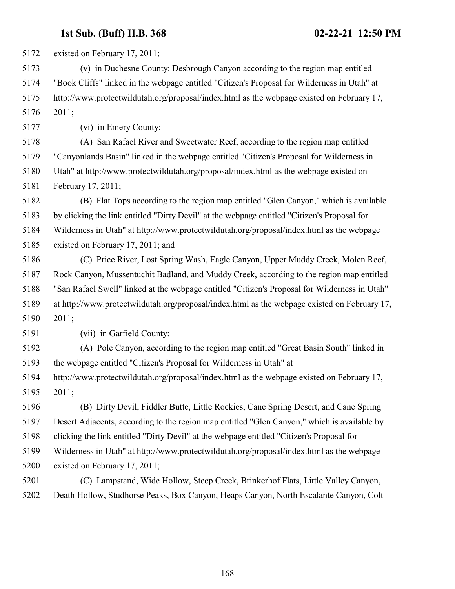existed on February 17, 2011;

 (v) in Duchesne County: Desbrough Canyon according to the region map entitled "Book Cliffs" linked in the webpage entitled "Citizen's Proposal for Wilderness in Utah" at http://www.protectwildutah.org/proposal/index.html as the webpage existed on February 17, 2011;

(vi) in Emery County:

 (A) San Rafael River and Sweetwater Reef, according to the region map entitled "Canyonlands Basin" linked in the webpage entitled "Citizen's Proposal for Wilderness in Utah" at http://www.protectwildutah.org/proposal/index.html as the webpage existed on February 17, 2011;

 (B) Flat Tops according to the region map entitled "Glen Canyon," which is available by clicking the link entitled "Dirty Devil" at the webpage entitled "Citizen's Proposal for Wilderness in Utah" at http://www.protectwildutah.org/proposal/index.html as the webpage existed on February 17, 2011; and

 (C) Price River, Lost Spring Wash, Eagle Canyon, Upper Muddy Creek, Molen Reef, Rock Canyon, Mussentuchit Badland, and Muddy Creek, according to the region map entitled "San Rafael Swell" linked at the webpage entitled "Citizen's Proposal for Wilderness in Utah" at http://www.protectwildutah.org/proposal/index.html as the webpage existed on February 17, 2011;

(vii) in Garfield County:

 (A) Pole Canyon, according to the region map entitled "Great Basin South" linked in the webpage entitled "Citizen's Proposal for Wilderness in Utah" at

 http://www.protectwildutah.org/proposal/index.html as the webpage existed on February 17, 2011;

 (B) Dirty Devil, Fiddler Butte, Little Rockies, Cane Spring Desert, and Cane Spring Desert Adjacents, according to the region map entitled "Glen Canyon," which is available by clicking the link entitled "Dirty Devil" at the webpage entitled "Citizen's Proposal for Wilderness in Utah" at http://www.protectwildutah.org/proposal/index.html as the webpage existed on February 17, 2011;

 (C) Lampstand, Wide Hollow, Steep Creek, Brinkerhof Flats, Little Valley Canyon, Death Hollow, Studhorse Peaks, Box Canyon, Heaps Canyon, North Escalante Canyon, Colt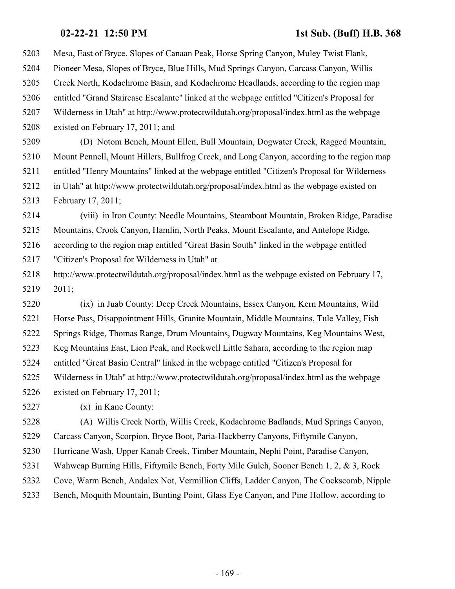Mesa, East of Bryce, Slopes of Canaan Peak, Horse Spring Canyon, Muley Twist Flank, Pioneer Mesa, Slopes of Bryce, Blue Hills, Mud Springs Canyon, Carcass Canyon, Willis Creek North, Kodachrome Basin, and Kodachrome Headlands, according to the region map entitled "Grand Staircase Escalante" linked at the webpage entitled "Citizen's Proposal for Wilderness in Utah" at http://www.protectwildutah.org/proposal/index.html as the webpage existed on February 17, 2011; and

 (D) Notom Bench, Mount Ellen, Bull Mountain, Dogwater Creek, Ragged Mountain, Mount Pennell, Mount Hillers, Bullfrog Creek, and Long Canyon, according to the region map entitled "Henry Mountains" linked at the webpage entitled "Citizen's Proposal for Wilderness in Utah" at http://www.protectwildutah.org/proposal/index.html as the webpage existed on February 17, 2011;

 (viii) in Iron County: Needle Mountains, Steamboat Mountain, Broken Ridge, Paradise Mountains, Crook Canyon, Hamlin, North Peaks, Mount Escalante, and Antelope Ridge, according to the region map entitled "Great Basin South" linked in the webpage entitled

"Citizen's Proposal for Wilderness in Utah" at

 http://www.protectwildutah.org/proposal/index.html as the webpage existed on February 17, 2011;

 (ix) in Juab County: Deep Creek Mountains, Essex Canyon, Kern Mountains, Wild Horse Pass, Disappointment Hills, Granite Mountain, Middle Mountains, Tule Valley, Fish Springs Ridge, Thomas Range, Drum Mountains, Dugway Mountains, Keg Mountains West, Keg Mountains East, Lion Peak, and Rockwell Little Sahara, according to the region map entitled "Great Basin Central" linked in the webpage entitled "Citizen's Proposal for Wilderness in Utah" at http://www.protectwildutah.org/proposal/index.html as the webpage existed on February 17, 2011;

(x) in Kane County:

 (A) Willis Creek North, Willis Creek, Kodachrome Badlands, Mud Springs Canyon, Carcass Canyon, Scorpion, Bryce Boot, Paria-Hackberry Canyons, Fiftymile Canyon, Hurricane Wash, Upper Kanab Creek, Timber Mountain, Nephi Point, Paradise Canyon, Wahweap Burning Hills, Fiftymile Bench, Forty Mile Gulch, Sooner Bench 1, 2, & 3, Rock Cove, Warm Bench, Andalex Not, Vermillion Cliffs, Ladder Canyon, The Cockscomb, Nipple

Bench, Moquith Mountain, Bunting Point, Glass Eye Canyon, and Pine Hollow, according to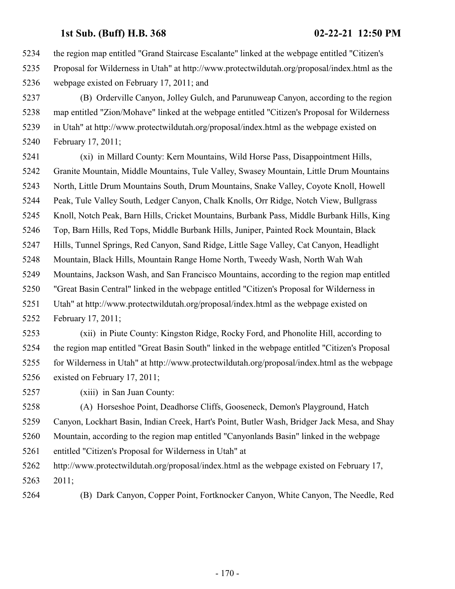the region map entitled "Grand Staircase Escalante" linked at the webpage entitled "Citizen's Proposal for Wilderness in Utah" at http://www.protectwildutah.org/proposal/index.html as the webpage existed on February 17, 2011; and

 (B) Orderville Canyon, Jolley Gulch, and Parunuweap Canyon, according to the region map entitled "Zion/Mohave" linked at the webpage entitled "Citizen's Proposal for Wilderness in Utah" at http://www.protectwildutah.org/proposal/index.html as the webpage existed on February 17, 2011;

 (xi) in Millard County: Kern Mountains, Wild Horse Pass, Disappointment Hills, Granite Mountain, Middle Mountains, Tule Valley, Swasey Mountain, Little Drum Mountains North, Little Drum Mountains South, Drum Mountains, Snake Valley, Coyote Knoll, Howell Peak, Tule Valley South, Ledger Canyon, Chalk Knolls, Orr Ridge, Notch View, Bullgrass Knoll, Notch Peak, Barn Hills, Cricket Mountains, Burbank Pass, Middle Burbank Hills, King Top, Barn Hills, Red Tops, Middle Burbank Hills, Juniper, Painted Rock Mountain, Black Hills, Tunnel Springs, Red Canyon, Sand Ridge, Little Sage Valley, Cat Canyon, Headlight Mountain, Black Hills, Mountain Range Home North, Tweedy Wash, North Wah Wah Mountains, Jackson Wash, and San Francisco Mountains, according to the region map entitled "Great Basin Central" linked in the webpage entitled "Citizen's Proposal for Wilderness in Utah" at http://www.protectwildutah.org/proposal/index.html as the webpage existed on February 17, 2011;

 (xii) in Piute County: Kingston Ridge, Rocky Ford, and Phonolite Hill, according to the region map entitled "Great Basin South" linked in the webpage entitled "Citizen's Proposal for Wilderness in Utah" at http://www.protectwildutah.org/proposal/index.html as the webpage existed on February 17, 2011;

(xiii) in San Juan County:

 (A) Horseshoe Point, Deadhorse Cliffs, Gooseneck, Demon's Playground, Hatch Canyon, Lockhart Basin, Indian Creek, Hart's Point, Butler Wash, Bridger Jack Mesa, and Shay Mountain, according to the region map entitled "Canyonlands Basin" linked in the webpage entitled "Citizen's Proposal for Wilderness in Utah" at http://www.protectwildutah.org/proposal/index.html as the webpage existed on February 17,

2011;

(B) Dark Canyon, Copper Point, Fortknocker Canyon, White Canyon, The Needle, Red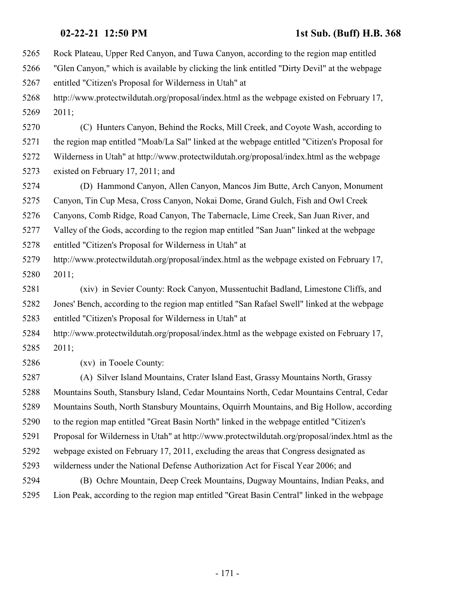Rock Plateau, Upper Red Canyon, and Tuwa Canyon, according to the region map entitled "Glen Canyon," which is available by clicking the link entitled "Dirty Devil" at the webpage entitled "Citizen's Proposal for Wilderness in Utah" at http://www.protectwildutah.org/proposal/index.html as the webpage existed on February 17, 2011; (C) Hunters Canyon, Behind the Rocks, Mill Creek, and Coyote Wash, according to the region map entitled "Moab/La Sal" linked at the webpage entitled "Citizen's Proposal for Wilderness in Utah" at http://www.protectwildutah.org/proposal/index.html as the webpage existed on February 17, 2011; and (D) Hammond Canyon, Allen Canyon, Mancos Jim Butte, Arch Canyon, Monument Canyon, Tin Cup Mesa, Cross Canyon, Nokai Dome, Grand Gulch, Fish and Owl Creek Canyons, Comb Ridge, Road Canyon, The Tabernacle, Lime Creek, San Juan River, and Valley of the Gods, according to the region map entitled "San Juan" linked at the webpage entitled "Citizen's Proposal for Wilderness in Utah" at http://www.protectwildutah.org/proposal/index.html as the webpage existed on February 17, 2011; (xiv) in Sevier County: Rock Canyon, Mussentuchit Badland, Limestone Cliffs, and Jones' Bench, according to the region map entitled "San Rafael Swell" linked at the webpage entitled "Citizen's Proposal for Wilderness in Utah" at http://www.protectwildutah.org/proposal/index.html as the webpage existed on February 17, 2011; (xv) in Tooele County: (A) Silver Island Mountains, Crater Island East, Grassy Mountains North, Grassy Mountains South, Stansbury Island, Cedar Mountains North, Cedar Mountains Central, Cedar Mountains South, North Stansbury Mountains, Oquirrh Mountains, and Big Hollow, according to the region map entitled "Great Basin North" linked in the webpage entitled "Citizen's Proposal for Wilderness in Utah" at http://www.protectwildutah.org/proposal/index.html as the webpage existed on February 17, 2011, excluding the areas that Congress designated as wilderness under the National Defense Authorization Act for Fiscal Year 2006; and (B) Ochre Mountain, Deep Creek Mountains, Dugway Mountains, Indian Peaks, and

Lion Peak, according to the region map entitled "Great Basin Central" linked in the webpage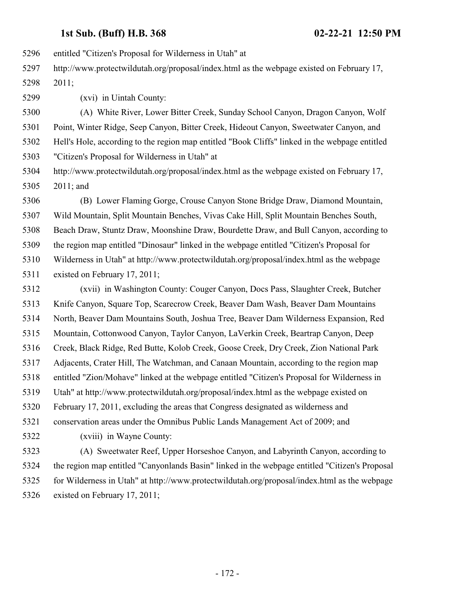entitled "Citizen's Proposal for Wilderness in Utah" at

 http://www.protectwildutah.org/proposal/index.html as the webpage existed on February 17, 2011;

(xvi) in Uintah County:

 (A) White River, Lower Bitter Creek, Sunday School Canyon, Dragon Canyon, Wolf Point, Winter Ridge, Seep Canyon, Bitter Creek, Hideout Canyon, Sweetwater Canyon, and Hell's Hole, according to the region map entitled "Book Cliffs" linked in the webpage entitled "Citizen's Proposal for Wilderness in Utah" at

 http://www.protectwildutah.org/proposal/index.html as the webpage existed on February 17, 2011; and

 (B) Lower Flaming Gorge, Crouse Canyon Stone Bridge Draw, Diamond Mountain, Wild Mountain, Split Mountain Benches, Vivas Cake Hill, Split Mountain Benches South, Beach Draw, Stuntz Draw, Moonshine Draw, Bourdette Draw, and Bull Canyon, according to the region map entitled "Dinosaur" linked in the webpage entitled "Citizen's Proposal for Wilderness in Utah" at http://www.protectwildutah.org/proposal/index.html as the webpage existed on February 17, 2011;

 (xvii) in Washington County: Couger Canyon, Docs Pass, Slaughter Creek, Butcher Knife Canyon, Square Top, Scarecrow Creek, Beaver Dam Wash, Beaver Dam Mountains North, Beaver Dam Mountains South, Joshua Tree, Beaver Dam Wilderness Expansion, Red Mountain, Cottonwood Canyon, Taylor Canyon, LaVerkin Creek, Beartrap Canyon, Deep Creek, Black Ridge, Red Butte, Kolob Creek, Goose Creek, Dry Creek, Zion National Park Adjacents, Crater Hill, The Watchman, and Canaan Mountain, according to the region map entitled "Zion/Mohave" linked at the webpage entitled "Citizen's Proposal for Wilderness in Utah" at http://www.protectwildutah.org/proposal/index.html as the webpage existed on February 17, 2011, excluding the areas that Congress designated as wilderness and conservation areas under the Omnibus Public Lands Management Act of 2009; and

(xviii) in Wayne County:

 (A) Sweetwater Reef, Upper Horseshoe Canyon, and Labyrinth Canyon, according to the region map entitled "Canyonlands Basin" linked in the webpage entitled "Citizen's Proposal for Wilderness in Utah" at http://www.protectwildutah.org/proposal/index.html as the webpage existed on February 17, 2011;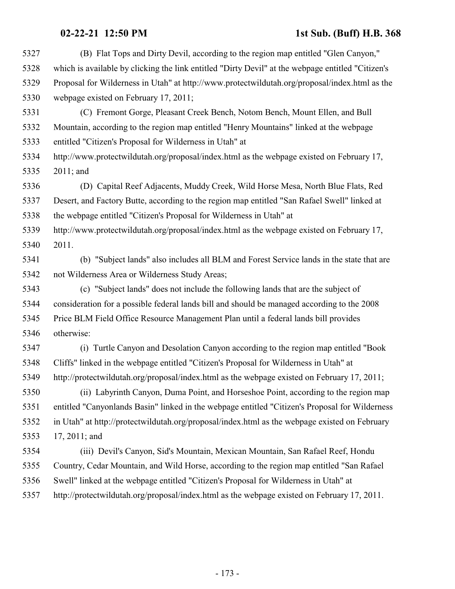| 5327 | (B) Flat Tops and Dirty Devil, according to the region map entitled "Glen Canyon,"                |
|------|---------------------------------------------------------------------------------------------------|
| 5328 | which is available by clicking the link entitled "Dirty Devil" at the webpage entitled "Citizen's |
| 5329 | Proposal for Wilderness in Utah" at http://www.protectwildutah.org/proposal/index.html as the     |
| 5330 | webpage existed on February 17, 2011;                                                             |
| 5331 | (C) Fremont Gorge, Pleasant Creek Bench, Notom Bench, Mount Ellen, and Bull                       |
| 5332 | Mountain, according to the region map entitled "Henry Mountains" linked at the webpage            |
| 5333 | entitled "Citizen's Proposal for Wilderness in Utah" at                                           |
| 5334 | http://www.protectwildutah.org/proposal/index.html as the webpage existed on February 17,         |
| 5335 | $2011$ ; and                                                                                      |
| 5336 | (D) Capital Reef Adjacents, Muddy Creek, Wild Horse Mesa, North Blue Flats, Red                   |
| 5337 | Desert, and Factory Butte, according to the region map entitled "San Rafael Swell" linked at      |
| 5338 | the webpage entitled "Citizen's Proposal for Wilderness in Utah" at                               |
| 5339 | http://www.protectwildutah.org/proposal/index.html as the webpage existed on February 17,         |
| 5340 | 2011.                                                                                             |
| 5341 | (b) "Subject lands" also includes all BLM and Forest Service lands in the state that are          |
| 5342 | not Wilderness Area or Wilderness Study Areas;                                                    |
| 5343 | (c) "Subject lands" does not include the following lands that are the subject of                  |
| 5344 | consideration for a possible federal lands bill and should be managed according to the 2008       |
| 5345 | Price BLM Field Office Resource Management Plan until a federal lands bill provides               |
| 5346 | otherwise:                                                                                        |
| 5347 | (i) Turtle Canyon and Desolation Canyon according to the region map entitled "Book"               |
| 5348 | Cliffs" linked in the webpage entitled "Citizen's Proposal for Wilderness in Utah" at             |
| 5349 | http://protectwildutah.org/proposal/index.html as the webpage existed on February 17, 2011;       |
| 5350 | (ii) Labyrinth Canyon, Duma Point, and Horseshoe Point, according to the region map               |
| 5351 | entitled "Canyonlands Basin" linked in the webpage entitled "Citizen's Proposal for Wilderness    |
| 5352 | in Utah" at http://protectwildutah.org/proposal/index.html as the webpage existed on February     |
| 5353 | 17, 2011; and                                                                                     |
| 5354 | (iii) Devil's Canyon, Sid's Mountain, Mexican Mountain, San Rafael Reef, Hondu                    |
| 5355 | Country, Cedar Mountain, and Wild Horse, according to the region map entitled "San Rafael"        |
| 5356 | Swell" linked at the webpage entitled "Citizen's Proposal for Wilderness in Utah" at              |
| 5357 | http://protectwildutah.org/proposal/index.html as the webpage existed on February 17, 2011.       |
|      |                                                                                                   |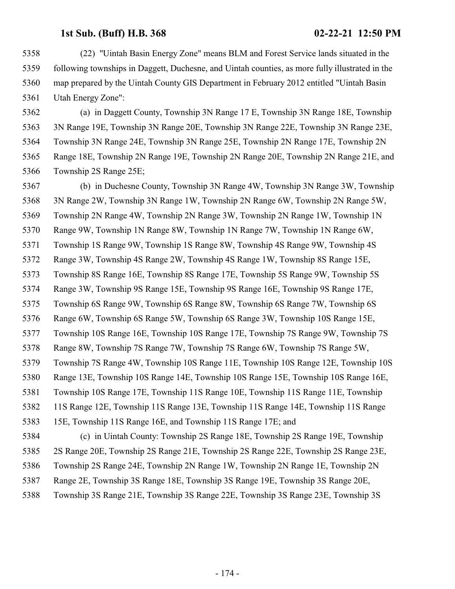(22) "Uintah Basin Energy Zone" means BLM and Forest Service lands situated in the following townships in Daggett, Duchesne, and Uintah counties, as more fully illustrated in the map prepared by the Uintah County GIS Department in February 2012 entitled "Uintah Basin Utah Energy Zone":

 (a) in Daggett County, Township 3N Range 17 E, Township 3N Range 18E, Township 3N Range 19E, Township 3N Range 20E, Township 3N Range 22E, Township 3N Range 23E, Township 3N Range 24E, Township 3N Range 25E, Township 2N Range 17E, Township 2N Range 18E, Township 2N Range 19E, Township 2N Range 20E, Township 2N Range 21E, and Township 2S Range 25E;

 (b) in Duchesne County, Township 3N Range 4W, Township 3N Range 3W, Township 3N Range 2W, Township 3N Range 1W, Township 2N Range 6W, Township 2N Range 5W, Township 2N Range 4W, Township 2N Range 3W, Township 2N Range 1W, Township 1N Range 9W, Township 1N Range 8W, Township 1N Range 7W, Township 1N Range 6W, Township 1S Range 9W, Township 1S Range 8W, Township 4S Range 9W, Township 4S Range 3W, Township 4S Range 2W, Township 4S Range 1W, Township 8S Range 15E, Township 8S Range 16E, Township 8S Range 17E, Township 5S Range 9W, Township 5S Range 3W, Township 9S Range 15E, Township 9S Range 16E, Township 9S Range 17E, Township 6S Range 9W, Township 6S Range 8W, Township 6S Range 7W, Township 6S Range 6W, Township 6S Range 5W, Township 6S Range 3W, Township 10S Range 15E, Township 10S Range 16E, Township 10S Range 17E, Township 7S Range 9W, Township 7S Range 8W, Township 7S Range 7W, Township 7S Range 6W, Township 7S Range 5W, Township 7S Range 4W, Township 10S Range 11E, Township 10S Range 12E, Township 10S Range 13E, Township 10S Range 14E, Township 10S Range 15E, Township 10S Range 16E, Township 10S Range 17E, Township 11S Range 10E, Township 11S Range 11E, Township 11S Range 12E, Township 11S Range 13E, Township 11S Range 14E, Township 11S Range 15E, Township 11S Range 16E, and Township 11S Range 17E; and (c) in Uintah County: Township 2S Range 18E, Township 2S Range 19E, Township 2S Range 20E, Township 2S Range 21E, Township 2S Range 22E, Township 2S Range 23E, Township 2S Range 24E, Township 2N Range 1W, Township 2N Range 1E, Township 2N

- Range 2E, Township 3S Range 18E, Township 3S Range 19E, Township 3S Range 20E,
- Township 3S Range 21E, Township 3S Range 22E, Township 3S Range 23E, Township 3S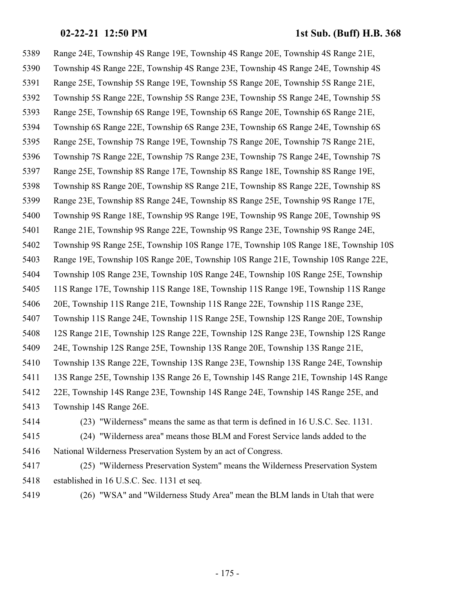Range 24E, Township 4S Range 19E, Township 4S Range 20E, Township 4S Range 21E, Township 4S Range 22E, Township 4S Range 23E, Township 4S Range 24E, Township 4S Range 25E, Township 5S Range 19E, Township 5S Range 20E, Township 5S Range 21E, Township 5S Range 22E, Township 5S Range 23E, Township 5S Range 24E, Township 5S Range 25E, Township 6S Range 19E, Township 6S Range 20E, Township 6S Range 21E, Township 6S Range 22E, Township 6S Range 23E, Township 6S Range 24E, Township 6S Range 25E, Township 7S Range 19E, Township 7S Range 20E, Township 7S Range 21E, Township 7S Range 22E, Township 7S Range 23E, Township 7S Range 24E, Township 7S Range 25E, Township 8S Range 17E, Township 8S Range 18E, Township 8S Range 19E, Township 8S Range 20E, Township 8S Range 21E, Township 8S Range 22E, Township 8S Range 23E, Township 8S Range 24E, Township 8S Range 25E, Township 9S Range 17E, Township 9S Range 18E, Township 9S Range 19E, Township 9S Range 20E, Township 9S Range 21E, Township 9S Range 22E, Township 9S Range 23E, Township 9S Range 24E, Township 9S Range 25E, Township 10S Range 17E, Township 10S Range 18E, Township 10S Range 19E, Township 10S Range 20E, Township 10S Range 21E, Township 10S Range 22E, Township 10S Range 23E, Township 10S Range 24E, Township 10S Range 25E, Township 11S Range 17E, Township 11S Range 18E, Township 11S Range 19E, Township 11S Range 20E, Township 11S Range 21E, Township 11S Range 22E, Township 11S Range 23E, Township 11S Range 24E, Township 11S Range 25E, Township 12S Range 20E, Township 12S Range 21E, Township 12S Range 22E, Township 12S Range 23E, Township 12S Range 24E, Township 12S Range 25E, Township 13S Range 20E, Township 13S Range 21E, Township 13S Range 22E, Township 13S Range 23E, Township 13S Range 24E, Township 13S Range 25E, Township 13S Range 26 E, Township 14S Range 21E, Township 14S Range 22E, Township 14S Range 23E, Township 14S Range 24E, Township 14S Range 25E, and Township 14S Range 26E. (23) "Wilderness" means the same as that term is defined in 16 U.S.C. Sec. 1131.

 (24) "Wilderness area" means those BLM and Forest Service lands added to the National Wilderness Preservation System by an act of Congress.

- (25) "Wilderness Preservation System" means the Wilderness Preservation System established in 16 U.S.C. Sec. 1131 et seq.
- (26) "WSA" and "Wilderness Study Area" mean the BLM lands in Utah that were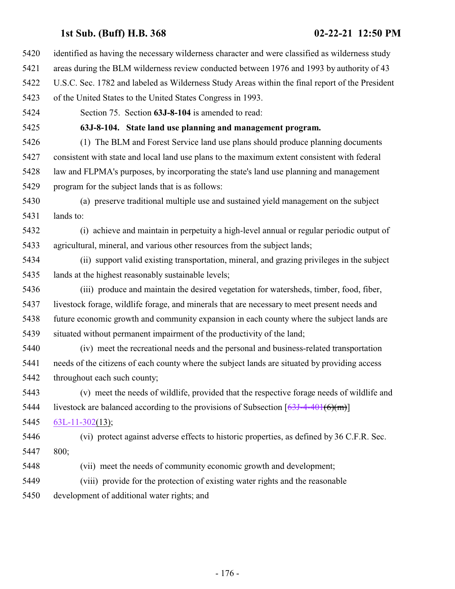- identified as having the necessary wilderness character and were classified as wilderness study
- areas during the BLM wilderness review conducted between 1976 and 1993 by authority of 43
- U.S.C. Sec. 1782 and labeled as Wilderness Study Areas within the final report of the President
- of the United States to the United States Congress in 1993.
- Section 75. Section **63J-8-104** is amended to read:

**63J-8-104. State land use planning and management program.**

- (1) The BLM and Forest Service land use plans should produce planning documents consistent with state and local land use plans to the maximum extent consistent with federal law and FLPMA's purposes, by incorporating the state's land use planning and management program for the subject lands that is as follows:
- (a) preserve traditional multiple use and sustained yield management on the subject lands to:
- (i) achieve and maintain in perpetuity a high-level annual or regular periodic output of agricultural, mineral, and various other resources from the subject lands;
- (ii) support valid existing transportation, mineral, and grazing privileges in the subject lands at the highest reasonably sustainable levels;
- (iii) produce and maintain the desired vegetation for watersheds, timber, food, fiber, livestock forage, wildlife forage, and minerals that are necessary to meet present needs and future economic growth and community expansion in each county where the subject lands are situated without permanent impairment of the productivity of the land;
- (iv) meet the recreational needs and the personal and business-related transportation needs of the citizens of each county where the subject lands are situated by providing access throughout each such county;
- (v) meet the needs of wildlife, provided that the respective forage needs of wildlife and 5444 livestock are balanced according to the provisions of Subsection  $[63J-4-401(6)(m)]$  $[63J-4-401(6)(m)]$
- [63L-11-302](#page-228-0)(13);
- (vi) protect against adverse effects to historic properties, as defined by 36 C.F.R. Sec. 800;
- (vii) meet the needs of community economic growth and development;
- (viii) provide for the protection of existing water rights and the reasonable
- development of additional water rights; and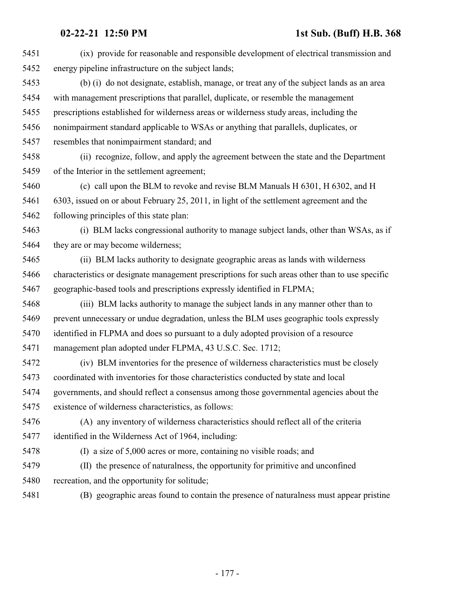| 5451 | (ix) provide for reasonable and responsible development of electrical transmission and          |
|------|-------------------------------------------------------------------------------------------------|
| 5452 | energy pipeline infrastructure on the subject lands;                                            |
| 5453 | (b) (i) do not designate, establish, manage, or treat any of the subject lands as an area       |
| 5454 | with management prescriptions that parallel, duplicate, or resemble the management              |
| 5455 | prescriptions established for wilderness areas or wilderness study areas, including the         |
| 5456 | nonimpairment standard applicable to WSAs or anything that parallels, duplicates, or            |
| 5457 | resembles that nonimpairment standard; and                                                      |
| 5458 | (ii) recognize, follow, and apply the agreement between the state and the Department            |
| 5459 | of the Interior in the settlement agreement;                                                    |
| 5460 | (c) call upon the BLM to revoke and revise BLM Manuals H 6301, H 6302, and H                    |
| 5461 | 6303, issued on or about February 25, 2011, in light of the settlement agreement and the        |
| 5462 | following principles of this state plan:                                                        |
| 5463 | (i) BLM lacks congressional authority to manage subject lands, other than WSAs, as if           |
| 5464 | they are or may become wilderness;                                                              |
| 5465 | (ii) BLM lacks authority to designate geographic areas as lands with wilderness                 |
| 5466 | characteristics or designate management prescriptions for such areas other than to use specific |
| 5467 | geographic-based tools and prescriptions expressly identified in FLPMA;                         |
| 5468 | (iii) BLM lacks authority to manage the subject lands in any manner other than to               |
| 5469 | prevent unnecessary or undue degradation, unless the BLM uses geographic tools expressly        |
| 5470 | identified in FLPMA and does so pursuant to a duly adopted provision of a resource              |
| 5471 | management plan adopted under FLPMA, 43 U.S.C. Sec. 1712;                                       |
| 5472 | (iv) BLM inventories for the presence of wilderness characteristics must be closely             |
| 5473 | coordinated with inventories for those characteristics conducted by state and local             |
| 5474 | governments, and should reflect a consensus among those governmental agencies about the         |
| 5475 | existence of wilderness characteristics, as follows:                                            |
| 5476 | (A) any inventory of wilderness characteristics should reflect all of the criteria              |
| 5477 | identified in the Wilderness Act of 1964, including:                                            |
| 5478 | (I) a size of 5,000 acres or more, containing no visible roads; and                             |
| 5479 | (II) the presence of naturalness, the opportunity for primitive and unconfined                  |
| 5480 | recreation, and the opportunity for solitude;                                                   |
| 5481 | (B) geographic areas found to contain the presence of naturalness must appear pristine          |
|      |                                                                                                 |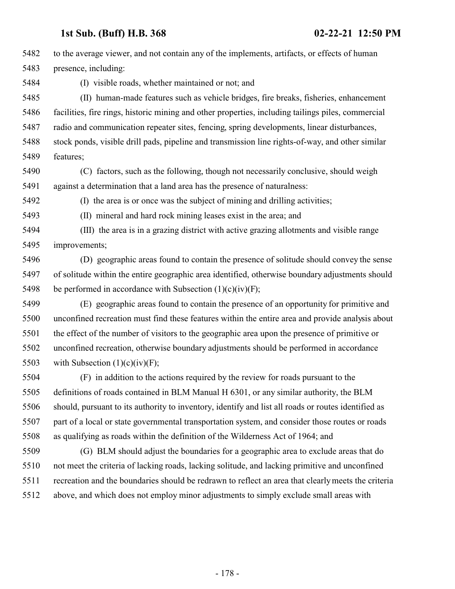to the average viewer, and not contain any of the implements, artifacts, or effects of human presence, including: (I) visible roads, whether maintained or not; and (II) human-made features such as vehicle bridges, fire breaks, fisheries, enhancement facilities, fire rings, historic mining and other properties, including tailings piles, commercial radio and communication repeater sites, fencing, spring developments, linear disturbances, stock ponds, visible drill pads, pipeline and transmission line rights-of-way, and other similar features; (C) factors, such as the following, though not necessarily conclusive, should weigh against a determination that a land area has the presence of naturalness: (I) the area is or once was the subject of mining and drilling activities; (II) mineral and hard rock mining leases exist in the area; and (III) the area is in a grazing district with active grazing allotments and visible range improvements; (D) geographic areas found to contain the presence of solitude should convey the sense of solitude within the entire geographic area identified, otherwise boundary adjustments should 5498 be performed in accordance with Subsection  $(1)(c)(iv)(F)$ ; (E) geographic areas found to contain the presence of an opportunity for primitive and unconfined recreation must find these features within the entire area and provide analysis about the effect of the number of visitors to the geographic area upon the presence of primitive or unconfined recreation, otherwise boundary adjustments should be performed in accordance 5503 with Subsection  $(1)(c)(iv)(F);$ 

 (F) in addition to the actions required by the review for roads pursuant to the definitions of roads contained in BLM Manual H 6301, or any similar authority, the BLM should, pursuant to its authority to inventory, identify and list all roads or routes identified as part of a local or state governmental transportation system, and consider those routes or roads as qualifying as roads within the definition of the Wilderness Act of 1964; and

 (G) BLM should adjust the boundaries for a geographic area to exclude areas that do not meet the criteria of lacking roads, lacking solitude, and lacking primitive and unconfined recreation and the boundaries should be redrawn to reflect an area that clearly meets the criteria above, and which does not employ minor adjustments to simply exclude small areas with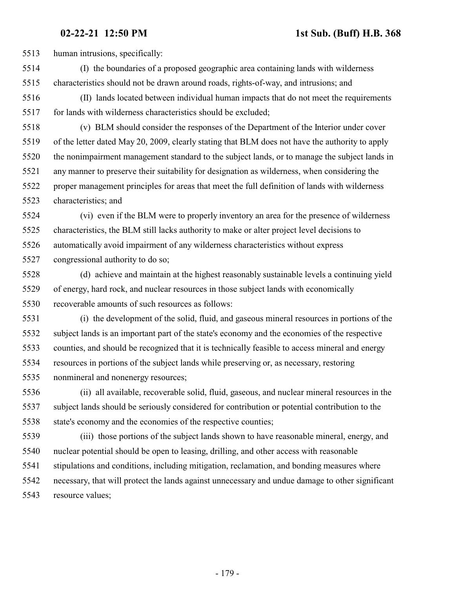human intrusions, specifically:

- (I) the boundaries of a proposed geographic area containing lands with wilderness characteristics should not be drawn around roads, rights-of-way, and intrusions; and
- (II) lands located between individual human impacts that do not meet the requirements for lands with wilderness characteristics should be excluded;
- (v) BLM should consider the responses of the Department of the Interior under cover of the letter dated May 20, 2009, clearly stating that BLM does not have the authority to apply the nonimpairment management standard to the subject lands, or to manage the subject lands in any manner to preserve their suitability for designation as wilderness, when considering the proper management principles for areas that meet the full definition of lands with wilderness characteristics; and
- (vi) even if the BLM were to properly inventory an area for the presence of wilderness characteristics, the BLM still lacks authority to make or alter project level decisions to automatically avoid impairment of any wilderness characteristics without express
- congressional authority to do so;
- (d) achieve and maintain at the highest reasonably sustainable levels a continuing yield of energy, hard rock, and nuclear resources in those subject lands with economically recoverable amounts of such resources as follows:
- (i) the development of the solid, fluid, and gaseous mineral resources in portions of the subject lands is an important part of the state's economy and the economies of the respective counties, and should be recognized that it is technically feasible to access mineral and energy resources in portions of the subject lands while preserving or, as necessary, restoring nonmineral and nonenergy resources;
- (ii) all available, recoverable solid, fluid, gaseous, and nuclear mineral resources in the subject lands should be seriously considered for contribution or potential contribution to the state's economy and the economies of the respective counties;
- (iii) those portions of the subject lands shown to have reasonable mineral, energy, and nuclear potential should be open to leasing, drilling, and other access with reasonable stipulations and conditions, including mitigation, reclamation, and bonding measures where necessary, that will protect the lands against unnecessary and undue damage to other significant resource values;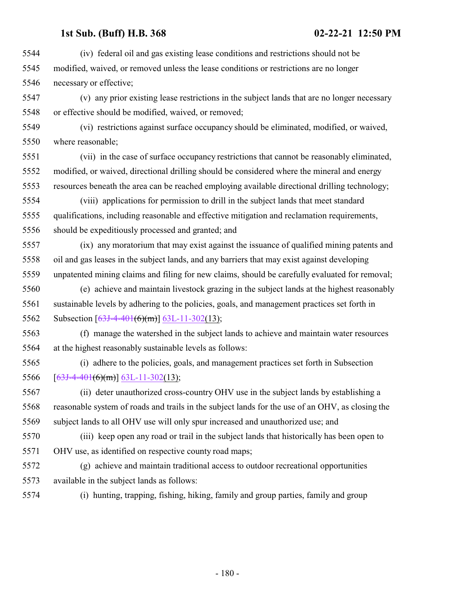(iv) federal oil and gas existing lease conditions and restrictions should not be modified, waived, or removed unless the lease conditions or restrictions are no longer necessary or effective;

 (v) any prior existing lease restrictions in the subject lands that are no longer necessary or effective should be modified, waived, or removed;

 (vi) restrictions against surface occupancy should be eliminated, modified, or waived, where reasonable;

 (vii) in the case of surface occupancy restrictions that cannot be reasonably eliminated, modified, or waived, directional drilling should be considered where the mineral and energy resources beneath the area can be reached employing available directional drilling technology;

 (viii) applications for permission to drill in the subject lands that meet standard qualifications, including reasonable and effective mitigation and reclamation requirements, should be expeditiously processed and granted; and

 (ix) any moratorium that may exist against the issuance of qualified mining patents and oil and gas leases in the subject lands, and any barriers that may exist against developing unpatented mining claims and filing for new claims, should be carefully evaluated for removal;

 (e) achieve and maintain livestock grazing in the subject lands at the highest reasonably sustainable levels by adhering to the policies, goals, and management practices set forth in 5562 Subsection [\[63J-4-401](#page-141-0)(6)(m)] [63L-11-302](#page-228-0)(13);

 (f) manage the watershed in the subject lands to achieve and maintain water resources at the highest reasonably sustainable levels as follows:

 (i) adhere to the policies, goals, and management practices set forth in Subsection 5566  $[63J-4-401(6)(m)]$  $[63J-4-401(6)(m)]$  $[63J-4-401(6)(m)]$  [63L-11-302](#page-228-0)(13);

 (ii) deter unauthorized cross-country OHV use in the subject lands by establishing a reasonable system of roads and trails in the subject lands for the use of an OHV, as closing the subject lands to all OHV use will only spur increased and unauthorized use; and

 (iii) keep open any road or trail in the subject lands that historically has been open to OHV use, as identified on respective county road maps;

 (g) achieve and maintain traditional access to outdoor recreational opportunities available in the subject lands as follows:

(i) hunting, trapping, fishing, hiking, family and group parties, family and group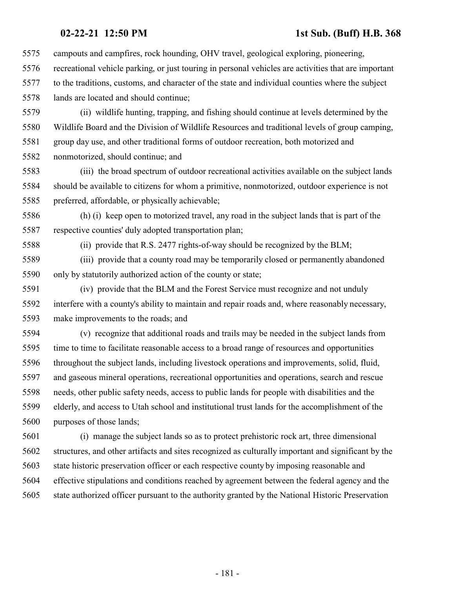campouts and campfires, rock hounding, OHV travel, geological exploring, pioneering, recreational vehicle parking, or just touring in personal vehicles are activities that are important to the traditions, customs, and character of the state and individual counties where the subject lands are located and should continue;

 (ii) wildlife hunting, trapping, and fishing should continue at levels determined by the Wildlife Board and the Division of Wildlife Resources and traditional levels of group camping, group day use, and other traditional forms of outdoor recreation, both motorized and nonmotorized, should continue; and

 (iii) the broad spectrum of outdoor recreational activities available on the subject lands should be available to citizens for whom a primitive, nonmotorized, outdoor experience is not preferred, affordable, or physically achievable;

 (h) (i) keep open to motorized travel, any road in the subject lands that is part of the respective counties' duly adopted transportation plan;

(ii) provide that R.S. 2477 rights-of-way should be recognized by the BLM;

 (iii) provide that a county road may be temporarily closed or permanently abandoned only by statutorily authorized action of the county or state;

 (iv) provide that the BLM and the Forest Service must recognize and not unduly interfere with a county's ability to maintain and repair roads and, where reasonably necessary, make improvements to the roads; and

 (v) recognize that additional roads and trails may be needed in the subject lands from time to time to facilitate reasonable access to a broad range of resources and opportunities throughout the subject lands, including livestock operations and improvements, solid, fluid, and gaseous mineral operations, recreational opportunities and operations, search and rescue needs, other public safety needs, access to public lands for people with disabilities and the elderly, and access to Utah school and institutional trust lands for the accomplishment of the purposes of those lands;

 (i) manage the subject lands so as to protect prehistoric rock art, three dimensional structures, and other artifacts and sites recognized as culturally important and significant by the state historic preservation officer or each respective county by imposing reasonable and effective stipulations and conditions reached by agreement between the federal agency and the state authorized officer pursuant to the authority granted by the National Historic Preservation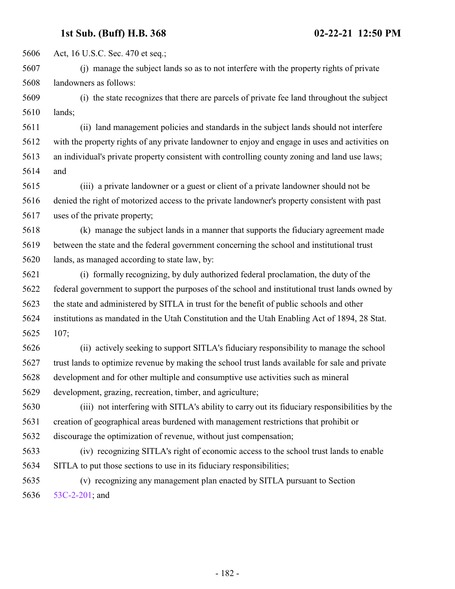Act, 16 U.S.C. Sec. 470 et seq.;

 (j) manage the subject lands so as to not interfere with the property rights of private landowners as follows:

 (i) the state recognizes that there are parcels of private fee land throughout the subject lands;

 (ii) land management policies and standards in the subject lands should not interfere with the property rights of any private landowner to enjoy and engage in uses and activities on an individual's private property consistent with controlling county zoning and land use laws; and

 (iii) a private landowner or a guest or client of a private landowner should not be denied the right of motorized access to the private landowner's property consistent with past uses of the private property;

 (k) manage the subject lands in a manner that supports the fiduciary agreement made between the state and the federal government concerning the school and institutional trust lands, as managed according to state law, by:

 (i) formally recognizing, by duly authorized federal proclamation, the duty of the federal government to support the purposes of the school and institutional trust lands owned by the state and administered by SITLA in trust for the benefit of public schools and other institutions as mandated in the Utah Constitution and the Utah Enabling Act of 1894, 28 Stat. 107;

 (ii) actively seeking to support SITLA's fiduciary responsibility to manage the school trust lands to optimize revenue by making the school trust lands available for sale and private development and for other multiple and consumptive use activities such as mineral development, grazing, recreation, timber, and agriculture;

 (iii) not interfering with SITLA's ability to carry out its fiduciary responsibilities by the creation of geographical areas burdened with management restrictions that prohibit or discourage the optimization of revenue, without just compensation;

 (iv) recognizing SITLA's right of economic access to the school trust lands to enable SITLA to put those sections to use in its fiduciary responsibilities;

 (v) recognizing any management plan enacted by SITLA pursuant to Section [53C-2-201](http://le.utah.gov/UtahCode/SectionLookup.jsp?section=53c-2-201&session=2021GS); and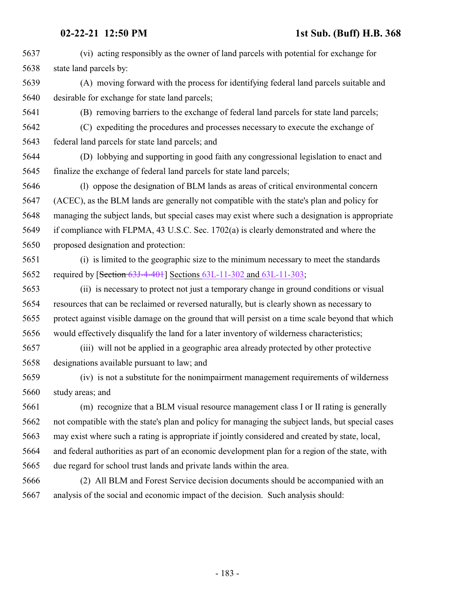(vi) acting responsibly as the owner of land parcels with potential for exchange for state land parcels by:

 (A) moving forward with the process for identifying federal land parcels suitable and desirable for exchange for state land parcels;

(B) removing barriers to the exchange of federal land parcels for state land parcels;

 (C) expediting the procedures and processes necessary to execute the exchange of federal land parcels for state land parcels; and

 (D) lobbying and supporting in good faith any congressional legislation to enact and finalize the exchange of federal land parcels for state land parcels;

 (l) oppose the designation of BLM lands as areas of critical environmental concern (ACEC), as the BLM lands are generally not compatible with the state's plan and policy for managing the subject lands, but special cases may exist where such a designation is appropriate if compliance with FLPMA, 43 U.S.C. Sec. 1702(a) is clearly demonstrated and where the proposed designation and protection:

 (i) is limited to the geographic size to the minimum necessary to meet the standards required by [Section [63J-4-401](#page-141-0)] Sections [63L-11-302](#page-228-0) and [63L-11-303](#page-232-0);

 (ii) is necessary to protect not just a temporary change in ground conditions or visual resources that can be reclaimed or reversed naturally, but is clearly shown as necessary to protect against visible damage on the ground that will persist on a time scale beyond that which would effectively disqualify the land for a later inventory of wilderness characteristics;

 (iii) will not be applied in a geographic area already protected by other protective designations available pursuant to law; and

 (iv) is not a substitute for the nonimpairment management requirements of wilderness study areas; and

 (m) recognize that a BLM visual resource management class I or II rating is generally not compatible with the state's plan and policy for managing the subject lands, but special cases may exist where such a rating is appropriate if jointly considered and created by state, local, and federal authorities as part of an economic development plan for a region of the state, with due regard for school trust lands and private lands within the area.

 (2) All BLM and Forest Service decision documents should be accompanied with an analysis of the social and economic impact of the decision. Such analysis should: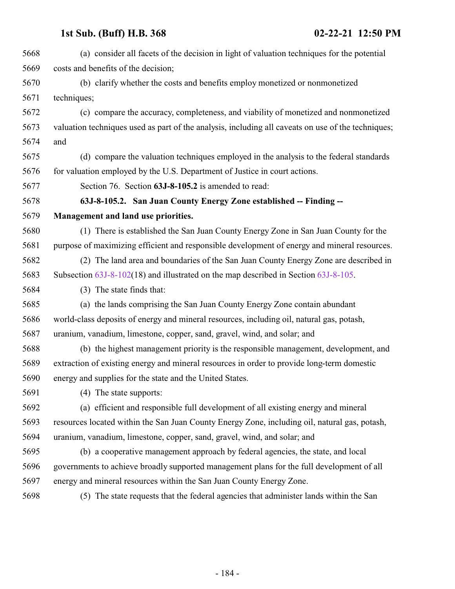| 5668 | (a) consider all facets of the decision in light of valuation techniques for the potential         |
|------|----------------------------------------------------------------------------------------------------|
| 5669 | costs and benefits of the decision;                                                                |
| 5670 | (b) clarify whether the costs and benefits employ monetized or nonmonetized                        |
| 5671 | techniques;                                                                                        |
| 5672 | (c) compare the accuracy, completeness, and viability of monetized and nonmonetized                |
| 5673 | valuation techniques used as part of the analysis, including all caveats on use of the techniques; |
| 5674 | and                                                                                                |
| 5675 | (d) compare the valuation techniques employed in the analysis to the federal standards             |
| 5676 | for valuation employed by the U.S. Department of Justice in court actions.                         |
| 5677 | Section 76. Section 63J-8-105.2 is amended to read:                                                |
| 5678 | 63J-8-105.2. San Juan County Energy Zone established -- Finding --                                 |
| 5679 | Management and land use priorities.                                                                |
| 5680 | (1) There is established the San Juan County Energy Zone in San Juan County for the                |
| 5681 | purpose of maximizing efficient and responsible development of energy and mineral resources.       |
| 5682 | (2) The land area and boundaries of the San Juan County Energy Zone are described in               |
| 5683 | Subsection $63J-8-102(18)$ and illustrated on the map described in Section $63J-8-105$ .           |
| 5684 | (3) The state finds that:                                                                          |
| 5685 | (a) the lands comprising the San Juan County Energy Zone contain abundant                          |
| 5686 | world-class deposits of energy and mineral resources, including oil, natural gas, potash,          |
| 5687 | uranium, vanadium, limestone, copper, sand, gravel, wind, and solar; and                           |
| 5688 | (b) the highest management priority is the responsible management, development, and                |
| 5689 | extraction of existing energy and mineral resources in order to provide long-term domestic         |
| 5690 | energy and supplies for the state and the United States.                                           |
| 5691 | (4) The state supports:                                                                            |
| 5692 | (a) efficient and responsible full development of all existing energy and mineral                  |
| 5693 | resources located within the San Juan County Energy Zone, including oil, natural gas, potash,      |
| 5694 | uranium, vanadium, limestone, copper, sand, gravel, wind, and solar; and                           |
| 5695 | (b) a cooperative management approach by federal agencies, the state, and local                    |
| 5696 | governments to achieve broadly supported management plans for the full development of all          |
| 5697 | energy and mineral resources within the San Juan County Energy Zone.                               |
| 5698 | (5) The state requests that the federal agencies that administer lands within the San              |
|      |                                                                                                    |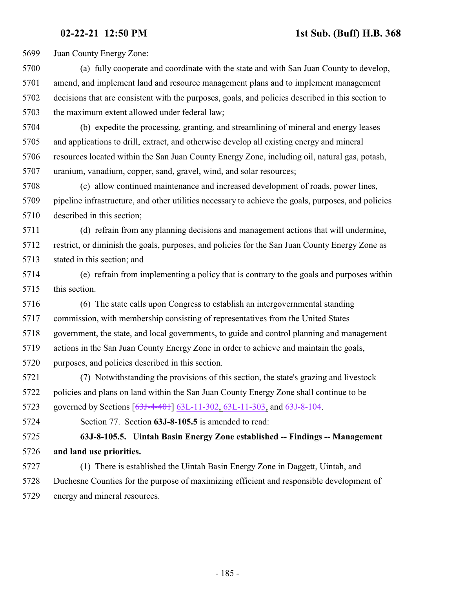Juan County Energy Zone:

- (a) fully cooperate and coordinate with the state and with San Juan County to develop, amend, and implement land and resource management plans and to implement management decisions that are consistent with the purposes, goals, and policies described in this section to the maximum extent allowed under federal law;
- (b) expedite the processing, granting, and streamlining of mineral and energy leases and applications to drill, extract, and otherwise develop all existing energy and mineral resources located within the San Juan County Energy Zone, including oil, natural gas, potash, uranium, vanadium, copper, sand, gravel, wind, and solar resources;
- (c) allow continued maintenance and increased development of roads, power lines, pipeline infrastructure, and other utilities necessary to achieve the goals, purposes, and policies described in this section;
- (d) refrain from any planning decisions and management actions that will undermine, restrict, or diminish the goals, purposes, and policies for the San Juan County Energy Zone as stated in this section; and
- (e) refrain from implementing a policy that is contrary to the goals and purposes within this section.
- (6) The state calls upon Congress to establish an intergovernmental standing commission, with membership consisting of representatives from the United States government, the state, and local governments, to guide and control planning and management actions in the San Juan County Energy Zone in order to achieve and maintain the goals, purposes, and policies described in this section.
- (7) Notwithstanding the provisions of this section, the state's grazing and livestock policies and plans on land within the San Juan County Energy Zone shall continue to be 5723 governed by Sections [\[63J-4-401](#page-141-0)] [63L-11-302](#page-228-0), [63L-11-303](#page-232-0), and [63J-8-104](#page-175-0).
- Section 77. Section **63J-8-105.5** is amended to read:
- **63J-8-105.5. Uintah Basin Energy Zone established -- Findings -- Management and land use priorities.**
- (1) There is established the Uintah Basin Energy Zone in Daggett, Uintah, and Duchesne Counties for the purpose of maximizing efficient and responsible development of energy and mineral resources.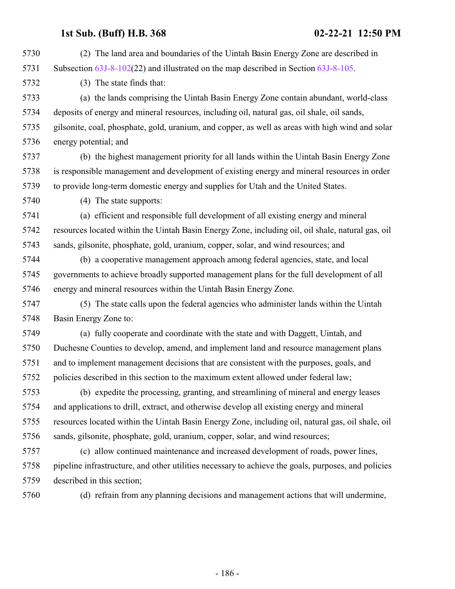(2) The land area and boundaries of the Uintah Basin Energy Zone are described in Subsection [63J-8-102](#page-161-0)(22) and illustrated on the map described in Section [63J-8-105](http://le.utah.gov/UtahCode/SectionLookup.jsp?section=63j-8-105&session=2021GS). (3) The state finds that: (a) the lands comprising the Uintah Basin Energy Zone contain abundant, world-class deposits of energy and mineral resources, including oil, natural gas, oil shale, oil sands, gilsonite, coal, phosphate, gold, uranium, and copper, as well as areas with high wind and solar energy potential; and (b) the highest management priority for all lands within the Uintah Basin Energy Zone is responsible management and development of existing energy and mineral resources in order to provide long-term domestic energy and supplies for Utah and the United States. (4) The state supports: (a) efficient and responsible full development of all existing energy and mineral resources located within the Uintah Basin Energy Zone, including oil, oil shale, natural gas, oil sands, gilsonite, phosphate, gold, uranium, copper, solar, and wind resources; and (b) a cooperative management approach among federal agencies, state, and local governments to achieve broadly supported management plans for the full development of all energy and mineral resources within the Uintah Basin Energy Zone. (5) The state calls upon the federal agencies who administer lands within the Uintah Basin Energy Zone to: (a) fully cooperate and coordinate with the state and with Daggett, Uintah, and Duchesne Counties to develop, amend, and implement land and resource management plans and to implement management decisions that are consistent with the purposes, goals, and policies described in this section to the maximum extent allowed under federal law; (b) expedite the processing, granting, and streamlining of mineral and energy leases and applications to drill, extract, and otherwise develop all existing energy and mineral resources located within the Uintah Basin Energy Zone, including oil, natural gas, oil shale, oil sands, gilsonite, phosphate, gold, uranium, copper, solar, and wind resources; (c) allow continued maintenance and increased development of roads, power lines, pipeline infrastructure, and other utilities necessary to achieve the goals, purposes, and policies described in this section; (d) refrain from any planning decisions and management actions that will undermine,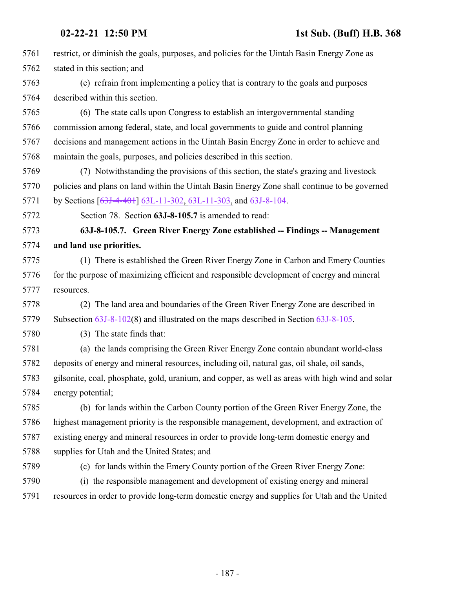|      | 02-22-21 12:50 PM<br>1st Sub. (Buff) H.B. 368                                                    |
|------|--------------------------------------------------------------------------------------------------|
| 5761 | restrict, or diminish the goals, purposes, and policies for the Uintah Basin Energy Zone as      |
| 5762 | stated in this section; and                                                                      |
| 5763 | (e) refrain from implementing a policy that is contrary to the goals and purposes                |
| 5764 | described within this section.                                                                   |
| 5765 | (6) The state calls upon Congress to establish an intergovernmental standing                     |
| 5766 | commission among federal, state, and local governments to guide and control planning             |
| 5767 | decisions and management actions in the Uintah Basin Energy Zone in order to achieve and         |
| 5768 | maintain the goals, purposes, and policies described in this section.                            |
| 5769 | (7) Notwithstanding the provisions of this section, the state's grazing and livestock            |
| 5770 | policies and plans on land within the Uintah Basin Energy Zone shall continue to be governed     |
| 5771 | by Sections [63J-4-401] 63L-11-302, 63L-11-303, and 63J-8-104.                                   |
| 5772 | Section 78. Section 63J-8-105.7 is amended to read:                                              |
| 5773 | 63J-8-105.7. Green River Energy Zone established -- Findings -- Management                       |
| 5774 | and land use priorities.                                                                         |
| 5775 | (1) There is established the Green River Energy Zone in Carbon and Emery Counties                |
| 5776 | for the purpose of maximizing efficient and responsible development of energy and mineral        |
| 5777 | resources.                                                                                       |
| 5778 | The land area and boundaries of the Green River Energy Zone are described in<br>(2)              |
| 5779 | Subsection $63J-8-102(8)$ and illustrated on the maps described in Section $63J-8-105$ .         |
| 5780 | (3) The state finds that:                                                                        |
| 5781 | (a) the lands comprising the Green River Energy Zone contain abundant world-class                |
| 5782 | deposits of energy and mineral resources, including oil, natural gas, oil shale, oil sands,      |
| 5783 | gilsonite, coal, phosphate, gold, uranium, and copper, as well as areas with high wind and solar |
| 5784 | energy potential;                                                                                |
| 5785 | (b) for lands within the Carbon County portion of the Green River Energy Zone, the               |
| 5786 | highest management priority is the responsible management, development, and extraction of        |
| 5787 | existing energy and mineral resources in order to provide long-term domestic energy and          |
| 5788 | supplies for Utah and the United States; and                                                     |
| 5789 | (c) for lands within the Emery County portion of the Green River Energy Zone:                    |
| 5790 | (i) the responsible management and development of existing energy and mineral                    |
| 5791 | resources in order to provide long-term domestic energy and supplies for Utah and the United     |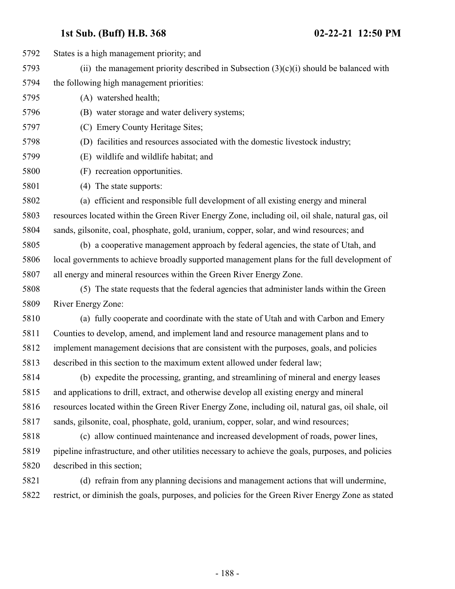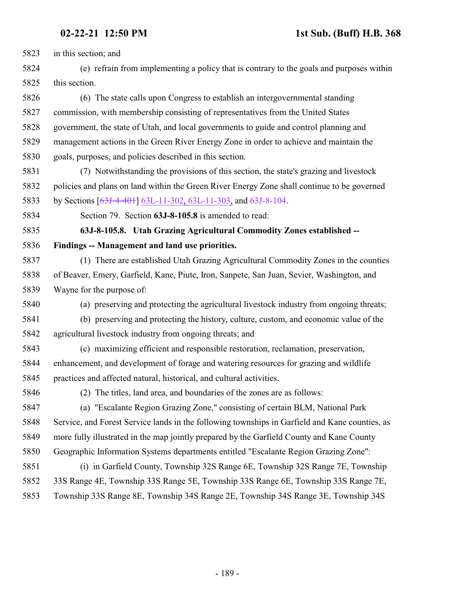in this section; and

 (e) refrain from implementing a policy that is contrary to the goals and purposes within this section.

 (6) The state calls upon Congress to establish an intergovernmental standing commission, with membership consisting of representatives from the United States government, the state of Utah, and local governments to guide and control planning and management actions in the Green River Energy Zone in order to achieve and maintain the goals, purposes, and policies described in this section.

 (7) Notwithstanding the provisions of this section, the state's grazing and livestock policies and plans on land within the Green River Energy Zone shall continue to be governed 5833 by Sections [\[63J-4-401](#page-141-0)] [63L-11-302](#page-228-0), [63L-11-303](#page-232-0), and [63J-8-104](#page-175-0).

Section 79. Section **63J-8-105.8** is amended to read:

 **63J-8-105.8. Utah Grazing Agricultural Commodity Zones established -- Findings -- Management and land use priorities.**

- (1) There are established Utah Grazing Agricultural Commodity Zones in the counties of Beaver, Emery, Garfield, Kane, Piute, Iron, Sanpete, San Juan, Sevier, Washington, and Wayne for the purpose of:
- 

(a) preserving and protecting the agricultural livestock industry from ongoing threats;

- (b) preserving and protecting the history, culture, custom, and economic value of the agricultural livestock industry from ongoing threats; and
- (c) maximizing efficient and responsible restoration, reclamation, preservation, enhancement, and development of forage and watering resources for grazing and wildlife practices and affected natural, historical, and cultural activities.
- 

(2) The titles, land area, and boundaries of the zones are as follows:

 (a) "Escalante Region Grazing Zone," consisting of certain BLM, National Park Service, and Forest Service lands in the following townships in Garfield and Kane counties, as more fully illustrated in the map jointly prepared by the Garfield County and Kane County Geographic Information Systems departments entitled "Escalante Region Grazing Zone":

 (i) in Garfield County, Township 32S Range 6E, Township 32S Range 7E, Township 33S Range 4E, Township 33S Range 5E, Township 33S Range 6E, Township 33S Range 7E, Township 33S Range 8E, Township 34S Range 2E, Township 34S Range 3E, Township 34S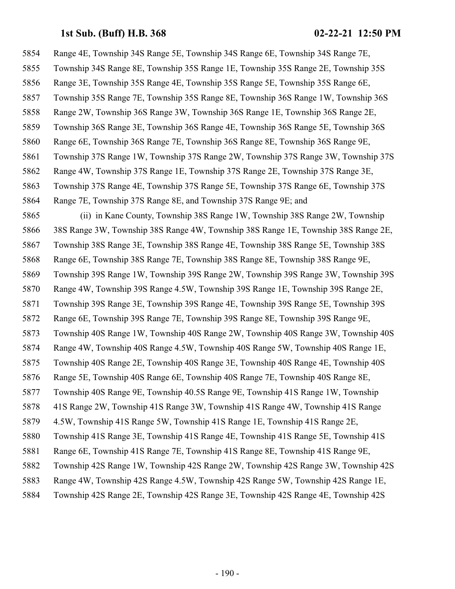Range 4E, Township 34S Range 5E, Township 34S Range 6E, Township 34S Range 7E, Township 34S Range 8E, Township 35S Range 1E, Township 35S Range 2E, Township 35S Range 3E, Township 35S Range 4E, Township 35S Range 5E, Township 35S Range 6E, Township 35S Range 7E, Township 35S Range 8E, Township 36S Range 1W, Township 36S Range 2W, Township 36S Range 3W, Township 36S Range 1E, Township 36S Range 2E, Township 36S Range 3E, Township 36S Range 4E, Township 36S Range 5E, Township 36S Range 6E, Township 36S Range 7E, Township 36S Range 8E, Township 36S Range 9E, Township 37S Range 1W, Township 37S Range 2W, Township 37S Range 3W, Township 37S Range 4W, Township 37S Range 1E, Township 37S Range 2E, Township 37S Range 3E, Township 37S Range 4E, Township 37S Range 5E, Township 37S Range 6E, Township 37S Range 7E, Township 37S Range 8E, and Township 37S Range 9E; and (ii) in Kane County, Township 38S Range 1W, Township 38S Range 2W, Township 38S Range 3W, Township 38S Range 4W, Township 38S Range 1E, Township 38S Range 2E, Township 38S Range 3E, Township 38S Range 4E, Township 38S Range 5E, Township 38S Range 6E, Township 38S Range 7E, Township 38S Range 8E, Township 38S Range 9E, Township 39S Range 1W, Township 39S Range 2W, Township 39S Range 3W, Township 39S Range 4W, Township 39S Range 4.5W, Township 39S Range 1E, Township 39S Range 2E, Township 39S Range 3E, Township 39S Range 4E, Township 39S Range 5E, Township 39S Range 6E, Township 39S Range 7E, Township 39S Range 8E, Township 39S Range 9E, Township 40S Range 1W, Township 40S Range 2W, Township 40S Range 3W, Township 40S Range 4W, Township 40S Range 4.5W, Township 40S Range 5W, Township 40S Range 1E, Township 40S Range 2E, Township 40S Range 3E, Township 40S Range 4E, Township 40S Range 5E, Township 40S Range 6E, Township 40S Range 7E, Township 40S Range 8E, Township 40S Range 9E, Township 40.5S Range 9E, Township 41S Range 1W, Township 41S Range 2W, Township 41S Range 3W, Township 41S Range 4W, Township 41S Range 4.5W, Township 41S Range 5W, Township 41S Range 1E, Township 41S Range 2E, Township 41S Range 3E, Township 41S Range 4E, Township 41S Range 5E, Township 41S Range 6E, Township 41S Range 7E, Township 41S Range 8E, Township 41S Range 9E, Township 42S Range 1W, Township 42S Range 2W, Township 42S Range 3W, Township 42S Range 4W, Township 42S Range 4.5W, Township 42S Range 5W, Township 42S Range 1E, Township 42S Range 2E, Township 42S Range 3E, Township 42S Range 4E, Township 42S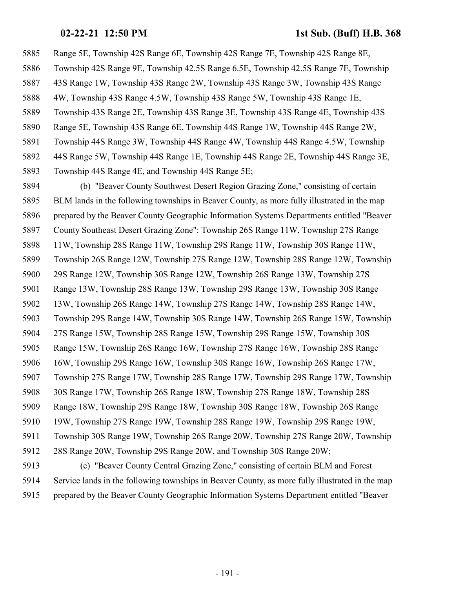Range 5E, Township 42S Range 6E, Township 42S Range 7E, Township 42S Range 8E, Township 42S Range 9E, Township 42.5S Range 6.5E, Township 42.5S Range 7E, Township 43S Range 1W, Township 43S Range 2W, Township 43S Range 3W, Township 43S Range 4W, Township 43S Range 4.5W, Township 43S Range 5W, Township 43S Range 1E, Township 43S Range 2E, Township 43S Range 3E, Township 43S Range 4E, Township 43S Range 5E, Township 43S Range 6E, Township 44S Range 1W, Township 44S Range 2W, Township 44S Range 3W, Township 44S Range 4W, Township 44S Range 4.5W, Township 44S Range 5W, Township 44S Range 1E, Township 44S Range 2E, Township 44S Range 3E, Township 44S Range 4E, and Township 44S Range 5E;

 (b) "Beaver County Southwest Desert Region Grazing Zone," consisting of certain BLM lands in the following townships in Beaver County, as more fully illustrated in the map prepared by the Beaver County Geographic Information Systems Departments entitled "Beaver County Southeast Desert Grazing Zone": Township 26S Range 11W, Township 27S Range 11W, Township 28S Range 11W, Township 29S Range 11W, Township 30S Range 11W, Township 26S Range 12W, Township 27S Range 12W, Township 28S Range 12W, Township 29S Range 12W, Township 30S Range 12W, Township 26S Range 13W, Township 27S Range 13W, Township 28S Range 13W, Township 29S Range 13W, Township 30S Range 13W, Township 26S Range 14W, Township 27S Range 14W, Township 28S Range 14W, Township 29S Range 14W, Township 30S Range 14W, Township 26S Range 15W, Township 27S Range 15W, Township 28S Range 15W, Township 29S Range 15W, Township 30S Range 15W, Township 26S Range 16W, Township 27S Range 16W, Township 28S Range 16W, Township 29S Range 16W, Township 30S Range 16W, Township 26S Range 17W, Township 27S Range 17W, Township 28S Range 17W, Township 29S Range 17W, Township 30S Range 17W, Township 26S Range 18W, Township 27S Range 18W, Township 28S Range 18W, Township 29S Range 18W, Township 30S Range 18W, Township 26S Range 19W, Township 27S Range 19W, Township 28S Range 19W, Township 29S Range 19W, Township 30S Range 19W, Township 26S Range 20W, Township 27S Range 20W, Township 28S Range 20W, Township 29S Range 20W, and Township 30S Range 20W; (c) "Beaver County Central Grazing Zone," consisting of certain BLM and Forest Service lands in the following townships in Beaver County, as more fully illustrated in the map

prepared by the Beaver County Geographic Information Systems Department entitled "Beaver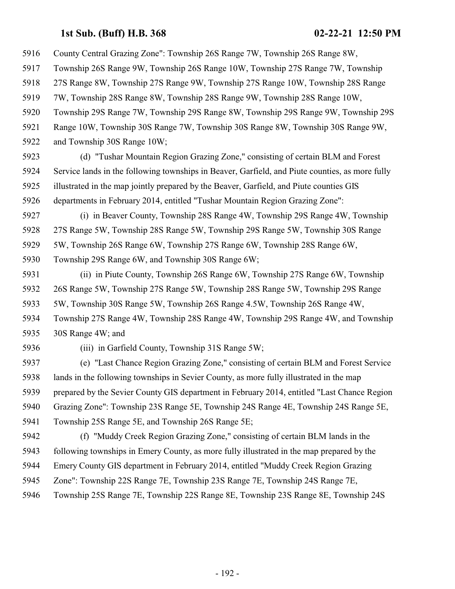County Central Grazing Zone": Township 26S Range 7W, Township 26S Range 8W, Township 26S Range 9W, Township 26S Range 10W, Township 27S Range 7W, Township 27S Range 8W, Township 27S Range 9W, Township 27S Range 10W, Township 28S Range 7W, Township 28S Range 8W, Township 28S Range 9W, Township 28S Range 10W, Township 29S Range 7W, Township 29S Range 8W, Township 29S Range 9W, Township 29S Range 10W, Township 30S Range 7W, Township 30S Range 8W, Township 30S Range 9W, and Township 30S Range 10W; (d) "Tushar Mountain Region Grazing Zone," consisting of certain BLM and Forest Service lands in the following townships in Beaver, Garfield, and Piute counties, as more fully illustrated in the map jointly prepared by the Beaver, Garfield, and Piute counties GIS departments in February 2014, entitled "Tushar Mountain Region Grazing Zone": (i) in Beaver County, Township 28S Range 4W, Township 29S Range 4W, Township 27S Range 5W, Township 28S Range 5W, Township 29S Range 5W, Township 30S Range 5W, Township 26S Range 6W, Township 27S Range 6W, Township 28S Range 6W, Township 29S Range 6W, and Township 30S Range 6W; (ii) in Piute County, Township 26S Range 6W, Township 27S Range 6W, Township 26S Range 5W, Township 27S Range 5W, Township 28S Range 5W, Township 29S Range 5W, Township 30S Range 5W, Township 26S Range 4.5W, Township 26S Range 4W, Township 27S Range 4W, Township 28S Range 4W, Township 29S Range 4W, and Township 30S Range 4W; and (iii) in Garfield County, Township 31S Range 5W;

 (e) "Last Chance Region Grazing Zone," consisting of certain BLM and Forest Service lands in the following townships in Sevier County, as more fully illustrated in the map prepared by the Sevier County GIS department in February 2014, entitled "Last Chance Region Grazing Zone": Township 23S Range 5E, Township 24S Range 4E, Township 24S Range 5E, Township 25S Range 5E, and Township 26S Range 5E;

- (f) "Muddy Creek Region Grazing Zone," consisting of certain BLM lands in the following townships in Emery County, as more fully illustrated in the map prepared by the Emery County GIS department in February 2014, entitled "Muddy Creek Region Grazing
- Zone": Township 22S Range 7E, Township 23S Range 7E, Township 24S Range 7E,
- Township 25S Range 7E, Township 22S Range 8E, Township 23S Range 8E, Township 24S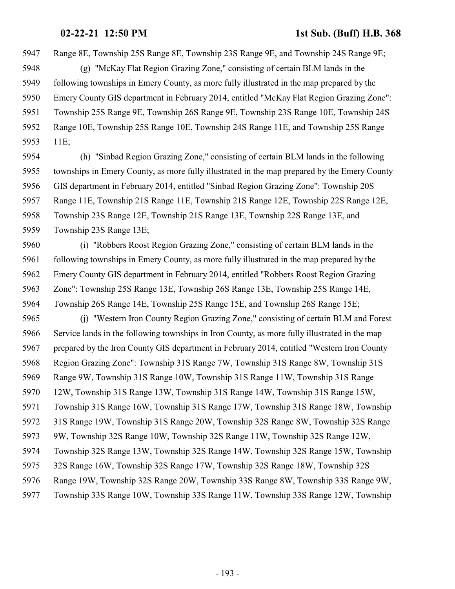Range 8E, Township 25S Range 8E, Township 23S Range 9E, and Township 24S Range 9E;

 (g) "McKay Flat Region Grazing Zone," consisting of certain BLM lands in the following townships in Emery County, as more fully illustrated in the map prepared by the Emery County GIS department in February 2014, entitled "McKay Flat Region Grazing Zone": Township 25S Range 9E, Township 26S Range 9E, Township 23S Range 10E, Township 24S Range 10E, Township 25S Range 10E, Township 24S Range 11E, and Township 25S Range 11E;

 (h) "Sinbad Region Grazing Zone," consisting of certain BLM lands in the following townships in Emery County, as more fully illustrated in the map prepared by the Emery County GIS department in February 2014, entitled "Sinbad Region Grazing Zone": Township 20S Range 11E, Township 21S Range 11E, Township 21S Range 12E, Township 22S Range 12E, Township 23S Range 12E, Township 21S Range 13E, Township 22S Range 13E, and Township 23S Range 13E;

 (i) "Robbers Roost Region Grazing Zone," consisting of certain BLM lands in the following townships in Emery County, as more fully illustrated in the map prepared by the Emery County GIS department in February 2014, entitled "Robbers Roost Region Grazing Zone": Township 25S Range 13E, Township 26S Range 13E, Township 25S Range 14E, Township 26S Range 14E, Township 25S Range 15E, and Township 26S Range 15E;

 (j) "Western Iron County Region Grazing Zone," consisting of certain BLM and Forest Service lands in the following townships in Iron County, as more fully illustrated in the map prepared by the Iron County GIS department in February 2014, entitled "Western Iron County Region Grazing Zone": Township 31S Range 7W, Township 31S Range 8W, Township 31S Range 9W, Township 31S Range 10W, Township 31S Range 11W, Township 31S Range 12W, Township 31S Range 13W, Township 31S Range 14W, Township 31S Range 15W, Township 31S Range 16W, Township 31S Range 17W, Township 31S Range 18W, Township 31S Range 19W, Township 31S Range 20W, Township 32S Range 8W, Township 32S Range 9W, Township 32S Range 10W, Township 32S Range 11W, Township 32S Range 12W, Township 32S Range 13W, Township 32S Range 14W, Township 32S Range 15W, Township 32S Range 16W, Township 32S Range 17W, Township 32S Range 18W, Township 32S Range 19W, Township 32S Range 20W, Township 33S Range 8W, Township 33S Range 9W, Township 33S Range 10W, Township 33S Range 11W, Township 33S Range 12W, Township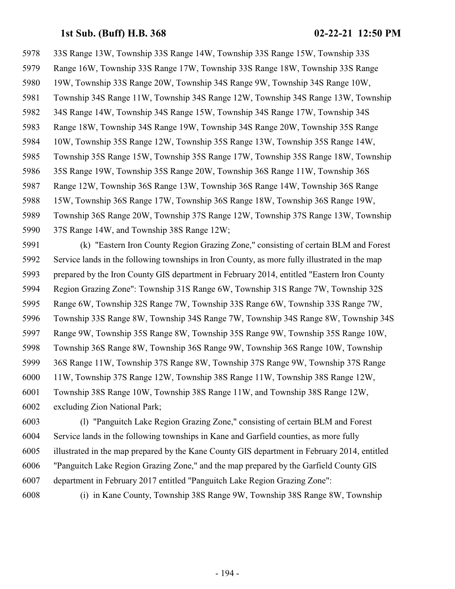33S Range 13W, Township 33S Range 14W, Township 33S Range 15W, Township 33S Range 16W, Township 33S Range 17W, Township 33S Range 18W, Township 33S Range 19W, Township 33S Range 20W, Township 34S Range 9W, Township 34S Range 10W, Township 34S Range 11W, Township 34S Range 12W, Township 34S Range 13W, Township 34S Range 14W, Township 34S Range 15W, Township 34S Range 17W, Township 34S Range 18W, Township 34S Range 19W, Township 34S Range 20W, Township 35S Range 10W, Township 35S Range 12W, Township 35S Range 13W, Township 35S Range 14W, Township 35S Range 15W, Township 35S Range 17W, Township 35S Range 18W, Township 35S Range 19W, Township 35S Range 20W, Township 36S Range 11W, Township 36S Range 12W, Township 36S Range 13W, Township 36S Range 14W, Township 36S Range 15W, Township 36S Range 17W, Township 36S Range 18W, Township 36S Range 19W, Township 36S Range 20W, Township 37S Range 12W, Township 37S Range 13W, Township 37S Range 14W, and Township 38S Range 12W;

 (k) "Eastern Iron County Region Grazing Zone," consisting of certain BLM and Forest Service lands in the following townships in Iron County, as more fully illustrated in the map prepared by the Iron County GIS department in February 2014, entitled "Eastern Iron County Region Grazing Zone": Township 31S Range 6W, Township 31S Range 7W, Township 32S Range 6W, Township 32S Range 7W, Township 33S Range 6W, Township 33S Range 7W, Township 33S Range 8W, Township 34S Range 7W, Township 34S Range 8W, Township 34S Range 9W, Township 35S Range 8W, Township 35S Range 9W, Township 35S Range 10W, Township 36S Range 8W, Township 36S Range 9W, Township 36S Range 10W, Township 36S Range 11W, Township 37S Range 8W, Township 37S Range 9W, Township 37S Range 11W, Township 37S Range 12W, Township 38S Range 11W, Township 38S Range 12W, Township 38S Range 10W, Township 38S Range 11W, and Township 38S Range 12W, excluding Zion National Park;

 (l) "Panguitch Lake Region Grazing Zone," consisting of certain BLM and Forest Service lands in the following townships in Kane and Garfield counties, as more fully illustrated in the map prepared by the Kane County GIS department in February 2014, entitled "Panguitch Lake Region Grazing Zone," and the map prepared by the Garfield County GIS department in February 2017 entitled "Panguitch Lake Region Grazing Zone":

(i) in Kane County, Township 38S Range 9W, Township 38S Range 8W, Township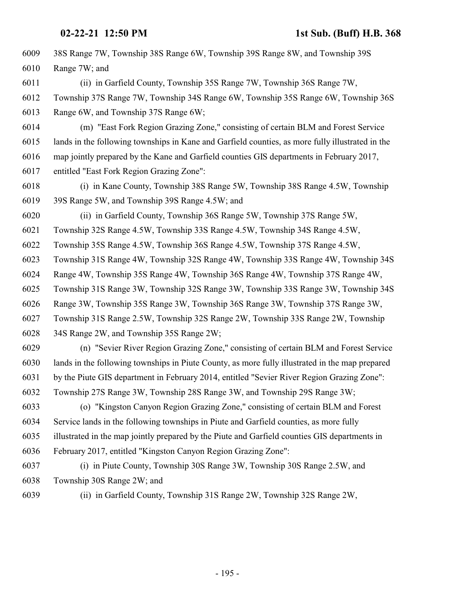| 6009 | 38S Range 7W, Township 38S Range 6W, Township 39S Range 8W, and Township 39S                     |
|------|--------------------------------------------------------------------------------------------------|
| 6010 | Range 7W; and                                                                                    |
| 6011 | (ii) in Garfield County, Township 35S Range 7W, Township 36S Range 7W,                           |
| 6012 | Township 37S Range 7W, Township 34S Range 6W, Township 35S Range 6W, Township 36S                |
| 6013 | Range 6W, and Township 37S Range 6W;                                                             |
| 6014 | (m) "East Fork Region Grazing Zone," consisting of certain BLM and Forest Service                |
| 6015 | lands in the following townships in Kane and Garfield counties, as more fully illustrated in the |
| 6016 | map jointly prepared by the Kane and Garfield counties GIS departments in February 2017,         |
| 6017 | entitled "East Fork Region Grazing Zone":                                                        |
| 6018 | (i) in Kane County, Township 38S Range 5W, Township 38S Range 4.5W, Township                     |
| 6019 | 39S Range 5W, and Township 39S Range 4.5W; and                                                   |
| 6020 | (ii) in Garfield County, Township 36S Range 5W, Township 37S Range 5W,                           |
| 6021 | Township 32S Range 4.5W, Township 33S Range 4.5W, Township 34S Range 4.5W,                       |
| 6022 | Township 35S Range 4.5W, Township 36S Range 4.5W, Township 37S Range 4.5W,                       |
| 6023 | Township 31S Range 4W, Township 32S Range 4W, Township 33S Range 4W, Township 34S                |
| 6024 | Range 4W, Township 35S Range 4W, Township 36S Range 4W, Township 37S Range 4W,                   |
| 6025 | Township 31S Range 3W, Township 32S Range 3W, Township 33S Range 3W, Township 34S                |
| 6026 | Range 3W, Township 35S Range 3W, Township 36S Range 3W, Township 37S Range 3W,                   |
| 6027 | Township 31S Range 2.5W, Township 32S Range 2W, Township 33S Range 2W, Township                  |
| 6028 | 34S Range 2W, and Township 35S Range 2W;                                                         |
| 6029 | (n) "Sevier River Region Grazing Zone," consisting of certain BLM and Forest Service             |
| 6030 | lands in the following townships in Piute County, as more fully illustrated in the map prepared  |
| 6031 | by the Piute GIS department in February 2014, entitled "Sevier River Region Grazing Zone":       |
| 6032 | Township 27S Range 3W, Township 28S Range 3W, and Township 29S Range 3W;                         |
| 6033 | (o) "Kingston Canyon Region Grazing Zone," consisting of certain BLM and Forest                  |
| 6034 | Service lands in the following townships in Piute and Garfield counties, as more fully           |
| 6035 | illustrated in the map jointly prepared by the Piute and Garfield counties GIS departments in    |
| 6036 | February 2017, entitled "Kingston Canyon Region Grazing Zone":                                   |
| 6037 | (i) in Piute County, Township 30S Range 3W, Township 30S Range 2.5W, and                         |
| 6038 | Township 30S Range 2W; and                                                                       |
| 6039 | (ii) in Garfield County, Township 31S Range 2W, Township 32S Range 2W,                           |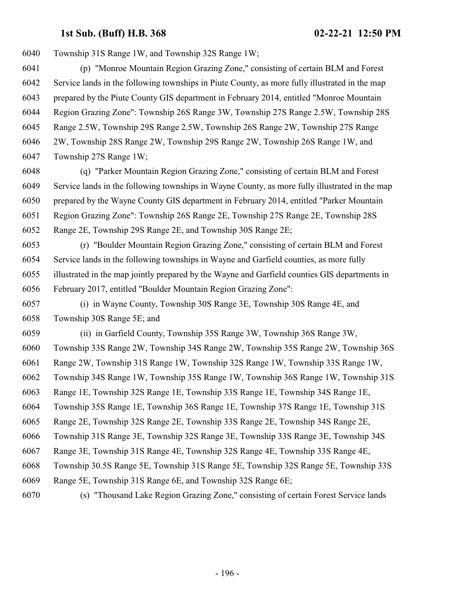Township 31S Range 1W, and Township 32S Range 1W;

 (p) "Monroe Mountain Region Grazing Zone," consisting of certain BLM and Forest Service lands in the following townships in Piute County, as more fully illustrated in the map prepared by the Piute County GIS department in February 2014, entitled "Monroe Mountain Region Grazing Zone": Township 26S Range 3W, Township 27S Range 2.5W, Township 28S Range 2.5W, Township 29S Range 2.5W, Township 26S Range 2W, Township 27S Range 2W, Township 28S Range 2W, Township 29S Range 2W, Township 26S Range 1W, and Township 27S Range 1W;

 (q) "Parker Mountain Region Grazing Zone," consisting of certain BLM and Forest Service lands in the following townships in Wayne County, as more fully illustrated in the map prepared by the Wayne County GIS department in February 2014, entitled "Parker Mountain Region Grazing Zone": Township 26S Range 2E, Township 27S Range 2E, Township 28S Range 2E, Township 29S Range 2E, and Township 30S Range 2E;

 (r) "Boulder Mountain Region Grazing Zone," consisting of certain BLM and Forest Service lands in the following townships in Wayne and Garfield counties, as more fully illustrated in the map jointly prepared by the Wayne and Garfield counties GIS departments in February 2017, entitled "Boulder Mountain Region Grazing Zone":

 (i) in Wayne County, Township 30S Range 3E, Township 30S Range 4E, and Township 30S Range 5E; and

 (ii) in Garfield County, Township 35S Range 3W, Township 36S Range 3W, Township 33S Range 2W, Township 34S Range 2W, Township 35S Range 2W, Township 36S Range 2W, Township 31S Range 1W, Township 32S Range 1W, Township 33S Range 1W, Township 34S Range 1W, Township 35S Range 1W, Township 36S Range 1W, Township 31S Range 1E, Township 32S Range 1E, Township 33S Range 1E, Township 34S Range 1E, Township 35S Range 1E, Township 36S Range 1E, Township 37S Range 1E, Township 31S Range 2E, Township 32S Range 2E, Township 33S Range 2E, Township 34S Range 2E, Township 31S Range 3E, Township 32S Range 3E, Township 33S Range 3E, Township 34S Range 3E, Township 31S Range 4E, Township 32S Range 4E, Township 33S Range 4E, Township 30.5S Range 5E, Township 31S Range 5E, Township 32S Range 5E, Township 33S Range 5E, Township 31S Range 6E, and Township 32S Range 6E; (s) "Thousand Lake Region Grazing Zone," consisting of certain Forest Service lands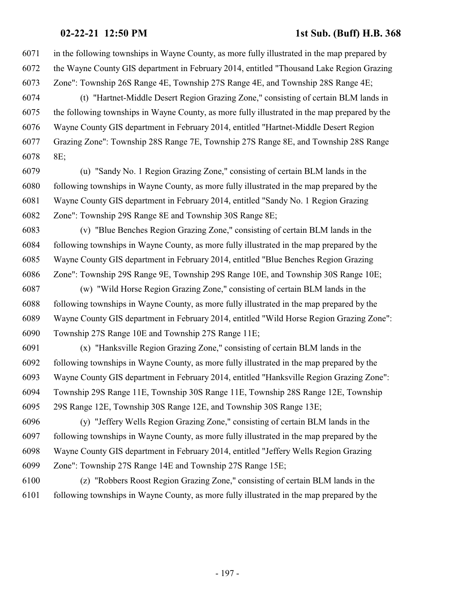in the following townships in Wayne County, as more fully illustrated in the map prepared by the Wayne County GIS department in February 2014, entitled "Thousand Lake Region Grazing Zone": Township 26S Range 4E, Township 27S Range 4E, and Township 28S Range 4E;

 (t) "Hartnet-Middle Desert Region Grazing Zone," consisting of certain BLM lands in the following townships in Wayne County, as more fully illustrated in the map prepared by the Wayne County GIS department in February 2014, entitled "Hartnet-Middle Desert Region Grazing Zone": Township 28S Range 7E, Township 27S Range 8E, and Township 28S Range 8E;

 (u) "Sandy No. 1 Region Grazing Zone," consisting of certain BLM lands in the following townships in Wayne County, as more fully illustrated in the map prepared by the Wayne County GIS department in February 2014, entitled "Sandy No. 1 Region Grazing Zone": Township 29S Range 8E and Township 30S Range 8E;

 (v) "Blue Benches Region Grazing Zone," consisting of certain BLM lands in the following townships in Wayne County, as more fully illustrated in the map prepared by the Wayne County GIS department in February 2014, entitled "Blue Benches Region Grazing Zone": Township 29S Range 9E, Township 29S Range 10E, and Township 30S Range 10E;

 (w) "Wild Horse Region Grazing Zone," consisting of certain BLM lands in the following townships in Wayne County, as more fully illustrated in the map prepared by the Wayne County GIS department in February 2014, entitled "Wild Horse Region Grazing Zone": Township 27S Range 10E and Township 27S Range 11E;

 (x) "Hanksville Region Grazing Zone," consisting of certain BLM lands in the following townships in Wayne County, as more fully illustrated in the map prepared by the Wayne County GIS department in February 2014, entitled "Hanksville Region Grazing Zone": Township 29S Range 11E, Township 30S Range 11E, Township 28S Range 12E, Township 29S Range 12E, Township 30S Range 12E, and Township 30S Range 13E;

 (y) "Jeffery Wells Region Grazing Zone," consisting of certain BLM lands in the following townships in Wayne County, as more fully illustrated in the map prepared by the Wayne County GIS department in February 2014, entitled "Jeffery Wells Region Grazing Zone": Township 27S Range 14E and Township 27S Range 15E;

 (z) "Robbers Roost Region Grazing Zone," consisting of certain BLM lands in the following townships in Wayne County, as more fully illustrated in the map prepared by the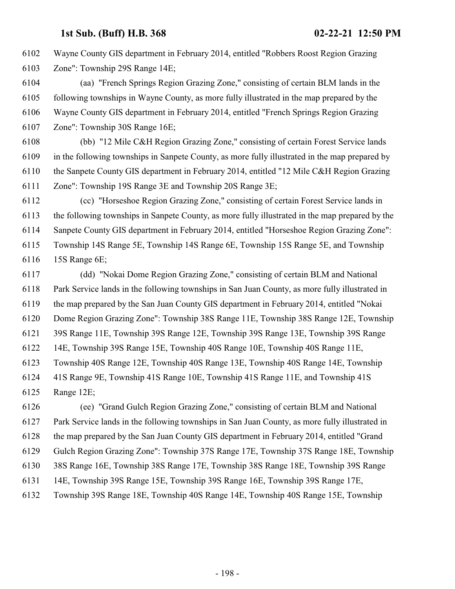Wayne County GIS department in February 2014, entitled "Robbers Roost Region Grazing Zone": Township 29S Range 14E;

 (aa) "French Springs Region Grazing Zone," consisting of certain BLM lands in the following townships in Wayne County, as more fully illustrated in the map prepared by the Wayne County GIS department in February 2014, entitled "French Springs Region Grazing Zone": Township 30S Range 16E;

 (bb) "12 Mile C&H Region Grazing Zone," consisting of certain Forest Service lands in the following townships in Sanpete County, as more fully illustrated in the map prepared by the Sanpete County GIS department in February 2014, entitled "12 Mile C&H Region Grazing Zone": Township 19S Range 3E and Township 20S Range 3E;

 (cc) "Horseshoe Region Grazing Zone," consisting of certain Forest Service lands in the following townships in Sanpete County, as more fully illustrated in the map prepared by the Sanpete County GIS department in February 2014, entitled "Horseshoe Region Grazing Zone": Township 14S Range 5E, Township 14S Range 6E, Township 15S Range 5E, and Township 15S Range 6E;

 (dd) "Nokai Dome Region Grazing Zone," consisting of certain BLM and National Park Service lands in the following townships in San Juan County, as more fully illustrated in the map prepared by the San Juan County GIS department in February 2014, entitled "Nokai Dome Region Grazing Zone": Township 38S Range 11E, Township 38S Range 12E, Township 39S Range 11E, Township 39S Range 12E, Township 39S Range 13E, Township 39S Range 14E, Township 39S Range 15E, Township 40S Range 10E, Township 40S Range 11E, Township 40S Range 12E, Township 40S Range 13E, Township 40S Range 14E, Township 41S Range 9E, Township 41S Range 10E, Township 41S Range 11E, and Township 41S Range 12E; (ee) "Grand Gulch Region Grazing Zone," consisting of certain BLM and National

 Park Service lands in the following townships in San Juan County, as more fully illustrated in the map prepared by the San Juan County GIS department in February 2014, entitled "Grand Gulch Region Grazing Zone": Township 37S Range 17E, Township 37S Range 18E, Township 38S Range 16E, Township 38S Range 17E, Township 38S Range 18E, Township 39S Range 14E, Township 39S Range 15E, Township 39S Range 16E, Township 39S Range 17E, Township 39S Range 18E, Township 40S Range 14E, Township 40S Range 15E, Township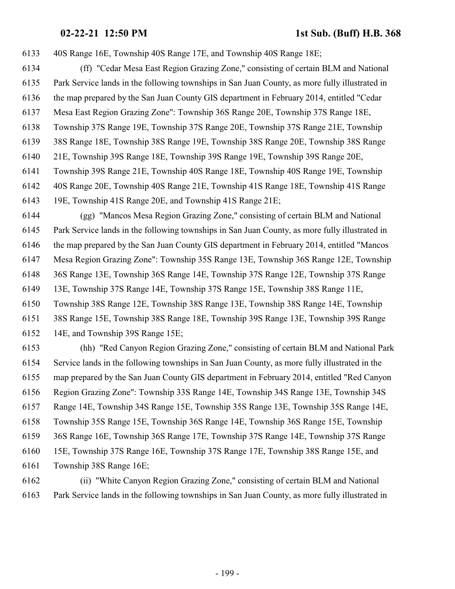40S Range 16E, Township 40S Range 17E, and Township 40S Range 18E;

- (ff) "Cedar Mesa East Region Grazing Zone," consisting of certain BLM and National Park Service lands in the following townships in San Juan County, as more fully illustrated in the map prepared by the San Juan County GIS department in February 2014, entitled "Cedar
- Mesa East Region Grazing Zone": Township 36S Range 20E, Township 37S Range 18E,
- Township 37S Range 19E, Township 37S Range 20E, Township 37S Range 21E, Township
- 38S Range 18E, Township 38S Range 19E, Township 38S Range 20E, Township 38S Range
- 21E, Township 39S Range 18E, Township 39S Range 19E, Township 39S Range 20E,
- Township 39S Range 21E, Township 40S Range 18E, Township 40S Range 19E, Township
- 40S Range 20E, Township 40S Range 21E, Township 41S Range 18E, Township 41S Range
- 19E, Township 41S Range 20E, and Township 41S Range 21E;

 (gg) "Mancos Mesa Region Grazing Zone," consisting of certain BLM and National Park Service lands in the following townships in San Juan County, as more fully illustrated in the map prepared by the San Juan County GIS department in February 2014, entitled "Mancos Mesa Region Grazing Zone": Township 35S Range 13E, Township 36S Range 12E, Township 36S Range 13E, Township 36S Range 14E, Township 37S Range 12E, Township 37S Range 13E, Township 37S Range 14E, Township 37S Range 15E, Township 38S Range 11E, Township 38S Range 12E, Township 38S Range 13E, Township 38S Range 14E, Township 38S Range 15E, Township 38S Range 18E, Township 39S Range 13E, Township 39S Range 14E, and Township 39S Range 15E;

 (hh) "Red Canyon Region Grazing Zone," consisting of certain BLM and National Park Service lands in the following townships in San Juan County, as more fully illustrated in the map prepared by the San Juan County GIS department in February 2014, entitled "Red Canyon Region Grazing Zone": Township 33S Range 14E, Township 34S Range 13E, Township 34S Range 14E, Township 34S Range 15E, Township 35S Range 13E, Township 35S Range 14E, Township 35S Range 15E, Township 36S Range 14E, Township 36S Range 15E, Township 36S Range 16E, Township 36S Range 17E, Township 37S Range 14E, Township 37S Range 15E, Township 37S Range 16E, Township 37S Range 17E, Township 38S Range 15E, and Township 38S Range 16E;

 (ii) "White Canyon Region Grazing Zone," consisting of certain BLM and National Park Service lands in the following townships in San Juan County, as more fully illustrated in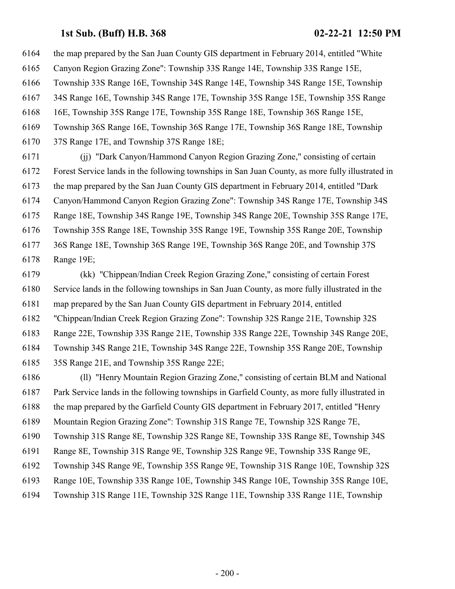the map prepared by the San Juan County GIS department in February 2014, entitled "White Canyon Region Grazing Zone": Township 33S Range 14E, Township 33S Range 15E, Township 33S Range 16E, Township 34S Range 14E, Township 34S Range 15E, Township 34S Range 16E, Township 34S Range 17E, Township 35S Range 15E, Township 35S Range 16E, Township 35S Range 17E, Township 35S Range 18E, Township 36S Range 15E, Township 36S Range 16E, Township 36S Range 17E, Township 36S Range 18E, Township 37S Range 17E, and Township 37S Range 18E; (jj) "Dark Canyon/Hammond Canyon Region Grazing Zone," consisting of certain

 Forest Service lands in the following townships in San Juan County, as more fully illustrated in the map prepared by the San Juan County GIS department in February 2014, entitled "Dark Canyon/Hammond Canyon Region Grazing Zone": Township 34S Range 17E, Township 34S Range 18E, Township 34S Range 19E, Township 34S Range 20E, Township 35S Range 17E, Township 35S Range 18E, Township 35S Range 19E, Township 35S Range 20E, Township 36S Range 18E, Township 36S Range 19E, Township 36S Range 20E, and Township 37S Range 19E;

 (kk) "Chippean/Indian Creek Region Grazing Zone," consisting of certain Forest Service lands in the following townships in San Juan County, as more fully illustrated in the map prepared by the San Juan County GIS department in February 2014, entitled "Chippean/Indian Creek Region Grazing Zone": Township 32S Range 21E, Township 32S Range 22E, Township 33S Range 21E, Township 33S Range 22E, Township 34S Range 20E, Township 34S Range 21E, Township 34S Range 22E, Township 35S Range 20E, Township 35S Range 21E, and Township 35S Range 22E;

 (ll) "Henry Mountain Region Grazing Zone," consisting of certain BLM and National Park Service lands in the following townships in Garfield County, as more fully illustrated in the map prepared by the Garfield County GIS department in February 2017, entitled "Henry Mountain Region Grazing Zone": Township 31S Range 7E, Township 32S Range 7E, Township 31S Range 8E, Township 32S Range 8E, Township 33S Range 8E, Township 34S

Range 8E, Township 31S Range 9E, Township 32S Range 9E, Township 33S Range 9E,

Township 34S Range 9E, Township 35S Range 9E, Township 31S Range 10E, Township 32S

Range 10E, Township 33S Range 10E, Township 34S Range 10E, Township 35S Range 10E,

Township 31S Range 11E, Township 32S Range 11E, Township 33S Range 11E, Township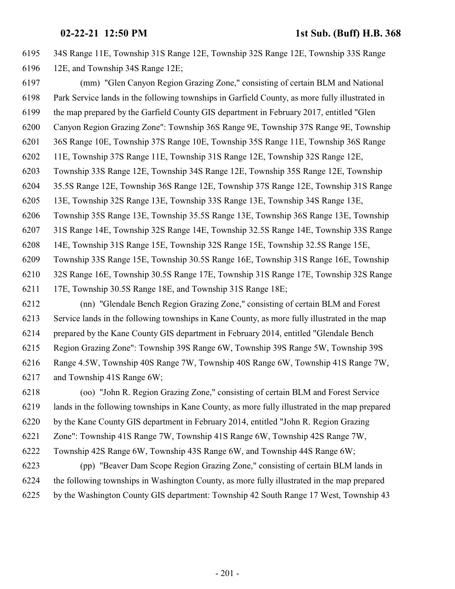34S Range 11E, Township 31S Range 12E, Township 32S Range 12E, Township 33S Range 12E, and Township 34S Range 12E;

 (mm) "Glen Canyon Region Grazing Zone," consisting of certain BLM and National Park Service lands in the following townships in Garfield County, as more fully illustrated in the map prepared by the Garfield County GIS department in February 2017, entitled "Glen Canyon Region Grazing Zone": Township 36S Range 9E, Township 37S Range 9E, Township 36S Range 10E, Township 37S Range 10E, Township 35S Range 11E, Township 36S Range 11E, Township 37S Range 11E, Township 31S Range 12E, Township 32S Range 12E, Township 33S Range 12E, Township 34S Range 12E, Township 35S Range 12E, Township 35.5S Range 12E, Township 36S Range 12E, Township 37S Range 12E, Township 31S Range 13E, Township 32S Range 13E, Township 33S Range 13E, Township 34S Range 13E, Township 35S Range 13E, Township 35.5S Range 13E, Township 36S Range 13E, Township 31S Range 14E, Township 32S Range 14E, Township 32.5S Range 14E, Township 33S Range 14E, Township 31S Range 15E, Township 32S Range 15E, Township 32.5S Range 15E, Township 33S Range 15E, Township 30.5S Range 16E, Township 31S Range 16E, Township 32S Range 16E, Township 30.5S Range 17E, Township 31S Range 17E, Township 32S Range 17E, Township 30.5S Range 18E, and Township 31S Range 18E;

 (nn) "Glendale Bench Region Grazing Zone," consisting of certain BLM and Forest Service lands in the following townships in Kane County, as more fully illustrated in the map prepared by the Kane County GIS department in February 2014, entitled "Glendale Bench Region Grazing Zone": Township 39S Range 6W, Township 39S Range 5W, Township 39S Range 4.5W, Township 40S Range 7W, Township 40S Range 6W, Township 41S Range 7W, and Township 41S Range 6W;

 (oo) "John R. Region Grazing Zone," consisting of certain BLM and Forest Service lands in the following townships in Kane County, as more fully illustrated in the map prepared by the Kane County GIS department in February 2014, entitled "John R. Region Grazing Zone": Township 41S Range 7W, Township 41S Range 6W, Township 42S Range 7W, Township 42S Range 6W, Township 43S Range 6W, and Township 44S Range 6W; (pp) "Beaver Dam Scope Region Grazing Zone," consisting of certain BLM lands in the following townships in Washington County, as more fully illustrated in the map prepared by the Washington County GIS department: Township 42 South Range 17 West, Township 43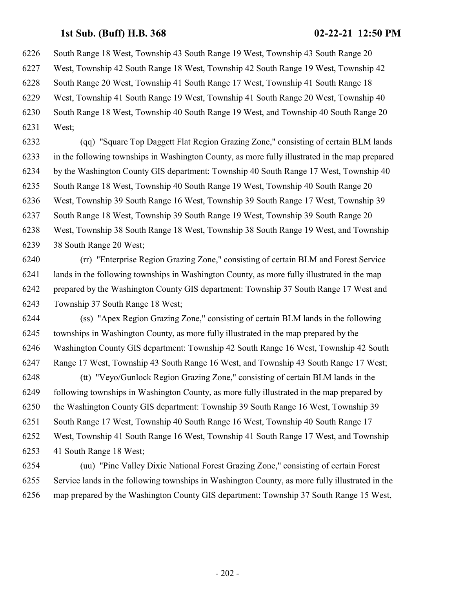South Range 18 West, Township 43 South Range 19 West, Township 43 South Range 20

West, Township 42 South Range 18 West, Township 42 South Range 19 West, Township 42

South Range 20 West, Township 41 South Range 17 West, Township 41 South Range 18

West, Township 41 South Range 19 West, Township 41 South Range 20 West, Township 40

South Range 18 West, Township 40 South Range 19 West, and Township 40 South Range 20

West;

 (qq) "Square Top Daggett Flat Region Grazing Zone," consisting of certain BLM lands in the following townships in Washington County, as more fully illustrated in the map prepared by the Washington County GIS department: Township 40 South Range 17 West, Township 40 South Range 18 West, Township 40 South Range 19 West, Township 40 South Range 20 West, Township 39 South Range 16 West, Township 39 South Range 17 West, Township 39 South Range 18 West, Township 39 South Range 19 West, Township 39 South Range 20 West, Township 38 South Range 18 West, Township 38 South Range 19 West, and Township 38 South Range 20 West;

 (rr) "Enterprise Region Grazing Zone," consisting of certain BLM and Forest Service lands in the following townships in Washington County, as more fully illustrated in the map prepared by the Washington County GIS department: Township 37 South Range 17 West and Township 37 South Range 18 West;

 (ss) "Apex Region Grazing Zone," consisting of certain BLM lands in the following townships in Washington County, as more fully illustrated in the map prepared by the Washington County GIS department: Township 42 South Range 16 West, Township 42 South Range 17 West, Township 43 South Range 16 West, and Township 43 South Range 17 West; (tt) "Veyo/Gunlock Region Grazing Zone," consisting of certain BLM lands in the

 following townships in Washington County, as more fully illustrated in the map prepared by the Washington County GIS department: Township 39 South Range 16 West, Township 39 South Range 17 West, Township 40 South Range 16 West, Township 40 South Range 17 West, Township 41 South Range 16 West, Township 41 South Range 17 West, and Township 41 South Range 18 West;

 (uu) "Pine Valley Dixie National Forest Grazing Zone," consisting of certain Forest Service lands in the following townships in Washington County, as more fully illustrated in the map prepared by the Washington County GIS department: Township 37 South Range 15 West,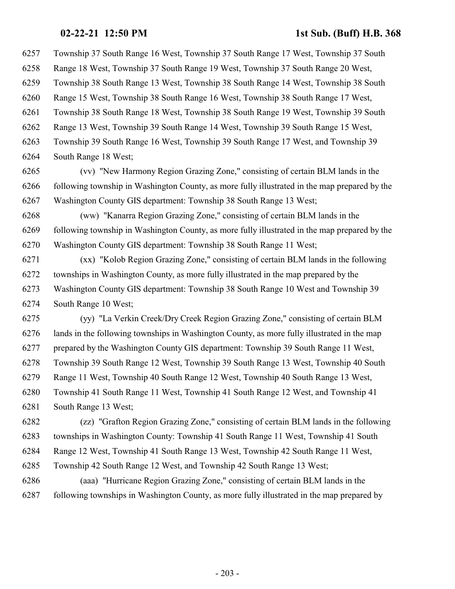Township 37 South Range 16 West, Township 37 South Range 17 West, Township 37 South Range 18 West, Township 37 South Range 19 West, Township 37 South Range 20 West, Township 38 South Range 13 West, Township 38 South Range 14 West, Township 38 South Range 15 West, Township 38 South Range 16 West, Township 38 South Range 17 West, Township 38 South Range 18 West, Township 38 South Range 19 West, Township 39 South Range 13 West, Township 39 South Range 14 West, Township 39 South Range 15 West, Township 39 South Range 16 West, Township 39 South Range 17 West, and Township 39 South Range 18 West;

 (vv) "New Harmony Region Grazing Zone," consisting of certain BLM lands in the following township in Washington County, as more fully illustrated in the map prepared by the Washington County GIS department: Township 38 South Range 13 West;

 (ww) "Kanarra Region Grazing Zone," consisting of certain BLM lands in the following township in Washington County, as more fully illustrated in the map prepared by the Washington County GIS department: Township 38 South Range 11 West;

 (xx) "Kolob Region Grazing Zone," consisting of certain BLM lands in the following townships in Washington County, as more fully illustrated in the map prepared by the Washington County GIS department: Township 38 South Range 10 West and Township 39 South Range 10 West;

 (yy) "La Verkin Creek/Dry Creek Region Grazing Zone," consisting of certain BLM lands in the following townships in Washington County, as more fully illustrated in the map prepared by the Washington County GIS department: Township 39 South Range 11 West, Township 39 South Range 12 West, Township 39 South Range 13 West, Township 40 South Range 11 West, Township 40 South Range 12 West, Township 40 South Range 13 West, Township 41 South Range 11 West, Township 41 South Range 12 West, and Township 41 South Range 13 West;

 (zz) "Grafton Region Grazing Zone," consisting of certain BLM lands in the following townships in Washington County: Township 41 South Range 11 West, Township 41 South Range 12 West, Township 41 South Range 13 West, Township 42 South Range 11 West, Township 42 South Range 12 West, and Township 42 South Range 13 West;

 (aaa) "Hurricane Region Grazing Zone," consisting of certain BLM lands in the following townships in Washington County, as more fully illustrated in the map prepared by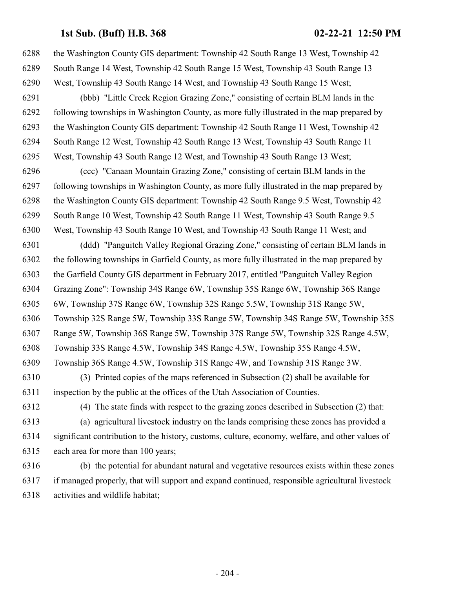the Washington County GIS department: Township 42 South Range 13 West, Township 42 South Range 14 West, Township 42 South Range 15 West, Township 43 South Range 13 West, Township 43 South Range 14 West, and Township 43 South Range 15 West; (bbb) "Little Creek Region Grazing Zone," consisting of certain BLM lands in the following townships in Washington County, as more fully illustrated in the map prepared by the Washington County GIS department: Township 42 South Range 11 West, Township 42 South Range 12 West, Township 42 South Range 13 West, Township 43 South Range 11 West, Township 43 South Range 12 West, and Township 43 South Range 13 West; (ccc) "Canaan Mountain Grazing Zone," consisting of certain BLM lands in the following townships in Washington County, as more fully illustrated in the map prepared by the Washington County GIS department: Township 42 South Range 9.5 West, Township 42 South Range 10 West, Township 42 South Range 11 West, Township 43 South Range 9.5 West, Township 43 South Range 10 West, and Township 43 South Range 11 West; and (ddd) "Panguitch Valley Regional Grazing Zone," consisting of certain BLM lands in the following townships in Garfield County, as more fully illustrated in the map prepared by the Garfield County GIS department in February 2017, entitled "Panguitch Valley Region Grazing Zone": Township 34S Range 6W, Township 35S Range 6W, Township 36S Range 6W, Township 37S Range 6W, Township 32S Range 5.5W, Township 31S Range 5W, Township 32S Range 5W, Township 33S Range 5W, Township 34S Range 5W, Township 35S Range 5W, Township 36S Range 5W, Township 37S Range 5W, Township 32S Range 4.5W, Township 33S Range 4.5W, Township 34S Range 4.5W, Township 35S Range 4.5W, Township 36S Range 4.5W, Township 31S Range 4W, and Township 31S Range 3W. (3) Printed copies of the maps referenced in Subsection (2) shall be available for inspection by the public at the offices of the Utah Association of Counties. (4) The state finds with respect to the grazing zones described in Subsection (2) that: (a) agricultural livestock industry on the lands comprising these zones has provided a significant contribution to the history, customs, culture, economy, welfare, and other values of each area for more than 100 years;

 (b) the potential for abundant natural and vegetative resources exists within these zones if managed properly, that will support and expand continued, responsible agricultural livestock activities and wildlife habitat;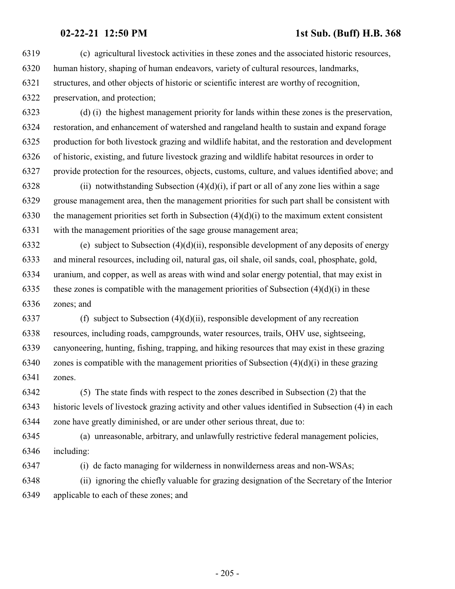(c) agricultural livestock activities in these zones and the associated historic resources, human history, shaping of human endeavors, variety of cultural resources, landmarks, structures, and other objects of historic or scientific interest are worthy of recognition, preservation, and protection; (d) (i) the highest management priority for lands within these zones is the preservation, restoration, and enhancement of watershed and rangeland health to sustain and expand forage production for both livestock grazing and wildlife habitat, and the restoration and development of historic, existing, and future livestock grazing and wildlife habitat resources in order to provide protection for the resources, objects, customs, culture, and values identified above; and 6328 (ii) notwithstanding Subsection  $(4)(d)(i)$ , if part or all of any zone lies within a sage grouse management area, then the management priorities for such part shall be consistent with 6330 the management priorities set forth in Subsection  $(4)(d)(i)$  to the maximum extent consistent with the management priorities of the sage grouse management area; (e) subject to Subsection (4)(d)(ii), responsible development of any deposits of energy and mineral resources, including oil, natural gas, oil shale, oil sands, coal, phosphate, gold, uranium, and copper, as well as areas with wind and solar energy potential, that may exist in 6335 these zones is compatible with the management priorities of Subsection  $(4)(d)(i)$  in these zones; and 6337 (f) subject to Subsection  $(4)(d)(ii)$ , responsible development of any recreation resources, including roads, campgrounds, water resources, trails, OHV use, sightseeing, canyoneering, hunting, fishing, trapping, and hiking resources that may exist in these grazing 6340 zones is compatible with the management priorities of Subsection  $(4)(d)(i)$  in these grazing zones. (5) The state finds with respect to the zones described in Subsection (2) that the historic levels of livestock grazing activity and other values identified in Subsection (4) in each zone have greatly diminished, or are under other serious threat, due to: (a) unreasonable, arbitrary, and unlawfully restrictive federal management policies, including: (i) de facto managing for wilderness in nonwilderness areas and non-WSAs; (ii) ignoring the chiefly valuable for grazing designation of the Secretary of the Interior applicable to each of these zones; and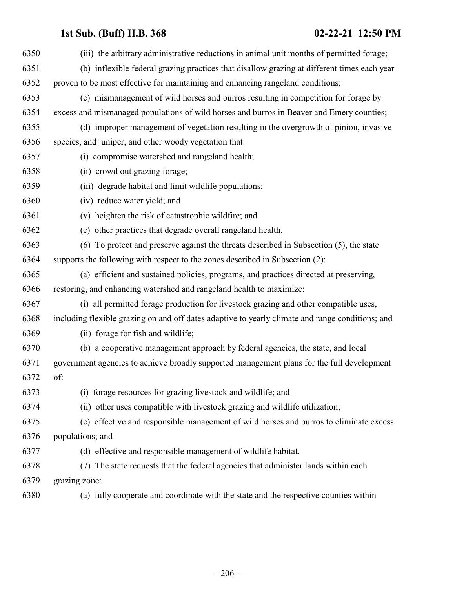| 6350 | (iii) the arbitrary administrative reductions in animal unit months of permitted forage;         |
|------|--------------------------------------------------------------------------------------------------|
| 6351 | (b) inflexible federal grazing practices that disallow grazing at different times each year      |
| 6352 | proven to be most effective for maintaining and enhancing rangeland conditions;                  |
| 6353 | (c) mismanagement of wild horses and burros resulting in competition for forage by               |
| 6354 | excess and mismanaged populations of wild horses and burros in Beaver and Emery counties;        |
| 6355 | (d) improper management of vegetation resulting in the overgrowth of pinion, invasive            |
| 6356 | species, and juniper, and other woody vegetation that:                                           |
| 6357 | (i) compromise watershed and rangeland health;                                                   |
| 6358 | (ii) crowd out grazing forage;                                                                   |
| 6359 | (iii) degrade habitat and limit wildlife populations;                                            |
| 6360 | (iv) reduce water yield; and                                                                     |
| 6361 | (v) heighten the risk of catastrophic wildfire; and                                              |
| 6362 | (e) other practices that degrade overall rangeland health.                                       |
| 6363 | (6) To protect and preserve against the threats described in Subsection (5), the state           |
| 6364 | supports the following with respect to the zones described in Subsection (2):                    |
| 6365 | (a) efficient and sustained policies, programs, and practices directed at preserving,            |
| 6366 | restoring, and enhancing watershed and rangeland health to maximize:                             |
| 6367 | (i) all permitted forage production for livestock grazing and other compatible uses,             |
| 6368 | including flexible grazing on and off dates adaptive to yearly climate and range conditions; and |
| 6369 | (ii) forage for fish and wildlife;                                                               |
| 6370 | (b) a cooperative management approach by federal agencies, the state, and local                  |
| 6371 | government agencies to achieve broadly supported management plans for the full development       |
| 6372 | of:                                                                                              |
| 6373 | (i) forage resources for grazing livestock and wildlife; and                                     |
| 6374 | (ii) other uses compatible with livestock grazing and wildlife utilization;                      |
| 6375 | (c) effective and responsible management of wild horses and burros to eliminate excess           |
| 6376 | populations; and                                                                                 |
| 6377 | (d) effective and responsible management of wildlife habitat.                                    |
| 6378 | (7) The state requests that the federal agencies that administer lands within each               |
| 6379 | grazing zone:                                                                                    |
| 6380 | (a) fully cooperate and coordinate with the state and the respective counties within             |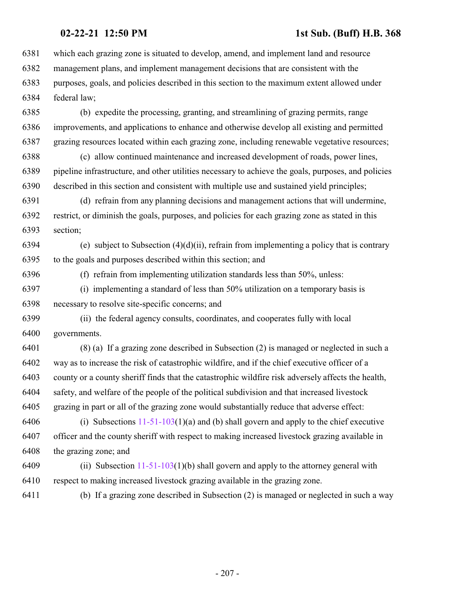which each grazing zone is situated to develop, amend, and implement land and resource management plans, and implement management decisions that are consistent with the purposes, goals, and policies described in this section to the maximum extent allowed under federal law;

 (b) expedite the processing, granting, and streamlining of grazing permits, range improvements, and applications to enhance and otherwise develop all existing and permitted grazing resources located within each grazing zone, including renewable vegetative resources;

 (c) allow continued maintenance and increased development of roads, power lines, pipeline infrastructure, and other utilities necessary to achieve the goals, purposes, and policies described in this section and consistent with multiple use and sustained yield principles;

 (d) refrain from any planning decisions and management actions that will undermine, restrict, or diminish the goals, purposes, and policies for each grazing zone as stated in this section;

6394 (e) subject to Subsection  $(4)(d)(ii)$ , refrain from implementing a policy that is contrary to the goals and purposes described within this section; and

(f) refrain from implementing utilization standards less than 50%, unless:

 (i) implementing a standard of less than 50% utilization on a temporary basis is necessary to resolve site-specific concerns; and

 (ii) the federal agency consults, coordinates, and cooperates fully with local governments.

 (8) (a) If a grazing zone described in Subsection (2) is managed or neglected in such a way as to increase the risk of catastrophic wildfire, and if the chief executive officer of a county or a county sheriff finds that the catastrophic wildfire risk adversely affects the health, safety, and welfare of the people of the political subdivision and that increased livestock grazing in part or all of the grazing zone would substantially reduce that adverse effect:

 (i) Subsections [11-51-103](http://le.utah.gov/UtahCode/SectionLookup.jsp?section=11-51-103&session=2021GS)(1)(a) and (b) shall govern and apply to the chief executive officer and the county sheriff with respect to making increased livestock grazing available in the grazing zone; and

6409 (ii) Subsection  $11-51-103(1)(b)$  shall govern and apply to the attorney general with respect to making increased livestock grazing available in the grazing zone.

(b) If a grazing zone described in Subsection (2) is managed or neglected in such a way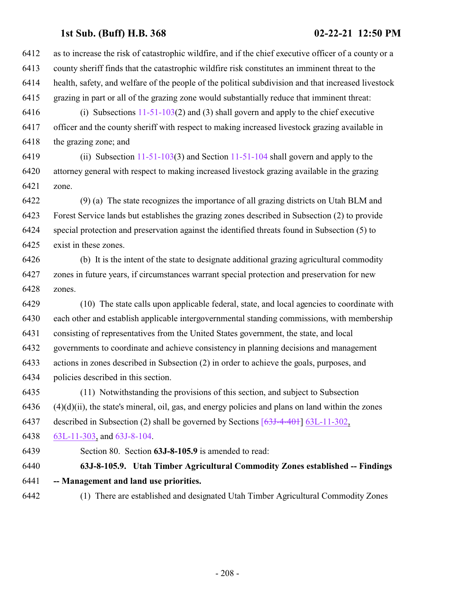as to increase the risk of catastrophic wildfire, and if the chief executive officer of a county or a county sheriff finds that the catastrophic wildfire risk constitutes an imminent threat to the health, safety, and welfare of the people of the political subdivision and that increased livestock grazing in part or all of the grazing zone would substantially reduce that imminent threat: 6416 (i) Subsections  $11-51-103(2)$  and (3) shall govern and apply to the chief executive

 officer and the county sheriff with respect to making increased livestock grazing available in the grazing zone; and

 (ii) Subsection [11-51-103](http://le.utah.gov/UtahCode/SectionLookup.jsp?section=11-51-103&session=2021GS)(3) and Section [11-51-104](http://le.utah.gov/UtahCode/SectionLookup.jsp?section=11-51-104&session=2021GS) shall govern and apply to the attorney general with respect to making increased livestock grazing available in the grazing zone.

 (9) (a) The state recognizes the importance of all grazing districts on Utah BLM and Forest Service lands but establishes the grazing zones described in Subsection (2) to provide special protection and preservation against the identified threats found in Subsection (5) to exist in these zones.

 (b) It is the intent of the state to designate additional grazing agricultural commodity zones in future years, if circumstances warrant special protection and preservation for new zones.

 (10) The state calls upon applicable federal, state, and local agencies to coordinate with each other and establish applicable intergovernmental standing commissions, with membership consisting of representatives from the United States government, the state, and local governments to coordinate and achieve consistency in planning decisions and management actions in zones described in Subsection (2) in order to achieve the goals, purposes, and policies described in this section.

 (11) Notwithstanding the provisions of this section, and subject to Subsection  $(4)(d)(ii)$ , the state's mineral, oil, gas, and energy policies and plans on land within the zones described in Subsection (2) shall be governed by Sections [\[63J-4-401](http://le.utah.gov/UtahCode/SectionLookup.jsp?section=[63j-4-401&session=2021GS)] [63L-11-302](#page-228-0),

[63L-11-303](#page-232-0), and [63J-8-104](#page-175-0).

Section 80. Section **63J-8-105.9** is amended to read:

 **63J-8-105.9. Utah Timber Agricultural Commodity Zones established -- Findings -- Management and land use priorities.**

(1) There are established and designated Utah Timber Agricultural Commodity Zones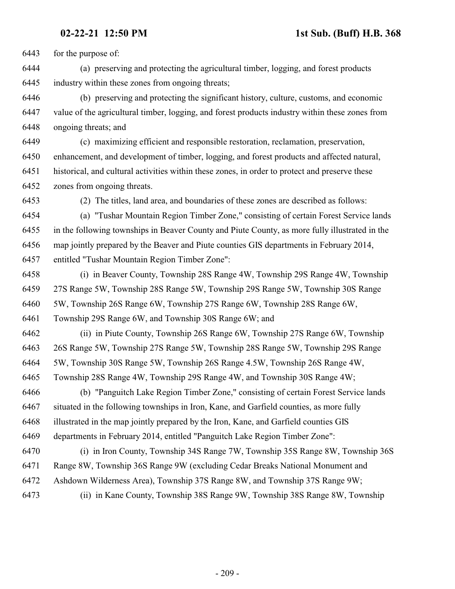for the purpose of:

 (a) preserving and protecting the agricultural timber, logging, and forest products industry within these zones from ongoing threats;

 (b) preserving and protecting the significant history, culture, customs, and economic value of the agricultural timber, logging, and forest products industry within these zones from ongoing threats; and

 (c) maximizing efficient and responsible restoration, reclamation, preservation, enhancement, and development of timber, logging, and forest products and affected natural, historical, and cultural activities within these zones, in order to protect and preserve these zones from ongoing threats.

(2) The titles, land area, and boundaries of these zones are described as follows:

 (a) "Tushar Mountain Region Timber Zone," consisting of certain Forest Service lands in the following townships in Beaver County and Piute County, as more fully illustrated in the map jointly prepared by the Beaver and Piute counties GIS departments in February 2014, entitled "Tushar Mountain Region Timber Zone":

 (i) in Beaver County, Township 28S Range 4W, Township 29S Range 4W, Township 27S Range 5W, Township 28S Range 5W, Township 29S Range 5W, Township 30S Range 5W, Township 26S Range 6W, Township 27S Range 6W, Township 28S Range 6W, Township 29S Range 6W, and Township 30S Range 6W; and

 (ii) in Piute County, Township 26S Range 6W, Township 27S Range 6W, Township 26S Range 5W, Township 27S Range 5W, Township 28S Range 5W, Township 29S Range 5W, Township 30S Range 5W, Township 26S Range 4.5W, Township 26S Range 4W,

Township 28S Range 4W, Township 29S Range 4W, and Township 30S Range 4W;

 (b) "Panguitch Lake Region Timber Zone," consisting of certain Forest Service lands situated in the following townships in Iron, Kane, and Garfield counties, as more fully illustrated in the map jointly prepared by the Iron, Kane, and Garfield counties GIS departments in February 2014, entitled "Panguitch Lake Region Timber Zone":

 (i) in Iron County, Township 34S Range 7W, Township 35S Range 8W, Township 36S Range 8W, Township 36S Range 9W (excluding Cedar Breaks National Monument and Ashdown Wilderness Area), Township 37S Range 8W, and Township 37S Range 9W;

(ii) in Kane County, Township 38S Range 9W, Township 38S Range 8W, Township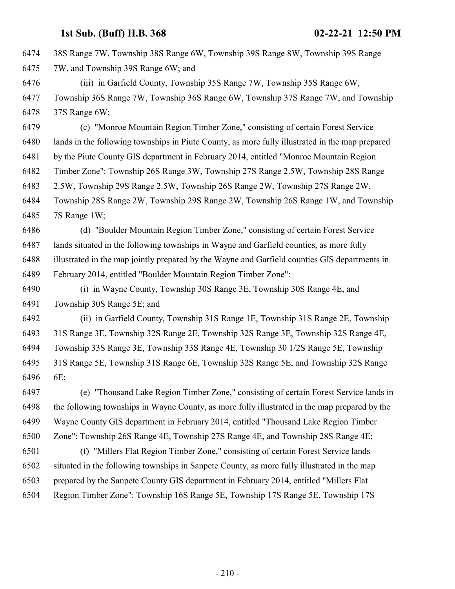38S Range 7W, Township 38S Range 6W, Township 39S Range 8W, Township 39S Range

7W, and Township 39S Range 6W; and

 (iii) in Garfield County, Township 35S Range 7W, Township 35S Range 6W, Township 36S Range 7W, Township 36S Range 6W, Township 37S Range 7W, and Township 37S Range 6W;

 (c) "Monroe Mountain Region Timber Zone," consisting of certain Forest Service lands in the following townships in Piute County, as more fully illustrated in the map prepared by the Piute County GIS department in February 2014, entitled "Monroe Mountain Region Timber Zone": Township 26S Range 3W, Township 27S Range 2.5W, Township 28S Range 2.5W, Township 29S Range 2.5W, Township 26S Range 2W, Township 27S Range 2W, Township 28S Range 2W, Township 29S Range 2W, Township 26S Range 1W, and Township 7S Range 1W;

 (d) "Boulder Mountain Region Timber Zone," consisting of certain Forest Service lands situated in the following townships in Wayne and Garfield counties, as more fully illustrated in the map jointly prepared by the Wayne and Garfield counties GIS departments in February 2014, entitled "Boulder Mountain Region Timber Zone":

 (i) in Wayne County, Township 30S Range 3E, Township 30S Range 4E, and Township 30S Range 5E; and

 (ii) in Garfield County, Township 31S Range 1E, Township 31S Range 2E, Township 31S Range 3E, Township 32S Range 2E, Township 32S Range 3E, Township 32S Range 4E, Township 33S Range 3E, Township 33S Range 4E, Township 30 1/2S Range 5E, Township 31S Range 5E, Township 31S Range 6E, Township 32S Range 5E, and Township 32S Range 6E;

 (e) "Thousand Lake Region Timber Zone," consisting of certain Forest Service lands in the following townships in Wayne County, as more fully illustrated in the map prepared by the Wayne County GIS department in February 2014, entitled "Thousand Lake Region Timber Zone": Township 26S Range 4E, Township 27S Range 4E, and Township 28S Range 4E;

 (f) "Millers Flat Region Timber Zone," consisting of certain Forest Service lands situated in the following townships in Sanpete County, as more fully illustrated in the map prepared by the Sanpete County GIS department in February 2014, entitled "Millers Flat Region Timber Zone": Township 16S Range 5E, Township 17S Range 5E, Township 17S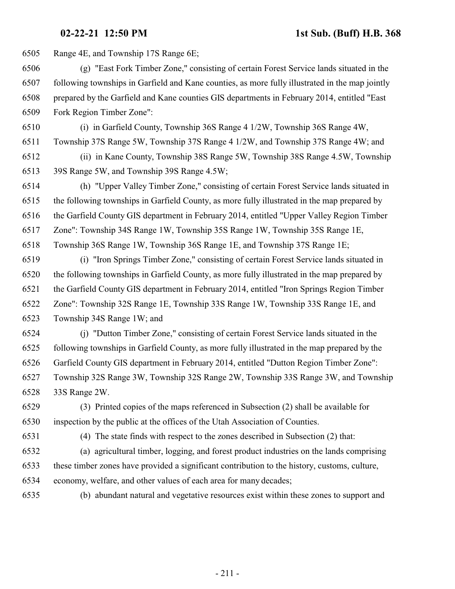Range 4E, and Township 17S Range 6E;

 (g) "East Fork Timber Zone," consisting of certain Forest Service lands situated in the following townships in Garfield and Kane counties, as more fully illustrated in the map jointly prepared by the Garfield and Kane counties GIS departments in February 2014, entitled "East Fork Region Timber Zone":

 (i) in Garfield County, Township 36S Range 4 1/2W, Township 36S Range 4W, Township 37S Range 5W, Township 37S Range 4 1/2W, and Township 37S Range 4W; and

 (ii) in Kane County, Township 38S Range 5W, Township 38S Range 4.5W, Township 39S Range 5W, and Township 39S Range 4.5W;

 (h) "Upper Valley Timber Zone," consisting of certain Forest Service lands situated in the following townships in Garfield County, as more fully illustrated in the map prepared by the Garfield County GIS department in February 2014, entitled "Upper Valley Region Timber Zone": Township 34S Range 1W, Township 35S Range 1W, Township 35S Range 1E, Township 36S Range 1W, Township 36S Range 1E, and Township 37S Range 1E;

 (i) "Iron Springs Timber Zone," consisting of certain Forest Service lands situated in the following townships in Garfield County, as more fully illustrated in the map prepared by the Garfield County GIS department in February 2014, entitled "Iron Springs Region Timber Zone": Township 32S Range 1E, Township 33S Range 1W, Township 33S Range 1E, and Township 34S Range 1W; and

 (j) "Dutton Timber Zone," consisting of certain Forest Service lands situated in the following townships in Garfield County, as more fully illustrated in the map prepared by the Garfield County GIS department in February 2014, entitled "Dutton Region Timber Zone": Township 32S Range 3W, Township 32S Range 2W, Township 33S Range 3W, and Township 33S Range 2W.

 (3) Printed copies of the maps referenced in Subsection (2) shall be available for inspection by the public at the offices of the Utah Association of Counties.

(4) The state finds with respect to the zones described in Subsection (2) that:

 (a) agricultural timber, logging, and forest product industries on the lands comprising these timber zones have provided a significant contribution to the history, customs, culture, economy, welfare, and other values of each area for many decades;

(b) abundant natural and vegetative resources exist within these zones to support and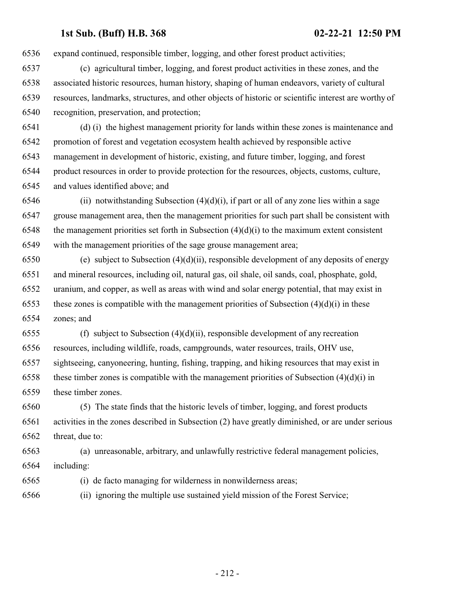expand continued, responsible timber, logging, and other forest product activities;

- (c) agricultural timber, logging, and forest product activities in these zones, and the associated historic resources, human history, shaping of human endeavors, variety of cultural resources, landmarks, structures, and other objects of historic or scientific interest are worthy of recognition, preservation, and protection;
- (d) (i) the highest management priority for lands within these zones is maintenance and promotion of forest and vegetation ecosystem health achieved by responsible active management in development of historic, existing, and future timber, logging, and forest product resources in order to provide protection for the resources, objects, customs, culture, and values identified above; and
- 6546 (ii) notwithstanding Subsection  $(4)(d)(i)$ , if part or all of any zone lies within a sage grouse management area, then the management priorities for such part shall be consistent with 6548 the management priorities set forth in Subsection  $(4)(d)(i)$  to the maximum extent consistent with the management priorities of the sage grouse management area;
- (e) subject to Subsection (4)(d)(ii), responsible development of any deposits of energy and mineral resources, including oil, natural gas, oil shale, oil sands, coal, phosphate, gold, uranium, and copper, as well as areas with wind and solar energy potential, that may exist in 6553 these zones is compatible with the management priorities of Subsection  $(4)(d)(i)$  in these zones; and
- 6555 (f) subject to Subsection  $(4)(d)(ii)$ , responsible development of any recreation resources, including wildlife, roads, campgrounds, water resources, trails, OHV use, sightseeing, canyoneering, hunting, fishing, trapping, and hiking resources that may exist in 6558 these timber zones is compatible with the management priorities of Subsection  $(4)(d)(i)$  in these timber zones.
- (5) The state finds that the historic levels of timber, logging, and forest products activities in the zones described in Subsection (2) have greatly diminished, or are under serious threat, due to:
- (a) unreasonable, arbitrary, and unlawfully restrictive federal management policies, including:
- (i) de facto managing for wilderness in nonwilderness areas;
- (ii) ignoring the multiple use sustained yield mission of the Forest Service;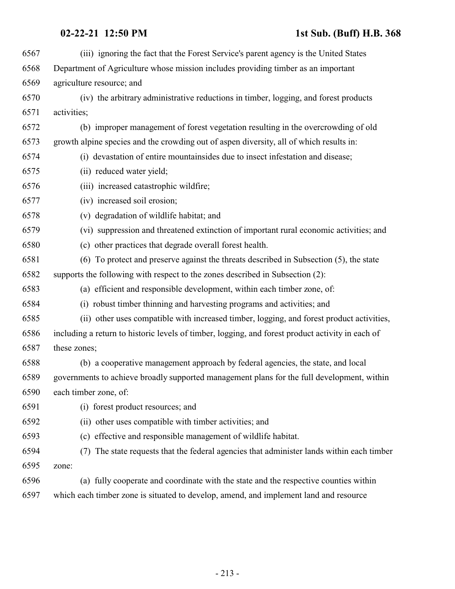| 6567 | (iii) ignoring the fact that the Forest Service's parent agency is the United States             |
|------|--------------------------------------------------------------------------------------------------|
| 6568 | Department of Agriculture whose mission includes providing timber as an important                |
| 6569 | agriculture resource; and                                                                        |
| 6570 | (iv) the arbitrary administrative reductions in timber, logging, and forest products             |
| 6571 | activities;                                                                                      |
| 6572 | (b) improper management of forest vegetation resulting in the overcrowding of old                |
| 6573 | growth alpine species and the crowding out of aspen diversity, all of which results in:          |
| 6574 | (i) devastation of entire mountainsides due to insect infestation and disease;                   |
| 6575 | (ii) reduced water yield;                                                                        |
| 6576 | (iii) increased catastrophic wildfire;                                                           |
| 6577 | (iv) increased soil erosion;                                                                     |
| 6578 | (v) degradation of wildlife habitat; and                                                         |
| 6579 | (vi) suppression and threatened extinction of important rural economic activities; and           |
| 6580 | (c) other practices that degrade overall forest health.                                          |
| 6581 | (6) To protect and preserve against the threats described in Subsection (5), the state           |
| 6582 | supports the following with respect to the zones described in Subsection (2):                    |
| 6583 | (a) efficient and responsible development, within each timber zone, of:                          |
| 6584 | (i) robust timber thinning and harvesting programs and activities; and                           |
| 6585 | (ii) other uses compatible with increased timber, logging, and forest product activities,        |
| 6586 | including a return to historic levels of timber, logging, and forest product activity in each of |
| 6587 | these zones;                                                                                     |
| 6588 | (b) a cooperative management approach by federal agencies, the state, and local                  |
| 6589 | governments to achieve broadly supported management plans for the full development, within       |
| 6590 | each timber zone, of:                                                                            |
| 6591 | (i) forest product resources; and                                                                |
| 6592 | (ii) other uses compatible with timber activities; and                                           |
| 6593 | (c) effective and responsible management of wildlife habitat.                                    |
| 6594 | The state requests that the federal agencies that administer lands within each timber<br>(7)     |
| 6595 | zone:                                                                                            |
| 6596 | (a) fully cooperate and coordinate with the state and the respective counties within             |
| 6597 | which each timber zone is situated to develop, amend, and implement land and resource            |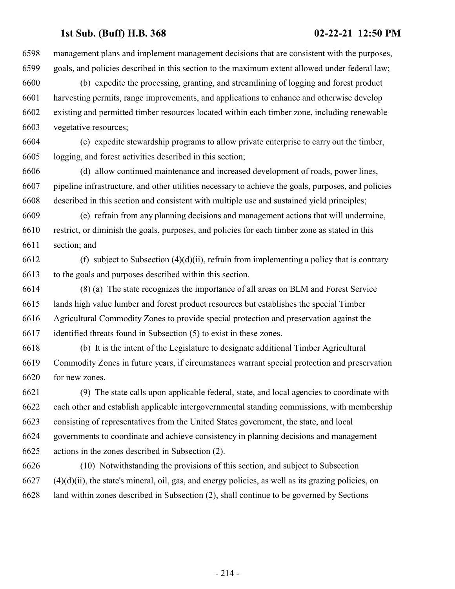management plans and implement management decisions that are consistent with the purposes, goals, and policies described in this section to the maximum extent allowed under federal law;

 (b) expedite the processing, granting, and streamlining of logging and forest product harvesting permits, range improvements, and applications to enhance and otherwise develop existing and permitted timber resources located within each timber zone, including renewable vegetative resources;

 (c) expedite stewardship programs to allow private enterprise to carry out the timber, logging, and forest activities described in this section;

 (d) allow continued maintenance and increased development of roads, power lines, pipeline infrastructure, and other utilities necessary to achieve the goals, purposes, and policies described in this section and consistent with multiple use and sustained yield principles;

 (e) refrain from any planning decisions and management actions that will undermine, restrict, or diminish the goals, purposes, and policies for each timber zone as stated in this section; and

6612 (f) subject to Subsection  $(4)(d)(ii)$ , refrain from implementing a policy that is contrary to the goals and purposes described within this section.

 (8) (a) The state recognizes the importance of all areas on BLM and Forest Service lands high value lumber and forest product resources but establishes the special Timber Agricultural Commodity Zones to provide special protection and preservation against the identified threats found in Subsection (5) to exist in these zones.

 (b) It is the intent of the Legislature to designate additional Timber Agricultural Commodity Zones in future years, if circumstances warrant special protection and preservation for new zones.

 (9) The state calls upon applicable federal, state, and local agencies to coordinate with each other and establish applicable intergovernmental standing commissions, with membership consisting of representatives from the United States government, the state, and local governments to coordinate and achieve consistency in planning decisions and management actions in the zones described in Subsection (2).

 (10) Notwithstanding the provisions of this section, and subject to Subsection (4)(d)(ii), the state's mineral, oil, gas, and energy policies, as well as its grazing policies, on land within zones described in Subsection (2), shall continue to be governed by Sections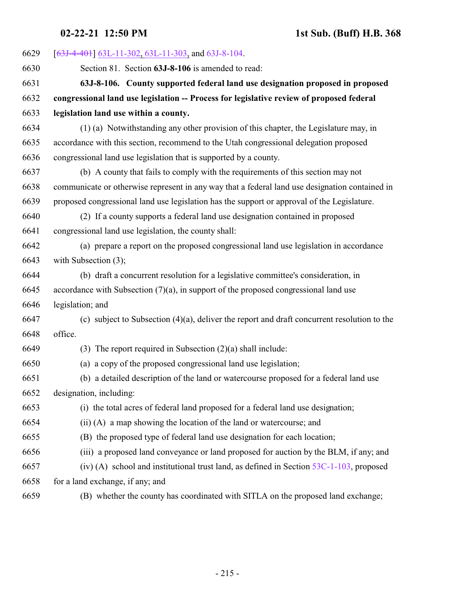| 6629 | $[63J-4-401]$ 63L-11-302, 63L-11-303, and 63J-8-104.                                           |
|------|------------------------------------------------------------------------------------------------|
| 6630 | Section 81. Section 63J-8-106 is amended to read:                                              |
| 6631 | 63J-8-106. County supported federal land use designation proposed in proposed                  |
| 6632 | congressional land use legislation -- Process for legislative review of proposed federal       |
| 6633 | legislation land use within a county.                                                          |
| 6634 | (1) (a) Notwithstanding any other provision of this chapter, the Legislature may, in           |
| 6635 | accordance with this section, recommend to the Utah congressional delegation proposed          |
| 6636 | congressional land use legislation that is supported by a county.                              |
| 6637 | (b) A county that fails to comply with the requirements of this section may not                |
| 6638 | communicate or otherwise represent in any way that a federal land use designation contained in |
| 6639 | proposed congressional land use legislation has the support or approval of the Legislature.    |
| 6640 | (2) If a county supports a federal land use designation contained in proposed                  |
| 6641 | congressional land use legislation, the county shall:                                          |
| 6642 | (a) prepare a report on the proposed congressional land use legislation in accordance          |
| 6643 | with Subsection $(3)$ ;                                                                        |
| 6644 | (b) draft a concurrent resolution for a legislative committee's consideration, in              |
| 6645 | accordance with Subsection $(7)(a)$ , in support of the proposed congressional land use        |
| 6646 | legislation; and                                                                               |
| 6647 | (c) subject to Subsection $(4)(a)$ , deliver the report and draft concurrent resolution to the |
| 6648 | office.                                                                                        |
| 6649 | (3) The report required in Subsection $(2)(a)$ shall include:                                  |
| 6650 | (a) a copy of the proposed congressional land use legislation;                                 |
| 6651 | (b) a detailed description of the land or watercourse proposed for a federal land use          |
| 6652 | designation, including:                                                                        |
| 6653 | (i) the total acres of federal land proposed for a federal land use designation;               |
| 6654 | (ii) (A) a map showing the location of the land or watercourse; and                            |
| 6655 | (B) the proposed type of federal land use designation for each location;                       |
| 6656 | (iii) a proposed land conveyance or land proposed for auction by the BLM, if any; and          |
| 6657 | (iv) (A) school and institutional trust land, as defined in Section $53C-1-103$ , proposed     |
| 6658 | for a land exchange, if any; and                                                               |
| 6659 | (B) whether the county has coordinated with SITLA on the proposed land exchange;               |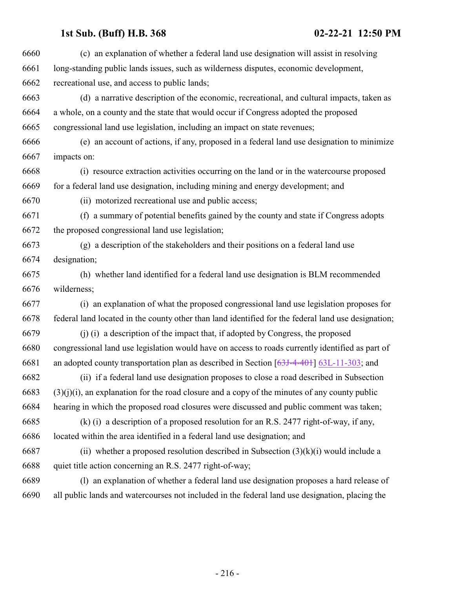| 6661<br>6662<br>recreational use, and access to public lands;<br>6663<br>6664<br>6665<br>congressional land use legislation, including an impact on state revenues;<br>6666<br>6667<br>impacts on:<br>6668<br>6669<br>6670<br>(ii) motorized recreational use and public access;<br>6671<br>6672<br>the proposed congressional land use legislation;<br>6673<br>6674<br>designation;<br>6675<br>6676<br>wilderness;<br>6677<br>6678<br>6679<br>6680<br>6681<br>6682<br>6683<br>6684<br>6685<br>6686<br>located within the area identified in a federal land use designation; and<br>6687<br>6688<br>quiet title action concerning an R.S. 2477 right-of-way;<br>6689<br>6690 | 6660 | (c) an explanation of whether a federal land use designation will assist in resolving               |
|------------------------------------------------------------------------------------------------------------------------------------------------------------------------------------------------------------------------------------------------------------------------------------------------------------------------------------------------------------------------------------------------------------------------------------------------------------------------------------------------------------------------------------------------------------------------------------------------------------------------------------------------------------------------------|------|-----------------------------------------------------------------------------------------------------|
|                                                                                                                                                                                                                                                                                                                                                                                                                                                                                                                                                                                                                                                                              |      | long-standing public lands issues, such as wilderness disputes, economic development,               |
|                                                                                                                                                                                                                                                                                                                                                                                                                                                                                                                                                                                                                                                                              |      |                                                                                                     |
|                                                                                                                                                                                                                                                                                                                                                                                                                                                                                                                                                                                                                                                                              |      | (d) a narrative description of the economic, recreational, and cultural impacts, taken as           |
|                                                                                                                                                                                                                                                                                                                                                                                                                                                                                                                                                                                                                                                                              |      | a whole, on a county and the state that would occur if Congress adopted the proposed                |
|                                                                                                                                                                                                                                                                                                                                                                                                                                                                                                                                                                                                                                                                              |      |                                                                                                     |
|                                                                                                                                                                                                                                                                                                                                                                                                                                                                                                                                                                                                                                                                              |      | (e) an account of actions, if any, proposed in a federal land use designation to minimize           |
|                                                                                                                                                                                                                                                                                                                                                                                                                                                                                                                                                                                                                                                                              |      |                                                                                                     |
|                                                                                                                                                                                                                                                                                                                                                                                                                                                                                                                                                                                                                                                                              |      | (i) resource extraction activities occurring on the land or in the watercourse proposed             |
|                                                                                                                                                                                                                                                                                                                                                                                                                                                                                                                                                                                                                                                                              |      | for a federal land use designation, including mining and energy development; and                    |
|                                                                                                                                                                                                                                                                                                                                                                                                                                                                                                                                                                                                                                                                              |      |                                                                                                     |
|                                                                                                                                                                                                                                                                                                                                                                                                                                                                                                                                                                                                                                                                              |      | (f) a summary of potential benefits gained by the county and state if Congress adopts               |
|                                                                                                                                                                                                                                                                                                                                                                                                                                                                                                                                                                                                                                                                              |      |                                                                                                     |
|                                                                                                                                                                                                                                                                                                                                                                                                                                                                                                                                                                                                                                                                              |      | (g) a description of the stakeholders and their positions on a federal land use                     |
|                                                                                                                                                                                                                                                                                                                                                                                                                                                                                                                                                                                                                                                                              |      |                                                                                                     |
|                                                                                                                                                                                                                                                                                                                                                                                                                                                                                                                                                                                                                                                                              |      | (h) whether land identified for a federal land use designation is BLM recommended                   |
|                                                                                                                                                                                                                                                                                                                                                                                                                                                                                                                                                                                                                                                                              |      |                                                                                                     |
|                                                                                                                                                                                                                                                                                                                                                                                                                                                                                                                                                                                                                                                                              |      | (i) an explanation of what the proposed congressional land use legislation proposes for             |
|                                                                                                                                                                                                                                                                                                                                                                                                                                                                                                                                                                                                                                                                              |      | federal land located in the county other than land identified for the federal land use designation; |
|                                                                                                                                                                                                                                                                                                                                                                                                                                                                                                                                                                                                                                                                              |      | (j) (i) a description of the impact that, if adopted by Congress, the proposed                      |
|                                                                                                                                                                                                                                                                                                                                                                                                                                                                                                                                                                                                                                                                              |      | congressional land use legislation would have on access to roads currently identified as part of    |
|                                                                                                                                                                                                                                                                                                                                                                                                                                                                                                                                                                                                                                                                              |      | an adopted county transportation plan as described in Section $[63J-4-40+]$ 63L-11-303; and         |
|                                                                                                                                                                                                                                                                                                                                                                                                                                                                                                                                                                                                                                                                              |      | (ii) if a federal land use designation proposes to close a road described in Subsection             |
|                                                                                                                                                                                                                                                                                                                                                                                                                                                                                                                                                                                                                                                                              |      | $(3)(j)(i)$ , an explanation for the road closure and a copy of the minutes of any county public    |
|                                                                                                                                                                                                                                                                                                                                                                                                                                                                                                                                                                                                                                                                              |      | hearing in which the proposed road closures were discussed and public comment was taken;            |
|                                                                                                                                                                                                                                                                                                                                                                                                                                                                                                                                                                                                                                                                              |      | $(k)$ (i) a description of a proposed resolution for an R.S. 2477 right-of-way, if any,             |
|                                                                                                                                                                                                                                                                                                                                                                                                                                                                                                                                                                                                                                                                              |      |                                                                                                     |
|                                                                                                                                                                                                                                                                                                                                                                                                                                                                                                                                                                                                                                                                              |      | (ii) whether a proposed resolution described in Subsection $(3)(k)(i)$ would include a              |
|                                                                                                                                                                                                                                                                                                                                                                                                                                                                                                                                                                                                                                                                              |      |                                                                                                     |
|                                                                                                                                                                                                                                                                                                                                                                                                                                                                                                                                                                                                                                                                              |      | (1) an explanation of whether a federal land use designation proposes a hard release of             |
|                                                                                                                                                                                                                                                                                                                                                                                                                                                                                                                                                                                                                                                                              |      | all public lands and watercourses not included in the federal land use designation, placing the     |
|                                                                                                                                                                                                                                                                                                                                                                                                                                                                                                                                                                                                                                                                              |      |                                                                                                     |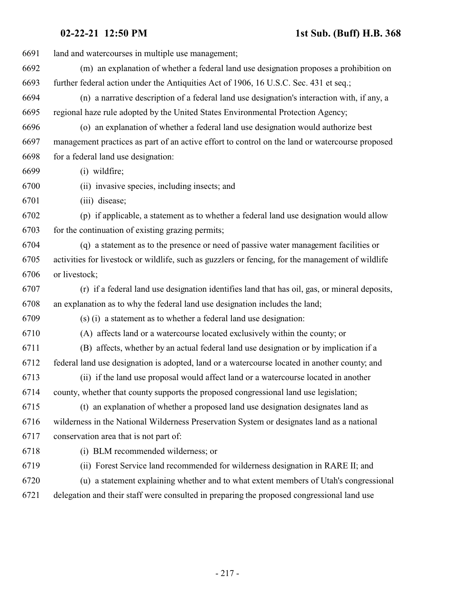| 6691 | land and watercourses in multiple use management;                                                 |
|------|---------------------------------------------------------------------------------------------------|
| 6692 | (m) an explanation of whether a federal land use designation proposes a prohibition on            |
| 6693 | further federal action under the Antiquities Act of 1906, 16 U.S.C. Sec. 431 et seq.;             |
| 6694 | (n) a narrative description of a federal land use designation's interaction with, if any, a       |
| 6695 | regional haze rule adopted by the United States Environmental Protection Agency;                  |
| 6696 | (o) an explanation of whether a federal land use designation would authorize best                 |
| 6697 | management practices as part of an active effort to control on the land or watercourse proposed   |
| 6698 | for a federal land use designation:                                                               |
| 6699 | $(i)$ wildfire;                                                                                   |
| 6700 | (ii) invasive species, including insects; and                                                     |
| 6701 | (iii) disease;                                                                                    |
| 6702 | (p) if applicable, a statement as to whether a federal land use designation would allow           |
| 6703 | for the continuation of existing grazing permits;                                                 |
| 6704 | (q) a statement as to the presence or need of passive water management facilities or              |
| 6705 | activities for livestock or wildlife, such as guzzlers or fencing, for the management of wildlife |
| 6706 | or livestock;                                                                                     |
| 6707 | (r) if a federal land use designation identifies land that has oil, gas, or mineral deposits,     |
| 6708 | an explanation as to why the federal land use designation includes the land;                      |
| 6709 | (s) (i) a statement as to whether a federal land use designation:                                 |
| 6710 | (A) affects land or a watercourse located exclusively within the county; or                       |
| 6711 | (B) affects, whether by an actual federal land use designation or by implication if a             |
| 6712 | federal land use designation is adopted, land or a watercourse located in another county; and     |
| 6713 | (ii) if the land use proposal would affect land or a watercourse located in another               |
| 6714 | county, whether that county supports the proposed congressional land use legislation;             |
| 6715 | (t) an explanation of whether a proposed land use designation designates land as                  |
| 6716 | wilderness in the National Wilderness Preservation System or designates land as a national        |
| 6717 | conservation area that is not part of:                                                            |
| 6718 | (i) BLM recommended wilderness; or                                                                |
| 6719 | (ii) Forest Service land recommended for wilderness designation in RARE II; and                   |
| 6720 | (u) a statement explaining whether and to what extent members of Utah's congressional             |
| 6721 | delegation and their staff were consulted in preparing the proposed congressional land use        |
|      |                                                                                                   |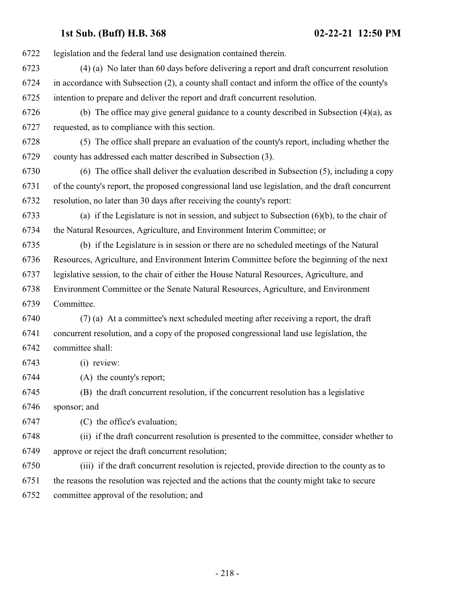| 6722 | legislation and the federal land use designation contained therein.                               |
|------|---------------------------------------------------------------------------------------------------|
| 6723 | (4) (a) No later than 60 days before delivering a report and draft concurrent resolution          |
| 6724 | in accordance with Subsection (2), a county shall contact and inform the office of the county's   |
| 6725 | intention to prepare and deliver the report and draft concurrent resolution.                      |
| 6726 | (b) The office may give general guidance to a county described in Subsection $(4)(a)$ , as        |
| 6727 | requested, as to compliance with this section.                                                    |
| 6728 | (5) The office shall prepare an evaluation of the county's report, including whether the          |
| 6729 | county has addressed each matter described in Subsection (3).                                     |
| 6730 | (6) The office shall deliver the evaluation described in Subsection (5), including a copy         |
| 6731 | of the county's report, the proposed congressional land use legislation, and the draft concurrent |
| 6732 | resolution, no later than 30 days after receiving the county's report:                            |
| 6733 | (a) if the Legislature is not in session, and subject to Subsection $(6)(b)$ , to the chair of    |
| 6734 | the Natural Resources, Agriculture, and Environment Interim Committee; or                         |
| 6735 | (b) if the Legislature is in session or there are no scheduled meetings of the Natural            |
| 6736 | Resources, Agriculture, and Environment Interim Committee before the beginning of the next        |
| 6737 | legislative session, to the chair of either the House Natural Resources, Agriculture, and         |
| 6738 | Environment Committee or the Senate Natural Resources, Agriculture, and Environment               |
| 6739 | Committee.                                                                                        |
| 6740 | (7) (a) At a committee's next scheduled meeting after receiving a report, the draft               |
| 6741 | concurrent resolution, and a copy of the proposed congressional land use legislation, the         |
| 6742 | committee shall:                                                                                  |
| 6743 | (i) review:                                                                                       |
| 6744 | (A) the county's report;                                                                          |
| 6745 | (B) the draft concurrent resolution, if the concurrent resolution has a legislative               |
| 6746 | sponsor; and                                                                                      |
| 6747 | (C) the office's evaluation;                                                                      |
| 6748 | (ii) if the draft concurrent resolution is presented to the committee, consider whether to        |
| 6749 | approve or reject the draft concurrent resolution;                                                |
| 6750 | (iii) if the draft concurrent resolution is rejected, provide direction to the county as to       |
| 6751 | the reasons the resolution was rejected and the actions that the county might take to secure      |
| 6752 | committee approval of the resolution; and                                                         |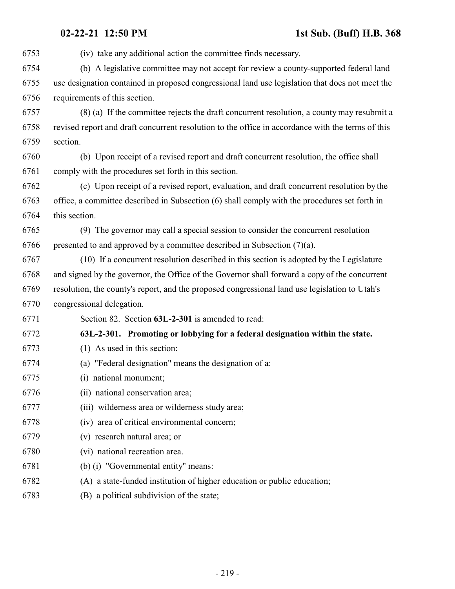| 6753 | (iv) take any additional action the committee finds necessary.                                    |
|------|---------------------------------------------------------------------------------------------------|
| 6754 | (b) A legislative committee may not accept for review a county-supported federal land             |
| 6755 | use designation contained in proposed congressional land use legislation that does not meet the   |
| 6756 | requirements of this section.                                                                     |
| 6757 | (8) (a) If the committee rejects the draft concurrent resolution, a county may resubmit a         |
| 6758 | revised report and draft concurrent resolution to the office in accordance with the terms of this |
| 6759 | section.                                                                                          |
| 6760 | (b) Upon receipt of a revised report and draft concurrent resolution, the office shall            |
| 6761 | comply with the procedures set forth in this section.                                             |
| 6762 | (c) Upon receipt of a revised report, evaluation, and draft concurrent resolution by the          |
| 6763 | office, a committee described in Subsection (6) shall comply with the procedures set forth in     |
| 6764 | this section.                                                                                     |
| 6765 | (9) The governor may call a special session to consider the concurrent resolution                 |
| 6766 | presented to and approved by a committee described in Subsection $(7)(a)$ .                       |
| 6767 | (10) If a concurrent resolution described in this section is adopted by the Legislature           |
| 6768 | and signed by the governor, the Office of the Governor shall forward a copy of the concurrent     |
| 6769 | resolution, the county's report, and the proposed congressional land use legislation to Utah's    |
| 6770 | congressional delegation.                                                                         |
| 6771 | Section 82. Section 63L-2-301 is amended to read:                                                 |
| 6772 | 63L-2-301. Promoting or lobbying for a federal designation within the state.                      |
| 6773 | $(1)$ As used in this section:                                                                    |
| 6774 | (a) "Federal designation" means the designation of a:                                             |
| 6775 | (i) national monument;                                                                            |
| 6776 | (ii) national conservation area;                                                                  |
| 6777 | (iii) wilderness area or wilderness study area;                                                   |
| 6778 | (iv) area of critical environmental concern;                                                      |
| 6779 | (v) research natural area; or                                                                     |
| 6780 | (vi) national recreation area.                                                                    |
| 6781 | (b) (i) "Governmental entity" means:                                                              |
| 6782 | (A) a state-funded institution of higher education or public education;                           |
| 6783 | (B) a political subdivision of the state;                                                         |
|      |                                                                                                   |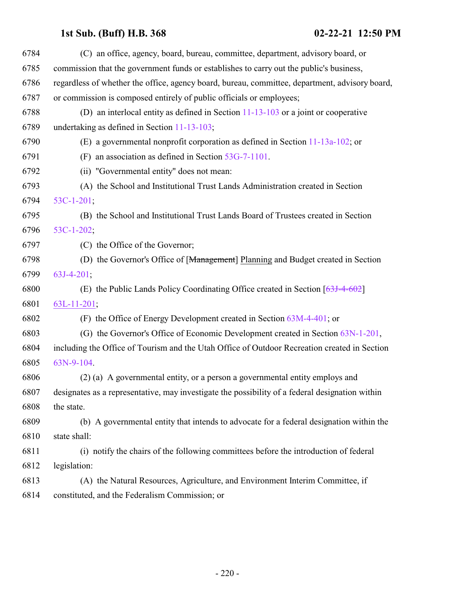| 6784 | (C) an office, agency, board, bureau, committee, department, advisory board, or                 |
|------|-------------------------------------------------------------------------------------------------|
| 6785 | commission that the government funds or establishes to carry out the public's business,         |
| 6786 | regardless of whether the office, agency board, bureau, committee, department, advisory board,  |
| 6787 | or commission is composed entirely of public officials or employees;                            |
| 6788 | (D) an interlocal entity as defined in Section $11-13-103$ or a joint or cooperative            |
| 6789 | undertaking as defined in Section 11-13-103;                                                    |
| 6790 | (E) a governmental nonprofit corporation as defined in Section $11-13a-102$ ; or                |
| 6791 | (F) an association as defined in Section $53G-7-1101$ .                                         |
| 6792 | (ii) "Governmental entity" does not mean:                                                       |
| 6793 | (A) the School and Institutional Trust Lands Administration created in Section                  |
| 6794 | $53C-1-201$                                                                                     |
| 6795 | (B) the School and Institutional Trust Lands Board of Trustees created in Section               |
| 6796 | 53C-1-202;                                                                                      |
| 6797 | (C) the Office of the Governor;                                                                 |
| 6798 | (D) the Governor's Office of [Management] Planning and Budget created in Section                |
| 6799 | $63J-4-201$ ;                                                                                   |
| 6800 | (E) the Public Lands Policy Coordinating Office created in Section $[63J-4-602]$                |
| 6801 | $63L-11-201$ ;                                                                                  |
| 6802 | (F) the Office of Energy Development created in Section $63M-4-401$ ; or                        |
| 6803 | (G) the Governor's Office of Economic Development created in Section 63N-1-201,                 |
| 6804 | including the Office of Tourism and the Utah Office of Outdoor Recreation created in Section    |
| 6805 | 63N-9-104.                                                                                      |
| 6806 | (2) (a) A governmental entity, or a person a governmental entity employs and                    |
| 6807 | designates as a representative, may investigate the possibility of a federal designation within |
| 6808 | the state.                                                                                      |
| 6809 | (b) A governmental entity that intends to advocate for a federal designation within the         |
| 6810 | state shall:                                                                                    |
| 6811 | (i) notify the chairs of the following committees before the introduction of federal            |
| 6812 | legislation:                                                                                    |
| 6813 | (A) the Natural Resources, Agriculture, and Environment Interim Committee, if                   |
| 6814 | constituted, and the Federalism Commission; or                                                  |
|      |                                                                                                 |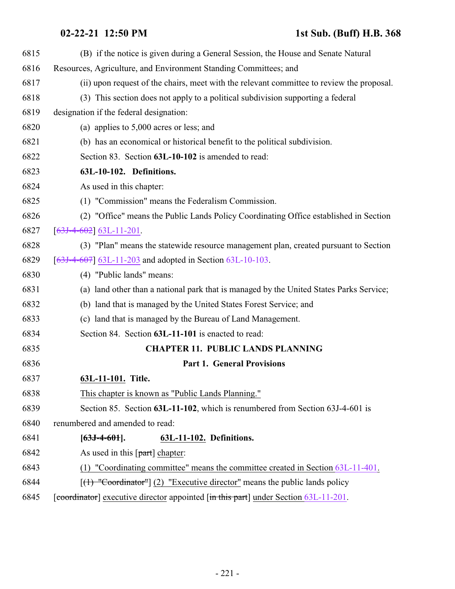| 6815 | (B) if the notice is given during a General Session, the House and Senate Natural         |
|------|-------------------------------------------------------------------------------------------|
| 6816 | Resources, Agriculture, and Environment Standing Committees; and                          |
| 6817 | (ii) upon request of the chairs, meet with the relevant committee to review the proposal. |
| 6818 | (3) This section does not apply to a political subdivision supporting a federal           |
| 6819 | designation if the federal designation:                                                   |
| 6820 | (a) applies to $5,000$ acres or less; and                                                 |
| 6821 | (b) has an economical or historical benefit to the political subdivision.                 |
| 6822 | Section 83. Section 63L-10-102 is amended to read:                                        |
| 6823 | 63L-10-102. Definitions.                                                                  |
| 6824 | As used in this chapter:                                                                  |
| 6825 | (1) "Commission" means the Federalism Commission.                                         |
| 6826 | (2) "Office" means the Public Lands Policy Coordinating Office established in Section     |
| 6827 | $[63J-4-602] 63L-11-201.$                                                                 |
| 6828 | (3) "Plan" means the statewide resource management plan, created pursuant to Section      |
| 6829 | $[63J-4-607]$ 63L-11-203 and adopted in Section 63L-10-103.                               |
| 6830 | (4) "Public lands" means:                                                                 |
| 6831 | (a) land other than a national park that is managed by the United States Parks Service;   |
| 6832 | (b) land that is managed by the United States Forest Service; and                         |
| 6833 | (c) land that is managed by the Bureau of Land Management.                                |
| 6834 | Section 84. Section 63L-11-101 is enacted to read:                                        |
| 6835 | <b>CHAPTER 11. PUBLIC LANDS PLANNING</b>                                                  |
| 6836 | <b>Part 1. General Provisions</b>                                                         |
| 6837 | 63L-11-101. Title.                                                                        |
| 6838 | This chapter is known as "Public Lands Planning."                                         |
| 6839 | Section 85. Section 63L-11-102, which is renumbered from Section 63J-4-601 is             |
| 6840 | renumbered and amended to read:                                                           |
| 6841 | $[63J-4-601]$ .<br>63L-11-102. Definitions.                                               |
| 6842 | As used in this $\lceil part \rceil$ chapter:                                             |
| 6843 | "Coordinating committee" means the committee created in Section 63L-11-401.<br>(1)        |
| 6844 | $[(1)$ "Coordinator"] (2) "Executive director" means the public lands policy              |
| 6845 | [coordinator] executive director appointed [in this part] under Section 63L-11-201.       |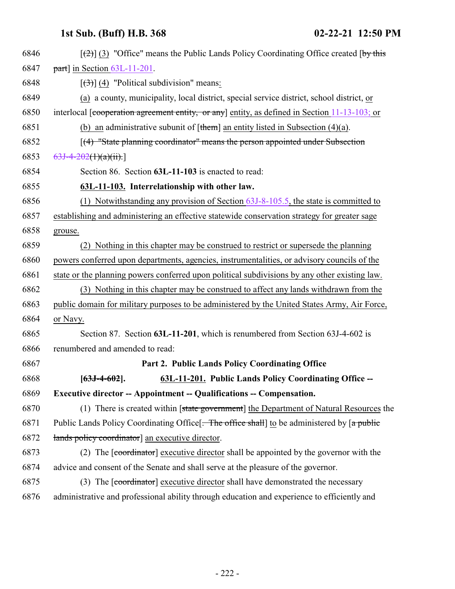<span id="page-221-0"></span>

| 6846 | $[\frac{1}{2}]$ (3) "Office" means the Public Lands Policy Coordinating Office created [by this |
|------|-------------------------------------------------------------------------------------------------|
| 6847 | $part$ ] in Section 63L-11-201.                                                                 |
| 6848 | $[\left(3\right)]$ (4) "Political subdivision" means:                                           |
| 6849 | (a) a county, municipality, local district, special service district, school district, or       |
| 6850 | interlocal [cooperation agreement entity, or any] entity, as defined in Section 11-13-103; or   |
| 6851 | (b) an administrative subunit of $[\t{them}]$ an entity listed in Subsection (4)(a).            |
| 6852 | [(4) "State planning coordinator" means the person appointed under Subsection                   |
| 6853 | $63J-4-202(1)(a)(ii).$                                                                          |
| 6854 | Section 86. Section 63L-11-103 is enacted to read:                                              |
| 6855 | 63L-11-103. Interrelationship with other law.                                                   |
| 6856 | (1) Notwithstanding any provision of Section $63J-8-105.5$ , the state is committed to          |
| 6857 | establishing and administering an effective statewide conservation strategy for greater sage    |
| 6858 | grouse.                                                                                         |
| 6859 | (2) Nothing in this chapter may be construed to restrict or supersede the planning              |
| 6860 | powers conferred upon departments, agencies, instrumentalities, or advisory councils of the     |
| 6861 | state or the planning powers conferred upon political subdivisions by any other existing law.   |
| 6862 | (3) Nothing in this chapter may be construed to affect any lands withdrawn from the             |
| 6863 | public domain for military purposes to be administered by the United States Army, Air Force,    |
| 6864 | or Navy.                                                                                        |
| 6865 | Section 87. Section 63L-11-201, which is renumbered from Section 63J-4-602 is                   |
| 6866 | renumbered and amended to read:                                                                 |
| 6867 | Part 2. Public Lands Policy Coordinating Office                                                 |
| 6868 | 63L-11-201. Public Lands Policy Coordinating Office --<br>$[63J-4-602]$ .                       |
| 6869 | <b>Executive director -- Appointment -- Qualifications -- Compensation.</b>                     |
| 6870 | (1) There is created within [state government] the Department of Natural Resources the          |
| 6871 | Public Lands Policy Coordinating Office [. The office shall] to be administered by [a public    |
| 6872 | lands policy coordinator] an executive director.                                                |
| 6873 | (2) The [coordinator] executive director shall be appointed by the governor with the            |
| 6874 | advice and consent of the Senate and shall serve at the pleasure of the governor.               |
| 6875 | (3) The [coordinator] executive director shall have demonstrated the necessary                  |
| 6876 | administrative and professional ability through education and experience to efficiently and     |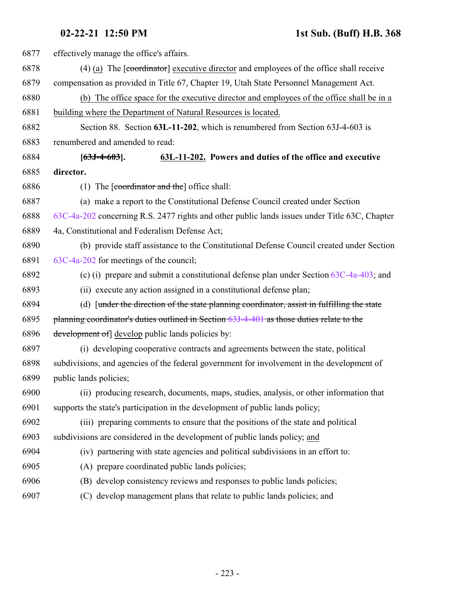| 6877 | effectively manage the office's affairs.                                                            |
|------|-----------------------------------------------------------------------------------------------------|
| 6878 | $(4)$ (a) The [coordinator] executive director and employees of the office shall receive            |
| 6879 | compensation as provided in Title 67, Chapter 19, Utah State Personnel Management Act.              |
| 6880 | (b) The office space for the executive director and employees of the office shall be in a           |
| 6881 | building where the Department of Natural Resources is located.                                      |
| 6882 | Section 88. Section 63L-11-202, which is renumbered from Section 63J-4-603 is                       |
| 6883 | renumbered and amended to read:                                                                     |
| 6884 | 63L-11-202. Powers and duties of the office and executive<br>$[63J-4-603]$ .                        |
| 6885 | director.                                                                                           |
| 6886 | (1) The $\lceil$ coordinator and the $\lceil$ office shall:                                         |
| 6887 | (a) make a report to the Constitutional Defense Council created under Section                       |
| 6888 | 63C-4a-202 concerning R.S. 2477 rights and other public lands issues under Title 63C, Chapter       |
| 6889 | 4a, Constitutional and Federalism Defense Act;                                                      |
| 6890 | (b) provide staff assistance to the Constitutional Defense Council created under Section            |
| 6891 | 63C-4a-202 for meetings of the council;                                                             |
| 6892 | (c) (i) prepare and submit a constitutional defense plan under Section $63C-4a-403$ ; and           |
| 6893 | (ii) execute any action assigned in a constitutional defense plan;                                  |
| 6894 | (d) $\lceil$ [under the direction of the state planning coordinator, assist in fulfilling the state |
| 6895 | planning coordinator's duties outlined in Section 63J-4-401 as those duties relate to the           |
| 6896 | development of develop public lands policies by:                                                    |
| 6897 | (i) developing cooperative contracts and agreements between the state, political                    |
| 6898 | subdivisions, and agencies of the federal government for involvement in the development of          |
| 6899 | public lands policies;                                                                              |
| 6900 | (ii) producing research, documents, maps, studies, analysis, or other information that              |
| 6901 | supports the state's participation in the development of public lands policy;                       |
| 6902 | (iii) preparing comments to ensure that the positions of the state and political                    |
| 6903 | subdivisions are considered in the development of public lands policy; and                          |
| 6904 | (iv) partnering with state agencies and political subdivisions in an effort to:                     |
| 6905 | (A) prepare coordinated public lands policies;                                                      |
| 6906 | (B) develop consistency reviews and responses to public lands policies;                             |
| 6907 | develop management plans that relate to public lands policies; and<br>(C)                           |
|      |                                                                                                     |

- 223 -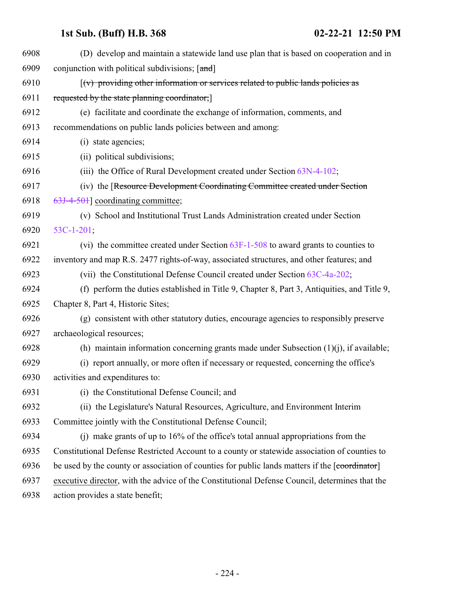| 6908 | (D) develop and maintain a statewide land use plan that is based on cooperation and in             |
|------|----------------------------------------------------------------------------------------------------|
| 6909 | conjunction with political subdivisions; [and]                                                     |
| 6910 | $\left[\left(v\right)$ providing other information or services related to public lands policies as |
| 6911 | requested by the state planning coordinator;                                                       |
| 6912 | (e) facilitate and coordinate the exchange of information, comments, and                           |
| 6913 | recommendations on public lands policies between and among:                                        |
| 6914 | (i) state agencies;                                                                                |
| 6915 | (ii) political subdivisions;                                                                       |
| 6916 | (iii) the Office of Rural Development created under Section 63N-4-102;                             |
| 6917 | (iv) the [Resource Development Coordinating Committee created under Section                        |
| 6918 | 63J-4-501] coordinating committee;                                                                 |
| 6919 | (v) School and Institutional Trust Lands Administration created under Section                      |
| 6920 | $53C-1-201$ ;                                                                                      |
| 6921 | (vi) the committee created under Section 63F-1-508 to award grants to counties to                  |
| 6922 | inventory and map R.S. 2477 rights-of-way, associated structures, and other features; and          |
| 6923 | (vii) the Constitutional Defense Council created under Section 63C-4a-202;                         |
| 6924 | (f) perform the duties established in Title 9, Chapter 8, Part 3, Antiquities, and Title 9,        |
| 6925 | Chapter 8, Part 4, Historic Sites;                                                                 |
| 6926 | (g) consistent with other statutory duties, encourage agencies to responsibly preserve             |
| 6927 | archaeological resources;                                                                          |
| 6928 | (h) maintain information concerning grants made under Subsection $(1)(i)$ , if available;          |
| 6929 | (i) report annually, or more often if necessary or requested, concerning the office's              |
| 6930 | activities and expenditures to:                                                                    |
| 6931 | (i) the Constitutional Defense Council; and                                                        |
| 6932 | (ii) the Legislature's Natural Resources, Agriculture, and Environment Interim                     |
| 6933 | Committee jointly with the Constitutional Defense Council;                                         |
| 6934 | (i) make grants of up to $16\%$ of the office's total annual appropriations from the               |
| 6935 | Constitutional Defense Restricted Account to a county or statewide association of counties to      |
| 6936 | be used by the county or association of counties for public lands matters if the [coordinator]     |
| 6937 | executive director, with the advice of the Constitutional Defense Council, determines that the     |
| 6938 | action provides a state benefit;                                                                   |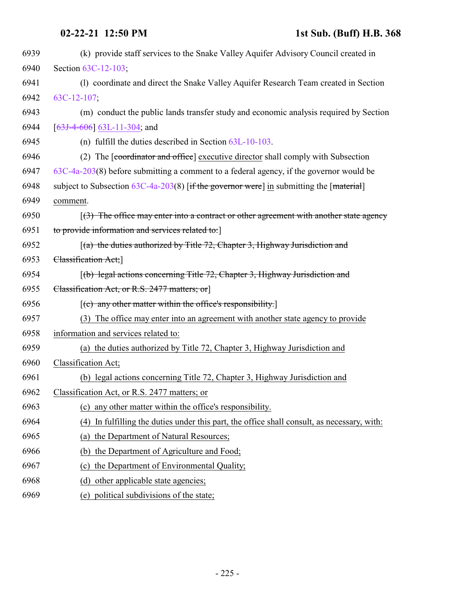| 6939 | (k) provide staff services to the Snake Valley Aquifer Advisory Council created in             |
|------|------------------------------------------------------------------------------------------------|
| 6940 | Section 63C-12-103;                                                                            |
| 6941 | (1) coordinate and direct the Snake Valley Aquifer Research Team created in Section            |
| 6942 | $63C-12-107$ ;                                                                                 |
| 6943 | (m) conduct the public lands transfer study and economic analysis required by Section          |
| 6944 | $[63J-4-606]$ 63L-11-304; and                                                                  |
| 6945 | (n) fulfill the duties described in Section $63L-10-103$ .                                     |
| 6946 | (2) The [coordinator and office] executive director shall comply with Subsection               |
| 6947 | $63C-4a-203(8)$ before submitting a comment to a federal agency, if the governor would be      |
| 6948 | subject to Subsection $63C-4a-203(8)$ [if the governor were] in submitting the [material]      |
| 6949 | comment.                                                                                       |
| 6950 | $(3)$ The office may enter into a contract or other agreement with another state agency        |
| 6951 | to provide information and services related to:                                                |
| 6952 | $[(a)$ the duties authorized by Title 72, Chapter 3, Highway Jurisdiction and                  |
| 6953 | Classification Act;                                                                            |
| 6954 | (b) legal actions concerning Title 72, Chapter 3, Highway Jurisdiction and                     |
| 6955 | Classification Act, or R.S. 2477 matters; or                                                   |
| 6956 | [(c) any other matter within the office's responsibility.]                                     |
| 6957 | (3) The office may enter into an agreement with another state agency to provide                |
| 6958 | information and services related to:                                                           |
| 6959 | (a) the duties authorized by Title 72, Chapter 3, Highway Jurisdiction and                     |
| 6960 | Classification Act;                                                                            |
| 6961 | (b) legal actions concerning Title 72, Chapter 3, Highway Jurisdiction and                     |
| 6962 | Classification Act, or R.S. 2477 matters; or                                                   |
| 6963 | any other matter within the office's responsibility.<br>(c)                                    |
| 6964 | In fulfilling the duties under this part, the office shall consult, as necessary, with:<br>(4) |
| 6965 | the Department of Natural Resources;<br>(a)                                                    |
| 6966 | the Department of Agriculture and Food;<br>(b)                                                 |
| 6967 | the Department of Environmental Quality;<br>(c)                                                |
| 6968 | other applicable state agencies;<br>(d)                                                        |
| 6969 | political subdivisions of the state;<br>(e)                                                    |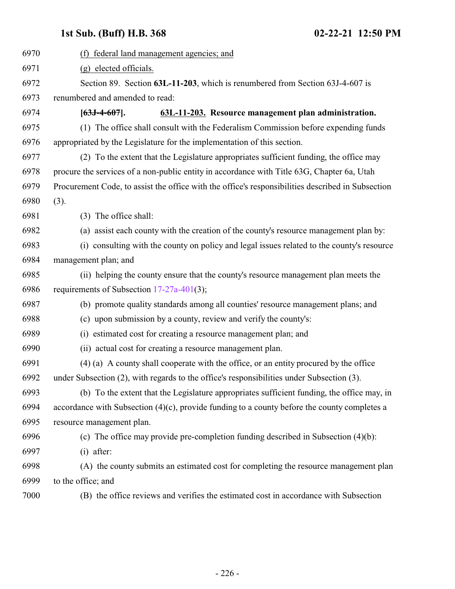<span id="page-225-0"></span>

| 6970 | (f) federal land management agencies; and                                                         |
|------|---------------------------------------------------------------------------------------------------|
| 6971 | (g) elected officials.                                                                            |
| 6972 | Section 89. Section 63L-11-203, which is renumbered from Section 63J-4-607 is                     |
| 6973 | renumbered and amended to read:                                                                   |
| 6974 | 63L-11-203. Resource management plan administration.<br>$[63J-4-607]$ .                           |
| 6975 | (1) The office shall consult with the Federalism Commission before expending funds                |
| 6976 | appropriated by the Legislature for the implementation of this section.                           |
| 6977 | (2) To the extent that the Legislature appropriates sufficient funding, the office may            |
| 6978 | procure the services of a non-public entity in accordance with Title 63G, Chapter 6a, Utah        |
| 6979 | Procurement Code, to assist the office with the office's responsibilities described in Subsection |
| 6980 | (3).                                                                                              |
| 6981 | (3) The office shall:                                                                             |
| 6982 | (a) assist each county with the creation of the county's resource management plan by:             |
| 6983 | (i) consulting with the county on policy and legal issues related to the county's resource        |
| 6984 | management plan; and                                                                              |
| 6985 | (ii) helping the county ensure that the county's resource management plan meets the               |
| 6986 | requirements of Subsection $17-27a-401(3)$ ;                                                      |
| 6987 | (b) promote quality standards among all counties' resource management plans; and                  |
| 6988 | (c) upon submission by a county, review and verify the county's:                                  |
| 6989 | (i) estimated cost for creating a resource management plan; and                                   |
| 6990 | (ii) actual cost for creating a resource management plan.                                         |
| 6991 | (4) (a) A county shall cooperate with the office, or an entity procured by the office             |
| 6992 | under Subsection (2), with regards to the office's responsibilities under Subsection (3).         |
| 6993 | (b) To the extent that the Legislature appropriates sufficient funding, the office may, in        |
| 6994 | accordance with Subsection $(4)(c)$ , provide funding to a county before the county completes a   |
| 6995 | resource management plan.                                                                         |
| 6996 | (c) The office may provide pre-completion funding described in Subsection (4)(b):                 |
| 6997 | $(i)$ after:                                                                                      |
| 6998 | (A) the county submits an estimated cost for completing the resource management plan              |
| 6999 | to the office; and                                                                                |
| 7000 | (B) the office reviews and verifies the estimated cost in accordance with Subsection              |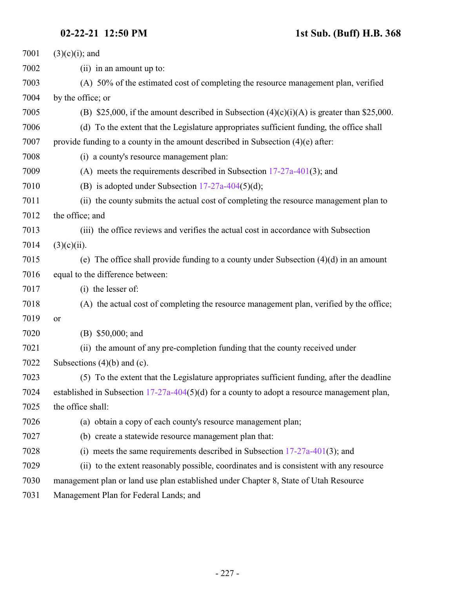| 7001 | $(3)(c)(i)$ ; and                                                                            |
|------|----------------------------------------------------------------------------------------------|
| 7002 | (ii) in an amount up to:                                                                     |
| 7003 | (A) 50% of the estimated cost of completing the resource management plan, verified           |
| 7004 | by the office; or                                                                            |
| 7005 | (B) \$25,000, if the amount described in Subsection $(4)(c)(i)(A)$ is greater than \$25,000. |
| 7006 | (d) To the extent that the Legislature appropriates sufficient funding, the office shall     |
| 7007 | provide funding to a county in the amount described in Subsection $(4)(e)$ after:            |
| 7008 | (i) a county's resource management plan:                                                     |
| 7009 | (A) meets the requirements described in Subsection $17-27a-401(3)$ ; and                     |
| 7010 | (B) is adopted under Subsection $17-27a-404(5)(d)$ ;                                         |
| 7011 | (ii) the county submits the actual cost of completing the resource management plan to        |
| 7012 | the office; and                                                                              |
| 7013 | (iii) the office reviews and verifies the actual cost in accordance with Subsection          |
| 7014 | $(3)(c)(ii)$ .                                                                               |
| 7015 | (e) The office shall provide funding to a county under Subsection $(4)(d)$ in an amount      |
| 7016 | equal to the difference between:                                                             |
| 7017 | (i) the lesser of:                                                                           |
| 7018 | (A) the actual cost of completing the resource management plan, verified by the office;      |
| 7019 | or                                                                                           |
| 7020 | (B) \$50,000; and                                                                            |
| 7021 | (ii) the amount of any pre-completion funding that the county received under                 |
| 7022 | Subsections $(4)(b)$ and $(c)$ .                                                             |
| 7023 | (5) To the extent that the Legislature appropriates sufficient funding, after the deadline   |
| 7024 | established in Subsection 17-27a-404(5)(d) for a county to adopt a resource management plan, |
| 7025 | the office shall:                                                                            |
| 7026 | (a) obtain a copy of each county's resource management plan;                                 |
| 7027 | (b) create a statewide resource management plan that:                                        |
| 7028 | (i) meets the same requirements described in Subsection $17-27a-401(3)$ ; and                |
| 7029 | (ii) to the extent reasonably possible, coordinates and is consistent with any resource      |
| 7030 | management plan or land use plan established under Chapter 8, State of Utah Resource         |
| 7031 | Management Plan for Federal Lands; and                                                       |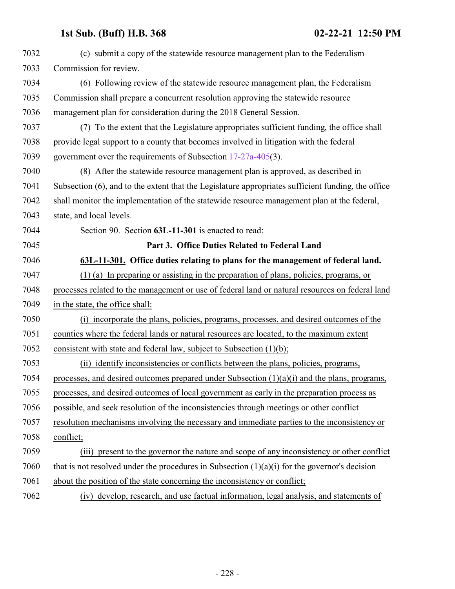<span id="page-227-0"></span>

| 7032 | (c) submit a copy of the statewide resource management plan to the Federalism                      |
|------|----------------------------------------------------------------------------------------------------|
| 7033 | Commission for review.                                                                             |
| 7034 | (6) Following review of the statewide resource management plan, the Federalism                     |
| 7035 | Commission shall prepare a concurrent resolution approving the statewide resource                  |
| 7036 | management plan for consideration during the 2018 General Session.                                 |
| 7037 | (7) To the extent that the Legislature appropriates sufficient funding, the office shall           |
| 7038 | provide legal support to a county that becomes involved in litigation with the federal             |
| 7039 | government over the requirements of Subsection 17-27a-405(3).                                      |
| 7040 | (8) After the statewide resource management plan is approved, as described in                      |
| 7041 | Subsection (6), and to the extent that the Legislature appropriates sufficient funding, the office |
| 7042 | shall monitor the implementation of the statewide resource management plan at the federal,         |
| 7043 | state, and local levels.                                                                           |
| 7044 | Section 90. Section 63L-11-301 is enacted to read:                                                 |
| 7045 | Part 3. Office Duties Related to Federal Land                                                      |
| 7046 | 63L-11-301. Office duties relating to plans for the management of federal land.                    |
| 7047 | $(1)$ (a) In preparing or assisting in the preparation of plans, policies, programs, or            |
| 7048 | processes related to the management or use of federal land or natural resources on federal land    |
| 7049 | in the state, the office shall:                                                                    |
| 7050 | (i) incorporate the plans, policies, programs, processes, and desired outcomes of the              |
| 7051 | counties where the federal lands or natural resources are located, to the maximum extent           |
| 7052 | consistent with state and federal law, subject to Subsection $(1)(b)$ ;                            |
| 7053 | (ii) identify inconsistencies or conflicts between the plans, policies, programs,                  |
| 7054 | processes, and desired outcomes prepared under Subsection (1)(a)(i) and the plans, programs,       |
| 7055 | processes, and desired outcomes of local government as early in the preparation process as         |
| 7056 | possible, and seek resolution of the inconsistencies through meetings or other conflict            |
| 7057 | resolution mechanisms involving the necessary and immediate parties to the inconsistency or        |
| 7058 | conflict;                                                                                          |
| 7059 | (iii) present to the governor the nature and scope of any inconsistency or other conflict          |
| 7060 | that is not resolved under the procedures in Subsection $(1)(a)(i)$ for the governor's decision    |
| 7061 |                                                                                                    |
|      | about the position of the state concerning the inconsistency or conflict;                          |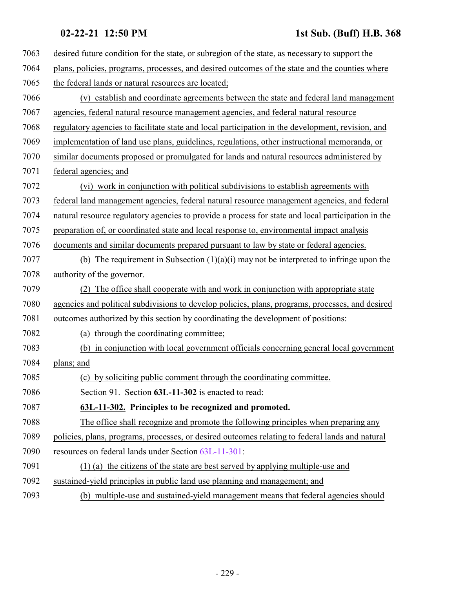| 7063 | desired future condition for the state, or subregion of the state, as necessary to support the     |
|------|----------------------------------------------------------------------------------------------------|
| 7064 | plans, policies, programs, processes, and desired outcomes of the state and the counties where     |
| 7065 | the federal lands or natural resources are located;                                                |
| 7066 | (v) establish and coordinate agreements between the state and federal land management              |
| 7067 | agencies, federal natural resource management agencies, and federal natural resource               |
| 7068 | regulatory agencies to facilitate state and local participation in the development, revision, and  |
| 7069 | implementation of land use plans, guidelines, regulations, other instructional memoranda, or       |
| 7070 | similar documents proposed or promulgated for lands and natural resources administered by          |
| 7071 | federal agencies; and                                                                              |
| 7072 | (vi) work in conjunction with political subdivisions to establish agreements with                  |
| 7073 | federal land management agencies, federal natural resource management agencies, and federal        |
| 7074 | natural resource regulatory agencies to provide a process for state and local participation in the |
| 7075 | preparation of, or coordinated state and local response to, environmental impact analysis          |
| 7076 | documents and similar documents prepared pursuant to law by state or federal agencies.             |
| 7077 | (b) The requirement in Subsection $(1)(a)(i)$ may not be interpreted to infringe upon the          |
| 7078 | authority of the governor.                                                                         |
| 7079 | The office shall cooperate with and work in conjunction with appropriate state                     |
| 7080 | agencies and political subdivisions to develop policies, plans, programs, processes, and desired   |
| 7081 | outcomes authorized by this section by coordinating the development of positions:                  |
| 7082 | through the coordinating committee;<br>(a)                                                         |
| 7083 | in conjunction with local government officials concerning general local government<br>(b)          |
| 7084 | plans; and                                                                                         |
| 7085 | (c) by soliciting public comment through the coordinating committee.                               |
| 7086 | Section 91. Section 63L-11-302 is enacted to read:                                                 |
| 7087 | 63L-11-302. Principles to be recognized and promoted.                                              |
| 7088 | The office shall recognize and promote the following principles when preparing any                 |
| 7089 | policies, plans, programs, processes, or desired outcomes relating to federal lands and natural    |
| 7090 | resources on federal lands under Section 63L-11-301:                                               |
| 7091 | $(1)$ (a) the citizens of the state are best served by applying multiple-use and                   |
| 7092 | sustained-yield principles in public land use planning and management; and                         |
| 7002 | (b) multiple use and metained riald measurement means                                              |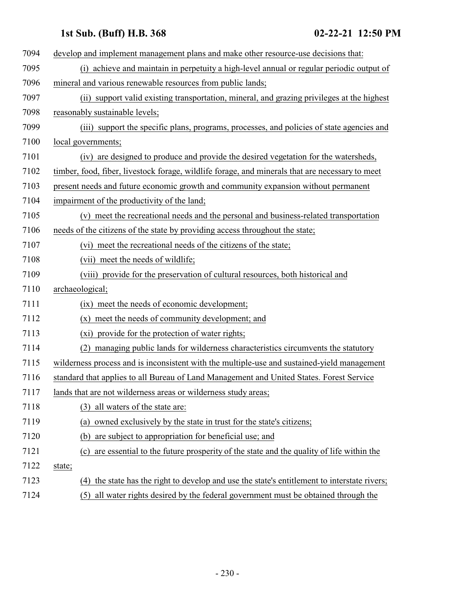| 7094 | develop and implement management plans and make other resource-use decisions that:              |
|------|-------------------------------------------------------------------------------------------------|
| 7095 | (i) achieve and maintain in perpetuity a high-level annual or regular periodic output of        |
| 7096 | mineral and various renewable resources from public lands;                                      |
| 7097 | (ii) support valid existing transportation, mineral, and grazing privileges at the highest      |
| 7098 | reasonably sustainable levels;                                                                  |
| 7099 | (iii) support the specific plans, programs, processes, and policies of state agencies and       |
| 7100 | local governments;                                                                              |
| 7101 | (iv) are designed to produce and provide the desired vegetation for the watersheds,             |
| 7102 | timber, food, fiber, livestock forage, wildlife forage, and minerals that are necessary to meet |
| 7103 | present needs and future economic growth and community expansion without permanent              |
| 7104 | impairment of the productivity of the land;                                                     |
| 7105 | (v) meet the recreational needs and the personal and business-related transportation            |
| 7106 | needs of the citizens of the state by providing access throughout the state;                    |
| 7107 | (vi) meet the recreational needs of the citizens of the state;                                  |
| 7108 | (vii) meet the needs of wildlife;                                                               |
| 7109 | (viii) provide for the preservation of cultural resources, both historical and                  |
| 7110 | archaeological;                                                                                 |
| 7111 | (ix) meet the needs of economic development;                                                    |
| 7112 | (x) meet the needs of community development; and                                                |
| 7113 | (xi) provide for the protection of water rights;                                                |
| 7114 | (2)<br>managing public lands for wilderness characteristics circumvents the statutory           |
| 7115 | wilderness process and is inconsistent with the multiple-use and sustained-yield management     |
| 7116 | standard that applies to all Bureau of Land Management and United States. Forest Service        |
| 7117 | lands that are not wilderness areas or wilderness study areas;                                  |
| 7118 | all waters of the state are:<br>(3)                                                             |
| 7119 | owned exclusively by the state in trust for the state's citizens;<br>(a)                        |
| 7120 | are subject to appropriation for beneficial use; and<br>(b)                                     |
| 7121 | are essential to the future prosperity of the state and the quality of life within the<br>(c)   |
| 7122 | state;                                                                                          |
| 7123 | the state has the right to develop and use the state's entitlement to interstate rivers;<br>(4) |
| 7124 | all water rights desired by the federal government must be obtained through the<br>(5)          |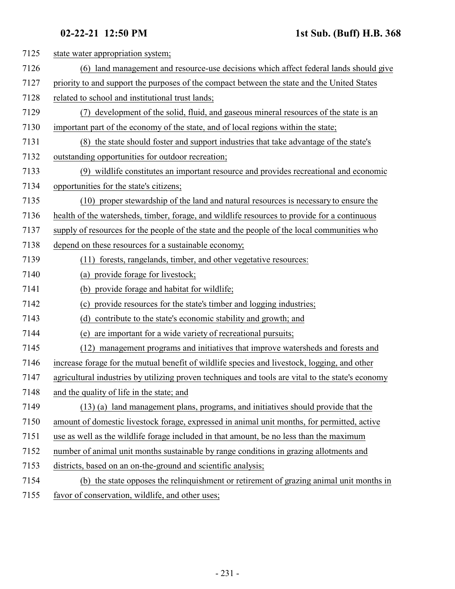| 7125 | state water appropriation system;                                                                 |
|------|---------------------------------------------------------------------------------------------------|
| 7126 | (6) land management and resource-use decisions which affect federal lands should give             |
| 7127 | priority to and support the purposes of the compact between the state and the United States       |
| 7128 | related to school and institutional trust lands;                                                  |
| 7129 | development of the solid, fluid, and gaseous mineral resources of the state is an                 |
| 7130 | important part of the economy of the state, and of local regions within the state;                |
| 7131 | (8) the state should foster and support industries that take advantage of the state's             |
| 7132 | outstanding opportunities for outdoor recreation;                                                 |
| 7133 | (9) wildlife constitutes an important resource and provides recreational and economic             |
| 7134 | opportunities for the state's citizens;                                                           |
| 7135 | (10) proper stewardship of the land and natural resources is necessary to ensure the              |
| 7136 | health of the watersheds, timber, forage, and wildlife resources to provide for a continuous      |
| 7137 | supply of resources for the people of the state and the people of the local communities who       |
| 7138 | depend on these resources for a sustainable economy;                                              |
| 7139 | (11) forests, rangelands, timber, and other vegetative resources:                                 |
| 7140 | (a) provide forage for livestock;                                                                 |
| 7141 | (b) provide forage and habitat for wildlife;                                                      |
| 7142 | provide resources for the state's timber and logging industries;<br>(c)                           |
| 7143 | (d) contribute to the state's economic stability and growth; and                                  |
| 7144 | are important for a wide variety of recreational pursuits;<br>(e)                                 |
| 7145 | (12) management programs and initiatives that improve watersheds and forests and                  |
| 7146 | increase forage for the mutual benefit of wildlife species and livestock, logging, and other      |
| 7147 | agricultural industries by utilizing proven techniques and tools are vital to the state's economy |
| 7148 | and the quality of life in the state; and                                                         |
| 7149 | (13) (a) land management plans, programs, and initiatives should provide that the                 |
| 7150 | amount of domestic livestock forage, expressed in animal unit months, for permitted, active       |
| 7151 | use as well as the wildlife forage included in that amount, be no less than the maximum           |
| 7152 | number of animal unit months sustainable by range conditions in grazing allotments and            |
| 7153 | districts, based on an on-the-ground and scientific analysis;                                     |
| 7154 | (b) the state opposes the relinquishment or retirement of grazing animal unit months in           |
| 7155 | favor of conservation, wildlife, and other uses;                                                  |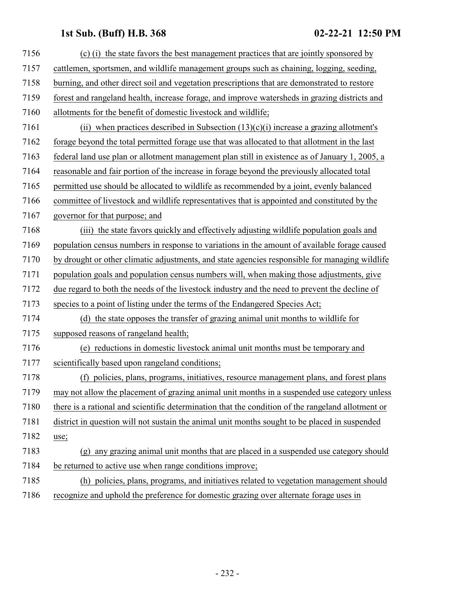| 7156 | (c) (i) the state favors the best management practices that are jointly sponsored by                  |
|------|-------------------------------------------------------------------------------------------------------|
| 7157 | cattlemen, sportsmen, and wildlife management groups such as chaining, logging, seeding,              |
| 7158 | burning, and other direct soil and vegetation prescriptions that are demonstrated to restore          |
| 7159 | forest and rangeland health, increase forage, and improve watersheds in grazing districts and         |
| 7160 | allotments for the benefit of domestic livestock and wildlife;                                        |
| 7161 | (ii) when practices described in Subsection $(13)(c)(i)$ increase a grazing allotment's               |
| 7162 | forage beyond the total permitted forage use that was allocated to that allotment in the last         |
| 7163 | federal land use plan or allotment management plan still in existence as of January 1, 2005, a        |
| 7164 | reasonable and fair portion of the increase in forage beyond the previously allocated total           |
| 7165 | permitted use should be allocated to wildlife as recommended by a joint, evenly balanced              |
| 7166 | committee of livestock and wildlife representatives that is appointed and constituted by the          |
| 7167 | governor for that purpose; and                                                                        |
| 7168 | (iii) the state favors quickly and effectively adjusting wildlife population goals and                |
| 7169 | population census numbers in response to variations in the amount of available forage caused          |
| 7170 | by drought or other climatic adjustments, and state agencies responsible for managing wildlife        |
| 7171 | population goals and population census numbers will, when making those adjustments, give              |
| 7172 | due regard to both the needs of the livestock industry and the need to prevent the decline of         |
| 7173 | species to a point of listing under the terms of the Endangered Species Act;                          |
| 7174 | (d) the state opposes the transfer of grazing animal unit months to wildlife for                      |
| 7175 | supposed reasons of rangeland health;                                                                 |
| 7176 | (e) reductions in domestic livestock animal unit months must be temporary and                         |
| 7177 | scientifically based upon rangeland conditions;                                                       |
| 7178 | (f) policies, plans, programs, initiatives, resource management plans, and forest plans               |
| 7179 | may not allow the placement of grazing animal unit months in a suspended use category unless          |
| 7180 | there is a rational and scientific determination that the condition of the rangeland allotment or     |
| 7181 | district in question will not sustain the animal unit months sought to be placed in suspended         |
| 7182 | use;                                                                                                  |
| 7183 | any grazing animal unit months that are placed in a suspended use category should<br>$(\mathfrak{g})$ |
| 7184 | be returned to active use when range conditions improve;                                              |
| 7185 | (h) policies, plans, programs, and initiatives related to vegetation management should                |
| 7186 | recognize and uphold the preference for domestic grazing over alternate forage uses in                |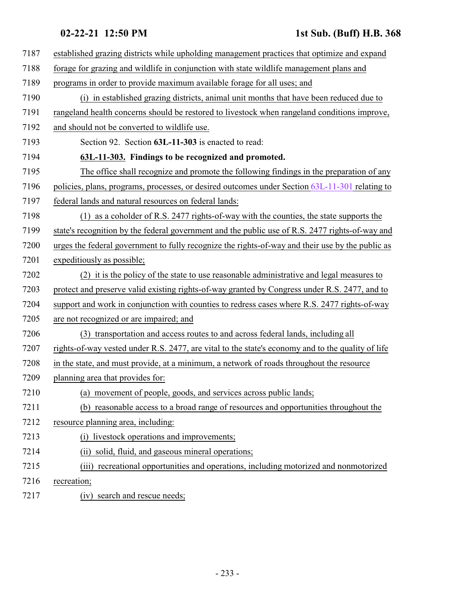| 7187 | established grazing districts while upholding management practices that optimize and expand       |
|------|---------------------------------------------------------------------------------------------------|
| 7188 | forage for grazing and wildlife in conjunction with state wildlife management plans and           |
| 7189 | programs in order to provide maximum available forage for all uses; and                           |
| 7190 | (i) in established grazing districts, animal unit months that have been reduced due to            |
| 7191 | rangeland health concerns should be restored to livestock when rangeland conditions improve,      |
| 7192 | and should not be converted to wildlife use.                                                      |
| 7193 | Section 92. Section 63L-11-303 is enacted to read:                                                |
| 7194 | 63L-11-303. Findings to be recognized and promoted.                                               |
| 7195 | The office shall recognize and promote the following findings in the preparation of any           |
| 7196 | policies, plans, programs, processes, or desired outcomes under Section 63L-11-301 relating to    |
| 7197 | federal lands and natural resources on federal lands:                                             |
| 7198 | (1) as a coholder of R.S. 2477 rights-of-way with the counties, the state supports the            |
| 7199 | state's recognition by the federal government and the public use of R.S. 2477 rights-of-way and   |
| 7200 | urges the federal government to fully recognize the rights-of-way and their use by the public as  |
| 7201 | expeditiously as possible;                                                                        |
| 7202 | (2) it is the policy of the state to use reasonable administrative and legal measures to          |
| 7203 | protect and preserve valid existing rights-of-way granted by Congress under R.S. 2477, and to     |
| 7204 | support and work in conjunction with counties to redress cases where R.S. 2477 rights-of-way      |
| 7205 | are not recognized or are impaired; and                                                           |
| 7206 | (3) transportation and access routes to and across federal lands, including all                   |
| 7207 | rights-of-way vested under R.S. 2477, are vital to the state's economy and to the quality of life |
| 7208 | in the state, and must provide, at a minimum, a network of roads throughout the resource          |
| 7209 | planning area that provides for:                                                                  |
| 7210 | (a) movement of people, goods, and services across public lands;                                  |
| 7211 | (b) reasonable access to a broad range of resources and opportunities throughout the              |
| 7212 | resource planning area, including:                                                                |
| 7213 | livestock operations and improvements;<br>(i)                                                     |
| 7214 | solid, fluid, and gaseous mineral operations;<br>(11)                                             |
| 7215 | (iii) recreational opportunities and operations, including motorized and nonmotorized             |
| 7216 | recreation;                                                                                       |
| 7217 | (iv) search and rescue needs;                                                                     |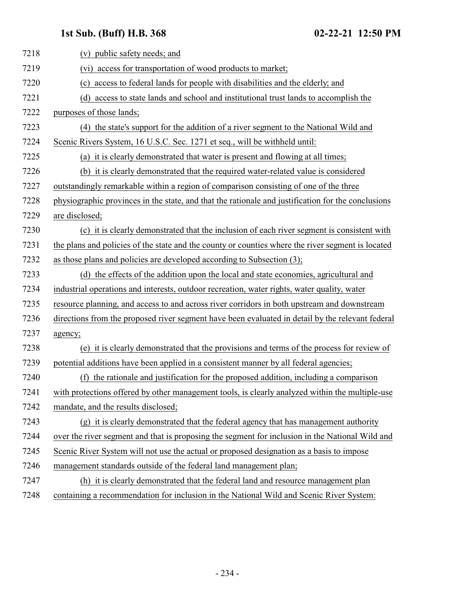| 7218 | (v) public safety needs; and                                                                       |
|------|----------------------------------------------------------------------------------------------------|
| 7219 | (vi) access for transportation of wood products to market;                                         |
| 7220 | access to federal lands for people with disabilities and the elderly; and<br>(c)                   |
| 7221 | access to state lands and school and institutional trust lands to accomplish the<br>(d)            |
| 7222 | purposes of those lands;                                                                           |
| 7223 | (4) the state's support for the addition of a river segment to the National Wild and               |
| 7224 | Scenic Rivers System, 16 U.S.C. Sec. 1271 et seq., will be withheld until:                         |
| 7225 | (a) it is clearly demonstrated that water is present and flowing at all times;                     |
| 7226 | (b) it is clearly demonstrated that the required water-related value is considered                 |
| 7227 | outstandingly remarkable within a region of comparison consisting of one of the three              |
| 7228 | physiographic provinces in the state, and that the rationale and justification for the conclusions |
| 7229 | are disclosed;                                                                                     |
| 7230 | (c) it is clearly demonstrated that the inclusion of each river segment is consistent with         |
| 7231 | the plans and policies of the state and the county or counties where the river segment is located  |
| 7232 | as those plans and policies are developed according to Subsection (3);                             |
| 7233 | (d) the effects of the addition upon the local and state economies, agricultural and               |
| 7234 | industrial operations and interests, outdoor recreation, water rights, water quality, water        |
| 7235 | resource planning, and access to and across river corridors in both upstream and downstream        |
| 7236 | directions from the proposed river segment have been evaluated in detail by the relevant federal   |
| 7237 | agency;                                                                                            |
| 7238 | (e) it is clearly demonstrated that the provisions and terms of the process for review of          |
| 7239 | potential additions have been applied in a consistent manner by all federal agencies;              |
| 7240 | (f) the rationale and justification for the proposed addition, including a comparison              |
| 7241 | with protections offered by other management tools, is clearly analyzed within the multiple-use    |
| 7242 | mandate, and the results disclosed;                                                                |
| 7243 | (g) it is clearly demonstrated that the federal agency that has management authority               |
| 7244 | over the river segment and that is proposing the segment for inclusion in the National Wild and    |
| 7245 | Scenic River System will not use the actual or proposed designation as a basis to impose           |
| 7246 | management standards outside of the federal land management plan;                                  |
| 7247 | (h) it is clearly demonstrated that the federal land and resource management plan                  |
| 7248 | containing a recommendation for inclusion in the National Wild and Scenic River System:            |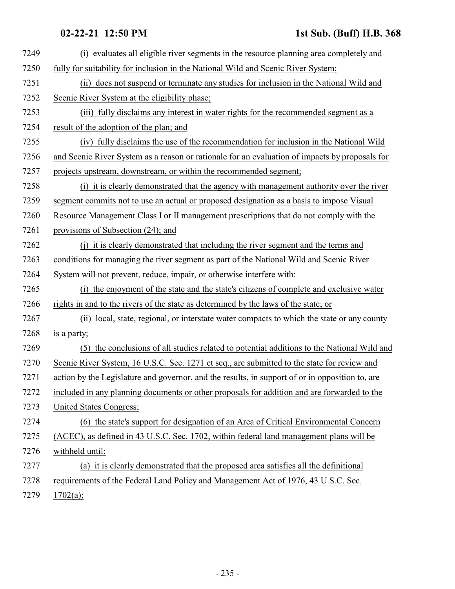| 7249 | (i) evaluates all eligible river segments in the resource planning area completely and          |
|------|-------------------------------------------------------------------------------------------------|
| 7250 | fully for suitability for inclusion in the National Wild and Scenic River System;               |
| 7251 | does not suspend or terminate any studies for inclusion in the National Wild and<br>(ii)        |
| 7252 | Scenic River System at the eligibility phase;                                                   |
| 7253 | (iii) fully disclaims any interest in water rights for the recommended segment as a             |
| 7254 | result of the adoption of the plan; and                                                         |
| 7255 | (iv) fully disclaims the use of the recommendation for inclusion in the National Wild           |
| 7256 | and Scenic River System as a reason or rationale for an evaluation of impacts by proposals for  |
| 7257 | projects upstream, downstream, or within the recommended segment;                               |
| 7258 | (i) it is clearly demonstrated that the agency with management authority over the river         |
| 7259 | segment commits not to use an actual or proposed designation as a basis to impose Visual        |
| 7260 | Resource Management Class I or II management prescriptions that do not comply with the          |
| 7261 | provisions of Subsection (24); and                                                              |
| 7262 | (j) it is clearly demonstrated that including the river segment and the terms and               |
| 7263 | conditions for managing the river segment as part of the National Wild and Scenic River         |
| 7264 | System will not prevent, reduce, impair, or otherwise interfere with:                           |
| 7265 | (i) the enjoyment of the state and the state's citizens of complete and exclusive water         |
| 7266 | rights in and to the rivers of the state as determined by the laws of the state; or             |
| 7267 | local, state, regional, or interstate water compacts to which the state or any county<br>(ii)   |
| 7268 | is a party;                                                                                     |
| 7269 | the conclusions of all studies related to potential additions to the National Wild and<br>(5)   |
| 7270 | Scenic River System, 16 U.S.C. Sec. 1271 et seq., are submitted to the state for review and     |
| 7271 | action by the Legislature and governor, and the results, in support of or in opposition to, are |
| 7272 | included in any planning documents or other proposals for addition and are forwarded to the     |
| 7273 | United States Congress;                                                                         |
| 7274 | (6) the state's support for designation of an Area of Critical Environmental Concern            |
| 7275 | (ACEC), as defined in 43 U.S.C. Sec. 1702, within federal land management plans will be         |
| 7276 | withheld until:                                                                                 |
| 7277 | (a) it is clearly demonstrated that the proposed area satisfies all the definitional            |
| 7278 | requirements of the Federal Land Policy and Management Act of 1976, 43 U.S.C. Sec.              |
| 7279 | 1702(a);                                                                                        |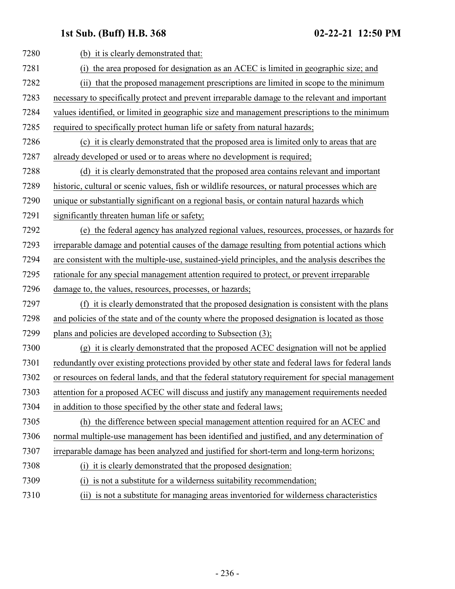| 7280 | (b) it is clearly demonstrated that:                                                             |
|------|--------------------------------------------------------------------------------------------------|
| 7281 | the area proposed for designation as an ACEC is limited in geographic size; and<br>(i)           |
| 7282 | that the proposed management prescriptions are limited in scope to the minimum<br>(ii)           |
| 7283 | necessary to specifically protect and prevent irreparable damage to the relevant and important   |
| 7284 | values identified, or limited in geographic size and management prescriptions to the minimum     |
| 7285 | required to specifically protect human life or safety from natural hazards;                      |
| 7286 | (c) it is clearly demonstrated that the proposed area is limited only to areas that are          |
| 7287 | already developed or used or to areas where no development is required;                          |
| 7288 | (d) it is clearly demonstrated that the proposed area contains relevant and important            |
| 7289 | historic, cultural or scenic values, fish or wildlife resources, or natural processes which are  |
| 7290 | unique or substantially significant on a regional basis, or contain natural hazards which        |
| 7291 | significantly threaten human life or safety;                                                     |
| 7292 | (e) the federal agency has analyzed regional values, resources, processes, or hazards for        |
| 7293 | irreparable damage and potential causes of the damage resulting from potential actions which     |
| 7294 | are consistent with the multiple-use, sustained-yield principles, and the analysis describes the |
| 7295 | rationale for any special management attention required to protect, or prevent irreparable       |
| 7296 | damage to, the values, resources, processes, or hazards;                                         |
| 7297 | (f) it is clearly demonstrated that the proposed designation is consistent with the plans        |
| 7298 | and policies of the state and of the county where the proposed designation is located as those   |
| 7299 | plans and policies are developed according to Subsection (3);                                    |
| 7300 | (g) it is clearly demonstrated that the proposed ACEC designation will not be applied            |
| 7301 | redundantly over existing protections provided by other state and federal laws for federal lands |
| 7302 | or resources on federal lands, and that the federal statutory requirement for special management |
| 7303 | attention for a proposed ACEC will discuss and justify any management requirements needed        |
| 7304 | in addition to those specified by the other state and federal laws;                              |
| 7305 | (h) the difference between special management attention required for an ACEC and                 |
| 7306 | normal multiple-use management has been identified and justified, and any determination of       |
| 7307 | irreparable damage has been analyzed and justified for short-term and long-term horizons;        |
| 7308 | (i) it is clearly demonstrated that the proposed designation:                                    |
| 7309 | is not a substitute for a wilderness suitability recommendation;<br>(i)                          |
| 7310 | (ii) is not a substitute for managing areas inventoried for wilderness characteristics           |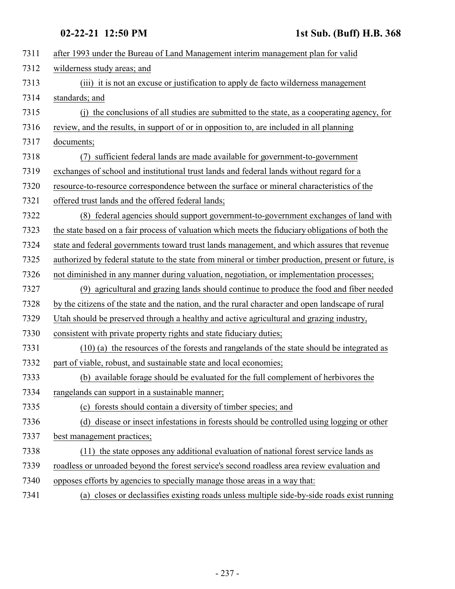| 7311 | after 1993 under the Bureau of Land Management interim management plan for valid                    |
|------|-----------------------------------------------------------------------------------------------------|
| 7312 | wilderness study areas; and                                                                         |
| 7313 | (iii) it is not an excuse or justification to apply de facto wilderness management                  |
| 7314 | standards; and                                                                                      |
| 7315 | the conclusions of all studies are submitted to the state, as a cooperating agency, for<br>(i)      |
| 7316 | review, and the results, in support of or in opposition to, are included in all planning            |
| 7317 | documents;                                                                                          |
| 7318 | sufficient federal lands are made available for government-to-government<br>(7)                     |
| 7319 | exchanges of school and institutional trust lands and federal lands without regard for a            |
| 7320 | resource-to-resource correspondence between the surface or mineral characteristics of the           |
| 7321 | offered trust lands and the offered federal lands;                                                  |
| 7322 | (8) federal agencies should support government-to-government exchanges of land with                 |
| 7323 | the state based on a fair process of valuation which meets the fiduciary obligations of both the    |
| 7324 | state and federal governments toward trust lands management, and which assures that revenue         |
| 7325 | authorized by federal statute to the state from mineral or timber production, present or future, is |
| 7326 | not diminished in any manner during valuation, negotiation, or implementation processes;            |
| 7327 | (9) agricultural and grazing lands should continue to produce the food and fiber needed             |
| 7328 | by the citizens of the state and the nation, and the rural character and open landscape of rural    |
| 7329 | Utah should be preserved through a healthy and active agricultural and grazing industry,            |
| 7330 | consistent with private property rights and state fiduciary duties;                                 |
| 7331 | (10) (a) the resources of the forests and rangelands of the state should be integrated as           |
| 7332 | part of viable, robust, and sustainable state and local economies;                                  |
| 7333 | (b) available forage should be evaluated for the full complement of herbivores the                  |
| 7334 | rangelands can support in a sustainable manner;                                                     |
| 7335 | (c) forests should contain a diversity of timber species; and                                       |
| 7336 | (d) disease or insect infestations in forests should be controlled using logging or other           |
| 7337 | best management practices;                                                                          |
| 7338 | (11) the state opposes any additional evaluation of national forest service lands as                |
| 7339 | roadless or unroaded beyond the forest service's second roadless area review evaluation and         |
| 7340 | opposes efforts by agencies to specially manage those areas in a way that:                          |
| 7341 | (a) closes or declassifies existing roads unless multiple side-by-side roads exist running          |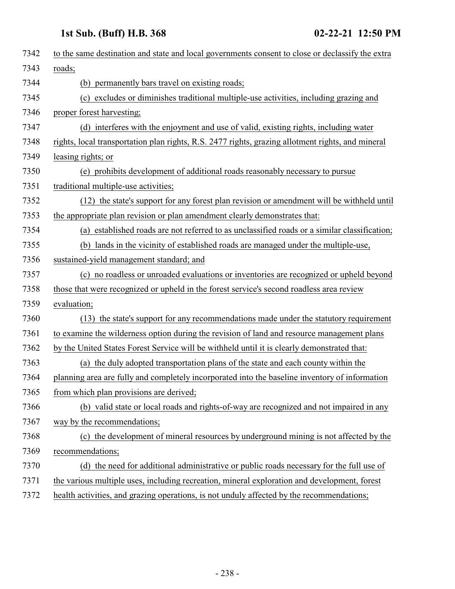| 7342 | to the same destination and state and local governments consent to close or declassify the extra  |
|------|---------------------------------------------------------------------------------------------------|
| 7343 | roads;                                                                                            |
| 7344 | permanently bars travel on existing roads;<br>(b)                                                 |
| 7345 | (c) excludes or diminishes traditional multiple-use activities, including grazing and             |
| 7346 | proper forest harvesting;                                                                         |
| 7347 | (d) interferes with the enjoyment and use of valid, existing rights, including water              |
| 7348 | rights, local transportation plan rights, R.S. 2477 rights, grazing allotment rights, and mineral |
| 7349 | leasing rights; or                                                                                |
| 7350 | (e) prohibits development of additional roads reasonably necessary to pursue                      |
| 7351 | traditional multiple-use activities;                                                              |
| 7352 | (12) the state's support for any forest plan revision or amendment will be withheld until         |
| 7353 | the appropriate plan revision or plan amendment clearly demonstrates that:                        |
| 7354 | (a) established roads are not referred to as unclassified roads or a similar classification;      |
| 7355 | (b) lands in the vicinity of established roads are managed under the multiple-use,                |
| 7356 | sustained-yield management standard; and                                                          |
| 7357 | (c) no roadless or unroaded evaluations or inventories are recognized or upheld beyond            |
| 7358 | those that were recognized or upheld in the forest service's second roadless area review          |
| 7359 | evaluation;                                                                                       |
| 7360 | (13) the state's support for any recommendations made under the statutory requirement             |
| 7361 | to examine the wilderness option during the revision of land and resource management plans        |
| 7362 | by the United States Forest Service will be withheld until it is clearly demonstrated that:       |
| 7363 | (a) the duly adopted transportation plans of the state and each county within the                 |
| 7364 | planning area are fully and completely incorporated into the baseline inventory of information    |
| 7365 | from which plan provisions are derived;                                                           |
| 7366 | (b) valid state or local roads and rights-of-way are recognized and not impaired in any           |
| 7367 | way by the recommendations;                                                                       |
| 7368 | (c) the development of mineral resources by underground mining is not affected by the             |
| 7369 | recommendations;                                                                                  |
| 7370 | (d) the need for additional administrative or public roads necessary for the full use of          |
| 7371 | the various multiple uses, including recreation, mineral exploration and development, forest      |
| 7372 | health activities, and grazing operations, is not unduly affected by the recommendations;         |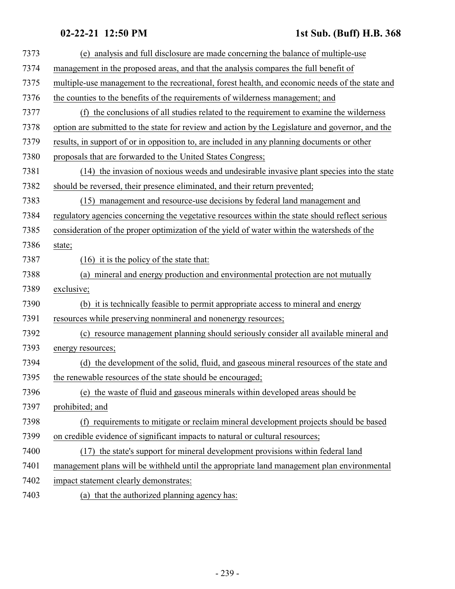| 7373 | (e) analysis and full disclosure are made concerning the balance of multiple-use                 |
|------|--------------------------------------------------------------------------------------------------|
| 7374 | management in the proposed areas, and that the analysis compares the full benefit of             |
| 7375 | multiple-use management to the recreational, forest health, and economic needs of the state and  |
| 7376 | the counties to the benefits of the requirements of wilderness management; and                   |
| 7377 | the conclusions of all studies related to the requirement to examine the wilderness<br>(f)       |
| 7378 | option are submitted to the state for review and action by the Legislature and governor, and the |
| 7379 | results, in support of or in opposition to, are included in any planning documents or other      |
| 7380 | proposals that are forwarded to the United States Congress;                                      |
| 7381 | (14) the invasion of noxious weeds and undesirable invasive plant species into the state         |
| 7382 | should be reversed, their presence eliminated, and their return prevented;                       |
| 7383 | (15) management and resource-use decisions by federal land management and                        |
| 7384 | regulatory agencies concerning the vegetative resources within the state should reflect serious  |
| 7385 | consideration of the proper optimization of the yield of water within the watersheds of the      |
| 7386 | state;                                                                                           |
| 7387 | $(16)$ it is the policy of the state that:                                                       |
| 7388 | (a) mineral and energy production and environmental protection are not mutually                  |
| 7389 | exclusive;                                                                                       |
| 7390 | (b) it is technically feasible to permit appropriate access to mineral and energy                |
| 7391 | resources while preserving nonmineral and nonenergy resources;                                   |
| 7392 | (c) resource management planning should seriously consider all available mineral and             |
| 7393 | energy resources;                                                                                |
| 7394 | (d) the development of the solid, fluid, and gaseous mineral resources of the state and          |
| 7395 | the renewable resources of the state should be encouraged;                                       |
| 7396 | (e) the waste of fluid and gaseous minerals within developed areas should be                     |
| 7397 | prohibited; and                                                                                  |
| 7398 | (f) requirements to mitigate or reclaim mineral development projects should be based             |
| 7399 | on credible evidence of significant impacts to natural or cultural resources;                    |
| 7400 | (17) the state's support for mineral development provisions within federal land                  |
| 7401 | management plans will be withheld until the appropriate land management plan environmental       |
| 7402 | impact statement clearly demonstrates:                                                           |
| 7403 | (a) that the authorized planning agency has:                                                     |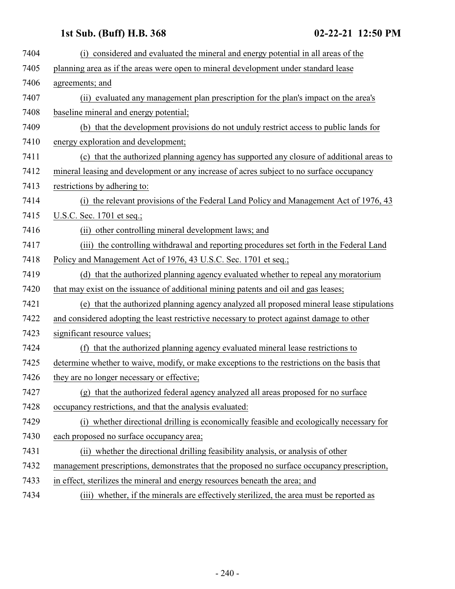| 7404 | (i) considered and evaluated the mineral and energy potential in all areas of the            |
|------|----------------------------------------------------------------------------------------------|
| 7405 | planning area as if the areas were open to mineral development under standard lease          |
| 7406 | agreements; and                                                                              |
| 7407 | (ii) evaluated any management plan prescription for the plan's impact on the area's          |
| 7408 | baseline mineral and energy potential;                                                       |
| 7409 | (b) that the development provisions do not unduly restrict access to public lands for        |
| 7410 | energy exploration and development;                                                          |
| 7411 | (c) that the authorized planning agency has supported any closure of additional areas to     |
| 7412 | mineral leasing and development or any increase of acres subject to no surface occupancy     |
| 7413 | restrictions by adhering to:                                                                 |
| 7414 | (i) the relevant provisions of the Federal Land Policy and Management Act of 1976, 43        |
| 7415 | U.S.C. Sec. 1701 et seq.;                                                                    |
| 7416 | (ii) other controlling mineral development laws; and                                         |
| 7417 | (iii) the controlling withdrawal and reporting procedures set forth in the Federal Land      |
| 7418 | Policy and Management Act of 1976, 43 U.S.C. Sec. 1701 et seq.;                              |
| 7419 | (d) that the authorized planning agency evaluated whether to repeal any moratorium           |
| 7420 | that may exist on the issuance of additional mining patents and oil and gas leases;          |
| 7421 | (e) that the authorized planning agency analyzed all proposed mineral lease stipulations     |
| 7422 | and considered adopting the least restrictive necessary to protect against damage to other   |
| 7423 | significant resource values;                                                                 |
| 7424 | that the authorized planning agency evaluated mineral lease restrictions to<br>(f)           |
| 7425 | determine whether to waive, modify, or make exceptions to the restrictions on the basis that |
| 7426 | they are no longer necessary or effective;                                                   |
| 7427 | (g) that the authorized federal agency analyzed all areas proposed for no surface            |
| 7428 | occupancy restrictions, and that the analysis evaluated:                                     |
| 7429 | (i) whether directional drilling is economically feasible and ecologically necessary for     |
| 7430 | each proposed no surface occupancy area;                                                     |
| 7431 | (ii) whether the directional drilling feasibility analysis, or analysis of other             |
| 7432 | management prescriptions, demonstrates that the proposed no surface occupancy prescription,  |
| 7433 | in effect, sterilizes the mineral and energy resources beneath the area; and                 |
| 7434 | (iii) whether, if the minerals are effectively sterilized, the area must be reported as      |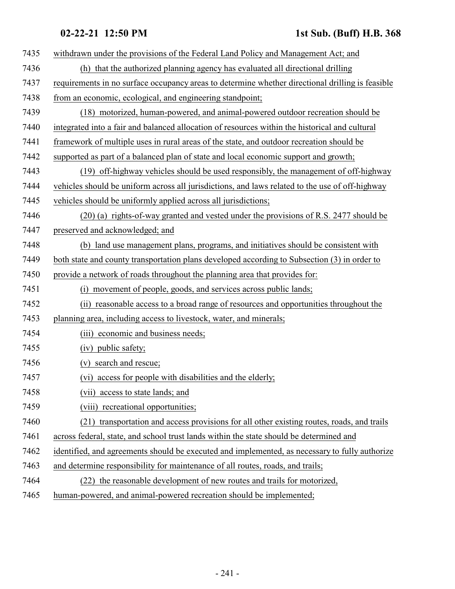| 7435 | withdrawn under the provisions of the Federal Land Policy and Management Act; and                |
|------|--------------------------------------------------------------------------------------------------|
| 7436 | (h) that the authorized planning agency has evaluated all directional drilling                   |
| 7437 | requirements in no surface occupancy areas to determine whether directional drilling is feasible |
| 7438 | from an economic, ecological, and engineering standpoint;                                        |
| 7439 | (18) motorized, human-powered, and animal-powered outdoor recreation should be                   |
| 7440 | integrated into a fair and balanced allocation of resources within the historical and cultural   |
| 7441 | framework of multiple uses in rural areas of the state, and outdoor recreation should be         |
| 7442 | supported as part of a balanced plan of state and local economic support and growth;             |
| 7443 | (19) off-highway vehicles should be used responsibly, the management of off-highway              |
| 7444 | vehicles should be uniform across all jurisdictions, and laws related to the use of off-highway  |
| 7445 | vehicles should be uniformly applied across all jurisdictions;                                   |
| 7446 | $(20)$ (a) rights-of-way granted and vested under the provisions of R.S. 2477 should be          |
| 7447 | preserved and acknowledged; and                                                                  |
| 7448 | (b) land use management plans, programs, and initiatives should be consistent with               |
| 7449 | both state and county transportation plans developed according to Subsection (3) in order to     |
| 7450 | provide a network of roads throughout the planning area that provides for:                       |
| 7451 | (i) movement of people, goods, and services across public lands;                                 |
| 7452 | (ii) reasonable access to a broad range of resources and opportunities throughout the            |
| 7453 | planning area, including access to livestock, water, and minerals;                               |
| 7454 | (iii) economic and business needs;                                                               |
| 7455 | (iv) public safety;                                                                              |
| 7456 | (v) search and rescue;                                                                           |
| 7457 | (vi) access for people with disabilities and the elderly;                                        |
| 7458 | (vii) access to state lands; and                                                                 |
| 7459 | (viii) recreational opportunities;                                                               |
| 7460 | (21) transportation and access provisions for all other existing routes, roads, and trails       |
| 7461 | across federal, state, and school trust lands within the state should be determined and          |
| 7462 | identified, and agreements should be executed and implemented, as necessary to fully authorize   |
| 7463 | and determine responsibility for maintenance of all routes, roads, and trails;                   |
| 7464 | (22) the reasonable development of new routes and trails for motorized,                          |
|      |                                                                                                  |

human-powered, and animal-powered recreation should be implemented;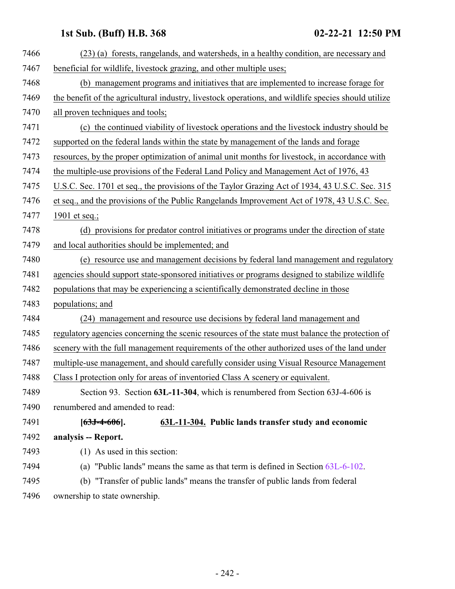<span id="page-241-0"></span>

| 7466 | (23) (a) forests, rangelands, and watersheds, in a healthy condition, are necessary and             |
|------|-----------------------------------------------------------------------------------------------------|
| 7467 | beneficial for wildlife, livestock grazing, and other multiple uses;                                |
| 7468 | (b) management programs and initiatives that are implemented to increase forage for                 |
| 7469 | the benefit of the agricultural industry, livestock operations, and wildlife species should utilize |
| 7470 | all proven techniques and tools;                                                                    |
| 7471 | (c) the continued viability of livestock operations and the livestock industry should be            |
| 7472 | supported on the federal lands within the state by management of the lands and forage               |
| 7473 | resources, by the proper optimization of animal unit months for livestock, in accordance with       |
| 7474 | the multiple-use provisions of the Federal Land Policy and Management Act of 1976, 43               |
| 7475 | U.S.C. Sec. 1701 et seq., the provisions of the Taylor Grazing Act of 1934, 43 U.S.C. Sec. 315      |
| 7476 | et seq., and the provisions of the Public Rangelands Improvement Act of 1978, 43 U.S.C. Sec.        |
| 7477 | 1901 et seq.;                                                                                       |
| 7478 | (d) provisions for predator control initiatives or programs under the direction of state            |
| 7479 | and local authorities should be implemented; and                                                    |
| 7480 | (e) resource use and management decisions by federal land management and regulatory                 |
| 7481 | agencies should support state-sponsored initiatives or programs designed to stabilize wildlife      |
| 7482 | populations that may be experiencing a scientifically demonstrated decline in those                 |
| 7483 | populations; and                                                                                    |
| 7484 | (24) management and resource use decisions by federal land management and                           |
| 7485 | regulatory agencies concerning the scenic resources of the state must balance the protection of     |
| 7486 | scenery with the full management requirements of the other authorized uses of the land under        |
| 7487 | multiple-use management, and should carefully consider using Visual Resource Management             |
| 7488 | Class I protection only for areas of inventoried Class A scenery or equivalent.                     |
| 7489 | Section 93. Section 63L-11-304, which is renumbered from Section 63J-4-606 is                       |
| 7490 | renumbered and amended to read:                                                                     |
| 7491 | 63L-11-304. Public lands transfer study and economic<br>$[63J - 4 - 606]$ .                         |
| 7492 | analysis -- Report.                                                                                 |
| 7493 | (1) As used in this section:                                                                        |
| 7494 | (a) "Public lands" means the same as that term is defined in Section $63L-6-102$ .                  |
| 7495 | (b) "Transfer of public lands" means the transfer of public lands from federal                      |
| 7496 | ownership to state ownership.                                                                       |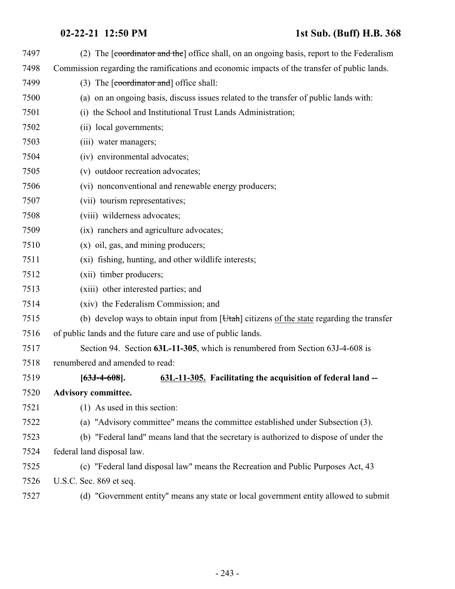| 7497 | (2) The [coordinator and the] office shall, on an ongoing basis, report to the Federalism          |
|------|----------------------------------------------------------------------------------------------------|
| 7498 | Commission regarding the ramifications and economic impacts of the transfer of public lands.       |
| 7499 | (3) The $\lceil$ coordinator and $\rceil$ office shall:                                            |
| 7500 | (a) on an ongoing basis, discuss issues related to the transfer of public lands with:              |
| 7501 | (i) the School and Institutional Trust Lands Administration;                                       |
| 7502 | (ii) local governments;                                                                            |
| 7503 | (iii) water managers;                                                                              |
| 7504 | (iv) environmental advocates;                                                                      |
| 7505 | (v) outdoor recreation advocates;                                                                  |
| 7506 | (vi) nonconventional and renewable energy producers;                                               |
| 7507 | (vii) tourism representatives;                                                                     |
| 7508 | (viii) wilderness advocates;                                                                       |
| 7509 | (ix) ranchers and agriculture advocates;                                                           |
| 7510 | $(x)$ oil, gas, and mining producers;                                                              |
| 7511 | (xi) fishing, hunting, and other wildlife interests;                                               |
| 7512 | (xii) timber producers;                                                                            |
| 7513 | (xiii) other interested parties; and                                                               |
| 7514 | (xiv) the Federalism Commission; and                                                               |
| 7515 | (b) develop ways to obtain input from [ <i>Utah</i> ] citizens of the state regarding the transfer |
| 7516 | of public lands and the future care and use of public lands.                                       |
| 7517 | Section 94. Section 63L-11-305, which is renumbered from Section 63J-4-608 is                      |
| 7518 | renumbered and amended to read:                                                                    |
| 7519 | 63L-11-305. Facilitating the acquisition of federal land --<br>$[63J - 4 - 608]$ .                 |
| 7520 | <b>Advisory committee.</b>                                                                         |
| 7521 | (1) As used in this section:                                                                       |
| 7522 | (a) "Advisory committee" means the committee established under Subsection (3).                     |
| 7523 | (b) "Federal land" means land that the secretary is authorized to dispose of under the             |
| 7524 | federal land disposal law.                                                                         |
| 7525 | (c) "Federal land disposal law" means the Recreation and Public Purposes Act, 43                   |
| 7526 | U.S.C. Sec. 869 et seq.                                                                            |
| 7527 | (d) "Government entity" means any state or local government entity allowed to submit               |
|      |                                                                                                    |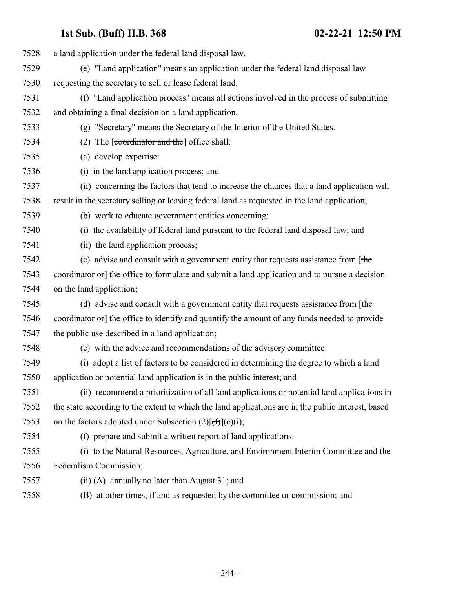| 7528 | a land application under the federal land disposal law.                                            |
|------|----------------------------------------------------------------------------------------------------|
| 7529 | (e) "Land application" means an application under the federal land disposal law                    |
| 7530 | requesting the secretary to sell or lease federal land.                                            |
| 7531 | (f) "Land application process" means all actions involved in the process of submitting             |
| 7532 | and obtaining a final decision on a land application.                                              |
| 7533 | (g) "Secretary" means the Secretary of the Interior of the United States.                          |
| 7534 | (2) The $\lceil$ coordinator and the $\lceil$ office shall:                                        |
| 7535 | (a) develop expertise:                                                                             |
| 7536 | (i) in the land application process; and                                                           |
| 7537 | (ii) concerning the factors that tend to increase the chances that a land application will         |
| 7538 | result in the secretary selling or leasing federal land as requested in the land application;      |
| 7539 | (b) work to educate government entities concerning:                                                |
| 7540 | (i) the availability of federal land pursuant to the federal land disposal law; and                |
| 7541 | (ii) the land application process;                                                                 |
| 7542 | (c) advise and consult with a government entity that requests assistance from $[$ the              |
| 7543 | coordinator or] the office to formulate and submit a land application and to pursue a decision     |
| 7544 | on the land application;                                                                           |
| 7545 | (d) advise and consult with a government entity that requests assistance from [the                 |
| 7546 | coordinator or] the office to identify and quantify the amount of any funds needed to provide      |
| 7547 | the public use described in a land application;                                                    |
| 7548 | (e) with the advice and recommendations of the advisory committee:                                 |
| 7549 | (i) adopt a list of factors to be considered in determining the degree to which a land             |
| 7550 | application or potential land application is in the public interest; and                           |
| 7551 | (ii) recommend a prioritization of all land applications or potential land applications in         |
| 7552 | the state according to the extent to which the land applications are in the public interest, based |
| 7553 | on the factors adopted under Subsection $(2)[(f)](e)(i);$                                          |
| 7554 | (f) prepare and submit a written report of land applications:                                      |
| 7555 | (i) to the Natural Resources, Agriculture, and Environment Interim Committee and the               |
| 7556 | Federalism Commission;                                                                             |
| 7557 | (ii) (A) annually no later than August 31; and                                                     |
| 7558 | (B) at other times, if and as requested by the committee or commission; and                        |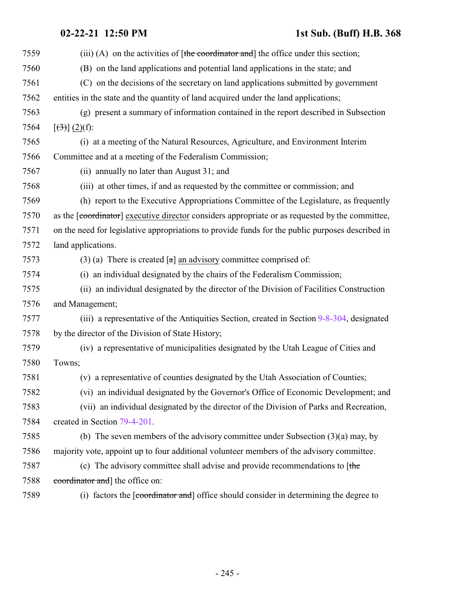| 7559 | (iii) (A) on the activities of $[the$ coordinator and the office under this section;             |
|------|--------------------------------------------------------------------------------------------------|
| 7560 | (B) on the land applications and potential land applications in the state; and                   |
| 7561 | (C) on the decisions of the secretary on land applications submitted by government               |
| 7562 | entities in the state and the quantity of land acquired under the land applications;             |
| 7563 | (g) present a summary of information contained in the report described in Subsection             |
| 7564 | $[\left(3\right)]\left(2\right)(f)$ :                                                            |
| 7565 | (i) at a meeting of the Natural Resources, Agriculture, and Environment Interim                  |
| 7566 | Committee and at a meeting of the Federalism Commission;                                         |
| 7567 | (ii) annually no later than August 31; and                                                       |
| 7568 | (iii) at other times, if and as requested by the committee or commission; and                    |
| 7569 | (h) report to the Executive Appropriations Committee of the Legislature, as frequently           |
| 7570 | as the [coordinator] executive director considers appropriate or as requested by the committee,  |
| 7571 | on the need for legislative appropriations to provide funds for the public purposes described in |
| 7572 | land applications.                                                                               |
| 7573 | (3) (a) There is created $\lceil a \rceil$ an advisory committee comprised of:                   |
| 7574 | (i) an individual designated by the chairs of the Federalism Commission;                         |
| 7575 | (ii) an individual designated by the director of the Division of Facilities Construction         |
| 7576 | and Management;                                                                                  |
| 7577 | (iii) a representative of the Antiquities Section, created in Section 9-8-304, designated        |
| 7578 | by the director of the Division of State History;                                                |
| 7579 | (iv) a representative of municipalities designated by the Utah League of Cities and              |
| 7580 | Towns;                                                                                           |
| 7581 | (v) a representative of counties designated by the Utah Association of Counties;                 |
| 7582 | (vi) an individual designated by the Governor's Office of Economic Development; and              |
| 7583 | (vii) an individual designated by the director of the Division of Parks and Recreation,          |
| 7584 | created in Section 79-4-201.                                                                     |
| 7585 | (b) The seven members of the advisory committee under Subsection $(3)(a)$ may, by                |
| 7586 | majority vote, appoint up to four additional volunteer members of the advisory committee.        |
| 7587 | (c) The advisory committee shall advise and provide recommendations to $[$ the                   |
| 7588 | coordinator and the office on:                                                                   |
| 7589 | (i) factors the [coordinator and] office should consider in determining the degree to            |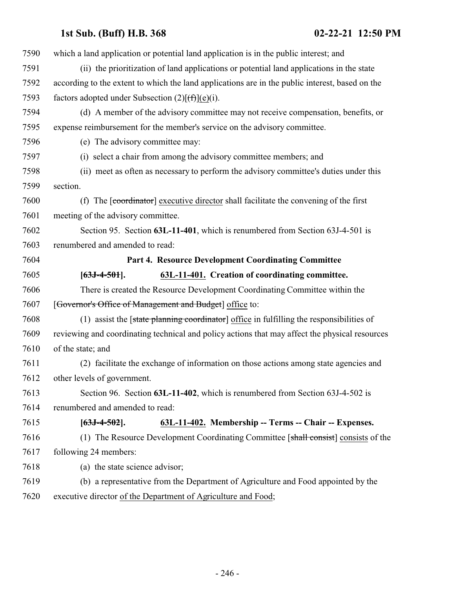<span id="page-245-0"></span>

| 7590 | which a land application or potential land application is in the public interest; and           |
|------|-------------------------------------------------------------------------------------------------|
| 7591 | (ii) the prioritization of land applications or potential land applications in the state        |
| 7592 | according to the extent to which the land applications are in the public interest, based on the |
| 7593 | factors adopted under Subsection $(2)[(f)](e)(i)$ .                                             |
| 7594 | (d) A member of the advisory committee may not receive compensation, benefits, or               |
| 7595 | expense reimbursement for the member's service on the advisory committee.                       |
| 7596 | (e) The advisory committee may:                                                                 |
| 7597 | (i) select a chair from among the advisory committee members; and                               |
| 7598 | (ii) meet as often as necessary to perform the advisory committee's duties under this           |
| 7599 | section.                                                                                        |
| 7600 | (f) The [coordinator] executive director shall facilitate the convening of the first            |
| 7601 | meeting of the advisory committee.                                                              |
| 7602 | Section 95. Section 63L-11-401, which is renumbered from Section 63J-4-501 is                   |
| 7603 | renumbered and amended to read:                                                                 |
| 7604 | Part 4. Resource Development Coordinating Committee                                             |
| 7605 | 63L-11-401. Creation of coordinating committee.<br>$[63J-4-501]$ .                              |
| 7606 | There is created the Resource Development Coordinating Committee within the                     |
| 7607 | [Governor's Office of Management and Budget] office to:                                         |
| 7608 | (1) assist the [state planning coordinator] office in fulfilling the responsibilities of        |
| 7609 | reviewing and coordinating technical and policy actions that may affect the physical resources  |
| 7610 | of the state; and                                                                               |
| 7611 | (2) facilitate the exchange of information on those actions among state agencies and            |
| 7612 | other levels of government.                                                                     |
| 7613 | Section 96. Section 63L-11-402, which is renumbered from Section 63J-4-502 is                   |
| 7614 | renumbered and amended to read:                                                                 |
| 7615 | 63L-11-402. Membership -- Terms -- Chair -- Expenses.<br>$[63J-4-502]$ .                        |
| 7616 | (1) The Resource Development Coordinating Committee [shall consist] consists of the             |
| 7617 | following 24 members:                                                                           |
| 7618 | (a) the state science advisor;                                                                  |
| 7619 | (b) a representative from the Department of Agriculture and Food appointed by the               |
| 7620 | executive director of the Department of Agriculture and Food;                                   |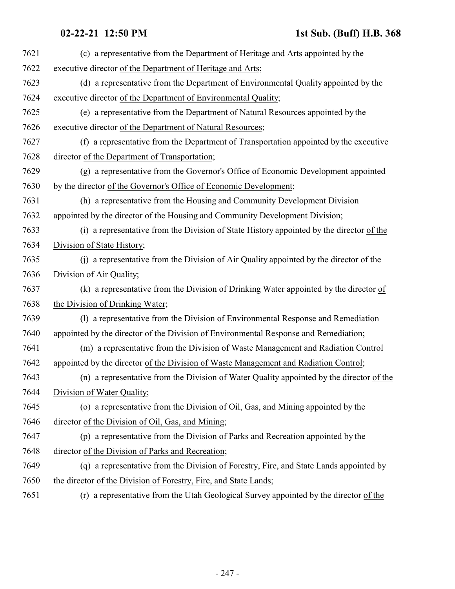| 7621 | (c) a representative from the Department of Heritage and Arts appointed by the           |
|------|------------------------------------------------------------------------------------------|
| 7622 | executive director of the Department of Heritage and Arts;                               |
| 7623 | (d) a representative from the Department of Environmental Quality appointed by the       |
| 7624 | executive director of the Department of Environmental Quality;                           |
| 7625 | (e) a representative from the Department of Natural Resources appointed by the           |
| 7626 | executive director of the Department of Natural Resources;                               |
| 7627 | (f) a representative from the Department of Transportation appointed by the executive    |
| 7628 | director of the Department of Transportation;                                            |
| 7629 | (g) a representative from the Governor's Office of Economic Development appointed        |
| 7630 | by the director of the Governor's Office of Economic Development;                        |
| 7631 | (h) a representative from the Housing and Community Development Division                 |
| 7632 | appointed by the director of the Housing and Community Development Division;             |
| 7633 | (i) a representative from the Division of State History appointed by the director of the |
| 7634 | Division of State History;                                                               |
| 7635 | (j) a representative from the Division of Air Quality appointed by the director of the   |
| 7636 | Division of Air Quality;                                                                 |
| 7637 | (k) a representative from the Division of Drinking Water appointed by the director of    |
| 7638 | the Division of Drinking Water;                                                          |
| 7639 | (1) a representative from the Division of Environmental Response and Remediation         |
| 7640 | appointed by the director of the Division of Environmental Response and Remediation;     |
| 7641 | (m) a representative from the Division of Waste Management and Radiation Control         |
| 7642 | appointed by the director of the Division of Waste Management and Radiation Control;     |
| 7643 | (n) a representative from the Division of Water Quality appointed by the director of the |
| 7644 | Division of Water Quality;                                                               |
| 7645 | (o) a representative from the Division of Oil, Gas, and Mining appointed by the          |
| 7646 | director of the Division of Oil, Gas, and Mining;                                        |
| 7647 | (p) a representative from the Division of Parks and Recreation appointed by the          |
| 7648 | director of the Division of Parks and Recreation;                                        |
| 7649 | (q) a representative from the Division of Forestry, Fire, and State Lands appointed by   |
| 7650 | the director of the Division of Forestry, Fire, and State Lands;                         |
|      |                                                                                          |

7651 (r) a representative from the Utah Geological Survey appointed by the director of the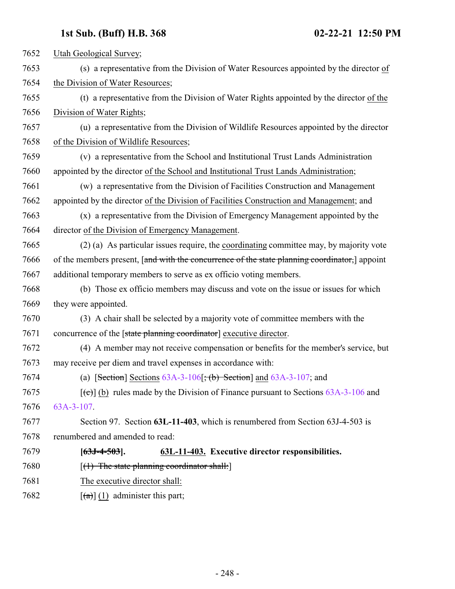| 7652 | Utah Geological Survey;                                                                       |
|------|-----------------------------------------------------------------------------------------------|
| 7653 | (s) a representative from the Division of Water Resources appointed by the director of        |
| 7654 | the Division of Water Resources;                                                              |
| 7655 | (t) a representative from the Division of Water Rights appointed by the director of the       |
| 7656 | Division of Water Rights;                                                                     |
| 7657 | (u) a representative from the Division of Wildlife Resources appointed by the director        |
| 7658 | of the Division of Wildlife Resources;                                                        |
| 7659 | (v) a representative from the School and Institutional Trust Lands Administration             |
| 7660 | appointed by the director of the School and Institutional Trust Lands Administration;         |
| 7661 | (w) a representative from the Division of Facilities Construction and Management              |
| 7662 | appointed by the director of the Division of Facilities Construction and Management; and      |
| 7663 | (x) a representative from the Division of Emergency Management appointed by the               |
| 7664 | director of the Division of Emergency Management.                                             |
| 7665 | (2) (a) As particular issues require, the coordinating committee may, by majority vote        |
| 7666 | of the members present, [and with the concurrence of the state planning coordinator,] appoint |
| 7667 | additional temporary members to serve as ex officio voting members.                           |
| 7668 | (b) Those ex officio members may discuss and vote on the issue or issues for which            |
| 7669 | they were appointed.                                                                          |
| 7670 | (3) A chair shall be selected by a majority vote of committee members with the                |
| 7671 | concurrence of the [state planning coordinator] executive director.                           |
| 7672 | (4) A member may not receive compensation or benefits for the member's service, but           |
| 7673 | may receive per diem and travel expenses in accordance with:                                  |
| 7674 | (a) [Section] Sections $63A-3-106$ [; (b) Section] and $63A-3-107$ ; and                      |
| 7675 | $[\text{ce}](b)$ rules made by the Division of Finance pursuant to Sections 63A-3-106 and     |
| 7676 | 63A-3-107.                                                                                    |
| 7677 | Section 97. Section 63L-11-403, which is renumbered from Section 63J-4-503 is                 |
| 7678 | renumbered and amended to read:                                                               |
| 7679 | 63L-11-403. Executive director responsibilities.<br>$[63J-4-503]$ .                           |
| 7680 | $[(1)$ The state planning coordinator shall:                                                  |
| 7681 | The executive director shall:                                                                 |
| 7682 | $\left[\frac{a}{a}\right]$ (1) administer this part;                                          |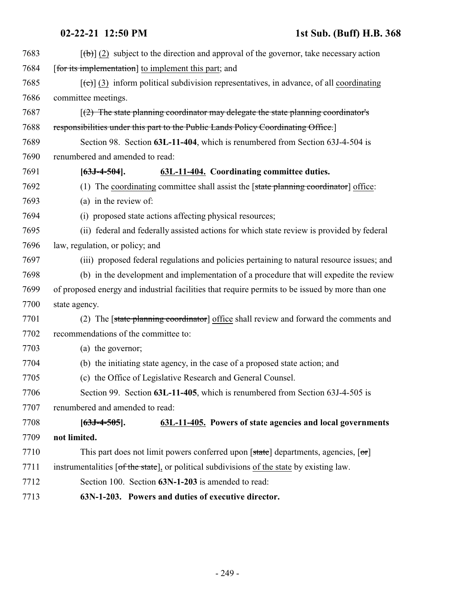| 7683 | $[\phi]$ (2) subject to the direction and approval of the governor, take necessary action                |
|------|----------------------------------------------------------------------------------------------------------|
| 7684 | [for its implementation] to implement this part; and                                                     |
| 7685 | $[\text{e}(\epsilon)]$ (3) inform political subdivision representatives, in advance, of all coordinating |
| 7686 | committee meetings.                                                                                      |
| 7687 | $(2)$ The state planning coordinator may delegate the state planning coordinator's                       |
| 7688 | responsibilities under this part to the Public Lands Policy Coordinating Office.                         |
| 7689 | Section 98. Section 63L-11-404, which is renumbered from Section 63J-4-504 is                            |
| 7690 | renumbered and amended to read:                                                                          |
| 7691 | 63L-11-404. Coordinating committee duties.<br>$[63J-4-504]$ .                                            |
| 7692 | (1) The coordinating committee shall assist the $[state\$ planning coordinator office:                   |
| 7693 | (a) in the review of:                                                                                    |
| 7694 | (i) proposed state actions affecting physical resources;                                                 |
| 7695 | (ii) federal and federally assisted actions for which state review is provided by federal                |
| 7696 | law, regulation, or policy; and                                                                          |
| 7697 | (iii) proposed federal regulations and policies pertaining to natural resource issues; and               |
| 7698 | (b) in the development and implementation of a procedure that will expedite the review                   |
| 7699 | of proposed energy and industrial facilities that require permits to be issued by more than one          |
| 7700 | state agency.                                                                                            |
| 7701 | (2) The [state planning coordinator] office shall review and forward the comments and                    |
| 7702 | recommendations of the committee to:                                                                     |
| 7703 | (a) the governor;                                                                                        |
| 7704 | (b) the initiating state agency, in the case of a proposed state action; and                             |
| 7705 | (c) the Office of Legislative Research and General Counsel.                                              |
| 7706 | Section 99. Section 63L-11-405, which is renumbered from Section 63J-4-505 is                            |
| 7707 | renumbered and amended to read:                                                                          |
| 7708 | 63L-11-405. Powers of state agencies and local governments<br>$[63J-4-505]$ .                            |
| 7709 | not limited.                                                                                             |
| 7710 | This part does not limit powers conferred upon [state] departments, agencies, [or]                       |
| 7711 | instrumentalities [of the state], or political subdivisions of the state by existing law.                |
| 7712 | Section 100. Section 63N-1-203 is amended to read:                                                       |
| 7713 | 63N-1-203. Powers and duties of executive director.                                                      |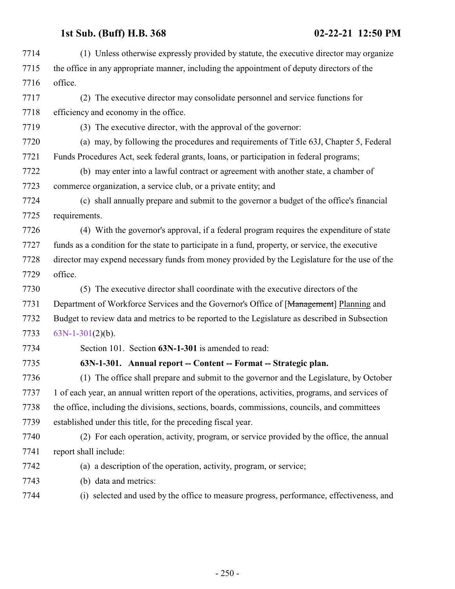<span id="page-249-0"></span>

| 7714 | (1) Unless otherwise expressly provided by statute, the executive director may organize           |
|------|---------------------------------------------------------------------------------------------------|
| 7715 | the office in any appropriate manner, including the appointment of deputy directors of the        |
| 7716 | office.                                                                                           |
| 7717 | (2) The executive director may consolidate personnel and service functions for                    |
| 7718 | efficiency and economy in the office.                                                             |
| 7719 | (3) The executive director, with the approval of the governor:                                    |
| 7720 | (a) may, by following the procedures and requirements of Title 63J, Chapter 5, Federal            |
| 7721 | Funds Procedures Act, seek federal grants, loans, or participation in federal programs;           |
| 7722 | (b) may enter into a lawful contract or agreement with another state, a chamber of                |
| 7723 | commerce organization, a service club, or a private entity; and                                   |
| 7724 | (c) shall annually prepare and submit to the governor a budget of the office's financial          |
| 7725 | requirements.                                                                                     |
| 7726 | (4) With the governor's approval, if a federal program requires the expenditure of state          |
| 7727 | funds as a condition for the state to participate in a fund, property, or service, the executive  |
| 7728 | director may expend necessary funds from money provided by the Legislature for the use of the     |
| 7729 | office.                                                                                           |
| 7730 | (5) The executive director shall coordinate with the executive directors of the                   |
| 7731 | Department of Workforce Services and the Governor's Office of [Management] Planning and           |
| 7732 | Budget to review data and metrics to be reported to the Legislature as described in Subsection    |
| 7733 | $63N-1-301(2)(b)$ .                                                                               |
| 7734 | Section 101. Section 63N-1-301 is amended to read:                                                |
| 7735 | 63N-1-301. Annual report -- Content -- Format -- Strategic plan.                                  |
| 7736 | (1) The office shall prepare and submit to the governor and the Legislature, by October           |
| 7737 | 1 of each year, an annual written report of the operations, activities, programs, and services of |
| 7738 | the office, including the divisions, sections, boards, commissions, councils, and committees      |
| 7739 | established under this title, for the preceding fiscal year.                                      |
| 7740 | (2) For each operation, activity, program, or service provided by the office, the annual          |
| 7741 | report shall include:                                                                             |
| 7742 | (a) a description of the operation, activity, program, or service;                                |
| 7743 | (b) data and metrics:                                                                             |
| 7744 | (i) selected and used by the office to measure progress, performance, effectiveness, and          |
|      |                                                                                                   |
|      |                                                                                                   |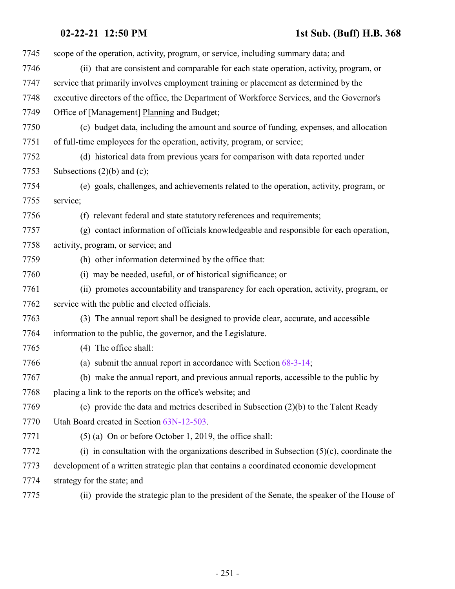| 7745 | scope of the operation, activity, program, or service, including summary data; and           |
|------|----------------------------------------------------------------------------------------------|
| 7746 | (ii) that are consistent and comparable for each state operation, activity, program, or      |
| 7747 | service that primarily involves employment training or placement as determined by the        |
| 7748 | executive directors of the office, the Department of Workforce Services, and the Governor's  |
| 7749 | Office of [Management] Planning and Budget;                                                  |
| 7750 | (c) budget data, including the amount and source of funding, expenses, and allocation        |
| 7751 | of full-time employees for the operation, activity, program, or service;                     |
| 7752 | (d) historical data from previous years for comparison with data reported under              |
| 7753 | Subsections $(2)(b)$ and $(c)$ ;                                                             |
| 7754 | (e) goals, challenges, and achievements related to the operation, activity, program, or      |
| 7755 | service;                                                                                     |
| 7756 | (f) relevant federal and state statutory references and requirements;                        |
| 7757 | (g) contact information of officials knowledgeable and responsible for each operation,       |
| 7758 | activity, program, or service; and                                                           |
| 7759 | (h) other information determined by the office that:                                         |
| 7760 | (i) may be needed, useful, or of historical significance; or                                 |
| 7761 | (ii) promotes accountability and transparency for each operation, activity, program, or      |
| 7762 | service with the public and elected officials.                                               |
| 7763 | (3) The annual report shall be designed to provide clear, accurate, and accessible           |
| 7764 | information to the public, the governor, and the Legislature.                                |
| 7765 | (4) The office shall:                                                                        |
| 7766 | (a) submit the annual report in accordance with Section $68-3-14$ ;                          |
| 7767 | (b) make the annual report, and previous annual reports, accessible to the public by         |
| 7768 | placing a link to the reports on the office's website; and                                   |
| 7769 | (c) provide the data and metrics described in Subsection $(2)(b)$ to the Talent Ready        |
| 7770 | Utah Board created in Section 63N-12-503.                                                    |
| 7771 | (5) (a) On or before October 1, 2019, the office shall:                                      |
| 7772 | (i) in consultation with the organizations described in Subsection $(5)(c)$ , coordinate the |
| 7773 | development of a written strategic plan that contains a coordinated economic development     |
| 7774 | strategy for the state; and                                                                  |
| 7775 | (ii) provide the strategic plan to the president of the Senate, the speaker of the House of  |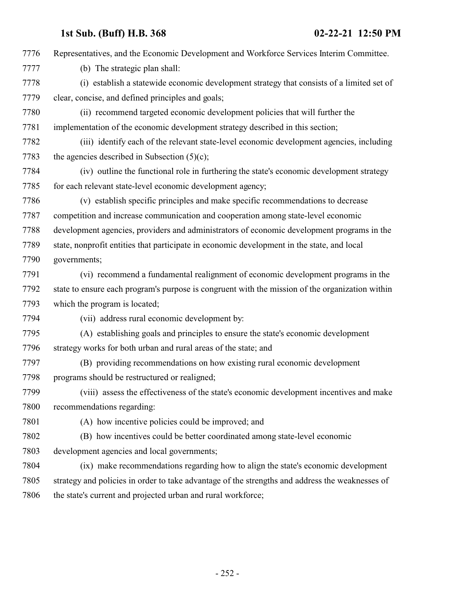| 7776 | Representatives, and the Economic Development and Workforce Services Interim Committee.         |
|------|-------------------------------------------------------------------------------------------------|
| 7777 | (b) The strategic plan shall:                                                                   |
| 7778 | (i) establish a statewide economic development strategy that consists of a limited set of       |
| 7779 | clear, concise, and defined principles and goals;                                               |
| 7780 | (ii) recommend targeted economic development policies that will further the                     |
| 7781 | implementation of the economic development strategy described in this section;                  |
| 7782 | (iii) identify each of the relevant state-level economic development agencies, including        |
| 7783 | the agencies described in Subsection $(5)(c)$ ;                                                 |
| 7784 | (iv) outline the functional role in furthering the state's economic development strategy        |
| 7785 | for each relevant state-level economic development agency;                                      |
| 7786 | (v) establish specific principles and make specific recommendations to decrease                 |
| 7787 | competition and increase communication and cooperation among state-level economic               |
| 7788 | development agencies, providers and administrators of economic development programs in the      |
| 7789 | state, nonprofit entities that participate in economic development in the state, and local      |
| 7790 | governments;                                                                                    |
| 7791 | (vi) recommend a fundamental realignment of economic development programs in the                |
| 7792 | state to ensure each program's purpose is congruent with the mission of the organization within |
| 7793 | which the program is located;                                                                   |
| 7794 | (vii) address rural economic development by:                                                    |
| 7795 | (A) establishing goals and principles to ensure the state's economic development                |
| 7796 | strategy works for both urban and rural areas of the state; and                                 |
| 7797 | (B) providing recommendations on how existing rural economic development                        |
| 7798 | programs should be restructured or realigned;                                                   |
| 7799 | (viii) assess the effectiveness of the state's economic development incentives and make         |
| 7800 | recommendations regarding:                                                                      |
| 7801 | (A) how incentive policies could be improved; and                                               |
| 7802 | (B) how incentives could be better coordinated among state-level economic                       |
| 7803 | development agencies and local governments;                                                     |
| 7804 | (ix) make recommendations regarding how to align the state's economic development               |
| 7805 | strategy and policies in order to take advantage of the strengths and address the weaknesses of |
| 7806 | the state's current and projected urban and rural workforce;                                    |
|      |                                                                                                 |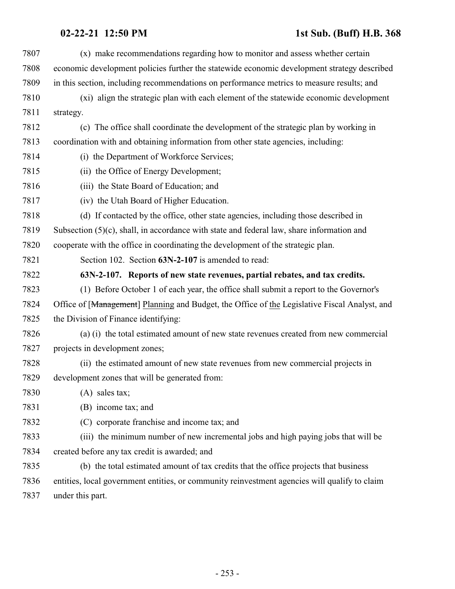## **02-22-21 12:50 PM 1st Sub. (Buff) H.B. 368**

| 7807 | (x) make recommendations regarding how to monitor and assess whether certain                  |
|------|-----------------------------------------------------------------------------------------------|
| 7808 | economic development policies further the statewide economic development strategy described   |
| 7809 | in this section, including recommendations on performance metrics to measure results; and     |
| 7810 | (xi) align the strategic plan with each element of the statewide economic development         |
| 7811 | strategy.                                                                                     |
| 7812 | (c) The office shall coordinate the development of the strategic plan by working in           |
| 7813 | coordination with and obtaining information from other state agencies, including:             |
| 7814 | (i) the Department of Workforce Services;                                                     |
| 7815 | (ii) the Office of Energy Development;                                                        |
| 7816 | (iii) the State Board of Education; and                                                       |
| 7817 | (iv) the Utah Board of Higher Education.                                                      |
| 7818 | (d) If contacted by the office, other state agencies, including those described in            |
| 7819 | Subsection $(5)(c)$ , shall, in accordance with state and federal law, share information and  |
| 7820 | cooperate with the office in coordinating the development of the strategic plan.              |
| 7821 | Section 102. Section 63N-2-107 is amended to read:                                            |
| 7822 | 63N-2-107. Reports of new state revenues, partial rebates, and tax credits.                   |
| 7823 | (1) Before October 1 of each year, the office shall submit a report to the Governor's         |
| 7824 | Office of [Management] Planning and Budget, the Office of the Legislative Fiscal Analyst, and |
| 7825 | the Division of Finance identifying:                                                          |
| 7826 | (a) (i) the total estimated amount of new state revenues created from new commercial          |
| 7827 | projects in development zones;                                                                |
| 7828 | (ii) the estimated amount of new state revenues from new commercial projects in               |
| 7829 | development zones that will be generated from:                                                |
| 7830 | $(A)$ sales tax;                                                                              |
| 7831 | (B) income tax; and                                                                           |
| 7832 | (C) corporate franchise and income tax; and                                                   |
| 7833 | (iii) the minimum number of new incremental jobs and high paying jobs that will be            |
| 7834 | created before any tax credit is awarded; and                                                 |
| 7835 | (b) the total estimated amount of tax credits that the office projects that business          |
| 7836 | entities, local government entities, or community reinvestment agencies will qualify to claim |
| 7837 | under this part.                                                                              |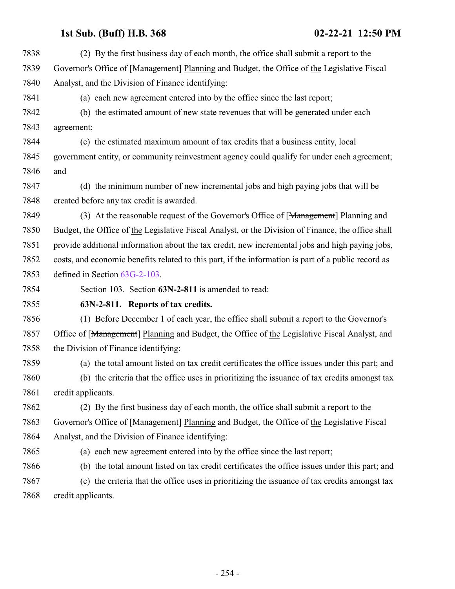(2) By the first business day of each month, the office shall submit a report to the Governor's Office of [Management] Planning and Budget, the Office of the Legislative Fiscal Analyst, and the Division of Finance identifying: (a) each new agreement entered into by the office since the last report; (b) the estimated amount of new state revenues that will be generated under each agreement; (c) the estimated maximum amount of tax credits that a business entity, local government entity, or community reinvestment agency could qualify for under each agreement; and (d) the minimum number of new incremental jobs and high paying jobs that will be created before any tax credit is awarded. 7849 (3) At the reasonable request of the Governor's Office of [Management] Planning and Budget, the Office of the Legislative Fiscal Analyst, or the Division of Finance, the office shall provide additional information about the tax credit, new incremental jobs and high paying jobs, costs, and economic benefits related to this part, if the information is part of a public record as defined in Section [63G-2-103](http://le.utah.gov/UtahCode/SectionLookup.jsp?section=63g-2-103&session=2021GS). Section 103. Section **63N-2-811** is amended to read: **63N-2-811. Reports of tax credits.** (1) Before December 1 of each year, the office shall submit a report to the Governor's 7857 Office of [Management] Planning and Budget, the Office of the Legislative Fiscal Analyst, and the Division of Finance identifying: (a) the total amount listed on tax credit certificates the office issues under this part; and (b) the criteria that the office uses in prioritizing the issuance of tax credits amongst tax credit applicants. (2) By the first business day of each month, the office shall submit a report to the Governor's Office of [Management] Planning and Budget, the Office of the Legislative Fiscal Analyst, and the Division of Finance identifying: (a) each new agreement entered into by the office since the last report; (b) the total amount listed on tax credit certificates the office issues under this part; and (c) the criteria that the office uses in prioritizing the issuance of tax credits amongst tax credit applicants.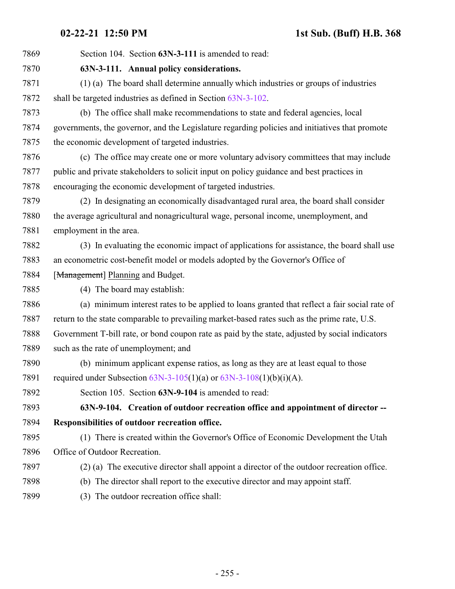Section 104. Section **63N-3-111** is amended to read: **63N-3-111. Annual policy considerations.** (1) (a) The board shall determine annually which industries or groups of industries shall be targeted industries as defined in Section [63N-3-102](http://le.utah.gov/UtahCode/SectionLookup.jsp?section=63n-3-102&session=2021GS). (b) The office shall make recommendations to state and federal agencies, local governments, the governor, and the Legislature regarding policies and initiatives that promote the economic development of targeted industries. (c) The office may create one or more voluntary advisory committees that may include public and private stakeholders to solicit input on policy guidance and best practices in encouraging the economic development of targeted industries. (2) In designating an economically disadvantaged rural area, the board shall consider the average agricultural and nonagricultural wage, personal income, unemployment, and employment in the area. (3) In evaluating the economic impact of applications for assistance, the board shall use an econometric cost-benefit model or models adopted by the Governor's Office of 7884 [Management] Planning and Budget. (4) The board may establish: (a) minimum interest rates to be applied to loans granted that reflect a fair social rate of return to the state comparable to prevailing market-based rates such as the prime rate, U.S. Government T-bill rate, or bond coupon rate as paid by the state, adjusted by social indicators such as the rate of unemployment; and (b) minimum applicant expense ratios, as long as they are at least equal to those required under Subsection [63N-3-105](http://le.utah.gov/UtahCode/SectionLookup.jsp?section=63n-3-105&session=2021GS)(1)(a) or [63N-3-108](http://le.utah.gov/UtahCode/SectionLookup.jsp?section=63n-3-108&session=2021GS)(1)(b)(i)(A). Section 105. Section **63N-9-104** is amended to read: **63N-9-104. Creation of outdoor recreation office and appointment of director -- Responsibilities of outdoor recreation office.** (1) There is created within the Governor's Office of Economic Development the Utah Office of Outdoor Recreation. (2) (a) The executive director shall appoint a director of the outdoor recreation office. (b) The director shall report to the executive director and may appoint staff. (3) The outdoor recreation office shall: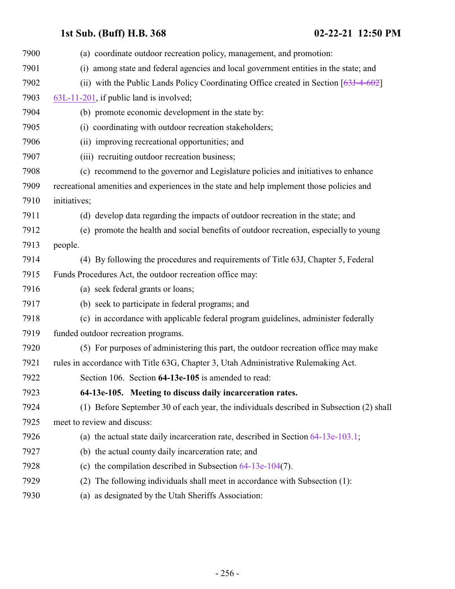| 7900 | (a) coordinate outdoor recreation policy, management, and promotion:                      |
|------|-------------------------------------------------------------------------------------------|
| 7901 | among state and federal agencies and local government entities in the state; and<br>(i)   |
| 7902 | (ii) with the Public Lands Policy Coordinating Office created in Section $[63J-4-602]$    |
| 7903 | 63L-11-201, if public land is involved;                                                   |
| 7904 | (b) promote economic development in the state by:                                         |
| 7905 | (i) coordinating with outdoor recreation stakeholders;                                    |
| 7906 | (ii) improving recreational opportunities; and                                            |
| 7907 | (iii) recruiting outdoor recreation business;                                             |
| 7908 | (c) recommend to the governor and Legislature policies and initiatives to enhance         |
| 7909 | recreational amenities and experiences in the state and help implement those policies and |
| 7910 | initiatives;                                                                              |
| 7911 | (d) develop data regarding the impacts of outdoor recreation in the state; and            |
| 7912 | (e) promote the health and social benefits of outdoor recreation, especially to young     |
| 7913 | people.                                                                                   |
| 7914 | (4) By following the procedures and requirements of Title 63J, Chapter 5, Federal         |
| 7915 | Funds Procedures Act, the outdoor recreation office may:                                  |
| 7916 | (a) seek federal grants or loans;                                                         |
| 7917 | (b) seek to participate in federal programs; and                                          |
| 7918 | (c) in accordance with applicable federal program guidelines, administer federally        |
| 7919 | funded outdoor recreation programs.                                                       |
| 7920 | (5) For purposes of administering this part, the outdoor recreation office may make       |
| 7921 | rules in accordance with Title 63G, Chapter 3, Utah Administrative Rulemaking Act.        |
| 7922 | Section 106. Section 64-13e-105 is amended to read:                                       |
| 7923 | 64-13e-105. Meeting to discuss daily incarceration rates.                                 |
| 7924 | (1) Before September 30 of each year, the individuals described in Subsection (2) shall   |
| 7925 | meet to review and discuss:                                                               |
| 7926 | (a) the actual state daily incarceration rate, described in Section $64-13e-103.1$ ;      |
| 7927 | (b) the actual county daily incarceration rate; and                                       |
| 7928 | (c) the compilation described in Subsection $64-13e-104(7)$ .                             |
| 7929 | The following individuals shall meet in accordance with Subsection (1):<br>(2)            |
| 7930 | as designated by the Utah Sheriffs Association:<br>(a)                                    |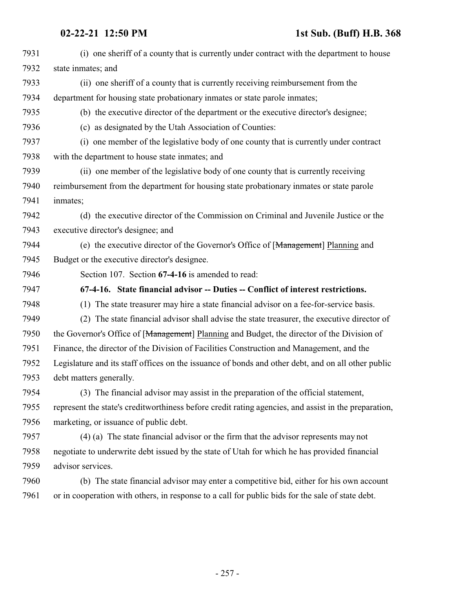| 7931 | (i) one sheriff of a county that is currently under contract with the department to house            |
|------|------------------------------------------------------------------------------------------------------|
| 7932 | state inmates; and                                                                                   |
| 7933 | (ii) one sheriff of a county that is currently receiving reimbursement from the                      |
| 7934 | department for housing state probationary inmates or state parole inmates;                           |
| 7935 | (b) the executive director of the department or the executive director's designee;                   |
| 7936 | (c) as designated by the Utah Association of Counties:                                               |
| 7937 | (i) one member of the legislative body of one county that is currently under contract                |
| 7938 | with the department to house state inmates; and                                                      |
| 7939 | (ii) one member of the legislative body of one county that is currently receiving                    |
| 7940 | reimbursement from the department for housing state probationary inmates or state parole             |
| 7941 | inmates;                                                                                             |
| 7942 | (d) the executive director of the Commission on Criminal and Juvenile Justice or the                 |
| 7943 | executive director's designee; and                                                                   |
| 7944 | (e) the executive director of the Governor's Office of [Management] Planning and                     |
| 7945 | Budget or the executive director's designee.                                                         |
| 7946 | Section 107. Section 67-4-16 is amended to read:                                                     |
| 7947 | 67-4-16. State financial advisor -- Duties -- Conflict of interest restrictions.                     |
| 7948 | (1) The state treasurer may hire a state financial advisor on a fee-for-service basis.               |
| 7949 | The state financial advisor shall advise the state treasurer, the executive director of<br>(2)       |
| 7950 | the Governor's Office of [Management] Planning and Budget, the director of the Division of           |
| 7951 | Finance, the director of the Division of Facilities Construction and Management, and the             |
| 7952 | Legislature and its staff offices on the issuance of bonds and other debt, and on all other public   |
| 7953 | debt matters generally.                                                                              |
| 7954 | (3) The financial advisor may assist in the preparation of the official statement,                   |
| 7955 | represent the state's creditworthiness before credit rating agencies, and assist in the preparation, |
| 7956 | marketing, or issuance of public debt.                                                               |
| 7957 | (4) (a) The state financial advisor or the firm that the advisor represents may not                  |
| 7958 | negotiate to underwrite debt issued by the state of Utah for which he has provided financial         |
| 7959 | advisor services.                                                                                    |
| 7960 | (b) The state financial advisor may enter a competitive bid, either for his own account              |
| 7961 | or in cooperation with others, in response to a call for public bids for the sale of state debt.     |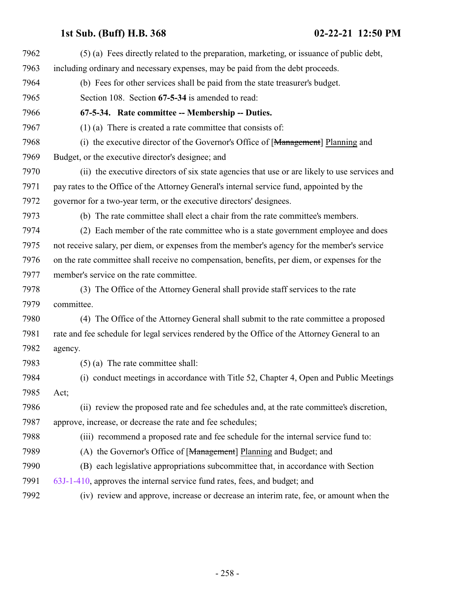| 7962 | (5) (a) Fees directly related to the preparation, marketing, or issuance of public debt,      |
|------|-----------------------------------------------------------------------------------------------|
| 7963 | including ordinary and necessary expenses, may be paid from the debt proceeds.                |
| 7964 | (b) Fees for other services shall be paid from the state treasurer's budget.                  |
| 7965 | Section 108. Section 67-5-34 is amended to read:                                              |
| 7966 | 67-5-34. Rate committee -- Membership -- Duties.                                              |
| 7967 | $(1)$ (a) There is created a rate committee that consists of:                                 |
| 7968 | (i) the executive director of the Governor's Office of [Management] Planning and              |
| 7969 | Budget, or the executive director's designee; and                                             |
| 7970 | (ii) the executive directors of six state agencies that use or are likely to use services and |
| 7971 | pay rates to the Office of the Attorney General's internal service fund, appointed by the     |
| 7972 | governor for a two-year term, or the executive directors' designees.                          |
| 7973 | (b) The rate committee shall elect a chair from the rate committee's members.                 |
| 7974 | (2) Each member of the rate committee who is a state government employee and does             |
| 7975 | not receive salary, per diem, or expenses from the member's agency for the member's service   |
| 7976 | on the rate committee shall receive no compensation, benefits, per diem, or expenses for the  |
| 7977 | member's service on the rate committee.                                                       |
| 7978 | (3) The Office of the Attorney General shall provide staff services to the rate               |
| 7979 | committee.                                                                                    |
| 7980 | (4) The Office of the Attorney General shall submit to the rate committee a proposed          |
| 7981 | rate and fee schedule for legal services rendered by the Office of the Attorney General to an |
| 7982 | agency.                                                                                       |
| 7983 | $(5)$ (a) The rate committee shall:                                                           |
| 7984 | (i) conduct meetings in accordance with Title 52, Chapter 4, Open and Public Meetings         |
| 7985 | Act;                                                                                          |
| 7986 | (ii) review the proposed rate and fee schedules and, at the rate committee's discretion,      |
| 7987 | approve, increase, or decrease the rate and fee schedules;                                    |
| 7988 | (iii) recommend a proposed rate and fee schedule for the internal service fund to:            |
| 7989 | (A) the Governor's Office of [Management] Planning and Budget; and                            |
| 7990 | (B) each legislative appropriations subcommittee that, in accordance with Section             |
| 7991 | 63J-1-410, approves the internal service fund rates, fees, and budget; and                    |
| 7992 | (iv) review and approve, increase or decrease an interim rate, fee, or amount when the        |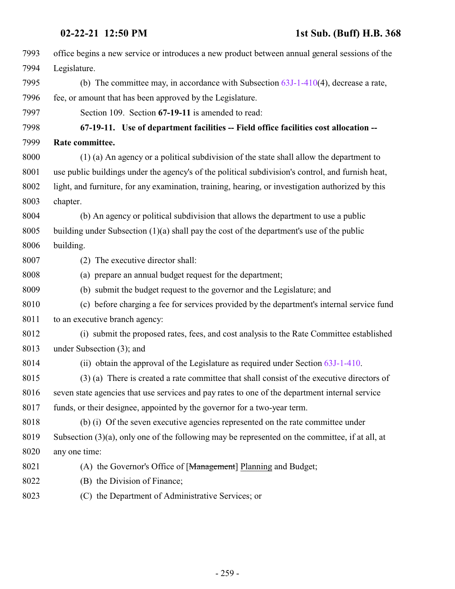| 7993 | office begins a new service or introduces a new product between annual general sessions of the     |
|------|----------------------------------------------------------------------------------------------------|
| 7994 | Legislature.                                                                                       |
| 7995 | (b) The committee may, in accordance with Subsection $63J-1-410(4)$ , decrease a rate,             |
| 7996 | fee, or amount that has been approved by the Legislature.                                          |
| 7997 | Section 109. Section 67-19-11 is amended to read:                                                  |
| 7998 | 67-19-11. Use of department facilities -- Field office facilities cost allocation --               |
| 7999 | Rate committee.                                                                                    |
| 8000 | (1) (a) An agency or a political subdivision of the state shall allow the department to            |
| 8001 | use public buildings under the agency's of the political subdivision's control, and furnish heat,  |
| 8002 | light, and furniture, for any examination, training, hearing, or investigation authorized by this  |
| 8003 | chapter.                                                                                           |
| 8004 | (b) An agency or political subdivision that allows the department to use a public                  |
| 8005 | building under Subsection $(1)(a)$ shall pay the cost of the department's use of the public        |
| 8006 | building.                                                                                          |
| 8007 | (2) The executive director shall:                                                                  |
| 8008 | (a) prepare an annual budget request for the department;                                           |
| 8009 | (b) submit the budget request to the governor and the Legislature; and                             |
| 8010 | (c) before charging a fee for services provided by the department's internal service fund          |
| 8011 | to an executive branch agency:                                                                     |
| 8012 | (i) submit the proposed rates, fees, and cost analysis to the Rate Committee established           |
| 8013 | under Subsection (3); and                                                                          |
| 8014 | (ii) obtain the approval of the Legislature as required under Section 63J-1-410.                   |
| 8015 | (3) (a) There is created a rate committee that shall consist of the executive directors of         |
| 8016 | seven state agencies that use services and pay rates to one of the department internal service     |
| 8017 | funds, or their designee, appointed by the governor for a two-year term.                           |
| 8018 | (b) (i) Of the seven executive agencies represented on the rate committee under                    |
| 8019 | Subsection $(3)(a)$ , only one of the following may be represented on the committee, if at all, at |
| 8020 | any one time:                                                                                      |
| 8021 | (A) the Governor's Office of [Management] Planning and Budget;                                     |
| 8022 | (B) the Division of Finance;                                                                       |
| 8023 | (C) the Department of Administrative Services; or                                                  |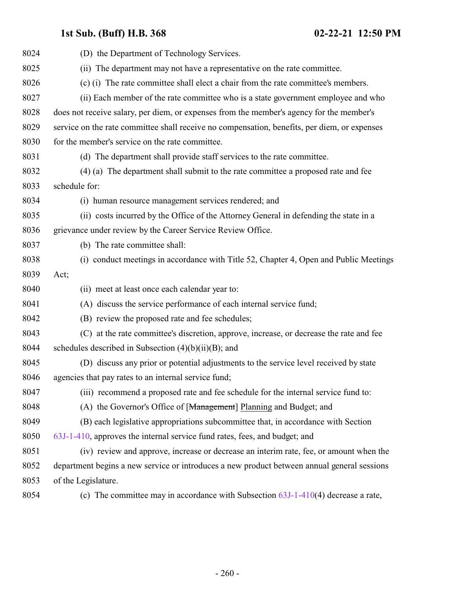| 8024 | (D) the Department of Technology Services.                                                   |
|------|----------------------------------------------------------------------------------------------|
| 8025 | (ii) The department may not have a representative on the rate committee.                     |
| 8026 | (c) (i) The rate committee shall elect a chair from the rate committee's members.            |
| 8027 | (ii) Each member of the rate committee who is a state government employee and who            |
| 8028 | does not receive salary, per diem, or expenses from the member's agency for the member's     |
| 8029 | service on the rate committee shall receive no compensation, benefits, per diem, or expenses |
| 8030 | for the member's service on the rate committee.                                              |
| 8031 | (d) The department shall provide staff services to the rate committee.                       |
| 8032 | (4) (a) The department shall submit to the rate committee a proposed rate and fee            |
| 8033 | schedule for:                                                                                |
| 8034 | (i) human resource management services rendered; and                                         |
| 8035 | (ii) costs incurred by the Office of the Attorney General in defending the state in a        |
| 8036 | grievance under review by the Career Service Review Office.                                  |
| 8037 | (b) The rate committee shall:                                                                |
| 8038 | (i) conduct meetings in accordance with Title 52, Chapter 4, Open and Public Meetings        |
| 8039 | Act;                                                                                         |
| 8040 | (ii) meet at least once each calendar year to:                                               |
| 8041 | (A) discuss the service performance of each internal service fund;                           |
| 8042 | (B) review the proposed rate and fee schedules;                                              |
| 8043 | (C) at the rate committee's discretion, approve, increase, or decrease the rate and fee      |
| 8044 | schedules described in Subsection $(4)(b)(ii)(B)$ ; and                                      |
| 8045 | (D) discuss any prior or potential adjustments to the service level received by state        |
| 8046 | agencies that pay rates to an internal service fund;                                         |
| 8047 | (iii) recommend a proposed rate and fee schedule for the internal service fund to:           |
| 8048 | (A) the Governor's Office of [Management] Planning and Budget; and                           |
| 8049 | (B) each legislative appropriations subcommittee that, in accordance with Section            |
| 8050 | 63J-1-410, approves the internal service fund rates, fees, and budget; and                   |
| 8051 | (iv) review and approve, increase or decrease an interim rate, fee, or amount when the       |
| 8052 | department begins a new service or introduces a new product between annual general sessions  |
| 8053 | of the Legislature.                                                                          |
| 8054 | (c) The committee may in accordance with Subsection $63J-1-410(4)$ decrease a rate,          |
|      |                                                                                              |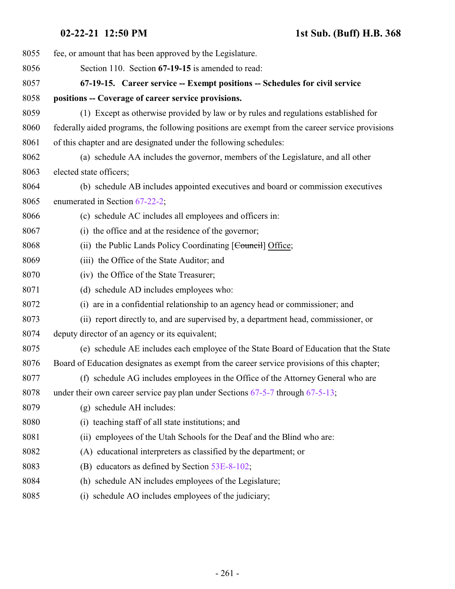<span id="page-260-0"></span>

| 8055 | fee, or amount that has been approved by the Legislature.                                       |
|------|-------------------------------------------------------------------------------------------------|
| 8056 | Section 110. Section 67-19-15 is amended to read:                                               |
| 8057 | 67-19-15. Career service -- Exempt positions -- Schedules for civil service                     |
| 8058 | positions -- Coverage of career service provisions.                                             |
| 8059 | (1) Except as otherwise provided by law or by rules and regulations established for             |
| 8060 | federally aided programs, the following positions are exempt from the career service provisions |
| 8061 | of this chapter and are designated under the following schedules:                               |
| 8062 | (a) schedule AA includes the governor, members of the Legislature, and all other                |
| 8063 | elected state officers;                                                                         |
| 8064 | (b) schedule AB includes appointed executives and board or commission executives                |
| 8065 | enumerated in Section 67-22-2;                                                                  |
| 8066 | (c) schedule AC includes all employees and officers in:                                         |
| 8067 | (i) the office and at the residence of the governor;                                            |
| 8068 | (ii) the Public Lands Policy Coordinating [Council] Office;                                     |
| 8069 | (iii) the Office of the State Auditor; and                                                      |
| 8070 | (iv) the Office of the State Treasurer;                                                         |
| 8071 | (d) schedule AD includes employees who:                                                         |
| 8072 | (i) are in a confidential relationship to an agency head or commissioner; and                   |
| 8073 | (ii) report directly to, and are supervised by, a department head, commissioner, or             |
| 8074 | deputy director of an agency or its equivalent;                                                 |
| 8075 | (e) schedule AE includes each employee of the State Board of Education that the State           |
| 8076 | Board of Education designates as exempt from the career service provisions of this chapter;     |
| 8077 | (f) schedule AG includes employees in the Office of the Attorney General who are                |
| 8078 | under their own career service pay plan under Sections $67-5-7$ through $67-5-13$ ;             |
| 8079 | (g) schedule AH includes:                                                                       |
| 8080 | (i) teaching staff of all state institutions; and                                               |
| 8081 | (ii) employees of the Utah Schools for the Deaf and the Blind who are:                          |
| 8082 | (A) educational interpreters as classified by the department; or                                |
| 8083 | (B) educators as defined by Section 53E-8-102;                                                  |
| 8084 | (h) schedule AN includes employees of the Legislature;                                          |
| 8085 | (i) schedule AO includes employees of the judiciary;                                            |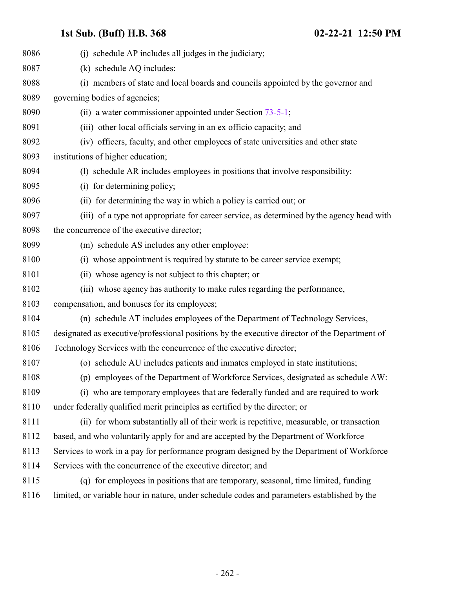| 8086 | (i) schedule AP includes all judges in the judiciary;                                         |
|------|-----------------------------------------------------------------------------------------------|
| 8087 | (k) schedule AQ includes:                                                                     |
| 8088 | (i) members of state and local boards and councils appointed by the governor and              |
| 8089 | governing bodies of agencies;                                                                 |
| 8090 | (ii) a water commissioner appointed under Section $73-5-1$ ;                                  |
| 8091 | (iii) other local officials serving in an ex officio capacity; and                            |
| 8092 | (iv) officers, faculty, and other employees of state universities and other state             |
| 8093 | institutions of higher education;                                                             |
| 8094 | (1) schedule AR includes employees in positions that involve responsibility:                  |
| 8095 | (i) for determining policy;                                                                   |
| 8096 | (ii) for determining the way in which a policy is carried out; or                             |
| 8097 | (iii) of a type not appropriate for career service, as determined by the agency head with     |
| 8098 | the concurrence of the executive director;                                                    |
| 8099 | (m) schedule AS includes any other employee:                                                  |
| 8100 | (i) whose appointment is required by statute to be career service exempt;                     |
| 8101 | (ii) whose agency is not subject to this chapter; or                                          |
| 8102 | (iii) whose agency has authority to make rules regarding the performance,                     |
| 8103 | compensation, and bonuses for its employees;                                                  |
| 8104 | (n) schedule AT includes employees of the Department of Technology Services,                  |
| 8105 | designated as executive/professional positions by the executive director of the Department of |
| 8106 | Technology Services with the concurrence of the executive director;                           |
| 8107 | (o) schedule AU includes patients and inmates employed in state institutions;                 |
| 8108 | (p) employees of the Department of Workforce Services, designated as schedule AW:             |
| 8109 | (i) who are temporary employees that are federally funded and are required to work            |
| 8110 | under federally qualified merit principles as certified by the director; or                   |
| 8111 | (ii) for whom substantially all of their work is repetitive, measurable, or transaction       |
| 8112 | based, and who voluntarily apply for and are accepted by the Department of Workforce          |
| 8113 | Services to work in a pay for performance program designed by the Department of Workforce     |
| 8114 | Services with the concurrence of the executive director; and                                  |
| 8115 | (q) for employees in positions that are temporary, seasonal, time limited, funding            |
| 8116 | limited, or variable hour in nature, under schedule codes and parameters established by the   |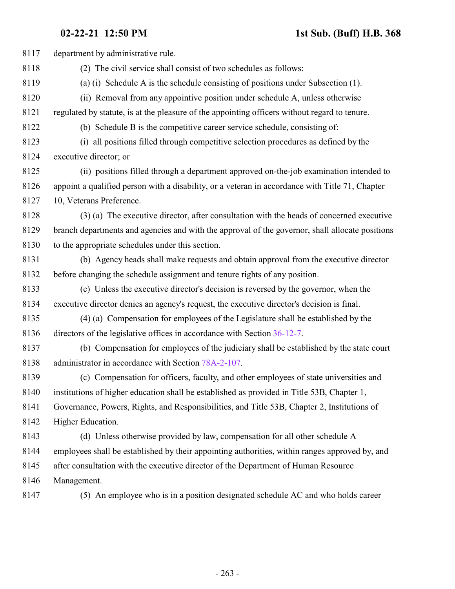**02-22-21 12:50 PM 1st Sub. (Buff) H.B. 368**

| 8117 | department by administrative rule.                                                              |
|------|-------------------------------------------------------------------------------------------------|
| 8118 | (2) The civil service shall consist of two schedules as follows:                                |
| 8119 | (a) (i) Schedule A is the schedule consisting of positions under Subsection (1).                |
| 8120 | (ii) Removal from any appointive position under schedule A, unless otherwise                    |
| 8121 | regulated by statute, is at the pleasure of the appointing officers without regard to tenure.   |
| 8122 | (b) Schedule B is the competitive career service schedule, consisting of:                       |
| 8123 | (i) all positions filled through competitive selection procedures as defined by the             |
| 8124 | executive director; or                                                                          |
| 8125 | (ii) positions filled through a department approved on-the-job examination intended to          |
| 8126 | appoint a qualified person with a disability, or a veteran in accordance with Title 71, Chapter |
| 8127 | 10, Veterans Preference.                                                                        |
| 8128 | (3) (a) The executive director, after consultation with the heads of concerned executive        |
| 8129 | branch departments and agencies and with the approval of the governor, shall allocate positions |
| 8130 | to the appropriate schedules under this section.                                                |
| 8131 | (b) Agency heads shall make requests and obtain approval from the executive director            |
| 8132 | before changing the schedule assignment and tenure rights of any position.                      |
| 8133 | (c) Unless the executive director's decision is reversed by the governor, when the              |
| 8134 | executive director denies an agency's request, the executive director's decision is final.      |
| 8135 | (4) (a) Compensation for employees of the Legislature shall be established by the               |
| 8136 | directors of the legislative offices in accordance with Section 36-12-7.                        |
| 8137 | (b) Compensation for employees of the judiciary shall be established by the state court         |
| 8138 | administrator in accordance with Section 78A-2-107.                                             |
| 8139 | (c) Compensation for officers, faculty, and other employees of state universities and           |
| 8140 | institutions of higher education shall be established as provided in Title 53B, Chapter 1,      |
| 8141 | Governance, Powers, Rights, and Responsibilities, and Title 53B, Chapter 2, Institutions of     |
| 8142 | Higher Education.                                                                               |
| 8143 | (d) Unless otherwise provided by law, compensation for all other schedule A                     |
| 8144 | employees shall be established by their appointing authorities, within ranges approved by, and  |
| 8145 | after consultation with the executive director of the Department of Human Resource              |
| 8146 | Management.                                                                                     |
| 8147 | (5) An employee who is in a position designated schedule AC and who holds career                |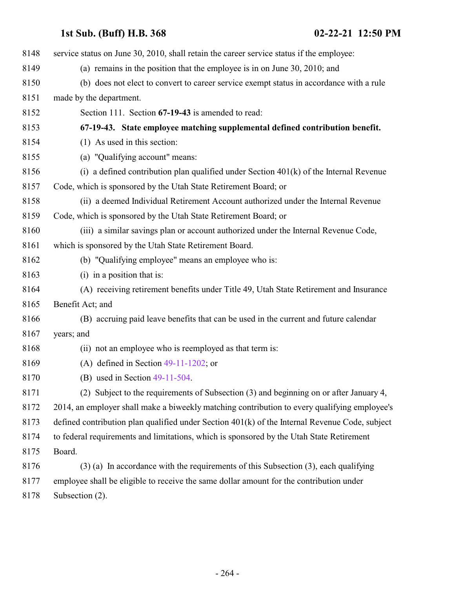| 8148 | service status on June 30, 2010, shall retain the career service status if the employee:       |
|------|------------------------------------------------------------------------------------------------|
| 8149 | (a) remains in the position that the employee is in on June 30, 2010; and                      |
| 8150 | (b) does not elect to convert to career service exempt status in accordance with a rule        |
| 8151 | made by the department.                                                                        |
| 8152 | Section 111. Section 67-19-43 is amended to read:                                              |
| 8153 | 67-19-43. State employee matching supplemental defined contribution benefit.                   |
| 8154 | (1) As used in this section:                                                                   |
| 8155 | (a) "Qualifying account" means:                                                                |
| 8156 | (i) a defined contribution plan qualified under Section $401(k)$ of the Internal Revenue       |
| 8157 | Code, which is sponsored by the Utah State Retirement Board; or                                |
| 8158 | (ii) a deemed Individual Retirement Account authorized under the Internal Revenue              |
| 8159 | Code, which is sponsored by the Utah State Retirement Board; or                                |
| 8160 | (iii) a similar savings plan or account authorized under the Internal Revenue Code,            |
| 8161 | which is sponsored by the Utah State Retirement Board.                                         |
| 8162 | (b) "Qualifying employee" means an employee who is:                                            |
| 8163 | $(i)$ in a position that is:                                                                   |
| 8164 | (A) receiving retirement benefits under Title 49, Utah State Retirement and Insurance          |
| 8165 | Benefit Act; and                                                                               |
| 8166 | (B) accruing paid leave benefits that can be used in the current and future calendar           |
| 8167 | years; and                                                                                     |
| 8168 | (ii) not an employee who is reemployed as that term is:                                        |
| 8169 | (A) defined in Section $49-11-1202$ ; or                                                       |
| 8170 | (B) used in Section $49-11-504$ .                                                              |
| 8171 | (2) Subject to the requirements of Subsection (3) and beginning on or after January 4,         |
| 8172 | 2014, an employer shall make a biweekly matching contribution to every qualifying employee's   |
| 8173 | defined contribution plan qualified under Section 401(k) of the Internal Revenue Code, subject |
| 8174 | to federal requirements and limitations, which is sponsored by the Utah State Retirement       |
| 8175 | Board.                                                                                         |
| 8176 | $(3)$ (a) In accordance with the requirements of this Subsection $(3)$ , each qualifying       |
| 8177 | employee shall be eligible to receive the same dollar amount for the contribution under        |
| 8178 | Subsection (2).                                                                                |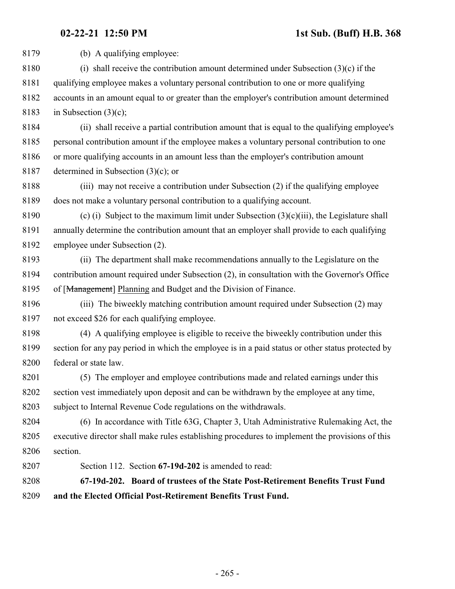(b) A qualifying employee: (i) shall receive the contribution amount determined under Subsection (3)(c) if the qualifying employee makes a voluntary personal contribution to one or more qualifying accounts in an amount equal to or greater than the employer's contribution amount determined in Subsection (3)(c); (ii) shall receive a partial contribution amount that is equal to the qualifying employee's personal contribution amount if the employee makes a voluntary personal contribution to one or more qualifying accounts in an amount less than the employer's contribution amount determined in Subsection (3)(c); or (iii) may not receive a contribution under Subsection (2) if the qualifying employee does not make a voluntary personal contribution to a qualifying account. 8190 (c) (i) Subject to the maximum limit under Subsection  $(3)(c)(iii)$ , the Legislature shall annually determine the contribution amount that an employer shall provide to each qualifying employee under Subsection (2). (ii) The department shall make recommendations annually to the Legislature on the contribution amount required under Subsection (2), in consultation with the Governor's Office of [Management] Planning and Budget and the Division of Finance. (iii) The biweekly matching contribution amount required under Subsection (2) may not exceed \$26 for each qualifying employee. (4) A qualifying employee is eligible to receive the biweekly contribution under this section for any pay period in which the employee is in a paid status or other status protected by federal or state law. (5) The employer and employee contributions made and related earnings under this section vest immediately upon deposit and can be withdrawn by the employee at any time, subject to Internal Revenue Code regulations on the withdrawals. (6) In accordance with Title 63G, Chapter 3, Utah Administrative Rulemaking Act, the executive director shall make rules establishing procedures to implement the provisions of this section. Section 112. Section **67-19d-202** is amended to read: **67-19d-202. Board of trustees of the State Post-Retirement Benefits Trust Fund and the Elected Official Post-Retirement Benefits Trust Fund.**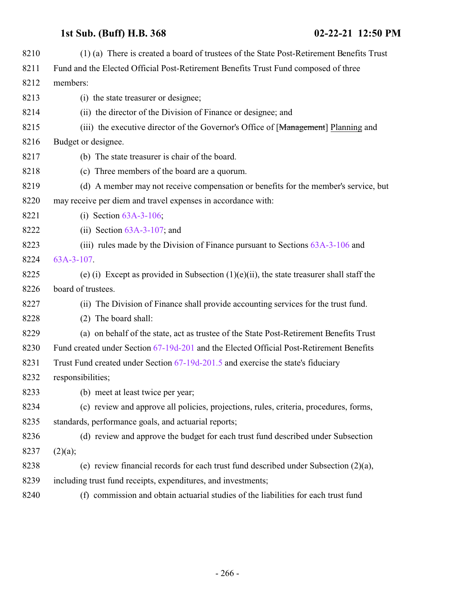| 8210 | (1) (a) There is created a board of trustees of the State Post-Retirement Benefits Trust    |
|------|---------------------------------------------------------------------------------------------|
| 8211 | Fund and the Elected Official Post-Retirement Benefits Trust Fund composed of three         |
| 8212 | members:                                                                                    |
| 8213 | (i) the state treasurer or designee;                                                        |
| 8214 | (ii) the director of the Division of Finance or designee; and                               |
| 8215 | (iii) the executive director of the Governor's Office of [Management] Planning and          |
| 8216 | Budget or designee.                                                                         |
| 8217 | (b) The state treasurer is chair of the board.                                              |
| 8218 | (c) Three members of the board are a quorum.                                                |
| 8219 | (d) A member may not receive compensation or benefits for the member's service, but         |
| 8220 | may receive per diem and travel expenses in accordance with:                                |
| 8221 | (i) Section $63A-3-106$ ;                                                                   |
| 8222 | (ii) Section $63A-3-107$ ; and                                                              |
| 8223 | (iii) rules made by the Division of Finance pursuant to Sections $63A-3-106$ and            |
| 8224 | 63A-3-107.                                                                                  |
| 8225 | (e) (i) Except as provided in Subsection $(1)(e)(ii)$ , the state treasurer shall staff the |
| 8226 | board of trustees.                                                                          |
| 8227 | (ii) The Division of Finance shall provide accounting services for the trust fund.          |
| 8228 | (2) The board shall:                                                                        |
| 8229 | (a) on behalf of the state, act as trustee of the State Post-Retirement Benefits Trust      |
| 8230 | Fund created under Section 67-19d-201 and the Elected Official Post-Retirement Benefits     |
| 8231 | Trust Fund created under Section 67-19d-201.5 and exercise the state's fiduciary            |
| 8232 | responsibilities;                                                                           |
| 8233 | (b) meet at least twice per year;                                                           |
| 8234 | (c) review and approve all policies, projections, rules, criteria, procedures, forms,       |
| 8235 | standards, performance goals, and actuarial reports;                                        |
| 8236 | (d) review and approve the budget for each trust fund described under Subsection            |
| 8237 | (2)(a);                                                                                     |
| 8238 | (e) review financial records for each trust fund described under Subsection $(2)(a)$ ,      |
| 8239 | including trust fund receipts, expenditures, and investments;                               |
| 8240 | (f) commission and obtain actuarial studies of the liabilities for each trust fund          |
|      |                                                                                             |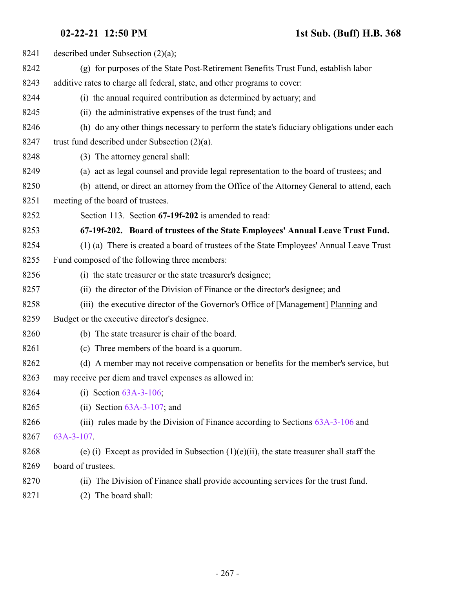| 8241 | described under Subsection $(2)(a)$ ;                                                       |
|------|---------------------------------------------------------------------------------------------|
| 8242 | (g) for purposes of the State Post-Retirement Benefits Trust Fund, establish labor          |
| 8243 | additive rates to charge all federal, state, and other programs to cover:                   |
| 8244 | (i) the annual required contribution as determined by actuary; and                          |
| 8245 | (ii) the administrative expenses of the trust fund; and                                     |
| 8246 | (h) do any other things necessary to perform the state's fiduciary obligations under each   |
| 8247 | trust fund described under Subsection $(2)(a)$ .                                            |
| 8248 | (3) The attorney general shall:                                                             |
| 8249 | (a) act as legal counsel and provide legal representation to the board of trustees; and     |
| 8250 | (b) attend, or direct an attorney from the Office of the Attorney General to attend, each   |
| 8251 | meeting of the board of trustees.                                                           |
| 8252 | Section 113. Section 67-19f-202 is amended to read:                                         |
| 8253 | 67-19f-202. Board of trustees of the State Employees' Annual Leave Trust Fund.              |
| 8254 | (1) (a) There is created a board of trustees of the State Employees' Annual Leave Trust     |
| 8255 | Fund composed of the following three members:                                               |
| 8256 | (i) the state treasurer or the state treasurer's designee;                                  |
| 8257 | (ii) the director of the Division of Finance or the director's designee; and                |
| 8258 | (iii) the executive director of the Governor's Office of [Management] Planning and          |
| 8259 | Budget or the executive director's designee.                                                |
| 8260 | (b) The state treasurer is chair of the board.                                              |
| 8261 | (c) Three members of the board is a quorum.                                                 |
| 8262 | (d) A member may not receive compensation or benefits for the member's service, but         |
| 8263 | may receive per diem and travel expenses as allowed in:                                     |
| 8264 | (i) Section $63A-3-106$ ;                                                                   |
| 8265 | (ii) Section $63A-3-107$ ; and                                                              |
| 8266 | (iii) rules made by the Division of Finance according to Sections 63A-3-106 and             |
| 8267 | 63A-3-107.                                                                                  |
| 8268 | (e) (i) Except as provided in Subsection $(1)(e)(ii)$ , the state treasurer shall staff the |
| 8269 | board of trustees.                                                                          |
| 8270 | (ii) The Division of Finance shall provide accounting services for the trust fund.          |
| 8271 | The board shall:<br>(2)                                                                     |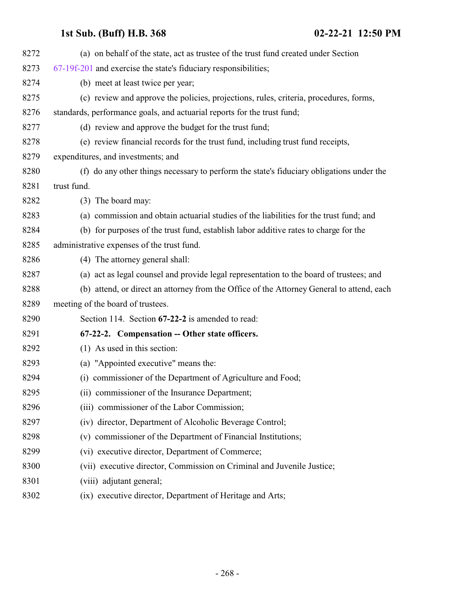<span id="page-267-0"></span>

| 8272 | (a) on behalf of the state, act as trustee of the trust fund created under Section        |
|------|-------------------------------------------------------------------------------------------|
| 8273 | $67-19f-201$ and exercise the state's fiduciary responsibilities;                         |
| 8274 | (b) meet at least twice per year;                                                         |
| 8275 | (c) review and approve the policies, projections, rules, criteria, procedures, forms,     |
| 8276 | standards, performance goals, and actuarial reports for the trust fund;                   |
| 8277 | (d) review and approve the budget for the trust fund;                                     |
| 8278 | (e) review financial records for the trust fund, including trust fund receipts,           |
| 8279 | expenditures, and investments; and                                                        |
| 8280 | (f) do any other things necessary to perform the state's fiduciary obligations under the  |
| 8281 | trust fund.                                                                               |
| 8282 | (3) The board may:                                                                        |
| 8283 | (a) commission and obtain actuarial studies of the liabilities for the trust fund; and    |
| 8284 | (b) for purposes of the trust fund, establish labor additive rates to charge for the      |
| 8285 | administrative expenses of the trust fund.                                                |
| 8286 | (4) The attorney general shall:                                                           |
| 8287 | (a) act as legal counsel and provide legal representation to the board of trustees; and   |
| 8288 | (b) attend, or direct an attorney from the Office of the Attorney General to attend, each |
| 8289 | meeting of the board of trustees.                                                         |
| 8290 | Section 114. Section 67-22-2 is amended to read:                                          |
| 8291 | 67-22-2. Compensation -- Other state officers.                                            |
| 8292 | (1) As used in this section:                                                              |
| 8293 | (a) "Appointed executive" means the:                                                      |
| 8294 | (i) commissioner of the Department of Agriculture and Food;                               |
| 8295 | (ii) commissioner of the Insurance Department;                                            |
| 8296 | (iii) commissioner of the Labor Commission;                                               |
| 8297 | (iv) director, Department of Alcoholic Beverage Control;                                  |
| 8298 | (v) commissioner of the Department of Financial Institutions;                             |
| 8299 | (vi) executive director, Department of Commerce;                                          |
| 8300 | (vii) executive director, Commission on Criminal and Juvenile Justice;                    |
| 8301 | (viii) adjutant general;                                                                  |
| 8302 | (ix) executive director, Department of Heritage and Arts;                                 |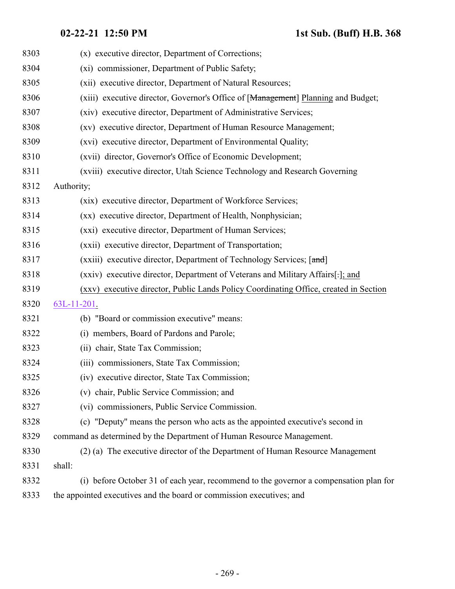| 8303 | (x) executive director, Department of Corrections;                                    |
|------|---------------------------------------------------------------------------------------|
| 8304 | (xi) commissioner, Department of Public Safety;                                       |
| 8305 | (xii) executive director, Department of Natural Resources;                            |
| 8306 | (xiii) executive director, Governor's Office of [Management] Planning and Budget;     |
| 8307 | (xiv) executive director, Department of Administrative Services;                      |
| 8308 | (xv) executive director, Department of Human Resource Management;                     |
| 8309 | (xvi) executive director, Department of Environmental Quality;                        |
| 8310 | (xvii) director, Governor's Office of Economic Development;                           |
| 8311 | (xviii) executive director, Utah Science Technology and Research Governing            |
| 8312 | Authority;                                                                            |
| 8313 | (xix) executive director, Department of Workforce Services;                           |
| 8314 | (xx) executive director, Department of Health, Nonphysician;                          |
| 8315 | (xxi) executive director, Department of Human Services;                               |
| 8316 | (xxii) executive director, Department of Transportation;                              |
| 8317 | (xxiii) executive director, Department of Technology Services; [and]                  |
| 8318 | (xxiv) executive director, Department of Veterans and Military Affairs[-]; and        |
| 8319 | (xxv) executive director, Public Lands Policy Coordinating Office, created in Section |
| 8320 | $63L-11-201$ .                                                                        |
| 8321 | (b) "Board or commission executive" means:                                            |
| 8322 | (i) members, Board of Pardons and Parole;                                             |
| 8323 | (ii) chair, State Tax Commission;                                                     |
| 8324 | (iii) commissioners, State Tax Commission;                                            |
| 8325 | (iv) executive director, State Tax Commission;                                        |
| 8326 | (v) chair, Public Service Commission; and                                             |
| 8327 | (vi) commissioners, Public Service Commission.                                        |
| 8328 | (c) "Deputy" means the person who acts as the appointed executive's second in         |
| 8329 | command as determined by the Department of Human Resource Management.                 |
| 8330 | (2) (a) The executive director of the Department of Human Resource Management         |
| 8331 | shall:                                                                                |
| 8332 | (i) before October 31 of each year, recommend to the governor a compensation plan for |
| 8333 | the appointed executives and the board or commission executives; and                  |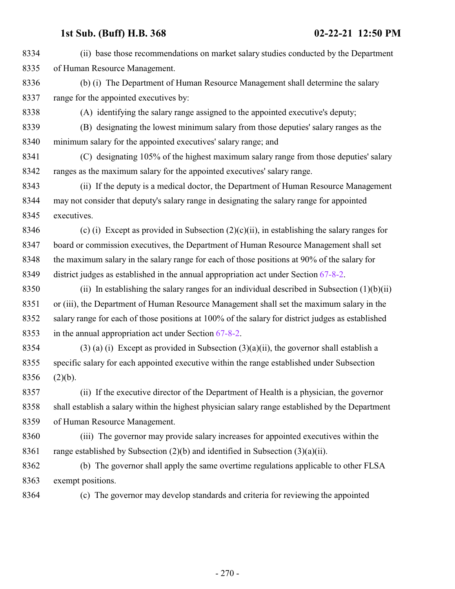| 8334 | (ii) base those recommendations on market salary studies conducted by the Department              |
|------|---------------------------------------------------------------------------------------------------|
| 8335 | of Human Resource Management.                                                                     |
| 8336 | (b) (i) The Department of Human Resource Management shall determine the salary                    |
| 8337 | range for the appointed executives by:                                                            |
| 8338 | (A) identifying the salary range assigned to the appointed executive's deputy;                    |
| 8339 | (B) designating the lowest minimum salary from those deputies' salary ranges as the               |
| 8340 | minimum salary for the appointed executives' salary range; and                                    |
| 8341 | (C) designating 105% of the highest maximum salary range from those deputies' salary              |
| 8342 | ranges as the maximum salary for the appointed executives' salary range.                          |
| 8343 | (ii) If the deputy is a medical doctor, the Department of Human Resource Management               |
| 8344 | may not consider that deputy's salary range in designating the salary range for appointed         |
| 8345 | executives.                                                                                       |
| 8346 | (c) (i) Except as provided in Subsection $(2)(c)(ii)$ , in establishing the salary ranges for     |
| 8347 | board or commission executives, the Department of Human Resource Management shall set             |
| 8348 | the maximum salary in the salary range for each of those positions at 90% of the salary for       |
| 8349 | district judges as established in the annual appropriation act under Section $67-8-2$ .           |
| 8350 | (ii) In establishing the salary ranges for an individual described in Subsection $(1)(b)(ii)$     |
| 8351 | or (iii), the Department of Human Resource Management shall set the maximum salary in the         |
| 8352 | salary range for each of those positions at 100% of the salary for district judges as established |
| 8353 | in the annual appropriation act under Section 67-8-2.                                             |
| 8354 | $(3)$ (a) (i) Except as provided in Subsection $(3)(a)(ii)$ , the governor shall establish a      |
| 8355 | specific salary for each appointed executive within the range established under Subsection        |
| 8356 | (2)(b).                                                                                           |
| 8357 | (ii) If the executive director of the Department of Health is a physician, the governor           |
| 8358 | shall establish a salary within the highest physician salary range established by the Department  |
| 8359 | of Human Resource Management.                                                                     |
| 8360 | (iii) The governor may provide salary increases for appointed executives within the               |
| 8361 | range established by Subsection $(2)(b)$ and identified in Subsection $(3)(a)(ii)$ .              |
| 8362 | (b) The governor shall apply the same overtime regulations applicable to other FLSA               |
| 8363 | exempt positions.                                                                                 |
| 8364 | (c) The governor may develop standards and criteria for reviewing the appointed                   |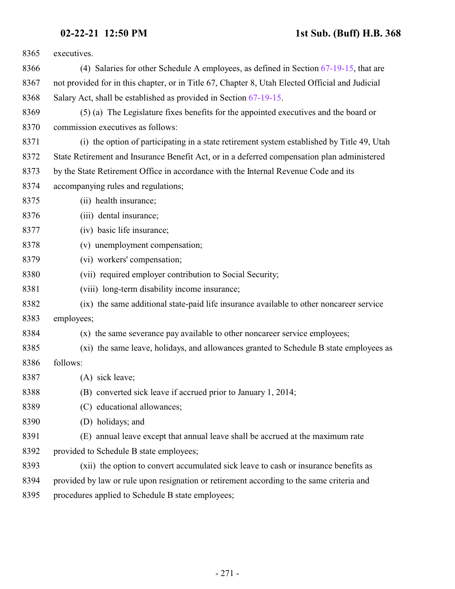| 8365 | executives.                                                                                     |
|------|-------------------------------------------------------------------------------------------------|
| 8366 | (4) Salaries for other Schedule A employees, as defined in Section $67-19-15$ , that are        |
| 8367 | not provided for in this chapter, or in Title 67, Chapter 8, Utah Elected Official and Judicial |
| 8368 | Salary Act, shall be established as provided in Section 67-19-15.                               |
| 8369 | (5) (a) The Legislature fixes benefits for the appointed executives and the board or            |
| 8370 | commission executives as follows:                                                               |
| 8371 | (i) the option of participating in a state retirement system established by Title 49, Utah      |
| 8372 | State Retirement and Insurance Benefit Act, or in a deferred compensation plan administered     |
| 8373 | by the State Retirement Office in accordance with the Internal Revenue Code and its             |
| 8374 | accompanying rules and regulations;                                                             |
| 8375 | (ii) health insurance;                                                                          |
| 8376 | (iii) dental insurance;                                                                         |
| 8377 | (iv) basic life insurance;                                                                      |
| 8378 | (v) unemployment compensation;                                                                  |
| 8379 | (vi) workers' compensation;                                                                     |
| 8380 | (vii) required employer contribution to Social Security;                                        |
| 8381 | (viii) long-term disability income insurance;                                                   |
| 8382 | (ix) the same additional state-paid life insurance available to other noncareer service         |
| 8383 | employees;                                                                                      |
| 8384 | (x) the same severance pay available to other noncareer service employees;                      |
| 8385 | (xi) the same leave, holidays, and allowances granted to Schedule B state employees as          |
| 8386 | follows:                                                                                        |
| 8387 | (A) sick leave;                                                                                 |
| 8388 | (B) converted sick leave if accrued prior to January 1, 2014;                                   |
| 8389 | (C) educational allowances;                                                                     |
| 8390 | (D) holidays; and                                                                               |
| 8391 | (E) annual leave except that annual leave shall be accrued at the maximum rate                  |
| 8392 | provided to Schedule B state employees;                                                         |
| 8393 | (xii) the option to convert accumulated sick leave to cash or insurance benefits as             |
| 8394 | provided by law or rule upon resignation or retirement according to the same criteria and       |
| 8395 | procedures applied to Schedule B state employees;                                               |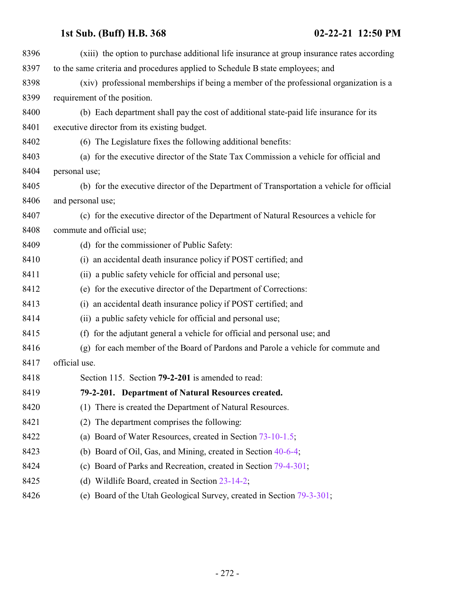| 8396 | (xiii) the option to purchase additional life insurance at group insurance rates according |
|------|--------------------------------------------------------------------------------------------|
| 8397 | to the same criteria and procedures applied to Schedule B state employees; and             |
| 8398 | (xiv) professional memberships if being a member of the professional organization is a     |
| 8399 | requirement of the position.                                                               |
| 8400 | (b) Each department shall pay the cost of additional state-paid life insurance for its     |
| 8401 | executive director from its existing budget.                                               |
| 8402 | (6) The Legislature fixes the following additional benefits:                               |
| 8403 | (a) for the executive director of the State Tax Commission a vehicle for official and      |
| 8404 | personal use;                                                                              |
| 8405 | (b) for the executive director of the Department of Transportation a vehicle for official  |
| 8406 | and personal use;                                                                          |
| 8407 | (c) for the executive director of the Department of Natural Resources a vehicle for        |
| 8408 | commute and official use;                                                                  |
| 8409 | (d) for the commissioner of Public Safety:                                                 |
| 8410 | (i) an accidental death insurance policy if POST certified; and                            |
| 8411 | (ii) a public safety vehicle for official and personal use;                                |
| 8412 | (e) for the executive director of the Department of Corrections:                           |
| 8413 | (i) an accidental death insurance policy if POST certified; and                            |
| 8414 | (ii) a public safety vehicle for official and personal use;                                |
| 8415 | (f) for the adjutant general a vehicle for official and personal use; and                  |
| 8416 | (g) for each member of the Board of Pardons and Parole a vehicle for commute and           |
| 8417 | official use.                                                                              |
| 8418 | Section 115. Section 79-2-201 is amended to read:                                          |
| 8419 | 79-2-201. Department of Natural Resources created.                                         |
| 8420 | (1) There is created the Department of Natural Resources.                                  |
| 8421 | The department comprises the following:<br>(2)                                             |
| 8422 | (a) Board of Water Resources, created in Section 73-10-1.5;                                |
| 8423 | (b) Board of Oil, Gas, and Mining, created in Section $40-6-4$ ;                           |
| 8424 | (c) Board of Parks and Recreation, created in Section 79-4-301;                            |
| 8425 | (d) Wildlife Board, created in Section 23-14-2;                                            |
| 8426 | (e) Board of the Utah Geological Survey, created in Section 79-3-301;                      |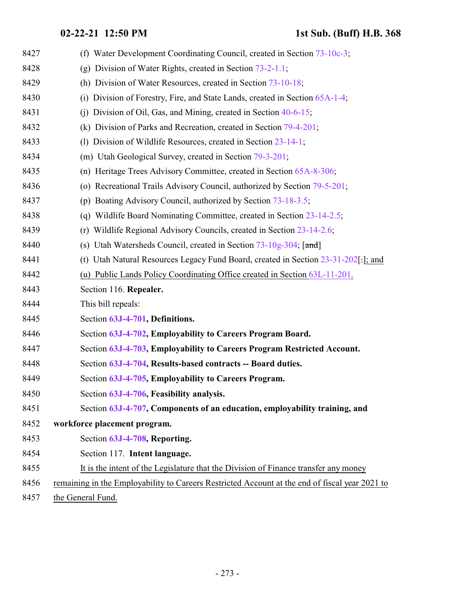| 8427 | (f) Water Development Coordinating Council, created in Section 73-10c-3;                       |
|------|------------------------------------------------------------------------------------------------|
| 8428 | (g) Division of Water Rights, created in Section $73-2-1.1$ ;                                  |
| 8429 | (h) Division of Water Resources, created in Section 73-10-18;                                  |
| 8430 | Division of Forestry, Fire, and State Lands, created in Section 65A-1-4;<br>(i)                |
| 8431 | (i) Division of Oil, Gas, and Mining, created in Section $40-6-15$ ;                           |
| 8432 | (k) Division of Parks and Recreation, created in Section 79-4-201;                             |
| 8433 | (1) Division of Wildlife Resources, created in Section 23-14-1;                                |
| 8434 | (m) Utah Geological Survey, created in Section 79-3-201;                                       |
| 8435 | (n) Heritage Trees Advisory Committee, created in Section 65A-8-306;                           |
| 8436 | (o) Recreational Trails Advisory Council, authorized by Section 79-5-201;                      |
| 8437 | (p) Boating Advisory Council, authorized by Section 73-18-3.5;                                 |
| 8438 | (q) Wildlife Board Nominating Committee, created in Section 23-14-2.5;                         |
| 8439 | Wildlife Regional Advisory Councils, created in Section 23-14-2.6;<br>(r)                      |
| 8440 | (s) Utah Watersheds Council, created in Section 73-10g-304; [and]                              |
| 8441 | (t) Utah Natural Resources Legacy Fund Board, created in Section 23-31-202[-]; and             |
| 8442 | (u) Public Lands Policy Coordinating Office created in Section 63L-11-201.                     |
| 8443 | Section 116. Repealer.                                                                         |
| 8444 | This bill repeals:                                                                             |
| 8445 | Section 63J-4-701, Definitions.                                                                |
| 8446 | Section 63J-4-702, Employability to Careers Program Board.                                     |
| 8447 | Section 63J-4-703, Employability to Careers Program Restricted Account.                        |
| 8448 | Section 63J-4-704, Results-based contracts -- Board duties.                                    |
| 8449 | Section 63J-4-705, Employability to Careers Program.                                           |
| 8450 | Section 63J-4-706, Feasibility analysis.                                                       |
| 8451 | Section 63J-4-707, Components of an education, employability training, and                     |
| 8452 | workforce placement program.                                                                   |
| 8453 | Section 63J-4-708, Reporting.                                                                  |
| 8454 | Section 117. Intent language.                                                                  |
| 8455 | It is the intent of the Legislature that the Division of Finance transfer any money            |
| 8456 | remaining in the Employability to Careers Restricted Account at the end of fiscal year 2021 to |
| 8457 | the General Fund.                                                                              |